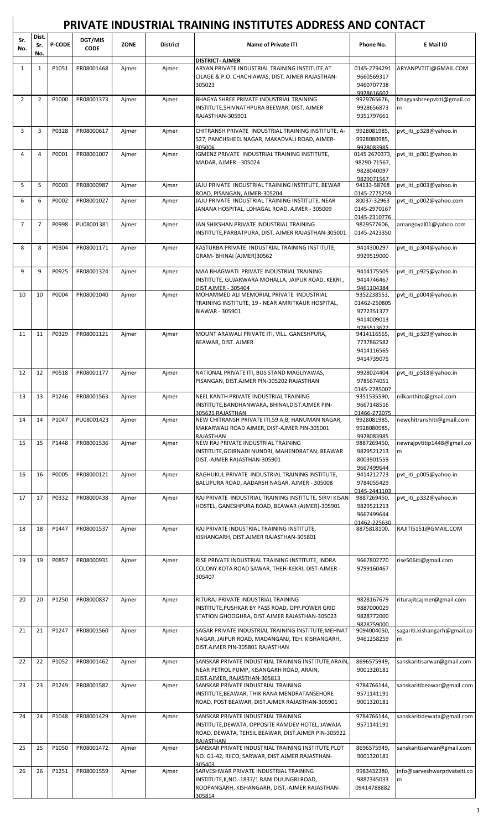| Sr.<br>No.     | Dist.<br>Sr.<br>No. | <b>P-CODE</b> | <b>DGT/MIS</b><br><b>CODE</b> | ZONE  | <b>District</b> | <b>Name of Private ITI</b>                                                                                                                                 | Phone No.                                                               | <b>E</b> Mail ID                  |
|----------------|---------------------|---------------|-------------------------------|-------|-----------------|------------------------------------------------------------------------------------------------------------------------------------------------------------|-------------------------------------------------------------------------|-----------------------------------|
|                |                     |               |                               |       |                 | <b>DISTRICT- AJMER</b>                                                                                                                                     |                                                                         |                                   |
| $\mathbf{1}$   | $\mathbf{1}$        | P1051         | PR08001468                    | Ajmer | Ajmer           | ARYAN PRIVATE INDUSTRIAL TRAINING INSTITUTE, AT.<br>CILAGE & P.O. CHACHIAWAS, DIST. AJMER RAJASTHAN-<br>305023                                             | 0145-2794291<br>9660569317<br>9460707738<br>9928616602                  | ARYANPVTITI@GMAIL.COM             |
| $\overline{2}$ | $\overline{2}$      | P1000         | PR08001373                    | Ajmer | Ajmer           | BHAGYA SHREE PRIVATE INDUSTRIAL TRAINING<br>INSTITUTE, SHIVNATHPURA BEEWAR, DIST. AJMER<br>RAJASTHAN-305901                                                | 9929765676,<br>9928656873<br>9351797661                                 | bhagyashreepvtiti@gmail.co<br>m   |
| 3              | 3                   | P0328         | PR08000617                    | Ajmer | Ajmer           | CHITRANSH PRIVATE INDUSTRIAL TRAINING INSTITUTE, A-<br>527, PANCHSHEEL NAGAR, MAKADVALI ROAD, AJMER-<br>305006                                             | 9928081985,<br>9928080985.<br>9928083985                                | pvt iti p328@yahoo.in             |
| 4              | 4                   | P0001         | PR08001007                    | Ajmer | Ajmer           | IGMENZ PRIVATE INDUSTRIAL TRAINING INSTITUTE,<br>MADAR, AJMER -305024                                                                                      | 0145 2670373,<br>98290-71567,<br>9828040097<br>9829071567               | pvt iti p001@yahoo.in             |
| 5              | 5                   | P0003         | PR08000987                    | Ajmer | Ajmer           | JAJU PRIVATE INDUSTRIAL TRAINING INSTITUTE, BEWAR<br>ROAD, PISANGAN, AJMER-305204                                                                          | 94133-58768<br>0145-2775259                                             | pvt iti p003@yahoo.in             |
| 6              | 6                   | P0002         | PR08001027                    | Ajmer | Ajmer           | JAJU PRIVATE INDUSTRIAL TRAINING INSTITUTE, NEAR<br>JANANA HOSPITAL, LOHAGAL ROAD, AJMER - 305009                                                          | 80037-32963<br>0145-2970167<br>0145-2310776                             | pvt iti p002@yahoo.com            |
| $\overline{7}$ | $\overline{7}$      | P0998         | PU08001381                    | Ajmer | Ajmer           | JAN SHIKSHAN PRIVATE INDUSTRIAL TRAINING<br>INSTITUTE, PARBATPURA, DIST. AJMER RAJASTHAN-305001                                                            | 9829577606,<br>0145-2423350                                             | amangoyal01@yahoo.com             |
| 8              | 8                   | P0304         | PR08001171                    | Ajmer | Ajmer           | KASTURBA PRIVATE INDUSTRIAL TRAINING INSTITUTE,<br>GRAM- BHINAI (AJMER)30562                                                                               | 9414300297<br>9929519000                                                | pvt iti p304@yahoo.in             |
| 9              | 9                   | P0925         | PR08001324                    | Ajmer | Ajmer           | MAA BHAGWATI PRIVATE INDUSTRIAL TRAINING<br>INSTITUTE, GUJARWARA MOHALLA, JAIPUR ROAD, KEKRI,<br><b>DIST AJMER - 305404</b>                                | 9414175505<br>9414746467<br>9461104384                                  | pvt_iti_p925@yahoo.in             |
| 10             | 10                  | P0004         | PR08001040                    | Ajmer | Ajmer           | MOHAMMED ALI MEMORIAL PRIVATE INDUSTRIAL<br>TRAINING INSTITUTE, 19 - NEAR AMRITKAUR HOSPITAL,<br>BIAWAR - 305901                                           | 9352238553,<br>01462-250805<br>9772351377<br>9414009013<br>9785513672   | pvt_iti_p004@yahoo.in             |
| 11             | 11                  | P0329         | PR08001121                    | Ajmer | Ajmer           | MOUNT ARAWALI PRIVATE ITI, VILL. GANESHPURA,<br>BEAWAR, DIST. AJMER                                                                                        | 9414116565,<br>7737862582<br>9414116565<br>9414739075                   | pvt_iti_p329@yahoo.in             |
| 12             | 12                  | P0518         | PR08001177                    | Ajmer | Ajmer           | NATIONAL PRIVATE ITI, BUS STAND MAGLIYAWAS,<br>PISANGAN, DIST.AJMER PIN-305202 RAJASTHAN                                                                   | 9928024404<br>9785674051<br>0145-2785007                                | pvt iti p518@yahoo.in             |
| 13             | 13                  | P1246         | PR08001563                    | Ajmer | Ajmer           | NEEL KANTH PRIVATE INDUSTRIAL TRAINING<br>INSTITUTE, BANDHANWARA, BHINAI, DIST. AJMER PIN-                                                                 | 9351535590,<br>9667148516<br>01466-272075                               | nilkanthitc@gmail.com             |
| 14             | 14                  | P1047         | PU08001423                    | Ajmer | Ajmer           | 305621 RAJASTHAN<br>NEW CHITRANSH PRIVATE ITI,59 A,B, HANUMAN NAGAR,<br>MAKARWALI ROAD AJMER, DIST-AJMER PIN-305001<br>RAJASTHAN                           | 9928081985,<br>9928080985,<br>9928083985                                | newchitranshiti@gmail.com         |
| 15             | 15                  | P1448         | PR08001536                    | Ajmer | Ajmer           | NEW RAJ PRIVATE INDUSTRIAL TRAINING<br>INSTITUTE, GOIRNADI NUNDRI, MAHENDRATAN, BEAWAR<br>DIST.-AJMER RAJASTHAN-305901                                     | 9887269450,<br>9829521213<br>8003901559                                 | newrajpvtitip1448@gmail.co<br>m   |
| 16             | 16                  | P0005         | PR08000121                    | Ajmer | Ajmer           | RAGHUKUL PRIVATE INDUSTRIAL TRAINING INSTITUTE,<br>BALUPURA ROAD, AADARSH NAGAR, AJMER - 305008                                                            | 9667499644<br>9414212723<br>9784055429                                  | pvt_iti_p005@yahoo.in             |
| 17             | 17                  | P0332         | PR08000438                    | Ajmer | Ajmer           | RAJ PRIVATE INDUSTRIAL TRAINING INSTITUTE, SIRVI KISAN<br>HOSTEL, GANESHPURA ROAD, BEAWAR (AJMER)-305901                                                   | 0145-2441103<br>9887269450,<br>9829521213<br>9667499644<br>01462-225630 | pvt_iti_p332@yahoo.in             |
| 18             | 18                  | P1447         | PR08001537                    | Ajmer | Ajmer           | RAJ PRIVATE INDUSTRIAL TRAINING INSTITUTE,<br>KISHANGARH, DIST.AJMER RAJASTHAN-305801                                                                      | 8875818100,                                                             | RAJITI5151@GMAIL.COM              |
| 19             | 19                  | P0857         | PR08000931                    | Ajmer | Ajmer           | RISE PRIVATE INDUSTRIAL TRAINING INSTITUTE, INDRA<br>COLONY KOTA ROAD SAWAR, THEH-KEKRI, DIST-AJMER -<br>305407                                            | 9667802770<br>9799160467                                                | rise506iti@gmail.com              |
| 20             | 20                  | P1250         | PR08000837                    | Ajmer | Ajmer           | RITURAJ PRIVATE INDUSTRIAL TRAINING<br>INSTITUTE, PUSHKAR BY PASS ROAD, OPP. POWER GRID<br>STATION GHOOGHRA, DIST.AJMER RAJASTHAN-305023                   | 9828167679<br>9887000029<br>9828772000<br>9828759000                    | riturajitcajmer@gmail.com         |
| 21             | 21                  | P1247         | PR08001560                    | Ajmer | Ajmer           | SAGAR PRIVATE INDUSTRIAL TRAINING INSTITUTE, MEHNAT<br>NAGAR, JAIPUR ROAD, MADANGANJ, TEH. KISHANGARH,<br>DIST.AJMER PIN-305801 RAJASTHAN                  | 9094004050,<br>9461258259                                               | sagariti.kishangarh@gmail.co<br>m |
| 22             | 22                  | P1052         | PR08001462                    | Ajmer | Ajmer           | SANSKAR PRIVATE INDUSTRIAL TRAINING INSTITUTE, ARAIN,<br>NEAR PETROL PUMP, KISANGARH ROAD, ARAIN,<br>DIST.AJMER. RAJASTHAN-305813                          | 8696575949,<br>9001320181                                               | sanskaritisarwar@gmail.com        |
| 23             | 23                  | P1249         | PR08001582                    | Ajmer | Ajmer           | SANSKAR PRIVATE INDUSTRIAL TRAINING<br>INSTITUTE, BEAWAR, THIK RANA MENDRATANSEHORE<br>ROAD, POST BEAWAR, DIST.AJMER RAJASTHAN-305901                      | 9784766144,<br>9571141191<br>9001320181                                 | sanskaritibeawar@gmail.com        |
| 24             | 24                  | P1048         | PR08001429                    | Ajmer | Ajmer           | SANSKAR PRIVATE INDUSTRIAL TRAINING<br>INSTITUTE, DEWATA, OPPOSITE RAMDEV HOTEL, JAWAJA<br>ROAD, DEWATA, TEHSIL BEAWAR, DIST.AJMER PIN-305922<br>RAJASTHAN | 9784766144,<br>9571141191                                               | sanskaritidewata@gmail.com        |
| 25             | 25                  | P1050         | PR08001472                    | Ajmer | Ajmer           | SANSKAR PRIVATE INDUSTRIAL TRAINING INSTITUTE, PLOT<br>NO. G1-42, RIICO, SARWAR, DIST.AJMER RAJASTHAN-                                                     | 8696575949,<br>9001320181                                               | sanskaritisarwar@gmail.com        |
| 26             | 26                  | P1251         | PR08001559                    | Ajmer | Ajmer           | 305403<br>SARVESHWAR PRIVATE INDUSTRIAL TRAINING<br>INSTITUTE, K, NO.-1837/1 RANI DUUNGRI ROAD,                                                            | 9983432380,<br>9887345033                                               | info@sarveshwarprivateiti.co<br>m |

**PRIVATE INDUSTRIAL TRAINING INSTITUTES ADDRESS AND CONTACT**

ROOPANGARH, KISHANGARH, DIST.-AJMER RAJASTHAN-

305814

9887345033 m 09414788882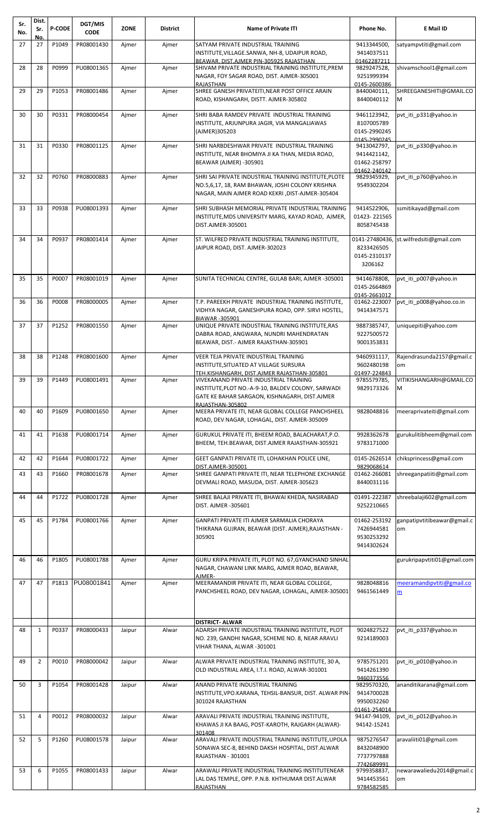| Sr.<br>No. | Dist.<br>Sr.   | <b>P-CODE</b> | DGT/MIS<br><b>CODE</b> | <b>ZONE</b> | <b>District</b> | <b>Name of Private ITI</b>                                                                                                                                                                          | Phone No.                                                  | E Mail ID                               |
|------------|----------------|---------------|------------------------|-------------|-----------------|-----------------------------------------------------------------------------------------------------------------------------------------------------------------------------------------------------|------------------------------------------------------------|-----------------------------------------|
| 27         | No.<br>27      | P1049         | PR08001430             | Ajmer       | Ajmer           | SATYAM PRIVATE INDUSTRIAL TRAINING<br>INSTITUTE, VILLAGE.SANWA, NH-8, UDAIPUR ROAD,                                                                                                                 | 9413344500,<br>9414037511                                  | satyampvtiti@gmail.com                  |
| 28         | 28             | P0999         | PU08001365             | Ajmer       | Ajmer           | BEAWAR, DIST.AJMER PIN-305925 RAJASTHAN<br>SHIVAM PRIVATE INDUSTRIAL TRAINING INSTITUTE, PREM<br>NAGAR, FOY SAGAR ROAD, DIST. AJMER-305001                                                          | 01462287211<br>9829247528,<br>9251999394                   | shivamschool1@gmail.com                 |
| 29         | 29             | P1053         | PR08001486             | Ajmer       | Ajmer           | <b>RAJASTHAN</b><br>SHREE GANESH PRIVATEITI, NEAR POST OFFICE ARAIN<br>ROAD, KISHANGARH, DISTT. AJMER-305802                                                                                        | 0145-2600386<br>8440040111,<br>8440040112                  | SHREEGANESHITI@GMAIL.CO<br>M            |
| 30         | 30             | P0331         | PR08000454             | Ajmer       | Ajmer           | SHRI BABA RAMDEV PRIVATE INDUSTRIAL TRAINING<br>INSTITUTE, ARJUNPURA JAGIR, VIA MANGALIAWAS<br>(AJMER)305203                                                                                        | 9461123942,<br>8107005789<br>0145-2990245<br>0145-2990245  | pvt_iti_p331@yahoo.in                   |
| 31         | 31             | P0330         | PR08001125             | Ajmer       | Ajmer           | SHRI NARBDESHWAR PRIVATE INDUSTRIAL TRAINING<br>INSTITUTE, NEAR BHOMIYA JI KA THAN, MEDIA ROAD,<br>BEAWAR (AJMER) -305901                                                                           | 9413042797,<br>9414421142,<br>01462-258797<br>01462-240142 | pvt iti p330@yahoo.in                   |
| 32         | 32             | P0760         | PR08000883             | Ajmer       | Ajmer           | SHRI SAI PRIVATE INDUSTRIAL TRAINING INSTITUTE, PLOTE<br>NO.5,6,17, 18, RAM BHAWAN, JOSHI COLONY KRISHNA<br>NAGAR, MAIN AJMER ROAD KEKRI , DIST-AJMER-305404                                        | 9829345929,<br>9549302204                                  | pvt iti p760@yahoo.in                   |
| 33         | 33             | P0938         | PU08001393             | Ajmer       | Ajmer           | SHRI SUBHASH MEMORIAL PRIVATE INDUSTRIAL TRAINING<br>INSTITUTE, MDS UNIVERSITY MARG, KAYAD ROAD, AJMER,<br>DIST.AJMER-305001                                                                        | 9414522906,<br>01423-221565<br>8058745438                  | ssmitikayad@gmail.com                   |
| 34         | 34             | P0937         | PR08001414             | Ajmer       | Ajmer           | ST. WILFRED PRIVATE INDUSTRIAL TRAINING INSTITUTE,<br>JAIPUR ROAD, DIST. AJMER-302023                                                                                                               | 8233426505<br>0145-2310137<br>3206162                      | 0141-27480436, st.wilfredsiti@gmail.com |
| 35         | 35             | P0007         | PR08001019             | Aimer       | Aimer           | SUNITA TECHNICAL CENTRE, GULAB BARI, AJMER -305001                                                                                                                                                  | 9414678808,<br>0145-2664869<br>0145-2661012                | pvt iti p007@yahoo.in                   |
| 36         | 36             | P0008         | PR08000005             | Ajmer       | Ajmer           | T.P. PAREEKH PRIVATE INDUSTRIAL TRAINING INSTITUTE,<br>VIDHYA NAGAR, GANESHPURA ROAD, OPP. SIRVI HOSTEL,<br>BIAWAR-305901                                                                           | 01462-223007<br>9414347571                                 | pvt iti p008@yahoo.co.in                |
| 37         | 37             | P1252         | PR08001550             | Ajmer       | Ajmer           | UNIQUE PRIVATE INDUSTRIAL TRAINING INSTITUTE, RAS<br>DABRA ROAD, ANGWARA, NUNDRI MAHENDRATAN<br>BEAWAR, DIST.- AJMER RAJASTHAN-305901                                                               | 9887385747,<br>9227500572<br>9001353831                    | uniquepiti@yahoo.com                    |
| 38         | 38             | P1248         | PR08001600             | Ajmer       | Ajmer           | VEER TEJA PRIVATE INDUSTRIAL TRAINING<br>INSTITUTE, SITUATED AT VILLAGE SURSURA                                                                                                                     | 9460931117,<br>9602480198                                  | Rajendrasunda2157@gmail.c<br>om         |
| 39         | 39             | P1449         | PU08001491             | Ajmer       | Ajmer           | <u>TEH.KISHANGARH. DIST.AJMER RAJASTHAN-305801</u><br>VIVEKANAND PRIVATE INDUSTRIAL TRAINING<br>INSTITUTE, PLOT NO.-A-9-10, BALDEV COLONY, SARWADI<br>GATE KE BAHAR SARGAON, KISHNAGARH, DIST.AJMER | 01497-224843<br>9785579785,<br>9829173326                  | VITIKISHANGARH@GMAIL.CO                 |
| 40         | 40             | P1609         | PU08001650             | Ajmer       | Ajmer           | RAJASTHAN-305802<br>MEERA PRIVATE ITI, NEAR GLOBAL COLLEGE PANCHSHEEL<br>ROAD, DEV NAGAR, LOHAGAL, DIST. AJMER-305009                                                                               | 9828048816                                                 | meeraprivateiti@gmail.com               |
| 41         | 41             | P1638         | PU08001714             | Ajmer       | Ajmer           | GURUKUL PRIVATE ITI, BHEEM ROAD, BALACHARAT, P.O.<br>BHEEM, TEH.BEAWAR, DIST.AJMER RAJASTHAN-305921                                                                                                 | 9928362678<br>9783171000                                   | gurukulitibheem@gmail.com               |
| 42         | 42             | P1644         | PU08001722             | Ajmer       | Ajmer           | GEET GANPATI PRIVATE ITI, LOHAKHAN POLICE LINE,<br>DIST.AJMER-305001                                                                                                                                | 0145-2626514<br>9829068614                                 | chiksprincess@gmail.com                 |
| 43         | 43             | P1660         | PR08001678             | Ajmer       | Ajmer           | SHREE GANPATI PRIVATE ITI, NEAR TELEPHONE EXCHANGE<br>DEVMALI ROAD, MASUDA, DIST. AJMER-305623                                                                                                      | 01462-266081<br>8440031116                                 | shreeganpatiiti@gmail.com               |
| 44         | 44             | P1722         | PU08001728             | Ajmer       | Ajmer           | SHREE BALAJI PRIVATE ITI, BHAWAI KHEDA, NASIRABAD<br>DIST. AJMER -305601                                                                                                                            | 01491-222387<br>9252210665                                 | shreebalaji602@gmail.com                |
| 45         | 45             | P1784         | PU08001766             | Ajmer       | Ajmer           | GANPATI PRIVATE ITI AJMER SARMALIA CHORAYA<br>THIKRANA GUJRAN, BEAWAR (DIST. AJMER),RAJASTHAN -<br>305901                                                                                           | 01462-253192<br>7426944581<br>9530253292<br>9414302624     | ganpatipvtitibeawar@gmail.c<br>om       |
| 46         | 46             | P1805         | PU08001788             | Ajmer       | Ajmer           | GURU KRIPA PRIVATE ITI, PLOT NO. 67, GYANCHAND SINHAL<br>NAGAR, CHAWANI LINK MARG, AJMER ROAD, BEAWAR,                                                                                              |                                                            | gurukripapvtiti01@gmail.com             |
| 47         | 47             | P1813         | PU08001841             | Ajmer       | Ajmer           | AJMER-<br>MEERAMANDIR PRIVATE ITI, NEAR GLOBAL COLLEGE,<br>PANCHSHEEL ROAD, DEV NAGAR, LOHAGAL, AJMER-305001                                                                                        | 9828048816<br>9461561449                                   | meeramandipvtiti@gmail.co<br>m          |
| 48         | $\mathbf{1}$   | P0337         | PR08000433             | Jaipur      | Alwar           | <b>DISTRICT- ALWAR</b><br>ADARSH PRIVATE INDUSTRIAL TRAINING INSTITUTE, PLOT<br>NO. 239, GANDHI NAGAR, SCHEME NO. 8, NEAR ARAVLI<br>VIHAR THANA, ALWAR -301001                                      | 9024827522<br>9214189003                                   | pvt_iti_p337@yahoo.in                   |
| 49         | $\overline{2}$ | P0010         | PR08000042             | Jaipur      | Alwar           | ALWAR PRIVATE INDUSTRIAL TRAINING INSTITUTE, 30 A,<br>OLD INDUSTRIAL AREA, I.T.I. ROAD, ALWAR-301001                                                                                                | 9785751201<br>9414261390                                   | pvt_iti_p010@yahoo.in                   |
| 50         | 3              | P1054         | PR08001428             | Jaipur      | Alwar           | ANAND PRIVATE INDUSTRIAL TRAINING<br>INSTITUTE, VPO.KARANA, TEHSIL-BANSUR, DIST. ALWAR PIN-<br>301024 RAJASTHAN                                                                                     | 9460373556<br>9829570320,<br>9414700028<br>9950032260      | ananditikarana@gmail.com                |
| 51         | 4              | P0012         | PR08000032             | Jaipur      | Alwar           | ARAVALI PRIVATE INDUSTRIAL TRAINING INSTITUTE,<br>KHAWAS JI KA BAAG, POST-KAROTH, RAJGARH (ALWAR)-<br>301408                                                                                        | 01461-254014<br>94147-94109,<br>94142-15241                | pvt iti p012@yahoo.in                   |
| 52         | 5              | P1260         | PU08001578             | Jaipur      | Alwar           | ARAVALI PRIVATE INDUSTRIAL TRAINING INSTITUTE, UPOLA<br>SONAWA SEC-8, BEHIND DAKSH HOSPITAL, DIST.ALWAR<br>RAJASTHAN - 301001                                                                       | 9875276547<br>8432048900<br>7737797888<br>7742689991       | aravaliiti01@gmail.com                  |
| 53         | 6              | P1055         | PR08001433             | Jaipur      | Alwar           | ARAWALI PRIVATE INDUSTRIAL TRAINING INSTITUTENEAR<br>LAL DAS TEMPLE, OPP. P.N.B. KHTHUMAR DIST.ALWAR<br>RAJASTHAN                                                                                   | 9799358837,<br>9414453561<br>9784582585                    | newarawaliedu2014@gmail.c<br>om         |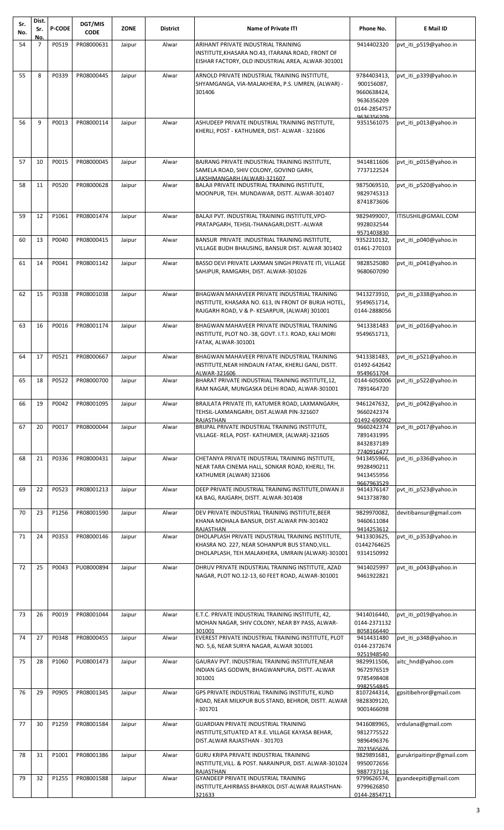| P0519<br>54<br>$\overline{7}$<br>PR08000631<br>Jaipur<br>Alwar<br>ARIHANT PRIVATE INDUSTRIAL TRAINING<br>9414402320<br>pvt_iti_p519@yahoo.in<br>INSTITUTE, KHASARA NO.43, ITARANA ROAD, FRONT OF<br>EISHAR FACTORY, OLD INDUSTRIAL AREA, ALWAR-301001<br>8<br>P0339<br>PR08000445<br>9784403413,<br>55<br>Jaipur<br>Alwar<br>ARNOLD PRIVATE INDUSTRIAL TRAINING INSTITUTE,<br>pvt iti p339@yahoo.in<br>SHYAMGANGA, VIA-MALAKHERA, P.S. UMREN, (ALWAR) -<br>900156087,<br>301406<br>9660638424,<br>9636356209<br>0144-2854757<br>9636356209<br>9<br>P0013<br>PR08000114<br>56<br>Alwar<br>ASHUDEEP PRIVATE INDUSTRIAL TRAINING INSTITUTE,<br>9351561075<br>pvt_iti_p013@yahoo.in<br>Jaipur<br>KHERLI, POST - KATHUMER, DIST- ALWAR - 321606<br>57<br>10<br>P0015<br>PR08000045<br>Alwar<br>BAJRANG PRIVATE INDUSTRIAL TRAINING INSTITUTE,<br>9414811606<br>pvt_iti_p015@yahoo.in<br>Jaipur<br>SAMELA ROAD, SHIV COLONY, GOVIND GARH,<br>7737122524<br>LAKSHMANGARH (ALWAR)-321607<br>P0520<br>11<br>PR08000628<br>Alwar<br>BALAJI PRIVATE INDUSTRIAL TRAINING INSTITUTE,<br>9875069510,<br>pvt_iti_p520@yahoo.in<br>58<br>Jaipur<br>MOONPUR, TEH. MUNDAWAR, DISTT. ALWAR-301407<br>9829745313<br>8741873606<br>59<br>12<br>P1061<br>PR08001474<br>Alwar<br>BALAJI PVT. INDUSTRIAL TRAINING INSTITUTE, VPO-<br>9829499007,<br>ITISUSHIL@GMAIL.COM<br>Jaipur<br>PRATAPGARH, TEHSIL-THANAGARI, DISTT.-ALWAR<br>9928032544<br>9571403830<br>13<br>P0040<br>PR08000415<br>Alwar<br>BANSUR PRIVATE INDUSTRIAL TRAINING INSTITUTE,<br>pvt iti p040@yahoo.in<br>60<br>Jaipur<br>9352210132,<br>01461-270103<br>VILLAGE BUDH BHAUSING, BANSUR DIST. ALWAR 301402<br>14<br>P0041<br>PR08001142<br>BASSO DEVI PRIVATE LAXMAN SINGH PRIVATE ITI, VILLAGE<br>9828525080<br>61<br>Jaipur<br>Alwar<br>pvt iti p041@yahoo.in<br>SAHJPUR, RAMGARH, DIST. ALWAR-301026<br>9680607090<br>15<br>P0338<br>PR08001038<br>BHAGWAN MAHAVEER PRIVATE INDUSTRIAL TRAINING<br>9413273910,<br>pvt iti p338@yahoo.in<br>62<br>Jaipur<br>Alwar<br>INSTITUTE, KHASARA NO. 613, IN FRONT OF BURJA HOTEL,<br>9549651714,<br>0144-2888056<br>RAJGARH ROAD, V & P- KESARPUR, (ALWAR) 301001<br>P0016<br>63<br>16<br>PR08001174<br>Jaipur<br>Alwar<br>BHAGWAN MAHAVEER PRIVATE INDUSTRIAL TRAINING<br>9413381483<br>pvt iti p016@yahoo.in<br>INSTITUTE, PLOT NO.-38, GOVT. I.T.I. ROAD, KALI MORI<br>9549651713,<br>FATAK, ALWAR-301001<br>17<br>P0521<br>PR08000667<br>BHAGWAN MAHAVEER PRIVATE INDUSTRIAL TRAINING<br>Alwar<br>9413381483,<br>pvt iti p521@yahoo.in<br>64<br>Jaipur<br>INSTITUTE, NEAR HINDAUN FATAK, KHERLI GANJ, DISTT.<br>01492-642642<br>ALWAR-321606<br>9549651704<br>P0522<br>PR08000700<br>pvt iti p522@yahoo.in<br>65<br>18<br>Jaipur<br>Alwar<br>BHARAT PRIVATE INDUSTRIAL TRAINING INSTITUTE, 12,<br>0144-6050006<br>RAM NAGAR, MUNGASKA DELHI ROAD, ALWAR-301001<br>7891464720<br>19<br>P0042<br>PR08001095<br>Alwar<br>BRAJLATA PRIVATE ITI, KATUMER ROAD, LAXMANGARH,<br>9461247632,<br>pvt_iti_p042@yahoo.in<br>66<br>Jaipur<br>9660242374<br>TEHSIL-LAXMANGARH, DIST.ALWAR PIN-321607<br>RAJASTHAN<br>01492-690902<br>BRIJPAL PRIVATE INDUSTRIAL TRAINING INSTITUTE,<br>P0017<br>PR08000044<br>pvt iti p017@yahoo.in<br>67<br>20<br>Jaipur<br>Alwar<br>9660242374<br>VILLAGE- RELA, POST- KATHUMER, (ALWAR)-321605<br>7891431995<br>8432837189<br>7740916477<br>21<br>P0336<br>PR08000431<br>Jaipur<br>Alwar<br>CHETANYA PRIVATE INDUSTRIAL TRAINING INSTITUTE,<br>pvt iti p336@yahoo.in<br>68<br>9413455966,<br>NEAR TARA CINEMA HALL, SONKAR ROAD, KHERLI, TH.<br>9928490211<br>KATHUMER (ALWAR) 321606<br>9413455956<br>9667963529<br>P0523<br>PR08001213<br>69<br>22<br>Jaipur<br>Alwar<br>DEEP PRIVATE INDUSTRIAL TRAINING INSTITUTE, DIWAN JI<br>9414376147<br>pvt iti p523@yahoo.in<br>KA BAG, RAJGARH, DISTT. ALWAR-301408<br>9413738780<br>23<br>P1256<br>PR08001590<br>9829970082,<br>devitibansur@gmail.com<br>70<br>Alwar<br>DEV PRIVATE INDUSTRIAL TRAINING INSTITUTE, BEER<br>Jaipur<br>9460611084<br>KHANA MOHALA BANSUR, DIST.ALWAR PIN-301402<br>RAJASTHAN<br>9414253612<br>P0353<br>DHOLAPLASH PRIVATE INDUSTRIAL TRAINING INSTITUTE,<br>24<br>PR08000146<br>Alwar<br>pvt iti p353@yahoo.in<br>71<br>Jaipur<br>9413303625,<br>01442764625<br>KHASRA NO. 227, NEAR SOHANPUR BUS STAND, VILL.<br>DHOLAPLASH, TEH.MALAKHERA, UMRAIN (ALWAR)-301001<br>9314150992<br>25<br>P0043<br>PU08000894<br>DHRUV PRIVATE INDUSTRIAL TRAINING INSTITUTE, AZAD<br>9414025997<br>72<br>Jaipur<br>Alwar<br>pvt iti p043@yahoo.in<br>NAGAR, PLOT NO.12-13, 60 FEET ROAD, ALWAR-301001<br>9461922821<br>73<br>26<br>P0019<br>PR08001044<br>E.T.C. PRIVATE INDUSTRIAL TRAINING INSTITUTE, 42,<br>Jaipur<br>Alwar<br>9414016440,<br>pvt iti p019@yahoo.in<br>0144-2371132<br>MOHAN NAGAR, SHIV COLONY, NEAR BY PASS, ALWAR-<br>301001<br>8058166440<br>27<br>P0348<br>PR08000455<br>EVEREST PRIVATE INDUSTRIAL TRAINING INSTITUTE, PLOT<br>74<br>Jaipur<br>Alwar<br>9414431480<br>pvt iti p348@yahoo.in<br>0144-2372674<br>NO. 5,6, NEAR SURYA NAGAR, ALWAR 301001<br>9251948540<br>75<br>28<br>P1060<br>PU08001473<br>Jaipur<br>Alwar<br>GAURAV PVT. INDUSTRIAL TRAINING INSTITUTE, NEAR<br>aitc hnd@yahoo.com<br>9829911506,<br>9672976519<br>INDIAN GAS GODWN, BHAGWANPURA, DISTT.-ALWAR<br>301001<br>9785498408<br>9982554845<br>76<br>29<br>P0905<br>PR08001345<br>GPS PRIVATE INDUSTRIAL TRAINING INSTITUTE, KUND<br>gpsitibehror@gmail.com<br>Jaipur<br>Alwar<br>8107244314,<br>ROAD, NEAR MILKPUR BUS STAND, BEHROR, DISTT. ALWAR<br>9828309120,<br>301701<br>9001466098<br>30<br>P1259<br>PR08001584<br><b>GUARDIAN PRIVATE INDUSTRIAL TRAINING</b><br>77<br>Jaipur<br>Alwar<br>9416089965,<br>vrdulana@gmail.com<br>INSTITUTE, SITUATED AT R.E. VILLAGE KAYASA BEHAR,<br>9812775522<br>DIST.ALWAR RAJASTHAN - 301703<br>9896496376<br>7023565626<br>78<br>31<br>P1001<br>PR08001386<br>GURU KRIPA PRIVATE INDUSTRIAL TRAINING<br>9829891681,<br>gurukripaitinpr@gmail.com<br>Jaipur<br>Alwar<br>INSTITUTE, VILL. & POST. NARAINPUR, DIST. ALWAR-301024<br>9950072656<br>9887737116<br>RAJASTHAN<br>32<br>P1255<br>PR08001588<br>GYANDEEP PRIVATE INDUSTRIAL TRAINING<br>79<br>Jaipur<br>Alwar<br>9799626574,<br>gyandeepiti@gmail.com<br>INSTITUTE, AHIRBASS BHARKOL DIST-ALWAR RAJASTHAN-<br>9799626850<br>0144-2854711<br>321633 | Sr.<br>No. | Dist.<br>Sr.<br>No. | <b>P-CODE</b> | DGT/MIS<br><b>CODE</b> | <b>ZONE</b> | <b>District</b> | <b>Name of Private ITI</b> | Phone No. | E Mail ID |
|---------------------------------------------------------------------------------------------------------------------------------------------------------------------------------------------------------------------------------------------------------------------------------------------------------------------------------------------------------------------------------------------------------------------------------------------------------------------------------------------------------------------------------------------------------------------------------------------------------------------------------------------------------------------------------------------------------------------------------------------------------------------------------------------------------------------------------------------------------------------------------------------------------------------------------------------------------------------------------------------------------------------------------------------------------------------------------------------------------------------------------------------------------------------------------------------------------------------------------------------------------------------------------------------------------------------------------------------------------------------------------------------------------------------------------------------------------------------------------------------------------------------------------------------------------------------------------------------------------------------------------------------------------------------------------------------------------------------------------------------------------------------------------------------------------------------------------------------------------------------------------------------------------------------------------------------------------------------------------------------------------------------------------------------------------------------------------------------------------------------------------------------------------------------------------------------------------------------------------------------------------------------------------------------------------------------------------------------------------------------------------------------------------------------------------------------------------------------------------------------------------------------------------------------------------------------------------------------------------------------------------------------------------------------------------------------------------------------------------------------------------------------------------------------------------------------------------------------------------------------------------------------------------------------------------------------------------------------------------------------------------------------------------------------------------------------------------------------------------------------------------------------------------------------------------------------------------------------------------------------------------------------------------------------------------------------------------------------------------------------------------------------------------------------------------------------------------------------------------------------------------------------------------------------------------------------------------------------------------------------------------------------------------------------------------------------------------------------------------------------------------------------------------------------------------------------------------------------------------------------------------------------------------------------------------------------------------------------------------------------------------------------------------------------------------------------------------------------------------------------------------------------------------------------------------------------------------------------------------------------------------------------------------------------------------------------------------------------------------------------------------------------------------------------------------------------------------------------------------------------------------------------------------------------------------------------------------------------------------------------------------------------------------------------------------------------------------------------------------------------------------------------------------------------------------------------------------------------------------------------------------------------------------------------------------------------------------------------------------------------------------------------------------------------------------------------------------------------------------------------------------------------------------------------------------------------------------------------------------------------------------------------------------------------------------------------------------------------------------------------------------------------------------------------------------------------------------------------------------------------------------------------------------------------------------------------------------------------------------------------------------------------------------------------------------------------------------------------------------------------------------------------------------------------------------------------------------------------------------------------------------------------------------------------------------------------------------------------------------------------------------------------------------------------------------------------------------------------------------------------------------------------------------------------------------------------------------------------------------------------------------------------------------------------------------------------------------------|------------|---------------------|---------------|------------------------|-------------|-----------------|----------------------------|-----------|-----------|
|                                                                                                                                                                                                                                                                                                                                                                                                                                                                                                                                                                                                                                                                                                                                                                                                                                                                                                                                                                                                                                                                                                                                                                                                                                                                                                                                                                                                                                                                                                                                                                                                                                                                                                                                                                                                                                                                                                                                                                                                                                                                                                                                                                                                                                                                                                                                                                                                                                                                                                                                                                                                                                                                                                                                                                                                                                                                                                                                                                                                                                                                                                                                                                                                                                                                                                                                                                                                                                                                                                                                                                                                                                                                                                                                                                                                                                                                                                                                                                                                                                                                                                                                                                                                                                                                                                                                                                                                                                                                                                                                                                                                                                                                                                                                                                                                                                                                                                                                                                                                                                                                                                                                                                                                                                                                                                                                                                                                                                                                                                                                                                                                                                                                                                                                                                                                                                                                                                                                                                                                                                                                                                                                                                                                                                                                                                                                       |            |                     |               |                        |             |                 |                            |           |           |
|                                                                                                                                                                                                                                                                                                                                                                                                                                                                                                                                                                                                                                                                                                                                                                                                                                                                                                                                                                                                                                                                                                                                                                                                                                                                                                                                                                                                                                                                                                                                                                                                                                                                                                                                                                                                                                                                                                                                                                                                                                                                                                                                                                                                                                                                                                                                                                                                                                                                                                                                                                                                                                                                                                                                                                                                                                                                                                                                                                                                                                                                                                                                                                                                                                                                                                                                                                                                                                                                                                                                                                                                                                                                                                                                                                                                                                                                                                                                                                                                                                                                                                                                                                                                                                                                                                                                                                                                                                                                                                                                                                                                                                                                                                                                                                                                                                                                                                                                                                                                                                                                                                                                                                                                                                                                                                                                                                                                                                                                                                                                                                                                                                                                                                                                                                                                                                                                                                                                                                                                                                                                                                                                                                                                                                                                                                                                       |            |                     |               |                        |             |                 |                            |           |           |
|                                                                                                                                                                                                                                                                                                                                                                                                                                                                                                                                                                                                                                                                                                                                                                                                                                                                                                                                                                                                                                                                                                                                                                                                                                                                                                                                                                                                                                                                                                                                                                                                                                                                                                                                                                                                                                                                                                                                                                                                                                                                                                                                                                                                                                                                                                                                                                                                                                                                                                                                                                                                                                                                                                                                                                                                                                                                                                                                                                                                                                                                                                                                                                                                                                                                                                                                                                                                                                                                                                                                                                                                                                                                                                                                                                                                                                                                                                                                                                                                                                                                                                                                                                                                                                                                                                                                                                                                                                                                                                                                                                                                                                                                                                                                                                                                                                                                                                                                                                                                                                                                                                                                                                                                                                                                                                                                                                                                                                                                                                                                                                                                                                                                                                                                                                                                                                                                                                                                                                                                                                                                                                                                                                                                                                                                                                                                       |            |                     |               |                        |             |                 |                            |           |           |
|                                                                                                                                                                                                                                                                                                                                                                                                                                                                                                                                                                                                                                                                                                                                                                                                                                                                                                                                                                                                                                                                                                                                                                                                                                                                                                                                                                                                                                                                                                                                                                                                                                                                                                                                                                                                                                                                                                                                                                                                                                                                                                                                                                                                                                                                                                                                                                                                                                                                                                                                                                                                                                                                                                                                                                                                                                                                                                                                                                                                                                                                                                                                                                                                                                                                                                                                                                                                                                                                                                                                                                                                                                                                                                                                                                                                                                                                                                                                                                                                                                                                                                                                                                                                                                                                                                                                                                                                                                                                                                                                                                                                                                                                                                                                                                                                                                                                                                                                                                                                                                                                                                                                                                                                                                                                                                                                                                                                                                                                                                                                                                                                                                                                                                                                                                                                                                                                                                                                                                                                                                                                                                                                                                                                                                                                                                                                       |            |                     |               |                        |             |                 |                            |           |           |
|                                                                                                                                                                                                                                                                                                                                                                                                                                                                                                                                                                                                                                                                                                                                                                                                                                                                                                                                                                                                                                                                                                                                                                                                                                                                                                                                                                                                                                                                                                                                                                                                                                                                                                                                                                                                                                                                                                                                                                                                                                                                                                                                                                                                                                                                                                                                                                                                                                                                                                                                                                                                                                                                                                                                                                                                                                                                                                                                                                                                                                                                                                                                                                                                                                                                                                                                                                                                                                                                                                                                                                                                                                                                                                                                                                                                                                                                                                                                                                                                                                                                                                                                                                                                                                                                                                                                                                                                                                                                                                                                                                                                                                                                                                                                                                                                                                                                                                                                                                                                                                                                                                                                                                                                                                                                                                                                                                                                                                                                                                                                                                                                                                                                                                                                                                                                                                                                                                                                                                                                                                                                                                                                                                                                                                                                                                                                       |            |                     |               |                        |             |                 |                            |           |           |
|                                                                                                                                                                                                                                                                                                                                                                                                                                                                                                                                                                                                                                                                                                                                                                                                                                                                                                                                                                                                                                                                                                                                                                                                                                                                                                                                                                                                                                                                                                                                                                                                                                                                                                                                                                                                                                                                                                                                                                                                                                                                                                                                                                                                                                                                                                                                                                                                                                                                                                                                                                                                                                                                                                                                                                                                                                                                                                                                                                                                                                                                                                                                                                                                                                                                                                                                                                                                                                                                                                                                                                                                                                                                                                                                                                                                                                                                                                                                                                                                                                                                                                                                                                                                                                                                                                                                                                                                                                                                                                                                                                                                                                                                                                                                                                                                                                                                                                                                                                                                                                                                                                                                                                                                                                                                                                                                                                                                                                                                                                                                                                                                                                                                                                                                                                                                                                                                                                                                                                                                                                                                                                                                                                                                                                                                                                                                       |            |                     |               |                        |             |                 |                            |           |           |
|                                                                                                                                                                                                                                                                                                                                                                                                                                                                                                                                                                                                                                                                                                                                                                                                                                                                                                                                                                                                                                                                                                                                                                                                                                                                                                                                                                                                                                                                                                                                                                                                                                                                                                                                                                                                                                                                                                                                                                                                                                                                                                                                                                                                                                                                                                                                                                                                                                                                                                                                                                                                                                                                                                                                                                                                                                                                                                                                                                                                                                                                                                                                                                                                                                                                                                                                                                                                                                                                                                                                                                                                                                                                                                                                                                                                                                                                                                                                                                                                                                                                                                                                                                                                                                                                                                                                                                                                                                                                                                                                                                                                                                                                                                                                                                                                                                                                                                                                                                                                                                                                                                                                                                                                                                                                                                                                                                                                                                                                                                                                                                                                                                                                                                                                                                                                                                                                                                                                                                                                                                                                                                                                                                                                                                                                                                                                       |            |                     |               |                        |             |                 |                            |           |           |
|                                                                                                                                                                                                                                                                                                                                                                                                                                                                                                                                                                                                                                                                                                                                                                                                                                                                                                                                                                                                                                                                                                                                                                                                                                                                                                                                                                                                                                                                                                                                                                                                                                                                                                                                                                                                                                                                                                                                                                                                                                                                                                                                                                                                                                                                                                                                                                                                                                                                                                                                                                                                                                                                                                                                                                                                                                                                                                                                                                                                                                                                                                                                                                                                                                                                                                                                                                                                                                                                                                                                                                                                                                                                                                                                                                                                                                                                                                                                                                                                                                                                                                                                                                                                                                                                                                                                                                                                                                                                                                                                                                                                                                                                                                                                                                                                                                                                                                                                                                                                                                                                                                                                                                                                                                                                                                                                                                                                                                                                                                                                                                                                                                                                                                                                                                                                                                                                                                                                                                                                                                                                                                                                                                                                                                                                                                                                       |            |                     |               |                        |             |                 |                            |           |           |
|                                                                                                                                                                                                                                                                                                                                                                                                                                                                                                                                                                                                                                                                                                                                                                                                                                                                                                                                                                                                                                                                                                                                                                                                                                                                                                                                                                                                                                                                                                                                                                                                                                                                                                                                                                                                                                                                                                                                                                                                                                                                                                                                                                                                                                                                                                                                                                                                                                                                                                                                                                                                                                                                                                                                                                                                                                                                                                                                                                                                                                                                                                                                                                                                                                                                                                                                                                                                                                                                                                                                                                                                                                                                                                                                                                                                                                                                                                                                                                                                                                                                                                                                                                                                                                                                                                                                                                                                                                                                                                                                                                                                                                                                                                                                                                                                                                                                                                                                                                                                                                                                                                                                                                                                                                                                                                                                                                                                                                                                                                                                                                                                                                                                                                                                                                                                                                                                                                                                                                                                                                                                                                                                                                                                                                                                                                                                       |            |                     |               |                        |             |                 |                            |           |           |
|                                                                                                                                                                                                                                                                                                                                                                                                                                                                                                                                                                                                                                                                                                                                                                                                                                                                                                                                                                                                                                                                                                                                                                                                                                                                                                                                                                                                                                                                                                                                                                                                                                                                                                                                                                                                                                                                                                                                                                                                                                                                                                                                                                                                                                                                                                                                                                                                                                                                                                                                                                                                                                                                                                                                                                                                                                                                                                                                                                                                                                                                                                                                                                                                                                                                                                                                                                                                                                                                                                                                                                                                                                                                                                                                                                                                                                                                                                                                                                                                                                                                                                                                                                                                                                                                                                                                                                                                                                                                                                                                                                                                                                                                                                                                                                                                                                                                                                                                                                                                                                                                                                                                                                                                                                                                                                                                                                                                                                                                                                                                                                                                                                                                                                                                                                                                                                                                                                                                                                                                                                                                                                                                                                                                                                                                                                                                       |            |                     |               |                        |             |                 |                            |           |           |
|                                                                                                                                                                                                                                                                                                                                                                                                                                                                                                                                                                                                                                                                                                                                                                                                                                                                                                                                                                                                                                                                                                                                                                                                                                                                                                                                                                                                                                                                                                                                                                                                                                                                                                                                                                                                                                                                                                                                                                                                                                                                                                                                                                                                                                                                                                                                                                                                                                                                                                                                                                                                                                                                                                                                                                                                                                                                                                                                                                                                                                                                                                                                                                                                                                                                                                                                                                                                                                                                                                                                                                                                                                                                                                                                                                                                                                                                                                                                                                                                                                                                                                                                                                                                                                                                                                                                                                                                                                                                                                                                                                                                                                                                                                                                                                                                                                                                                                                                                                                                                                                                                                                                                                                                                                                                                                                                                                                                                                                                                                                                                                                                                                                                                                                                                                                                                                                                                                                                                                                                                                                                                                                                                                                                                                                                                                                                       |            |                     |               |                        |             |                 |                            |           |           |
|                                                                                                                                                                                                                                                                                                                                                                                                                                                                                                                                                                                                                                                                                                                                                                                                                                                                                                                                                                                                                                                                                                                                                                                                                                                                                                                                                                                                                                                                                                                                                                                                                                                                                                                                                                                                                                                                                                                                                                                                                                                                                                                                                                                                                                                                                                                                                                                                                                                                                                                                                                                                                                                                                                                                                                                                                                                                                                                                                                                                                                                                                                                                                                                                                                                                                                                                                                                                                                                                                                                                                                                                                                                                                                                                                                                                                                                                                                                                                                                                                                                                                                                                                                                                                                                                                                                                                                                                                                                                                                                                                                                                                                                                                                                                                                                                                                                                                                                                                                                                                                                                                                                                                                                                                                                                                                                                                                                                                                                                                                                                                                                                                                                                                                                                                                                                                                                                                                                                                                                                                                                                                                                                                                                                                                                                                                                                       |            |                     |               |                        |             |                 |                            |           |           |
|                                                                                                                                                                                                                                                                                                                                                                                                                                                                                                                                                                                                                                                                                                                                                                                                                                                                                                                                                                                                                                                                                                                                                                                                                                                                                                                                                                                                                                                                                                                                                                                                                                                                                                                                                                                                                                                                                                                                                                                                                                                                                                                                                                                                                                                                                                                                                                                                                                                                                                                                                                                                                                                                                                                                                                                                                                                                                                                                                                                                                                                                                                                                                                                                                                                                                                                                                                                                                                                                                                                                                                                                                                                                                                                                                                                                                                                                                                                                                                                                                                                                                                                                                                                                                                                                                                                                                                                                                                                                                                                                                                                                                                                                                                                                                                                                                                                                                                                                                                                                                                                                                                                                                                                                                                                                                                                                                                                                                                                                                                                                                                                                                                                                                                                                                                                                                                                                                                                                                                                                                                                                                                                                                                                                                                                                                                                                       |            |                     |               |                        |             |                 |                            |           |           |
|                                                                                                                                                                                                                                                                                                                                                                                                                                                                                                                                                                                                                                                                                                                                                                                                                                                                                                                                                                                                                                                                                                                                                                                                                                                                                                                                                                                                                                                                                                                                                                                                                                                                                                                                                                                                                                                                                                                                                                                                                                                                                                                                                                                                                                                                                                                                                                                                                                                                                                                                                                                                                                                                                                                                                                                                                                                                                                                                                                                                                                                                                                                                                                                                                                                                                                                                                                                                                                                                                                                                                                                                                                                                                                                                                                                                                                                                                                                                                                                                                                                                                                                                                                                                                                                                                                                                                                                                                                                                                                                                                                                                                                                                                                                                                                                                                                                                                                                                                                                                                                                                                                                                                                                                                                                                                                                                                                                                                                                                                                                                                                                                                                                                                                                                                                                                                                                                                                                                                                                                                                                                                                                                                                                                                                                                                                                                       |            |                     |               |                        |             |                 |                            |           |           |
|                                                                                                                                                                                                                                                                                                                                                                                                                                                                                                                                                                                                                                                                                                                                                                                                                                                                                                                                                                                                                                                                                                                                                                                                                                                                                                                                                                                                                                                                                                                                                                                                                                                                                                                                                                                                                                                                                                                                                                                                                                                                                                                                                                                                                                                                                                                                                                                                                                                                                                                                                                                                                                                                                                                                                                                                                                                                                                                                                                                                                                                                                                                                                                                                                                                                                                                                                                                                                                                                                                                                                                                                                                                                                                                                                                                                                                                                                                                                                                                                                                                                                                                                                                                                                                                                                                                                                                                                                                                                                                                                                                                                                                                                                                                                                                                                                                                                                                                                                                                                                                                                                                                                                                                                                                                                                                                                                                                                                                                                                                                                                                                                                                                                                                                                                                                                                                                                                                                                                                                                                                                                                                                                                                                                                                                                                                                                       |            |                     |               |                        |             |                 |                            |           |           |
|                                                                                                                                                                                                                                                                                                                                                                                                                                                                                                                                                                                                                                                                                                                                                                                                                                                                                                                                                                                                                                                                                                                                                                                                                                                                                                                                                                                                                                                                                                                                                                                                                                                                                                                                                                                                                                                                                                                                                                                                                                                                                                                                                                                                                                                                                                                                                                                                                                                                                                                                                                                                                                                                                                                                                                                                                                                                                                                                                                                                                                                                                                                                                                                                                                                                                                                                                                                                                                                                                                                                                                                                                                                                                                                                                                                                                                                                                                                                                                                                                                                                                                                                                                                                                                                                                                                                                                                                                                                                                                                                                                                                                                                                                                                                                                                                                                                                                                                                                                                                                                                                                                                                                                                                                                                                                                                                                                                                                                                                                                                                                                                                                                                                                                                                                                                                                                                                                                                                                                                                                                                                                                                                                                                                                                                                                                                                       |            |                     |               |                        |             |                 |                            |           |           |
|                                                                                                                                                                                                                                                                                                                                                                                                                                                                                                                                                                                                                                                                                                                                                                                                                                                                                                                                                                                                                                                                                                                                                                                                                                                                                                                                                                                                                                                                                                                                                                                                                                                                                                                                                                                                                                                                                                                                                                                                                                                                                                                                                                                                                                                                                                                                                                                                                                                                                                                                                                                                                                                                                                                                                                                                                                                                                                                                                                                                                                                                                                                                                                                                                                                                                                                                                                                                                                                                                                                                                                                                                                                                                                                                                                                                                                                                                                                                                                                                                                                                                                                                                                                                                                                                                                                                                                                                                                                                                                                                                                                                                                                                                                                                                                                                                                                                                                                                                                                                                                                                                                                                                                                                                                                                                                                                                                                                                                                                                                                                                                                                                                                                                                                                                                                                                                                                                                                                                                                                                                                                                                                                                                                                                                                                                                                                       |            |                     |               |                        |             |                 |                            |           |           |
|                                                                                                                                                                                                                                                                                                                                                                                                                                                                                                                                                                                                                                                                                                                                                                                                                                                                                                                                                                                                                                                                                                                                                                                                                                                                                                                                                                                                                                                                                                                                                                                                                                                                                                                                                                                                                                                                                                                                                                                                                                                                                                                                                                                                                                                                                                                                                                                                                                                                                                                                                                                                                                                                                                                                                                                                                                                                                                                                                                                                                                                                                                                                                                                                                                                                                                                                                                                                                                                                                                                                                                                                                                                                                                                                                                                                                                                                                                                                                                                                                                                                                                                                                                                                                                                                                                                                                                                                                                                                                                                                                                                                                                                                                                                                                                                                                                                                                                                                                                                                                                                                                                                                                                                                                                                                                                                                                                                                                                                                                                                                                                                                                                                                                                                                                                                                                                                                                                                                                                                                                                                                                                                                                                                                                                                                                                                                       |            |                     |               |                        |             |                 |                            |           |           |
|                                                                                                                                                                                                                                                                                                                                                                                                                                                                                                                                                                                                                                                                                                                                                                                                                                                                                                                                                                                                                                                                                                                                                                                                                                                                                                                                                                                                                                                                                                                                                                                                                                                                                                                                                                                                                                                                                                                                                                                                                                                                                                                                                                                                                                                                                                                                                                                                                                                                                                                                                                                                                                                                                                                                                                                                                                                                                                                                                                                                                                                                                                                                                                                                                                                                                                                                                                                                                                                                                                                                                                                                                                                                                                                                                                                                                                                                                                                                                                                                                                                                                                                                                                                                                                                                                                                                                                                                                                                                                                                                                                                                                                                                                                                                                                                                                                                                                                                                                                                                                                                                                                                                                                                                                                                                                                                                                                                                                                                                                                                                                                                                                                                                                                                                                                                                                                                                                                                                                                                                                                                                                                                                                                                                                                                                                                                                       |            |                     |               |                        |             |                 |                            |           |           |
|                                                                                                                                                                                                                                                                                                                                                                                                                                                                                                                                                                                                                                                                                                                                                                                                                                                                                                                                                                                                                                                                                                                                                                                                                                                                                                                                                                                                                                                                                                                                                                                                                                                                                                                                                                                                                                                                                                                                                                                                                                                                                                                                                                                                                                                                                                                                                                                                                                                                                                                                                                                                                                                                                                                                                                                                                                                                                                                                                                                                                                                                                                                                                                                                                                                                                                                                                                                                                                                                                                                                                                                                                                                                                                                                                                                                                                                                                                                                                                                                                                                                                                                                                                                                                                                                                                                                                                                                                                                                                                                                                                                                                                                                                                                                                                                                                                                                                                                                                                                                                                                                                                                                                                                                                                                                                                                                                                                                                                                                                                                                                                                                                                                                                                                                                                                                                                                                                                                                                                                                                                                                                                                                                                                                                                                                                                                                       |            |                     |               |                        |             |                 |                            |           |           |
|                                                                                                                                                                                                                                                                                                                                                                                                                                                                                                                                                                                                                                                                                                                                                                                                                                                                                                                                                                                                                                                                                                                                                                                                                                                                                                                                                                                                                                                                                                                                                                                                                                                                                                                                                                                                                                                                                                                                                                                                                                                                                                                                                                                                                                                                                                                                                                                                                                                                                                                                                                                                                                                                                                                                                                                                                                                                                                                                                                                                                                                                                                                                                                                                                                                                                                                                                                                                                                                                                                                                                                                                                                                                                                                                                                                                                                                                                                                                                                                                                                                                                                                                                                                                                                                                                                                                                                                                                                                                                                                                                                                                                                                                                                                                                                                                                                                                                                                                                                                                                                                                                                                                                                                                                                                                                                                                                                                                                                                                                                                                                                                                                                                                                                                                                                                                                                                                                                                                                                                                                                                                                                                                                                                                                                                                                                                                       |            |                     |               |                        |             |                 |                            |           |           |
|                                                                                                                                                                                                                                                                                                                                                                                                                                                                                                                                                                                                                                                                                                                                                                                                                                                                                                                                                                                                                                                                                                                                                                                                                                                                                                                                                                                                                                                                                                                                                                                                                                                                                                                                                                                                                                                                                                                                                                                                                                                                                                                                                                                                                                                                                                                                                                                                                                                                                                                                                                                                                                                                                                                                                                                                                                                                                                                                                                                                                                                                                                                                                                                                                                                                                                                                                                                                                                                                                                                                                                                                                                                                                                                                                                                                                                                                                                                                                                                                                                                                                                                                                                                                                                                                                                                                                                                                                                                                                                                                                                                                                                                                                                                                                                                                                                                                                                                                                                                                                                                                                                                                                                                                                                                                                                                                                                                                                                                                                                                                                                                                                                                                                                                                                                                                                                                                                                                                                                                                                                                                                                                                                                                                                                                                                                                                       |            |                     |               |                        |             |                 |                            |           |           |
|                                                                                                                                                                                                                                                                                                                                                                                                                                                                                                                                                                                                                                                                                                                                                                                                                                                                                                                                                                                                                                                                                                                                                                                                                                                                                                                                                                                                                                                                                                                                                                                                                                                                                                                                                                                                                                                                                                                                                                                                                                                                                                                                                                                                                                                                                                                                                                                                                                                                                                                                                                                                                                                                                                                                                                                                                                                                                                                                                                                                                                                                                                                                                                                                                                                                                                                                                                                                                                                                                                                                                                                                                                                                                                                                                                                                                                                                                                                                                                                                                                                                                                                                                                                                                                                                                                                                                                                                                                                                                                                                                                                                                                                                                                                                                                                                                                                                                                                                                                                                                                                                                                                                                                                                                                                                                                                                                                                                                                                                                                                                                                                                                                                                                                                                                                                                                                                                                                                                                                                                                                                                                                                                                                                                                                                                                                                                       |            |                     |               |                        |             |                 |                            |           |           |
|                                                                                                                                                                                                                                                                                                                                                                                                                                                                                                                                                                                                                                                                                                                                                                                                                                                                                                                                                                                                                                                                                                                                                                                                                                                                                                                                                                                                                                                                                                                                                                                                                                                                                                                                                                                                                                                                                                                                                                                                                                                                                                                                                                                                                                                                                                                                                                                                                                                                                                                                                                                                                                                                                                                                                                                                                                                                                                                                                                                                                                                                                                                                                                                                                                                                                                                                                                                                                                                                                                                                                                                                                                                                                                                                                                                                                                                                                                                                                                                                                                                                                                                                                                                                                                                                                                                                                                                                                                                                                                                                                                                                                                                                                                                                                                                                                                                                                                                                                                                                                                                                                                                                                                                                                                                                                                                                                                                                                                                                                                                                                                                                                                                                                                                                                                                                                                                                                                                                                                                                                                                                                                                                                                                                                                                                                                                                       |            |                     |               |                        |             |                 |                            |           |           |
|                                                                                                                                                                                                                                                                                                                                                                                                                                                                                                                                                                                                                                                                                                                                                                                                                                                                                                                                                                                                                                                                                                                                                                                                                                                                                                                                                                                                                                                                                                                                                                                                                                                                                                                                                                                                                                                                                                                                                                                                                                                                                                                                                                                                                                                                                                                                                                                                                                                                                                                                                                                                                                                                                                                                                                                                                                                                                                                                                                                                                                                                                                                                                                                                                                                                                                                                                                                                                                                                                                                                                                                                                                                                                                                                                                                                                                                                                                                                                                                                                                                                                                                                                                                                                                                                                                                                                                                                                                                                                                                                                                                                                                                                                                                                                                                                                                                                                                                                                                                                                                                                                                                                                                                                                                                                                                                                                                                                                                                                                                                                                                                                                                                                                                                                                                                                                                                                                                                                                                                                                                                                                                                                                                                                                                                                                                                                       |            |                     |               |                        |             |                 |                            |           |           |
|                                                                                                                                                                                                                                                                                                                                                                                                                                                                                                                                                                                                                                                                                                                                                                                                                                                                                                                                                                                                                                                                                                                                                                                                                                                                                                                                                                                                                                                                                                                                                                                                                                                                                                                                                                                                                                                                                                                                                                                                                                                                                                                                                                                                                                                                                                                                                                                                                                                                                                                                                                                                                                                                                                                                                                                                                                                                                                                                                                                                                                                                                                                                                                                                                                                                                                                                                                                                                                                                                                                                                                                                                                                                                                                                                                                                                                                                                                                                                                                                                                                                                                                                                                                                                                                                                                                                                                                                                                                                                                                                                                                                                                                                                                                                                                                                                                                                                                                                                                                                                                                                                                                                                                                                                                                                                                                                                                                                                                                                                                                                                                                                                                                                                                                                                                                                                                                                                                                                                                                                                                                                                                                                                                                                                                                                                                                                       |            |                     |               |                        |             |                 |                            |           |           |
|                                                                                                                                                                                                                                                                                                                                                                                                                                                                                                                                                                                                                                                                                                                                                                                                                                                                                                                                                                                                                                                                                                                                                                                                                                                                                                                                                                                                                                                                                                                                                                                                                                                                                                                                                                                                                                                                                                                                                                                                                                                                                                                                                                                                                                                                                                                                                                                                                                                                                                                                                                                                                                                                                                                                                                                                                                                                                                                                                                                                                                                                                                                                                                                                                                                                                                                                                                                                                                                                                                                                                                                                                                                                                                                                                                                                                                                                                                                                                                                                                                                                                                                                                                                                                                                                                                                                                                                                                                                                                                                                                                                                                                                                                                                                                                                                                                                                                                                                                                                                                                                                                                                                                                                                                                                                                                                                                                                                                                                                                                                                                                                                                                                                                                                                                                                                                                                                                                                                                                                                                                                                                                                                                                                                                                                                                                                                       |            |                     |               |                        |             |                 |                            |           |           |
|                                                                                                                                                                                                                                                                                                                                                                                                                                                                                                                                                                                                                                                                                                                                                                                                                                                                                                                                                                                                                                                                                                                                                                                                                                                                                                                                                                                                                                                                                                                                                                                                                                                                                                                                                                                                                                                                                                                                                                                                                                                                                                                                                                                                                                                                                                                                                                                                                                                                                                                                                                                                                                                                                                                                                                                                                                                                                                                                                                                                                                                                                                                                                                                                                                                                                                                                                                                                                                                                                                                                                                                                                                                                                                                                                                                                                                                                                                                                                                                                                                                                                                                                                                                                                                                                                                                                                                                                                                                                                                                                                                                                                                                                                                                                                                                                                                                                                                                                                                                                                                                                                                                                                                                                                                                                                                                                                                                                                                                                                                                                                                                                                                                                                                                                                                                                                                                                                                                                                                                                                                                                                                                                                                                                                                                                                                                                       |            |                     |               |                        |             |                 |                            |           |           |
|                                                                                                                                                                                                                                                                                                                                                                                                                                                                                                                                                                                                                                                                                                                                                                                                                                                                                                                                                                                                                                                                                                                                                                                                                                                                                                                                                                                                                                                                                                                                                                                                                                                                                                                                                                                                                                                                                                                                                                                                                                                                                                                                                                                                                                                                                                                                                                                                                                                                                                                                                                                                                                                                                                                                                                                                                                                                                                                                                                                                                                                                                                                                                                                                                                                                                                                                                                                                                                                                                                                                                                                                                                                                                                                                                                                                                                                                                                                                                                                                                                                                                                                                                                                                                                                                                                                                                                                                                                                                                                                                                                                                                                                                                                                                                                                                                                                                                                                                                                                                                                                                                                                                                                                                                                                                                                                                                                                                                                                                                                                                                                                                                                                                                                                                                                                                                                                                                                                                                                                                                                                                                                                                                                                                                                                                                                                                       |            |                     |               |                        |             |                 |                            |           |           |
|                                                                                                                                                                                                                                                                                                                                                                                                                                                                                                                                                                                                                                                                                                                                                                                                                                                                                                                                                                                                                                                                                                                                                                                                                                                                                                                                                                                                                                                                                                                                                                                                                                                                                                                                                                                                                                                                                                                                                                                                                                                                                                                                                                                                                                                                                                                                                                                                                                                                                                                                                                                                                                                                                                                                                                                                                                                                                                                                                                                                                                                                                                                                                                                                                                                                                                                                                                                                                                                                                                                                                                                                                                                                                                                                                                                                                                                                                                                                                                                                                                                                                                                                                                                                                                                                                                                                                                                                                                                                                                                                                                                                                                                                                                                                                                                                                                                                                                                                                                                                                                                                                                                                                                                                                                                                                                                                                                                                                                                                                                                                                                                                                                                                                                                                                                                                                                                                                                                                                                                                                                                                                                                                                                                                                                                                                                                                       |            |                     |               |                        |             |                 |                            |           |           |
|                                                                                                                                                                                                                                                                                                                                                                                                                                                                                                                                                                                                                                                                                                                                                                                                                                                                                                                                                                                                                                                                                                                                                                                                                                                                                                                                                                                                                                                                                                                                                                                                                                                                                                                                                                                                                                                                                                                                                                                                                                                                                                                                                                                                                                                                                                                                                                                                                                                                                                                                                                                                                                                                                                                                                                                                                                                                                                                                                                                                                                                                                                                                                                                                                                                                                                                                                                                                                                                                                                                                                                                                                                                                                                                                                                                                                                                                                                                                                                                                                                                                                                                                                                                                                                                                                                                                                                                                                                                                                                                                                                                                                                                                                                                                                                                                                                                                                                                                                                                                                                                                                                                                                                                                                                                                                                                                                                                                                                                                                                                                                                                                                                                                                                                                                                                                                                                                                                                                                                                                                                                                                                                                                                                                                                                                                                                                       |            |                     |               |                        |             |                 |                            |           |           |
|                                                                                                                                                                                                                                                                                                                                                                                                                                                                                                                                                                                                                                                                                                                                                                                                                                                                                                                                                                                                                                                                                                                                                                                                                                                                                                                                                                                                                                                                                                                                                                                                                                                                                                                                                                                                                                                                                                                                                                                                                                                                                                                                                                                                                                                                                                                                                                                                                                                                                                                                                                                                                                                                                                                                                                                                                                                                                                                                                                                                                                                                                                                                                                                                                                                                                                                                                                                                                                                                                                                                                                                                                                                                                                                                                                                                                                                                                                                                                                                                                                                                                                                                                                                                                                                                                                                                                                                                                                                                                                                                                                                                                                                                                                                                                                                                                                                                                                                                                                                                                                                                                                                                                                                                                                                                                                                                                                                                                                                                                                                                                                                                                                                                                                                                                                                                                                                                                                                                                                                                                                                                                                                                                                                                                                                                                                                                       |            |                     |               |                        |             |                 |                            |           |           |
|                                                                                                                                                                                                                                                                                                                                                                                                                                                                                                                                                                                                                                                                                                                                                                                                                                                                                                                                                                                                                                                                                                                                                                                                                                                                                                                                                                                                                                                                                                                                                                                                                                                                                                                                                                                                                                                                                                                                                                                                                                                                                                                                                                                                                                                                                                                                                                                                                                                                                                                                                                                                                                                                                                                                                                                                                                                                                                                                                                                                                                                                                                                                                                                                                                                                                                                                                                                                                                                                                                                                                                                                                                                                                                                                                                                                                                                                                                                                                                                                                                                                                                                                                                                                                                                                                                                                                                                                                                                                                                                                                                                                                                                                                                                                                                                                                                                                                                                                                                                                                                                                                                                                                                                                                                                                                                                                                                                                                                                                                                                                                                                                                                                                                                                                                                                                                                                                                                                                                                                                                                                                                                                                                                                                                                                                                                                                       |            |                     |               |                        |             |                 |                            |           |           |
|                                                                                                                                                                                                                                                                                                                                                                                                                                                                                                                                                                                                                                                                                                                                                                                                                                                                                                                                                                                                                                                                                                                                                                                                                                                                                                                                                                                                                                                                                                                                                                                                                                                                                                                                                                                                                                                                                                                                                                                                                                                                                                                                                                                                                                                                                                                                                                                                                                                                                                                                                                                                                                                                                                                                                                                                                                                                                                                                                                                                                                                                                                                                                                                                                                                                                                                                                                                                                                                                                                                                                                                                                                                                                                                                                                                                                                                                                                                                                                                                                                                                                                                                                                                                                                                                                                                                                                                                                                                                                                                                                                                                                                                                                                                                                                                                                                                                                                                                                                                                                                                                                                                                                                                                                                                                                                                                                                                                                                                                                                                                                                                                                                                                                                                                                                                                                                                                                                                                                                                                                                                                                                                                                                                                                                                                                                                                       |            |                     |               |                        |             |                 |                            |           |           |
|                                                                                                                                                                                                                                                                                                                                                                                                                                                                                                                                                                                                                                                                                                                                                                                                                                                                                                                                                                                                                                                                                                                                                                                                                                                                                                                                                                                                                                                                                                                                                                                                                                                                                                                                                                                                                                                                                                                                                                                                                                                                                                                                                                                                                                                                                                                                                                                                                                                                                                                                                                                                                                                                                                                                                                                                                                                                                                                                                                                                                                                                                                                                                                                                                                                                                                                                                                                                                                                                                                                                                                                                                                                                                                                                                                                                                                                                                                                                                                                                                                                                                                                                                                                                                                                                                                                                                                                                                                                                                                                                                                                                                                                                                                                                                                                                                                                                                                                                                                                                                                                                                                                                                                                                                                                                                                                                                                                                                                                                                                                                                                                                                                                                                                                                                                                                                                                                                                                                                                                                                                                                                                                                                                                                                                                                                                                                       |            |                     |               |                        |             |                 |                            |           |           |
|                                                                                                                                                                                                                                                                                                                                                                                                                                                                                                                                                                                                                                                                                                                                                                                                                                                                                                                                                                                                                                                                                                                                                                                                                                                                                                                                                                                                                                                                                                                                                                                                                                                                                                                                                                                                                                                                                                                                                                                                                                                                                                                                                                                                                                                                                                                                                                                                                                                                                                                                                                                                                                                                                                                                                                                                                                                                                                                                                                                                                                                                                                                                                                                                                                                                                                                                                                                                                                                                                                                                                                                                                                                                                                                                                                                                                                                                                                                                                                                                                                                                                                                                                                                                                                                                                                                                                                                                                                                                                                                                                                                                                                                                                                                                                                                                                                                                                                                                                                                                                                                                                                                                                                                                                                                                                                                                                                                                                                                                                                                                                                                                                                                                                                                                                                                                                                                                                                                                                                                                                                                                                                                                                                                                                                                                                                                                       |            |                     |               |                        |             |                 |                            |           |           |
|                                                                                                                                                                                                                                                                                                                                                                                                                                                                                                                                                                                                                                                                                                                                                                                                                                                                                                                                                                                                                                                                                                                                                                                                                                                                                                                                                                                                                                                                                                                                                                                                                                                                                                                                                                                                                                                                                                                                                                                                                                                                                                                                                                                                                                                                                                                                                                                                                                                                                                                                                                                                                                                                                                                                                                                                                                                                                                                                                                                                                                                                                                                                                                                                                                                                                                                                                                                                                                                                                                                                                                                                                                                                                                                                                                                                                                                                                                                                                                                                                                                                                                                                                                                                                                                                                                                                                                                                                                                                                                                                                                                                                                                                                                                                                                                                                                                                                                                                                                                                                                                                                                                                                                                                                                                                                                                                                                                                                                                                                                                                                                                                                                                                                                                                                                                                                                                                                                                                                                                                                                                                                                                                                                                                                                                                                                                                       |            |                     |               |                        |             |                 |                            |           |           |
|                                                                                                                                                                                                                                                                                                                                                                                                                                                                                                                                                                                                                                                                                                                                                                                                                                                                                                                                                                                                                                                                                                                                                                                                                                                                                                                                                                                                                                                                                                                                                                                                                                                                                                                                                                                                                                                                                                                                                                                                                                                                                                                                                                                                                                                                                                                                                                                                                                                                                                                                                                                                                                                                                                                                                                                                                                                                                                                                                                                                                                                                                                                                                                                                                                                                                                                                                                                                                                                                                                                                                                                                                                                                                                                                                                                                                                                                                                                                                                                                                                                                                                                                                                                                                                                                                                                                                                                                                                                                                                                                                                                                                                                                                                                                                                                                                                                                                                                                                                                                                                                                                                                                                                                                                                                                                                                                                                                                                                                                                                                                                                                                                                                                                                                                                                                                                                                                                                                                                                                                                                                                                                                                                                                                                                                                                                                                       |            |                     |               |                        |             |                 |                            |           |           |
|                                                                                                                                                                                                                                                                                                                                                                                                                                                                                                                                                                                                                                                                                                                                                                                                                                                                                                                                                                                                                                                                                                                                                                                                                                                                                                                                                                                                                                                                                                                                                                                                                                                                                                                                                                                                                                                                                                                                                                                                                                                                                                                                                                                                                                                                                                                                                                                                                                                                                                                                                                                                                                                                                                                                                                                                                                                                                                                                                                                                                                                                                                                                                                                                                                                                                                                                                                                                                                                                                                                                                                                                                                                                                                                                                                                                                                                                                                                                                                                                                                                                                                                                                                                                                                                                                                                                                                                                                                                                                                                                                                                                                                                                                                                                                                                                                                                                                                                                                                                                                                                                                                                                                                                                                                                                                                                                                                                                                                                                                                                                                                                                                                                                                                                                                                                                                                                                                                                                                                                                                                                                                                                                                                                                                                                                                                                                       |            |                     |               |                        |             |                 |                            |           |           |
|                                                                                                                                                                                                                                                                                                                                                                                                                                                                                                                                                                                                                                                                                                                                                                                                                                                                                                                                                                                                                                                                                                                                                                                                                                                                                                                                                                                                                                                                                                                                                                                                                                                                                                                                                                                                                                                                                                                                                                                                                                                                                                                                                                                                                                                                                                                                                                                                                                                                                                                                                                                                                                                                                                                                                                                                                                                                                                                                                                                                                                                                                                                                                                                                                                                                                                                                                                                                                                                                                                                                                                                                                                                                                                                                                                                                                                                                                                                                                                                                                                                                                                                                                                                                                                                                                                                                                                                                                                                                                                                                                                                                                                                                                                                                                                                                                                                                                                                                                                                                                                                                                                                                                                                                                                                                                                                                                                                                                                                                                                                                                                                                                                                                                                                                                                                                                                                                                                                                                                                                                                                                                                                                                                                                                                                                                                                                       |            |                     |               |                        |             |                 |                            |           |           |
|                                                                                                                                                                                                                                                                                                                                                                                                                                                                                                                                                                                                                                                                                                                                                                                                                                                                                                                                                                                                                                                                                                                                                                                                                                                                                                                                                                                                                                                                                                                                                                                                                                                                                                                                                                                                                                                                                                                                                                                                                                                                                                                                                                                                                                                                                                                                                                                                                                                                                                                                                                                                                                                                                                                                                                                                                                                                                                                                                                                                                                                                                                                                                                                                                                                                                                                                                                                                                                                                                                                                                                                                                                                                                                                                                                                                                                                                                                                                                                                                                                                                                                                                                                                                                                                                                                                                                                                                                                                                                                                                                                                                                                                                                                                                                                                                                                                                                                                                                                                                                                                                                                                                                                                                                                                                                                                                                                                                                                                                                                                                                                                                                                                                                                                                                                                                                                                                                                                                                                                                                                                                                                                                                                                                                                                                                                                                       |            |                     |               |                        |             |                 |                            |           |           |
|                                                                                                                                                                                                                                                                                                                                                                                                                                                                                                                                                                                                                                                                                                                                                                                                                                                                                                                                                                                                                                                                                                                                                                                                                                                                                                                                                                                                                                                                                                                                                                                                                                                                                                                                                                                                                                                                                                                                                                                                                                                                                                                                                                                                                                                                                                                                                                                                                                                                                                                                                                                                                                                                                                                                                                                                                                                                                                                                                                                                                                                                                                                                                                                                                                                                                                                                                                                                                                                                                                                                                                                                                                                                                                                                                                                                                                                                                                                                                                                                                                                                                                                                                                                                                                                                                                                                                                                                                                                                                                                                                                                                                                                                                                                                                                                                                                                                                                                                                                                                                                                                                                                                                                                                                                                                                                                                                                                                                                                                                                                                                                                                                                                                                                                                                                                                                                                                                                                                                                                                                                                                                                                                                                                                                                                                                                                                       |            |                     |               |                        |             |                 |                            |           |           |
|                                                                                                                                                                                                                                                                                                                                                                                                                                                                                                                                                                                                                                                                                                                                                                                                                                                                                                                                                                                                                                                                                                                                                                                                                                                                                                                                                                                                                                                                                                                                                                                                                                                                                                                                                                                                                                                                                                                                                                                                                                                                                                                                                                                                                                                                                                                                                                                                                                                                                                                                                                                                                                                                                                                                                                                                                                                                                                                                                                                                                                                                                                                                                                                                                                                                                                                                                                                                                                                                                                                                                                                                                                                                                                                                                                                                                                                                                                                                                                                                                                                                                                                                                                                                                                                                                                                                                                                                                                                                                                                                                                                                                                                                                                                                                                                                                                                                                                                                                                                                                                                                                                                                                                                                                                                                                                                                                                                                                                                                                                                                                                                                                                                                                                                                                                                                                                                                                                                                                                                                                                                                                                                                                                                                                                                                                                                                       |            |                     |               |                        |             |                 |                            |           |           |
|                                                                                                                                                                                                                                                                                                                                                                                                                                                                                                                                                                                                                                                                                                                                                                                                                                                                                                                                                                                                                                                                                                                                                                                                                                                                                                                                                                                                                                                                                                                                                                                                                                                                                                                                                                                                                                                                                                                                                                                                                                                                                                                                                                                                                                                                                                                                                                                                                                                                                                                                                                                                                                                                                                                                                                                                                                                                                                                                                                                                                                                                                                                                                                                                                                                                                                                                                                                                                                                                                                                                                                                                                                                                                                                                                                                                                                                                                                                                                                                                                                                                                                                                                                                                                                                                                                                                                                                                                                                                                                                                                                                                                                                                                                                                                                                                                                                                                                                                                                                                                                                                                                                                                                                                                                                                                                                                                                                                                                                                                                                                                                                                                                                                                                                                                                                                                                                                                                                                                                                                                                                                                                                                                                                                                                                                                                                                       |            |                     |               |                        |             |                 |                            |           |           |
|                                                                                                                                                                                                                                                                                                                                                                                                                                                                                                                                                                                                                                                                                                                                                                                                                                                                                                                                                                                                                                                                                                                                                                                                                                                                                                                                                                                                                                                                                                                                                                                                                                                                                                                                                                                                                                                                                                                                                                                                                                                                                                                                                                                                                                                                                                                                                                                                                                                                                                                                                                                                                                                                                                                                                                                                                                                                                                                                                                                                                                                                                                                                                                                                                                                                                                                                                                                                                                                                                                                                                                                                                                                                                                                                                                                                                                                                                                                                                                                                                                                                                                                                                                                                                                                                                                                                                                                                                                                                                                                                                                                                                                                                                                                                                                                                                                                                                                                                                                                                                                                                                                                                                                                                                                                                                                                                                                                                                                                                                                                                                                                                                                                                                                                                                                                                                                                                                                                                                                                                                                                                                                                                                                                                                                                                                                                                       |            |                     |               |                        |             |                 |                            |           |           |
|                                                                                                                                                                                                                                                                                                                                                                                                                                                                                                                                                                                                                                                                                                                                                                                                                                                                                                                                                                                                                                                                                                                                                                                                                                                                                                                                                                                                                                                                                                                                                                                                                                                                                                                                                                                                                                                                                                                                                                                                                                                                                                                                                                                                                                                                                                                                                                                                                                                                                                                                                                                                                                                                                                                                                                                                                                                                                                                                                                                                                                                                                                                                                                                                                                                                                                                                                                                                                                                                                                                                                                                                                                                                                                                                                                                                                                                                                                                                                                                                                                                                                                                                                                                                                                                                                                                                                                                                                                                                                                                                                                                                                                                                                                                                                                                                                                                                                                                                                                                                                                                                                                                                                                                                                                                                                                                                                                                                                                                                                                                                                                                                                                                                                                                                                                                                                                                                                                                                                                                                                                                                                                                                                                                                                                                                                                                                       |            |                     |               |                        |             |                 |                            |           |           |
|                                                                                                                                                                                                                                                                                                                                                                                                                                                                                                                                                                                                                                                                                                                                                                                                                                                                                                                                                                                                                                                                                                                                                                                                                                                                                                                                                                                                                                                                                                                                                                                                                                                                                                                                                                                                                                                                                                                                                                                                                                                                                                                                                                                                                                                                                                                                                                                                                                                                                                                                                                                                                                                                                                                                                                                                                                                                                                                                                                                                                                                                                                                                                                                                                                                                                                                                                                                                                                                                                                                                                                                                                                                                                                                                                                                                                                                                                                                                                                                                                                                                                                                                                                                                                                                                                                                                                                                                                                                                                                                                                                                                                                                                                                                                                                                                                                                                                                                                                                                                                                                                                                                                                                                                                                                                                                                                                                                                                                                                                                                                                                                                                                                                                                                                                                                                                                                                                                                                                                                                                                                                                                                                                                                                                                                                                                                                       |            |                     |               |                        |             |                 |                            |           |           |
|                                                                                                                                                                                                                                                                                                                                                                                                                                                                                                                                                                                                                                                                                                                                                                                                                                                                                                                                                                                                                                                                                                                                                                                                                                                                                                                                                                                                                                                                                                                                                                                                                                                                                                                                                                                                                                                                                                                                                                                                                                                                                                                                                                                                                                                                                                                                                                                                                                                                                                                                                                                                                                                                                                                                                                                                                                                                                                                                                                                                                                                                                                                                                                                                                                                                                                                                                                                                                                                                                                                                                                                                                                                                                                                                                                                                                                                                                                                                                                                                                                                                                                                                                                                                                                                                                                                                                                                                                                                                                                                                                                                                                                                                                                                                                                                                                                                                                                                                                                                                                                                                                                                                                                                                                                                                                                                                                                                                                                                                                                                                                                                                                                                                                                                                                                                                                                                                                                                                                                                                                                                                                                                                                                                                                                                                                                                                       |            |                     |               |                        |             |                 |                            |           |           |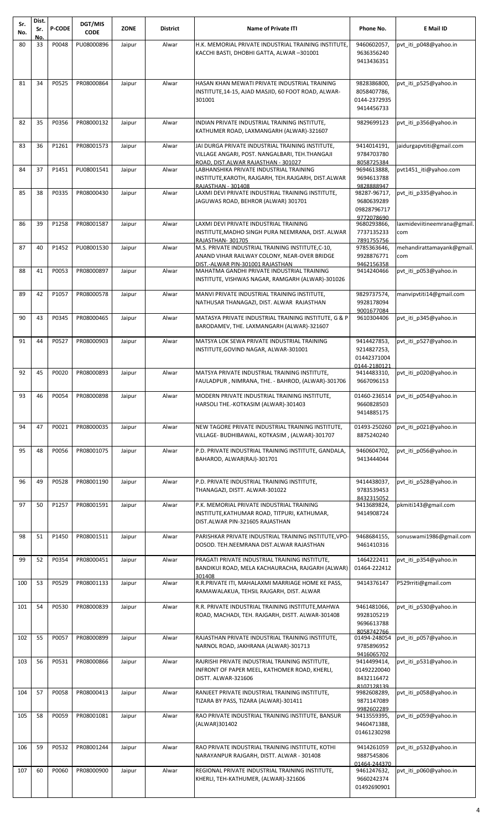| Sr.<br>No. | Dist.<br>Sr. | <b>P-CODE</b> | DGT/MIS<br><b>CODE</b> | <b>ZONE</b> | <b>District</b> | <b>Name of Private ITI</b>                                                                                                                | Phone No.                                                 | E Mail ID                          |
|------------|--------------|---------------|------------------------|-------------|-----------------|-------------------------------------------------------------------------------------------------------------------------------------------|-----------------------------------------------------------|------------------------------------|
| 80         | No.<br>33    | P0048         | PU08000896             | Jaipur      | Alwar           | H.K. MEMORIAL PRIVATE INDUSTRIAL TRAINING INSTITUTE,                                                                                      | 9460602057,                                               | pvt_iti_p048@yahoo.in              |
|            |              |               |                        |             |                 | KACCHI BASTI, DHOBHI GATTA, ALWAR-301001                                                                                                  | 9636356240<br>9413436351                                  |                                    |
| 81         | 34           | P0525         | PR08000864             | Jaipur      | Alwar           | HASAN KHAN MEWATI PRIVATE INDUSTRIAL TRAINING<br>INSTITUTE, 14-15, AJAD MASJID, 60 FOOT ROAD, ALWAR-<br>301001                            | 9828386800,<br>8058407786,<br>0144-2372935<br>9414456733  | pvt_iti_p525@yahoo.in              |
| 82         | 35           | P0356         | PR08000132             | Jaipur      | Alwar           | INDIAN PRIVATE INDUSTRIAL TRAINING INSTITUTE,<br>KATHUMER ROAD, LAXMANGARH (ALWAR)-321607                                                 | 9829699123                                                | pvt_iti_p356@yahoo.in              |
| 83         | 36           | P1261         | PR08001573             | Jaipur      | Alwar           | JAI DURGA PRIVATE INDUSTRIAL TRAINING INSTITUTE,<br>VILLAGE ANGARI, POST. NANGALBARI, TEH.THANGAJI<br>ROAD. DIST.ALWAR RAJASTHAN - 301027 | 9414014191,<br>9784703780<br>8058725384                   | jaidurgapvtiti@gmail.com           |
| 84         | 37           | P1451         | PU08001541             | Jaipur      | Alwar           | LABHANSHIKA PRIVATE INDUSTRIAL TRAINING<br>INSTITUTE, KAROTH, RAJGARH, TEH.RAJGARH, DIST.ALWAR<br>RAJASTHAN - 301408                      | 9694613888,<br>9694613788<br>9828888947                   | pvt1451 iti@yahoo.com              |
| 85         | 38           | P0335         | PR08000430             | Jaipur      | Alwar           | LAXMI DEVI PRIVATE INDUSTRIAL TRAINING INSTITUTE,<br>JAGUWAS ROAD, BEHROR (ALWAR) 301701                                                  | 98287-96717,<br>9680639289<br>09828796717<br>9772078690   | pvt iti p335@yahoo.in              |
| 86         | 39           | P1258         | PR08001587             | Jaipur      | Alwar           | LAXMI DEVI PRIVATE INDUSTRIAL TRAINING<br>INSTITUTE, MADHO SINGH PURA NEEMRANA, DIST. ALWAR<br>RAJASTHAN-301705                           | 9680293866,<br>7737135233<br>7891755756                   | laxmideviitineemrana@gmail.<br>com |
| 87         | 40           | P1452         | PU08001530             | Jaipur      | Alwar           | M.S. PRIVATE INDUSTRIAL TRAINING INSTITUTE, C-10,<br>ANAND VIHAR RAILWAY COLONY, NEAR-OVER BRIDGE<br>DIST.-ALWAR PIN-301001 RAJASTHAN     | 9785363646,<br>9928876771<br>9462156358                   | mehandirattamayank@gmail.<br>com   |
| 88         | 41           | P0053         | PR08000897             | Jaipur      | Alwar           | MAHATMA GANDHI PRIVATE INDUSTRIAL TRAINING<br>INSTITUTE, VISHWAS NAGAR, RAMGARH (ALWAR)-301026                                            | 9414240466                                                | pvt_iti_p053@yahoo.in              |
| 89         | 42           | P1057         | PR08000578             | Jaipur      | Alwar           | MANVI PRIVATE INDUSTRIAL TRAINING INSTITUTE,<br>NATHUSAR THANAGAZI, DIST. ALWAR RAJASTHAN                                                 | 9829737574,<br>9928178094<br>9001677084                   | manvipvtiti14@gmail.com            |
| 90         | 43           | P0345         | PR08000465             | Jaipur      | Alwar           | MATASYA PRIVATE INDUSTRIAL TRAINING INSTITUTE, G & P<br>BARODAMEV, THE. LAXMANGARH (ALWAR)-321607                                         | 9610304406                                                | pvt iti p345@yahoo.in              |
| 91         | 44           | P0527         | PR08000903             | Jaipur      | Alwar           | MATSYA LOK SEWA PRIVATE INDUSTRIAL TRAINING<br>INSTITUTE, GOVIND NAGAR, ALWAR-301001                                                      | 9414427853,<br>9214827253,<br>01442371004<br>0144-2180121 | pvt_iti_p527@yahoo.in              |
| 92         | 45           | P0020         | PR08000893             | Jaipur      | Alwar           | MATSYA PRIVATE INDUSTRIAL TRAINING INSTITUTE,<br>FAULADPUR, NIMRANA, THE. - BAHROD, (ALWAR)-301706                                        | 9414483310,<br>9667096153                                 | pvt iti p020@yahoo.in              |
| 93         | 46           | P0054         | PR08000898             | Jaipur      | Alwar           | MODERN PRIVATE INDUSTRIAL TRAINING INSTITUTE,<br>HARSOLI THE.-KOTKASIM (ALWAR)-301403                                                     | 01460-236514<br>9660828503<br>9414885175                  | pvt_iti_p054@yahoo.in              |
| 94         | 47           | P0021         | PR08000035             | Jaipur      | Alwar           | NEW TAGORE PRIVATE INDUSTRIAL TRAINING INSTITUTE,<br>VILLAGE- BUDHIBAWAL, KOTKASIM, (ALWAR)-301707                                        | 01493-250260<br>8875240240                                | pvt iti p021@yahoo.in              |
| 95         | 48           | P0056         | PR08001075             | Jaipur      | Alwar           | P.D. PRIVATE INDUSTRIAL TRAINING INSTITUTE, GANDALA,<br>BAHAROD, ALWAR(RAJ)-301701                                                        | 9460604702,<br>9413444044                                 | pvt iti p056@yahoo.in              |
| 96         | 49           | P0528         | PR08001190             | Jaipur      | Alwar           | P.D. PRIVATE INDUSTRIAL TRAINING INSTITUTE,<br>THANAGAZI, DISTT. ALWAR-301022                                                             | 9414438037,<br>9783539453<br>8432315052                   | pvt_iti_p528@yahoo.in              |
| 97         | 50           | P1257         | PR08001591             | Jaipur      | Alwar           | P.K. MEMORIAL PRIVATE INDUSTRIAL TRAINING<br>INSTITUTE, KATHUMAR ROAD, TITPURI, KATHUMAR,<br>DIST.ALWAR PIN-321605 RAJASTHAN              | 9413689824,<br>9414908724                                 | pkmiti143@gmail.com                |
| 98         | 51           | P1450         | PR08001511             | Jaipur      | Alwar           | PARISHKAR PRIVATE INDUSTRIAL TRAINING INSTITUTE, VPO-<br>DOSOD. TEH.NEEMRANA DIST.ALWAR RAJASTHAN                                         | 9468684155,<br>9461410316                                 | sonuswami1986@gmail.com            |
| 99         | 52           | P0354         | PR08000451             | Jaipur      | Alwar           | PRAGATI PRIVATE INDUSTRIAL TRAINING INSTITUTE,<br>BANDIKUI ROAD, MELA KACHAURACHA, RAJGARH (ALWAR)<br>301408                              | 1464222411<br>01464-222412                                | pvt iti p354@yahoo.in              |
| 100        | 53           | P0529         | PR08001133             | Jaipur      | Alwar           | R.R.PRIVATE ITI, MAHALAXMI MARRIAGE HOME KE PASS,<br>RAMAWALAKUA, TEHSIL RAJGARH, DIST. ALWAR                                             | 9414376147                                                | P529rriti@gmail.com                |
| 101        | 54           | P0530         | PR08000839             | Jaipur      | Alwar           | R.R. PRIVATE INDUSTRIAL TRAINING INSTITUTE, MAHWA<br>ROAD, MACHADI, TEH. RAJGARH, DISTT. ALWAR-301408                                     | 9461481066,<br>9928105219<br>9696613788<br>8058742766     | pvt iti p530@yahoo.in              |
| 102        | 55           | P0057         | PR08000899             | Jaipur      | Alwar           | RAJASTHAN PRIVATE INDUSTRIAL TRAINING INSTITUTE,<br>NARNOL ROAD, JAKHRANA (ALWAR)-301713                                                  | 01494-248054<br>9785896952<br>9416065702                  | pvt iti p057@yahoo.in              |
| 103        | 56           | P0531         | PR08000866             | Jaipur      | Alwar           | RAJRISHI PRIVATE INDUSTRIAL TRAINING INSTITUTE,<br>INFRONT OF PAPER MEEL, KATHOMER ROAD, KHERLI,<br>DISTT. ALWAR-321606                   | 9414499414,<br>01492220040<br>8432116472<br>8107128139    | pvt iti p531@yahoo.in              |
| 104        | 57           | P0058         | PR08000413             | Jaipur      | Alwar           | RANJEET PRIVATE INDUSTRIAL TRAINING INSTITUTE,<br>TIZARA BY PASS, TIZARA (ALWAR)-301411                                                   | 9982608289,<br>9871147089<br>9982602289                   | pvt iti p058@yahoo.in              |
| 105        | 58           | P0059         | PR08001081             | Jaipur      | Alwar           | RAO PRIVATE INDUSTRIAL TRAINING INSTITUTE, BANSUR<br>(ALWAR)301402                                                                        | 9413559395,<br>9460471388,<br>01461230298                 | pvt_iti_p059@yahoo.in              |
| 106        | 59           | P0532         | PR08001244             | Jaipur      | Alwar           | RAO PRIVATE INDUSTRIAL TRAINING INSTITUTE, KOTHI<br>NARAYANPUR RAJGARH, DISTT. ALWAR - 301408                                             | 9414261059<br>9887545806<br>01464-244370                  | pvt_iti_p532@yahoo.in              |
| 107        | 60           | P0060         | PR08000900             | Jaipur      | Alwar           | REGIONAL PRIVATE INDUSTRIAL TRAINING INSTITUTE,<br>KHERLI, TEH-KATHUMER, (ALWAR)-321606                                                   | 9461247632,<br>9660242374<br>01492690901                  | pvt iti p060@yahoo.in              |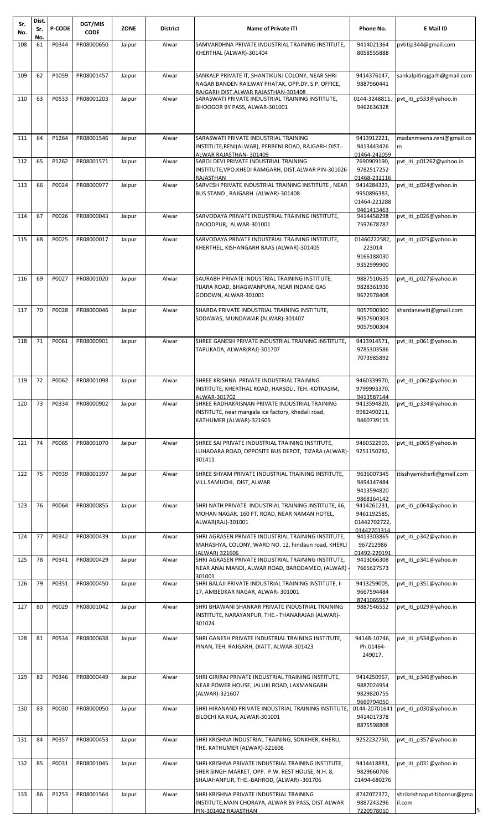| Sr.<br>No. | Dist.<br>Sr. | <b>P-CODE</b> | DGT/MIS<br><b>CODE</b> | <b>ZONE</b> | <b>District</b> | <b>Name of Private ITI</b>                                                                                                                           | Phone No.                                                | E Mail ID                             |
|------------|--------------|---------------|------------------------|-------------|-----------------|------------------------------------------------------------------------------------------------------------------------------------------------------|----------------------------------------------------------|---------------------------------------|
| 108        | No.<br>61    | P0344         | PR08000650             | Jaipur      | Alwar           | SAMVARDHNA PRIVATE INDUSTRIAL TRAINING INSTITUTE,<br>KHERTHAL (ALWAR)-301404                                                                         | 9414021364<br>8058555888                                 | pvtitip344@gmail.com                  |
| 109        | 62           | P1059         | PR08001457             | Jaipur      | Alwar           | SANKALP PRIVATE IT, SHANTIKUNJ COLONY, NEAR SHRI<br>NAGAR BANDEN RAILWAY PHATAK, OPP.DY. S.P. OFFICE,<br>RAJGARH DIST.ALWAR RAJASTHAN-301408         | 9414376147,<br>9887960441                                | sankalpitirajgarh@gmail.com           |
| 110        | 63           | P0533         | PR08001203             | Jaipur      | Alwar           | SARASWATI PRIVATE INDUSTRIAL TRAINING INSTITUTE,<br>BHOOGOR BY PASS, ALWAR-301001                                                                    | 0144-3248811<br>9462636328                               | pvt iti p533@yahoo.in                 |
| 111        | 64           | P1264         | PR08001546             | Jaipur      | Alwar           | SARASWATI PRIVATE INDUSTRIAL TRAINING<br>INSTITUTE, RENI(ALWAR), PERBENI ROAD, RAJGARH DIST.-<br>ALWAR RAJASTHAN-301409                              | 9413912221,<br>9413443426<br>01464-242059                | madanmeena.reni@gmail.co<br>m         |
| 112        | 65           | P1262         | PR08001571             | Jaipur      | Alwar           | SAROJ DEVI PRIVATE INDUSTRIAL TRAINING<br>INSTITUTE, VPO.KHEDI RAMGARH, DIST.ALWAR PIN-301026<br>RAJASTHAN                                           | 7690909190,<br>9782517252<br>01468-232116                | pvt iti p01262@yahoo.in               |
| 113        | 66           | P0024         | PR08000977             | Jaipur      | Alwar           | SARVESH PRIVATE INDUSTRIAL TRAINING INSTITUTE, NEAR<br>BUS STAND, RAJGARH (ALWAR)-301408                                                             | 9414284323,<br>9950896383,<br>01464-221288<br>9461413463 | pvt iti p024@yahoo.in                 |
| 114        | 67           | P0026         | PR08000043             | Jaipur      | Alwar           | SARVODAYA PRIVATE INDUSTRIAL TRAINING INSTITUTE,<br>DAOODPUR, ALWAR-301001                                                                           | 9414458298<br>7597678787                                 | pvt iti p026@yahoo.in                 |
| 115        | 68           | P0025         | PR08000017             | Jaipur      | Alwar           | SARVODAYA PRIVATE INDUSTRIAL TRAINING INSTITUTE,<br>KHERTHEL, KISHANGARH BAAS (ALWAR)-301405                                                         | 01460222582,<br>223014<br>9166188030<br>9352999900       | pvt_iti_p025@yahoo.in                 |
| 116        | 69           | P0027         | PR08001020             | Jaipur      | Alwar           | SAURABH PRIVATE INDUSTRIAL TRAINING INSTITUTE,<br>TIJARA ROAD, BHAGWANPURA, NEAR INDANE GAS<br>GODOWN, ALWAR-301001                                  | 9887510635<br>9828361936<br>9672978408                   | pvt iti p027@yahoo.in                 |
| 117        | 70           | P0028         | PR08000046             | Jaipur      | Alwar           | SHARDA PRIVATE INDUSTRIAL TRAINING INSTITUTE,<br>SODAWAS, MUNDAWAR (ALWAR)-301407                                                                    | 9057900300<br>9057900303<br>9057900304                   | shardanewiti@gmail.com                |
| 118        | 71           | P0061         | PR08000901             | Jaipur      | Alwar           | SHREE GANESH PRIVATE INDUSTRIAL TRAINING INSTITUTE,<br>TAPUKADA, ALWAR(RAJ)-301707                                                                   | 9413914571,<br>9785303586<br>7073985892                  | pvt iti p061@yahoo.in                 |
| 119        | 72           | P0062         | PR08001098             | Jaipur      | Alwar           | SHREE KRISHNA PRIVATE INDUSTRIAL TRAINING<br>INSTITUTE, KHERTHAL ROAD, HARSOLI, TEH.-KOTKASIM,<br>ALWAR-301702                                       | 9460339970,<br>9799993370,<br>9413587144                 | pvt iti p062@yahoo.in                 |
| 120        | 73           | P0334         | PR08000902             | Jaipur      | Alwar           | SHREE RADHAKRISNAN PRIVATE INDUSTRIAL TRAINING<br>INSTITUTE, near mangala ice factory, khedali road,<br>KATHUMER (ALWAR)-321605                      | 9413594820,<br>9982490211,<br>9460739115                 | pvt_iti_p334@yahoo.in                 |
| 121        | 74           | P0065         | PR08001070             | Jaipur      | Alwar           | SHREE SAI PRIVATE INDUSTRIAL TRAINING INSTITUTE,<br>LUHADARA ROAD, OPPOSITE BUS DEPOT, TIZARA (ALWAR)-<br>301411                                     | 9460322903,<br>9251150282,                               | pvt_iti_p065@yahoo.in                 |
| 122        | 75           | P0939         | PR08001397             | Jaipur      | Alwar           | SHREE SHYAM PRIVATE INDUSTRIAL TRAINING INSTITUTE,<br>VILL.SAMUCHI, DIST, ALWAR                                                                      | 9636007345<br>9494147484<br>9413594820<br>9868164142     | itisshyamkherli@gmail.com             |
| 123        | 76           | P0064         | PR08000855             | Jaipur      | Alwar           | SHRI NATH PRIVATE INDUSTRIAL TRAINING INSTITUTE, 46,<br>MOHAN NAGAR, 160 FT. ROAD, NEAR NAMAN HOTEL,<br>ALWAR(RAJ)-301001                            | 9414261231,<br>9461192585,<br>01442702722,               | pvt iti p064@yahoo.in                 |
| 124        | 77           | P0342         | PR08000439             | Jaipur      | Alwar           | SHRI AGRASEN PRIVATE INDUSTRIAL TRAINING INSTITUTE,<br>MAHASHYA, COLONY, WARD NO. 12, hindaun road, KHERLI                                           | 01442701314<br>9413303865<br>967212986                   | pvt iti p342@yahoo.in                 |
| 125        | 78           | P0341         | PR08000429             | Jaipur      | Alwar           | (ALWAR) 321606<br>SHRI AGRASEN PRIVATE INDUSTRIAL TRAINING INSTITUTE,<br>NEAR ANAJ MANDI, ALWAR ROAD, BARODAMEO, (ALWAR) -<br>301001                 | 01492-220191<br>9413066308<br>7665627573                 | pvt iti p341@yahoo.in                 |
| 126        | 79           | P0351         | PR08000450             | Jaipur      | Alwar           | SHRI BALAJI PRIVATE INDUSTRIAL TRAINING INSTITUTE, I-<br>17, AMBEDKAR NAGAR, ALWAR-301001                                                            | 9413259005,<br>9667594484                                | pvt_iti_p351@yahoo.in                 |
| 127        | 80           | P0029         | PR08001042             | Jaipur      | Alwar           | SHRI BHAWANI SHANKAR PRIVATE INDUSTRIAL TRAINING<br>INSTITUTE, NARAYANPUR, THE.- THANARAJAJI (ALWAR)-<br>301024                                      | 8741065957<br>9887546552                                 | pvt_iti_p029@yahoo.in                 |
| 128        | 81           | P0534         | PR08000638             | Jaipur      | Alwar           | SHRI GANESH PRIVATE INDUSTRIAL TRAINING INSTITUTE,<br>PINAN, TEH. RAJGARH, DIATT. ALWAR-301423                                                       | 94148-10746<br>Ph.01464-<br>249017,                      | pvt_iti_p534@yahoo.in                 |
| 129        | 82           | P0346         | PR08000449             | Jaipur      | Alwar           | SHRI GIRIRAJ PRIVATE INDUSTRIAL TRAINING INSTITUTE,<br>NEAR POWER HOUSE, JALUKI ROAD, LAXMANGARH<br>(ALWAR)-321607                                   | 9414250967,<br>9887024954<br>9829820755                  | pvt iti p346@yahoo.in                 |
| 130        | 83           | P0030         | PR08000050             | Jaipur      | Alwar           | SHRI HIRANAND PRIVATE INDUSTRIAL TRAINING INSTITUTE.<br>BILOCHI KA KUA, ALWAR-301001                                                                 | 9660794050<br>0144-20701641<br>9414017378<br>8875598808  | pvt_iti_p030@yahoo.in                 |
| 131        | 84           | P0357         | PR08000453             | Jaipur      | Alwar           | SHRI KRISHNA INDUSTRIAL TRAINING, SONKHER, KHERLI,<br>THE. KATHUMER (ALWAR)-321606                                                                   | 9252232750,                                              | pvt iti p357@yahoo.in                 |
| 132        | 85           | P0031         | PR08001045             | Jaipur      | Alwar           | SHRI KRISHNA PRIVATE INDUSTRIAL TRAINING INSTITUTE,<br>SHER SINGH MARKET, OPP. P.W. REST HOUSE, N.H. 8,<br>SHAJAHANPUR, THE.-BAHROD, (ALWAR) -301706 | 9414418881,<br>9829660706<br>01494-680276                | pvt iti p031@yahoo.in                 |
| 133        | 86           | P1253         | PR08001564             | Jaipur      | Alwar           | SHRI KRISHNA PRIVATE INDUSTRIAL TRAINING<br>INSTITUTE, MAIN CHORAYA, ALWAR BY PASS, DIST.ALWAR<br>PIN-301402 RAJASTHAN                               | 8742072372,<br>9887243296<br>7220978010                  | shrikrishnapvtitibansur@gma<br>il.com |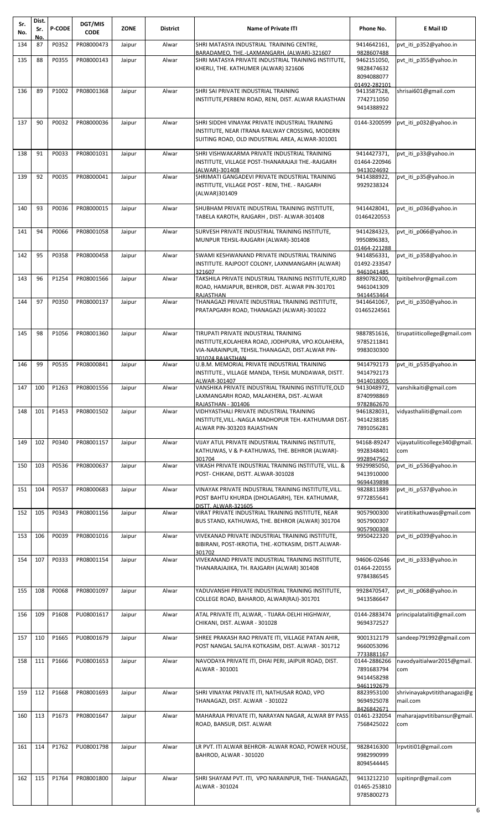| Sr.<br>No. | Dist.<br>Sr. | <b>P-CODE</b> | DGT/MIS<br><b>CODE</b> | <b>ZONE</b> | <b>District</b> | <b>Name of Private ITI</b>                                                                                                                                        | Phone No.                                              | E Mail ID                                |
|------------|--------------|---------------|------------------------|-------------|-----------------|-------------------------------------------------------------------------------------------------------------------------------------------------------------------|--------------------------------------------------------|------------------------------------------|
| 134        | No.<br>87    | P0352         | PR08000473             | Jaipur      | Alwar           | SHRI MATASYA INDUSTRIAL TRAINING CENTRE,                                                                                                                          | 9414642161.                                            | pvt_iti_p352@yahoo.in                    |
| 135        | 88           | P0355         | PR08000143             | Jaipur      | Alwar           | BARADAMEO, THE.-LAXMANGARH, (ALWAR)-321607<br>SHRI MATASYA PRIVATE INDUSTRIAL TRAINING INSTITUTE,                                                                 | 9828607488<br>9462151050,                              | pvt iti p355@yahoo.in                    |
|            |              |               |                        |             |                 | KHERLI, THE. KATHUMER (ALWAR) 321606                                                                                                                              | 9828474632<br>8094088077<br>01492-282101               |                                          |
| 136        | 89           | P1002         | PR08001368             | Jaipur      | Alwar           | SHRI SAI PRIVATE INDUSTRIAL TRAINING<br>INSTITUTE, PERBENI ROAD, RENI, DIST. ALWAR RAJASTHAN                                                                      | 9413587528,<br>7742711050<br>9414388922                | shrisai601@gmail.com                     |
| 137        | 90           | P0032         | PR08000036             | Jaipur      | Alwar           | SHRI SIDDHI VINAYAK PRIVATE INDUSTRIAL TRAINING<br>INSTITUTE, NEAR ITRANA RAILWAY CROSSING, MODERN<br>SUITING ROAD, OLD INDUSTRIAL AREA, ALWAR-301001             | 0144-3200599                                           | pvt iti p032@yahoo.in                    |
| 138        | 91           | P0033         | PR08001031             | Jaipur      | Alwar           | SHRI VISHWAKARMA PRIVATE INDUSTRIAL TRAINING<br>INSTITUTE, VILLAGE POST-THANARAJAJI THE.-RAJGARH<br>(ALWAR)-301408                                                | 9414427371,<br>01464-220946<br>9413024692              | pvt iti p33@yahoo.in                     |
| 139        | 92           | P0035         | PR08000041             | Jaipur      | Alwar           | SHRIMATI GANGADEVI PRIVATE INDUSTRIAL TRAINING<br>INSTITUTE, VILLAGE POST - RENI, THE. - RAJGARH<br>(ALWAR)301409                                                 | 9414388922,<br>9929238324                              | pvt iti p35@yahoo.in                     |
| 140        | 93           | P0036         | PR08000015             | Jaipur      | Alwar           | SHUBHAM PRIVATE INDUSTRIAL TRAINING INSTITUTE,<br>TABELA KAROTH, RAJGARH, DIST-ALWAR-301408                                                                       | 9414428041,<br>01464220553                             | pvt iti p036@yahoo.in                    |
| 141        | 94           | P0066         | PR08001058             | Jaipur      | Alwar           | SURVESH PRIVATE INDUSTRIAL TRAINING INSTITUTE,<br>MUNPUR TEHSIL-RAJGARH (ALWAR)-301408                                                                            | 9414284323,<br>9950896383,<br>01464-221288             | pvt iti p066@yahoo.in                    |
| 142        | 95           | P0358         | PR08000458             | Jaipur      | Alwar           | SWAMI KESHWANAND PRIVATE INDUSTRIAL TRAINING<br>INSTITUTE. RAJPOOT COLONY, LAXNMANGARH (ALWAR)<br>321607                                                          | 9414856331,<br>01492-233547<br>9461041485              | pvt iti p358@yahoo.in                    |
| 143        | 96           | P1254         | PR08001566             | Jaipur      | Alwar           | TAKSHILA PRIVATE INDUSTRIAL TRAINING INSTITUTE, KURD<br>ROAD, HAMJAPUR, BEHROR, DIST. ALWAR PIN-301701<br>RAJASTHAN                                               | 8890782300,<br>9461041309<br>9414453464                | tpitibehror@gmail.com                    |
| 144        | 97           | P0350         | PR08000137             | Jaipur      | Alwar           | THANAGAZI PRIVATE INDUSTRIAL TRAINING INSTITUTE,<br>PRATAPGARH ROAD, THANAGAZI (ALWAR)-301022                                                                     | 9414641067,<br>01465224561                             | pvt iti p350@yahoo.in                    |
| 145        | 98           | P1056         | PR08001360             | Jaipur      | Alwar           | TIRUPATI PRIVATE INDUSTRIAL TRAINING<br>INSTITUTE, KOLAHERA ROAD, JODHPURA, VPO.KOLAHERA,<br>VIA-NARAINPUR, TEHSIL.THANAGAZI, DIST.ALWAR PIN-<br>301024 RAJASTHAN | 9887851616,<br>9785211841<br>9983030300                | tirupatiiticollege@gmail.com             |
| 146        | 99           | P0535         | PR08000841             | Jaipur      | Alwar           | U.B.M. MEMORIAL PRIVATE INDUSTRIAL TRAINING<br>INSTITUTE., VILLAGE MANDA, TEHSIL MUNDAWAR, DISTT.<br>ALWAR-301407                                                 | 9414792173<br>9414792173<br>9414018005                 | pvt iti p535@yahoo.in                    |
|            |              | 147 100 P1263 | PR08001556             | Jaipur      | Alwar           | VANSHIKA PRIVATE INDUSTRIAL TRAINING INSTITUTE, OLD<br>LAXMANGARH ROAD, MALAKHERA, DIST.-ALWAR<br>RAJASTHAN - 301406                                              | 9413048972,<br>8740998869<br>9782862670                | vanshikaiti@gmail.com                    |
| 148        | 101          | P1453         | PR08001502             | Jaipur      | Alwar           | VIDHYASTHALI PRIVATE INDUSTRIAL TRAINING<br>INSTITUTE, VILL.-NAGLA MADHOPUR TEH.-KATHUMAR DIST.<br>ALWAR PIN-303203 RAJASTHAN                                     | 9461828031,<br>9414238185<br>7891056281                | vidyasthaliiti@gmail.com                 |
| 149        | 102          | P0340         | PR08001157             | Jaipur      | Alwar           | VIJAY ATUL PRIVATE INDUSTRIAL TRAINING INSTITUTE,<br>KATHUWAS, V & P-KATHUWAS, THE. BEHROR (ALWAR)-<br>301704                                                     | 94168-89247<br>9928348401<br>9928947562                | vijayatuliticollege340@gmail.<br>com     |
| 150        | 103          | P0536         | PR08000637             | Jaipur      | Alwar           | VIKASH PRIVATE INDUSTRIAL TRAINING INSTITUTE, VILL. &<br>POST- CHIKANI, DISTT. ALWAR-301028                                                                       | 9929985050,<br>9413910000<br>9694439898                | pvt iti p536@yahoo.in                    |
| 151        | 104          | P0537         | PR08000683             | Jaipur      | Alwar           | VINAYAK PRIVATE INDUSTRIAL TRAINING INSTITUTE, VILL.<br>POST BAHTU KHURDA (DHOLAGARH), TEH. KATHUMAR,<br>DISTT. ALWAR-321605                                      | 9828811889<br>9772855641                               | pvt iti p537@yahoo.in                    |
| 152        | 105          | P0343         | PR08001156             | Jaipur      | Alwar           | VIRAT PRIVATE INDUSTRIAL TRAINING INSTITUTE, NEAR<br>BUS STAND, KATHUWAS, THE. BEHROR (ALWAR) 301704                                                              | 9057900300<br>9057900307<br>9057900308                 | viratitikathuwas@gmail.com               |
| 153        | 106          | P0039         | PR08001016             | Jaipur      | Alwar           | VIVEKANAD PRIVATE INDUSTRIAL TRAINING INSTITUTE,<br>BIBIRANI, POST-IKROTIA, THE.-KOTKASIM, DISTT.ALWAR-<br>301702                                                 | 9950422320                                             | pvt iti p039@yahoo.in                    |
| 154        | 107          | P0333         | PR08001154             | Jaipur      | Alwar           | VIVEKANAND PRIVATE INDUSTRIAL TRAINING INSTITUTE,<br>THANARAJAJIKA, TH. RAJGARH (ALWAR) 301408                                                                    | 94606-02646<br>01464-220155<br>9784386545              | pvt_iti_p333@yahoo.in                    |
| 155        | 108          | P0068         | PR08001097             | Jaipur      | Alwar           | YADUVANSHI PRIVATE INDUSTRIAL TRAINING INSTITUTE,<br>COLLEGE ROAD, BAHAROD, ALWAR(RAJ)-301701                                                                     | 9928470547,<br>9413586647                              | pvt iti p068@yahoo.in                    |
| 156        | 109          | P1608         | PU08001617             | Jaipur      | Alwar           | ATAL PRIVATE ITI, ALWAR, - TIJARA-DELHI HIGHWAY,<br>CHIKANI, DIST. ALWAR - 301028                                                                                 | 0144-2883474<br>9694372527                             | principalataliti@gmail.com               |
| 157        | 110          | P1665         | PU08001679             | Jaipur      | Alwar           | SHREE PRAKASH RAO PRIVATE ITI, VILLAGE PATAN AHIR,<br>POST NANGAL SALIYA KOTKASIM, DIST. ALWAR - 301712                                                           | 9001312179<br>9660053096<br>7733881167                 | sandeep791992@gmail.com                  |
| 158        | 111          | P1666         | PU08001653             | Jaipur      | Alwar           | NAVODAYA PRIVATE ITI, DHAI PERI, JAIPUR ROAD, DIST.<br>ALWAR - 301001                                                                                             | 0144-2886266<br>7891683794<br>9414458298<br>9461192679 | navodyaitialwar2015@gmail.<br>com        |
| 159        | 112          | P1668         | PR08001693             | Jaipur      | Alwar           | SHRI VINAYAK PRIVATE ITI, NATHUSAR ROAD, VPO<br>THANAGAZI, DIST. ALWAR - 301022                                                                                   | 8823953100<br>9694925078<br>8426842671                 | shrivinayakpytitithanagazi@g<br>mail.com |
| 160        | 113          | P1673         | PR08001647             | Jaipur      | Alwar           | MAHARAJA PRIVATE ITI, NARAYAN NAGAR, ALWAR BY PASS<br>ROAD, BANSUR, DIST. ALWAR                                                                                   | 01461-232054<br>7568425022                             | maharajapytitibansur@gmail.<br>com       |
| 161        | 114          | P1762         | PU08001798             | Jaipur      | Alwar           | LR PVT. ITI ALWAR BEHROR- ALWAR ROAD, POWER HOUSE,<br>BAHROD, ALWAR - 301020                                                                                      | 9828416300<br>9982990999<br>8094544445                 | Irpvtiti01@gmail.com                     |
| 162        | 115          | P1764         | PR08001800             | Jaipur      | Alwar           | SHRI SHAYAM PVT. ITI, VPO NARAINPUR, THE-THANAGAZI,<br>ALWAR - 301024                                                                                             | 9413212210<br>01465-253810<br>9785800273               | sspitinpr@gmail.com                      |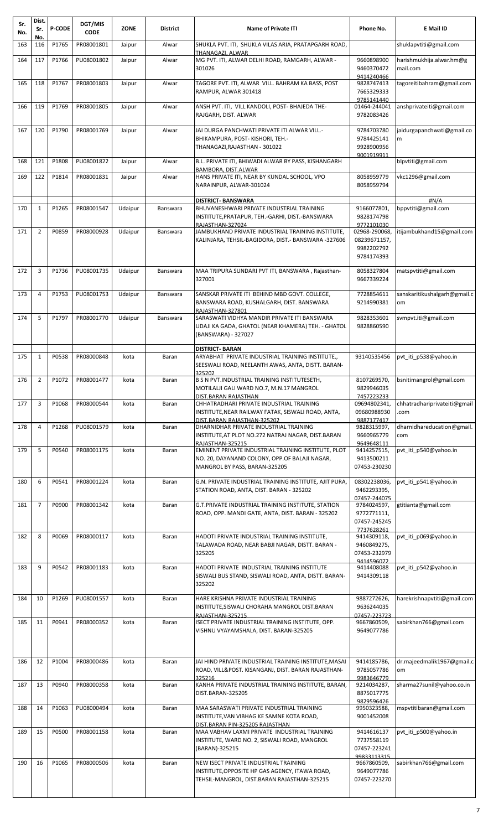| Sr.<br>No. | Dist.<br>Sr.   | <b>P-CODE</b> | DGT/MIS<br><b>CODE</b> | <b>ZONE</b> | <b>District</b> | <b>Name of Private ITI</b>                                                                                                                        | Phone No.                                                 | E Mail ID                            |
|------------|----------------|---------------|------------------------|-------------|-----------------|---------------------------------------------------------------------------------------------------------------------------------------------------|-----------------------------------------------------------|--------------------------------------|
| 163        | No.<br>116     | P1765         | PR08001801             | Jaipur      | Alwar           | SHUKLA PVT. ITI, SHUKLA VILAS ARIA, PRATAPGARH ROAD,<br>THANAGAZI, ALWAR                                                                          |                                                           | shuklapvtiti@gmail.com               |
| 164        | 117            | P1766         | PU08001802             | Jaipur      | Alwar           | MG PVT. ITI, ALWAR DELHI ROAD, RAMGARH, ALWAR -<br>301026                                                                                         | 9660898900<br>9460370472<br>9414240466                    | harishmukhija.alwar.hm@g<br>mail.com |
| 165        | 118            | P1767         | PR08001803             | Jaipur      | Alwar           | TAGORE PVT. ITI, ALWAR VILL. BAHRAM KA BASS, POST<br>RAMPUR, ALWAR 301418                                                                         | 9828747413<br>7665329333<br>9785141440                    | tagoreitibahram@gmail.com            |
| 166        | 119            | P1769         | PR08001805             | Jaipur      | Alwar           | ANSH PVT. ITI, VILL KANDOLI, POST- BHAJEDA THE-<br>RAJGARH, DIST. ALWAR                                                                           | 01464-244041<br>9782083426                                | anshprivateiti@gmail.com             |
| 167        | 120            | P1790         | PR08001769             | Jaipur      | Alwar           | JAI DURGA PANCHWATI PRIVATE ITI ALWAR VILL.-<br>BHIKAMPURA, POST-KISHORI, TEH.-<br>THANAGAZI, RAJASTHAN - 301022                                  | 9784703780<br>9784425141<br>9928900956<br>9001919911      | jaidurgapanchwati@gmail.co<br>m      |
| 168        | 121            | P1808         | PU08001822             | Jaipur      | Alwar           | B.L. PRIVATE ITI, BHIWADI ALWAR BY PASS, KISHANGARH<br>BAMBORA, DIST.ALWAR                                                                        |                                                           | blpvtiti@gmail.com                   |
| 169        | 122            | P1814         | PR08001831             | Jaipur      | Alwar           | HANS PRIVATE ITI, NEAR BY KUNDAL SCHOOL, VPO<br>NARAINPUR, ALWAR-301024                                                                           | 8058959779<br>8058959794                                  | vkc1296@gmail.com                    |
| 170        | $\mathbf{1}$   | P1265         | PR08001547             | Udaipur     | Banswara        | <b>DISTRICT- BANSWARA</b><br>BHUVANESHWARI PRIVATE INDUSTRIAL TRAINING<br>INSTITUTE,PRATAPUR, TEH.-GARHI, DIST.-BANSWARA<br>RAJASTHAN-327024      | 9166077801,<br>9828174798<br>9772101030                   | #N/A<br>bppvtiti@gmail.com           |
| 171        | $\overline{2}$ | P0859         | PR08000928             | Udaipur     | Banswara        | JAMBUKHAND PRIVATE INDUSTRIAL TRAINING INSTITUTE,<br>KALINJARA, TEHSIL-BAGIDORA, DIST.- BANSWARA -327606                                          | 02968-290068,<br>08239671157,<br>9982202792<br>9784174393 | itijambukhand15@gmail.com            |
| 172        | 3              | P1736         | PU08001735             | Udaipur     | Banswara        | MAA TRIPURA SUNDARI PVT ITI, BANSWARA, Rajasthan-<br>327001                                                                                       | 8058327804<br>9667339224                                  | matspvtiti@gmail.com                 |
| 173        | $\overline{4}$ | P1753         | PU08001753             | Udaipur     | Banswara        | SANSKAR PRIVATE ITI BEHIND MBD GOVT. COLLEGE,<br>BANSWARA ROAD, KUSHALGARH, DIST. BANSWARA<br>RAJASTHAN-327801                                    | 7728854611<br>9214990381                                  | sanskaritikushalgarh@gmail.c<br>om   |
| 174        | 5              | P1797         | PR08001770             | Udaipur     | Banswara        | SARASWATI VIDHYA MANDIR PRIVATE ITI BANSWARA<br>UDAJI KA GADA, GHATOL (NEAR KHAMERA) TEH. - GHATOL<br>(BANSWARA) - 327027                         | 9828353601<br>9828860590                                  | svmpvt.iti@gmail.com                 |
| 175        | $\mathbf{1}$   | P0538         | PR08000848             | kota        | Baran           | <b>DISTRICT- BARAN</b><br>ARYABHAT PRIVATE INDUSTRIAL TRAINING INSTITUTE.,<br>SEESWALI ROAD, NEELANTH AWAS, ANTA, DISTT. BARAN-<br>325202         | 93140535456                                               | pvt_iti_p538@yahoo.in                |
| 176        | $\overline{2}$ | P1072         | PR08001477             | kota        | Baran           | B S N PVT. INDUSTRIAL TRAINING INSTITUTESETH,<br>MOTILALJI GALI WARD NO.7, M.N.17 MANGROL<br>DIST.BARAN RAJASTHAN                                 | 8107269570,<br>9829946035<br>7457223233                   | bsnitimangrol@gmail.com              |
| 177        | 3              | P1068         | PR08000544             | kota        | Baran           | CHHATRADHARI PRIVATE INDUSTRIAL TRAINING<br>INSTITUTE, NEAR RAILWAY FATAK, SISWALI ROAD, ANTA,<br>DIST.BARAN RAJASTHAN-325202                     | 09694802341,<br>09680988930<br>9887177417                 | chhatradhariprivateiti@gmail<br>.com |
| 178        | 4              | P1268         | PU08001579             | kota        | Baran           | DHARNIDHAR PRIVATE INDUSTRIAL TRAINING<br>INSTITUTE, AT PLOT NO.272 NATRAJ NAGAR, DIST.BARAN<br>RAJASTHAN-325215                                  | 9828315997,<br>9660965779<br>9649648111                   | dharnidhareducation@gmail.<br>com    |
| 179        | 5              | P0540         | PR08001175             | kota        | Baran           | EMINENT PRIVATE INDUSTRIAL TRAINING INSTITUTE, PLOT<br>NO. 20, DAYANAND COLONY, OPP.OF BALAJI NAGAR,<br>MANGROL BY PASS, BARAN-325205             | 9414257515,<br>9413500211<br>07453-230230                 | pvt iti p540@yahoo.in                |
| 180        | 6              | P0541         | PR08001224             | kota        | Baran           | G.N. PRIVATE INDUSTRIAL TRAINING INSTITUTE, AJIT PURA,<br>STATION ROAD, ANTA, DIST. BARAN - 325202                                                | 08302238036,<br>9462293395,<br>07457-244075               | pvt_iti_p541@yahoo.in                |
| 181        | $\overline{7}$ | P0900         | PR08001342             | kota        | Baran           | G.T.PRIVATE INDUSTRIAL TRAINING INSTITUTE, STATION<br>ROAD, OPP. MANDI GATE, ANTA, DIST. BARAN - 325202                                           | 9784024597,<br>9772771111,<br>07457-245245<br>7737628261  | gtitianta@gmail.com                  |
| 182        | 8              | P0069         | PR08000117             | kota        | Baran           | HADOTI PRIVATE INDUSTRIAL TRAINING INSTITUTE,<br>TALAWADA ROAD, NEAR BABJI NAGAR, DISTT. BARAN -<br>325205                                        | 9414309118,<br>9460849275,<br>07453-232979<br>9414596072  | pvt iti p069@yahoo.in                |
| 183        | 9              | P0542         | PR08001183             | kota        | Baran           | HADOTI PRIVATE INDUSTRIAL TRAINING INSTITUTE<br>SISWALI BUS STAND, SISWALI ROAD, ANTA, DISTT. BARAN-<br>325202                                    | 9414408088<br>9414309118                                  | pvt iti p542@yahoo.in                |
| 184        | 10             | P1269         | PU08001557             | kota        | Baran           | HARE KRISHNA PRIVATE INDUSTRIAL TRAINING<br>INSTITUTE,SISWALI CHORAHA MANGROL DIST.BARAN<br>RAJASTHAN-325215                                      | 9887272626,<br>9636244035<br>07457-223723                 | harekrishnapvtiti@gmail.com          |
| 185        | 11             | P0941         | PR08000352             | kota        | Baran           | ISECT PRIVATE INDUSTRIAL TRAINING INSTITUTE, OPP.<br>VISHNU VYAYAMSHALA, DIST. BARAN-325205                                                       | 9667860509,<br>9649077786                                 | sabirkhan766@gmail.com               |
| 186        | 12             | P1004         | PR08000486             | kota        | Baran           | JAI HIND PRIVATE INDUSTRIAL TRAINING INSTITUTE,MASAI<br>ROAD, VILL&POST. KISANGANJ, DIST. BARAN RAJASTHAN-                                        | 9414185786,<br>9785057786                                 | dr.majeedmalik1967@gmail.c<br>om     |
| 187        | 13             | P0940         | PR08000358             | kota        | Baran           | 325216<br>KANHA PRIVATE INDUSTRIAL TRAINING INSTITUTE, BARAN,<br>DIST.BARAN-325205                                                                | 9983646779<br>9214034287,<br>8875017775<br>9829596426     | sharma27sunil@yahoo.co.in            |
| 188        | 14             | P1063         | PU08000494             | kota        | Baran           | MAA SARASWATI PRIVATE INDUSTRIAL TRAINING<br>INSTITUTE,VAN VIBHAG KE SAMNE KOTA ROAD,                                                             | 9950323588,<br>9001452008                                 | mspvtitibaran@gmail.com              |
| 189        | 15             | P0500         | PR08001158             | kota        | Baran           | DIST.BARAN PIN-325205 RAJASTHAN<br>MAA VABHAV LAXMI PRIVATE INDUSTRIAL TRAINING<br>INSTITUTE, WARD NO. 2, SISWALI ROAD, MANGROL<br>(BARAN)-325215 | 9414616137<br>7737558119<br>07457-223241<br>99833113315   | pvt iti p500@yahoo.in                |
| 190        | 16             | P1065         | PR08000506             | kota        | Baran           | NEW ISECT PRIVATE INDUSTRIAL TRAINING<br>INSTITUTE, OPPOSITE HP GAS AGENCY, ITAWA ROAD,<br>TEHSIL-MANGROL, DIST.BARAN RAJASTHAN-325215            | 9667860509,<br>9649077786<br>07457-223270                 | sabirkhan766@gmail.com               |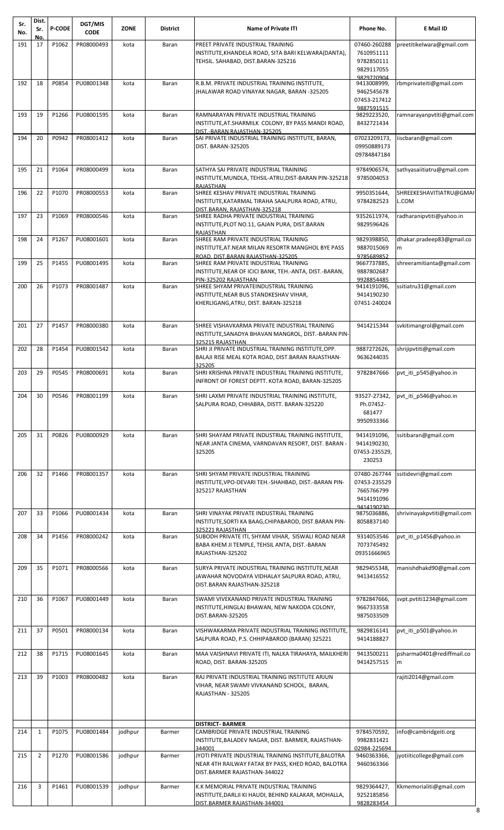| Sr.<br>No. | Dist.<br>Sr.<br>No. | <b>P-CODE</b> | DGT/MIS<br><b>CODE</b> | <b>ZONE</b> | <b>District</b> | <b>Name of Private ITI</b>                                                                                                                       | Phone No.                                                | E Mail ID                        |
|------------|---------------------|---------------|------------------------|-------------|-----------------|--------------------------------------------------------------------------------------------------------------------------------------------------|----------------------------------------------------------|----------------------------------|
| 191        | 17                  | P1062         | PR08000493             | kota        | Baran           | PREET PRIVATE INDUSTRIAL TRAINING<br>INSTITUTE, KHANDELA ROAD, SITA BARI KELWARA (DANTA),                                                        | 07460-260288<br>7610951111                               | preetitikelwara@gmail.com        |
|            |                     |               |                        |             |                 | TEHSIL. SAHABAD, DIST.BARAN-325216                                                                                                               | 9782850111<br>9829117055                                 |                                  |
| 192        | 18                  | P0854         | PU08001348             | kota        | Baran           | R.B.M. PRIVATE INDUSTRIAL TRAINING INSTITUTE,<br>JHALAWAR ROAD VINAYAK NAGAR, BARAN -325205                                                      | 9829720904<br>9413008999,<br>9462545678<br>07453-217412  | rbmprivateiti@gmail.com          |
| 193        | 19                  | P1266         | PU08001595             | kota        | Baran           | RAMNARAYAN PRIVATE INDUSTRIAL TRAINING<br>INSTITUTE, AT. SHARMILK COLONY, BY PASS MANDI ROAD,                                                    | 9887591515<br>9829223520,<br>8432721434                  | ramnarayanpvtiti@gmail.com       |
| 194        | 20                  | P0942         | PR08001412             | kota        | Baran           | DIST.-BARAN RAJASTHAN-325205<br>SAI PRIVATE INDUSTRIAL TRAINING INSTITUTE, BARAN,<br>DIST. BARAN-325205                                          | 07023209173,<br>09950889173<br>09784847184               | iiscbaran@gmail.com              |
| 195        | 21                  | P1064         | PR08000499             | kota        | Baran           | SATHYA SAI PRIVATE INDUSTRIAL TRAINING<br>INSTITUTE, MUNDLA, TEHSIL-ATRU, DIST-BARAN PIN-325218                                                  | 9784906574,<br>9785004053                                | sathyasaiitiatru@gmail.com       |
| 196        | 22                  | P1070         | PR08000553             | kota        | Baran           | RAJASTHAN<br>SHREE KESHAV PRIVATE INDUSTRIAL TRAINING<br>INSTITUTE, KATARMAL TIRAHA SAALPURA ROAD, ATRU,                                         | 9950351644,<br>9784282523                                | SHREEKESHAVITIATRU@GMAI<br>L.COM |
| 197        | 23                  | P1069         | PR08000546             | kota        | Baran           | DIST.BARAN. RAJASTHAN-325218<br>SHREE RADHA PRIVATE INDUSTRIAL TRAINING<br>INSTITUTE, PLOT NO.11, GAJAN PURA, DIST.BARAN                         | 9352611974,<br>9829596426                                | radharanipvtiti@yahoo.in         |
| 198        | 24                  | P1267         | PU08001601             | kota        | Baran           | RAJASTHAN<br>SHREE RAM PRIVATE INDUSTRIAL TRAINING<br>INSTITUTE, AT. NEAR MILAN RESORTR MANGHOL BYE PASS                                         | 9829398850,<br>9887015069                                | dhakar.pradeep83@gmail.co<br>m   |
| 199        | 25                  | P1455         | PU08001495             | kota        | Baran           | ROAD, DIST.BARAN RAJASTHAN-325205<br>SHREE RAM PRIVATE INDUSTRIAL TRAINING<br>INSTITUTE, NEAR OF ICICI BANK, TEH.-ANTA, DIST.-BARAN,             | 9785689852<br>9667737885,<br>9887802687                  | shreeramitianta@gmail.com        |
| 200        | 26                  | P1073         | PR08001487             | kota        | Baran           | PIN-325202 RAJASTHAN<br>SHREE SHYAM PRIVATEINDUSTRIAL TRAINING<br>INSTITUTE, NEAR BUS STANDKESHAV VIHAR,<br>KHERLIGANG, ATRU, DIST. BARAN-325218 | 9928854485<br>9414191096,<br>9414190230<br>07451-240024  | ssitiatru31@gmail.com            |
| 201        | 27                  | P1457         | PR08000380             | kota        | Baran           | SHREE VISHAVKARMA PRIVATE INDUSTRIAL TRAINING<br>INSTITUTE, SANADYA BHAVAN MANGROL, DIST.-BARAN PIN-<br>325215 RAJASTHAN                         | 9414215344                                               | svkitimangrol@gmail.com          |
| 202        | 28                  | P1454         | PU08001542             | kota        | Baran           | SHRI JI PRIVATE INDUSTRIAL TRAINING INSTITUTE, OPP.<br>BALAJI RISE MEAL KOTA ROAD, DIST.BARAN RAJASTHAN-                                         | 9887272626,<br>9636244035                                | shrijipvtiti@gmail.com           |
| 203        | 29                  | P0545         | PR08000691             | kota        | Baran           | 325205<br>SHRI KRISHNA PRIVATE INDUSTRIAL TRAINING INSTITUTE,<br>INFRONT OF FOREST DEPTT. KOTA ROAD, BARAN-325205                                | 9782847666                                               | pvt iti p545@yahoo.in            |
| 204        | 30                  | P0546         | PR08001199             | kota        | Baran           | SHRI LAXMI PRIVATE INDUSTRIAL TRAINING INSTITUTE,<br>SALPURA ROAD, CHHABRA, DISTT. BARAN-325220                                                  | 93527-27342,<br>Ph.07452-<br>681477<br>9950933366        | pvt_iti_p546@yahoo.in            |
| 205        | 31                  | P0826         | PU08000929             | kota        | Baran           | SHRI SHAYAM PRIVATE INDUSTRIAL TRAINING INSTITUTE,<br>NEAR JANTA CINEMA, VARNDAVAN RESORT, DIST. BARAN -<br>325205                               | 9414191096,<br>9414190230,<br>07453-235529,<br>230253    | ssitibaran@gmail.com             |
| 206        | 32                  | P1466         | PR08001357             | kota        | Baran           | SHRI SHYAM PRIVATE INDUSTRIAL TRAINING<br>INSTITUTE, VPO-DEVARI TEH.-SHAHBAD, DIST.-BARAN PIN-<br>325217 RAJASTHAN                               | 07480-267744<br>07453-235529<br>7665766799<br>9414191096 | ssitidevri@gmail.com             |
| 207        | 33                  | P1066         | PU08001434             | kota        | Baran           | SHRI VINAYAK PRIVATE INDUSTRIAL TRAINING<br>INSTITUTE, SORTI KA BAAG, CHIPABAROD, DIST. BARAN PIN-<br>325221 RAJASTHAN                           | 9414190230<br>9875036886,<br>8058837140                  | shrivinayakpvtiti@gmail.com      |
| 208        | 34                  | P1456         | PR08000242             | kota        | Baran           | SUBODH PRIVATE ITI, SHYAM VIHAR, SISWALI ROAD NEAR<br>BABA KHEM JI TEMPLE, TEHSIL ANTA, DIST.-BARAN<br>RAJASTHAN-325202                          | 9314053546<br>7073745492<br>09351666965                  | pvt_iti_p1456@yahoo.in           |
| 209        | 35                  | P1071         | PR08000566             | kota        | Baran           | SURYA PRIVATE INDUSTRIAL TRAINING INSTITUTE, NEAR<br>JAWAHAR NOVODAYA VIDHALAY SALPURA ROAD, ATRU,<br>DIST.BARAN RAJASTHAN-325218                | 9829455348,<br>9413416552                                | manishdhakd90@gmail.com          |
| 210        | 36                  | P1067         | PU08001449             | kota        | Baran           | SWAMI VIVEKANAND PRIVATE INDUSTRIAL TRAINING<br>INSTITUTE, HINGLAJ BHAWAN, NEW NAKODA COLONY,<br>DIST.BARAN-325205                               | 9782847666,<br>9667333558<br>9875033509                  | svpt.pvtiti1234@gmail.com        |
| 211        | 37                  | P0501         | PR08000134             | kota        | Baran           | VISHWAKARMA PRIVATE INDUSTRIAL TRAINING INSTITUTE,<br>SALPURA ROAD, P.S. CHHIPABAROD (BARAN) 325221                                              | 9829816141<br>9414188827                                 | pvt_iti_p501@yahoo.in            |
| 212        | 38                  | P1715         | PU08001645             | kota        | Baran           | MAA VAISHNAVI PRIVATE ITI, NALKA TIRAHAYA, MAILKHERI<br>ROAD, DIST. BARAN-325205                                                                 | 9413500211<br>9414257515                                 | psharma0401@rediffmail.co<br>m   |
| 213        | 39                  | P1003         | PR08000482             | kota        | Baran           | RAJ PRIVATE INDUSTRIAL TRAINING INSTITUTE ARJUN<br>VIHAR, NEAR SWAMI VIVKANAND SCHOOL, BARAN,<br>RAJASTHAN - 325205                              |                                                          | rajiti2014@gmail.com             |
| 214        | $\mathbf{1}$        | P1075         | PU08001484             | jodhpur     | Barmer          | <b>DISTRICT- BARMER</b><br>CAMBRIDGE PRIVATE INDUSTRIAL TRAINING<br>INSTITUTE, BALADEV NAGAR, DIST. BARMER, RAJASTHAN-<br>344001                 | 9784570592,<br>9982831421<br>02984-225694                | info@cambridgeiti.org            |
| 215        | $\overline{2}$      | P1270         | PU08001586             | jodhpur     | Barmer          | JYOTI PRIVATE INDUSTRIAL TRAINING INSTITUTE, BALOTRA<br>NEAR 4TH RAILWAY FATAK BY PASS, KHED ROAD, BALOTRA<br>DIST.BARMER RAJASTHAN-344022       | 9460363366,<br>9460363366                                | jyotiiticollege@gmail.com        |
| 216        | 3                   | P1461         | PU08001539             | jodhpur     | Barmer          | K.K MEMORIAL PRIVATE INDUSTRIAL TRAINING<br>INSTITUTE, DARLJI KI HAUDI, BEHIND KALAKAR, MOHALLA,<br>DIST.BARMER RAJASTHAN-344001                 | 9829364427,<br>9252185856<br>9828283454                  | Kkmemorialiti@gmail.com<br>8     |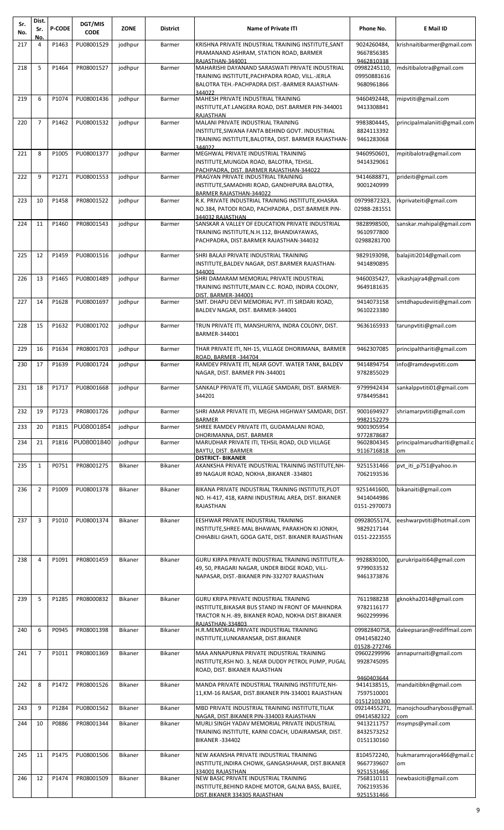| Sr.<br>No. | Dist.<br>Sr.<br>No. | <b>P-CODE</b> | DGT/MIS<br><b>CODE</b>  | <b>ZONE</b> | <b>District</b> | <b>Name of Private ITI</b>                                                                                                                                                  | Phone No.                                            | E Mail ID                          |
|------------|---------------------|---------------|-------------------------|-------------|-----------------|-----------------------------------------------------------------------------------------------------------------------------------------------------------------------------|------------------------------------------------------|------------------------------------|
| 217        | 4                   | P1463         | PU08001529              | jodhpur     | Barmer          | KRISHNA PRIVATE INDUSTRIAL TRAINING INSTITUTE, SANT<br>PRAMANAND ASHRAM, STATION ROAD, BARMER<br>RAJASTHAN-344001                                                           | 9024260484,<br>9667856385<br>9462810338              | krishnaitibarmer@gmail.com         |
| 218        | 5                   | P1464         | PR08001527              | jodhpur     | Barmer          | MAHARISHI DAYANAND SARASWATI PRIVATE INDUSTRIAL<br>TRAINING INSTITUTE, PACHPADRA ROAD, VILL.-JERLA<br>BALOTRA TEH.-PACHPADRA DIST.-BARMER RAJASTHAN-<br>344022              | 09982245110,<br>09950881616<br>9680961866            | mdsitibalotra@gmail.com            |
| 219        | 6                   | P1074         | PU08001436              | jodhpur     | Barmer          | MAHESH PRIVATE INDUSTRIAL TRAINING<br>INSTITUTE, AT.LANGERA ROAD, DIST.BARMER PIN-344001                                                                                    | 9460492448,<br>9413308841                            | mipvtiti@gmail.com                 |
| 220        | $\overline{7}$      | P1462         | PU08001532              | jodhpur     | Barmer          | <b>RAJASTHAN</b><br>MALANI PRIVATE INDUSTRIAL TRAINING<br>INSTITUTE, SIWANA FANTA BEHIND GOVT. INDUSTRIAL<br>TRAINING INSTITUTE, BALOTRA, DIST. BARMER RAJASTHAN-<br>344022 | 9983804445,<br>8824113392<br>9461283068              | principalmalaniiti@gmail.com       |
| 221        | 8                   | P1005         | PU08001377              | jodhpur     | Barmer          | MEGHWAL PRIVATE INDUSTRIAL TRAINING<br>INSTITUTE, MUNGDA ROAD, BALOTRA, TEHSIL.                                                                                             | 9460950601,<br>9414329061                            | mpitibalotra@gmail.com             |
| 222        | 9                   | P1271         | PU08001553              | jodhpur     | Barmer          | PACHPADRA, DIST. BARMER RAJASTHAN-344022<br>PRAGYAN PRIVATE INDUSTRIAL TRAINING<br>INSTITUTE, SAMADHRI ROAD, GANDHIPURA BALOTRA,                                            | 9414688871,<br>9001240999                            | prideiti@gmail.com                 |
| 223        | 10                  | P1458         | PR08001522              | jodhpur     | Barmer          | BARMER RAJASTHAN-344022<br>R.K. PRIVATE INDUSTRIAL TRAINING INSTITUTE, KHASRA<br>NO.384, PATODI ROAD, PACHPADRA, DIST.BARMER PIN-                                           | 09799872323,<br>02988-281551                         | rkprivateiti@gmail.com             |
| 224        | 11                  | P1460         | PR08001543              | jodhpur     | Barmer          | 344032 RAJASTHAN<br>SANSKAR A VALLEY OF EDUCATION PRIVATE INDUSTRIAL<br>TRAINING INSTITUTE, N.H.112, BHANDIAYAWAS,<br>PACHPADRA, DIST.BARMER RAJASTHAN-344032               | 9828998500.<br>9610977800<br>02988281700             | sanskar.mahipal@gmail.com          |
| 225        | 12                  | P1459         | PU08001516              | jodhpur     | Barmer          | SHRI BALAJI PRIVATE INDUSTRIAL TRAINING<br>INSTITUTE, BALDEV NAGAR, DIST. BARMER RAJASTHAN-                                                                                 | 9829193098,<br>9414890895                            | balajiiti2014@gmail.com            |
| 226        | 13                  | P1465         | PU08001489              | jodhpur     | Barmer          | 344001<br>SHRI DAMARAM MEMORIAL PRIVATE INDUSTRIAL<br>TRAINING INSTITUTE, MAIN C.C. ROAD, INDIRA COLONY,                                                                    | 9460035427,<br>9649181635                            | vikashjajra4@gmail.com             |
| 227        | 14                  | P1628         | PU08001697              | jodhpur     | Barmer          | DIST. BARMER-344001<br>SMT. DHAPU DEVI MEMORIAL PVT. ITI SIRDARI ROAD,<br>BALDEV NAGAR, DIST. BARMER-344001                                                                 | 9414073158<br>9610223380                             | smtdhapudeviiti@gmail.com          |
| 228        | 15                  | P1632         | PU08001702              | jodhpur     | Barmer          | TRUN PRIVATE ITI, MANSHURIYA, INDRA COLONY, DIST.<br>BARMER-344001                                                                                                          | 9636165933                                           | tarunpvtiti@gmail.com              |
| 229        | 16                  | P1634         | PR08001703              | jodhpur     | Barmer          | THAR PRIVATE ITI, NH-15, VILLAGE DHORIMANA, BARMER                                                                                                                          | 9462307085                                           | principalthariti@gmail.com         |
| 230        | 17                  | P1639         | PU08001724              | jodhpur     | Barmer          | ROAD, BARMER-344704<br>RAMDEV PRIVATE ITI, NEAR GOVT. WATER TANK, BALDEV<br>NAGAR, DIST. BARMER PIN-344001                                                                  | 9414894754<br>9782855029                             | info@ramdevpvtiti.com              |
|            |                     |               | 231 18 P1717 PU08001668 | jodhpur     | Barmer          | SANKALP PRIVATE ITI, VILLAGE SAMDARI, DIST. BARMER-<br>344201                                                                                                               | 9799942434<br>9784495841                             | sankalppvtiti01@gmail.com          |
| 232        | 19                  | P1723         | PR08001726              | jodhpur     | Barmer          | SHRI AMAR PRIVATE ITI, MEGHA HIGHWAY SAMDARI, DIST.                                                                                                                         | 9001694927<br>9982152279                             | shriamarpvtiti@gmail.com           |
| 233        | 20                  | P1815         | PU08001854              | jodhpur     | Barmer          | <b>BARMER</b><br>SHREE RAMDEV PRIVATE ITI, GUDAMALANI ROAD,                                                                                                                 | 9001905954<br>9772878687                             |                                    |
| 234        | 21                  | P1816         | PU08001840              | jodhpur     | Barmer          | DHORIMANNA, DIST. BARMER<br>MARUDHAR PRIVATE ITI, TEHSIL ROAD, OLD VILLAGE<br>BAYTU, DIST. BARMER                                                                           | 9602804345<br>9116716818                             | principalmarudhariti@gmail.c<br>om |
| 235        | $\mathbf{1}$        | P0751         | PR08001275              | Bikaner     | <b>Bikaner</b>  | <b>DISTRICT- BIKANER</b><br>AKANKSHA PRIVATE INDUSTRIAL TRAINING INSTITUTE, NH-<br>89 NAGAUR ROAD, NOKHA , BIKANER -334801                                                  | 9251531466<br>7062193536                             | pvt iti p751@yahoo.in              |
| 236        | $\overline{2}$      | P1009         | PU08001378              | Bikaner     | Bikaner         | BIKANA PRIVATE INDUSTRIAL TRAINING INSTITUTE, PLOT<br>NO. H-417, 418, KARNI INDUSTRIAL AREA, DIST. BIKANER<br>RAJASTHAN                                                     | 9251441600,<br>9414044986<br>0151-2970073            | bikanaiti@gmail.com                |
| 237        | 3                   | P1010         | PU08001374              | Bikaner     | Bikaner         | EESHWAR PRIVATE INDUSTRIAL TRAINING<br>INSTITUTE, SHREE-MAL BHAWAN, PARAKHON KI JONKH,<br>CHHABILI GHATI, GOGA GATE, DIST. BIKANER RAJASTHAN                                | 09928055174,<br>9829217144<br>0151-2223555           | eeshwarpvtiti@hotmail.com          |
| 238        | $\overline{4}$      | P1091         | PR08001459              | Bikaner     | Bikaner         | GURU KIRPA PRIVATE INDUSTRIAL TRAINING INSTITUTE, A-<br>49, 50, PRAGARI NAGAR, UNDER BIDGE ROAD, VILL-<br>NAPASAR, DIST.-BIKANER PIN-332707 RAJASTHAN                       | 9928830100,<br>9799033532<br>9461373876              | gurukripaiti64@gmail.com           |
| 239        | 5                   | P1285         | PR08000832              | Bikaner     | Bikaner         | GURU KRIPA PRIVATE INDUSTRIAL TRAINING<br>INSTITUTE, BIKASAR BUS STAND IN FRONT OF MAHINDRA                                                                                 | 7611988238<br>9782116177                             | gknokha2014@gmail.com              |
| 240        | 6                   | P0945         | PR08001398              | Bikaner     | Bikaner         | TRACTOR N.H.-89, BIKANER ROAD, NOKHA DIST.BIKANER<br>RAJASTHAN-334803<br>H.R.MEMORIAL PRIVATE INDUSTRIAL TRAINING                                                           | 9602299996<br>09982840758,<br>09414582240            | daleepsaran@rediffmail.com         |
| 241        | $\overline{7}$      | P1011         | PR08001369              | Bikaner     | <b>Bikaner</b>  | INSTITUTE, LUNKARANSAR, DIST. BIKANER<br>MAA ANNAPURNA PRIVATE INDUSTRIAL TRAINING<br>INSTITUTE, RSH NO. 3, NEAR DUDDY PETROL PUMP, PUGAL                                   | 01528-272746<br>09602299996<br>9928745095            | annapurnaiti@gmail.com             |
|            |                     |               |                         |             |                 | ROAD, DIST. BIKANER RAJASTHAN                                                                                                                                               | 9460403644                                           |                                    |
| 242        | 8                   | P1472         | PR08001526              | Bikaner     | Bikaner         | MANDA PRIVATE INDUSTRIAL TRAINING INSTITUTE, NH-<br>11, KM-16 RAISAR, DIST. BIKANER PIN-334001 RAJASTHAN                                                                    | 9414138515,<br>7597510001<br>01512101300             | mandaitibkn@gmail.com              |
| 243        | 9                   | P1284         | PU08001562              | Bikaner     | Bikaner         | MBD PRIVATE INDUSTRIAL TRAINING INSTITUTE, TILAK<br>NAGAR, DIST.BIKANER PIN-334003 RAJASTHAN                                                                                | 09214455271,<br>09414582322                          | manojchoudharyboss@gmail.<br>com   |
| 244        | 10                  | P0886         | PR08001344              | Bikaner     | Bikaner         | MURLI SINGH YADAV MEMORIAL PRIVATE INDUSTRIAL<br>TRAINING INSTITUTE, KARNI COACH, UDAIRAMSAR, DIST.<br><b>BIKANER -334402</b>                                               | 9413211757<br>8432573252<br>0151130160               | msymps@ymail.com                   |
| 245        | 11                  | P1475         | PU08001506              | Bikaner     | Bikaner         | NEW AKANSHA PRIVATE INDUSTRIAL TRAINING<br>INSTITUTE, INDIRA CHOWK, GANGASHAHAR, DIST.BIKANER                                                                               | 8104572240,<br>9667739607                            | hukmaramrajora466@gmail.c<br>om    |
| 246        | 12                  | P1474         | PR08001509              | Bikaner     | Bikaner         | 334001 RAJASTHAN<br>NEW BASIC PRIVATE INDUSTRIAL TRAINING<br>INSTITUTE, BEHIND RADHE MOTOR, GALNA BASS, BAJJEE,<br>DIST.BIKANER 334305 RAJASTHAN                            | 9251531466<br>7568110111<br>7062193536<br>9251531466 | newbasiciti@gmail.com              |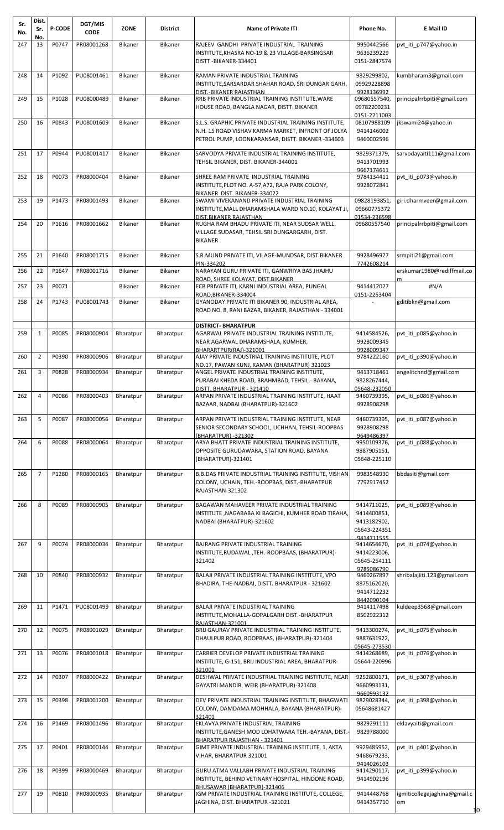| Sr.<br>No. | Dist.<br>Sr.   | <b>P-CODE</b> | DGT/MIS<br><b>CODE</b> | <b>ZONE</b>    | District       | <b>Name of Private ITI</b>                                                                                                                                                 | Phone No.                                                 | E Mail ID                                |
|------------|----------------|---------------|------------------------|----------------|----------------|----------------------------------------------------------------------------------------------------------------------------------------------------------------------------|-----------------------------------------------------------|------------------------------------------|
| 247        | No.<br>13      | P0747         | PR08001268             | <b>Bikaner</b> | <b>Bikaner</b> | RAJEEV GANDHI PRIVATE INDUSTRIAL TRAINING<br>INSTITUTE, KHASRA NO-19 & 23 VILLAGE-BARSINGSAR<br>DISTT-BIKANER-334401                                                       | 9950442566<br>9636239229<br>0151-2847574                  | pvt iti p747@yahoo.in                    |
| 248        | 14             | P1092         | PU08001461             | Bikaner        | <b>Bikaner</b> | RAMAN PRIVATE INDUSTRIAL TRAINING<br>INSTITUTE, SARSARDAR SHAHAR ROAD, SRI DUNGAR GARH,<br>DIST.-BIKANER RAJASTHAN                                                         | 9829299802,<br>09929228898<br>9928136992                  | kumbharam3@gmail.com                     |
| 249        | 15             | P1028         | PU08000489             | Bikaner        | <b>Bikaner</b> | RRB PRIVATE INDUSTRIAL TRAINING INSTITUTE, WARE<br>HOUSE ROAD, BANGLA NAGAR, DISTT. BIKANER                                                                                | 09680557540,<br>09782200231                               | principalrrbpiti@gmail.com               |
| 250        | 16             | P0843         | PU08001609             | Bikaner        | <b>Bikaner</b> | S.L.S. GRAPHIC PRIVATE INDUSTRIAL TRAINING INSTITUTE,<br>N.H. 15 ROAD VISHAV KARMA MARKET, INFRONT OF JOLYA<br>PETROL PUMP, LOONKARANSAR, DISTT. BIKANER -334603           | 0151-2211003<br>08107988109<br>9414146002<br>9460002596   | jkswami24@yahoo.in                       |
| 251        | 17             | P0944         | PU08001417             | Bikaner        | Bikaner        | SARVODYA PRIVATE INDUSTRIAL TRAINING INSTITUTE,<br>TEHSIL BIKANER, DIST. BIKANER-344001                                                                                    | 9829371379,<br>9413701993<br>9667174611                   | sarvodayaiti111@gmail.com                |
| 252        | 18             | P0073         | PR08000404             | Bikaner        | Bikaner        | SHREE RAM PRIVATE INDUSTRIAL TRAINING<br>INSTITUTE, PLOT NO. A-57, A72, RAJA PARK COLONY,<br>BIKANER DIST. BIKANER-334022                                                  | 9784134411<br>9928072841                                  | pvt iti p073@yahoo.in                    |
| 253        | 19             | P1473         | PR08001493             | <b>Bikaner</b> | Bikaner        | SWAMI VIVEKANAND PRIVATE INDUSTRIAL TRAINING<br>INSTITUTE, MALL DHARAMSHALA WARD NO.10, KOLAYAT JI,<br>DIST.BIKANER RAJASTHAN                                              | 09828193851,<br>09660775372<br>01534-236598               | giri.dharmveer@gmail.com                 |
| 254        | 20             | P1616         | PR08001662             | Bikaner        | Bikaner        | RUGHA RAM BHADU PRIVATE ITI, NEAR SUDSAR WELL,<br>VILLAGE SUDASAR, TEHSIL SRI DUNGARGARH, DIST.<br><b>BIKANER</b>                                                          | 09680557540                                               | principalrrbpiti@gmail.com               |
| 255        | 21             | P1640         | PR08001715             | Bikaner        | Bikaner        | S.R.MUND PRIVATE ITI, VILAGE-MUNDSAR, DIST.BIKANER<br>PIN-334202                                                                                                           | 9928496927<br>7742608214                                  | srmpiti21@gmail.com                      |
| 256        | 22             | P1647         | PR08001716             | Bikaner        | Bikaner        | NARAYAN GURU PRIVATE ITI, GANWRIYA BAS JHAJHU<br>ROAD, SHREE KOLAYAT, DIST.BIKANER                                                                                         |                                                           | erskumar1980@rediffmail.co<br>m          |
| 257        | 23             | P0071         |                        | Bikaner        | Bikaner        | ECB PRIVATE ITI, KARNI INDUSTRIAL AREA, PUNGAL<br>ROAD, BIKANER-334004                                                                                                     | 9414412027<br>0151-2253404                                | #N/A                                     |
| 258        | 24             | P1743         | PU08001743             | <b>Bikaner</b> | Bikaner        | GYANODAY PRIVATE ITI BIKANER 90, INDUSTRIAL AREA,<br>ROAD NO. 8, RANI BAZAR, BIKANER, RAJASTHAN - 334001                                                                   |                                                           | gditibkn@gmail.com                       |
| 259        | $\mathbf{1}$   | P0085         | PR08000904             | Bharatpur      | Bharatpur      | <b>DISTRICT- BHARATPUR</b><br>AGARWAL PRIVATE INDUSTRIAL TRAINING INSTITUTE,<br>NEAR AGARWAL DHARAMSHALA, KUMHER,<br>BHARARTPUR(RAJ)-321001                                | 9414584526,<br>9928009345<br>9928009347                   | pvt iti p085@yahoo.in                    |
| 260        | $\overline{2}$ | P0390         | PR08000906             | Bharatpur      | Bharatpur      | AJAY PRIVATE INDUSTRIAL TRAINING INSTITUTE, PLOT                                                                                                                           | 9784222160                                                | pvt_iti_p390@yahoo.in                    |
| 261        | 3              | P0828         | PR08000934             | Bharatpur      | Bharatpur      | NO.17, PAWAN KUNJ, KAMAN (BHARATPUR) 321023<br>ANGEL PRIVATE INDUSTRIAL TRAINING INSTITUTE,<br>PURABAI KHEDA ROAD, BRAHMBAD, TEHSIL.- BAYANA,<br>DISTT. BHARATPUR - 321410 | 9413718461<br>9828267444,<br>05648-232050                 | angelitchnd@gmail.com                    |
| 262        | 4              | P0086         | PR08000403             | Bharatpur      | Bharatpur      | ARPAN PRIVATE INDUSTRIAL TRAINING INSTITUTE, HAAT<br>BAZAAR, NADBAI (BHARATPUR)-321602                                                                                     | 9460739395,<br>9928908298                                 | pvt_iti_p086@yahoo.in                    |
| 263        | 5              | P0087         | PR08000056             | Bharatpur      | Bharatpur      | ARPAN PRIVATE INDUSTRIAL TRAINING INSTITUTE, NEAR<br>SENIOR SECONDARY SCHOOL, UCHHAN, TEHSIL-ROOPBAS<br>(BHARATPUR) -321302                                                | 9460739395,<br>9928908298<br>9649486397                   | pvt iti p087@yahoo.in                    |
| 264        | 6              | P0088         | PR08000064             | Bharatpur      | Bharatpur      | ARYA BHATT PRIVATE INDUSTRIAL TRAINING INSTITUTE,<br>OPPOSITE GURUDAWARA, STATION ROAD, BAYANA<br>(BHARATPUR)-321401                                                       | 9950109376,<br>9887905151,<br>05648-225110                | pvt_iti_p088@yahoo.in                    |
| 265        | $\overline{7}$ | P1280         | PR08000165             | Bharatpur      | Bharatpur      | B.B.DAS PRIVATE INDUSTRIAL TRAINING INSTITUTE, VISHAN<br>COLONY, UCHAIN, TEH.-ROOPBAS, DIST.-BHARATPUR<br>RAJASTHAN-321302                                                 | 9983548930<br>7792917452                                  | bbdasiti@gmail.com                       |
| 266        | 8              | P0089         | PR08000905             | Bharatpur      | Bharatpur      | BAGAWAN MAHAVEER PRIVATE INDUSTRIAL TRAINING<br>INSTITUTE, NAGABABA KI BAGICHI, KUMHER ROAD TIRAHA,<br>NADBAI (BHARATPUR)-321602                                           | 9414711025,<br>9414400851,<br>9413182902,<br>05643-224351 | pvt_iti_p089@yahoo.in                    |
| 267        | 9              | P0074         | PR08000034             | Bharatpur      | Bharatpur      | BAJRANG PRIVATE INDUSTRIAL TRAINING<br>INSTITUTE, RUDAWAL, TEH.-ROOPBAAS, (BHARATPUR)-                                                                                     | 9414711555<br>9414654670,<br>9414223006,                  | pvt_iti_p074@yahoo.in                    |
|            |                |               |                        |                |                | 321402                                                                                                                                                                     | 05645-254111<br>9785086790                                |                                          |
| 268        | 10             | P0840         | PR08000932             | Bharatpur      | Bharatpur      | BALAJI PRIVATE INDUSTRIAL TRAINING INSTITUTE, VPO<br>BHADIRA, THE-NADBAI, DISTT. BHARATPUR - 321602                                                                        | 9460267897<br>8875162020,<br>9414712232<br>8442090104     | shribalajiiti.123@gmail.com              |
| 269        | 11             | P1471         | PU08001499             | Bharatpur      | Bharatpur      | BALAJI PRIVATE INDUSTRIAL TRAINING<br>INSTITUTE, MOHALLA-GOPALGARH DIST.-BHARATPUR<br>RAJASTHAN-321001                                                                     | 9414117498<br>8502922312                                  | kuldeep3568@gmail.com                    |
| 270        | 12             | P0075         | PR08001029             | Bharatpur      | Bharatpur      | BRIJ GAURAV PRIVATE INDUSTRIAL TRAINING INSTITUTE,<br>DHAULPUR ROAD, ROOPBAAS, (BHARATPUR)-321404                                                                          | 9413300274,<br>9887631922,<br>05645-273530                | pvt_iti_p075@yahoo.in                    |
| 271        | 13             | P0076         | PR08001018             | Bharatpur      | Bharatpur      | CARRIER DEVELOP PRIVATE INDUSTRIAL TRAINING<br>INSTITUTE, G-151, BRIJ INDUSTRIAL AREA, BHARATPUR-<br>321001                                                                | 9414268689,<br>05644-220996                               | pvt iti p076@yahoo.in                    |
| 272        | 14             | P0307         | PR08000422             | Bharatpur      | Bharatpur      | DESHWAL PRIVATE INDUSTRIAL TRAINING INSTITUTE, NEAR<br>GAYATRI MANDIR, WEIR (BHARATPUR)-321408                                                                             | 9252800171,<br>9660993131,<br>9660993132                  | pvt iti p307@yahoo.in                    |
| 273        | 15             | P0398         | PR08001200             | Bharatpur      | Bharatpur      | DEV PRIVATE INDUSTRIAL TRAINING INSTITUTE, BHAGWATI<br>COLONY, DAMDAMA MOHHALA, BAYANA (BHARATPUR)-<br>321401                                                              | 9829028344,<br>05648681427                                | pvt_iti_p398@yahoo.in                    |
| 274        | 16             | P1469         | PR08001496             | Bharatpur      | Bharatpur      | EKLAVYA PRIVATE INDUSTRIAL TRAINING<br>INSTITUTE, GANESH MOD LOHATWARA TEH.-BAYANA, DIST.-<br>BHARATPUR RAJASTHAN - 321401                                                 | 9829291111<br>9829788000                                  | eklavyaiti@gmail.com                     |
| 275        | 17             | P0401         | PR08000144             | Bharatpur      | Bharatpur      | GIMT PRIVATE INDUSTRIAL TRAINING INSTITUTE, 1, AKTA<br>VIHAR, BHARATPUR 321001                                                                                             | 9929485952,<br>9468679233,                                | pvt iti p401@yahoo.in                    |
| 276        | 18             | P0399         | PR08000469             | Bharatpur      | Bharatpur      | GURU ATMA VALLABH PRIVATE INDUSTRIAL TRAINING<br>INSTITUTE, BEHIND VETINARY HOSPITAL, HINDONE ROAD,                                                                        | 9414026103<br>9414290117,<br>9414902196                   | pvt_iti_p399@yahoo.in                    |
| 277        | 19             | P0810         | PR08000935             | Bharatpur      | Bharatpur      | BHUSAWAR (BHARATPUR)-321406<br>IGM PRIVATE INDUSTRIAL TRAINING INSTITUTE, COLLEGE,<br>JAGHINA, DIST. BHARATPUR -321021                                                     | 9414448768<br>9414357710                                  | igmiticollegejaghina@gmail.c<br>om<br>10 |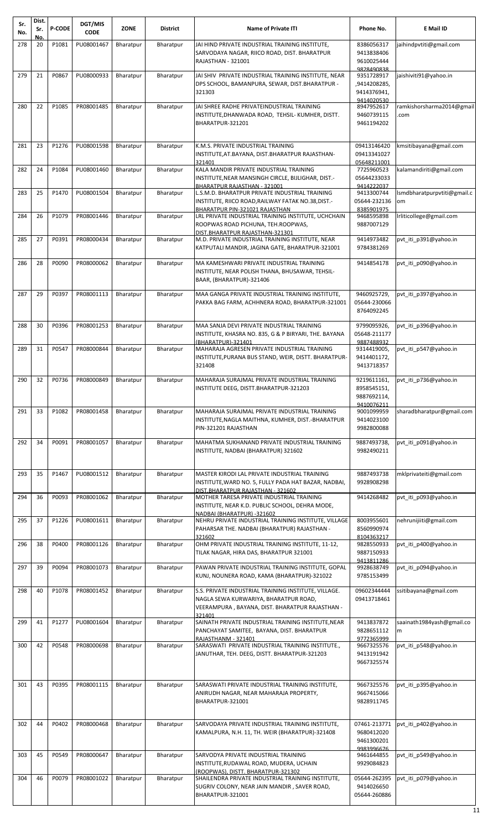| Sr.<br>No. | Dist.<br>Sr.<br><b>No</b> | <b>P-CODE</b> | DGT/MIS<br><b>CODE</b> | <b>ZONE</b> | <b>District</b> | <b>Name of Private ITI</b>                                                                                                                       | Phone No.                                               | E Mail ID                         |
|------------|---------------------------|---------------|------------------------|-------------|-----------------|--------------------------------------------------------------------------------------------------------------------------------------------------|---------------------------------------------------------|-----------------------------------|
| 278        | 20                        | P1081         | PU08001467             | Bharatpur   | Bharatpur       | JAI HIND PRIVATE INDUSTRIAL TRAINING INSTITUTE,<br>SARVODAYA NAGAR, RIICO ROAD, DIST. BHARATPUR<br>RAJASTHAN - 321001                            | 8386056317<br>9413838406<br>9610025444<br>9828490838    | jaihindpvtiti@gmail.com           |
| 279        | 21                        | P0867         | PU08000933             | Bharatpur   | Bharatpur       | JAI SHIV PRIVATE INDUSTRIAL TRAINING INSTITUTE, NEAR<br>DPS SCHOOL, BAMANPURA, SEWAR, DIST.BHARATPUR -<br>321303                                 | 9351728917<br>,9414208285,<br>9414376941,<br>9414020530 | jaishiviti91@yahoo.in             |
| 280        | 22                        | P1085         | PR08001485             | Bharatpur   | Bharatpur       | JAI SHREE RADHE PRIVATEINDUSTRIAL TRAINING<br>INSTITUTE,DHANWADA ROAD, TEHSIL- KUMHER, DISTT.<br>BHARATPUR-321201                                | 8947952617<br>9460739115<br>9461194202                  | ramkishorsharma2014@gmail<br>.com |
| 281        | 23                        | P1276         | PU08001598             | Bharatpur   | Bharatpur       | K.M.S. PRIVATE INDUSTRIAL TRAINING<br>INSTITUTE, AT. BAYANA, DIST. BHARATPUR RAJASTHAN-<br>321401                                                | 09413146420<br>09413341027<br>05648211001               | kmsitibayana@gmail.com            |
| 282        | 24                        | P1084         | PU08001460             | Bharatpur   | Bharatpur       | KALA MANDIR PRIVATE INDUSTRIAL TRAINING<br>INSTITUTE,NEAR MANSINGH CIRCLE, BIJLIGHAR, DIST.-<br>BHARATPUR RAJASTHAN - 321001                     | 7725960523<br>05644233033<br>9414222037                 | kalamandiriti@gmail.com           |
| 283        | 25                        | P1470         | PU08001504             | Bharatpur   | Bharatpur       | L.S.M.D. BHARATPUR PRIVATE INDUSTRIAL TRAINING<br>INSTITUTE, RIICO ROAD, RAILWAY FATAK NO.38, DIST.-<br>BHARATPUR PIN-321021 RAJASTHAN           | 9413300744<br>05644-232136<br>8385901975                | Ismdbharatpurpvtiti@gmail.c<br>om |
| 284        | 26                        | P1079         | PR08001446             | Bharatpur   | Bharatpur       | LRL PRIVATE INDUSTRIAL TRAINING INSTITUTE, UCHCHAIN<br>ROOPWAS ROAD PICHUNA, TEH.ROOPWAS,                                                        | 9468595898<br>9887007129                                | Irliticollege@gmail.com           |
| 285        | 27                        | P0391         | PR08000434             | Bharatpur   | Bharatpur       | DIST.BHARATPUR RAJASTHAN-321301<br>M.D. PRIVATE INDUSTRIAL TRAINING INSTITUTE, NEAR<br>KATPUTALI MANDIR, JAGINA GATE, BHARATPUR-321001           | 9414973482<br>9784381269                                | pvt iti p391@yahoo.in             |
| 286        | 28                        | P0090         | PR08000062             | Bharatpur   | Bharatpur       | MA KAMESHWARI PRIVATE INDUSTRIAL TRAINING<br>INSTITUTE, NEAR POLISH THANA, BHUSAWAR, TEHSIL-<br>BAAR, (BHARATPUR)-321406                         | 9414854178                                              | pvt iti p090@yahoo.in             |
| 287        | 29                        | P0397         | PR08001113             | Bharatpur   | Bharatpur       | MAA GANGA PRIVATE INDUSTRIAL TRAINING INSTITUTE,<br>PAKKA BAG FARM, ACHHNERA ROAD, BHARATPUR-321001                                              | 9460925729,<br>05644-230066<br>8764092245               | pvt iti p397@yahoo.in             |
| 288        | 30                        | P0396         | PR08001253             | Bharatpur   | Bharatpur       | MAA SANJA DEVI PRIVATE INDUSTRIAL TRAINING<br>INSTITUTE, KHASRA NO. 835, G & P BIRYARI, THE. BAYANA<br>(BHARATPUR)-321401                        | 9799095926,<br>05648-211177<br>9887488932               | pvt iti p396@yahoo.in             |
| 289        | 31                        | P0547         | PR08000844             | Bharatpur   | Bharatpur       | MAHARAJA AGRESEN PRIVATE INDUSTRIAL TRAINING<br>INSTITUTE, PURANA BUS STAND, WEIR, DISTT. BHARATPUR-<br>321408                                   | 9314419005,<br>9414401172,<br>9413718357                | pvt iti p547@yahoo.in             |
| 290        | 32                        |               | P0736 PR08000849       | Bharatpur   | Bharatpur       | MAHARAJA SURAJMAL PRIVATE INDUSTRIAL TRAINING<br>INSTITUTE DEEG, DISTT.BHARATPUR-321203                                                          | 9219611161,<br>8958545151.<br>9887692114,               | pvt_iti_p736@yahoo.in             |
| 291        | 33                        | P1082         | PR08001458             | Bharatpur   | Bharatpur       | MAHARAJA SURAJMAL PRIVATE INDUSTRIAL TRAINING<br>INSTITUTE,NAGLA MAITHNA, KUMHER, DIST.-BHARATPUR<br>PIN-321201 RAJASTHAN                        | 9410076211<br>9001099959<br>9414023100<br>9982800088    | sharadbharatpur@gmail.com         |
| 292        | 34                        | P0091         | PR08001057             | Bharatpur   | Bharatpur       | MAHATMA SUKHANAND PRIVATE INDUSTRIAL TRAINING<br>INSTITUTE, NADBAI (BHARATPUR) 321602                                                            | 9887493738,<br>9982490211                               | pvt iti p091@yahoo.in             |
| 293        | 35                        | P1467         | PU08001512             | Bharatpur   | Bharatpur       | MASTER KIRODI LAL PRIVATE INDUSTRIAL TRAINING<br>INSTITUTE, WARD NO. 5, FULLY PADA HAT BAZAR, NADBAI,<br>DIST.BHARATPUR RAJASTHAN - 321602       | 9887493738<br>9928908298                                | mklprivateiti@gmail.com           |
| 294        | 36                        | P0093         | PR08001062             | Bharatpur   | Bharatpur       | MOTHER TARESA PRIVATE INDUSTRIAL TRAINING<br>INSTITUTE, NEAR K.D. PUBLIC SCHOOL, DEHRA MODE,                                                     | 9414268482                                              | pvt iti p093@yahoo.in             |
| 295        | 37                        | P1226         | PU08001611             | Bharatpur   | Bharatpur       | NADBAI (BHARATPUR) -321602<br>NEHRU PRIVATE INDUSTRIAL TRAINING INSTITUTE, VILLAGE<br>PAHARSAR THE. NADBAI (BHARATPUR) RAJASTHAN -<br>321602     | 8003955601<br>8560990974<br>8104363217                  | nehrunijiiti@gmail.com            |
| 296        | 38                        | P0400         | PR08001126             | Bharatpur   | Bharatpur       | OHM PRIVATE INDUSTRIAL TRAINING INSTITUTE, 11-12,<br>TILAK NAGAR, HIRA DAS, BHARATPUR 321001                                                     | 9828550933<br>9887150933                                | pvt iti p400@yahoo.in             |
| 297        | 39                        | P0094         | PR08001073             | Bharatpur   | Bharatpur       | PAWAN PRIVATE INDUSTRIAL TRAINING INSTITUTE, GOPAL<br>KUNJ, NOUNERA ROAD, KAMA (BHARATPUR)-321022                                                | 9413811286<br>9928638749<br>9785153499                  | pvt iti p094@yahoo.in             |
| 298        | 40                        | P1078         | PR08001452             | Bharatpur   | Bharatpur       | S.S. PRIVATE INDUSTRIAL TRAINING INSTITUTE, VILLAGE.<br>NAGLA SEWA KURWARIYA, BHARATPUR ROAD,<br>VEERAMPURA, BAYANA, DIST. BHARATPUR RAJASTHAN - | 09602344444<br>09413718461                              | ssitibayana@gmail.com             |
| 299        | 41                        | P1277         | PU08001604             | Bharatpur   | Bharatpur       | 321401<br>SAINATH PRIVATE INDUSTRIAL TRAINING INSTITUTE, NEAR<br>PANCHAYAT SAMITEE, BAYANA, DIST. BHARATPUR<br>RAJASTHANM - 321401               | 9413837872<br>9828651112<br>9772365999                  | saainath1984yash@gmail.co<br>m    |
| 300        | 42                        | P0548         | PR08000698             | Bharatpur   | Bharatpur       | SARASWATI PRIVATE INDUSTRIAL TRAINING INSTITUTE.,<br>JANUTHAR, TEH. DEEG, DISTT. BHARATPUR-321203                                                | 9667325576<br>9413191942<br>9667325574                  | pvt iti p548@yahoo.in             |
| 301        | 43                        | P0395         | PR08001115             | Bharatpur   | Bharatpur       | SARASWATI PRIVATE INDUSTRIAL TRAINING INSTITUTE,<br>ANIRUDH NAGAR, NEAR MAHARAJA PROPERTY,<br>BHARATPUR-321001                                   | 9667325576<br>9667415066<br>9828911745                  | pvt iti p395@yahoo.in             |
| 302        | 44                        | P0402         | PR08000468             | Bharatpur   | Bharatpur       | SARVODAYA PRIVATE INDUSTRIAL TRAINING INSTITUTE,<br>KAMALPURA, N.H. 11, TH. WEIR (BHARATPUR)-321408                                              | 07461-213771<br>9680412020<br>9461300201                | pvt iti p402@yahoo.in             |
| 303        | 45                        | P0549         | PR08000647             | Bharatpur   | Bharatpur       | SARVODYA PRIVATE INDUSTRIAL TRAINING<br>INSTITUTE, RUDAWAL ROAD, MUDERA, UCHAIN<br>(ROOPWAS), DISTT, BHARATPUR-321302                            | 9983996676<br>9461644855<br>9929084823                  | pvt_iti_p549@yahoo.in             |
| 304        | 46                        | P0079         | PR08001022             | Bharatpur   | Bharatpur       | SHAILENDRA PRIVATE INDUSTRIAL TRAINING INSTITUTE,<br>SUGRIV COLONY, NEAR JAIN MANDIR, SAVER ROAD,<br>BHARATPUR-321001                            | 05644-262395<br>9414026650<br>05644-260886              | pvt iti p079@yahoo.in             |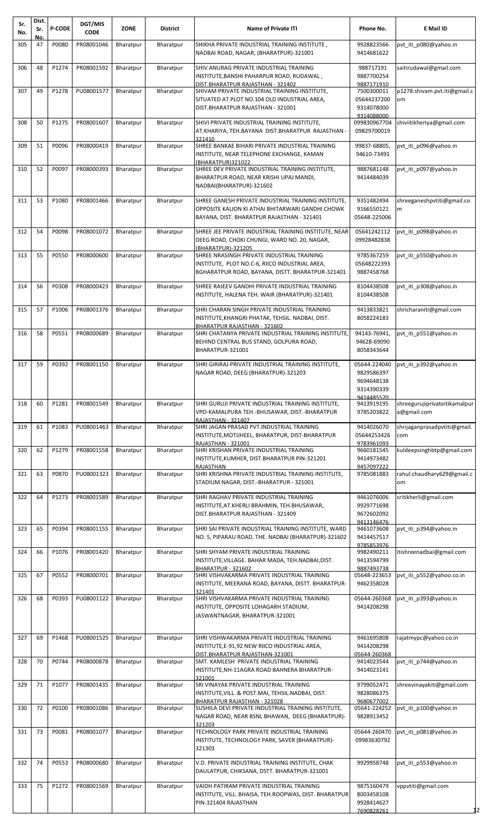| Sr.<br>No. | Dist.<br>Sr. | <b>P-CODE</b> | DGT/MIS<br><b>CODE</b> | <b>ZONE</b> | <b>District</b> | <b>Name of Private ITI</b>                                                                                                                                              | Phone No.                                              | <b>E</b> Mail ID                             |
|------------|--------------|---------------|------------------------|-------------|-----------------|-------------------------------------------------------------------------------------------------------------------------------------------------------------------------|--------------------------------------------------------|----------------------------------------------|
| 305        | No.<br>47    | P0080         | PR08001046             | Bharatpur   | Bharatpur       | SHIKHA PRIVATE INDUSTRIAL TRAINING INSTITUTE,<br>NADBAI ROAD, NAGAR, (BHARATPUR)-321001                                                                                 | 9928823566<br>9414681622                               | pvt iti p080@yahoo.in                        |
| 306        | 48           | P1274         | PR08001592             | Bharatpur   | Bharatpur       | SHIV ANURAG PRIVATE INDUSTRIAL TRAINING<br>INSTITUTE, BANSHI PAHARPUR ROAD, RUDAWAL,                                                                                    | 988717191<br>9887700254                                | saitirudawal@gmail.com                       |
| 307        | 49           | P1278         | PU08001577             | Bharatpur   | Bharatpur       | DIST.BHARATPUR RAJASTHAN - 321402<br>SHIVAM PRIVATE INDUSTRIAL TRAINING INSTITUTE,<br>SITUATED AT PLOT NO.104 OLD INDUSTRIAL AREA,<br>DIST.BHARATPUR RAJASTHAN - 321001 | 9887171910<br>7500300011<br>05644237200<br>9314078000  | p1278.shivam.pvt.iti@gmail.c<br>om           |
| 308        | 50           | P1275         | PR08001607             | Bharatpur   | Bharatpur       | SHIVI PRIVATE INDUSTRIAL TRAINING INSTITUTE,<br>AT.KHARIYA, TEH.BAYANA DIST.BHARATPUR RAJASTHAN -<br>321410                                                             | 9314088000<br>099830967704<br>09829700019              | shiviitikheriya@gmail.com                    |
| 309        | 51           | P0096         | PR08000419             | Bharatpur   | Bharatpur       | SHREE BANKAE BIHARI PRIVATE INDUSTRIAL TRAINING<br>INSTITUTE, NEAR TELEPHONE EXCHANGE, KAMAN<br>(BHARATPUR)321022                                                       | 99837-68805,<br>94610-73491                            | pvt iti p096@yahoo.in                        |
| 310        | 52           | P0097         | PR08000393             | Bharatpur   | Bharatpur       | SHREE DEV PRIVATE INDUSTRIAL TRAINING INSTITUTE,<br>BHARATPUR ROAD, NEAR KRISHI UPAJ MANDI,<br>NADBAI(BHARATPUR)-321602                                                 | 9887681148<br>9414484039                               | pvt iti p097@yahoo.in                        |
| 311        | 53           | P1080         | PR08001466             | Bharatpur   | Bharatpur       | SHREE GANESH PRIVATE INDUSTRIAL TRAINING INSTITUTE,<br>OPPOSITE KALION KI ATHAI BHITARWARI GANDHI CHOWK<br>BAYANA, DIST. BHARATPUR RAJASTHAN - 321401                   | 9351482494<br>9166550121<br>05648-225006               | shreeganeshpytiti@gmail.co<br>m              |
| 312        | 54           | P0098         | PR08001072             | Bharatpur   | Bharatpur       | SHREE JEE PRIVATE INDUSTRIAL TRAINING INSTITUTE. NEAR<br>DEEG ROAD, CHOKI CHUNGI, WARD NO. 20, NAGAR,<br>(BHARATPUR)-321205                                             | 05641242112<br>09928482838                             | pvt iti p098@yahoo.in                        |
| 313        | 55           | P0550         | PR08000600             | Bharatpur   | Bharatpur       | SHREE NRASINGH PRIVATE INDUSTRIAL TRAINING<br>INSTITUTE, PLOT NO.C-6, RIICO INDUSTRIAL AREA,<br>BGHARATPUR ROAD, BAYANA, DISTT. BHARATPUR-321401                        | 9785367259<br>05648222393<br>9887458768                | pvt iti p550@yahoo.in                        |
| 314        | 56           | P0308         | PR08000423             | Bharatpur   | Bharatpur       | SHREE RAJEEV GANDHI PRIVATE INDUSTRIAL TRAINING<br>INSTITUTE, HALENA TEH. WAIR (BHARATPUR)-321401                                                                       | 8104438508<br>8104438508                               | pvt iti p308@yahoo.in                        |
| 315        | 57           | P1006         | PR08001376             | Bharatpur   | Bharatpur       | SHRI CHARAN SINGH PRIVATE INDUSTRIAL TRAINING<br>INSTITUTE, KHANGRI PHATAK, TEHSIL. NADBAI, DIST.<br>BHARATPUR RAJASTHAN - 321602                                       | 9413833821<br>8058224183                               | shricharaniti@gmail.com                      |
| 316        | 58           | P0551         | PR08000689             | Bharatpur   | Bharatpur       | SHRI CHATANYA PRIVATE INDUSTRIAL TRAINING INSTITUTE,<br>BEHIND CENTRAL BUS STAND, GOLPURA ROAD,<br>BHARATPUR-321001                                                     | 94143-76941,<br>94628-69090<br>8058343644              | pvt iti p551@yahoo.in                        |
| 317        | 59           | P0392         | PR08001150             | Bharatpur   | Bharatpur       | SHRI GIRIRAJ PRIVATE INDUSTRIAL TRAINING INSTITUTE,<br>NAGAR ROAD, DEEG (BHARATPUR)-321203                                                                              | 05644-224040<br>9829586397<br>9694648138<br>9314390339 | pvt iti p392@yahoo.in                        |
| 318        | 60           | P1281         | PR08001549             | Bharatpur   | Bharatpur       | SHRI GURUJI PRIVATE INDUSTRIAL TRAINING INSTITUTE,<br>VPO-KAMALPURA TEH.-BHUSAWAR, DIST.-BHARATPUR<br>RAJASTHAN - 321407                                                | 9414485570<br>9413919195<br>9785203822                 | shreegurujiprivateitikamalpur<br>a@gmail.com |
| 319        | 61           | P1083         | PU08001463             | Bharatpur   | Bharatpur       | SHRI JAGAN PRASAD PVT.INDUSTRIAL TRAINING<br>INSTITUTE, MOTIJHEEL, BHARATPUR, DIST-BHARATPUR<br>RAJASTHAN - 321001                                                      | 9414026070<br>05644253426<br>9783961093                | shrijagan prasad pvtiti@gmail.<br>com        |
| 320        | 62           | P1279         | PR08001558             | Bharatpur   | Bharatpur       | SHRI KRISHAN PRIVATE INDUSTRIAL TRAINING<br>INSTITUTE, KUMHER, DIST.BHARATPUR PIN-321201<br>RAJASTHAN                                                                   | 9660181545<br>9414973482<br>9457097222                 | kuldeepsinghbtp@gmail.com                    |
| 321        | 63           | P0870         | PU08001323             | Bharatpur   | Bharatpur       | SHRI KRISHNA PRIVATE INDUSTRIAL TRAINING INSTITUTE,<br>STADIUM NAGAR, DIST.-BHARATPUR - 321001                                                                          | 9785081883                                             | rahul.chaudhary629@gmail.c<br>om             |
| 322        | 64           | P1273         | PR08001589             | Bharatpur   | Bharatpur       | SHRI RAGHAV PRIVATE INDUSTRIAL TRAINING<br>INSTITUTE, AT. KHERLI BRAHMIN, TEH. BHUSAWAR,<br>DIST.BHARATPUR RAJASTHAN - 321409                                           | 9461076006<br>9929771698<br>9672602092<br>9413146476   | sritikherli@gmail.com                        |
| 323        | 65           | P0394         | PR08001155             | Bharatpur   | Bharatpur       | SHRI SAI PRIVATE INDUSTRIAL TRAINING INSTITUTE, WARD<br>NO. 5, PIPARAU ROAD, THE. NADBAI (BHARATPUR)-321602                                                             | 9461073608<br>9414457517<br>9785853976                 | pvt iti p394@yahoo.in                        |
| 324        | 66           | P1076         | PR08001420             | Bharatpur   | Bharatpur       | SHRI SHYAM PRIVATE INDUSTRIAL TRAINING<br>INSTITUTE, VILLAGE. BAHAR MADA, TEH. NADBAI, DIST.<br>BHARATPUR - 321602                                                      | 9982490211<br>9413594799<br>9887493738                 | itishreenadbai@gmail.com                     |
| 325        | 67           | P0552         | PR08000701             | Bharatpur   | Bharatpur       | SHRI VISHVAKARMA PRIVATE INDUSTRIAL TRAINING<br>INSTITUTE, MEERANA ROAD, BAYANA, DISTT. BHARATPUR-<br>321401                                                            | 05648-223653<br>9462358028                             | pvt iti p552@yahoo.co.in                     |
| 326        | 68           | P0393         | PU08001122             | Bharatpur   | Bharatpur       | SHRI VISHVAKARMA PRIVATE INDUSTRIAL TRAINING<br>INSTITUTE, OPPOSITE LOHAGARH STADIUM,<br>JASWANTNAGAR, BHARATPUR-321001                                                 | 05644-260368<br>9414208298                             | pvt iti p393@yahoo.in                        |
| 327        | 69           | P1468         | PU08001525             | Bharatpur   | Bharatpur       | SHRI VISHWAKARMA PRIVATE INDUSTRIAL TRAINING<br>INSTITUTE, E-91, 92 NEW RIICO INDUSTRIAL AREA,<br>DIST.BHARATPUR RAJASTHAN-321001                                       | 9461695808<br>9414208298<br>05644-260368               | rajatmypc@yahoo.co.in                        |
| 328        | 70           | P0744         | PR08000878             | Bharatpur   | Bharatpur       | SMT. KAMLESH PRIVATE INDUSTRIAL TRAINING<br>INSTITUTE, NH-11AGRA ROAD BAHNERA BHARATPUR-<br>321001                                                                      | 9414023544<br>9414023141                               | pvt iti p744@yahoo.in                        |
| 329        | 71           | P1077         | PR08001435             | Bharatpur   | Bharatpur       | SRI VINAYAK PRIVATE INDUSTRIAL TRAINING<br>INSTITUTE, VILL. & POST.MAI, TEHSIL.NADBAI, DIST.<br><b>BHARATPUR RAJASTHAN - 321028</b>                                     | 9799052471<br>9828086375<br>9680677002                 | shreevinayakiti@gmail.com                    |
| 330        | 72           | P0100         | PR08001086             | Bharatpur   | Bharatpur       | SUSHILA DEVI PRIVATE INDUSTRIAL TRAINING INSTITUTE,<br>NAGAR ROAD, NEAR BSNL BHAWAN, DEEG (BHARATPUR)-<br>321203                                                        | 05641-224252<br>9828913452                             | pvt iti p100@yahoo.in                        |
| 331        | 73           | P0081         | PR08001077             | Bharatpur   | Bharatpur       | TECHNOLOGY PARK PRIVATE INDUSTRIAL TRAINING<br>INSTITUTE, TECHNOLOGY PARK, SAVER (BHARATPUR)-<br>321303                                                                 | 05644-260470<br>09983630792                            | pvt_iti_p081@yahoo.in                        |
| 332        | 74           | P0553         | PR08000680             | Bharatpur   | Bharatpur       | V.D. PRIVATE INDUSTRIAL TRAINING INSTITUTE, CHAK<br>DAULATPUR, CHIKSANA, DSTT. BHARATPUR-321001                                                                         | 9929958748                                             | pvt_iti_p553@yahoo.in                        |
| 333        | 75           | P1272         | PR08001569             | Bharatpur   | Bharatpur       | VAIDH PATIRAM PRIVATE INDUSTRIAL TRAINING<br>INSTITUTE, VILL. BHAISA, TEH.ROOPWAS, DIST. BHARATPUR<br>PIN-321404 RAJASTHAN                                              | 9875160479<br>8003458108<br>9928414627<br>7690828261   | vppvtiti@gmail.com<br>12                     |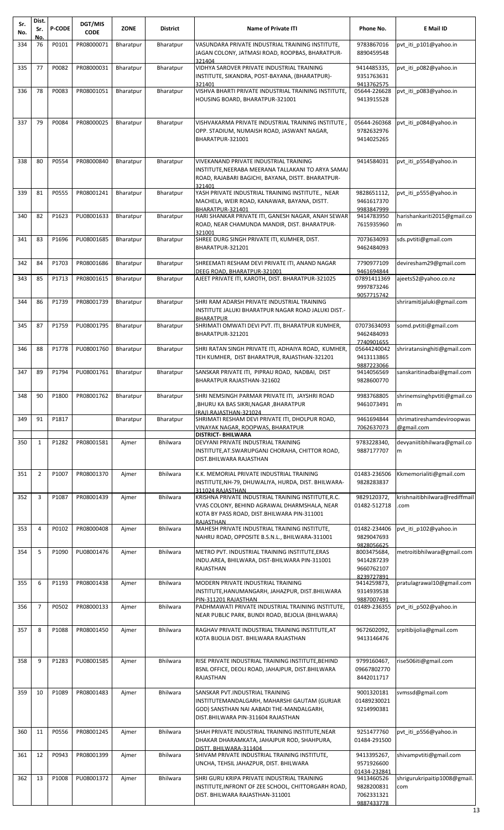| Sr.<br>No. | Dist.<br>Sr.<br>No. | P-CODE | DGT/MIS<br><b>CODE</b> | <b>ZONE</b> | District        | <b>Name of Private ITI</b>                                                                                                                                             | Phone No.                                             | E Mail ID                               |
|------------|---------------------|--------|------------------------|-------------|-----------------|------------------------------------------------------------------------------------------------------------------------------------------------------------------------|-------------------------------------------------------|-----------------------------------------|
| 334        | 76                  | P0101  | PR08000071             | Bharatpur   | Bharatpur       | VASUNDARA PRIVATE INDUSTRIAL TRAINING INSTITUTE,<br>JAGAN COLONY, JATMASI ROAD, ROOPBAS, BHARATPUR-<br>321404                                                          | 9783867016<br>8890459548                              | pvt iti p101@yahoo.in                   |
| 335        | 77                  | P0082  | PR08000031             | Bharatpur   | Bharatpur       | VIDHYA SAROVER PRIVATE INDUSTRIAL TRAINING<br>INSTITUTE, SIKANDRA, POST-BAYANA, (BHARATPUR)-                                                                           | 9414485335,<br>9351763631                             | pvt iti p082@yahoo.in                   |
| 336        | 78                  | P0083  | PR08001051             | Bharatpur   | Bharatpur       | 321401<br>VISHVA BHARTI PRIVATE INDUSTRIAL TRAINING INSTITUTE,<br>HOUSING BOARD, BHARATPUR-321001                                                                      | 9413762575<br>05644-226628<br>9413915528              | pvt iti p083@yahoo.in                   |
| 337        | 79                  | P0084  | PR08000025             | Bharatpur   | Bharatpur       | VISHVAKARMA PRIVATE INDUSTRIAL TRAINING INSTITUTE<br>OPP. STADIUM, NUMAISH ROAD, JASWANT NAGAR,<br>BHARATPUR-321001                                                    | 05644-260368<br>9782632976<br>9414025265              | pvt_iti_p084@yahoo.in                   |
| 338        | 80                  | P0554  | PR08000840             | Bharatpur   | Bharatpur       | VIVEKANAND PRIVATE INDUSTRIAL TRAINING<br>INSTITUTE, NEERABA MEERANA TALLAKANI TO ARYA SAMAJ<br>ROAD, RAJABARI BAGICHI, BAYANA, DISTT. BHARATPUR-<br>321401            | 9414584031                                            | pvt_iti_p554@yahoo.in                   |
| 339        | 81                  | P0555  | PR08001241             | Bharatpur   | Bharatpur       | YASH PRIVATE INDUSTRIAL TRAINING INSTITUTE., NEAR<br>MACHELA, WEIR ROAD, KANAWAR, BAYANA, DISTT.<br>BHARATPUR-321401                                                   | 9828651112,<br>9461617370<br>9983847999               | pvt iti p555@yahoo.in                   |
| 340        | 82                  | P1623  | PU08001633             | Bharatpur   | Bharatpur       | HARI SHANKAR PRIVATE ITI, GANESH NAGAR, ANAH SEWAR<br>ROAD, NEAR CHAMUNDA MANDIR, DIST. BHARATPUR-                                                                     | 9414783950<br>7615935960                              | harishankariti2015@gmail.co<br>m        |
| 341        | 83                  | P1696  | PU08001685             | Bharatpur   | Bharatpur       | 321001<br>SHREE DURG SINGH PRIVATE ITI, KUMHER, DIST.<br>BHARATPUR-321201                                                                                              | 7073634093<br>9462484093                              | sds.pvtiti@gmail.com                    |
| 342        | 84                  | P1703  | PR08001686             | Bharatpur   | Bharatpur       | SHREEMATI RESHAM DEVI PRIVATE ITI, ANAND NAGAR<br>DEEG ROAD, BHARATPUR-321001                                                                                          | 7790977109<br>9461694844                              | deviresham29@gmail.com                  |
| 343        | 85                  | P1713  | PR08001615             | Bharatpur   | Bharatpur       | AJEET PRIVATE ITI, KAROTH, DIST. BHARATPUR-321025                                                                                                                      | 07891411369<br>9997873246<br>9057715742               | ajeets52@yahoo.co.nz                    |
| 344        | 86                  | P1739  | PR08001739             | Bharatpur   | Bharatpur       | SHRI RAM ADARSH PRIVATE INDUSTRIAL TRAINING<br>INSTITUTE JALUKI BHARATPUR NAGAR ROAD JALUKI DIST.-<br><b>BHARATPUR</b>                                                 |                                                       | shriramitijaluki@gmail.com              |
| 345        | 87                  | P1759  | PU08001795             | Bharatpur   | Bharatpur       | SHRIMATI OMWATI DEVI PVT. ITI, BHARATPUR KUMHER,<br>BHARATPUR-321201                                                                                                   | 07073634093<br>9462484093<br>7740901655               | somd.pvtiti@gmail.com                   |
| 346        | 88                  | P1778  | PU08001760             | Bharatpur   | Bharatpur       | SHRI RATAN SINGH PRIVATE ITI, ADHAIYA ROAD, KUMHER,<br>TEH KUMHER, DIST BHARATPUR, RAJASTHAN-321201                                                                    | 05644240042<br>9413113865<br>9887223066               | shriratansinghiti@gmail.com             |
| 347        | 89                  | P1794  | PU08001761             | Bharatpur   | Bharatpur       | SANSKAR PRIVATE ITI, PIPRAU ROAD, NADBAI, DIST<br>BHARATPUR RAJASTHAN-321602                                                                                           | 9414056569<br>9828600770                              | sanskaritinadbai@gmail.com              |
| 348        | 90                  | P1800  | PR08001762             | Bharatpur   | Bharatpur       | SHRI NEMSINGH PARMAR PRIVATE ITI, JAYSHRI ROAD<br>BHURU KA BAS SIKRI,NAGAR ,BHARATPUR,<br>(RAJ).RAJASTHAN-321024                                                       | 9983768805<br>9461073491                              | shrinemsinghpvtiti@gmail.co<br>m        |
| 349        | 91                  | P1817  |                        | Bharatpur   | Bharatpur       | SHRIMATI RESHAM DEVI PRIVATE ITI, DHOLPUR ROAD,<br>VINAYAK NAGAR, ROOPWAS, BHARATPUR                                                                                   | 9461694844<br>7062637073                              | shrimatireshamdeviroopwas<br>@gmail.com |
| 350        | 1                   | P1282  | PR08001581             | Ajmer       | <b>Bhilwara</b> | <b>DISTRICT- BHILWARA</b><br>DEVYANI PRIVATE INDUSTRIAL TRAINING<br>INSTITUTE, AT. SWARUPGANJ CHORAHA, CHITTOR ROAD,<br>DIST.BHILWARA RAJASTHAN                        | 9783228340,<br>9887177707                             | devyaniitibhilwara@gmail.co<br>m        |
| 351        | $\overline{2}$      | P1007  | PR08001370             | Ajmer       | Bhilwara        | K.K. MEMORIAL PRIVATE INDUSTRIAL TRAINING<br>INSTITUTE, NH-79, DHUWALIYA, HURDA, DIST. BHILWARA-                                                                       | 01483-236506<br>9828283837                            | Kkmemorialiti@gmail.com                 |
| 352        | 3                   | P1087  | PR08001439             | Ajmer       | Bhilwara        | 311024 RAJASTHAN<br>KRISHNA PRIVATE INDUSTRIAL TRAINING INSTITUTE, R.C.<br>VYAS COLONY, BEHIND AGRAWAL DHARMSHALA, NEAR<br>KOTA BY PASS ROAD, DIST.BHILWARA PIN-311001 | 9829120372,<br>01482-512718                           | krishnaitibhilwara@rediffmail<br>.com   |
| 353        | 4                   | P0102  | PR08000408             | Ajmer       | <b>Bhilwara</b> | RAJASTHAN<br>MAHESH PRIVATE INDUSTRIAL TRAINING INSTITUTE,<br>NAHRU ROAD, OPPOSITE B.S.N.L., BHILWARA-311001                                                           | 01482-234406<br>9829047693                            | pvt iti p102@yahoo.in                   |
| 354        | 5                   | P1090  | PU08001476             | Ajmer       | <b>Bhilwara</b> | METRO PVT. INDUSTRIAL TRAINING INSTITUTE, ERAS<br>INDU.AREA, BHILWARA, DIST-BHILWARA PIN-311001<br>RAJASTHAN                                                           | 9828056625<br>8003475684,<br>9414287239<br>9660762107 | metroitibhilwara@gmail.com              |
| 355        | 6                   | P1193  | PR08001438             | Ajmer       | <b>Bhilwara</b> | MODERN PRIVATE INDUSTRIAL TRAINING<br>INSTITUTE, HANUMANGARH, JAHAZPUR, DIST. BHILWARA                                                                                 | 8239727891<br>9414259873,<br>9314939538               | pratulagrawal10@gmail.com               |
| 356        | $\overline{7}$      | P0502  | PR08000133             | Ajmer       | <b>Bhilwara</b> | PIN-311201 RAJASTHAN<br>PADHMAWATI PRIVATE INDUSTRIAL TRAINING INSTITUTE,<br>NEAR PUBLIC PARK, BUNDI ROAD, BEJOLIA (BHILWARA)                                          | 9887007491<br>01489-236355                            | pvt iti p502@yahoo.in                   |
| 357        | 8                   | P1088  | PR08001450             | Ajmer       | Bhilwara        | RAGHAV PRIVATE INDUSTRIAL TRAINING INSTITUTE, AT<br>KOTA BIJOLIA DIST. BHILWARA RAJASTHAN                                                                              | 9672602092,<br>9413146476                             | srpitibijolia@gmail.com                 |
| 358        | 9                   | P1283  | PU08001585             | Ajmer       | <b>Bhilwara</b> | RISE PRIVATE INDUSTRIAL TRAINING INSTITUTE, BEHIND<br>BSNL OFFICE, DEOLI ROAD, JAHAJPUR, DIST.BHILWARA<br><b>RAJASTHAN</b>                                             | 9799160467,<br>09667802770<br>8442011717              | rise506iti@gmail.com                    |
| 359        | 10                  | P1089  | PR08001483             | Ajmer       | <b>Bhilwara</b> | SANSKAR PVT.INDUSTRIAL TRAINING<br>INSTITUTEMANDALGARH, MAHARSHI GAUTAM (GURJAR<br>GOD) SANSTHAN NAI AABADI THE-MANDALGARH,<br>DIST.BHILWARA PIN-311604 RAJASTHAN      | 9001320181<br>01489230021<br>9214990381               | svmssd@gmail.com                        |
| 360        | 11                  | P0556  | PR08001245             | Ajmer       | <b>Bhilwara</b> | SHAH PRIVATE INDUSTRIAL TRAINING INSTITUTE, NEAR<br>DHAKAR DHARAMKATA, JAHAJPUR ROD, SHAHPURA,                                                                         | 9251477760<br>01484-291500                            | pvt iti p556@yahoo.in                   |
| 361        | 12                  | P0943  | PR08001399             | Ajmer       | Bhilwara        | DISTT. BHILWARA-311404<br>SHIVAM PRIVATE INDUSTRIAL TRAINING INSTITUTE,<br>UNCHA, TEHSIL JAHAZPUR, DIST. BHILWARA                                                      | 9413395267,<br>9571926600<br>01434-232841             | shivampvtiti@gmail.com                  |
| 362        | 13                  | P1008  | PU08001372             | Ajmer       | Bhilwara        | SHRI GURU KRIPA PRIVATE INDUSTRIAL TRAINING<br>INSTITUTE, INFRONT OF ZEE SCHOOL, CHITTORGARH ROAD,<br>DIST. BHILWARA RAJASTHAN-311001                                  | 9413460526<br>9828200831<br>7062331321<br>9887433778  | shrigurukripaitip1008@gmail.<br>com     |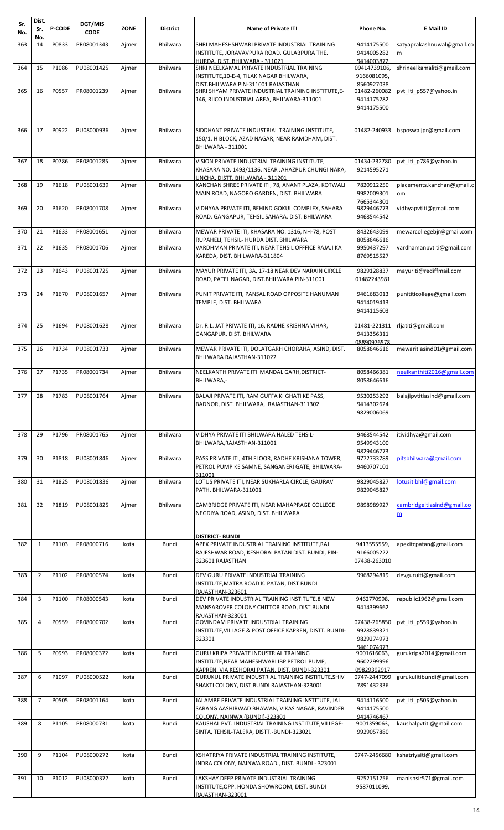| Sr.<br>No. | Dist.<br>Sr.   | <b>P-CODE</b> | DGT/MIS<br><b>CODE</b> | <b>ZONE</b> | <b>District</b> | <b>Name of Private ITI</b>                                                                                                                                 | Phone No.                                              | E Mail ID                        |
|------------|----------------|---------------|------------------------|-------------|-----------------|------------------------------------------------------------------------------------------------------------------------------------------------------------|--------------------------------------------------------|----------------------------------|
| 363        | No.<br>14      | P0833         | PR08001343             | Ajmer       | <b>Bhilwara</b> | SHRI MAHESHSHWARI PRIVATE INDUSTRIAL TRAINING<br>INSTITUTE, JORAVAVPURA ROAD, GULABPURA THE.                                                               | 9414175500<br>9414005282                               | satyaprakashnuwal@gmail.co<br>m  |
| 364        | 15             | P1086         | PU08001425             | Ajmer       | Bhilwara        | HURDA, DIST, BHILWARA - 311021<br>SHRI NEELKAMAL PRIVATE INDUSTRIAL TRAINING<br>INSTITUTE,10-E-4, TILAK NAGAR BHILWARA,                                    | 9414003872<br>09414739106,<br>9166081095,              | shrineelkamaliti@gmail.com       |
| 365        | 16             | P0557         | PR08001239             | Ajmer       | <b>Bhilwara</b> | DIST.BHILWARA PIN-311001 RAJASTHAN<br>SHRI SHYAM PRIVATE INDUSTRIAL TRAINING INSTITUTE, E-<br>146, RIICO INDUSTRIAL AREA, BHILWARA-311001                  | 8560927038<br>01482-260082<br>9414175282<br>9414175500 | pvt_iti_p557@yahoo.in            |
| 366        | 17             | P0922         | PU08000936             | Ajmer       | <b>Bhilwara</b> | SIDDHANT PRIVATE INDUSTRIAL TRAINING INSTITUTE,<br>150/1, H BLOCK, AZAD NAGAR, NEAR RAMDHAM, DIST.<br><b>BHILWARA - 311001</b>                             | 01482-240933                                           | bsposwaljpr@gmail.com            |
| 367        | 18             | P0786         | PR08001285             | Ajmer       | Bhilwara        | VISION PRIVATE INDUSTRIAL TRAINING INSTITUTE,<br>KHASARA NO. 1493/1136, NEAR JAHAZPUR CHUNGI NAKA,<br>UNCHA. DISTT. BHILWARA - 311201                      | 01434-232780<br>9214595271                             | pvt_iti_p786@yahoo.in            |
| 368        | 19             | P1618         | PU08001639             | Ajmer       | <b>Bhilwara</b> | KANCHAN SHREE PRIVATE ITI, 78, ANANT PLAZA, KOTWALI<br>MAIN ROAD, NAGORO GARDEN, DIST. BHILWARA                                                            | 7820912250<br>9982009301<br>7665344301                 | placements.kanchan@gmail.c<br>om |
| 369        | 20             | P1620         | PR08001708             | Ajmer       | <b>Bhilwara</b> | VIDHYAA PRIVATE ITI, BEHIND GOKUL COMPLEX, SAHARA<br>ROAD, GANGAPUR, TEHSIL SAHARA, DIST. BHILWARA                                                         | 9829446773<br>9468544542                               | vidhyapvtiti@gmail.com           |
| 370        | 21             | P1633         | PR08001651             | Ajmer       | <b>Bhilwara</b> | MEWAR PRIVATE ITI, KHASARA NO. 1316, NH-78, POST<br>RUPAHELI, TEHSIL- HURDA DIST. BHILWARA                                                                 | 8432643099<br>8058646616                               | mewarcollegebjr@gmail.com        |
| 371        | 22             | P1635         | PR08001706             | Ajmer       | Bhilwara        | VARDHMAN PRIVATE ITI, NEAR TEHSIL OFFFICE RAJAJI KA<br>KAREDA, DIST. BHILWARA-311804                                                                       | 9950437297<br>8769515527                               | vardhamanpvtiti@gmail.com        |
| 372        | 23             | P1643         | PU08001725             | Ajmer       | Bhilwara        | MAYUR PRIVATE ITI, 3A, 17-18 NEAR DEV NARAIN CIRCLE<br>ROAD, PATEL NAGAR, DIST.BHILWARA PIN-311001                                                         | 9829128837<br>01482243981                              | mayuriti@rediffmail.com          |
| 373        | 24             | P1670         | PU08001657             | Ajmer       | <b>Bhilwara</b> | PUNIT PRIVATE ITI, PANSAL ROAD OPPOSITE HANUMAN<br>TEMPLE, DIST. BHILWARA                                                                                  | 9461683013<br>9414019413<br>9414115603                 | punititicollege@gmail.com        |
| 374        | 25             | P1694         | PU08001628             | Ajmer       | Bhilwara        | Dr. R.L. JAT PRIVATE ITI, 16, RADHE KRISHNA VIHAR,<br>GANGAPUR, DIST. BHILWARA                                                                             | 01481-221311<br>9413356311<br>08890976578              | rljatiti@gmail.com               |
| 375        | 26             | P1734         | PU08001733             | Ajmer       | <b>Bhilwara</b> | MEWAR PRIVATE ITI, DOLATGARH CHORAHA, ASIND, DIST.<br>BHILWARA RAJASTHAN-311022                                                                            | 8058646616                                             | mewaritiasind01@gmail.com        |
| 376        | 27             | P1735         | PR08001734             | Ajmer       | <b>Bhilwara</b> | NEELKANTH PRIVATE ITI MANDAL GARH, DISTRICT-<br>BHILWARA,-                                                                                                 | 8058466381<br>8058646616                               | neelkanthiti2016@gmail.com       |
| 377        | 28             | P1783         | PU08001764             | Ajmer       | <b>Bhilwara</b> | BALAJI PRIVATE ITI, RAM GUFFA KI GHATI KE PASS,<br>BADNOR, DIST. BHILWARA, RAJASTHAN-311302                                                                | 9530253292<br>9414302624<br>9829006069                 | balajipvtitiasind@gmail.com      |
| 378        | 29             | P1796         | PR08001765             | Ajmer       | <b>Bhilwara</b> | VIDHYA PRIVATE ITI BHILWARA HALED TEHSIL-<br>BHILWARA, RAJASTHAN-311001                                                                                    | 9468544542<br>9549943100                               | itividhya@gmail.com              |
| 379        | 30             | P1818         | PU08001846             | Ajmer       | Bhilwara        | PASS PRIVATE ITI, 4TH FLOOR, RADHE KRISHANA TOWER,<br>PETROL PUMP KE SAMNE, SANGANERI GATE, BHILWARA-<br>311001                                            | 9829446773<br>9772733789<br>9460707101                 | pifsbhilwara@gmail.com           |
| 380        | 31             | P1825         | PU08001836             | Ajmer       | <b>Bhilwara</b> | LOTUS PRIVATE ITI, NEAR SUKHARLA CIRCLE, GAURAV<br>PATH, BHILWARA-311001                                                                                   | 9829045827<br>9829045827                               | lotusitibhl@gmail.com            |
| 381        | 32             | P1819         | PU08001825             | Ajmer       | <b>Bhilwara</b> | CAMBRIDGE PRIVATE ITI, NEAR MAHAPRAGE COLLEGE<br>NEGDIYA ROAD, ASIND, DIST. BHILWARA                                                                       | 9898989927                                             | cambridgeitiasind@gmail.co<br>m  |
| 382        | $\mathbf{1}$   | P1103         | PR08000716             | kota        | Bundi           | <b>DISTRICT- BUNDI</b><br>APEX PRIVATE INDUSTRIAL TRAINING INSTITUTE, RAJ                                                                                  | 9413555559,                                            | apexitcpatan@gmail.com           |
|            |                |               |                        |             |                 | RAJESHWAR ROAD, KESHORAI PATAN DIST. BUNDI, PIN-<br>323601 RAJASTHAN                                                                                       | 9166005222<br>07438-263010                             |                                  |
| 383        | $\overline{2}$ | P1102         | PR08000574             | kota        | Bundi           | DEV GURU PRIVATE INDUSTRIAL TRAINING<br>INSTITUTE, MATRA ROAD K. PATAN, DIST BUNDI<br>RAJASTHAN-323601                                                     | 9968294819                                             | devguruiti@gmail.com             |
| 384        | 3              | P1100         | PR08000543             | kota        | Bundi           | DEV PRIVATE INDUSTRIAL TRAINING INSTITUTE,8 NEW<br>MANSAROVER COLONY CHITTOR ROAD, DIST.BUNDI<br>RAJASTHAN-323001                                          | 9462770998,<br>9414399662                              | republic1962@gmail.com           |
| 385        | 4              | P0559         | PR08000702             | kota        | Bundi           | GOVINDAM PRIVATE INDUSTRIAL TRAINING<br>INSTITUTE, VILLAGE & POST OFFICE KAPREN, DISTT. BUNDI-<br>323301                                                   | 07438-265850<br>9928839321<br>9829274973               | pvt_iti_p559@yahoo.in            |
| 386        | 5              | P0993         | PR08000372             | kota        | Bundi           | <b>GURU KRIPA PRIVATE INDUSTRIAL TRAINING</b><br>INSTITUTE, NEAR MAHESHWARI IBP PETROL PUMP,                                                               | 9461074973<br>9001616063,<br>9602299996<br>09829392917 | gurukripa2014@gmail.com          |
| 387        | 6              | P1097         | PU08000522             | kota        | Bundi           | <u>KAPREN, VIA KESHORAI PATAN, DIST. BUNDI-323301</u><br>GURUKUL PRIVATE INDUSTRIAL TRAINING INSTITUTE, SHIV<br>SHAKTI COLONY, DIST.BUNDI RAJASTHAN-323001 | 0747-2447099<br>7891432336                             | gurukulitibundi@gmail.com        |
| 388        | $\overline{7}$ | P0505         | PR08001164             | kota        | Bundi           | JAI AMBE PRIVATE INDUSTRIAL TRAINING INSTITUTE, JAI<br>SARANG AASHIRWAD BHAWAN, VIKAS NAGAR, RAVINDER<br>COLONY. NAINWA (BUNDI)-323801                     | 9414116500<br>9414175500<br>9414746467                 | pvt iti p505@yahoo.in            |
| 389        | 8              | P1105         | PR08000731             | kota        | Bundi           | KAUSHAL PVT. INDUSTRIAL TRAINING INSTITUTE, VILLEGE-<br>SINTA, TEHSIL-TALERA, DISTT.-BUNDI-323021                                                          | 9001359063,<br>9929057880                              | kaushalpvtiti@gmail.com          |
| 390        | 9              | P1104         | PU08000272             | kota        | Bundi           | KSHATRIYA PRIVATE INDUSTRIAL TRAINING INSTITUTE,<br>INDRA COLONY, NAINWA ROAD., DIST. BUNDI - 323001                                                       | 0747-2456680                                           | kshatriyaiti@gmail.com           |
| 391        | 10             | P1012         | PU08000377             | kota        | Bundi           | LAKSHAY DEEP PRIVATE INDUSTRIAL TRAINING<br>INSTITUTE, OPP. HONDA SHOWROOM, DIST. BUNDI<br>RAJASTHAN-323001                                                | 9252151256<br>9587011099,                              | manishsir571@gmail.com           |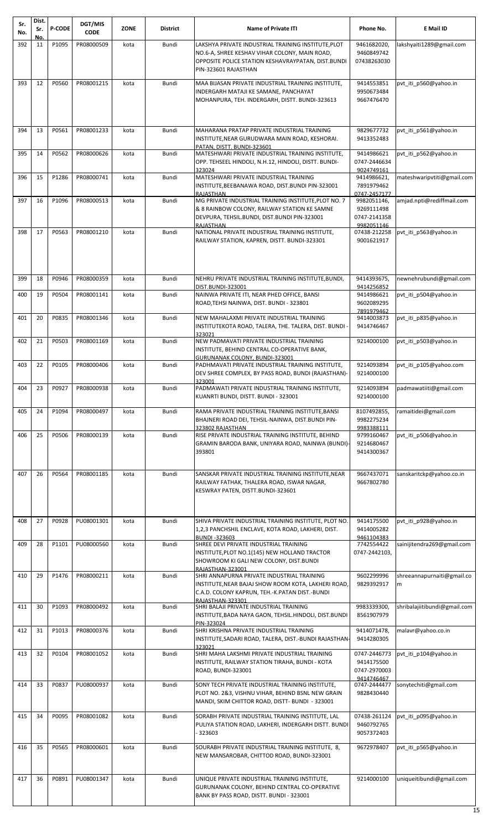| Sr.<br>No. | Dist.<br>Sr. | <b>P-CODE</b> | DGT/MIS<br><b>CODE</b> | <b>ZONE</b> | District | <b>Name of Private ITI</b>                                                                                                                                        | Phone No.                                               | E Mail ID                    |
|------------|--------------|---------------|------------------------|-------------|----------|-------------------------------------------------------------------------------------------------------------------------------------------------------------------|---------------------------------------------------------|------------------------------|
| 392        | No.<br>11    | P1095         | PR08000509             | kota        | Bundi    | LAKSHYA PRIVATE INDUSTRIAL TRAINING INSTITUTE, PLOT                                                                                                               | 9461682020,                                             | lakshyaiti1289@gmail.com     |
|            |              |               |                        |             |          | NO.6-A, SHREE KESHAV VIHAR COLONY, MAIN ROAD,<br>OPPOSITE POLICE STATION KESHAVRAYPATAN, DIST.BUNDI<br>PIN-323601 RAJASTHAN                                       | 9460849742<br>07438263030                               |                              |
| 393        | 12           | P0560         | PR08001215             | kota        | Bundi    | MAA BIJASAN PRIVATE INDUSTRIAL TRAINING INSTITUTE,<br>INDERGARH MATAJI KE SAMANE, PANCHAYAT<br>MOHANPURA, TEH. INDERGARH, DISTT. BUNDI-323613                     | 9414553851<br>9950673484<br>9667476470                  | pvt iti p560@yahoo.in        |
| 394        | 13           | P0561         | PR08001233             | kota        | Bundi    | MAHARANA PRATAP PRIVATE INDUSTRIAL TRAINING<br>INSTITUTE, NEAR GURUDWARA MAIN ROAD, KESHORAI.<br>PATAN, DISTT. BUNDI-323601                                       | 9829677732<br>9413352483                                | pvt iti p561@yahoo.in        |
| 395        | 14           | P0562         | PR08000626             | kota        | Bundi    | MATESHWARI PRIVATE INDUSTRIAL TRAINING INSTITUTE,<br>OPP. TEHSEEL HINDOLI, N.H.12, HINDOLI, DISTT. BUNDI-<br>323024                                               | 9414986621<br>0747-2446634<br>9024749161                | pvt_iti_p562@yahoo.in        |
| 396        | 15           | P1286         | PR08000741             | kota        | Bundi    | MATESHWARI PRIVATE INDUSTRIAL TRAINING<br>INSTITUTE, BEEBANAWA ROAD, DIST. BUNDI PIN-323001<br><b>RAJASTHAN</b>                                                   | 9414986621,<br>7891979462<br>0747-2457177               | mateshwaripvtiti@gmail.com   |
| 397        | 16           | P1096         | PR08000513             | kota        | Bundi    | MG PRIVATE INDUSTRIAL TRAINING INSTITUTE, PLOT NO. 7<br>& 8 RAINBOW COLONY, RAILWAY STATION KE SAMNE<br>DEVPURA, TEHSIL.BUNDI, DIST.BUNDI PIN-323001<br>RAJASTHAN | 9982051146,<br>9269111498<br>0747-2141358<br>9982051146 | amjad.npti@rediffmail.com    |
| 398        | 17           | P0563         | PR08001210             | kota        | Bundi    | NATIONAL PRIVATE INDUSTRIAL TRAINING INSTITUTE,<br>RAILWAY STATION, KAPREN, DISTT. BUNDI-323301                                                                   | 07438-212258<br>9001621917                              | pvt iti p563@yahoo.in        |
| 399        | 18           | P0946         | PR08000359             | kota        | Bundi    | NEHRU PRIVATE INDUSTRIAL TRAINING INSTITUTE, BUNDI,                                                                                                               | 9414393675,                                             | newnehrubundi@gmail.com      |
| 400        | 19           | P0504         | PR08001141             | kota        | Bundi    | DIST.BUNDI-323001<br>NAINWA PRIVATE ITI, NEAR PHED OFFICE, BANSI                                                                                                  | 9414256852<br>9414986621                                | pvt iti p504@yahoo.in        |
| 401        | 20           | P0835         | PR08001346             | kota        | Bundi    | ROAD, TEHSI NAINWA, DIST. BUNDI - 323801<br>NEW MAHALAXMI PRIVATE INDUSTRIAL TRAINING                                                                             | 9602089295<br>7891979462<br>9414003873                  | pvt iti p835@yahoo.in        |
|            |              |               |                        |             |          | INSTITUTEKOTA ROAD, TALERA, THE. TALERA, DIST. BUNDI -<br>323021                                                                                                  | 9414746467                                              |                              |
| 402        | 21           | P0503         | PR08001169             | kota        | Bundi    | NEW PADMAVATI PRIVATE INDUSTRIAL TRAINING<br>INSTITUTE, BEHIND CENTRAL CO-OPERATIVE BANK,<br>GURUNANAK COLONY, BUNDI-323001                                       | 9214000100                                              | pvt iti p503@yahoo.in        |
| 403        | 22           | P0105         | PR08000406             | kota        | Bundi    | PADHMAVATI PRIVATE INDUSTRIAL TRAINING INSTITUTE,<br>DEV SHREE COMPLEX, BY PASS ROAD, BUNDI (RAJASTHAN)-<br>323001                                                | 9214093894<br>9214000100                                | pvt iti p105@yahoo.com       |
| 404        | 23           | P0927         | PR08000938             | kota        | Bundi    | PADMAWATI PRIVATE INDUSTRIAL TRAINING INSTITUTE,<br>KUANRTI BUNDI, DISTT. BUNDI - 323001                                                                          | 9214093894<br>9214000100                                | padmawatiiti@gmail.com       |
| 405        | 24           | P1094         | PR08000497             | kota        | Bundi    | RAMA PRIVATE INDUSTRIAL TRAINING INSTITUTE, BANSI<br>BHAJNERI ROAD DEI, TEHSIL-NAINWA, DIST.BUNDI PIN-<br>323802 RAJASTHAN                                        | 8107492855,<br>9982275234<br>9983388111                 | ramaitidei@gmail.com         |
| 406        | 25           | P0506         | PR08000139             | kota        | Bundi    | RISE PRIVATE INDUSTRIAL TRAINING INSTITUTE, BEHIND<br>GRAMIN BARODA BANK, UNIYARA ROAD, NAINWA (BUNDI)-<br>393801                                                 | 9799160467<br>9214680467<br>9414300367                  | pvt_iti_p506@yahoo.in        |
| 407        | 26           | P0564         | PR08001185             | kota        | Bundi    | SANSKAR PRIVATE INDUSTRIAL TRAINING INSTITUTE, NEAR<br>RAILWAY FATHAK, THALERA ROAD, ISWAR NAGAR,<br>KESWRAY PATEN, DISTT.BUNDI-323601                            | 9667437071<br>9667802780                                | sanskaritckp@yahoo.co.in     |
| 408        | 27           | P0928         | PU08001301             | kota        | Bundi    | SHIVA PRIVATE INDUSTRIAL TRAINING INSTITUTE, PLOT NO.<br>1,2,3 PANCHSHIL ENCLAVE, KOTA ROAD, LAKHERI, DIST.<br><b>BUNDI-323603</b>                                | 9414175500<br>9414005282<br>9461104383                  | pvt_iti_p928@yahoo.in        |
| 409        | 28           | P1101         | PU08000560             | kota        | Bundi    | SHREE DEVI PRIVATE INDUSTRIAL TRAINING<br>INSTITUTE, PLOT NO.1(145) NEW HOLLAND TRACTOR<br>SHOWROOM KI GALI NEW COLONY, DIST.BUNDI                                | 7742554422<br>0747-2442103,                             | sainijitendra269@gmail.com   |
| 410        | 29           | P1476         | PR08000211             | kota        | Bundi    | RAJASTHAN-323001<br>SHRI ANNAPURNA PRIVATE INDUSTRIAL TRAINING                                                                                                    | 9602299996                                              | shreeannapurnaiti@gmail.co   |
|            |              |               |                        |             |          | INSTITUTE, NEAR BAJAJ SHOW ROOM KOTA, LAKHERI ROAD,<br>C.A.D. COLONY KAPRUN, TEH.-K.PATAN DIST.-BUNDI<br>RAJASTHAN-323301                                         | 9829392917                                              | m                            |
| 411        | 30           | P1093         | PR08000492             | kota        | Bundi    | SHRI BALAJI PRIVATE INDUSTRIAL TRAINING<br>INSTITUTE, BADA NAYA GAON, TEHSIL.HINDOLI, DIST.BUNDI<br>PIN-323024                                                    | 9983339300,<br>8561907979                               | shribalajiitibundi@gmail.com |
| 412        | 31           | P1013         | PR08000376             | kota        | Bundi    | SHRI KRISHNA PRIVATE INDUSTRIAL TRAINING<br>INSTITUTE, SADARI ROAD, TALERA, DIST.-BUNDI RAJASTHAN-                                                                | 9414071478,<br>9414280305                               | malavr@yahoo.co.in           |
| 413        | 32           | P0104         | PR08001052             | kota        | Bundi    | 323021<br>SHRI MAHA LAKSHMI PRIVATE INDUSTRIAL TRAINING<br>INSTITUTE, RAILWAY STATION TIRAHA, BUNDI - KOTA<br>ROAD, BUNDI-323001                                  | 0747-2446773<br>9414175500<br>0747-2970003              | pvt iti p104@yahoo.in        |
| 414        | 33           | P0837         | PU08000937             | kota        | Bundi    | SONY TECH PRIVATE INDUSTRIAL TRAINING INSTITUTE,<br>PLOT NO. 2&3, VISHNU VIHAR, BEHIND BSNL NEW GRAIN<br>MANDI, SKIM CHITTOR ROAD, DISTT- BUNDI - 323001          | 9414746467<br>0747-2444477<br>9828430440                | sonytechiti@gmail.com        |
| 415        | 34           | P0095         | PR08001082             | kota        | Bundi    | SORABH PRIVATE INDUSTRIAL TRAINING INSTITUTE, LAL<br>PULIYA STATION ROAD, LAKHERI, INDERGARH DISTT. BUNDI<br>323603                                               | 07438-261124<br>9460792765<br>9057372403                | pvt_iti_p095@yahoo.in        |
| 416        | 35           | P0565         | PR08000601             | kota        | Bundi    | SOURABH PRIVATE INDUSTRIAL TRAINING INSTITUTE, 8,<br>NEW MANSAROBAR, CHITTOD ROAD, BUNDI-323001                                                                   | 9672978407                                              | pvt_iti_p565@yahoo.in        |
| 417        | 36           | P0891         | PU08001347             | kota        | Bundi    | UNIQUE PRIVATE INDUSTRIAL TRAINING INSTITUTE,                                                                                                                     | 9214000100                                              | uniqueitibundi@gmail.com     |
|            |              |               |                        |             |          | GURUNANAK COLONY, BEHIND CENTRAL CO-OPERATIVE<br>BANK BY PASS ROAD, DISTT. BUNDI - 323001                                                                         |                                                         |                              |
|            |              |               |                        |             |          |                                                                                                                                                                   |                                                         | 15                           |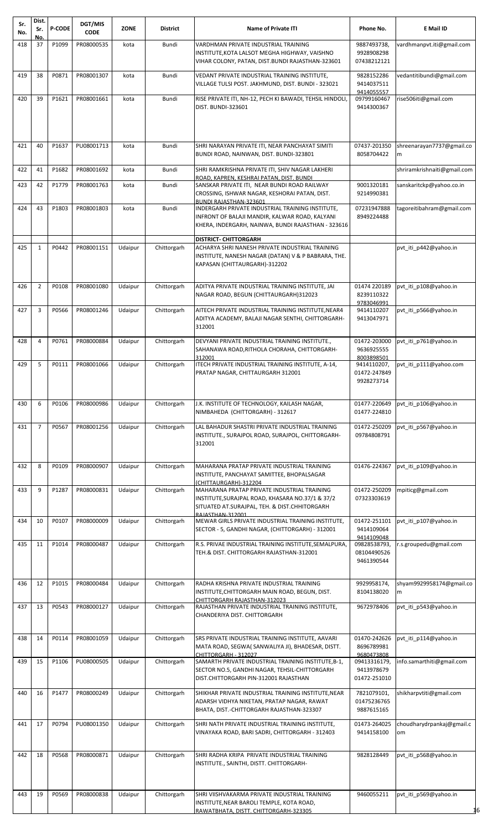| Sr.<br>No. | Dist.<br>Sr.   | <b>P-CODE</b> | DGT/MIS<br><b>CODE</b> | <b>ZONE</b> | <b>District</b> | <b>Name of Private ITI</b>                                                                                                                                              | Phone No.                                  | E Mail ID                       |
|------------|----------------|---------------|------------------------|-------------|-----------------|-------------------------------------------------------------------------------------------------------------------------------------------------------------------------|--------------------------------------------|---------------------------------|
| 418        | No.<br>37      | P1099         | PR08000535             | kota        | Bundi           | VARDHMAN PRIVATE INDUSTRIAL TRAINING                                                                                                                                    | 9887493738,                                | vardhmanpvt.iti@gmail.com       |
|            |                |               |                        |             |                 | INSTITUTE, KOTA LALSOT MEGHA HIGHWAY, VAISHNO<br>VIHAR COLONY, PATAN, DIST.BUNDI RAJASTHAN-323601                                                                       | 9928908298<br>07438212121                  |                                 |
| 419        | 38             | P0871         | PR08001307             | kota        | Bundi           | VEDANT PRIVATE INDUSTRIAL TRAINING INSTITUTE,<br>VILLAGE TULSI POST. JAKHMUND, DIST. BUNDI - 323021                                                                     | 9828152286<br>9414037511<br>9414055557     | vedantitibundi@gmail.com        |
| 420        | 39             | P1621         | PR08001661             | kota        | Bundi           | RISE PRIVATE ITI, NH-12, PECH KI BAWADI, TEHSIL HINDOLI,                                                                                                                | 09799160467                                | rise506iti@gmail.com            |
|            |                |               |                        |             |                 | DIST. BUNDI-323601                                                                                                                                                      | 9414300367                                 |                                 |
| 421        | 40             | P1637         | PU08001713             | kota        | Bundi           | SHRI NARAYAN PRIVATE ITI, NEAR PANCHAYAT SIMITI<br>BUNDI ROAD, NAINWAN, DIST. BUNDI-323801                                                                              | 07437-201350<br>8058704422                 | shreenarayan7737@gmail.co<br>m  |
| 422        | 41             | P1682         | PR08001692             | kota        | Bundi           | SHRI RAMKRISHNA PRIVATE ITI, SHIV NAGAR LAKHERI<br>ROAD, KAPREN, KESHRAI PATAN, DIST. BUNDI                                                                             |                                            | shriramkrishnaiti@gmail.com     |
| 423        | 42             | P1779         | PR08001763             | kota        | Bundi           | SANSKAR PRIVATE ITI, NEAR BUNDI ROAD RAILWAY<br>CROSSING, ISHWAR NAGAR, KESHORAI PATAN, DIST.<br>BUNDI RAJASTHAN-323601                                                 | 9001320181<br>9214990381                   | sanskaritckp@yahoo.co.in        |
| 424        | 43             | P1803         | PR08001803             | kota        | Bundi           | INDERGARH PRIVATE INDUSTRIAL TRAINING INSTITUTE,                                                                                                                        | 07231947888                                | tagoreitibahram@gmail.com       |
|            |                |               |                        |             |                 | INFRONT OF BALAJI MANDIR, KALWAR ROAD, KALYANI<br>KHERA, INDERGARH, NAINWA, BUNDI RAJASTHAN - 323616                                                                    | 8949224488                                 |                                 |
| 425        | $\mathbf{1}$   | P0442         | PR08001151             | Udaipur     | Chittorgarh     | <b>DISTRICT- CHITTORGARH</b><br>ACHARYA SHRI NANESH PRIVATE INDUSTRIAL TRAINING<br>INSTITUTE, NANESH NAGAR (DATAN) V & P BABRARA, THE.<br>KAPASAN (CHITTAURGARH)-312202 |                                            | pvt iti p442@yahoo.in           |
| 426        | $\overline{2}$ | P0108         | PR08001080             | Udaipur     | Chittorgarh     | ADITYA PRIVATE INDUSTRIAL TRAINING INSTITUTE, JAI<br>NAGAR ROAD, BEGUN (CHITTAURGARH)312023                                                                             | 01474 220189<br>8239110322                 | pvt iti p108@yahoo.in           |
| 427        | 3              | P0566         | PR08001246             | Udaipur     | Chittorgarh     | AITECH PRIVATE INDUSTRIAL TRAINING INSTITUTE, NEAR4<br>ADITYA ACADEMY, BALAJI NAGAR SENTHI, CHITTORGARH-<br>312001                                                      | 9783046991<br>9414110207<br>9413047971     | pvt_iti_p566@yahoo.in           |
| 428        | 4              | P0761         | PR08000884             | Udaipur     | Chittorgarh     | DEVYANI PRIVATE INDUSTRIAL TRAINING INSTITUTE.,<br>SAHANAWA ROAD, RITHOLA CHORAHA, CHITTORGARH-<br>312001                                                               | 01472-203000<br>9636925555<br>8003898501   | pvt_iti_p761@yahoo.in           |
| 429        | 5              | P0111         | PR08001066             | Udaipur     | Chittorgarh     | ITECH PRIVATE INDUSTRIAL TRAINING INSTITUTE, A-14,<br>PRATAP NAGAR, CHITTAURGARH 312001                                                                                 | 9414110207,<br>01472-247849<br>9928273714  | pvt iti p111@yahoo.com          |
| 430        | 6              | P0106         | PR08000986             | Udaipur     | Chittorgarh     | J.K. INSTITUTE OF TECHNOLOGY, KAILASH NAGAR,<br>NIMBAHEDA (CHITTORGARH) - 312617                                                                                        | 01477-220649<br>01477-224810               | pvt_iti_p106@yahoo.in           |
| 431        | $\overline{7}$ | P0567         | PR08001256             | Udaipur     | Chittorgarh     | LAL BAHADUR SHASTRI PRIVATE INDUSTRIAL TRAINING<br>INSTITUTE., SURAJPOL ROAD, SURAJPOL, CHITTORGARH-<br>312001                                                          | 01472-250209<br>09784808791                | pvt_iti_p567@yahoo.in           |
| 432        | 8              | P0109         | PR08000907             | Udaipur     | Chittorgarh     | MAHARANA PRATAP PRIVATE INDUSTRIAL TRAINING<br>INSTITUTE, PANCHAYAT SAMITTEE, BHOPALSAGAR<br>(CHITTAURGARH)-312204                                                      | 01476-224367                               | pvt iti p109@yahoo.in           |
| 433        | 9              | P1287         | PR08000831             | Udaipur     | Chittorgarh     | MAHARANA PRATAP PRIVATE INDUSTRIAL TRAINING<br>INSTITUTE, SURAJPAL ROAD, KHASARA NO.37/1 & 37/2<br>SITUATED AT.SURAJPAL, TEH. & DIST.CHHITORGARH                        | 01472-250209<br>07323303619                | mpiticg@gmail.com               |
| 434        | 10             | P0107         | PR08000009             | Udaipur     | Chittorgarh     | RAIASTHAN-312001<br>MEWAR GIRLS PRIVATE INDUSTRIAL TRAINING INSTITUTE,<br>SECTOR - 5, GANDHI NAGAR, (CHITTORGARH) - 312001                                              | 01472-251101<br>9414109064<br>9414109048   | pvt_iti_p107@yahoo.in           |
| 435        | 11             | P1014         | PR08000487             | Udaipur     | Chittorgarh     | R.S. PRIVAE INDUSTRIAL TRAINING INSTITUTE, SEMALPURA,<br>TEH.& DIST. CHITTORGARH RAJASTHAN-312001                                                                       | 09828538793,<br>08104490526<br>9461390544  | s.groupedu@gmail.com.           |
| 436        | 12             | P1015         | PR08000484             | Udaipur     | Chittorgarh     | RADHA KRISHNA PRIVATE INDUSTRIAL TRAINING<br>INSTITUTE, CHITTORGARH MAIN ROAD, BEGUN, DIST.<br>CHITTORGARH RAJASTHAN-312023                                             | 9929958174,<br>8104138020                  | shyam9929958174@gmail.co<br>m   |
| 437        | 13             | P0543         | PR08000127             | Udaipur     | Chittorgarh     | RAJASTHAN PRIVATE INDUSTRIAL TRAINING INSTITUTE,<br>CHANDERIYA DIST. CHITTORGARH                                                                                        | 9672978406                                 | pvt iti p543@yahoo.in           |
| 438        | 14             | P0114         | PR08001059             | Udaipur     | Chittorgarh     | SRS PRIVATE INDUSTRIAL TRAINING INSTITUTE, AAVARI                                                                                                                       | 01470-242626                               | pvt iti p114@yahoo.in           |
|            |                |               |                        |             |                 | MATA ROAD, SEGWA( SANWALIYA JI), BHADESAR, DISTT.                                                                                                                       | 8696789981<br>9680473808                   |                                 |
| 439        | 15             | P1106         | PU08000505             | Udaipur     | Chittorgarh     | CHITTORGARH - 312027<br>SAMARTH PRIVATE INDUSTRIAL TRAINING INSTITUTE, B-1,<br>SECTOR NO.5, GANDHI NAGAR, TEHSIL-CHITTORGARH<br>DIST.CHITTORGARH PIN-312001 RAJASTHAN   | 09413316179,<br>9413978679<br>01472-251010 | info.samarthiti@gmail.com       |
| 440        | 16             | P1477         | PR08000249             | Udaipur     | Chittorgarh     | SHIKHAR PRIVATE INDUSTRIAL TRAINING INSTITUTE, NEAR<br>ADARSH VIDHYA NIKETAN, PRATAP NAGAR, RAWAT<br>BHATA, DIST.-CHITTORGARH RAJASTHAN-323307                          | 7821079101,<br>01475236765<br>9887615165   | shikharpvtiti@gmail.com         |
| 441        | 17             | P0794         | PU08001350             | Udaipur     | Chittorgarh     | SHRI NATH PRIVATE INDUSTRIAL TRAINING INSTITUTE,<br>VINAYAKA ROAD, BARI SADRI, CHITTORGARH - 312403                                                                     | 01473-264025<br>9414158100                 | choudharydrpankaj@gmail.c<br>om |
| 442        | 18             | P0568         | PR08000871             | Udaipur     | Chittorgarh     | SHRI RADHA KRIPA PRIVATE INDUSTRIAL TRAINING<br>INSTITUTE., SAINTHI, DISTT. CHITTORGARH-                                                                                | 9828128449                                 | pvt iti p568@yahoo.in           |
| 443        | 19             | P0569         | PR08000838             | Udaipur     | Chittorgarh     | SHRI VIISHVAKARMA PRIVATE INDUSTRIAL TRAINING<br>INSTITUTE, NEAR BAROLI TEMPLE, KOTA ROAD,<br>RAWATBHATA, DISTT, CHITTORGARH-323305                                     | 9460055211                                 | pvt_iti_p569@yahoo.in<br>16     |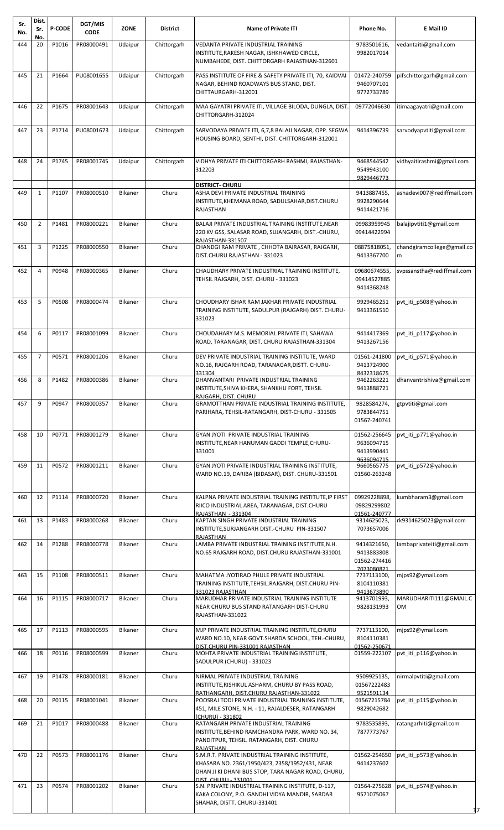| Sr.<br>No. | Dist.<br>Sr.   | <b>P-CODE</b> | DGT/MIS<br><b>CODE</b> | <b>ZONE</b>    | <b>District</b> | <b>Name of Private ITI</b>                                                                               | Phone No.                   | E Mail ID                    |
|------------|----------------|---------------|------------------------|----------------|-----------------|----------------------------------------------------------------------------------------------------------|-----------------------------|------------------------------|
| 444        | No.<br>20      | P1016         | PR08000491             | Udaipur        | Chittorgarh     | VEDANTA PRIVATE INDUSTRIAL TRAINING                                                                      | 9783501616,                 | vedantaiti@gmail.com         |
|            |                |               |                        |                |                 | INSTITUTE, RAKESH NAGAR, ISHKHAWED CIRCLE,                                                               | 9982017014                  |                              |
|            |                |               |                        |                |                 | NUMBAHEDE, DIST. CHITTORGARH RAJASTHAN-312601                                                            |                             |                              |
| 445        | 21             | P1664         | PU08001655             | Udaipur        | Chittorgarh     | PASS INSTITUTE OF FIRE & SAFETY PRIVATE ITI, 70, KAIDVAI                                                 | 01472-240759                | pifschittorgarh@gmail.com    |
|            |                |               |                        |                |                 | NAGAR, BEHIND ROADWAYS BUS STAND, DIST.                                                                  | 9460707101                  |                              |
|            |                |               |                        |                |                 | CHITTAURGARH-312001                                                                                      | 9772733789                  |                              |
| 446        | 22             | P1675         | PR08001643             | Udaipur        | Chittorgarh     | MAA GAYATRI PRIVATE ITI, VILLAGE BILODA, DUNGLA, DIST.                                                   | 09772046630                 | itimaagayatri@gmail.com      |
|            |                |               |                        |                |                 | CHITTORGARH-312024                                                                                       |                             |                              |
| 447        | 23             | P1714         | PU08001673             | Udaipur        | Chittorgarh     | SARVODAYA PRIVATE ITI, 6,7,8 BALAJI NAGAR, OPP. SEGWA                                                    | 9414396739                  | sarvodyapvtiti@gmail.com     |
|            |                |               |                        |                |                 | HOUSING BOARD, SENTHI, DIST. CHITTORGARH-312001                                                          |                             |                              |
|            |                |               |                        |                |                 |                                                                                                          |                             |                              |
| 448        | 24             | P1745         | PR08001745             | Udaipur        | Chittorgarh     | VIDHYA PRIVATE ITI CHITTORGARH RASHMI, RAJASTHAN-                                                        | 9468544542                  | vidhyaitirashmi@gmail.com    |
|            |                |               |                        |                |                 | 312203                                                                                                   | 9549943100<br>9829446773    |                              |
|            |                |               |                        |                |                 | <b>DISTRICT- CHURU</b>                                                                                   |                             |                              |
| 449        | $\mathbf{1}$   | P1107         | PR08000510             | Bikaner        | Churu           | ASHA DEVI PRIVATE INDUSTRIAL TRAINING<br>INSTITUTE, KHEMANA ROAD, SADULSAHAR, DIST.CHURU                 | 9413887455,<br>9928290644   | ashadevi007@rediffmail.com   |
|            |                |               |                        |                |                 | <b>RAJASTHAN</b>                                                                                         | 9414421716                  |                              |
| 450        | $\overline{2}$ | P1481         | PR08000221             | <b>Bikaner</b> | Churu           | BALAJI PRIVATE INDUSTRIAL TRAINING INSTITUTE, NEAR                                                       | 09983959945                 | balajipvtiti1@gmail.com      |
|            |                |               |                        |                |                 | 220 KV GSS, SALASAR ROAD, SUJANGARH, DIST.-CHURU,                                                        | 09414422994                 |                              |
| 451        | 3              | P1225         | PR08000550             | Bikaner        | Churu           | RAJASTHAN-331507<br>CHANDGI RAM PRIVATE, CHHOTA BAIRASAR, RAJGARH,                                       | 08875818051,                | chandgiramcollege@gmail.co   |
|            |                |               |                        |                |                 | DIST.CHURU RAJASTHAN - 331023                                                                            | 9413367700                  | m                            |
|            | 4              | P0948         |                        |                |                 |                                                                                                          |                             |                              |
| 452        |                |               | PR08000365             | Bikaner        | Churu           | CHAUDHARY PRIVATE INDUSTRIAL TRAINING INSTITUTE,<br>TEHSIL RAJGARH, DIST. CHURU - 331023                 | 09680674555,<br>09414527885 | svpssanstha@rediffmail.com   |
|            |                |               |                        |                |                 |                                                                                                          | 9414368248                  |                              |
| 453        | 5              | P0508         | PR08000474             | Bikaner        | Churu           | CHOUDHARY ISHAR RAM JAKHAR PRIVATE INDUSTRIAL                                                            | 9929465251                  | pvt iti p508@yahoo.in        |
|            |                |               |                        |                |                 | TRAINING INSTITUTE, SADULPUR (RAJGARH) DIST. CHURU-                                                      | 9413361510                  |                              |
|            |                |               |                        |                |                 | 331023                                                                                                   |                             |                              |
| 454        | 6              | P0117         | PR08001099             | Bikaner        | Churu           | CHOUDAHARY M.S. MEMORIAL PRIVATE ITI, SAHAWA                                                             | 9414417369                  | pvt iti p117@yahoo.in        |
|            |                |               |                        |                |                 | ROAD, TARANAGAR, DIST. CHURU RAJASTHAN-331304                                                            | 9413267156                  |                              |
| 455        | $\overline{7}$ | P0571         | PR08001206             | Bikaner        | Churu           | DEV PRIVATE INDUSTRIAL TRAINING INSTITUTE, WARD                                                          | 01561-241800                | pvt_iti_p571@yahoo.in        |
|            |                |               |                        |                |                 | NO.16, RAJGARH ROAD, TARANAGAR, DISTT. CHURU-                                                            | 9413724900                  |                              |
| 456        | 8              | P1482         | PR08000386             | Bikaner        | Churu           | 331304<br>DHANVANTARI PRIVATE INDUSTRIAL TRAINING                                                        | 8432318675<br>9462263221    | dhanvantrishiva@gmail.com    |
|            |                |               |                        |                |                 | INSTITUTE, SHIVA KHERA, SHANKHU FORT, TEHSIL                                                             | 9413888721                  |                              |
| 457        | 9              | P0947         | PR08000357             | Bikaner        | Churu           | RAJGARH, DIST, CHURU<br><b>GRAMOTTHAN PRIVATE INDUSTRIAL TRAINING INSTITUTE,</b>                         | 9828584274,                 | gtpvtiti@gmail.com           |
|            |                |               |                        |                |                 | PARIHARA, TEHSIL-RATANGARH, DIST-CHURU - 331505                                                          | 9783844751                  |                              |
|            |                |               |                        |                |                 |                                                                                                          | 01567-240741                |                              |
| 458        | 10             | P0771         | PR08001279             | Bikaner        | Churu           | GYAN JYOTI PRIVATE INDUSTRIAL TRAINING                                                                   | 01562-256645                | pvt_iti_p771@yahoo.in        |
|            |                |               |                        |                |                 | INSTITUTE, NEAR HANUMAN GADDI TEMPLE, CHURU-                                                             | 9636094715                  |                              |
|            |                |               |                        |                |                 | 331001                                                                                                   | 9413990441<br>9636094715    |                              |
| 459        | 11             | P0572         | PR08001211             | Bikaner        | Churu           | GYAN JYOTI PRIVATE INDUSTRIAL TRAINING INSTITUTE,                                                        | 9660565775                  | pvt_iti_p572@yahoo.in        |
|            |                |               |                        |                |                 | WARD NO.19, DARIBA (BIDASAR), DIST. CHURU-331501                                                         | 01560-263248                |                              |
|            |                |               |                        |                |                 |                                                                                                          |                             |                              |
| 460        | 12             | P1114         | PR08000720             | Bikaner        | Churu           | KALPNA PRIVATE INDUSTRIAL TRAINING INSTITUTE, IP FIRST<br>RIICO INDUSTRIAL AREA, TARANAGAR, DIST.CHURU   | 09929228898,<br>09829299802 | kumbharam3@gmail.com         |
|            |                |               |                        |                |                 | RAJASTHAN - 331304                                                                                       | 01561-240777                |                              |
| 461        | 13             | P1483         | PR08000268             | Bikaner        | Churu           | KAPTAN SINGH PRIVATE INDUSTRIAL TRAINING                                                                 | 9314625023,                 | rk9314625023@gmail.com       |
|            |                |               |                        |                |                 | INSTITUTE, SURJANGARH DIST.-CHURU PIN-331507<br>RAJASTHAN                                                | 7073657006                  |                              |
| 462        | 14             | P1288         | PR08000778             | Bikaner        | Churu           | LAMBA PRIVATE INDUSTRIAL TRAINING INSTITUTE, N.H.                                                        | 9414321650,                 | lambaprivateiti@gmail.com    |
|            |                |               |                        |                |                 | NO.65 RAJGARH ROAD, DIST.CHURU RAJASTHAN-331001                                                          | 9413883808<br>01562-274416  |                              |
|            |                |               |                        |                |                 |                                                                                                          | 7073080821                  |                              |
| 463        | 15             | P1108         | PR08000511             | Bikaner        | Churu           | MAHATMA JYOTIRAO PHULE PRIVATE INDUSTRIAL<br>TRAINING INSTITUTE, TEHSIL.RAJGARH, DIST.CHURU PIN-         | 7737113100,<br>8104110381   | mjps92@ymail.com             |
|            |                |               |                        |                |                 | 331023 RAJASTHAN                                                                                         | 9413673890                  |                              |
| 464        | 16             | P1115         | PR08000717             | Bikaner        | Churu           | MARUDHAR PRIVATE INDUSTRIAL TRAINING INSTITUTE<br>NEAR CHURU BUS STAND RATANGARH DIST-CHURU              | 9413701993,<br>9828131993   | MARUDHARITI111@GMAIL.C<br>OМ |
|            |                |               |                        |                |                 | RAJASTHAN-331022                                                                                         |                             |                              |
| 465        | 17             | P1113         | PR08000595             | Bikaner        | Churu           | MJP PRIVATE INDUSTRIAL TRAINING INSTITUTE, CHURU                                                         | 7737113100,                 | mjps92@ymail.com             |
|            |                |               |                        |                |                 | WARD NO.10, NEAR GOVT.SHARDA SCHOOL, TEH.-CHURU,                                                         | 8104110381                  |                              |
|            |                |               |                        |                |                 | DIST.CHURU PIN-331001 RAJASTHAN                                                                          | 01562-250671                |                              |
| 466        | 18             | P0116         | PR08000599             | Bikaner        | Churu           | MOHTA PRIVATE INDUSTRIAL TRAINING INSTITUTE,<br>SADULPUR (CHURU) - 331023                                | 01559-222107                | pvt iti p116@yahoo.in        |
|            |                |               |                        |                |                 |                                                                                                          |                             |                              |
| 467        | 19             | P1478         | PR08000181             | Bikaner        | Churu           | NIRMAL PRIVATE INDUSTRIAL TRAINING<br>INSTITUTE, RISHIKUL ASHARM, CHURU BY PASS ROAD,                    | 9509925135,<br>01567222483  | nirmalpvtiti@gmail.com       |
|            |                |               |                        |                |                 | RATHANGARH, DIST.CHURU RAJASTHAN-331022                                                                  | 9521591134                  |                              |
| 468        | 20             | P0115         | PR08001041             | Bikaner        | Churu           | POOSRAJ TODI PRIVATE INDUSTRIAL TRAINING INSTITUTE,<br>451, MILE STONE, N.H. - 11, RAJALDESER, RATANGARH | 01567215784<br>9829042682   | pvt iti p115@yahoo.in        |
|            |                |               |                        |                |                 | (CHURU) - 331802                                                                                         |                             |                              |
| 469        | 21             | P1017         | PR08000488             | Bikaner        | Churu           | RATANGARH PRIVATE INDUSTRIAL TRAINING<br>INSTITUTE, BEHIND RAMCHANDRA PARK, WARD NO. 34,                 | 9783535893,                 | ratangarhiti@gmail.com       |
|            |                |               |                        |                |                 | PANDITPUR, TEHSIL. RATANGARH, DIST. CHURU                                                                | 7877773767                  |                              |
|            |                |               |                        |                |                 | RAJASTHAN                                                                                                |                             |                              |
| 470        | 22             | P0573         | PR08001176             | Bikaner        | Churu           | S.M.R.T. PRIVATE INDUSTRIAL TRAINING INSTITUTE,<br>KHASARA NO. 2361/1950/423, 2358/1952/431, NEAR        | 01562-254650<br>9414237602  | pvt iti p573@yahoo.in        |
|            |                |               |                        |                |                 | DHAN JI KI DHANI BUS STOP, TARA NAGAR ROAD, CHURU,                                                       |                             |                              |
| 471        | 23             | P0574         | PR08001202             | Bikaner        | Churu           | <b>DIST. CHURU - 331001</b><br>S.N. PRIVATE INDUSTRIAL TRAINING INSTITUTE, D-117,                        | 01564-275628                | pvt_iti_p574@yahoo.in        |
|            |                |               |                        |                |                 | KAKA COLONY, P.O. GANDHI VIDYA MANDIR, SARDAR                                                            | 9571075067                  |                              |
|            |                |               |                        |                |                 | SHAHAR, DISTT. CHURU-331401                                                                              |                             |                              |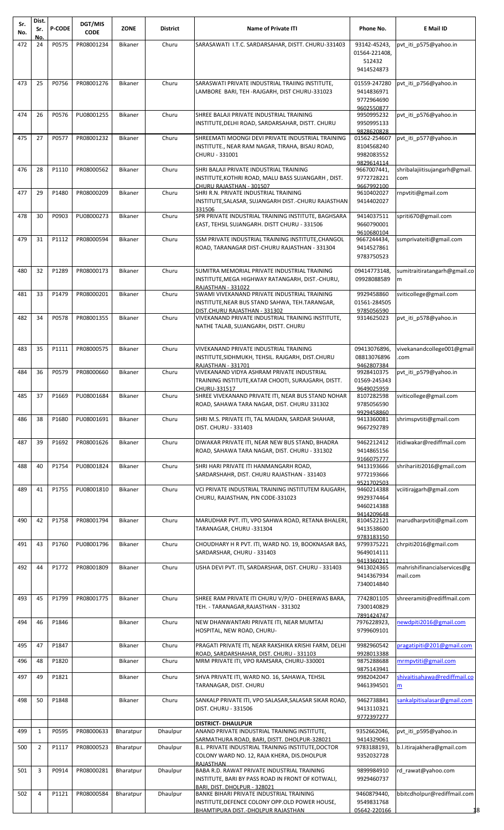| Sr.<br>No. | Dist.<br>Sr.   | <b>P-CODE</b> | DGT/MIS<br><b>CODE</b> | <b>ZONE</b>    | <b>District</b> | <b>Name of Private ITI</b>                                                                                                                    | Phone No.                                              | E Mail ID                               |
|------------|----------------|---------------|------------------------|----------------|-----------------|-----------------------------------------------------------------------------------------------------------------------------------------------|--------------------------------------------------------|-----------------------------------------|
| 472        | No.<br>24      | P0575         | PR08001234             | Bikaner        | Churu           | SARASAWATI I.T.C. SARDARSAHAR, DISTT. CHURU-331403                                                                                            | 93142-45243                                            | pvt_iti_p575@yahoo.in                   |
|            |                |               |                        |                |                 |                                                                                                                                               | 01564-221408,<br>512432<br>9414524873                  |                                         |
| 473        | 25             | P0756         | PR08001276             | Bikaner        | Churu           | SARASWATI PRIVATE INDUSTRIAL TRAIING INSTITUTE,<br>LAMBORE BARI, TEH -RAJGARH, DIST CHURU-331023                                              | 01559-247280<br>9414836971<br>9772964690<br>9602550877 | pvt iti p756@yahoo.in                   |
| 474        | 26             | P0576         | PU08001255             | Bikaner        | Churu           | SHREE BALAJI PRIVATE INDUSTRIAL TRAINING<br>INSTITUTE, DELHI ROAD, SARDARSAHAR, DISTT. CHURU                                                  | 9950995232<br>9950995133                               | pvt iti p576@yahoo.in                   |
| 475        | 27             | P0577         | PR08001232             | Bikaner        | Churu           | SHREEMATI MOONGI DEVI PRIVATE INDUSTRIAL TRAINING<br>INSTITUTE., NEAR RAM NAGAR, TIRAHA, BISAU ROAD,<br>CHURU - 331001                        | 9828620828<br>01562-254607<br>8104568240<br>9982083552 | pvt iti p577@yahoo.in                   |
| 476        | 28             | P1110         | PR08000562             | <b>Bikaner</b> | Churu           | SHRI BALAJI PRIVATE INDUSTRIAL TRAINING<br>INSTITUTE, KOTHRI ROAD, MALU BASS SUJANGARH, DIST.<br>CHURU RAJASTHAN - 301507                     | 9829614114<br>9667007441,<br>9772728221<br>9667992100  | shribalajiitisujangarh@gmail.<br>com    |
| 477        | 29             | P1480         | PR08000209             | Bikaner        | Churu           | SHRI R.N. PRIVATE INDUSTRIAL TRAINING<br>INSTITUTE, SALASAR, SUJANGARH DIST.-CHURU RAJASTHAN<br>331506                                        | 9610402027<br>9414402027                               | rnpvtiti@gmail.com                      |
| 478        | 30             | P0903         | PU08000273             | Bikaner        | Churu           | SPR PRIVATE INDUSTRIAL TRAINING INSTITUTE, BAGHSARA<br>EAST, TEHSIL SUJANGARH. DISTT CHURU - 331506                                           | 9414037511<br>9660790001<br>9610680104                 | spriti670@gmail.com                     |
| 479        | 31             | P1112         | PR08000594             | Bikaner        | Churu           | SSM PRIVATE INDUSTRIAL TRAINING INSTITUTE, CHANGOL<br>ROAD, TARANAGAR DIST-CHURU RAJASTHAN - 331304                                           | 9667244434,<br>9414527861<br>9783750523                | ssmprivateiti@gmail.com                 |
| 480        | 32             | P1289         | PR08000173             | <b>Bikaner</b> | Churu           | SUMITRA MEMORIAL PRIVATE INDUSTRIAL TRAINING<br>INSTITUTE, MEGA HIGHWAY RATANGARH, DIST.-CHURU,<br><b>RAJASTHAN - 331022</b>                  | 09414773148,<br>09928088589                            | sumitraitiratangarh@gmail.co<br>m       |
| 481        | 33             | P1479         | PR08000201             | <b>Bikaner</b> | Churu           | SWAMI VIVEKANAND PRIVATE INDUSTRIAL TRAINING<br>INSTITUTE, NEAR BUS STAND SAHWA, TEH. TARANGAR,<br>DIST.CHURU RAJASTHAN - 331302              | 9929458860<br>01561-284505<br>9785056590               | sviticollege@gmail.com                  |
| 482        | 34             | P0578         | PR08001355             | <b>Bikaner</b> | Churu           | VIVEKANAND PRIVATE INDUSTRIAL TRAINING INSTITUTE,<br>NATHE TALAB, SUJANGARH, DISTT. CHURU                                                     | 9314625023                                             | pvt iti p578@yahoo.in                   |
| 483        | 35             | P1111         | PR08000575             | <b>Bikaner</b> | Churu           | <b>VIVEKANAND PRIVATE INDUSTRIAL TRAINING</b><br>INSTITUTE, SIDHMUKH, TEHSIL. RAJGARH, DIST.CHURU<br>RAJASTHAN - 331701                       | 09413076896,<br>08813076896<br>9462807384              | vivekanandcollege001@gmail<br>.com      |
| 484        | 36             | P0579         | PR08000660             | Bikaner        | Churu           | VIVEKANAND VIDYA ASHRAM PRIVATE INDUSTRIAL<br>TRAINING INSTITUTE, KATAR CHOOTI, SURAJGARH, DISTT.<br>CHURU-331517                             | 9928410375<br>01569-245343<br>9649025959               | pvt iti p579@yahoo.in                   |
| 485        | 37             | P1669         | PU08001684             | Bikaner        | Churu           | SHREE VIVEKANAND PRIVATE ITI, NEAR BUS STAND NOHAR<br>ROAD, SAHAWA TARA NAGAR, DIST. CHURU 331302                                             | 8107282598<br>9785056590<br>9929458860                 | sviticollege@gmail.com                  |
| 486        | 38             | P1680         | PU08001691             | Bikaner        | Churu           | SHRI M.S. PRIVATE ITI, TAL MAIDAN, SARDAR SHAHAR,<br>DIST. CHURU - 331403                                                                     | 9413360081<br>9667292789                               | shrimspvtiti@gmail.com                  |
| 487        | 39             | P1692         | PR08001626             | Bikaner        | Churu           | DIWAKAR PRIVATE ITI, NEAR NEW BUS STAND, BHADRA<br>ROAD, SAHAWA TARA NAGAR, DIST. CHURU - 331302                                              | 9462212412<br>9414865156<br>9166075777                 | itidiwakar@rediffmail.com               |
| 488        | 40             | P1754         | PU08001824             | Bikaner        | Churu           | SHRI HARI PRIVATE ITI HANMANGARH ROAD.<br>SARDARSHAHR, DIST. CHURU RAJASTHAN - 331403                                                         | 9413193666<br>9772193666<br>9521702503                 | shrihariiti2016@gmail.com               |
| 489        | 41             | P1755         | PU08001810             | <b>Bikaner</b> | Churu           | VCI PRIVATE INDUSTRIAL TRAINING INSTITUTEM RAJGARH.<br>CHURU, RAJASTHAN, PIN CODE-331023                                                      | 9460214388<br>9929374464<br>9460214388                 | vciitirajgarh@gmail.com                 |
| 490        | 42             | P1758         | PR08001794             | <b>Bikaner</b> | Churu           | MARUDHAR PVT. ITI, VPO SAHWA ROAD, RETANA BHALERI,<br>TARANAGAR, CHURU -331304                                                                | 9414209648<br>8104522121<br>9413538600<br>9783183150   | marudharpvtiti@gmail.com                |
| 491        | 43             | P1760         | PU08001796             | <b>Bikaner</b> | Churu           | CHOUDHARY H R PVT. ITI, WARD NO. 19, BOOKNASAR BAS,<br>SARDARSHAR, CHURU - 331403                                                             | 9799375221<br>9649014111<br>9413360211                 | chrpiti2016@gmail.com                   |
| 492        | 44             | P1772         | PR08001809             | <b>Bikaner</b> | Churu           | USHA DEVI PVT. ITI, SARDARSHAR, DIST. CHURU - 331403                                                                                          | 9413024365<br>9414367934<br>7340014840                 | mahrishifinancialservices@g<br>mail.com |
| 493        | 45             | P1799         | PR08001775             | <b>Bikaner</b> | Churu           | SHREE RAM PRIVATE ITI CHURU V/P/O - DHEERWAS BARA,<br>TEH. - TARANAGAR, RAJASTHAN - 331302                                                    | 7742801105<br>7300140829                               | shreeramiti@rediffmail.com              |
| 494        | 46             | P1846         |                        | <b>Bikaner</b> | Churu           | NEW DHANWANTARI PRIVATE ITI, NEAR MUMTAJ<br>HOSPITAL, NEW ROAD, CHURU-                                                                        | 7891424747<br>7976228923,<br>9799609101                | newdpiti2016@gmail.com                  |
| 495        | 47             | P1847         |                        | <b>Bikaner</b> | Churu           | PRAGATI PRIVATE ITI, NEAR RAKSHIKA KRISHI FARM, DELHI                                                                                         | 9982960542                                             | pragatipiti@201@gmail.com               |
| 496        | 48             | P1820         |                        | <b>Bikaner</b> | Churu           | ROAD, SARDARSHAHAR, DIST. CHURU - 331103<br>MRM PRIVATE ITI, VPO RAMSARA, CHURU-330001                                                        | 9928013388<br>9875288688<br>9875143941                 | mrmpvtiti@gmail.com                     |
| 497        | 49             | P1821         |                        | Bikaner        | Churu           | SHVA PRIVATE ITI, WARD NO. 16, SAHAWA, TEHSIL<br>TARANAGAR, DIST. CHURU                                                                       | 9982042047<br>9461394501                               | shivaitisahawa@rediffmail.co<br>m       |
| 498        | 50             | P1848         |                        | <b>Bikaner</b> | Churu           | SANKALP PRIVATE ITI, VPO SALASAR, SALASAR SIKAR ROAD,<br><b>DIST. CHURU - 331506</b>                                                          | 9462738841<br>9413110321<br>9772397277                 | sankalpitisalasar@gmail.com             |
| 499        | $\mathbf{1}$   | P0595         | PR08000633             | Bharatpur      | Dhaulpur        | <b>DISTRICT- DHAULPUR</b><br>ANAND PRIVATE INDUSTRIAL TRAINING INSTITUTE.<br>SARMATHURA ROAD, BARI, DISTT, DHOLPUR-328021                     | 9352662046,<br>9414329061                              | pvt iti p595@yahoo.in                   |
| 500        | $\overline{2}$ | P1117         | PR08000523             | Bharatpur      | Dhaulpur        | B.L. PRIVATE INDUSTRIAL TRAINING INSTITUTE, DOCTOR<br>COLONY WARD NO. 12, RAJA KHERA, DIS.DHOLPUR                                             | 9783188193,<br>9352032728                              | b.l.itirajakhera@gmail.com              |
| 501        | 3              | P0914         | PR08000281             | Bharatpur      | Dhaulpur        | RAJASTHAN<br>BABA R.D. RAWAT PRIVATE INDUSTRIAL TRAINING<br>INSTITUTE, BARI BY PASS ROAD IN FRONT OF KOTWALI,<br>BARI, DIST, DHOLPUR - 328021 | 9899984910<br>9929460737                               | rd rawat@yahoo.com                      |
| 502        | 4              | P1121         | PR08000584             | Bharatpur      | Dhaulpur        | BANKE BIHARI PRIVATE INDUSTRIAL TRAINING<br>INSTITUTE, DEFENCE COLONY OPP.OLD POWER HOUSE,<br>BHAMTIPURA DIST.-DHOLPUR RAJASTHAN              | 9460879440,<br>9549831768<br>05642-220166              | bbitcdholpur@rediffmail.com<br>18       |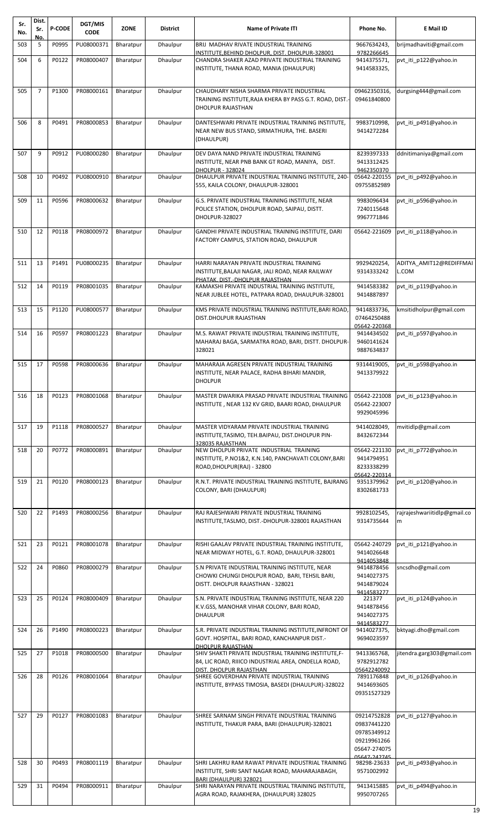| Sr.<br>No. | Dist.<br>Sr.   | <b>P-CODE</b> | DGT/MIS<br><b>CODE</b> | <b>ZONE</b> | <b>District</b> | <b>Name of Private ITI</b>                                                                                   | Phone No.                    | E Mail ID                    |
|------------|----------------|---------------|------------------------|-------------|-----------------|--------------------------------------------------------------------------------------------------------------|------------------------------|------------------------------|
| 503        | No.<br>5       | P0995         | PU08000371             | Bharatpur   | Dhaulpur        | BRIJ MADHAV RIVATE INDUSTRIAL TRAINING                                                                       | 9667634243,<br>9782266645    | brijmadhaviti@gmail.com      |
| 504        | 6              | P0122         | PR08000407             | Bharatpur   | Dhaulpur        | INSTITUTE, BEHIND DHOLPUR, DIST. DHOLPUR-328001<br>CHANDRA SHAKER AZAD PRIVATE INDUSTRIAL TRAINING           | 9414375571,                  | pvt_iti_p122@yahoo.in        |
|            |                |               |                        |             |                 | INSTITUTE, THANA ROAD, MANIA (DHAULPUR)                                                                      | 9414583325,                  |                              |
| 505        | $\overline{7}$ | P1300         | PR08000161             | Bharatpur   | Dhaulpur        | CHAUDHARY NISHA SHARMA PRIVATE INDUSTRIAL                                                                    | 09462350316,                 | durgsing444@gmail.com        |
|            |                |               |                        |             |                 | TRAINING INSTITUTE, RAJA KHERA BY PASS G.T. ROAD, DIST.<br>DHOLPUR RAJASTHAN                                 | 09461840800                  |                              |
| 506        | 8              | P0491         | PR08000853             | Bharatpur   | Dhaulpur        | DANTESHWARI PRIVATE INDUSTRIAL TRAINING INSTITUTE,<br>NEAR NEW BUS STAND, SIRMATHURA, THE. BASERI            | 9983710998,                  | pvt_iti_p491@yahoo.in        |
|            |                |               |                        |             |                 | (DHAULPUR)                                                                                                   | 9414272284                   |                              |
| 507        | 9              | P0912         | PU08000280             | Bharatpur   | Dhaulpur        | DEV DAYA NAND PRIVATE INDUSTRIAL TRAINING<br>INSTITUTE, NEAR PNB BANK GT ROAD, MANIYA, DIST.                 | 8239397333<br>9413312425     | ddnitimaniya@gmail.com       |
| 508        | 10             | P0492         | PU08000910             |             |                 | <b>DHOLPUR - 328024</b><br>DHAULPUR PRIVATE INDUSTRIAL TRAINING INSTITUTE, 240-                              | 9462350370                   |                              |
|            |                |               |                        | Bharatpur   | Dhaulpur        | 555, KAILA COLONY, DHAULPUR-328001                                                                           | 05642-220155<br>09755852989  | pvt iti p492@yahoo.in        |
| 509        | 11             | P0596         | PR08000632             | Bharatpur   | Dhaulpur        | G.S. PRIVATE INDUSTRIAL TRAINING INSTITUTE. NEAR<br>POLICE STATION, DHOLPUR ROAD, SAIPAU, DISTT.             | 9983096434<br>7240115648     | pvt iti p596@yahoo.in        |
|            |                |               |                        |             |                 | <b>DHOLPUR-328027</b>                                                                                        | 9967771846                   |                              |
| 510        | 12             | P0118         | PR08000972             | Bharatpur   | Dhaulpur        | GANDHI PRIVATE INDUSTRIAL TRAINING INSTITUTE, DARI                                                           | 05642-221609                 | pvt iti p118@yahoo.in        |
|            |                |               |                        |             |                 | FACTORY CAMPUS, STATION ROAD, DHAULPUR                                                                       |                              |                              |
| 511        | 13             | P1491         | PU08000235             | Bharatpur   | Dhaulpur        | HARRI NARAYAN PRIVATE INDUSTRIAL TRAINING                                                                    | 9929420254,                  | ADITYA AMIT12@REDIFFMAI      |
|            |                |               |                        |             |                 | INSTITUTE, BALAJI NAGAR, JALI ROAD, NEAR RAILWAY<br>PHATAK, DIST.-DHOLPUR RAJASTHAN                          | 9314333242                   | L.COM                        |
| 512        | 14             | P0119         | PR08001035             | Bharatpur   | Dhaulpur        | KAMAKSHI PRIVATE INDUSTRIAL TRAINING INSTITUTE,<br>NEAR JUBLEE HOTEL, PATPARA ROAD, DHAULPUR-328001          | 9414583382<br>9414887897     | pvt iti p119@yahoo.in        |
| 513        | 15             | P1120         | PU08000577             | Bharatpur   | Dhaulpur        | KMS PRIVATE INDUSTRIAL TRAINING INSTITUTE, BARI ROAD                                                         | 9414833736,                  | kmsitidholpur@gmail.com      |
|            |                |               |                        |             |                 | DIST.DHOLPUR RAJASTHAN                                                                                       | 07464250488<br>05642-220368  |                              |
| 514        | 16             | P0597         | PR08001223             | Bharatpur   | Dhaulpur        | M.S. RAWAT PRIVATE INDUSTRIAL TRAINING INSTITUTE,                                                            | 9414434502                   | pvt_iti_p597@yahoo.in        |
|            |                |               |                        |             |                 | MAHARAJ BAGA, SARMATRA ROAD, BARI, DISTT. DHOLPUR-<br>328021                                                 | 9460141624<br>9887634837     |                              |
| 515        | 17             | P0598         | PR08000636             | Bharatpur   | Dhaulpur        | MAHARAJA AGRESEN PRIVATE INDUSTRIAL TRAINING                                                                 | 9314419005,                  | pvt iti p598@yahoo.in        |
|            |                |               |                        |             |                 | INSTITUTE, NEAR PALACE, RADHA BIHARI MANDIR,<br><b>DHOLPUR</b>                                               | 9413379922                   |                              |
|            |                |               |                        |             |                 |                                                                                                              |                              |                              |
| 516        | 18             | P0123         | PR08001068             | Bharatpur   | Dhaulpur        | MASTER DWARIKA PRASAD PRIVATE INDUSTRIAL TRAINING<br>INSTITUTE, NEAR 132 KV GRID, BAARI ROAD, DHAULPUR       | 05642-221008<br>05642-223007 | pvt_iti_p123@yahoo.in        |
|            |                |               |                        |             |                 |                                                                                                              | 9929045996                   |                              |
| 517        | 19             | P1118         | PR08000527             | Bharatpur   | Dhaulpur        | MASTER VIDYARAM PRIVATE INDUSTRIAL TRAINING<br>INSTITUTE, TASIMO, TEH. BAIPAU, DIST. DHOLPUR PIN-            | 9414028049,<br>8432672344    | mvitidlp@gmail.com           |
| 518        | 20             | P0772         | PR08000891             | Bharatpur   | Dhaulpur        | 328035 RAJASTHAN<br>NEW DHOLPUR PRIVATE INDUSTRIAL TRAINING                                                  | 05642-221130                 | pvt_iti_p772@yahoo.in        |
|            |                |               |                        |             |                 | INSTITUTE, P.NO1&2, K.N.140, PANCHAVATI COLONY, BARI<br>ROAD, DHOLPUR(RAJ) - 32800                           | 9414794951<br>8233338299     |                              |
| 519        | 21             | P0120         | PR08000123             | Bharatpur   | Dhaulpur        | R.N.T. PRIVATE INDUSTRIAL TRAINING INSTITUTE, BAJRANG                                                        | 05642-220314<br>9351379962   | pvt iti p120@yahoo.in        |
|            |                |               |                        |             |                 | COLONY, BARI (DHAULPUR)                                                                                      | 8302681733                   |                              |
| 520        | 22             | P1493         | PR08000256             | Bharatpur   | Dhaulpur        | RAJ RAJESHWARI PRIVATE INDUSTRIAL TRAINING                                                                   | 9928102545,                  | rajrajeshwariitidlp@gmail.co |
|            |                |               |                        |             |                 | INSTITUTE, TASLMO, DIST.-DHOLPUR-328001 RAJASTHAN                                                            | 9314735644                   | m                            |
|            |                |               |                        |             |                 |                                                                                                              |                              |                              |
| 521        | 23             | P0121         | PR08001078             | Bharatpur   | Dhaulpur        | RISHI GAALAV PRIVATE INDUSTRIAL TRAINING INSTITUTE,<br>NEAR MIDWAY HOTEL, G.T. ROAD, DHAULPUR-328001         | 05642-240729<br>9414026648   | pvt_iti_p121@yahoo.in        |
| 522        | 24             | P0860         | PR08000279             | Bharatpur   | Dhaulpur        | S.N PRIVATE INDUSTRIAL TRAINING INSTITUTE, NEAR                                                              | 9414053848<br>9414878456     | sncsdho@gmail.com            |
|            |                |               |                        |             |                 | CHOWKI CHUNGI DHOLPUR ROAD, BARI, TEHSIL BARI,                                                               | 9414027375                   |                              |
|            |                |               |                        |             |                 | DISTT. DHOLPUR RAJASTHAN - 328021                                                                            | 9414879024<br>9414583277     |                              |
| 523        | 25             | P0124         | PR08000409             | Bharatpur   | Dhaulpur        | S.N. PRIVATE INDUSTRIAL TRAINING INSTITUTE, NEAR 220<br>K.V.GSS, MANOHAR VIHAR COLONY, BARI ROAD,            | 221377<br>9414878456         | pvt iti p124@yahoo.in        |
|            |                |               |                        |             |                 | <b>DHAULPUR</b>                                                                                              | 9414027375<br>9414583277     |                              |
| 524        | 26             | P1490         | PR08000223             | Bharatpur   | Dhaulpur        | S.R. PRIVATE INDUSTRIAL TRAINING INSTITUTE, INFRONT OF<br>GOVT. HOSPITAL, BARI ROAD, KANCHANPUR DIST.-       | 9414027375,<br>9694023597    | bktyagi.dho@gmail.com        |
|            |                |               |                        |             |                 | <b>DHOLPUR RAJASTHAN</b>                                                                                     |                              |                              |
| 525        | 27             | P1018         | PR08000500             | Bharatpur   | Dhaulpur        | SHIV SHAKTI PRIVATE INDUSTRIAL TRAINING INSTITUTE, F-<br>84, LIC ROAD, RIIICO INDUSTRIAL AREA, ONDELLA ROAD, | 9413365768,<br>9782912782    | jitendra.garg303@gmail.com   |
| 526        | 28             | P0126         | PR08001064             | Bharatpur   | Dhaulpur        | DIST. DHOLPUR RAJASTHAN<br>SHREE GOVERDHAN PRIVATE INDUSTRIAL TRAINING                                       | 05642240092<br>7891176848    | pvt_iti_p126@yahoo.in        |
|            |                |               |                        |             |                 | INSTITUTE, BYPASS TIMOSIA, BASEDI (DHAULPUR)-328022                                                          | 9414693605<br>09351527329    |                              |
|            |                |               |                        |             |                 |                                                                                                              |                              |                              |
| 527        | 29             | P0127         | PR08001083             | Bharatpur   | Dhaulpur        | SHREE SARNAM SINGH PRIVATE INDUSTRIAL TRAINING                                                               | 09214752828<br>09837441220   | pvt iti p127@yahoo.in        |
|            |                |               |                        |             |                 | INSTITUTE, THAKUR PARA, BARI (DHAULPUR)-328021                                                               | 09785349912                  |                              |
|            |                |               |                        |             |                 |                                                                                                              | 09219961266<br>05647-274075  |                              |
| 528        | 30             | P0493         | PR08001119             | Bharatpur   | Dhaulpur        | SHRI LAKHRU RAM RAWAT PRIVATE INDUSTRIAL TRAINING                                                            | 05647-242745<br>98298-23633  | pvt_iti_p493@yahoo.in        |
|            |                |               |                        |             |                 | INSTITUTE, SHRI SANT NAGAR ROAD, MAHARAJABAGH,<br>BARI (DHAULPUR) 328021                                     | 9571002992                   |                              |
| 529        | 31             | P0494         | PR08000911             | Bharatpur   | Dhaulpur        | SHRI NARAYAN PRIVATE INDUSTRIAL TRAINING INSTITUTE,                                                          | 9413415885                   | pvt_iti_p494@yahoo.in        |
|            |                |               |                        |             |                 | AGRA ROAD, RAJAKHERA, (DHAULPUR) 328025                                                                      | 9950707265                   |                              |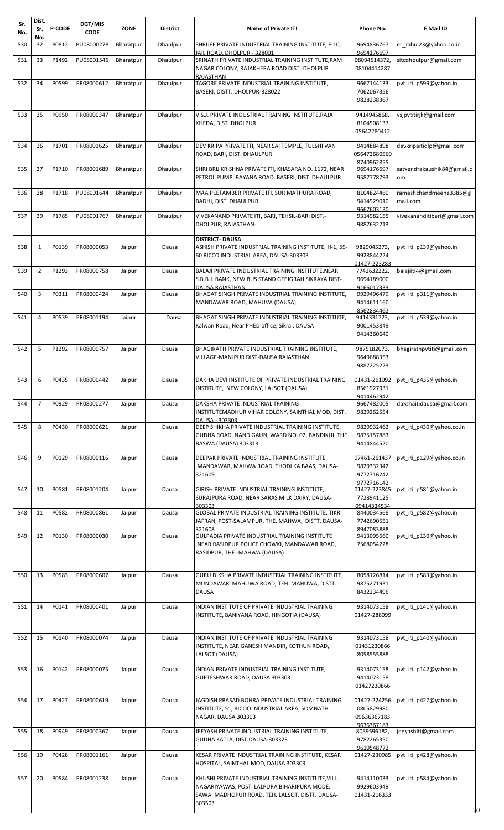| Sr.<br>No. | Dist.<br>Sr.   | <b>P-CODE</b> | DGT/MIS<br><b>CODE</b> | <b>ZONE</b> | <b>District</b> | <b>Name of Private ITI</b>                                                                                                                                      | Phone No.                                               | E Mail ID                          |
|------------|----------------|---------------|------------------------|-------------|-----------------|-----------------------------------------------------------------------------------------------------------------------------------------------------------------|---------------------------------------------------------|------------------------------------|
| 530        | No.<br>32      | P0812         | PU08000278             | Bharatpur   | Dhaulpur        | SHRIJEE PRIVATE INDUSTRIAL TRAINING INSTITUTE, F-10,                                                                                                            | 9694836767                                              | er_rahul23@yahoo.co.in             |
| 531        | 33             | P1492         | PU08001545             | Bharatpur   | Dhaulpur        | JAIL ROAD, DHOLPUR - 328001<br>SRINATH PRIVATE INDUSTRIAL TRAINING INSTITUTE, RAM                                                                               | 9694176697<br>08094514372,                              | sitcdhoulpur@gmail.com             |
| 532        | 34             | P0599         | PR08000612             | Bharatpur   | Dhaulpur        | NAGAR COLONY, RAJAKHERA ROAD DIST.-DHOLPUR<br>RAJASTHAN<br>TAGORE PRIVATE INDUSTRIAL TRAINING INSTITUTE,<br>BASERI, DISTT. DHOLPUR-328022                       | 08104414287<br>9667144133<br>7062067356<br>9828238367   | pvt_iti_p599@yahoo.in              |
| 533        | 35             | P0950         | PR08000347             | Bharatpur   | Dhaulpur        | V.S.J. PRIVATE INDUSTRIAL TRAINING INSTITUTE, RAJA<br>KHEDA, DIST. DHOLPUR                                                                                      | 9414945868,<br>8104508137<br>05642280412                | vsjpvtitirjk@gmail.com             |
| 534        | 36             | P1701         | PR08001625             | Bharatpur   | Dhaulpur        | DEV KRIPA PRIVATE ITI, NEAR SAI TEMPLE, TULSHI VAN<br>ROAD, BARI, DIST. DHAULPUR                                                                                | 9414884898<br>056472680560<br>8740962855                | devkripaitidlp@gmail.com           |
| 535        | 37             | P1710         | PR08001689             | Bharatpur   | Dhaulpur        | SHRI BRIJ KRISHNA PRIVATE ITI, KHASARA NO. 1172, NEAR<br>PETROL PUMP, BAYANA ROAD, BASERI, DIST. DHAULPUR                                                       | 9694176697<br>9587778793                                | satyendrakaushik84@gmail.c<br>om   |
| 536        | 38             | P1718         | PU08001644             | Bharatpur   | Dhaulpur        | MAA PEETAMBER PRIVATE ITI, SUR MATHURA ROAD,<br><b>BADHI, DIST. DHAULPUR</b>                                                                                    | 8104824460<br>9414929010<br>9667603130                  | rameshchandmeena3385@g<br>mail.com |
| 537        | 39             | P1785         | PU08001767             | Bharatpur   | Dhaulpur        | VIVEKANAND PRIVATE ITI, BARI, TEHSIL-BARI DIST.-<br>DHOLPUR, RAJASTHAN-                                                                                         | 9314982155<br>9887632213                                | vivekananditibari@gmail.com        |
| 538        | 1              | P0139         | PR08000053             | Jaipur      | Dausa           | <b>DISTRICT- DAUSA</b><br>ASHISH PRIVATE INDUSTRIAL TRAINING INSTITUTE, H-1, 59-                                                                                | 9829045273,                                             | pvt_iti_p139@yahoo.in              |
|            |                |               |                        |             |                 | 60 RICCO INDUSTRIAL AREA, DAUSA-303303                                                                                                                          | 9928844224<br>01427-223283                              |                                    |
| 539        | $\overline{2}$ | P1293         | PR08000758             | Jaipur      | Dausa           | BALAJI PRIVATE INDUSTRIAL TRAINING INSTITUTE, NEAR<br>S.B.B.J. BANK, NEW BUS STAND GEEJGRAH SIKRAYA DIST-<br><b>DAUSA RAJASTHAN</b>                             | 7742632222,<br>9694189000<br>9166017333                 | balajiiti4@gmail.com               |
| 540        | 3              | P0311         | PR08000424             | Jaipur      | Dausa           | BHAGAT SINGH PRIVATE INDUSTRIAL TRAINING INSTITUTE,<br>MANDAWAR ROAD, MAHUVA (DAUSA)                                                                            | 9929496479<br>9414611160<br>8562834462                  | pvt iti p311@yahoo.in              |
| 541        | $\overline{4}$ | P0539         | PR08001194             | jaipur      | Dausa           | BHAGAT SINGH PRIVATE INDUSTRIAL TRAINING INSTITUTE,<br>Kalwan Road, Near PHED office, Sikrai, DAUSA                                                             | 9414331723,<br>9001453849<br>9414360640                 | pvt_iti_p539@yahoo.in              |
| 542        | 5              | P1292         | PR08000757             | Jaipur      | Dausa           | BHAGIRATH PRIVATE INDUSTRIAL TRAINING INSTITUTE,<br>VILLAGE-MANJPUR DIST-DAUSA RAJASTHAN                                                                        | 9875182073,<br>9649688353<br>9887225223                 | bhagirathpvtiti@gmail.com          |
| 543        | 6              | P0435         | PR08000442             | Jaipur      | Dausa           | DAKHA DEVI INSTITUTE OF PRIVATE INDUSTRIAL TRAINING<br>INSTITUTE, NEW COLONY, LALSOT (DAUSA)                                                                    | 01431-261092<br>8561927931                              | pvt iti p435@yahoo.in              |
| 544        | $\overline{7}$ | P0929         | PR08000277             | Jaipur      | Dausa           | DAKSHA PRIVATE INDUSTRIAL TRAINING<br>INSTITUTEMADHUR VIHAR COLONY, SAINTHAL MOD, DIST.<br>DAUSA - 303303                                                       | 9414462942<br>9667482005<br>9829262554                  | dakshaitidausa@gmail.com           |
| 545        | 8              | P0430         | PR08000621             | Jaipur      | Dausa           | DEEP SHIKHA PRIVATE INDUSTRIAL TRAINING INSTITUTE,<br>GUDHA ROAD, NAND GAUN, WARD NO. 02, BANDIKUI, THE.<br>BASWA (DAUSA) 303313                                | 9829932462<br>9875157883<br>9414844520                  | pvt iti p430@yahoo.co.in           |
| 546        | 9              | P0129         | PR08000116             | Jaipur      | Dausa           | DEEPAK PRIVATE INDUSTRIAL TRAINING INSTITUTE<br>,MANDAWAR, MAHWA ROAD, THODI KA BAAS, DAUSA-<br>321609                                                          | 07461-261437<br>9829332342<br>9772716242<br>9772716142  | pvt_iti_p129@yahoo.co.in           |
| 547        | 10             | P0581         | PR08001204             | Jaipur      | Dausa           | GIRISH PRIVATE INDUSTRIAL TRAINING INSTITUTE,<br>SURAJPURA ROAD, NEAR SARAS MILK DAIRY, DAUSA-<br>303303                                                        | 01427-223845<br>7728941125<br>09414334534               | pvt_iti_p581@yahoo.in              |
| 548        | 11             | P0582         | PR08000861             | Jaipur      | Dausa           | GLOBAL PRIVATE INDUSTRIAL TRAINING INSTITUTE, TIKRI<br>JAFRAN, POST-SALAMPUR, THE. MAHWA, DISTT. DAUSA-<br>321608                                               | 8440034568<br>7742690551<br>8947083888                  | pvt_iti_p582@yahoo.in              |
| 549        | 12             | P0130         | PR08000030             | Jaipur      | Dausa           | GULPADIA PRIVATE INDUSTRIAL TRAINING INSTITUTE<br>NEAR RASIDPUR POLICE CHOWKI, MANDAWAR ROAD,<br>RASIDPUR, THE.-MAHWA (DAUSA)                                   | 9413095660<br>7568054228                                | pvt iti p130@yahoo.in              |
| 550        | 13             | P0583         | PR08000607             | Jaipur      | Dausa           | GURU DIKSHA PRIVATE INDUSTRIAL TRAINING INSTITUTE,<br>MUNDAWAR MAHUWA ROAD, TEH. MAHUWA, DISTT.<br><b>DAUSA</b>                                                 | 8058126814<br>9875271931<br>8432234496                  | pvt iti p583@yahoo.in              |
| 551        | 14             | P0141         | PR08000401             | Jaipur      | Dausa           | INDIAN INSTITUTE OF PRIVATE INDUSTRIAL TRAINING<br>INSTITUTE, BANIYANA ROAD, HINGOTIA (DAUSA)                                                                   | 9314073158<br>01427-288099                              | pvt iti p141@yahoo.in              |
| 552        | 15             | P0140         | PR08000074             | Jaipur      | Dausa           | INDIAN INSTITUTE OF PRIVATE INDUSTRIAL TRAINING<br>INSTITUTE, NEAR GANESH MANDIR, KOTHUN ROAD,<br>LALSOT (DAUSA)                                                | 9314073158<br>01431230866<br>8058555888                 | pvt_iti_p140@yahoo.in              |
| 553        | 16             | P0142         | PR08000075             | Jaipur      | Dausa           | INDIAN PRIVATE INDUSTRIAL TRAINING INSTITUTE,<br>GUPTESHWAR ROAD, DAUSA 303303                                                                                  | 9314073158<br>9414073158<br>01427230866                 | pvt_iti_p142@yahoo.in              |
| 554        | 17             | P0427         | PR08000619             | Jaipur      | Dausa           | JAGDISH PRASAD BOHRA PRIVATE INDUSTRIAL TRAINING<br>INSTITUTE, 51, RICOO INDUSTRIAL AREA, SOMNATH<br>NAGAR, DAUSA 303303                                        | 01427-224256<br>0805829980<br>09636367183<br>9636367183 | pvt_iti_p427@yahoo.in              |
| 555        | 18             | P0949         | PR08000367             | Jaipur      | Dausa           | JEEYASH PRIVATE INDUSTRIAL TRAINING INSTITUTE,<br>GUDHA KATLA, DIST.DAUSA-303323                                                                                | 8059596182,<br>9782265350<br>9610548772                 | jeeyashiti@gmail.com               |
| 556        | 19             | P0428         | PR08001161             | Jaipur      | Dausa           | KESAR PRIVATE INDUSTRIAL TRAINING INSTITUTE, KESAR<br>HOSPITAL, SAINTHAL MOD, DAUSA 303303                                                                      |                                                         |                                    |
| 557        | 20             | P0584         | PR08001238             | Jaipur      | Dausa           | KHUSHI PRIVATE INDUSTRIAL TRAINING INSTITUTE, VILL.<br>NAGARIYAWAS, POST. LALPURA BIHARIPURA MODE,<br>SAWAI MADHOPUR ROAD, TEH. LALSOT, DISTT. DAUSA-<br>303503 | 9414110033<br>9929603949<br>01431-216333                | pvt iti p584@yahoo.in<br>20        |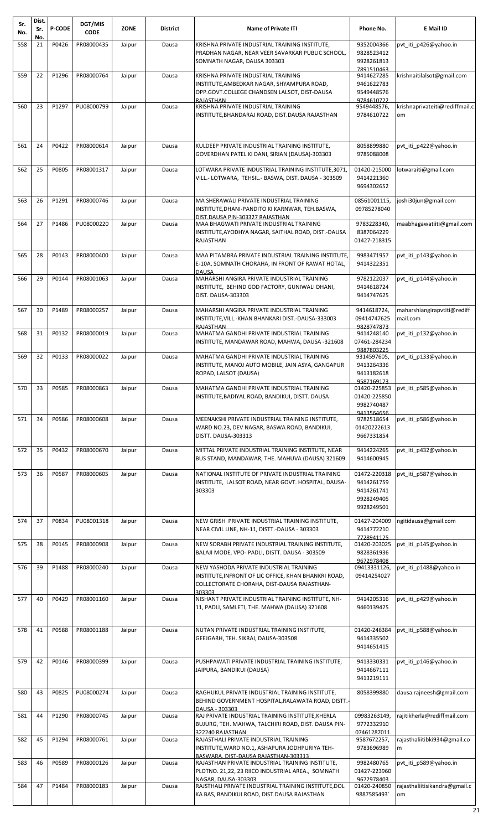| Sr.<br>No. | Dist.<br>Sr.    | <b>P-CODE</b> | DGT/MIS<br><b>CODE</b> | <b>ZONE</b> | District | <b>Name of Private ITI</b>                                                                                  | Phone No.                   | E Mail ID                               |
|------------|-----------------|---------------|------------------------|-------------|----------|-------------------------------------------------------------------------------------------------------------|-----------------------------|-----------------------------------------|
| 558        | No.<br>21       | P0426         | PR08000435             | Jaipur      | Dausa    | KRISHNA PRIVATE INDUSTRIAL TRAINING INSTITUTE,                                                              | 9352004366                  | pvt iti p426@yahoo.in                   |
|            |                 |               |                        |             |          | PRADHAN NAGAR, NEAR VEER SAVARKAR PUBLIC SCHOOL,<br>SOMNATH NAGAR, DAUSA 303303                             | 9828523412<br>9928261813    |                                         |
| 559        | 22              | P1296         | PR08000764             | Jaipur      | Dausa    | KRISHNA PRIVATE INDUSTRIAL TRAINING                                                                         | 7891510463<br>9414627285    | krishnaitilalsot@gmail.com              |
|            |                 |               |                        |             |          | INSTITUTE,AMBEDKAR NAGAR, SHYAMPURA ROAD,                                                                   | 9461622783                  |                                         |
|            |                 |               |                        |             |          | OPP.GOVT.COLLEGE CHANDSEN LALSOT, DIST-DAUSA<br>RAIASTHAN                                                   | 9549448576<br>9784610722    |                                         |
| 560        | 23              | P1297         | PU08000799             | Jaipur      | Dausa    | KRISHNA PRIVATE INDUSTRIAL TRAINING<br>INSTITUTE, BHANDARAJ ROAD, DIST.DAUSA RAJASTHAN                      | 9549448576,<br>9784610722   | krishnaprivateiti@rediffmail.c<br>om    |
|            |                 |               |                        |             |          |                                                                                                             |                             |                                         |
|            |                 |               |                        |             |          |                                                                                                             |                             |                                         |
| 561        | 24              | P0422         | PR08000614             | Jaipur      | Dausa    | KULDEEP PRIVATE INDUSTRIAL TRAINING INSTITUTE,                                                              | 8058899880                  | pvt iti p422@yahoo.in                   |
|            |                 |               |                        |             |          | GOVERDHAN PATEL KI DANI, SIRIAN (DAUSA)-303303                                                              | 9785088008                  |                                         |
| 562        | 25              | P0805         | PR08001317             | Jaipur      | Dausa    | LOTWARA PRIVATE INDUSTRIAL TRAINING INSTITUTE,3071<br>VILL.- LOTWARA,  TEHSIL.- BASWA, DIST. DAUSA - 303509 | 01420-215000<br>9414221360  | lotwaraiti@gmail.com                    |
|            |                 |               |                        |             |          |                                                                                                             | 9694302652                  |                                         |
| 563        | 26              | P1291         | PR08000746             | Jaipur      | Dausa    | MA SHERAWALI PRIVATE INDUSTRIAL TRAINING                                                                    | 08561001115,                | joshi30jun@gmail.com                    |
|            |                 |               |                        |             |          | INSTITUTE, DHANI-PANDITO KI KARNWAR, TEH.BASWA,<br>DIST.DAUSA PIN-303327 RAJASTHAN                          | 09785278040                 |                                         |
| 564        | 27              | P1486         | PU08000220             | Jaipur      | Dausa    | MAA BHAGWATI PRIVATE INDUSTRIAL TRAINING                                                                    | 9783228340,                 | maabhagawatiiti@gmail.com               |
|            |                 |               |                        |             |          | INSTITUTE,AYODHYA NAGAR, SAITHAL ROAD, DIST.-DAUSA<br>RAJASTHAN                                             | 8387064229<br>01427-218315  |                                         |
| 565        | 28              | P0143         | PR08000400             | Jaipur      | Dausa    | MAA PITAMBRA PRIVATE INDUSTRIAL TRAINING INSTITUTE,                                                         | 9983471957                  | pvt iti p143@yahoo.in                   |
|            |                 |               |                        |             |          | E-10A, SOMNATH CHORAHA, IN FRONT OF RAWAT HOTAL,                                                            | 9414322351                  |                                         |
| 566        | 29              | P0144         | PR08001063             | Jaipur      | Dausa    | DAUSA<br>MAHARSHI ANGIRA PRIVATE INDUSTRIAL TRAINING                                                        | 9782122037                  | pvt iti p144@yahoo.in                   |
|            |                 |               |                        |             |          | INSTITUTE, BEHIND GOD FACTORY, GUNIWALI DHANI,                                                              | 9414618724                  |                                         |
|            |                 |               |                        |             |          | DIST. DAUSA-303303                                                                                          | 9414747625                  |                                         |
| 567        | 30              | P1489         | PR08000257             | Jaipur      | Dausa    | MAHARSHI ANGIRA PRIVATE INDUSTRIAL TRAINING<br>INSTITUTE, VILL.-KHAN BHANKARI DIST.-DAUSA-333003            | 9414618724,<br>09414747625  | maharshiangirapvtiti@rediff<br>mail.com |
|            |                 |               |                        |             |          | RAJASTHAN                                                                                                   | 9828747873                  |                                         |
| 568        | 31              | P0132         | PR08000019             | Jaipur      | Dausa    | MAHATMA GANDHI PRIVATE INDUSTRIAL TRAINING<br>INSTITUTE, MANDAWAR ROAD, MAHWA, DAUSA -321608                | 9414248140<br>07461-284234  | pvt iti p132@yahoo.in                   |
| 569        | 32              | P0133         | PR08000022             | Jaipur      | Dausa    | MAHATMA GANDHI PRIVATE INDUSTRIAL TRAINING                                                                  | 9887803225<br>9314597605,   | pvt_iti_p133@yahoo.in                   |
|            |                 |               |                        |             |          | INSTITUTE, MANOJ AUTO MOBILE, JAIN ASYA, GANGAPUR                                                           | 9413264336                  |                                         |
|            |                 |               |                        |             |          | ROPAD, LALSOT (DAUSA)                                                                                       | 9413182618<br>9587169173    |                                         |
| 570        | 33 <sup>1</sup> | P0585         | PR08000863             | Jaipur      | Dausa    | MAHATMA GANDHI PRIVATE INDUSTRIAL TRAINING                                                                  |                             | 01420-225853 pvt_iti_p585@yahoo.in      |
|            |                 |               |                        |             |          | INSTITUTE, BADIYAL ROAD, BANDIKUI, DISTT. DAUSA                                                             | 01420-225850<br>9982740487  |                                         |
| 571        | 34              | P0586         | PR08000608             | Jaipur      | Dausa    | MEENAKSHI PRIVATE INDUSTRIAL TRAINING INSTITUTE,                                                            | 9413564656<br>9782518654    | pvt iti p586@yahoo.in                   |
|            |                 |               |                        |             |          | WARD NO.23, DEV NAGAR, BASWA ROAD, BANDIKUI,                                                                | 01420222613                 |                                         |
|            |                 |               |                        |             |          | DISTT. DAUSA-303313                                                                                         | 9667331854                  |                                         |
| 572        | 35              | P0432         | PR08000670             | Jaipur      | Dausa    | MITTAL PRIVATE INDUSTRIAL TRAINING INSTITUTE, NEAR<br>BUS STAND, MANDAWAR, THE. MAHUVA (DAUSA) 321609       | 9414224265<br>9414600945    | pvt iti p432@yahoo.in                   |
|            | 36              | P0587         | PR08000605             |             |          | NATIONAL INSTITUTE OF PRIVATE INDUSTRIAL TRAINING                                                           |                             |                                         |
| 573        |                 |               |                        | Jaipur      | Dausa    | INSTITUTE, LALSOT ROAD, NEAR GOVT. HOSPITAL, DAUSA-                                                         | 01472-220318<br>9414261759  | pvt_iti_p587@yahoo.in                   |
|            |                 |               |                        |             |          | 303303                                                                                                      | 9414261741<br>9928249405    |                                         |
|            |                 |               |                        |             |          |                                                                                                             | 9928249501                  |                                         |
| 574        | 37              | P0834         | PU08001318             | Jaipur      | Dausa    | NEW GRISH PRIVATE INDUSTRIAL TRAINING INSTITUTE,                                                            | 01427-204009                | ngitidausa@gmail.com                    |
|            |                 |               |                        |             |          | NEAR CIVIL LINE, NH-11, DISTT.-DAUSA - 303303                                                               | 9414772210<br>7728941125    |                                         |
| 575        | 38              | P0145         | PR08000908             | Jaipur      | Dausa    | NEW SORABH PRIVATE INDUSTRIAL TRAINING INSTITUTE,                                                           | 01420-203025                | pvt_iti_p145@yahoo.in                   |
|            |                 |               |                        |             |          | BALAJI MODE, VPO- PADLI, DISTT. DAUSA - 303509                                                              | 9828361936<br>9672978408    |                                         |
| 576        | 39              | P1488         | PR08000240             | Jaipur      | Dausa    | NEW YASHODA PRIVATE INDUSTRIAL TRAINING<br>INSTITUTE,INFRONT OF LIC OFFICE, KHAN BHANKRI ROAD,              | 09413331126,<br>09414254027 | pvt iti p1488@yahoo.in                  |
|            |                 |               |                        |             |          | COLLECTORATE CHORAHA, DIST-DAUSA RAJASTHAN-                                                                 |                             |                                         |
| 577        | 40              | P0429         | PR08001160             | Jaipur      | Dausa    | 303303<br>NISHANT PRIVATE INDUSTRIAL TRAINING INSTITUTE, NH-                                                | 9414205316                  | pvt iti p429@yahoo.in                   |
|            |                 |               |                        |             |          | 11, PADLI, SAMLETI, THE. MAHWA (DAUSA) 321608                                                               | 9460139425                  |                                         |
|            |                 |               |                        |             |          |                                                                                                             |                             |                                         |
| 578        | 41              | P0588         | PR08001188             | Jaipur      | Dausa    | NUTAN PRIVATE INDUSTRIAL TRAINING INSTITUTE,<br>GEEJGARH, TEH. SIKRAI, DAUSA-303508                         | 01420-246384<br>9414335502  | pvt_iti_p588@yahoo.in                   |
|            |                 |               |                        |             |          |                                                                                                             | 9414651415                  |                                         |
| 579        | 42              | P0146         | PR08000399             | Jaipur      | Dausa    | PUSHPAWATI PRIVATE INDUSTRIAL TRAINING INSTITUTE,                                                           | 9413330331                  | pvt_iti_p146@yahoo.in                   |
|            |                 |               |                        |             |          | JAIPURA, BANDIKUI (DAUSA)                                                                                   | 9414667111<br>9413219111    |                                         |
| 580        | 43              | P0825         | PU08000274             | Jaipur      | Dausa    | RAGHUKUL PRIVATE INDUSTRIAL TRAINING INSTITUTE,                                                             | 8058399880                  | dausa.rajneesh@gmail.com                |
|            |                 |               |                        |             |          | BEHIND GOVERNMENT HOSPITAL, RALAWATA ROAD, DISTT.                                                           |                             |                                         |
| 581        | 44              | P1290         | PR08000745             | Jaipur      | Dausa    | DAUSA - 303303<br>RAJ PRIVATE INDUSTRIAL TRAINING INSTITUTE, KHERLA                                         | 09983263149,                | rajitikherla@rediffmail.com             |
|            |                 |               |                        |             |          | BUJURG, TEH. MAHWA, TALCHIRI ROAD, DIST. DAUSA PIN-                                                         | 9772332910<br>07461287011   |                                         |
| 582        | 45              | P1294         | PR08000761             | Jaipur      | Dausa    | 322240 RAJASTHAN<br>RAJASTHALI PRIVATE INDUSTRIAL TRAINING                                                  | 9587672257,                 | rajasthaliitibki934@gmail.co            |
|            |                 |               |                        |             |          | INSTITUTE, WARD NO.1, ASHAPURA JODHPURIYA TEH-<br>BASWARA, DIST-DAUSA RAJASTHAN-303313                      | 9783696989                  | m                                       |
| 583        | 46              | P0589         | PR08000126             | Jaipur      | Dausa    | RAJASTHAN PRIVATE INDUSTRIAL TRAINING INSTITUTE,<br>PLOTNO. 21,22, 23 RIICO INDUSTRIAL AREA., SOMNATH       | 9982480765<br>01427-223960  | pvt_iti_p589@yahoo.in                   |
|            |                 |               |                        |             |          | <u>NAGAR. DAUSA-303303</u>                                                                                  | 9672978403                  |                                         |
| 584        | 47              | P1484         | PR08000183             | Jaipur      | Dausa    | RAJSTHALI PRIVATE INDUSTRIAL TRAINING INSTITUTE, DOL<br>KA BAS, BANDIKUI ROAD, DIST.DAUSA RAJASTHAN         | 01420-240850<br>9887585493  | rajasthaliitisikandra@gmail.c<br>om     |
|            |                 |               |                        |             |          |                                                                                                             |                             |                                         |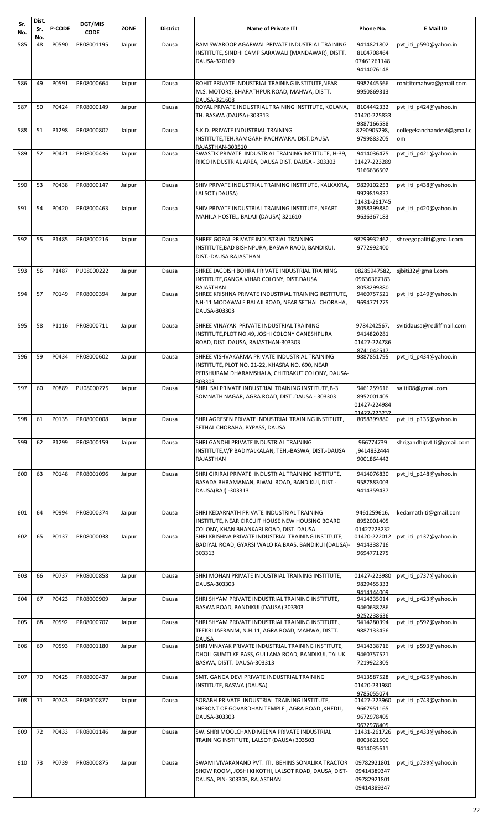| Sr.<br>No. | Dist.<br>Sr.<br>No. | P-CODE | DGT/MIS<br><b>CODE</b>  | <b>ZONE</b> | <b>District</b> | <b>Name of Private ITI</b>                                                                                                                                    | Phone No.                                                | E Mail ID                        |
|------------|---------------------|--------|-------------------------|-------------|-----------------|---------------------------------------------------------------------------------------------------------------------------------------------------------------|----------------------------------------------------------|----------------------------------|
| 585        | 48                  | P0590  | PR08001195              | Jaipur      | Dausa           | RAM SWAROOP AGARWAL PRIVATE INDUSTRIAL TRAINING<br>INSTITUTE, SINDHI CAMP SARAWALI (MANDAWAR), DISTT.<br>DAUSA-320169                                         | 9414821802<br>8104708464<br>07461261148<br>9414076148    | pvt_iti_p590@yahoo.in            |
| 586        | 49                  | P0591  | PR08000664              | Jaipur      | Dausa           | ROHIT PRIVATE INDUSTRIAL TRAINING INSTITUTE, NEAR<br>M.S. MOTORS, BHARATHPUR ROAD, MAHWA, DISTT.<br>DAUSA-321608                                              | 9982445566<br>9950869313                                 | rohititcmahwa@gmail.com          |
| 587        | 50                  | P0424  | PR08000149              | Jaipur      | Dausa           | ROYAL PRIVATE INDUSTRIAL TRAINING INSTITUTE, KOLANA,<br>TH. BASWA (DAUSA)-303313                                                                              | 8104442332<br>01420-225833<br>9887166588                 | pvt iti p424@yahoo.in            |
| 588        | 51                  | P1298  | PR08000802              | Jaipur      | Dausa           | S.K.D. PRIVATE INDUSTRIAL TRAINING<br>INSTITUTE, TEH.RAMGARH PACHWARA, DIST.DAUSA<br>RAJASTHAN-303510                                                         | 8290905298,<br>9799883205                                | collegekanchandevi@gmail.c<br>om |
| 589        | 52                  | P0421  | PR08000436              | Jaipur      | Dausa           | SWASTIK PRIVATE INDUSTRIAL TRAINING INSTITUTE, H-39,<br>RIICO INDUSTRIAL AREA, DAUSA DIST. DAUSA - 303303                                                     | 9414036475<br>01427-223289<br>9166636502                 | pvt iti p421@yahoo.in            |
| 590        | 53                  | P0438  | PR08000147              | Jaipur      | Dausa           | SHIV PRIVATE INDUSTRIAL TRAINING INSTITUTE, KALKAKRA,<br>LALSOT (DAUSA)                                                                                       | 9829102253<br>9929819837                                 | pvt iti p438@yahoo.in            |
| 591        | 54                  | P0420  | PR08000463              | Jaipur      | Dausa           | SHIV PRIVATE INDUSTRIAL TRAINING INSTITUTE, NEART<br>MAHILA HOSTEL, BALAJI (DAUSA) 321610                                                                     | 01431-261745<br>8058399880<br>9636367183                 | pvt iti p420@yahoo.in            |
| 592        | 55                  | P1485  | PR08000216              | Jaipur      | Dausa           | SHREE GOPAL PRIVATE INDUSTRIAL TRAINING<br>INSTITUTE, BAD BISHNPURA, BASWA RAOD, BANDIKUI,<br>DIST.-DAUSA RAJASTHAN                                           | 98299932462<br>9772992400                                | shreegopaliti@gmail.com          |
| 593        | 56                  | P1487  | PU08000222              | Jaipur      | Dausa           | SHREE JAGDISH BOHRA PRIVATE INDUSTRIAL TRAINING<br>INSTITUTE, GANGA VIHAR COLONY, DIST.DAUSA<br><b>RAJASTHAN</b>                                              | 08285947582,<br>09636367183<br>8058299880                | sjbiti32@gmail.com               |
| 594        | 57                  | P0149  | PR08000394              | Jaipur      | Dausa           | SHREE KRISHNA PRIVATE INDUSTRIAL TRAINING INSTITUTE,<br>NH-11 MODAWALE BALAJI ROAD, NEAR SETHAL CHORAHA,<br>DAUSA-303303                                      | 9460757521<br>9694771275                                 | pvt iti p149@yahoo.in            |
| 595        | 58                  | P1116  | PR08000711              | Jaipur      | Dausa           | SHREE VINAYAK PRIVATE INDUSTRIAL TRAINING<br>INSTITUTE, PLOT NO.49, JOSHI COLONY GANESHPURA<br>ROAD, DIST. DAUSA, RAJASTHAN-303303                            | 9784242567,<br>9414820281<br>01427-224786<br>8741042517  | svitidausa@rediffmail.com        |
| 596        | 59                  | P0434  | PR08000602              | Jaipur      | Dausa           | SHREE VISHVAKARMA PRIVATE INDUSTRIAL TRAINING<br>INSTITUTE, PLOT NO. 21-22, KHASRA NO. 690, NEAR<br>PERSHURAM DHARAMSHALA, CHITRAKUT COLONY, DAUSA-<br>303303 | 9887851795                                               | pvt iti p434@yahoo.in            |
|            |                     |        | 597 60 P0889 PU08000275 | Jaipur      | Dausa           | SHRI SAI PRIVATE INDUSTRIAL TRAINING INSTITUTE, B-3<br>SOMNATH NAGAR, AGRA ROAD, DIST .DAUSA - 303303                                                         | 9461259616<br>8952001405<br>01427-224984<br>01427-223232 | saiiti08@gmail.com               |
| 598        | 61                  | P0135  | PR08000008              | Jaipur      | Dausa           | SHRI AGRESEN PRIVATE INDUSTRIAL TRAINING INSTITUTE,<br>SETHAL CHORAHA, BYPASS, DAUSA                                                                          | 8058399880                                               | pvt iti p135@yahoo.in            |
| 599        | 62                  | P1299  | PR08000159              | Jaipur      | Dausa           | SHRI GANDHI PRIVATE INDUSTRIAL TRAINING<br>INSTITUTE,V/P BADIYALKALAN, TEH.-BASWA, DIST.-DAUSA<br>RAJASTHAN                                                   | 966774739<br>,9414832444<br>9001864442                   | shrigandhipvtiti@gmail.com       |
| 600        | 63                  | P0148  | PR08001096              | Jaipur      | Dausa           | SHRI GIRIRAJ PRIVATE INDUSTRIAL TRAINING INSTITUTE,<br>BASADA BHRAMANAN, BIWAI ROAD, BANDIKUI, DIST.-<br>DAUSA(RAJ) -303313                                   | 9414076830<br>9587883003<br>9414359437                   | pvt_iti_p148@yahoo.in            |
| 601        | 64                  | P0994  | PR08000374              | Jaipur      | Dausa           | SHRI KEDARNATH PRIVATE INDUSTRIAL TRAINING<br>INSTITUTE, NEAR CIRCUIT HOUSE NEW HOUSING BOARD<br>COLONY. KHAN BHANKARI ROAD. DIST. DAUSA                      | 9461259616,<br>8952001405<br>01427223232                 | kedarnathiti@gmail.com           |
| 602        | 65                  | P0137  | PR08000038              | Jaipur      | Dausa           | SHRI KRISHNA PRIVATE INDUSTRIAL TRAINING INSTITUTE,<br>BADIYAL ROAD, GYARSI WALO KA BAAS, BANDIKUI (DAUSA)-<br>303313                                         | 01420-222012<br>9414338716<br>9694771275                 | pvt iti p137@yahoo.in            |
| 603        | 66                  | P0737  | PR08000858              | Jaipur      | Dausa           | SHRI MOHAN PRIVATE INDUSTRIAL TRAINING INSTITUTE,<br>DAUSA-303303                                                                                             | 01427-223980<br>9829455333                               | pvt iti p737@yahoo.in            |
| 604        | 67                  | P0423  | PR08000909              | Jaipur      | Dausa           | SHRI SHYAM PRIVATE INDUSTRIAL TRAINING INSTITUTE,<br>BASWA ROAD, BANDIKUI (DAUSA) 303303                                                                      | 9414144009<br>9414335014<br>9460638286<br>9252238636     | pvt iti p423@yahoo.in            |
| 605        | 68                  | P0592  | PR08000707              | Jaipur      | Dausa           | SHRI SHYAM PRIVATE INDUSTRIAL TRAINING INSTITUTE.,<br>TEEKRI JAFRANM, N.H.11, AGRA ROAD, MAHWA, DISTT.<br><b>DAUSA</b>                                        | 9414280394<br>9887133456                                 | pvt_iti_p592@yahoo.in            |
| 606        | 69                  | P0593  | PR08001180              | Jaipur      | Dausa           | SHRI VINAYAK PRIVATE INDUSTRIAL TRAINING INSTITUTE,<br>DHOLI GUMTI KE PASS, GULLANA ROAD, BANDIKUI, TALUK<br>BASWA, DISTT. DAUSA-303313                       | 9414338716<br>9460757521<br>7219922305                   | pvt iti p593@yahoo.in            |
| 607        | 70                  | P0425  | PR08000437              | Jaipur      | Dausa           | SMT. GANGA DEVI PRIVATE INDUSTRIAL TRAINING<br>INSTITUTE, BASWA (DAUSA)                                                                                       | 9413587528<br>01420-231980<br>9785055074                 | pvt iti p425@yahoo.in            |
| 608        | 71                  | P0743  | PR08000877              | Jaipur      | Dausa           | SORABH PRIVATE INDUSTRIAL TRAINING INSTITUTE,<br>INFRONT OF GOVARDHAN TEMPLE, AGRA ROAD, KHEDLI,<br>DAUSA-303303                                              | 01427-223960<br>9667951165<br>9672978405<br>9672978405   | pvt iti p743@yahoo.in            |
| 609        | 72                  | P0433  | PR08001146              | Jaipur      | Dausa           | SW. SHRI MOOLCHAND MEENA PRIVATE INDUSTRIAL<br>TRAINING INSTITUTE, LALSOT (DAUSA) 303503                                                                      | 01431-261726<br>8003621500<br>9414035611                 | pvt iti p433@yahoo.in            |
| 610        | 73                  | P0739  | PR08000875              | Jaipur      | Dausa           | SWAMI VIVAKANAND PVT. ITI, BEHINS SONALIKA TRACTOR<br>SHOW ROOM, JOSHI KI KOTHI, LALSOT ROAD, DAUSA, DIST-<br>DAUSA, PIN-303303, RAJASTHAN                    | 09782921801<br>09414389347<br>09782921801<br>09414389347 | pvt_iti_p739@yahoo.in            |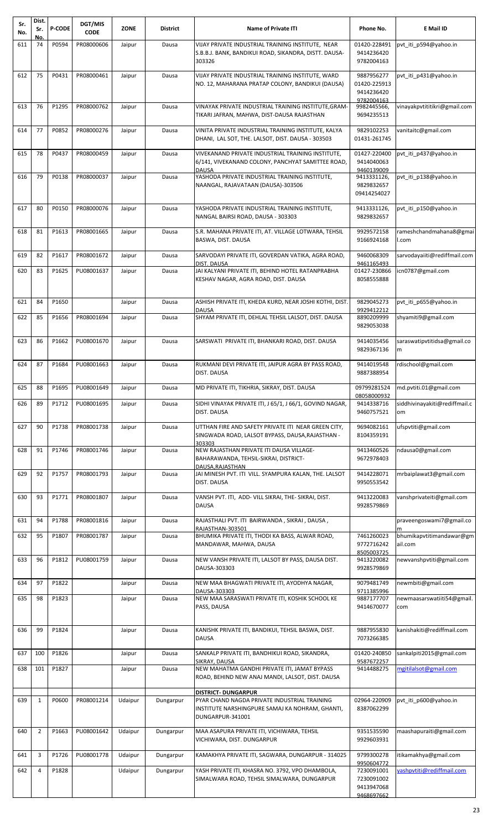| Sr.<br>No. | Dist.<br>Sr.<br>No. | P-CODE | DGT/MIS<br><b>CODE</b> | <b>ZONE</b> | <b>District</b> | <b>Name of Private ITI</b>                                                                                             | Phone No.                                                          | E Mail ID                            |
|------------|---------------------|--------|------------------------|-------------|-----------------|------------------------------------------------------------------------------------------------------------------------|--------------------------------------------------------------------|--------------------------------------|
| 611        | 74                  | P0594  | PR08000606             | Jaipur      | Dausa           | VIJAY PRIVATE INDUSTRIAL TRAINING INSTITUTE, NEAR                                                                      | 01420-228491                                                       | pvt iti p594@yahoo.in                |
|            |                     |        |                        |             |                 | S.B.B.J. BANK, BANDIKUI ROAD, SIKANDRA, DISTT. DAUSA-<br>303326                                                        | 9414236420<br>9782004163                                           |                                      |
| 612        | 75                  | P0431  | PR08000461             | Jaipur      | Dausa           | VIJAY PRIVATE INDUSTRIAL TRAINING INSTITUTE, WARD<br>NO. 12, MAHARANA PRATAP COLONY, BANDIKUI (DAUSA)                  | 9887956277<br>01420-225913<br>9414236420<br>9782004163             | pvt iti p431@yahoo.in                |
| 613        | 76                  | P1295  | PR08000762             | Jaipur      | Dausa           | VINAYAK PRIVATE INDUSTRIAL TRAINING INSTITUTE, GRAM-<br>TIKARI JAFRAN, MAHWA, DIST-DAUSA RAJASTHAN                     | 9982445566,<br>9694235513                                          | vinayakpvtititikri@gmail.com         |
| 614        | 77                  | P0852  | PR08000276             | Jaipur      | Dausa           | VINITA PRIVATE INDUSTRIAL TRAINING INSTITUTE, KALYA<br>DHANI, LAL SOT, THE. LALSOT, DIST. DAUSA - 303503               | 9829102253<br>01431-261745                                         | vanitaitc@gmail.com                  |
| 615        | 78                  | P0437  | PR08000459             | Jaipur      | Dausa           | VIVEKANAND PRIVATE INDUSTRIAL TRAINING INSTITUTE,<br>6/141, VIVEKANAND COLONY, PANCHYAT SAMITTEE ROAD,<br><b>DAUSA</b> | 01427-220400<br>9414040063<br>9460139009                           | pvt_iti_p437@yahoo.in                |
| 616        | 79                  | P0138  | PR08000037             | Jaipur      | Dausa           | YASHODA PRIVATE INDUSTRIAL TRAINING INSTITUTE,<br>NAANGAL, RAJAVATAAN (DAUSA)-303506                                   | 9413331126,<br>9829832657<br>09414254027                           | pvt iti p138@yahoo.in                |
| 617        | 80                  | P0150  | PR08000076             | Jaipur      | Dausa           | YASHODA PRIVATE INDUSTRIAL TRAINING INSTITUTE,<br>NANGAL BAIRSI ROAD, DAUSA - 303303                                   | 9413331126,<br>9829832657                                          | pvt_iti_p150@yahoo.in                |
| 618        | 81                  | P1613  | PR08001665             | Jaipur      | Dausa           | S.R. MAHANA PRIVATE ITI, AT. VILLAGE LOTWARA, TEHSIL<br>BASWA, DIST. DAUSA                                             | 9929572158<br>9166924168                                           | rameshchandmahana8@gmai<br>I.com     |
| 619        | 82                  | P1617  | PR08001672             | Jaipur      | Dausa           | SARVODAYI PRIVATE ITI, GOVERDAN VATIKA, AGRA ROAD,                                                                     | 9460068309                                                         | sarvodayaiiti@rediffmail.com         |
| 620        | 83                  | P1625  | PU08001637             | Jaipur      | Dausa           | DIST. DAUSA<br>JAI KALYANI PRIVATE ITI, BEHIND HOTEL RATANPRABHA<br>KESHAV NAGAR, AGRA ROAD, DIST. DAUSA               | 9461165493<br>01427-230866<br>8058555888                           | icn0787@gmail.com                    |
| 621        | 84                  | P1650  |                        | Jaipur      | Dausa           | ASHISH PRIVATE ITI, KHEDA KURD, NEAR JOSHI KOTHI, DIST.<br><b>DAUSA</b>                                                | 9829045273<br>9929412212                                           | pvt_iti_p655@yahoo.in                |
| 622        | 85                  | P1656  | PR08001694             | Jaipur      | Dausa           | SHYAM PRIVATE ITI, DEHLAL TEHSIL LALSOT, DIST. DAUSA                                                                   | 8890209999<br>9829053038                                           | shyamiti9@gmail.com                  |
| 623        | 86                  | P1662  | PU08001670             | Jaipur      | Dausa           | SARSWATI PRIVATE ITI, BHANKARI ROAD, DIST. DAUSA                                                                       | 9414035456<br>9829367136                                           | saraswatipvtitidsa@gmail.co<br>m     |
| 624        | 87                  | P1684  | PU08001663             | Jaipur      | Dausa           | RUKMANI DEVI PRIVATE ITI, JAIPUR AGRA BY PASS ROAD,<br>DIST. DAUSA                                                     | 9414019548<br>9887388954                                           | rdischool@gmail.com                  |
| 625        | 88                  | P1695  | PU08001649             | Jaipur      | Dausa           | MD PRIVATE ITI, TIKHRIA, SIKRAY, DIST. DAUSA                                                                           | 08058000932                                                        | 09799281524   md.pvtiti.01@gmail.com |
| 626        | 89                  | P1712  | PU08001695             | Jaipur      | Dausa           | SIDHI VINAYAK PRIVATE ITI, J 65/1, J 66/1, GOVIND NAGAR,<br>DIST. DAUSA                                                | 9414338716<br>9460757521                                           | siddhivinayakiti@rediffmail.c<br>om  |
| 627        | 90                  | P1738  | PR08001738             | Jaipur      | Dausa           | UTTHAN FIRE AND SAFETY PRIVATE ITI NEAR GREEN CITY,<br>SINGWADA ROAD, LALSOT BYPASS, DAUSA, RAJASTHAN -<br>303303      | 9694082161<br>8104359191                                           | ufspytiti@gmail.com                  |
| 628        | 91                  | P1746  | PR08001746             | Jaipur      | Dausa           | NEW RAJASTHAN PRIVATE ITI DAUSA VILLAGE-<br>BAHARAWANDA, TEHSIL-SIKRAI, DISTRICT-<br>DAUSA.RAJASTHAN                   | 9413460526<br>9672978403                                           | ndausa0@gmail.com                    |
| 629        | 92                  | P1757  | PR08001793             | Jaipur      | Dausa           | JAI MINESH PVT. ITI VILL. SYAMPURA KALAN, THE. LALSOT<br>DIST. DAUSA                                                   | 9414228071<br>9950553542                                           | mrbaiplawat3@gmail.com               |
| 630        | 93                  | P1771  | PR08001807             | Jaipur      | Dausa           | VANSH PVT. ITI, ADD- VILL SIKRAI, THE- SIKRAI, DIST.<br><b>DAUSA</b>                                                   | 9413220083<br>9928579869                                           | vanshprivateiti@gmail.com            |
| 631        | 94                  | P1788  | PR08001816             | Jaipur      | Dausa           | RAJASTHALI PVT. ITI BAIRWANDA, SIKRAI, DAUSA,<br>RAJASTHAN-303501                                                      |                                                                    | praveengoswami7@gmail.co<br>m        |
| 632        | 95                  | P1807  | PR08001787             | Jaipur      | Dausa           | BHUMIKA PRIVATE ITI, THODI KA BASS, ALWAR ROAD,<br>MANDAWAR, MAHWA, DAUSA                                              | 7461260023<br>9772716242                                           | bhumikapvtitimandawar@gm<br>ail.com  |
| 633        | 96                  | P1812  | PU08001759             | Jaipur      | Dausa           | NEW VANSH PRIVATE ITI, LALSOT BY PASS, DAUSA DIST.<br>DAUSA-303303                                                     | 8505003725<br>9413220082<br>9928579869                             | newvanshpvtiti@gmail.com             |
| 634        | 97                  | P1822  |                        | Jaipur      | Dausa           | NEW MAA BHAGWATI PRIVATE ITI, AYODHYA NAGAR,<br>DAUSA-303303                                                           | 9079481749<br>9711385996                                           | newmbiti@gmail.com                   |
| 635        | 98                  | P1823  |                        | Jaipur      | Dausa           | NEW MAA SARASWATI PRIVATE ITI, KOSHIK SCHOOL KE<br>PASS, DAUSA                                                         | 9887177707<br>9414670077                                           | newmaasarswatiiti54@gmail.<br>com    |
| 636        | 99                  | P1824  |                        | Jaipur      | Dausa           | KANISHK PRIVATE ITI, BANDIKUI, TEHSIL BASWA, DIST.<br><b>DAUSA</b>                                                     | 9887955830<br>7073266385                                           | kanishakiti@rediffmail.com           |
| 637        | 100                 | P1826  |                        | Jaipur      | Dausa           | SANKALP PRIVATE ITI, BANDHIKUI ROAD, SIKANDRA,<br>SIKRAY, DAUSA                                                        | 01420-240850<br>9587672257                                         | sankalpiti2015@gmail.com             |
| 638        | 101                 | P1827  |                        | Jaipur      | Dausa           | NEW MAHATMA GANDHI PRIVATE ITI, JAMAT BYPASS<br>ROAD, BEHIND NEW ANAJ MANDI, LALSOT, DIST. DAUSA                       | 9414488275                                                         | mgitilalsot@gmail.com                |
|            |                     |        | PR08001214             |             |                 | <b>DISTRICT- DUNGARPUR</b>                                                                                             |                                                                    |                                      |
| 639        | $\mathbf{1}$        | P0600  |                        | Udaipur     | Dungarpur       | PYAR CHAND NAGDA PRIVATE INDUSTRIAL TRAINING<br>INSTITUTE NARSHINGPURE SAMAJ KA NOHRAM, GHANTI,<br>DUNGARPUR-341001    | 02964-220909<br>8387062299                                         | pvt iti p600@yahoo.in                |
| 640        | $\overline{2}$      | P1663  | PU08001642             | Udaipur     | Dungarpur       | MAA ASAPURA PRIVATE ITI, VICHIWARA, TEHSIL<br>VICHIWARA, DIST. DUNGARPUR                                               | 9351535590<br>9929603931                                           | maashapuraiti@gmail.com              |
| 641        | 3                   | P1726  | PU08001778             | Udaipur     | Dungarpur       | KAMAKHYA PRIVATE ITI, SAGWARA, DUNGARPUR - 314025                                                                      | 9799300278                                                         | itikamakhya@gmail.com                |
| 642        | 4                   | P1828  |                        | Udaipur     | Dungarpur       | YASH PRIVATE ITI, KHASRA NO. 3792, VPO DHAMBOLA,<br>SIMALWARA ROAD, TEHSIL SIMALWARA, DUNGARPUR                        | 9950604772<br>7230091001<br>7230091002<br>9413947068<br>9468697662 | vashpvtiti@rediffmail.com            |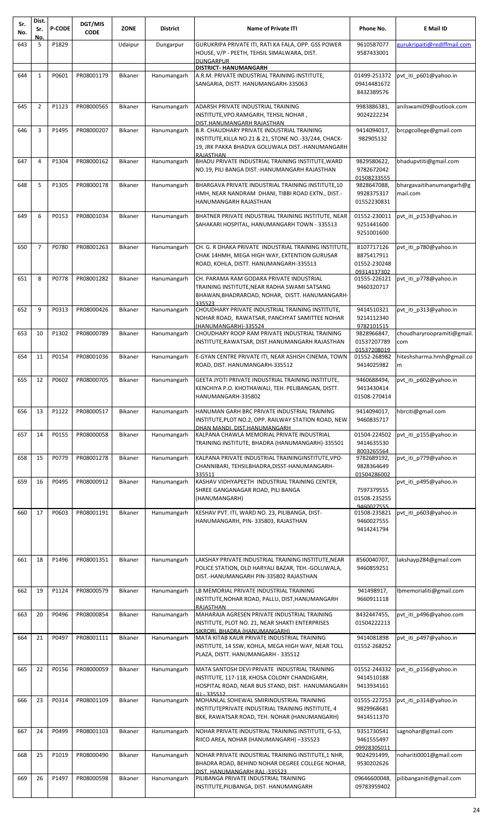| Sr.<br>No. | Dist.<br>Sr.<br>No. | <b>P-CODE</b> | DGT/MIS<br><b>CODE</b> | <b>ZONE</b>    | District    | <b>Name of Private ITI</b>                                                                                                                                  | Phone No.                                 | E Mail ID                            |
|------------|---------------------|---------------|------------------------|----------------|-------------|-------------------------------------------------------------------------------------------------------------------------------------------------------------|-------------------------------------------|--------------------------------------|
| 643        | 5                   | P1829         |                        | Udaipur        | Dungarpur   | GURUKRIPA PRIVATE ITI, RATI KA FALA, OPP. GSS POWER<br>HOUSE, V/P - PEETH, TEHSIL SIMALWARA, DIST.                                                          | 9610587077<br>9587433001                  | gurukripaiti@rediffmail.com          |
|            |                     |               |                        |                |             | <b>DUNGARPUR</b>                                                                                                                                            |                                           |                                      |
| 644        | $\mathbf{1}$        | P0601         | PR08001179             | Bikaner        | Hanumangarh | <b>DISTRICT- HANUMANGARH</b><br>A.R.M. PRIVATE INDUSTRIAL TRAINING INSTITUTE,                                                                               | 01499-251372                              | pvt iti p601@yahoo.in                |
|            |                     |               |                        |                |             | SANGARIA, DISTT. HANUMANGARH-335063                                                                                                                         | 09414481672<br>8432389576                 |                                      |
| 645        | $\overline{2}$      | P1123         | PR08000565             | <b>Bikaner</b> | Hanumangarh | ADARSH PRIVATE INDUSTRIAL TRAINING<br>INSTITUTE, VPO.RAMGARH, TEHSIL NOHAR,                                                                                 | 9983886381,<br>9024222234                 | anilswami09@outlook.com              |
| 646        | 3                   | P1495         | PR08000207             | Bikaner        | Hanumangarh | DIST.HANUMANGARH RAJASTHAN<br><b>B.R. CHAUDHARY PRIVATE INDUSTRIAL TRAINING</b>                                                                             | 9414094017,                               | brcpgcollege@gmail.com               |
|            |                     |               |                        |                |             | INSTITUTE, KILLA NO.21 & 21, STONE NO.-33/244, CHACK-<br>19, JRK PAKKA BHADVA GOLUWALA DIST.-HANUMANGARH<br>RAJASTHAN                                       | 982905132                                 |                                      |
| 647        | 4                   | P1304         | PR08000162             | <b>Bikaner</b> | Hanumangarh | BHADU PRIVATE INDUSTRIAL TRAINING INSTITUTE, WARD<br>NO.19, PILI BANGA DIST.-HANUMANGARH RAJASTHAN                                                          | 9829580622,<br>9782672042<br>01508233555  | bhadupvtiti@gmail.com                |
| 648        | 5                   | P1305         | PR08000178             | <b>Bikaner</b> | Hanumangarh | BHARGAVA PRIVATE INDUSTRIAL TRAINING INSTITUTE, 10<br>HMH, NEAR NANDRAM DHANI, TIBBI ROAD EXTN., DIST.-<br>HANUMANGARH RAJASTHAN                            | 9828647088,<br>9928375317<br>01552230831  | bhargavaitihanumangarh@g<br>mail.com |
| 649        | 6                   | P0153         | PR08001034             | <b>Bikaner</b> | Hanumangarh | BHATNER PRIVATE INDUSTRIAL TRAINING INSTITUTE, NEAR<br>SAHAKARI HOSPITAL, HANUMANGARH TOWN - 335513                                                         | 01552-230011<br>9251441600<br>9251001600  | pvt iti p153@yahoo.in                |
| 650        | $\overline{7}$      | P0780         | PR08001263             | <b>Bikaner</b> | Hanumangarh | CH. G. R DHAKA PRIVATE INDUSTRIAL TRAINING INSTITUTE.<br>CHAK 14HMH, MEGA HIGH WAY, EXTENTION GURUSAR<br>ROAD, KOHLA, DISTT. HANUMANGARH-335513             | 8107717126<br>8875417911<br>01552-230248  | pvt iti p780@yahoo.in                |
| 651        | 8                   | P0778         | PR08001282             | Bikaner        | Hanumangarh | CH. PARAMA RAM GODARA PRIVATE INDUSTRIAL                                                                                                                    | 09314137302<br>01555-226121               | pvt_iti_p778@yahoo.in                |
|            |                     |               |                        |                |             | TRAINING INSTITUTE, NEAR RADHA SWAMI SATSANG<br>BHAWAN, BHADRAROAD, NOHAR, DISTT. HANUMANGARH-<br>335523                                                    | 9460320717                                |                                      |
| 652        | 9                   | P0313         | PR08000426             | <b>Bikaner</b> | Hanumangarh | CHOUDHARY PRIVATE INDUSTRIAL TRAINING INSTITUTE,<br>NOHAR ROAD, RAWATSAR, PANCHYAT SAMITTEE NOHAR                                                           | 9414510321<br>9214112340                  | pvt iti p313@yahoo.in                |
| 653        | 10                  | P1302         | PR08000789             | <b>Bikaner</b> | Hanumangarh | (HANUMANGARH)-335524<br>CHOUDHARY ROOP RAM PRIVATE INDUSTRIAL TRAINING<br>INSTITUTE, RAWATSAR, DIST.HANUMANGARH RAJASTHAN                                   | 9782101515<br>9828966847,<br>01537207789  | choudharyroopramiti@gmail.<br>com    |
| 654        | 11                  | P0154         | PR08001036             | <b>Bikaner</b> | Hanumangarh | E-GYAN CENTRE PRIVATE ITI, NEAR ASHISH CINEMA, TOWN<br>ROAD, DIST. HANUMANGARH-335512                                                                       | 01537208019<br>01552-268982<br>9414025982 | hiteshsharma.hmh@gmail.co<br>m       |
| 655        | 12                  | P0602         | PR08000705             | <b>Bikaner</b> | Hanumangarh | GEETA JYOTI PRIVATE INDUSTRIAL TRAINING INSTITUTE,                                                                                                          | 9460688494,                               | pvt iti p602@yahoo.in                |
|            |                     |               |                        |                |             | KENCHIYA P.O. KHOTHAWALI, TEH. PELIBANGAN, DISTT.<br>HANUMANGARH-335802                                                                                     | 9413430414<br>01508-270414                |                                      |
| 656        | 13                  | P1122         | PR08000517             | <b>Bikaner</b> | Hanumangarh | HANUMAN GARH BRC PRIVATE INDUSTRIAL TRAINING<br>INSTITUTE, PLOT NO.2, OPP. RAILWAY STATION ROAD, NEW<br>DHAN MANDI. DIST.HANUMANGARH                        | 9414094017,<br>9460835717                 | hbrciti@gmail.com                    |
| 657        | 14                  | P0155         | PR08000058             | Bikaner        | Hanumangarh | KALPANA CHAWLA MEMORIAL PRIVATE INDUSTRIAL<br>TRAINING INSTITUTE, BHADRA (HANUMANGARH)-335501                                                               | 01504-224502<br>9414635530<br>8003265564  | pvt iti p155@yahoo.in                |
| 658        | 15                  | P0779         | PR08001278             | <b>Bikaner</b> | Hanumangarh | KALPANA PRIVATE INDUSTRIAL TRAININGINSTITUTE, VPO-<br>CHANNIBARI, TEHSILBHADRA, DISST-HANUMANGARH-<br>335511                                                | 9782689192,<br>9828364649<br>01504286002  | pvt iti p779@yahoo.in                |
| 659        | 16                  | P0495         | PR08000912             | <b>Bikaner</b> | Hanumangarh | KASHAV VIDHYAPEETH INDUSTRIAL TRAINING CENTER,                                                                                                              |                                           | pvt_iti_p495@yahoo.in                |
|            |                     |               |                        |                |             | SHREE GANGANAGAR ROAD, PILI BANGA<br>(HANUMANGARH)                                                                                                          | 7597379555<br>01508-235255<br>9460027555  |                                      |
| 660        | 17                  | P0603         | PR08001191             | <b>Bikaner</b> | Hanumangarh | KESHAV PVT. ITI, WARD NO. 23, PILIBANGA, DIST-<br>HANUMANGARH, PIN-335803, RAJASTHAN                                                                        | 01508-235821<br>9460027555<br>9414241794  | pvt iti p603@yahoo.in                |
|            |                     |               |                        |                |             |                                                                                                                                                             |                                           |                                      |
| 661        | 18                  | P1496         | PR08001351             | <b>Bikaner</b> | Hanumangarh | LAKSHAY PRIVATE INDUSTRIAL TRAINING INSTITUTE, NEAR                                                                                                         | 8560040707,                               | lakshayp284@gmail.com                |
|            |                     |               |                        |                |             | POLICE STATION, OLD HARYALI BAZAR, TEH.-GOLUWALA,<br>DIST.-HANUMANGARH PIN-335802 RAJASTHAN                                                                 | 9460859251                                |                                      |
| 662        | 19                  | P1124         | PR08000579             | <b>Bikaner</b> | Hanumangarh | LB MEMORIAL PRIVATE INDUSTRIAL TRAINING<br>INSTITUTE, NOHAR ROAD, PALLU, DIST, HANUMANGARH<br>RAJASTHAN                                                     | 941498917,<br>9660911118                  | lbmemorialiti@gmail.com              |
| 663        | 20                  | P0496         | PR08000854             | Bikaner        | Hanumangarh | MAHARAJA AGRESEN PRIVATE INDUSTRIAL TRAINING<br>INSTITUTE, PLOT NO. 21, NEAR SHAKTI ENTERPRISES<br>SIKRORI. BHADRA (HANUMANGARH)                            | 8432447455,<br>01504222213                | pvt iti p496@yahoo.com               |
| 664        | 21                  | P0497         | PR08001111             | <b>Bikaner</b> | Hanumangarh | MATA KITAB KAUR PRIVATE INDUSTRIAL TRAINING<br>INSTITUTE, 14 SSW, KOHLA, MEGA HIGH WAY, NEAR TOLL<br>PLAZA, DISTT. HANUMANGARH - 335512                     | 9414081898<br>01552-268252                | pvt iti p497@yahoo.in                |
| 665        | 22                  | P0156         | PR08000059             | <b>Bikaner</b> | Hanumangarh | MATA SANTOSH DEVI PRIVATE INDUSTRIAL TRAINING<br>INSTITUTE, 117-118, KHOSA COLONY CHANDIGARH,<br>HOSPITAL ROAD, NEAR BUS STAND, DIST. HANUMANGARH           | 01552-244332<br>9414510188<br>9413934161  | pvt_iti_p156@yahoo.in                |
| 666        | 23                  | P0314         | PR08001109             | <b>Bikaner</b> | Hanumangarh | JU.-335512<br>MOHANLAL SOHEWAL SMIRINDUSTRIAL TRAINING<br>INSTITUTEPRIVATE INDUSTRIAL TRAINING INSTITUTE, 4<br>BKK, RAWATSAR ROAD, TEH. NOHAR (HANUMANGARH) | 01555-227253<br>9829968681<br>9414511370  | pvt iti p314@yahoo.in                |
| 667        | 24                  | P0499         | PR08001103             | <b>Bikaner</b> | Hanumangarh | NOHAR PRIVATE INDUSTRIAL TRAINING INSTITUTE, G-53,                                                                                                          | 9351730541                                | sagnohar@gmail.com                   |
|            |                     |               |                        |                |             | RIICO AREA, NOHAR (HANUMANGARH) -335523                                                                                                                     | 9461555497<br>09928305011                 |                                      |
| 668        | 25                  | P1019         | PR08000490             | Bikaner        | Hanumangarh | NOHAR PRIVATE INDUSTRIAL TRAINING INSTITUTE,1 NHR,<br>BHADRA ROAD, BEHIND NOHAR DEGREE COLLEGE NOHAR,<br>DIST. HANUMANGARH RAJ.-335523                      | 9024291499,<br>9530202626                 | nohariti0001@gmail.com               |
| 669        | 26                  | P1497         | PR08000598             | Bikaner        | Hanumangarh | PILIBANGA PRIVATE INDUSTRIAL TRAINING<br>INSTITUTE, PILIBANGA, DIST. HANUMANGARH                                                                            | 09646600048,<br>09783959402               | pilibanganiti@gmail.com              |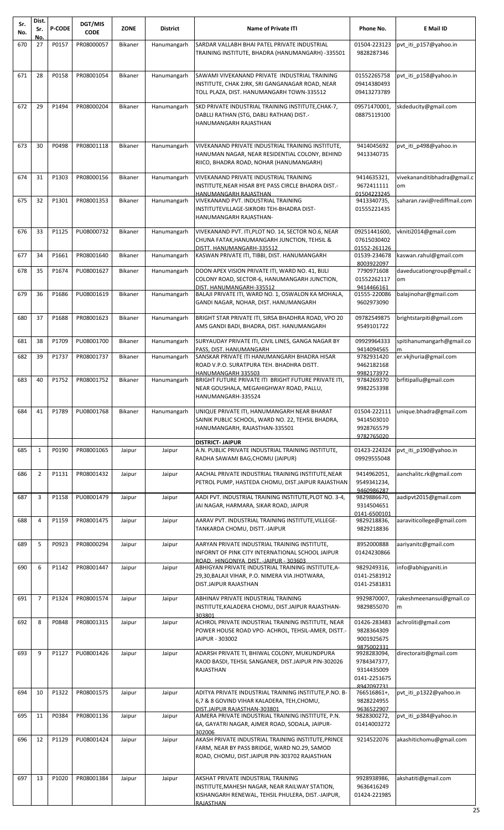| Sr.<br>No. | Dist.<br>Sr.   | <b>P-CODE</b> | <b>DGT/MIS</b><br><b>CODE</b> | <b>ZONE</b>    | District    | <b>Name of Private ITI</b>                                                                               | Phone No.                    | E Mail ID                       |
|------------|----------------|---------------|-------------------------------|----------------|-------------|----------------------------------------------------------------------------------------------------------|------------------------------|---------------------------------|
| 670        | No.<br>27      | P0157         | PR08000057                    | <b>Bikaner</b> | Hanumangarh | SARDAR VALLABH BHAI PATEL PRIVATE INDUSTRIAL                                                             | 01504-223123                 | pvt iti p157@yahoo.in           |
|            |                |               |                               |                |             | TRAINING INSTITUTE, BHADRA (HANUMANGARH) -335501                                                         | 9828287346                   |                                 |
|            |                |               |                               |                |             |                                                                                                          |                              |                                 |
| 671        | 28             | P0158         | PR08001054                    | Bikaner        | Hanumangarh | SAWAMI VIVEKANAND PRIVATE INDUSTRIAL TRAINING                                                            | 01552265758                  | pvt iti p158@yahoo.in           |
|            |                |               |                               |                |             | INSTITUTE, CHAK 2JRK, SRI GANGANAGAR ROAD, NEAR<br>TOLL PLAZA, DIST. HANUMANGARH TOWN-335512             | 09414380493<br>09413273789   |                                 |
|            |                |               |                               |                |             | SKD PRIVATE INDUSTRIAL TRAINING INSTITUTE, CHAK-7,                                                       |                              | skdeducity@gmail.com            |
| 672        | 29             | P1494         | PR08000204                    | Bikaner        | Hanumangarh | DABLLI RATHAN (STG, DABLI RATHAN) DIST.-                                                                 | 09571470001,<br>08875119100  |                                 |
|            |                |               |                               |                |             | HANUMANGARH RAJASTHAN                                                                                    |                              |                                 |
|            |                |               |                               |                |             |                                                                                                          |                              |                                 |
| 673        | 30             | P0498         | PR08001118                    | Bikaner        | Hanumangarh | VIVEKANAND PRIVATE INDUSTRIAL TRAINING INSTITUTE,<br>HANUMAN NAGAR, NEAR RESIDENTIAL COLONY, BEHIND      | 9414045692<br>9413340735     | pvt_iti_p498@yahoo.in           |
|            |                |               |                               |                |             | RIICO, BHADRA ROAD, NOHAR (HANUMANGARH)                                                                  |                              |                                 |
| 674        | 31             | P1303         | PR08000156                    | Bikaner        | Hanumangarh | VIVEKANAND PRIVATE INDUSTRIAL TRAINING                                                                   | 9414635321,                  | vivekananditibhadra@gmail.c     |
|            |                |               |                               |                |             | INSTITUTE, NEAR HISAR BYE PASS CIRCLE BHADRA DIST.-                                                      | 9672411111<br>01504223245    | om                              |
| 675        | 32             | P1301         | PR08001353                    | <b>Bikaner</b> | Hanumangarh | <b>HANUMANGARH RAJASTHAN</b><br>VIVEKANAND PVT. INDUSTRIAL TRAINING                                      | 9413340735,                  | saharan.ravi@rediffmail.com     |
|            |                |               |                               |                |             | INSTITUTEVILLAGE-SIKRORI TEH-BHADRA DIST-<br>HANUMANGARH RAJASTHAN-                                      | 01555221435                  |                                 |
|            |                |               |                               |                |             |                                                                                                          |                              |                                 |
| 676        | 33             | P1125         | PU08000732                    | Bikaner        | Hanumangarh | VIVEKANAND PVT. ITI, PLOT NO. 14, SECTOR NO.6, NEAR<br>CHUNA FATAK, HANUMANGARH JUNCTION, TEHSIL &       | 09251441600,<br>07615030402  | vkniti2014@gmail.com            |
| 677        | 34             | P1661         | PR08001640                    | Bikaner        | Hanumangarh | DISTT. HANUMANGARH-335512<br>KASWAN PRIVATE ITI, TIBBI, DIST. HANUMANGARH                                | 01552-261126<br>01539-234678 | kaswan.rahul@gmail.com          |
|            |                |               |                               |                |             |                                                                                                          | 8003922097                   |                                 |
| 678        | 35             | P1674         | PU08001627                    | Bikaner        | Hanumangarh | DOON APEX VISION PRIVATE ITI, WARD NO. 41, BIJLI<br>COLONY ROAD, SECTOR-6, HANUMANGARH JUNCTION,         | 7790971608<br>01552262117    | daveducationgroup@gmail.c<br>om |
|            |                |               |                               |                |             | DIST. HANUMANGARH-335512                                                                                 | 9414466161                   |                                 |
| 679        | 36             | P1686         | PU08001619                    | Bikaner        | Hanumangarh | BALAJI PRIVATE ITI, WARD NO. 1, OSWALON KA MOHALA,<br>GANDI NAGAR, NOHAR, DIST. HANUMANGARH              | 01555-220086<br>9602973090   | balajinohar@gmail.com           |
| 680        | 37             | P1688         | PR08001623                    | Bikaner        | Hanumangarh | BRIGHT STAR PRIVATE ITI, SIRSA BHADHRA ROAD, VPO 20                                                      | 09782549875                  | brightstarpiti@gmail.com        |
|            |                |               |                               |                |             | AMS GANDI BADI, BHADRA, DIST. HANUMANGARH                                                                | 9549101722                   |                                 |
| 681        | 38             | P1709         | PU08001700                    | Bikaner        | Hanumangarh | SURYAUDAY PRIVATE ITI, CIVIL LINES, GANGA NAGAR BY                                                       | 09929964333                  | spitihanumangarh@gmail.co       |
|            |                |               |                               |                |             | PASS, DIST, HANUMANGARH                                                                                  | 9414094565                   |                                 |
| 682        | 39             | P1737         | PR08001737                    | <b>Bikaner</b> | Hanumangarh | SANSKAR PRIVATE ITI HANUMANGARH BHADRA HISAR<br>ROAD V.P.O. SURATPURA TEH. BHADHRA DISTT.                | 9782931420<br>9462182168     | er.vkjhuria@gmail.com           |
| 683        | 40             | P1752         | PR08001752                    | Bikaner        | Hanumangarh | HANUMANGARH 335503<br>BRIGHT FUTURE PRIVATE ITI BRIGHT FUTURE PRIVATE ITI,                               | 9982173972<br>9784269370     | brfitipallu@gmail.com           |
|            |                |               |                               |                |             | NEAR GOUSHALA, MEGAHIGHWAY ROAD, PALLU,                                                                  | 9982253398                   |                                 |
|            |                |               |                               |                |             | HANUMANGARH-335524                                                                                       |                              |                                 |
| 684        | 41             | P1789         | PU08001768                    | Bikaner        | Hanumangarh | UNIQUE PRIVATE ITI, HANUMANGARH NEAR BHARAT                                                              | 01504-222111                 | unique.bhadra@gmail.com         |
|            |                |               |                               |                |             | SAINIK PUBLIC SCHOOL, WARD NO. 22, TEHSIL BHADRA,<br>HANUMANGARH, RAJASTHAN-335501                       | 9414503010<br>9928765579     |                                 |
|            |                |               |                               |                |             | <b>DISTRICT-JAIPUR</b>                                                                                   | 9782765020                   |                                 |
| 685        | $\mathbf{1}$   | P0190         | PR08001065                    | Jaipur         | Jaipur      | A.N. PUBLIC PRIVATE INDUSTRIAL TRAINING INSTITUTE,                                                       | 01423-224324                 | pvt iti p190@yahoo.in           |
|            |                |               |                               |                |             | RADHA SAWAMI BAG, CHOMU (JAIPUR)                                                                         | 09929555048                  |                                 |
| 686        | $\overline{2}$ | P1131         | PR08001432                    | Jaipur         | Jaipur      | AACHAL PRIVATE INDUSTRIAL TRAINING INSTITUTE, NEAR<br>PETROL PUMP, HASTEDA CHOMU, DIST.JAIPUR RAJASTHAN  | 9414962051,<br>9549341234,   | aanchalitc.rk@gmail.com         |
|            |                |               |                               |                |             |                                                                                                          | 9460986287                   |                                 |
| 687        | 3              | P1158         | PU08001479                    | Jaipur         | Jaipur      | AADI PVT. INDUSTRIAL TRAINING INSTITUTE, PLOT NO. 3-4,<br>JAI NAGAR, HARMARA, SIKAR ROAD, JAIPUR         | 9829886670,<br>9314504651    | aadipvt2015@gmail.com           |
|            |                |               |                               |                |             |                                                                                                          | 0141-6500101                 |                                 |
| 688        | $\overline{4}$ | P1159         | PR08001475                    | Jaipur         | Jaipur      | AARAV PVT. INDUSTRIAL TRAINING INSTITUTE, VILLEGE-<br>TANKARDA CHOMU, DISTT.-JAIPUR                      | 9829218836,<br>9829218836    | aaraviticollege@gmail.com       |
| 689        | 5              | P0923         | PR08000294                    | Jaipur         | Jaipur      | AARYAN PRIVATE INDUSTRIAL TRAINING INSTITUTE,                                                            | 8952000888                   | aariyanitc@gmail.com            |
|            |                |               |                               |                |             | INFORNT OF PINK CITY INTERNATIONAL SCHOOL JAIPUR                                                         | 01424230866                  |                                 |
| 690        | 6              | P1142         | PR08001447                    | Jaipur         | Jaipur      | ROAD. HINGONIYA DIST. - JAIPUR - 303603<br>ABHIGYAN PRIVATE INDUSTRIAL TRAINING INSTITUTE, A-            | 9829249316,                  | info@abhigyaniti.in             |
|            |                |               |                               |                |             | 29,30, BALAJI VIHAR, P.O. NIMERA VIA JHOTWARA,                                                           | 0141-2581912                 |                                 |
|            |                |               |                               |                |             | DIST.JAIPUR RAJASTHAN                                                                                    | 0141-2581831                 |                                 |
| 691        | $\overline{7}$ | P1324         | PR08001574                    | Jaipur         | Jaipur      | ABHINAV PRIVATE INDUSTRIAL TRAINING<br>INSTITUTE, KALADERA CHOMU, DIST.JAIPUR RAJASTHAN-                 | 9929870007,<br>9829855070    | rakeshmeenansui@gmail.co<br>m   |
|            |                |               |                               |                |             | 303801                                                                                                   |                              |                                 |
| 692        | 8              | P0848         | PR08001315                    | Jaipur         | Jaipur      | ACHROL PRIVATE INDUSTRIAL TRAINING INSTITUTE, NEAR<br>POWER HOUSE ROAD VPO- ACHROL, TEHSIL-AMER, DISTT.- | 01426-283483<br>9828364309   | achroliti@gmail.com             |
|            |                |               |                               |                |             | JAIPUR - 303002                                                                                          | 9001925675<br>9875002331     |                                 |
| 693        | 9              | P1127         | PU08001426                    | Jaipur         | Jaipur      | ADARSH PRIVATE TI, BHIWAL COLONY, MUKUNDPURA                                                             | 9928283094,                  | directoraiti@gmail.com          |
|            |                |               |                               |                |             | RAOD BASDI, TEHSIL SANGANER, DIST.JAIPUR PIN-302026<br>RAJASTHAN                                         | 9784347377,<br>9314435009    |                                 |
|            |                |               |                               |                |             |                                                                                                          | 0141-2251675                 |                                 |
| 694        | 10             | P1322         | PR08001575                    | Jaipur         | Jaipur      | ADITYA PRIVATE INDUSTRIAL TRAINING INSTITUTE, P.NO. B-                                                   | 8947097731<br>766516861+,    | pvt_iti_p1322@yahoo.in          |
|            |                |               |                               |                |             | 6,7 & 8 GOVIND VIHAR KALADERA, TEH, CHOMU,<br>DIST.JAIPUR RAJASTHAN-303801                               | 9828224955<br>9636522907     |                                 |
| 695        | 11             | P0384         | PR08001136                    | Jaipur         | Jaipur      | AJMERA PRIVATE INDUSTRIAL TRAINING INSTITUTE, P.N.                                                       | 9828300272,                  | pvt_iti_p384@yahoo.in           |
|            |                |               |                               |                |             | 6A, GAYATRI NAGAR, AJMER ROAD, SODALA, JAIPUR-<br>302006                                                 | 01414003272                  |                                 |
| 696        | 12             | P1129         | PU08001424                    | Jaipur         | Jaipur      | AKASH PRIVATE INDUSTRIAL TRAINING INSTITUTE, PRINCE<br>FARM, NEAR BY PASS BRIDGE, WARD NO.29, SAMOD      | 9214522076                   | akashitichomu@gmail.com         |
|            |                |               |                               |                |             | ROAD, CHOMU, DIST.JAIPUR PIN-303702 RAJASTHAN                                                            |                              |                                 |
|            |                |               |                               |                |             |                                                                                                          |                              |                                 |
| 697        | 13             | P1020         | PR08001384                    | Jaipur         | Jaipur      | AKSHAT PRIVATE INDUSTRIAL TRAINING<br>INSTITUTE, MAHESH NAGAR, NEAR RAILWAY STATION,                     | 9928938986,<br>9636416249    | akshatiti@gmail.com             |
|            |                |               |                               |                |             | KISHANGARH RENEWAL, TEHSIL PHULERA, DIST.-JAIPUR,                                                        | 01424-221985                 |                                 |
|            |                |               |                               |                |             | RAJASTHAN                                                                                                |                              |                                 |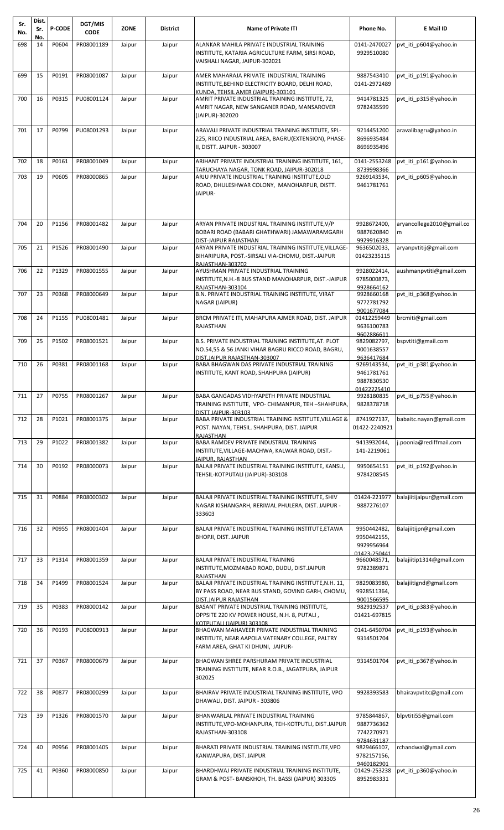| Sr.<br>No. | Dist.<br>Sr. | <b>P-CODE</b> | DGT/MIS<br><b>CODE</b> | <b>ZONE</b> | <b>District</b> | <b>Name of Private ITI</b>                                                                                                                 | Phone No.                                                | E Mail ID                      |
|------------|--------------|---------------|------------------------|-------------|-----------------|--------------------------------------------------------------------------------------------------------------------------------------------|----------------------------------------------------------|--------------------------------|
| 698        | No.<br>14    | P0604         | PR08001189             | Jaipur      | Jaipur          | ALANKAR MAHILA PRIVATE INDUSTRIAL TRAINING                                                                                                 | 0141-2470027                                             | pvt iti p604@yahoo.in          |
|            |              |               |                        |             |                 | INSTITUTE, KATARIA AGRICULTURE FARM, SIRSI ROAD,<br>VAISHALI NAGAR, JAIPUR-302021                                                          | 9929510080                                               |                                |
| 699        | 15           | P0191         | PR08001087             | Jaipur      | Jaipur          | AMER MAHARAJA PRIVATE INDUSTRIAL TRAINING<br>INSTITUTE, BEHIND ELECTRICITY BOARD, DELHI ROAD,<br>KUNDA. TEHSIL AMER (JAIPUR)-303101        | 9887543410<br>0141-2972489                               | pvt iti p191@yahoo.in          |
| 700        | 16           | P0315         | PU08001124             | Jaipur      | Jaipur          | AMRIT PRIVATE INDUSTRIAL TRAINING INSTITUTE, 72,<br>AMRIT NAGAR, NEW SANGANER ROAD, MANSAROVER<br>(JAIPUR)-302020                          | 9414781325<br>9782435599                                 | pvt iti p315@yahoo.in          |
| 701        | 17           | P0799         | PU08001293             | Jaipur      | Jaipur          | ARAVALI PRIVATE INDUSTRIAL TRAINING INSTITUTE, SPL-<br>225, RIICO INDUSTRIAL AREA, BAGRU(EXTENSION), PHASE-<br>II, DISTT. JAIPUR - 303007  | 9214451200<br>8696935484<br>8696935496                   | aravalibagru@yahoo.in          |
| 702        | 18           | P0161         | PR08001049             | Jaipur      | Jaipur          | ARIHANT PRIVATE INDUSTRIAL TRAINING INSTITUTE, 161,<br>TARUCHAYA NAGAR, TONK ROAD, JAIPUR-302018                                           | 0141-2553248<br>8739998366                               | pvt_iti_p161@yahoo.in          |
| 703        | 19           | P0605         | PR08000865             | Jaipur      | Jaipur          | ARJU PRIVATE INDUSTRIAL TRAINING INSTITUTE, OLD<br>ROAD, DHULESHWAR COLONY, MANOHARPUR, DISTT.<br>JAIPUR-                                  | 9269143534,<br>9461781761                                | pvt iti p605@yahoo.in          |
| 704        | 20           | P1156         | PR08001482             | Jaipur      | Jaipur          | ARYAN PRIVATE INDUSTRIAL TRAINING INSTITUTE, V/P<br>BOBARI ROAD (BABARI GHATHWARI) JAMAWARAMGARH<br>DIST-JAIPUR RAJASTHAN                  | 9928672400,<br>9887620840<br>9929916328                  | aryancollege2010@gmail.co<br>m |
| 705        | 21           | P1526         | PR08001490             | Jaipur      | Jaipur          | ARYAN PRIVATE INDUSTRIAL TRAINING INSTITUTE, VILLAGE-<br>BIHARIPURA, POST.-SIRSALI VIA-CHOMU, DIST.-JAIPUR<br>RAJASTHAN-303702             | 9636502033,<br>01423235115                               | aryanpvtitij@gmail.com         |
| 706        | 22           | P1329         | PR08001555             | Jaipur      | Jaipur          | AYUSHMAN PRIVATE INDUSTRIAL TRAINING<br>INSTITUTE, N.H.-8 BUS STAND MANOHARPUR, DIST.-JAIPUR<br>RAJASTHAN-303104                           | 9928022414,<br>9785000873,<br>9928664162                 | aushmanpvtiti@gmail.com        |
| 707        | 23           | P0368         | PR08000649             | Jaipur      | Jaipur          | B.N. PRIVATE INDUSTRIAL TRAINING INSTITUTE, VIRAT<br>NAGAR (JAIPUR)                                                                        | 9928660168<br>9772781792<br>9001677084                   | pvt iti p368@yahoo.in          |
| 708        | 24           | P1155         | PU08001481             | Jaipur      | Jaipur          | BRCM PRIVATE ITI, MAHAPURA AJMER ROAD, DIST. JAIPUR<br>RAJASTHAN                                                                           | 01412259449<br>9636100783<br>9602886611                  | brcmiti@gmail.com              |
| 709        | 25           | P1502         | PR08001521             | Jaipur      | Jaipur          | B.S. PRIVATE INDUSTRIAL TRAINING INSTITUTE, AT. PLOT<br>NO.54,55 & 56 JANKI VIHAR BAGRU RICCO ROAD, BAGRU,<br>DIST.JAIPUR RAJASTHAN-303007 | 9829082797,<br>9001638557<br>9636417684                  | bspvtiti@gmail.com             |
| 710        | 26           | P0381         | PR08001168             | Jaipur      | Jaipur          | BABA BHAGWAN DAS PRIVATE INDUSTRIAL TRAINING<br>INSTITUTE, KANT ROAD, SHAHPURA (JAIPUR)                                                    | 9269143534,<br>9461781761<br>9887830530<br>01422225410   | pvt iti p381@yahoo.in          |
| 711        | 27           | P0755         | PR08001267             | Jaipur      | Jaipur          | BABA GANGADAS VIDHYAPETH PRIVATE INDUSTRIAL<br>TRAINING INSTITUTE, VPO- CHIMANPUR, TEH-SHAHPURA,<br>DISTT IAIPUR-303103                    | 9928180835<br>9828378718                                 | pvt_iti_p755@yahoo.in          |
| 712        | 28           | P1021         | PR08001375             | Jaipur      | Jaipur          | BABA PRIVATE INDUSTRIAL TRAINING INSTITUTE, VILLAGE &<br>POST. NAYAN, TEHSIL. SHAHPURA, DIST. JAIPUR<br><b>RAJASTHAN</b>                   | 8741927137,<br>01422-2240921                             | babaitc.nayan@gmail.com        |
| 713        | 29           | P1022         | PR08001382             | Jaipur      | Jaipur          | BABA RAMDEV PRIVATE INDUSTRIAL TRAINING<br>INSTITUTE, VILLAGE-MACHWA, KALWAR ROAD, DIST.-<br>JAIPUR. RAJASTHAN                             | 9413932044,<br>141-2219061                               | j.poonia@rediffmail.com        |
| 714        | 30           | P0192         | PR08000073             | Jaipur      | Jaipur          | BALAJI PRIVATE INDUSTRIAL TRAINING INSTITUTE, KANSLI,<br>TEHSIL-KOTPUTALI (JAIPUR)-303108                                                  | 9950654151<br>9784208545                                 | pvt iti p192@yahoo.in          |
| 715        | 31           | P0884         | PR08000302             | Jaipur      | Jaipur          | BALAJI PRIVATE INDUSTRIAL TRAINING INSTITUTE, SHIV<br>NAGAR KISHANGARH, RERIWAL PHULERA, DIST. JAIPUR -<br>333603                          | 01424-221977<br>9887276107                               | balajiitijaipur@gmail.com      |
| 716        | 32           | P0955         | PR08001404             | Jaipur      | Jaipur          | BALAJI PRIVATE INDUSTRIAL TRAINING INSTITUTE, ETAWA<br><b>BHOPJI, DIST. JAIPUR</b>                                                         | 9950442482,<br>9950442155,<br>9929956964<br>01423-250441 | Balajiitijpr@gmail.com         |
| 717        | 33           | P1314         | PR08001359             | Jaipur      | Jaipur          | BALAJI PRIVATE INDUSTRIAL TRAINING<br>INSTITUTE, MOZMABAD ROAD, DUDU, DIST.JAIPUR<br>RAJASTHAN                                             | 9660048571,<br>9782389871                                | balajiitip1314@gmail.com       |
| 718        | 34           | P1499         | PR08001524             | Jaipur      | Jaipur          | BALAJI PRIVATE INDUSTRIAL TRAINING INSTITUTE, N.H. 11,<br>BY PASS ROAD, NEAR BUS STAND, GOVIND GARH, CHOMU,<br>DIST.JAIPUR RAJASTHAN       | 9829083980,<br>9928511364,<br>9001566595                 | balajiitignd@gmail.com         |
| 719        | 35           | P0383         | PR08000142             | Jaipur      | Jaipur          | BASANT PRIVATE INDUSTRIAL TRAINING INSTITUTE,<br>OPPSITE 220 KV POWER HOUSE, N.H. 8, PUTALI,<br>KOTPUTALI (JAIPUR) 303108                  | 9829192537<br>01421-697815                               | pvt iti p383@yahoo.in          |
| 720        | 36           | P0193         | PU08000913             | Jaipur      | Jaipur          | BHAGWAN MAHAVEER PRIVATE INDUSTRIAL TRAINING<br>INSTITUTE, NEAR AAPOLA VATENARY COLLEGE, PALTRY<br>FARM AREA, GHAT KI DHUNI, JAIPUR-       | 0141-6450704<br>9314501704                               | pvt_iti_p193@yahoo.in          |
| 721        | 37           | P0367         | PR08000679             | Jaipur      | Jaipur          | BHAGWAN SHREE PARSHURAM PRIVATE INDUSTRIAL<br>TRAINING INSTITUTE, NEAR R.O.B., JAGATPURA, JAIPUR<br>302025                                 | 9314501704                                               | pvt_iti_p367@yahoo.in          |
| 722        | 38           | P0877         | PR08000299             | Jaipur      | Jaipur          | BHAIRAV PRIVATE INDUSTRIAL TRAINING INSTITUTE, VPO<br>DHAWALI, DIST. JAIPUR - 303806                                                       | 9928393583                                               | bhairavpvtitc@gmail.com        |
| 723        | 39           | P1326         | PR08001570             | Jaipur      | Jaipur          | BHANWARLAL PRIVATE INDUSTRIAL TRAINING<br>INSTITUTE, VPO-MOHANPURA, TEH-KOTPUTLI, DIST.JAIPUR<br>RAJASTHAN-303108                          | 9785844867,<br>9887736362<br>7742270971<br>9784631187    | blpvtiti55@gmail.com           |
| 724        | 40           | P0956         | PR08001405             | Jaipur      | Jaipur          | BHARATI PRIVATE INDUSTRIAL TRAINING INSTITUTE, VPO<br>KANWAPURA, DIST. JAIPUR                                                              | 9829466107,<br>9782157156,<br>9460182901                 | rchandwal@ymail.com            |
| 725        | 41           | P0360         | PR08000850             | Jaipur      | Jaipur          | BHARDHWAJ PRIVATE INDUSTRIAL TRAINING INSTITUTE,<br>GRAM & POST- BANSKHOH, TH. BASSI (JAIPUR) 303305                                       | 01429-253238<br>8952983331                               | pvt iti p360@yahoo.in          |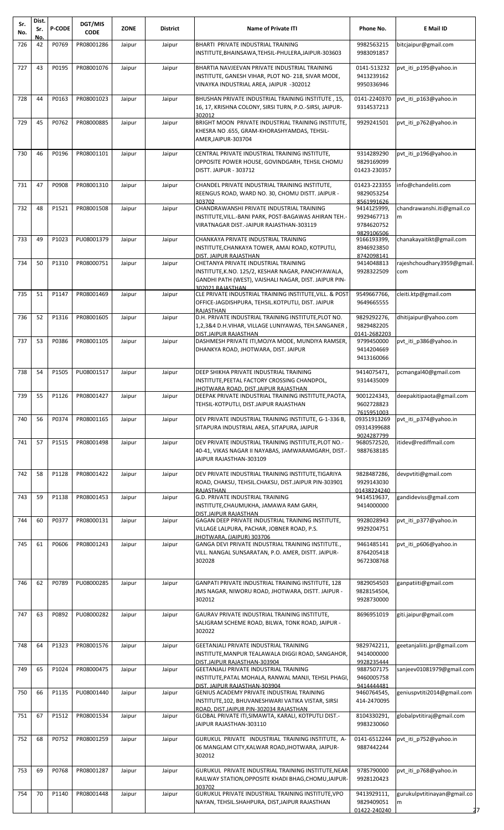| Sr.<br>No. | Dist.<br>Sr. | <b>P-CODE</b> | DGT/MIS<br><b>CODE</b> | ZONE   | <b>District</b> | <b>Name of Private ITI</b>                                                                                                                                      | Phone No.                                            | E Mail ID                        |
|------------|--------------|---------------|------------------------|--------|-----------------|-----------------------------------------------------------------------------------------------------------------------------------------------------------------|------------------------------------------------------|----------------------------------|
| 726        | No.<br>42    | P0769         | PR08001286             | Jaipur | Jaipur          | BHARTI PRIVATE INDUSTRIAL TRAINING                                                                                                                              | 9982563215                                           | bitciaipur@gmail.com             |
|            |              |               |                        |        |                 | INSTITUTE, BHAINSAWA, TEHSIL-PHULERA, JAIPUR-303603                                                                                                             | 9983091857                                           |                                  |
| 727        | 43           | P0195         | PR08001076             | Jaipur | Jaipur          | BHARTIA NAVJEEVAN PRIVATE INDUSTRIAL TRAINING<br>INSTITUTE, GANESH VIHAR, PLOT NO- 218, SIVAR MODE,<br>VINAYKA INDUSTRIAL AREA, JAIPUR -302012                  | 0141-513232<br>9413239162<br>9950336946              | pvt iti p195@yahoo.in            |
| 728        | 44           | P0163         | PR08001023             | Jaipur | Jaipur          | BHUSHAN PRIVATE INDUSTRIAL TRAINING INSTITUTE, 15,<br>16, 17, KRISHNA COLONY, SIRSI TURN, P.O.-SIRSI, JAIPUR-<br>302012                                         | 0141-2240370<br>9314537213                           | pvt iti p163@yahoo.in            |
| 729        | 45           | P0762         | PR08000885             | Jaipur | Jaipur          | BRIGHT MOON PRIVATE INDUSTRIAL TRAINING INSTITUTE,<br>KHESRA NO .655, GRAM-KHORASHYAMDAS, TEHSIL-<br>AMER, JAIPUR-303704                                        | 9929241501                                           | pvt iti p762@yahoo.in            |
| 730        | 46           | P0196         | PR08001101             | Jaipur | Jaipur          | CENTRAL PRIVATE INDUSTRIAL TRAINING INSTITUTE,<br>OPPOSITE POWER HOUSE, GOVINDGARH, TEHSIL CHOMU<br><b>DISTT. JAIPUR - 303712</b>                               | 9314289290<br>9829169099<br>01423-230357             | pvt_iti_p196@yahoo.in            |
| 731        | 47           | P0908         | PR08001310             | Jaipur | Jaipur          | CHANDEL PRIVATE INDUSTRIAL TRAINING INSTITUTE,<br>REENGUS ROAD, WARD NO. 30, CHOMU DISTT. JAIPUR -                                                              | 01423-223355<br>9829053254                           | info@chandeliti.com              |
| 732        | 48           | P1521         | PR08001508             | Jaipur | Jaipur          | 303702<br>CHANDRAWANSHI PRIVATE INDUSTRIAL TRAINING                                                                                                             | 8561991626<br>9414125999,                            | chandrawanshi.iti@gmail.co       |
|            |              |               |                        |        |                 | INSTITUTE, VILL.-BANI PARK, POST-BAGAWAS AHIRAN TEH.-<br>VIRATNAGAR DIST.-JAIPUR RAJASTHAN-303119                                                               | 9929467713<br>9784620752<br>9829106506               | m                                |
| 733        | 49           | P1023         | PU08001379             | Jaipur | Jaipur          | CHANKAYA PRIVATE INDUSTRIAL TRAINING<br>INSTITUTE, CHANKAYA TOWER, AMAI ROAD, KOTPUTLI,                                                                         | 9166193399,<br>8946923850                            | chanakayaitikt@gmail.com         |
| 734        | 50           | P1310         | PR08000751             |        |                 | DIST. JAIPUR RAJASTHAN<br>CHETANYA PRIVATE INDUSTRIAL TRAINING                                                                                                  | 8742098141<br>9414048813                             | rajeshchoudhary3959@gmail.       |
|            |              |               |                        | Jaipur | Jaipur          | INSTITUTE, K.NO. 125/2, KESHAR NAGAR, PANCHYAWALA,<br>GANDHI PATH (WEST), VAISHALI NAGAR, DIST. JAIPUR PIN-<br>302021 RAJASTHAN                                 | 9928322509                                           | com                              |
| 735        | 51           | P1147         | PR08001469             | Jaipur | Jaipur          | CLE PRIVATE INDUSTRIAL TRAINING INSTITUTE, VILL. & POST<br>OFFICE-JAGDISHPURA, TEHSIL.KOTPUTLI, DIST. JAIPUR<br><b>RAJASTHAN</b>                                | 9549667766,<br>9649665555                            | cleiti.ktp@gmail.com             |
| 736        | 52           | P1316         | PR08001605             | Jaipur | Jaipur          | D.H. PRIVATE INDUSTRIAL TRAINING INSTITUTE, PLOT NO.<br>1,2,3&4 D.H.VIHAR, VILLAGE LUNIYAWAS, TEH.SANGANER,                                                     | 9829292276,<br>9829482205                            | dhitijaipur@yahoo.com            |
| 737        | 53           | P0386         | PR08001105             | Jaipur | Jaipur          | DIST.JAIPUR RAJASTHAN<br>DASHMESH PRIVATE ITI, MOJYA MODE, MUNDIYA RAMSER,                                                                                      | 0141-2682203<br>9799450000                           | pvt iti p386@yahoo.in            |
|            |              |               |                        |        |                 | DHANKYA ROAD, JHOTWARA, DIST. JAIPUR                                                                                                                            | 9414204669<br>9413160066                             |                                  |
| 738        | 54           | P1505         | PU08001517             | Jaipur | Jaipur          | DEEP SHIKHA PRIVATE INDUSTRIAL TRAINING<br>INSTITUTE, PEETAL FACTORY CROSSING CHANDPOL,<br><u>JHOTWARA ROAD, DIST.JAIPUR RAJASTHAN</u>                          | 9414075471,<br>9314435009                            | pcmangal40@gmail.com             |
| 739        | 55           | P1126         | PR08001427             | Jaipur | Jaipur          | DEEPAK PRIVATE INDUSTRIAL TRAINING INSTITUTE, PAOTA,<br>TEHSIL-KOTPUTLI, DIST.JAIPUR RAJASTHAN                                                                  | 9001224343,<br>9602728823<br>7615951003              | deepakitipaota@gmail.com         |
| 740        | 56           | P0374         | PR08001165             | Jaipur | Jaipur          | DEV PRIVATE INDUSTRIAL TRAINING INSTITUTE, G-1-336 B,<br>SITAPURA INDUSTRIAL AREA, SITAPURA, JAIPUR                                                             | 09351913269<br>09314399688<br>9024287799             | pvt iti p374@yahoo.in            |
| 741        | 57           | P1515         | PR08001498             | Jaipur | Jaipur          | DEV PRIVATE INDUSTRIAL TRAINING INSTITUTE, PLOT NO.-<br>40-41, VIKAS NAGAR II NAYABAS, JAMWARAMGARH, DIST.-<br>JAIPUR RAJASTHAN-303109                          | 9680572520,<br>9887638185                            | itidev@rediffmail.com            |
| 742        | 58           | P1128         | PR08001422             | Jaipur | Jaipur          | DEV PRIVATE INDUSTRIAL TRAINING INSTITUTE, TIGARIYA                                                                                                             | 9828487286,                                          | devpvtiti@gmail.com              |
|            |              |               |                        |        |                 | ROAD, CHAKSU, TEHSIL.CHAKSU, DIST.JAIPUR PIN-303901                                                                                                             | 9929143030                                           |                                  |
| 743        | 59           | P1138         | PR08001453             | Jaipur | Jaipur          | <b>RAJASTHAN</b><br>G.D. PRIVATE INDUSTRIAL TRAINING<br>INSTITUTE, CHAUMUKHA, JAMAWA RAM GARH,                                                                  | 01438224240<br>9414519637,<br>9414000000             | gandideviss@gmail.com            |
| 744        | 60           | P0377         | PR08000131             | Jaipur | Jaipur          | DIST.JAIPUR RAJASTHAN<br>GAGAN DEEP PRIVATE INDUSTRIAL TRAINING INSTITUTE,<br>VILLAGE LALPURA, PACHAR, JOBNER ROAD, P.S.                                        | 9928028943<br>9929204751                             | pvt iti p377@yahoo.in            |
| 745        | 61           | P0606         | PR08001243             | Jaipur | Jaipur          | JHOTWARA, (JAIPUR) 303706<br>GANGA DEVI PRIVATE INDUSTRIAL TRAINING INSTITUTE.,                                                                                 | 9461485141                                           | pvt iti p606@yahoo.in            |
|            |              |               |                        |        |                 | VILL. NANGAL SUNSARATAN, P.O. AMER, DISTT. JAIPUR-<br>302028                                                                                                    | 8764205418<br>9672308768                             |                                  |
| 746        | 62           | P0789         | PU08000285             | Jaipur | Jaipur          | GANPATI PRIVATE INDUSTRIAL TRAINING INSTITUTE, 128<br>JMS NAGAR, NIWORU ROAD, JHOTWARA, DISTT. JAIPUR -<br>302012                                               | 9829054503<br>9828154504,<br>9928730000              | ganpatiiti@gmail.com             |
| 747        | 63           | P0892         | PU08000282             | Jaipur | Jaipur          | GAURAV PRIVATE INDUSTRIAL TRAINING INSTITUTE,<br>SALIGRAM SCHEME ROAD, BILWA, TONK ROAD, JAIPUR -<br>302022                                                     | 8696951019                                           | giti.jaipur@gmail.com            |
| 748        | 64           | P1323         | PR08001576             | Jaipur | Jaipur          | GEETANJALI PRIVATE INDUSTRIAL TRAINING<br>INSTITUTE, MANPUR TEALAWALA DIGGI ROAD, SANGAHOR,                                                                     | 9829742211,<br>9414000000                            | geetanjaliiti.jpr@gmail.com      |
| 749        | 65           | P1024         | PR08000475             | Jaipur | Jaipur          | DIST.JAIPUR RAJASTHAN-303904<br>GEETANJALI PRIVATE INDUSTRIAL TRAINING<br>INSTITUTE, PATAL MOHALA, RANWAL MANJI, TEHSIL PHAGI,<br>DIST. JAIPUR RAJASTHAN-303904 | 9928235444<br>9887507175<br>9460005758<br>9414444481 | sanjeev01081979@gmail.com        |
| 750        | 66           | P1135         | PU08001440             | Jaipur | Jaipur          | GENIUS ACADEMY PRIVATE INDUSTRIAL TRAINING<br>INSTITUTE, 102, BHUVANESHWARI VATIKA VISTAR, SIRSI                                                                | 9460764545,<br>414-2470095                           | geniuspvtiti2014@gmail.com       |
| 751        | 67           | P1512         | PR08001534             | Jaipur | Jaipur          | ROAD, DIST.JAIPUR PIN-302034 RAJASTHAN<br>GLOBAL PRIVATE ITI, SIMAWTA, KARALI, KOTPUTLI DIST.-<br>JAIPUR RAJASTHAN-303110                                       | 8104330291,<br>9983230060                            | globalpytitiraj@gmail.com        |
| 752        | 68           | P0752         | PR08001259             | Jaipur | Jaipur          | GURUKUL PRIVATE INDUSTRIAL TRAINING INSTITUTE, A-                                                                                                               | 0141-6512244                                         | pvt iti p752@yahoo.in            |
|            |              |               |                        |        |                 | 06 MANGLAM CITY, KALWAR ROAD, JHOTWARA, JAIPUR-<br>302012                                                                                                       | 9887442244                                           |                                  |
| 753        | 69           | P0768         | PR08001287             | Jaipur | Jaipur          | GURUKUL PRIVATE INDUSTRIAL TRAINING INSTITUTE, NEAR<br>RAILWAY STATION, OPPOSITE KHADI BHAG, CHOMU, JAIPUR-<br>303702                                           | 9785790000<br>9928120423                             | pvt iti p768@yahoo.in            |
| 754        | 70           | P1140         | PR08001448             | Jaipur | Jaipur          | GURUKUL PRIVATE INDUSTRIAL TRAINING INSTITUTE, VPO<br>NAYAN, TEHSIL.SHAHPURA, DIST, JAIPUR RAJASTHAN                                                            | 9413929111,<br>9829409051                            | gurukulpvtitinayan@gmail.co<br>m |
|            |              |               |                        |        |                 |                                                                                                                                                                 | 01422-240240                                         |                                  |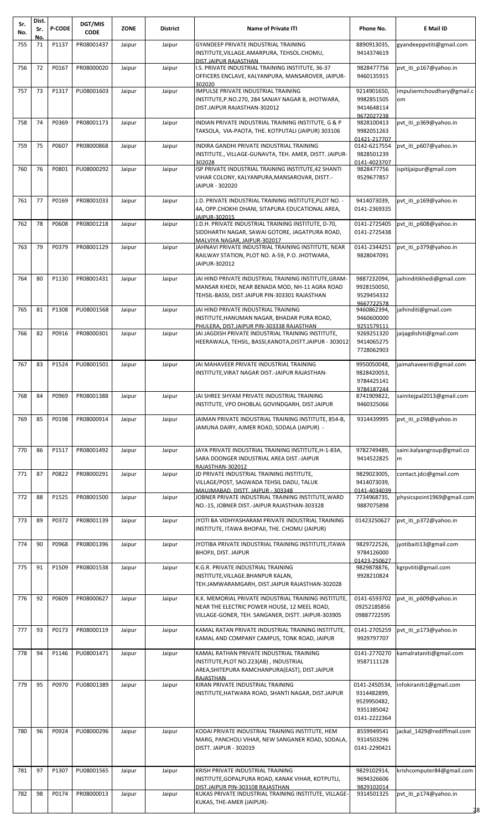| Sr.<br>No. | Dist.<br>Sr. | <b>P-CODE</b> | DGT/MIS<br><b>CODE</b> | <b>ZONE</b> | <b>District</b> | <b>Name of Private ITI</b>                                                                                                                                  | Phone No.                                                                 | E Mail ID                       |
|------------|--------------|---------------|------------------------|-------------|-----------------|-------------------------------------------------------------------------------------------------------------------------------------------------------------|---------------------------------------------------------------------------|---------------------------------|
| 755        | No.<br>71    | P1137         | PR08001437             | Jaipur      | Jaipur          | GYANDEEP PRIVATE INDUSTRIAL TRAINING<br>INSTITUTE, VILLAGE.AMARPURA, TEHSOL.CHOMU,<br>DIST.JAIPUR RAJASTHAN                                                 | 8890913035,<br>9414374619                                                 | gyandeeppvtiti@gmail.com        |
| 756        | 72           | P0167         | PR08000020             | Jaipur      | Jaipur          | I.S. PRIVATE INDUSTRIAL TRAINING INSTITUTE, 36-37<br>OFFICERS ENCLAVE, KALYANPURA, MANSAROVER, JAIPUR-<br>302020                                            | 9828477756<br>9460135915                                                  | pvt iti p167@yahoo.in           |
| 757        | 73           | P1317         | PU08001603             | Jaipur      | Jaipur          | IMPULSE PRIVATE INDUSTRIAL TRAINING<br>INSTITUTE, P.NO.270, 284 SANJAY NAGAR B, JHOTWARA,<br>DIST.JAIPUR RAJASTHAN-302012                                   | 9214901650,<br>9982851505<br>9414648114<br>9672027238                     | impulsemchoudhary@gmail.c<br>om |
| 758        | 74           | P0369         | PR08001173             | Jaipur      | Jaipur          | INDIAN PRIVATE INDUSTRIAL TRAINING INSTITUTE, G & P<br>TAKSOLA, VIA-PAOTA, THE. KOTPUTALI (JAIPUR) 303106                                                   | 9828100413<br>9982051263<br>01421-217707                                  | pvt iti p369@yahoo.in           |
| 759        | 75           | P0607         | PR08000868             | Jaipur      | Jaipur          | INDIRA GANDHI PRIVATE INDUSTRIAL TRAINING<br>INSTITUTE., VILLAGE-GUNAVTA, TEH. AMER, DISTT. JAIPUR-<br>302028                                               | 0142-6217554<br>9828501239<br>0141-4023707                                | pvt iti p607@yahoo.in           |
| 760        | 76           | P0801         | PU08000292             | Jaipur      | Jaipur          | ISP PRIVATE INDUSTRIAL TRAINING INSTITUTE, 42 SHANTI<br>VIHAR COLONY, KALYANPURA, MANSAROVAR, DISTT.-<br>JAIPUR - 302020                                    | 9828477756<br>9529677857                                                  | ispitijaipur@gmail.com          |
| 761        | 77           | P0169         | PR08001033             | Jaipur      | Jaipur          | J.D. PRIVATE INDUSTRIAL TRAINING INSTITUTE, PLOT NO. -<br>4A, OPP.CHOKHI DHANI, SITAPURA EDUCATIONAL AREA,<br>JAIPUR-302015                                 | 9414073039,<br>0141-2369335                                               | pvt iti p169@yahoo.in           |
| 762        | 78           | P0608         | PR08001218             | Jaipur      | Jaipur          | J.D.H. PRIVATE INDUSTRIAL TRAINING INSTITUTE, D-70,<br>SIDDHARTH NAGAR, SAWAI GOTORE, JAGATPURA ROAD,<br>MALVIYA NAGAR. JAIPUR-302017                       | 0141-2725405<br>0141-2725438                                              | pvt iti p608@yahoo.in           |
| 763        | 79           | P0379         | PR08001129             | Jaipur      | Jaipur          | JAHNAVI PRIVATE INDUSTRIAL TRAINING INSTITUTE, NEAR<br>RAILWAY STATION, PLOT NO. A-59, P.O. JHOTWARA,<br>JAIPUR-302012                                      | 0141-2344251<br>9828047091                                                | pvt iti p379@yahoo.in           |
| 764        | 80           | P1130         | PR08001431             | Jaipur      | Jaipur          | JAI HIND PRIVATE INDUSTRIAL TRAINING INSTITUTE, GRAM-<br>MANSAR KHEDI, NEAR BENADA MOD, NH-11 AGRA ROAD<br>TEHSIL-BASSI, DIST.JAIPUR PIN-303301 RAJASTHAN   | 9887232094,<br>9928150050,<br>9529454332                                  | jaihinditikhedi@gmail.com       |
| 765        | 81           | P1308         | PU08001568             | Jaipur      | Jaipur          | JAI HIND PRIVATE INDUSTRIAL TRAINING<br>INSTITUTE, HANUMAN NAGAR, BHADAR PURA ROAD,                                                                         | 9667722578<br>9460862394,<br>9460600000                                   | jaihinditi@gmail.com            |
| 766        | 82           | P0916         | PR08000301             | Jaipur      | Jaipur          | PHULERA. DIST.JAIPUR PIN-303338 RAJASTHAN<br>JAI JAGDISH PRIVATE INDUSTRIAL TRAINING INSTITUTE,<br>HEERAWALA, TEHSIL, BASSI, KANOTA, DISTT. JAIPUR - 303012 | 9251579111<br>9269251320<br>9414065275<br>7728062903                      | jaijagdishiti@gmail.com         |
| 767        | 83           | P1524         | PU08001501             | Jaipur      | Jaipur          | JAI MAHAVEER PRIVATE INDUSTRIAL TRAINING<br>INSTITUTE.VIRAT NAGAR DIST.-JAIPUR RAJASTHAN-                                                                   | 9950050048,<br>9828420053,<br>9784425141                                  | jaimahaveeriti@gmail.com        |
| 768        | 84           | P0969         | PR08001388             | Jaipur      | Jaipur          | JAI SHREE SHYAM PRIVATE INDUSTRIAL TRAINING<br>INSTITUTE, VPO DHOBLAL GOVINDGARH, DIST.JAIPUR                                                               | 9784187244<br>8741909822,<br>9460325066                                   | sainitejpal2013@gmail.com       |
| 769        | 85           | P0198         | PR08000914             | Jaipur      | Jaipur          | JAIMAN PRIVATE INDUSTRIAL TRAINING INSTITUTE, 854-B,<br>JAMUNA DAIRY, AJMER ROAD, SODALA (JAIPUR) -                                                         | 9314439995                                                                | pvt iti p198@yahoo.in           |
| 770        | 86           | P1517         | PR08001492             | Jaipur      | Jaipur          | JAYA PRIVATE INDUSTRIAL TRAINING INSTITUTE, H-1-83A,<br>SARA DOONGER INDUSTRIAL AREA DIST.-JAIPUR<br>RAJASTHAN-302012                                       | 9782749489,<br>9414522825                                                 | saini.kalyangroup@gmail.co<br>m |
| 771        | 87           | P0822         | PR08000291             | Jaipur      | Jaipur          | JD PRIVATE INDUSTRIAL TRAINING INSTITUTE,<br>VILLAGE/POST, SAGWADA TEHSIL DADU, TALUK<br>MAUJMABAD, DISTT, JAIPUR - 303348                                  | 9829023005,<br>9414073039,<br>0141-4034039                                | contact.jdci@gmail.com          |
| 772        | 88           | P1525         | PR08001500             | Jaipur      | Jaipur          | JOBNER PRIVATE INDUSTRIAL TRAINING INSTITUTE, WARD<br>NO.-15, JOBNER DIST.-JAIPUR RAJASTHAN-303328                                                          | 7734968735,<br>9887075898                                                 | physicspoint1969@gmail.com      |
| 773        | 89           | P0372         | PR08001139             | Jaipur      | Jaipur          | JYOTI BA VIDHYASHARAM PRIVATE INDUSTRIAL TRAINING<br>INSTITUTE, ITAWA BHOPAJI, THE. CHOMU (JAIPUR)                                                          | 01423250627                                                               | pvt_iti_p372@yahoo.in           |
| 774        | 90           | P0968         | PR08001396             | Jaipur      | Jaipur          | JYOTIBA PRIVATE INDUSTRIAL TRAINING INSTITUTE,ITAWA<br><b>BHOPJI, DIST. JAIPUR</b>                                                                          | 9829722526,<br>9784126000<br>01423-250627                                 | jyotibaiti13@gmail.com          |
| 775        | 91           | P1509         | PR08001538             | Jaipur      | Jaipur          | K.G.R. PRIVATE INDUSTRIAL TRAINING<br>INSTITUTE, VILLAGE. BHANPUR KALAN,<br>TEH.JAMWARAMGARH, DIST.JAIPUR RAJASTHAN-302028                                  | 9829878876,<br>9928210824                                                 | kgrpvtiti@gmail.com             |
| 776        | 92           | P0609         | PR08000627             | Jaipur      | Jaipur          | K.K. MEMORIAL PRIVATE INDUSTRIAL TRAINING INSTITUTE,<br>NEAR THE ELECTRIC POWER HOUSE, 12 MEEL ROAD,<br>VILLAGE-GONER, TEH. SANGANER, DISTT. JAIPUR-303905  | 0141-6593702<br>09252185856<br>09887722595                                | pvt iti p609@yahoo.in           |
| 777        | 93           | P0173         | PR08000119             | Jaipur      | Jaipur          | KAMAL RATAN PRIVATE INDUSTRIAL TRAINING INSTITUTE,<br>KAMAL AND COMPANY CAMPUS, TONK ROAD, JAIPUR                                                           | 0141-2705259<br>9929797707                                                | pvt iti p173@yahoo.in           |
| 778        | 94           | P1146         | PU08001471             | Jaipur      | Jaipur          | KAMAL RATHAN PRIVATE INDUSTRIAL TRAINING<br>INSTITUTE, PLOT NO.223(AB), INDUSTRIAL<br>AREA, SHITEPURA RAMCHANPURA (EAST), DIST. JAIPUR<br>RAJASTHAN         | 0141-2770270<br>9587111128                                                | kamalrataniti@gmail.com         |
| 779        | 95           | P0970         | PU08001389             | Jaipur      | Jaipur          | KIRAN PRIVATE INDUSTRIAL TRAINING<br>INSTITUTE, HATWARA ROAD, SHANTI NAGAR, DIST.JAIPUR                                                                     | 0141-2450534,<br>9314482899,<br>9529950482,<br>9351385042<br>0141-2222364 | infokiraniti1@gmail.com         |
| 780        | 96           | P0924         | PU08000296             | Jaipur      | Jaipur          | KODAI PRIVATE INDUSTRIAL TRAINING INSTITUTE, HEM<br>MARG, PANCHOLI VIHAR, NEW SANGANER ROAD, SODALA,<br>DISTT, JAIPUR - 302019                              | 8559949541<br>9314503296<br>0141-2290421                                  | jackal 1429@rediffmail.com      |
| 781        | 97           | P1307         | PU08001565             | Jaipur      | Jaipur          | KRISH PRIVATE INDUSTRIAL TRAINING<br>INSTITUTE, GOPALPURA ROAD, KANAK VIHAR, KOTPUTLI,<br>DIST.JAIPUR PIN-303108 RAJASTHAN                                  | 9829102914,<br>9694326606<br>9829102014                                   | krishcomputer84@gmail.com       |
| 782        | 98           | P0174         | PR08000013             | Jaipur      | Jaipur          | KUKAS PRIVATE INDUSTRIAL TRAINING INSTITUTE, VILLAGE-<br>KUKAS, THE-AMER (JAIPUR)-                                                                          | 9314501325                                                                | pvt_iti_p174@yahoo.in<br>28     |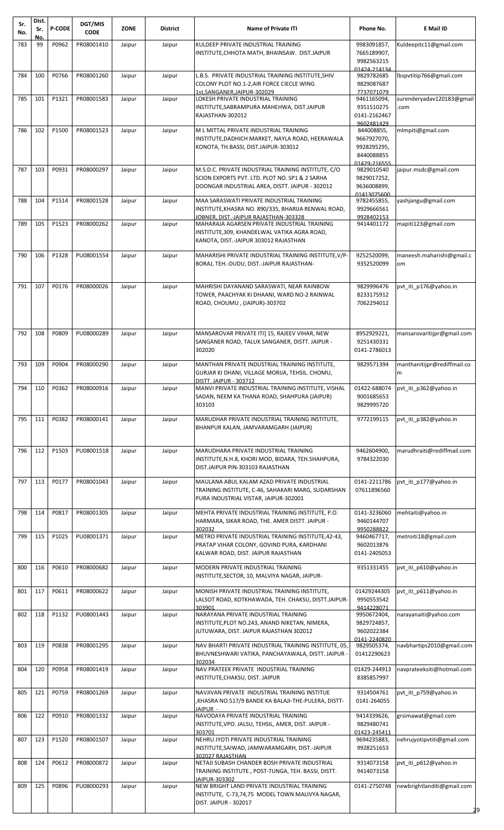| Sr.<br>No. | Dist.<br>Sr. | <b>P-CODE</b> | DGT/MIS<br><b>CODE</b>   | <b>ZONE</b> | <b>District</b> | <b>Name of Private ITI</b>                                                                           | Phone No.                  | E Mail ID                   |
|------------|--------------|---------------|--------------------------|-------------|-----------------|------------------------------------------------------------------------------------------------------|----------------------------|-----------------------------|
| 783        | No.<br>99    | P0962         | PR08001410               | Jaipur      | Jaipur          | KULDEEP PRIVATE INDUSTRIAL TRAINING                                                                  | 9983091857,                | Kuldeepitc11@gmail.com      |
|            |              |               |                          |             |                 | INSTITUTE, CHHOTA MATH, BHAINSAW. DIST.JAIPUR                                                        | 7665189907,                |                             |
|            |              |               |                          |             |                 |                                                                                                      | 9982563215                 |                             |
| 784        | 100          | P0766         | PR08001260               | Jaipur      | Jaipur          | L.B.S. PRIVATE INDUSTRIAL TRAINING INSTITUTE, SHIV                                                   | 01424-214134<br>9829782685 | bspytitip766@gmail.com      |
|            |              |               |                          |             |                 | COLONY PLOT NO.1-2, AIR FORCE CIECLE WING                                                            | 9829087687                 |                             |
|            |              |               |                          |             |                 | 1st.SANGANER.JAIPUR-302029                                                                           | 7737071079                 |                             |
| 785        | 101          | P1321         | PR08001583               | Jaipur      | Jaipur          | LOKESH PRIVATE INDUSTRIAL TRAINING                                                                   | 9461165094,                | surenderyadav120183@gmail   |
|            |              |               |                          |             |                 | INSTITUTE, SABRAMPURA MAHEHWA, DIST.JAIPUR<br>RAJASTHAN-302012                                       | 9351510275<br>0141-2162467 | com                         |
|            |              |               |                          |             |                 |                                                                                                      | 9602481429                 |                             |
| 786        | 102          | P1500         | PR08001523               | Jaipur      | Jaipur          | M L MITTAL PRIVATE INDUSTRIAL TRAINING                                                               | 844008855,                 | mlmpiti@gmail.com           |
|            |              |               |                          |             |                 | INSTITUTE, DADHICH MARKET, NAYLA ROAD, HEERAWALA                                                     | 9667927070,                |                             |
|            |              |               |                          |             |                 | KONOTA, TH.BASSI, DIST.JAIPUR-303012                                                                 | 9928295295,<br>8440088855  |                             |
|            |              |               |                          |             |                 |                                                                                                      | 01429-216555               |                             |
| 787        | 103          | P0931         | PR08000297               | Jaipur      | Jaipur          | M.S.D.C. PRIVATE INDUSTRIAL TRAINING INSTITUTE, C/O                                                  | 9829010540                 | jaipur.msdc@gmail.com       |
|            |              |               |                          |             |                 | SCION EXPORTS PVT. LTD. PLOT NO. SP1 & 2 SARHA                                                       | 9829017252,                |                             |
|            |              |               |                          |             |                 | DOONGAR INDUSTRIAL AREA, DISTT. JAIPUR - 302012                                                      | 9636008899,<br>01413075600 |                             |
| 788        | 104          | P1514         | PR08001528               | Jaipur      | Jaipur          | MAA SARASWATI PRIVATE INDUSTRIAL TRAINING                                                            | 9782455855,                | yashjangu@gmail.com         |
|            |              |               |                          |             |                 | INSTITUTE, KHASRA NO. 890/335, BHARIJA RENWAL ROAD,                                                  | 9929666561                 |                             |
| 789        | 105          | P1523         | PR08000262               | Jaipur      | Jaipur          | JOBNER, DIST.-JAIPUR RAJASTHAN-303328<br>MAHARAJA AGARSEN PRIVATE INDUSTRIAL TRAINING                | 9928402153<br>9414401172   | mapiti123@gmail.com         |
|            |              |               |                          |             |                 | INSTITUTE, 309, KHANDELWAL VATIKA AGRA ROAD,                                                         |                            |                             |
|            |              |               |                          |             |                 | KANOTA, DIST.-JAIPUR 303012 RAJASTHAN                                                                |                            |                             |
| 790        | 106          | P1328         | PU08001554               | Jaipur      | Jaipur          | MAHARISHI PRIVATE INDUSTRIAL TRAINING INSTITUTE, V/P-                                                | 9252520099,                | maneesh.maharishi@gmail.c   |
|            |              |               |                          |             |                 | BORAJ, TEH.-DUDU, DIST.-JAIPUR RAJASTHAN-                                                            | 9352520099                 | om                          |
|            |              |               |                          |             |                 |                                                                                                      |                            |                             |
|            |              |               |                          |             |                 |                                                                                                      |                            |                             |
| 791        | 107          | P0176         | PR08000026               | Jaipur      | Jaipur          | MAHRISHI DAYANAND SARASWATI, NEAR RAINBOW<br>TOWER, PAACHYAK KI DHAANI, WARD NO-2 RAINWAL            | 9829996476<br>8233175912   | pvt_iti_p176@yahoo.in       |
|            |              |               |                          |             |                 | ROAD, CHOUMU, (JAIPUR)-303702                                                                        | 7062294012                 |                             |
|            |              |               |                          |             |                 |                                                                                                      |                            |                             |
|            |              |               |                          |             |                 |                                                                                                      |                            |                             |
| 792        | 108          | P0809         | PU08000289               | Jaipur      | Jaipur          | MANSAROVAR PRIVATE ITI] 15, RAJEEV VIHAR, NEW                                                        | 8952929221,                | mansarovaritijpr@gmail.com  |
|            |              |               |                          |             |                 | SANGANER ROAD, TALUK SANGANER, DISTT. JAIPUR -                                                       | 9251430331                 |                             |
|            |              |               |                          |             |                 | 302020                                                                                               | 0141-2786013               |                             |
| 793        | 109          | P0904         | PR08000290               | Jaipur      | Jaipur          | MANTHAN PRIVATE INDUSTRIAL TRAINING INSTITUTE,                                                       | 9829571394                 | manthanitijpr@rediffmail.co |
|            |              |               |                          |             |                 | GURJAR KI DHANI, VILLAGE MORIJA, TEHSIL. CHOMU,                                                      |                            | m                           |
|            |              |               | 794 110 P0362 PR08000916 | Jaipur      | Jaipur          | DISTT. JAIPUR - 303712<br>MANVI PRIVATE INDUSTRIAL TRAINING INSTITUTE, VISHAL                        | 01422-688074               | pvt_iti_p362@yahoo.in       |
|            |              |               |                          |             |                 | SADAN, NEEM KA THANA ROAD, SHAHPURA (JAIPUR)                                                         | 9001685653                 |                             |
|            |              |               |                          |             |                 | 303103                                                                                               | 9829995720                 |                             |
| 795        | 111          | P0382         | PR08000141               | Jaipur      | Jaipur          | MARUDHAR PRIVATE INDUSTRIAL TRAINING INSTITUTE,                                                      | 9772199115                 | pvt iti p382@yahoo.in       |
|            |              |               |                          |             |                 | BHANPUR KALAN, JAMVARAMGARH (JAIPUR)                                                                 |                            |                             |
|            |              |               |                          |             |                 |                                                                                                      |                            |                             |
| 796        | 112          | P1503         | PU08001518               | Jaipur      | Jaipur          | MARUDHARA PRIVATE INDUSTRIAL TRAINING                                                                | 9462604900,                | marudhraiti@rediffmail.com  |
|            |              |               |                          |             |                 | INSTITUTE, N.H.8, KHORI MOD, BIDARA, TEH. SHAHPURA,                                                  | 9784322030                 |                             |
|            |              |               |                          |             |                 | DIST.JAIPUR PIN-303103 RAJASTHAN                                                                     |                            |                             |
| 797        | 113          | P0177         | PR08001043               | Jaipur      | Jaipur          | MAULANA ABUL KALAM AZAD PRIVATE INDUSTRIAL                                                           | 0141-2211786               | pvt_iti_p177@yahoo.in       |
|            |              |               |                          |             |                 | TRAINING INSTITUTE, C-46, SAHAKARI MARG, SUDARSHAN                                                   | 07611896560                |                             |
|            |              |               |                          |             |                 | PURA INDUSTRIAL VISTAR, JAIPUR-302001                                                                |                            |                             |
| 798        | 114          | P0817         | PR08001305               | Jaipur      | Jaipur          | MEHTA PRIVATE INDUSTRIAL TRAINING INSTITUTE, P.O.                                                    | 0141-3236060               | mehtaiti@yahoo.in           |
|            |              |               |                          |             |                 | HARMARA, SIKAR ROAD, THE. AMER DISTT. JAIPUR -                                                       | 9460144707                 |                             |
|            |              |               |                          |             |                 | 302032                                                                                               | 9950288822                 |                             |
| 799        | 115          | P1025         | PU08001371               | Jaipur      | Jaipur          | METRO PRIVATE INDUSTRIAL TRAINING INSTITUTE, 42-43,<br>PRATAP VIHAR COLONY, GOVIND PURA, KARDHANI    | 9460467717,<br>9602013876  | metroiti18@gmail.com        |
|            |              |               |                          |             |                 | KALWAR ROAD, DIST. JAIPUR RAJASTHAN                                                                  | 0141-2405053               |                             |
|            |              |               |                          |             |                 |                                                                                                      |                            |                             |
| 800        | 116          | P0610         | PR08000682               | Jaipur      | Jaipur          | MODERN PRIVATE INDUSTRIAL TRAINING<br>INSTITUTE, SECTOR, 10, MALVIYA NAGAR, JAIPUR-                  | 9351331455                 | pvt_iti_p610@yahoo.in       |
|            |              |               |                          |             |                 |                                                                                                      |                            |                             |
| 801        | 117          | P0611         | PR08000622               | Jaipur      | Jaipur          | MONISH PRIVATE INDUSTRIAL TRAINING INSTITUTE,<br>LALSOT ROAD, KOTKHAWADA, TEH. CHAKSU, DISTT.JAIPUR- | 01429244305<br>9950553542  | pvt iti p611@yahoo.in       |
|            |              |               |                          |             |                 | 303901                                                                                               | 9414228071                 |                             |
| 802        | 118          | P1132         | PU08001443               | Jaipur      | Jaipur          | NARAYANA PRIVATE INDUSTRIAL TRAINING                                                                 | 9950672404,                | narayanaiti@yahoo.com       |
|            |              |               |                          |             |                 | INSTITUTE, PLOT NO.243, ANAND NIKETAN, NIMERA,                                                       | 9829724857,                |                             |
|            |              |               |                          |             |                 | JUTUWARA, DIST. JAIPUR RAJASTHAN 302012                                                              | 9602022384<br>0141-2240820 |                             |
| 803        | 119          | P0838         | PR08001295               | Jaipur      | Jaipur          | NAV BHARTI PRIVATE INDUSTRIAL TRAINING INSTITUTE, 05,                                                | 9829505374,                | navbhartips2010@gmail.com   |
|            |              |               |                          |             |                 | BHUVNESHWARI VATIKA, PANCHAYAWALA, DISTT. JAIPUR -<br>302034                                         | 01412290623                |                             |
| 804        | 120          | P0958         | PR08001419               | Jaipur      | Jaipur          | NAV PRATEEK PRIVATE INDUSTRIAL TRAINING                                                              | 01429-244913               | navprateeksiti@hotmail.com  |
|            |              |               |                          |             |                 | INSTITUTE, CHAKSU, DIST. JAIPUR                                                                      | 8385857997                 |                             |
| 805        | 121          | P0759         | PR08001269               | Jaipur      | Jaipur          | NAVJIVAN PRIVATE INDUSTRIAL TRAINING INSTITUE                                                        | 9314504761                 | pvt iti p759@yahoo.in       |
|            |              |               |                          |             |                 | ,KHASRA NO.517/9 BANDE KA BALAJI-THE-PULERA, DISTT-                                                  | 0141-264055                |                             |
|            |              |               |                          |             |                 | JAIPUR -                                                                                             |                            |                             |
| 806        | 122          | P0910         | PR08001332               | Jaipur      | Jaipur          | NAVODAYA PRIVATE INDUSTRIAL TRAINING<br>INSTITUTE, VPO. JALSU, TEHSIL, AMER, DIST. JAIPUR -          | 9414339626,<br>9829480741  | grsimawat@gmail.com         |
|            |              |               |                          |             |                 | 303701                                                                                               | 01423-245411               |                             |
| 807        | 123          | P1520         | PR08001507               | Jaipur      | Jaipur          | NEHRU JYOTI PRIVATE INDUSTRIAL TRAINING                                                              | 9694235883,                | nehrujyotipvtiti@gmail.com  |
|            |              |               |                          |             |                 | INSTITUTE, SAIWAD, JAMWARAMGARH, DIST.-JAIPUR                                                        | 9928251653                 |                             |
| 808        | 124          | P0612         | PR08000872               | Jaipur      | Jaipur          | 302027 RAJASTHAN<br>NETAJI SUBASH CHANDER BOSH PRIVATE INDUSTRIAL                                    | 9314073158                 | pvt_iti_p612@yahoo.in       |
|            |              |               |                          |             |                 | TRAINING INSTITUTE., POST-TUNGA, TEH. BASSI, DISTT.                                                  | 9414073158                 |                             |
| 809        | 125          | P0896         | PU08000293               | Jaipur      | Jaipur          | JAIPUR-303302<br>NEW BRIGHT LAND PRIVATE INDUSTRIAL TRAINING                                         | 0141-2750748               | newbrightlanditi@gmail.com  |
|            |              |               |                          |             |                 | INSTITUTE, C-73,74,75 MODEL TOWN MALIVYA NAGAR,                                                      |                            |                             |
|            |              |               |                          |             |                 | DIST. JAIPUR - 302017                                                                                |                            |                             |
|            |              |               |                          |             |                 |                                                                                                      |                            | 29                          |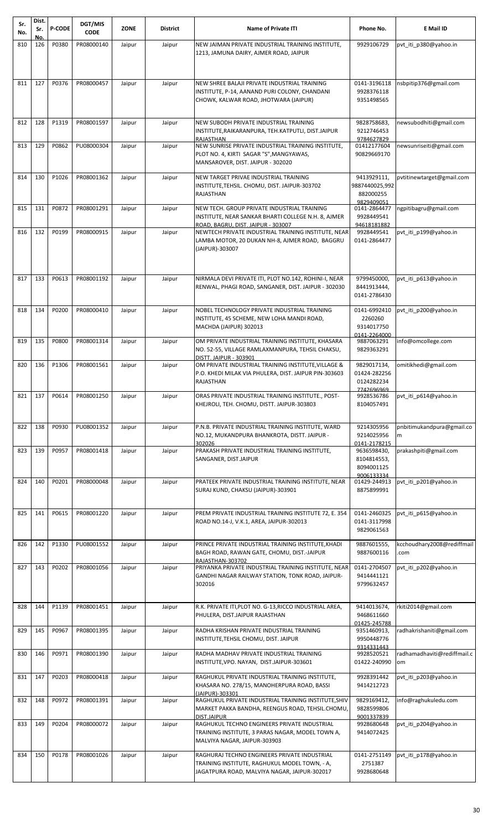| Sr.<br>No. | Dist.<br>Sr. | <b>P-CODE</b> | DGT/MIS<br><b>CODE</b> | <b>ZONE</b> | <b>District</b> | <b>Name of Private ITI</b>                                                                               | Phone No.                    | E Mail ID                   |
|------------|--------------|---------------|------------------------|-------------|-----------------|----------------------------------------------------------------------------------------------------------|------------------------------|-----------------------------|
|            | No.          |               |                        |             |                 |                                                                                                          |                              |                             |
| 810        | 126          | P0380         | PR08000140             | Jaipur      | Jaipur          | NEW JAIMAN PRIVATE INDUSTRIAL TRAINING INSTITUTE,<br>1213, JAMUNA DAIRY, AJMER ROAD, JAIPUR              | 9929106729                   | pvt iti p380@yahoo.in       |
|            |              |               |                        |             |                 |                                                                                                          |                              |                             |
|            |              |               |                        |             |                 |                                                                                                          |                              |                             |
| 811        | 127          | P0376         | PR08000457             | Jaipur      | Jaipur          | NEW SHREE BALAJI PRIVATE INDUSTRIAL TRAINING                                                             | 0141-3196118                 | nsbpitip376@gmail.com       |
|            |              |               |                        |             |                 | INSTITUTE, P-14, AANAND PURI COLONY, CHANDANI                                                            | 9928376118                   |                             |
|            |              |               |                        |             |                 | CHOWK, KALWAR ROAD, JHOTWARA (JAIPUR)                                                                    | 9351498565                   |                             |
|            |              |               |                        |             |                 |                                                                                                          |                              |                             |
| 812        | 128          | P1319         | PR08001597             | Jaipur      | Jaipur          | NEW SUBODH PRIVATE INDUSTRIAL TRAINING                                                                   | 9828758683,                  | newsubodhiti@gmail.com      |
|            |              |               |                        |             |                 | INSTITUTE, RAIKARANPURA, TEH.KATPUTLI, DIST.JAIPUR<br>RAJASTHAN                                          | 9212746453<br>9784627829     |                             |
| 813        | 129          | P0862         | PU08000304             | Jaipur      | Jaipur          | NEW SUNRISE PRIVATE INDUSTRIAL TRAINING INSTITUTE,                                                       | 01412177604                  | newsunriseiti@gmail.com     |
|            |              |               |                        |             |                 | PLOT NO. 4, KIRTI SAGAR "S", MANGYAWAS,<br>MANSAROVER, DIST. JAIPUR - 302020                             | 90829669170                  |                             |
|            |              |               |                        |             |                 |                                                                                                          |                              |                             |
| 814        | 130          | P1026         | PR08001362             | Jaipur      | Jaipur          | NEW TARGET PRIVAE INDUSTRIAL TRAINING                                                                    | 9413929111,                  | pvtitinewtarget@gmail.com   |
|            |              |               |                        |             |                 | INSTITUTE, TEHSIL. CHOMU, DIST. JAIPUR-303702<br><b>RAJASTHAN</b>                                        | 9887440025,992<br>882000255  |                             |
|            |              |               |                        |             |                 |                                                                                                          | 9829409051                   |                             |
| 815        | 131          | P0872         | PR08001291             | Jaipur      | Jaipur          | NEW TECH. GROUP PRIVATE INDUSTRIAL TRAINING<br>INSTITUTE, NEAR SANKAR BHARTI COLLEGE N.H. 8, AJMER       | 0141-2864477<br>9928449541   | ngpitibagru@gmail.com       |
|            |              |               |                        |             |                 | ROAD. BAGRU. DIST. JAIPUR - 303007                                                                       | 94618181882                  |                             |
| 816        | 132          | P0199         | PR08000915             | Jaipur      | Jaipur          | NEWTECH PRIVATE INDUSTRIAL TRAINING INSTITUTE, NEAR                                                      | 9928449541                   | pvt iti p199@yahoo.in       |
|            |              |               |                        |             |                 | LAMBA MOTOR, 20 DUKAN NH-8, AJMER ROAD, BAGGRU<br>(JAIPUR)-303007                                        | 0141-2864477                 |                             |
|            |              |               |                        |             |                 |                                                                                                          |                              |                             |
|            |              |               |                        |             |                 |                                                                                                          |                              |                             |
| 817        | 133          | P0613         | PR08001192             | Jaipur      | Jaipur          | NIRMALA DEVI PRIVATE ITI, PLOT NO.142, ROHINI-I, NEAR                                                    | 9799450000,                  | pvt iti p613@yahoo.in       |
|            |              |               |                        |             |                 | RENWAL, PHAGI ROAD, SANGANER, DIST. JAIPUR - 302030                                                      | 8441913444,                  |                             |
|            |              |               |                        |             |                 |                                                                                                          | 0141-2786430                 |                             |
| 818        | 134          | P0200         | PR08000410             | Jaipur      | Jaipur          | NOBEL TECHNOLOGY PRIVATE INDUSTRIAL TRAINING                                                             | 0141-6992410                 | pvt_iti_p200@yahoo.in       |
|            |              |               |                        |             |                 | INSTITUTE, 45 SCHEME, NEW LOHA MANDI ROAD,                                                               | 2260260                      |                             |
|            |              |               |                        |             |                 | MACHDA (JAIPUR) 302013                                                                                   | 9314017750<br>0141-2264000   |                             |
| 819        | 135          | P0800         | PR08001314             | Jaipur      | Jaipur          | OM PRIVATE INDUSTRIAL TRAINING INSTITUTE, KHASARA                                                        | 9887063291                   | info@omcollege.com          |
|            |              |               |                        |             |                 | NO. 52-55, VILLAGE RAMLAXMANPURA, TEHSIL CHAKSU,<br><b>DISTT. JAIPUR - 303901</b>                        | 9829363291                   |                             |
| 820        | 136          | P1306         | PR08001561             | Jaipur      | Jaipur          | OM PRIVATE INDUSTRIAL TRAINING INSTITUTE, VILLAGE &                                                      | 9829017134,                  | omitikhedi@gmail.com        |
|            |              |               |                        |             |                 | P.O. KHEDI MILAK VIA PHULERA, DIST. JAIPUR PIN-303603                                                    | 01424-282256                 |                             |
|            |              |               |                        |             |                 | <b>RAJASTHAN</b>                                                                                         | 0124282234<br>742696969      |                             |
| 821        | 137          | P0614         | PR08001250             | Jaipur      | Jaipur          | ORAS PRIVATE INDUSTRIAL TRAINING INSTITUTE., POST-                                                       | 9928536786                   | pvt_iti_p614@yahoo.in       |
|            |              |               |                        |             |                 | KHEJROLI, TEH. CHOMU, DISTT. JAIPUR-303803                                                               | 8104057491                   |                             |
|            |              |               |                        |             |                 |                                                                                                          |                              |                             |
| 822        | 138          | P0930         | PU08001352             | Jaipur      | Jaipur          | P.N.B. PRIVATE INDUSTRIAL TRAINING INSTITUTE, WARD                                                       | 9214305956                   | pnbitimukandpura@gmail.co   |
|            |              |               |                        |             |                 | NO.12, MUKANDPURA BHANKROTA, DISTT. JAIPUR -<br>302026                                                   | 9214025956<br>0141-2178215   | m                           |
| 823        | 139          | P0957         | PR08001418             | Jaipur      | Jaipur          | PRAKASH PRIVATE INDUSTRIAL TRAINING INSTITUTE,                                                           | 9636598430,                  | prakashpiti@gmail.com       |
|            |              |               |                        |             |                 | SANGANER, DIST.JAIPUR                                                                                    | 8104814553,<br>8094001125    |                             |
|            |              |               |                        |             |                 |                                                                                                          | 9006133334                   |                             |
| 824        | 140          | P0201         | PR08000048             | Jaipur      | Jaipur          | PRATEEK PRIVATE INDUSTRIAL TRAINING INSTITUTE, NEAR                                                      | 01429-244913                 | pvt_iti_p201@yahoo.in       |
|            |              |               |                        |             |                 | SURAJ KUND, CHAKSU (JAIPUR)-303901                                                                       | 8875899991                   |                             |
|            |              |               |                        |             |                 |                                                                                                          |                              |                             |
| 825        | 141          | P0615         | PR08001220             | Jaipur      | Jaipur          | PREM PRIVATE INDUSTRIAL TRAINING INSTITUTE 72, E. 354<br>ROAD NO.14-J, V.K.1, AREA, JAIPUR-302013        | 0141-2460325<br>0141-3117998 | pvt_iti_p615@yahoo.in       |
|            |              |               |                        |             |                 |                                                                                                          | 9829061563                   |                             |
| 826        | 142          | P1330         | PU08001552             | Jaipur      |                 | PRINCE PRIVATE INDUSTRIAL TRAINING INSTITUTE, KHADI                                                      | 9887601555,                  | kcchoudhary2008@rediffmail  |
|            |              |               |                        |             | Jaipur          | BAGH ROAD, RAWAN GATE, CHOMU, DIST.-JAIPUR                                                               | 9887600116                   | .com                        |
|            |              |               |                        |             |                 | RAJASTHAN-303702                                                                                         |                              |                             |
| 827        | 143          | P0202         | PR08001056             | Jaipur      | Jaipur          | PRIYANKA PRIVATE INDUSTRIAL TRAINING INSTITUTE, NEAR<br>GANDHI NAGAR RAILWAY STATION, TONK ROAD, JAIPUR- | 0141-2704507<br>9414441121   | pvt iti p202@yahoo.in       |
|            |              |               |                        |             |                 | 302016                                                                                                   | 9799632457                   |                             |
|            |              |               |                        |             |                 |                                                                                                          |                              |                             |
| 828        | 144          | P1139         | PR08001451             | Jaipur      | Jaipur          | R.K. PRIVATE ITI, PLOT NO. G-13, RICCO INDUSTRIAL AREA,                                                  | 9414013674,                  | rkiti2014@gmail.com         |
|            |              |               |                        |             |                 | PHULERA, DIST.JAIPUR RAJASTHAN                                                                           | 9468611660                   |                             |
| 829        | 145          | P0967         | PR08001395             | Jaipur      | Jaipur          | RADHA KRISHAN PRIVATE INDUSTRIAL TRAINING                                                                | 01425-245788<br>9351460913,  | radhakrishaniti@gmail.com   |
|            |              |               |                        |             |                 | INSTITUTE, TEHSIL CHOMU, DIST. JAIPUR                                                                    | 9950448776                   |                             |
| 830        | 146          | P0971         | PR08001390             | Jaipur      | Jaipur          | RADHA MADHAV PRIVATE INDUSTRIAL TRAINING                                                                 | 9314331443<br>9928520521     | radhamadhaviti@rediffmail.c |
|            |              |               |                        |             |                 | INSTITUTE,VPO. NAYAN, DIST.JAIPUR-303601                                                                 | 01422-240990                 | om                          |
|            |              |               |                        |             |                 |                                                                                                          |                              |                             |
| 831        | 147          | P0203         | PR08000418             | Jaipur      | Jaipur          | RAGHUKUL PRIVATE INDUSTRIAL TRAINING INSTITUTE,<br>KHASARA NO. 278/15, MANOHERPURA ROAD, BASSI           | 9928391442<br>9414212723     | pvt_iti_p203@yahoo.in       |
|            |              |               |                        |             |                 | (JAIPUR)-303301                                                                                          |                              |                             |
| 832        | 148          | P0972         | PR08001391             | Jaipur      | Jaipur          | RAGHUKUL PRIVATE INDUSTRIAL TRAINING INSTITUTE, SHIV                                                     | 9829169412,                  | info@raghukuledu.com        |
|            |              |               |                        |             |                 | MARKET PAKKA BANDHA, REENGUS ROAD, TEHSIL.CHOMU,<br><b>DIST.JAIPUR</b>                                   | 9828599806<br>9001337839     |                             |
| 833        | 149          | P0204         | PR08000072             | Jaipur      | Jaipur          | RAGHUKUL TECHNO ENGINEERS PRIVATE INDUSTRIAL                                                             | 9928680648                   | pvt_iti_p204@yahoo.in       |
|            |              |               |                        |             |                 | TRAINING INSTITUTE, 3 PARAS NAGAR, MODEL TOWN A,<br>MALVIYA NAGAR, JAIPUR-303903                         | 9414072425                   |                             |
|            |              |               |                        |             |                 |                                                                                                          |                              |                             |
| 834        | 150          | P0178         | PR08001026             | Jaipur      | Jaipur          | RAGHURAJ TECHNO ENGINEERS PRIVATE INDUSTRIAL<br>TRAINING INSTITUTE, RAGHUKUL MODEL TOWN, - A,            | 0141-2751149<br>2751387      | pvt iti p178@yahoo.in       |
|            |              |               |                        |             |                 | JAGATPURA ROAD, MALVIYA NAGAR, JAIPUR-302017                                                             | 9928680648                   |                             |
|            |              |               |                        |             |                 |                                                                                                          |                              |                             |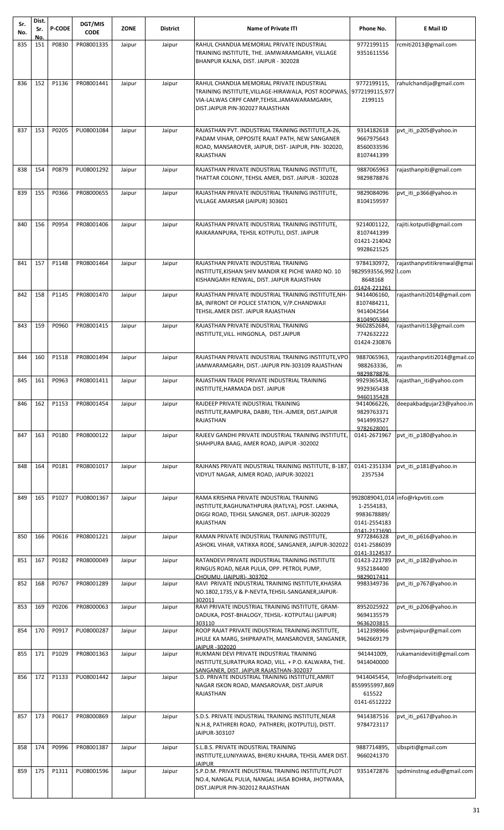| Sr.<br>No. | Dist.<br>Sr.<br>No. | <b>P-CODE</b> | DGT/MIS<br><b>CODE</b> | <b>ZONE</b> | District | <b>Name of Private ITI</b>                                                                                                                                                            | Phone No.                                                      | E Mail ID                         |
|------------|---------------------|---------------|------------------------|-------------|----------|---------------------------------------------------------------------------------------------------------------------------------------------------------------------------------------|----------------------------------------------------------------|-----------------------------------|
| 835        | 151                 | P0830         | PR08001335             | Jaipur      | Jaipur   | RAHUL CHANDIJA MEMORIAL PRIVATE INDUSTRIAL                                                                                                                                            | 9772199115                                                     | rcmiti2013@gmail.com              |
|            |                     |               |                        |             |          | TRAINING INSTITUTE, THE. JAMWARAMGARH, VILLAGE<br>BHANPUR KALNA, DIST. JAIPUR - 302028                                                                                                | 9351611556                                                     |                                   |
| 836        | 152                 | P1136         | PR08001441             | Jaipur      | Jaipur   | RAHUL CHANDIJA MEMORIAL PRIVATE INDUSTRIAL<br>TRAINING INSTITUTE, VILLAGE-HIRAWALA, POST ROOPWAS,<br>VIA-LALWAS CRPF CAMP, TEHSIL. JAMAWARAMGARH,<br>DIST.JAIPUR PIN-302027 RAJASTHAN | 9772199115,<br>9772199115,977<br>2199115                       | rahulchandija@gmail.com           |
| 837        | 153                 | P0205         | PU08001084             | Jaipur      | Jaipur   | RAJASTHAN PVT. INDUSTRIAL TRAINING INSTITUTE, A-26,                                                                                                                                   | 9314182618                                                     | pvt iti p205@yahoo.in             |
|            |                     |               |                        |             |          | PADAM VIHAR, OPPOSITE RAJAT PATH, NEW SANGANER<br>ROAD, MANSAROVER, JAIPUR, DIST-JAIPUR, PIN-302020,<br><b>RAJASTHAN</b>                                                              | 9667975643<br>8560033596<br>8107441399                         |                                   |
| 838        | 154                 | P0879         | PU08001292             | Jaipur      | Jaipur   | RAJASTHAN PRIVATE INDUSTRIAL TRAINING INSTITUTE,<br>THATTAR COLONY, TEHSIL AMER, DIST. JAIPUR - 302028                                                                                | 9887065963<br>9829878876                                       | rajasthanpiti@gmail.com           |
| 839        | 155                 | P0366         | PR08000655             | Jaipur      | Jaipur   | RAJASTHAN PRIVATE INDUSTRIAL TRAINING INSTITUTE,<br>VILLAGE AMARSAR (JAIPUR) 303601                                                                                                   | 9829084096<br>8104159597                                       | pvt_iti_p366@yahoo.in             |
| 840        | 156                 | P0954         | PR08001406             | Jaipur      | Jaipur   | RAJASTHAN PRIVATE INDUSTRIAL TRAINING INSTITUTE,                                                                                                                                      | 9214001122,                                                    | rajiti.kotputli@gmail.com         |
|            |                     |               |                        |             |          | RAIKARANPURA, TEHSIL KOTPUTLI, DIST. JAIPUR                                                                                                                                           | 8107441399<br>01421-214042<br>9928621525                       |                                   |
| 841        | 157                 | P1148         | PR08001464             | Jaipur      | Jaipur   | RAJASTHAN PRIVATE INDUSTRIAL TRAINING<br>INSTITUTE, KISHAN SHIV MANDIR KE PICHE WARD NO. 10<br>KISHANGARH RENWAL, DIST. JAIPUR RAJASTHAN                                              | 9784130972,<br>9829593556,992 I.com<br>8648168<br>01424-221261 | rajasthanpvtitikrenwal@gmai       |
| 842        | 158                 | P1145         | PR08001470             | Jaipur      | Jaipur   | RAJASTHAN PRIVATE INDUSTRIAL TRAINING INSTITUTE, NH-<br>8A, INFRONT OF POLICE STATION, V/P.CHANDWAJI<br>TEHSIL.AMER DIST. JAIPUR RAJASTHAN                                            | 9414406160,<br>8107484211,<br>9414042564                       | rajasthaniti2014@gmail.com        |
| 843        | 159                 | P0960         | PR08001415             | Jaipur      | Jaipur   | RAJASTHAN PRIVATE INDUSTRIAL TRAINING                                                                                                                                                 | 8104905380<br>9602852684,                                      | rajasthaniti13@gmail.com          |
|            |                     |               |                        |             |          | INSTITUTE, VILL. HINGONLA, DIST.JAIPUR                                                                                                                                                | 7742632222<br>01424-230876                                     |                                   |
| 844        | 160                 | P1518         | PR08001494             | Jaipur      | Jaipur   | RAJASTHAN PRIVATE INDUSTRIAL TRAINING INSTITUTE, VPO<br>JAMWARAMGARH, DIST.-JAIPUR PIN-303109 RAJASTHAN                                                                               | 9887065963,<br>988263336,<br>9829878876                        | rajasthanpvtiti2014@gmail.co<br>m |
| 845        | 161                 | P0963         | PR08001411             | Jaipur      | Jaipur   | RAJASTHAN TRADE PRIVATE INDUSTRIAL TRAINING<br>INSTITUTE, HARMADA DIST. JAIPUR                                                                                                        | 9929365438,<br>9929365438<br>9460135428                        | rajasthan_iti@yahoo.com           |
| 846        | 162                 | P1153         | PR08001454             | Jaipur      | Jaipur   | RAJDEEP PRIVATE INDUSTRIAL TRAINING<br>INSTITUTE, RAMPURA, DABRI, TEH.-AJMER, DIST.JAIPUR<br>RAJASTHAN                                                                                | 9414066226,<br>9829763371<br>9414993527<br>9782628001          | deepakbadgujar23@yahoo.in         |
| 847        | 163                 | P0180         | PR08000122             | Jaipur      | Jaipur   | RAJEEV GANDHI PRIVATE INDUSTRIAL TRAINING INSTITUTE,<br>SHAHPURA BAAG, AMER ROAD, JAIPUR -302002                                                                                      | 0141-2671967                                                   | pvt_iti_p180@yahoo.in             |
| 848        | 164                 | P0181         | PR08001017             | Jaipur      | Jaipur   | RAJHANS PRIVATE INDUSTRIAL TRAINING INSTITUTE, B-187<br>VIDYUT NAGAR, AJMER ROAD, JAIPUR-302021                                                                                       | 0141-2351334<br>2357534                                        | pvt iti p181@yahoo.in             |
| 849        | 165                 | P1027         | PU08001367             | Jaipur      | Jaipur   | RAMA KRISHNA PRIVATE INDUSTRIAL TRAINING                                                                                                                                              |                                                                | 9928089041,014 info@rkpvtiti.com  |
|            |                     |               |                        |             |          | INSTITUTE, RAGHUNATHPURA (RATLYA), POST. LAKHNA,<br>DIGGI ROAD, TEHSIL SANGNER, DIST. JAIPUR-302029                                                                                   | 1-2554183,<br>9983678889/                                      |                                   |
|            |                     |               |                        |             |          | RAJASTHAN                                                                                                                                                                             | 0141-2554183<br>0141-2171690                                   |                                   |
| 850        | 166                 | P0616         | PR08001221             | Jaipur      | Jaipur   | RAMAN PRIVATE INDUSTRIAL TRAINING INSTITUTE,<br>ASHOKL VIHAR, VATIKKA RODE, SANGANER, JAIPUR-302022                                                                                   | 9772846328<br>0141-2586039<br>0141-3124537                     | pvt_iti_p616@yahoo.in             |
| 851        | 167                 | P0182         | PR08000049             | Jaipur      | Jaipur   | RATANDEVI PRIVATE INDUSTRIAL TRAINING INSTITUTE<br>RINGUS ROAD, NEAR PULIA, OPP. PETROL PUMP,<br>CHOUMU. (JAIPUR)-.303702                                                             | 01423-221789<br>9352184400<br>9829017411                       | pvt iti p182@yahoo.in             |
| 852        | 168                 | P0767         | PR08001289             | Jaipur      | Jaipur   | RAVI PRIVATE INDUSTRIAL TRAINING INSTITUTE, KHASRA<br>NO.1802,1735, V & P-NEVTA, TEHSIL-SANGANER, JAIPUR-<br>302011                                                                   | 9983349736                                                     | pvt_iti_p767@yahoo.in             |
| 853        | 169                 | P0206         | PR08000063             | Jaipur      | Jaipur   | RAVI PRIVATE INDUSTRIAL TRAINING INSTITUTE, GRAM-<br>DADUKA, POST-BHALOGY, TEHSIL- KOTPUTALI (JAIPUR)<br>303110                                                                       | 8952025922<br>9694135579<br>9636203815                         | pvt iti p206@yahoo.in             |
| 854        | 170                 | P0917         | PU08000287             | Jaipur      | Jaipur   | ROOP RAJAT PRIVATE INDUSTRIAL TRAINING INSTITUTE,<br>JHULE KA MARG, SHIPRAPATH, MANSAROVER, SANGANER,<br>JAIPUR -302020                                                               | 1412398966<br>9462669179                                       | psbvmjaipur@gmail.com             |
| 855        | 171                 | P1029         | PR08001363             | Jaipur      | Jaipur   | RUKMANI DEVI PRIVATE INDUSTRIAL TRAINING<br>INSTITUTE, SURATPURA ROAD, VILL. + P.O. KALWARA, THE.                                                                                     | 941441009,<br>9414040000                                       | rukamanideviiti@gmail.com         |
| 856        | 172                 | P1133         | PU08001442             | Jaipur      | Jaipur   | SANGANER. DIST. JAIPUR RAJASTHAN-302037<br>S.D. PRIVATE INDUSTRIAL TRAINING INSTITUTE, AMRIT                                                                                          | 9414045454,                                                    | Info@sdprivateiti.org             |
|            |                     |               |                        |             |          | NAGAR ISKON ROAD, MANSAROVAR, DIST.JAIPUR<br><b>RAJASTHAN</b>                                                                                                                         | 8559955997,869<br>615522<br>0141-6512222                       |                                   |
| 857        | 173                 | P0617         | PR08000869             | Jaipur      | Jaipur   | S.D.S. PRIVATE INDUSTRIAL TRAINING INSTITUTE, NEAR                                                                                                                                    | 9414387516                                                     | pvt iti p617@yahoo.in             |
|            |                     |               |                        |             |          | N.H.8, PATHRERI ROAD, PATHRERI, (KOTPUTLI), DISTT.<br>JAIPUR-303107                                                                                                                   | 9784723117                                                     |                                   |
| 858        | 174                 | P0996         | PR08001387             | Jaipur      | Jaipur   | S.L.B.S. PRIVATE INDUSTRIAL TRAINING<br>INSTITUTE, LUNIYAWAS, BHERU KHAJRA, TEHSIL AMER DIST.<br><b>JAIPUR</b>                                                                        | 9887714895,<br>9660241370                                      | slbspiti@gmail.com                |
| 859        | 175                 | P1311         | PU08001596             | Jaipur      | Jaipur   | S.P.D.M. PRIVATE INDUSTRIAL TRAINING INSTITUTE, PLOT<br>NO.4, NANGAL PULIA, NANGAL JAISA BOHRA, JHOTWARA,<br>DIST.JAIPUR PIN-302012 RAJASTHAN                                         | 9351472876                                                     | spdminstnsg.edu@gmail.com         |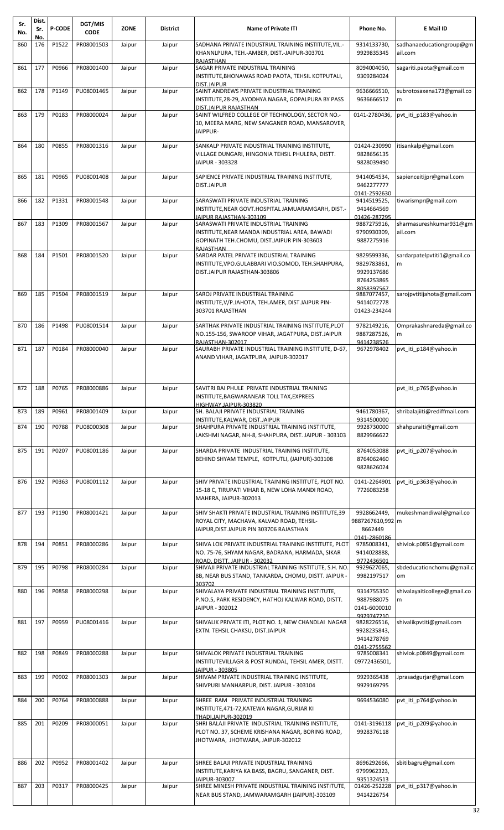| Sr.<br>No. | Dist.<br>Sr. | <b>P-CODE</b> | DGT/MIS<br><b>CODE</b>   | <b>ZONE</b> | <b>District</b> | <b>Name of Private ITI</b>                                                                                                                       | Phone No.                                                            | E Mail ID                           |
|------------|--------------|---------------|--------------------------|-------------|-----------------|--------------------------------------------------------------------------------------------------------------------------------------------------|----------------------------------------------------------------------|-------------------------------------|
| 860        | No.<br>176   | P1522         | PR08001503               | Jaipur      | Jaipur          | SADHANA PRIVATE INDUSTRIAL TRAINING INSTITUTE, VIL.-<br>KHANNLPURA, TEH.-AMBER, DIST.-JAIPUR-303701                                              | 9314133730,<br>9929835345                                            | sadhanaeducationgroup@gm<br>ail.com |
| 861        | 177          | P0966         | PR08001400               | Jaipur      | Jaipur          | RAJASTHAN<br>SAGAR PRIVATE INDUSTRIAL TRAINING<br>INSTITUTE,BHONAWAS ROAD PAOTA, TEHSIL KOTPUTALI,                                               | 8094004050,<br>9309284024                                            | sagariti.paota@gmail.com            |
| 862        | 178          | P1149         | PU08001465               | Jaipur      | Jaipur          | <b>DIST.JAIPUR</b><br>SAINT ANDREWS PRIVATE INDUSTRIAL TRAINING<br>INSTITUTE, 28-29, AYODHYA NAGAR, GOPALPURA BY PASS<br>DIST.JAIPUR RAJASTHAN   | 9636666510,<br>9636666512                                            | subrotosaxena173@gmail.co<br>m      |
| 863        | 179          | P0183         | PR08000024               | Jaipur      | Jaipur          | SAINT WILFRED COLLEGE OF TECHNOLOGY, SECTOR NO.-<br>10, MEERA MARG, NEW SANGANER ROAD, MANSAROVER,<br>JAIPPUR-                                   | 0141-2780436,                                                        | pvt iti p183@yahoo.in               |
| 864        | 180          | P0855         | PR08001316               | Jaipur      | Jaipur          | SANKALP PRIVATE INDUSTRIAL TRAINING INSTITUTE,<br>VILLAGE DUNGARI, HINGONIA TEHSIL PHULERA, DISTT.<br>JAIPUR - 303328                            | 01424-230990<br>9828656135<br>9828039490                             | itisankalp@gmail.com                |
| 865        | 181          | P0965         | PU08001408               | Jaipur      | Jaipur          | SAPIENCE PRIVATE INDUSTRIAL TRAINING INSTITUTE,<br><b>DIST.JAIPUR</b>                                                                            | 9414054534,<br>9462277777<br>0141-2592630                            | sapienceitijpr@gmail.com            |
| 866        | 182          | P1331         | PR08001548               | Jaipur      | Jaipur          | SARASWATI PRIVATE INDUSTRIAL TRAINING<br>INSTITUTE, NEAR GOVT.HOSPITAL JAMUARAMGARH, DIST.-<br>JAIPUR RAJASTHAN-303109                           | 9414519525,<br>9414664569<br>01426-287295                            | tiwarismpr@gmail.com                |
| 867        | 183          | P1309         | PR08001567               | Jaipur      | Jaipur          | SARASWATI PRIVATE INDUSTRIAL TRAINING<br>INSTITUTE,NEAR MANDA INDUSTRIAL AREA, BAWADI<br>GOPINATH TEH.CHOMU, DIST.JAIPUR PIN-303603<br>RAJASTHAN | 9887275916,<br>9790930309,<br>9887275916                             | sharmasureshkumar931@gm<br>ail.com  |
| 868        | 184          | P1501         | PR08001520               | Jaipur      | Jaipur          | SARDAR PATEL PRIVATE INDUSTRIAL TRAINING<br>INSTITUTE,VPO.GULABBARI VIO.SOMOD, TEH.SHAHPURA,<br>DIST.JAIPUR RAJASTHAN-303806                     | 9829599336,<br>9829783861,<br>9929137686<br>8764253865<br>8058397567 | sardarpatelpvtiti1@gmail.co<br>m    |
| 869        | 185          | P1504         | PR08001519               | Jaipur      | Jaipur          | SAROJ PRIVATE INDUSTRIAL TRAINING<br>INSTITUTE,V/P.JAHOTA, TEH.AMER, DIST.JAIPUR PIN-<br>303701 RAJASTHAN                                        | 9887077457,<br>9414072778<br>01423-234244                            | sarojpvtitijahota@gmail.com         |
| 870        | 186          | P1498         | PU08001514               | Jaipur      | Jaipur          | SARTHAK PRIVATE INDUSTRIAL TRAINING INSTITUTE, PLOT<br>NO.155-156, SWAROOP VIHAR, JAGATPURA, DIST.JAIPUR<br>RAJASTHAN-302017                     | 9782149216,<br>9887287526,<br>9414238526                             | Omprakashnareda@gmail.co<br>m       |
| 871        | 187          | P0184         | PR08000040               | Jaipur      | Jaipur          | SAURABH PRIVATE INDUSTRIAL TRAINING INSTITUTE, D-67,<br>ANAND VIHAR, JAGATPURA, JAIPUR-302017                                                    | 9672978402                                                           | pvt iti p184@yahoo.in               |
|            |              |               | 872 188 P0765 PR08000886 | Jaipur      | Jaipur          | SAVITRI BAI PHULE PRIVATE INDUSTRIAL TRAINING<br>INSTITUTE, BAGWARANEAR TOLL TAX, EXPREES<br>HIGHWAY.JAIPUR-303820                               |                                                                      | pvt_iti_p765@yahoo.in               |
| 873        | 189          | P0961         | PR08001409               | Jaipur      | Jaipur          | SH. BALAJI PRIVATE INDUSTRIAL TRAINING<br>INSTITUTE, KALWAR, DIST. JAIPUR                                                                        | 9461780367,<br>9314500000                                            | shribalajiiti@rediffmail.com        |
| 874        | 190          | P0788         | PU08000308               | Jaipur      | Jaipur          | SHAHPURA PRIVATE INDUSTRIAL TRAINING INSTITUTE,<br>LAKSHMI NAGAR, NH-8, SHAHPURA, DIST. JAIPUR - 303103                                          | 9928730000<br>8829966622                                             | shahpuraiti@gmail.com               |
| 875        | 191          | P0207         | PU08001186               | Jaipur      | Jaipur          | SHARDA PRIVATE INDUSTRIAL TRAINING INSTITUTE,<br>BEHIND SHYAM TEMPLE, KOTPUTLI, (JAIPUR)-303108                                                  | 8764053088<br>8764062460<br>9828626024                               | pvt iti p207@yahoo.in               |
| 876        | 192          | P0363         | PU08001112               | Jaipur      | Jaipur          | SHIV PRIVATE INDUSTRIAL TRAINING INSTITUTE, PLOT NO.<br>15-18 C, TIRUPATI VIHAR B, NEW LOHA MANDI ROAD,<br>MAHERA, JAIPUR-302013                 | 0141-2264901<br>7726083258                                           | pvt iti p363@yahoo.in               |
| 877        | 193          | P1190         | PR08001421               | Jaipur      | Jaipur          | SHIV SHAKTI PRIVATE INDUSTRIAL TRAINING INSTITUTE,39<br>ROYAL CITY, MACHAVA, KALVAD ROAD, TEHSIL-<br>JAIPUR, DIST. JAIPUR PIN 303706 RAJASTHAN   | 9928662449,<br>9887267610,992 m<br>8662449<br>0141-2860186           | mukeshmandiwal@gmail.co             |
| 878        | 194          | P0851         | PR08000286               | Jaipur      | Jaipur          | SHIVA LOK PRIVATE INDUSTRIAL TRAINING INSTITUTE, PLOT<br>NO. 75-76, SHYAM NAGAR, BADRANA, HARMADA, SIKAR<br>ROAD, DISTT. JAIPUR - 302032         | 9785008341,<br>9414028888,<br>9772436501                             | shivlok.p0851@gmail.com             |
| 879        | 195          | P0798         | PR08000284               | Jaipur      | Jaipur          | SHIVAJI PRIVATE INDUSTRIAL TRAINING INSTITUTE, S.H. NO.<br>8B, NEAR BUS STAND, TANKARDA, CHOMU, DISTT. JAIPUR -<br>303702                        | 9929627065,<br>9982197517                                            | sbdeducationchomu@gmail.c<br>om     |
| 880        | 196          | P0858         | PR08000298               | Jaipur      | Jaipur          | SHIVALAYA PRIVATE INDUSTRIAL TRAINING INSTITUTE,<br>P.NO.5, PARK RESIDENCY, HATHOJ KALWAR ROAD, DISTT.<br>JAIPUR - 302012                        | 9314755350<br>9887988075<br>0141-6000010<br>9929747210               | shivalayaiticollege@gmail.co<br>m   |
| 881        | 197          | P0959         | PU08001416               | Jaipur      | Jaipur          | SHIVALIK PRIVATE ITI, PLOT NO. 1, NEW CHANDLAI NAGAR<br>EXTN. TEHSIL CHAKSU, DIST.JAIPUR                                                         | 9828226516,<br>9928235843,<br>9414278769<br>0141-2755562             | shivalikpvtiti@gmail.com            |
| 882        | 198          | P0849         | PR08000288               | Jaipur      | Jaipur          | SHIVALOK PRIVATE INDUSTRIAL TRAINING<br>INSTITUTEVILLAGR & POST RUNDAL, TEHSIL AMER, DISTT.<br>JAIPUR - 303805                                   | 9785008341<br>09772436501,                                           | shivlok.p0849@gmail.com             |
| 883        | 199          | P0902         | PR08001303               | Jaipur      | Jaipur          | SHIVAM PRIVATE INDUSTRIAL TRAINING INSTITUTE,<br>SHIVPURI MANHARPUR, DIST. JAIPUR - 303104                                                       | 9929365438<br>9929169795                                             | Jprasadgurjar@gmail.com             |
| 884        | 200          | P0764         | PR08000888               | Jaipur      | Jaipur          | SHREE RAM PRIVATE INDUSTRIAL TRAINING<br>INSTITUTE,471-72,KATEWA NAGAR,GURJAR KI<br>THADI.JAIPUR-302019                                          | 9694536080                                                           | pvt iti p764@yahoo.in               |
| 885        | 201          | P0209         | PR08000051               | Jaipur      | Jaipur          | SHRI BALAJI PRIVATE INDUSTRIAL TRAINING INSTITUTE,<br>PLOT NO. 37, SCHEME KRISHANA NAGAR, BORING ROAD,<br>JHOTWARA, JHOTWARA, JAIPUR-302012      | 0141-3196118<br>9928376118                                           | pvt iti p209@yahoo.in               |
| 886        | 202          | P0952         | PR08001402               | Jaipur      | Jaipur          | SHREE BALAJI PRIVATE INDUSTRIAL TRAINING<br>INSTITUTE, KARIYA KA BASS, BAGRU, SANGANER, DIST.                                                    | 8696292666,<br>9799962323,                                           | sbitibagru@gmail.com                |
| 887        | 203          | P0317         | PR08000425               | Jaipur      | Jaipur          | JAIPUR-303007<br>SHREE MINESH PRIVATE INDUSTRIAL TRAINING INSTITUTE,<br>NEAR BUS STAND, JAMWARAMGARH (JAIPUR)-303109                             | 9351324513<br>01426-252228<br>9414226754                             | pvt iti p317@yahoo.in               |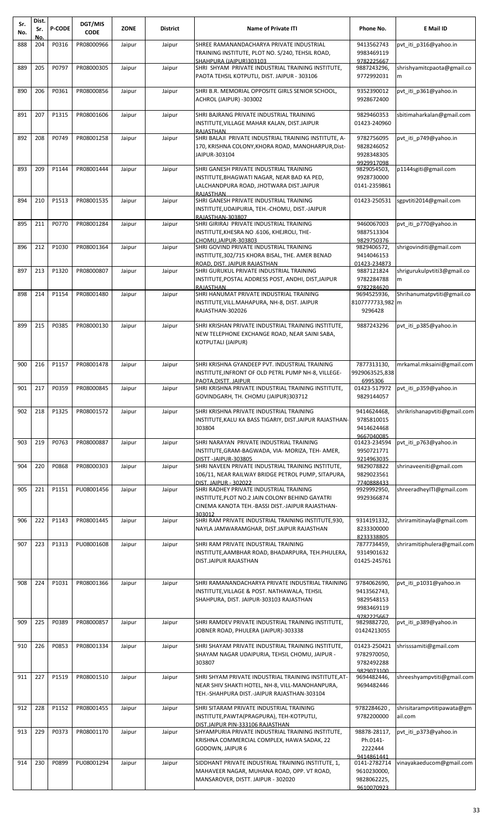| Sr.<br>No. | Dist.<br>Sr. | <b>P-CODE</b> | DGT/MIS<br><b>CODE</b> | <b>ZONE</b> | District | <b>Name of Private ITI</b>                                                                                                                               | Phone No.                                                | E Mail ID                             |
|------------|--------------|---------------|------------------------|-------------|----------|----------------------------------------------------------------------------------------------------------------------------------------------------------|----------------------------------------------------------|---------------------------------------|
| 888        | No.<br>204   | P0316         | PR08000966             | Jaipur      | Jaipur   | SHREE RAMANANDACHARYA PRIVATE INDUSTRIAL<br>TRAINING INSTITUTE, PLOT NO. S/240, TEHSIL ROAD,<br>SHAHPURA (JAIPUR)303103                                  | 9413562743<br>9983469119<br>9782225667                   | pvt_iti_p316@yahoo.in                 |
| 889        | 205          | P0797         | PR08000305             | Jaipur      | Jaipur   | SHRI SHYAM PRIVATE INDUSTRIAL TRAINING INSTITUTE,<br>PAOTA TEHSIL KOTPUTLI, DIST. JAIPUR - 303106                                                        | 9887243296,<br>9772992031                                | shrishyamitcpaota@gmail.co<br>m       |
| 890        | 206          | P0361         | PR08000856             | Jaipur      | Jaipur   | SHRI B.R. MEMORIAL OPPOSITE GIRLS SENIOR SCHOOL,<br>ACHROL (JAIPUR) -303002                                                                              | 9352390012<br>9928672400                                 | pvt iti p361@yahoo.in                 |
| 891        | 207          | P1315         | PR08001606             | Jaipur      | Jaipur   | SHRI BAJRANG PRIVATE INDUSTRIAL TRAINING<br>INSTITUTE, VILLAGE MAHAR KALAN, DIST.JAIPUR<br><b>RAJASTHAN</b>                                              | 9829460353<br>01423-240960                               | sbitimaharkalan@gmail.com             |
| 892        | 208          | P0749         | PR08001258             | Jaipur      | Jaipur   | SHRI BALAJI PRIVATE INDUSTRIAL TRAINING INSTITUTE, A-<br>170, KRISHNA COLONY, KHORA ROAD, MANOHARPUR, Dist-<br>JAIPUR-303104                             | 9782756095<br>9828246052<br>9928348305<br>9929917098     | pvt iti p749@yahoo.in                 |
| 893        | 209          | P1144         | PR08001444             | Jaipur      | Jaipur   | SHRI GANESH PRIVATE INDUSTRIAL TRAINING<br>INSTITUTE, BHAGWATI NAGAR, NEAR BAD KA PED,<br>LALCHANDPURA ROAD, JHOTWARA DIST.JAIPUR<br>RAJASTHAN           | 9829054503,<br>9928730000<br>0141-2359861                | p1144sgiti@gmail.com                  |
| 894        | 210          | P1513         | PR08001535             | Jaipur      | Jaipur   | SHRI GANESH PRIVATE INDUSTRIAL TRAINING<br>INSTITUTE, UDAIPURIA, TEH.-CHOMU, DIST.-JAIPUR<br>RAJASTHAN-303807                                            | 01423-250531                                             | sgpytiti2014@gmail.com                |
| 895        | 211          | P0770         | PR08001284             | Jaipur      | Jaipur   | SHRI GIRIRAJ PRIVATE INDUSTRIAL TRAINING<br>INSTITUTE, KHESRA NO .6106, KHEJROLI, THE-<br>CHOMU.JAIPUR-303803                                            | 9460067003<br>9887513304<br>9829750376                   | pvt_iti_p770@yahoo.in                 |
| 896        | 212          | P1030         | PR08001364             | Jaipur      | Jaipur   | SHRI GOVIND PRIVATE INDUSTRIAL TRAINING<br>INSTITUTE, 302/715 KHORA BISAL, THE. AMER BENAD<br>ROAD, DIST, JAIPUR RAJASTHAN                               | 9829406572,<br>9414046153<br>01423-234873                | shrigovinditi@gmail.com               |
| 897        | 213          | P1320         | PR08000807             | Jaipur      | Jaipur   | SHRI GURUKUL PRIVATE INDUSTRIAL TRAINING<br>INSTITUTE, POSTAL ADDRESS POST, ANDHI, DIST, JAIPUR<br><b>RAJASTHAN</b>                                      | 9887121824<br>9782284788<br>9782284620                   | shrigurukulpvtiti3@gmail.co<br>m      |
| 898        | 214          | P1154         | PR08001480             | Jaipur      | Jaipur   | SHRI HANUMAT PRIVATE INDUSTRIAL TRAINING<br>INSTITUTE, VILL. MAHAPURA, NH-8, DIST. JAIPUR<br>RAJASTHAN-302026                                            | 9694525936,<br>8107777733,982 m<br>9296428               | Shrihanumatpvtiti@gmail.co            |
| 899        | 215          | P0385         | PR08000130             | Jaipur      | Jaipur   | SHRI KRISHAN PRIVATE INDUSTRIAL TRAINING INSTITUTE,<br>NEW TELEPHONE EXCHANGE ROAD, NEAR SAINI SABA,<br>KOTPUTALI (JAIPUR)                               | 9887243296                                               | pvt iti p385@yahoo.in                 |
| 900        | 216          | P1157         | PR08001478             | Jaipur      | Jaipur   | SHRI KRISHNA GYANDEEP PVT. INDUSTRIAL TRAINING<br>INSTITUTE, INFRONT OF OLD PETRL PUMP NH-8, VILLEGE-<br>PAOTA, DISTT. JAIPUR                            | 7877313130,<br>9929063525,838<br>6995306                 | mrkamal.mksaini@gmail.com             |
| 901        | 217          | P0359         | PR08000845             | Jaipur      | Jaipur   | SHRI KRISHNA PRIVATE INDUSTRIAL TRAINING INSTITUTE,<br>GOVINDGARH, TH. CHOMU (JAIPUR)303712                                                              | 01423-517972<br>9829144057                               | pvt_iti_p359@yahoo.in                 |
| 902        | 218          | P1325         | PR08001572             | Jaipur      | Jaipur   | SHRI KRISHNA PRIVATE INDUSTRIAL TRAINING<br>INSTITUTE, KALU KA BASS TIGARIY, DIST. JAIPUR RAJASTHAN-<br>303804                                           | 9414624468,<br>9785810015<br>9414624468<br>9667040085    | shrikrishanapvtiti@gmail.com          |
| 903        | 219          | P0763         | PR08000887             | Jaipur      | Jaipur   | SHRI NARAYAN PRIVATE INDUSTRIAL TRAINING<br>INSTITUTE, GRAM-BAGWADA, VIA- MORIZA, TEH- AMER,<br>DISTT-JAIPUR-303805                                      | 01423-234594<br>9950721771<br>9214963035                 | pvt iti p763@yahoo.in                 |
| 904        | 220          | P0868         | PR08000303             | Jaipur      | Jaipur   | SHRI NAVEEN PRIVATE INDUSTRIAL TRAINING INSTITUTE,<br>106/11, NEAR RAILWAY BRIDGE PETROL PUMP, SITAPURA,<br><b>DIST. JAIPUR - 302022</b>                 | 9829078822<br>9829023561<br>7740888433                   | shrinaveeniti@gmail.com               |
| 905        | 221          | P1151         | PU08001456             | Jaipur      | Jaipur   | SHRI RADHEY PRIVATE INDUSTRIAL TRAINING<br>INSTITUTE, PLOT NO.2 JAIN COLONY BEHIND GAYATRI<br>CINEMA KANOTA TEH.-BASSI DIST.-JAIPUR RAJASTHAN-<br>303012 | 9929992950,<br>9929366874                                | shreeradheylTI@gmail.com              |
| 906        | 222          | P1143         | PR08001445             | Jaipur      | Jaipur   | SHRI RAM PRIVATE INDUSTRIAL TRAINING INSTITUTE, 930,<br>NAYLA JAMWARAMGHAR, DIST.JAIPUR RAJASTHAN                                                        | 9314191332,<br>8233300000<br>8233338805                  | shriramitinayla@gmail.com             |
| 907        | 223          | P1313         | PU08001608             | Jaipur      | Jaipur   | SHRI RAM PRIVATE INDUSTRIAL TRAINING<br>INSTITUTE, AAMBHAR ROAD, BHADARPURA, TEH. PHULERA,<br>DIST.JAIPUR RAJASTHAN                                      | 7877734459,<br>9314901632<br>01425-245761                | shriramitiphulera@gmail.com           |
| 908        | 224          | P1031         | PR08001366             | Jaipur      | Jaipur   | SHRI RAMANANDACHARYA PRIVATE INDUSTRIAL TRAINING<br>INSTITUTE, VILLAGE & POST. NATHAWALA, TEHSIL<br>SHAHPURA, DIST. JAIPUR-303103 RAJASTHAN              | 9784062690,<br>9413562743,<br>9829548153<br>9983469119   | pvt_iti_p1031@yahoo.in                |
| 909        | 225          | P0389         | PR08000857             | Jaipur      | Jaipur   | SHRI RAMDEV PRIVATE INDUSTRIAL TRAINING INSTITUTE,<br>JOBNER ROAD, PHULERA (JAIPUR)-303338                                                               | 9782225667<br>9829882720,<br>01424213055                 | pvt iti p389@yahoo.in                 |
| 910        | 226          | P0853         | PR08001334             | Jaipur      | Jaipur   | SHRI SHAYAM PRIVATE INDUSTRIAL TRAINING INSTITUTE,<br>SHAYAM NAGAR UDAIPURIA, TEHSIL CHOMU, JAIPUR -<br>303807                                           | 01423-250421<br>9782970050,<br>9782492288<br>9829073100  | shrisssamiti@gmail.com                |
| 911        | 227          | P1519         | PR08001510             | Jaipur      | Jaipur   | SHRI SHYAM PRIVATE INDUSTRIAL TRAINING INSTITUTE, AT-<br>NEAR SHIV SHAKTI HOTEL, NH-8, VILL-MANOHANPURA,<br>TEH.-SHAHPURA DIST.-JAIPUR RAJASTHAN-303104  | 9694482446,<br>9694482446                                | shreeshyampvtiti@gmail.com            |
| 912        | 228          | P1152         | PR08001455             | Jaipur      | Jaipur   | SHRI SITARAM PRIVATE INDUSTRIAL TRAINING<br>INSTITUTE, PAWTA (PRAGPURA), TEH-KOTPUTLI,<br>DIST.JAIPUR PIN-333106 RAJASTHAN                               | 9782284620,<br>9782200000                                | shrisitarampvtitipawata@gm<br>ail.com |
| 913        | 229          | P0373         | PR08001170             | Jaipur      | Jaipur   | SHYAMPURIA PRIVATE INDUSTRIAL TRAINING INSTITUTE,<br>KRISHNA COMMERCIAL COMPLEX, HAWA SADAK, 22<br>GODOWN, JAIPUR 6                                      | 98878-28117,<br>Ph.0141-<br>2222444<br>9414861441        | pvt_iti_p373@yahoo.in                 |
| 914        | 230          | P0899         | PU08001294             | Jaipur      | Jaipur   | SIDDHANT PRIVATE INDUSTRIAL TRAINING INSTITUTE, 1,<br>MAHAVEER NAGAR, MUHANA ROAD, OPP. VT ROAD,<br>MANSAROVER, DISTT. JAIPUR - 302020                   | 0141-2782714<br>9610230000,<br>9828062225,<br>9610070923 | vinayakaeducom@gmail.com              |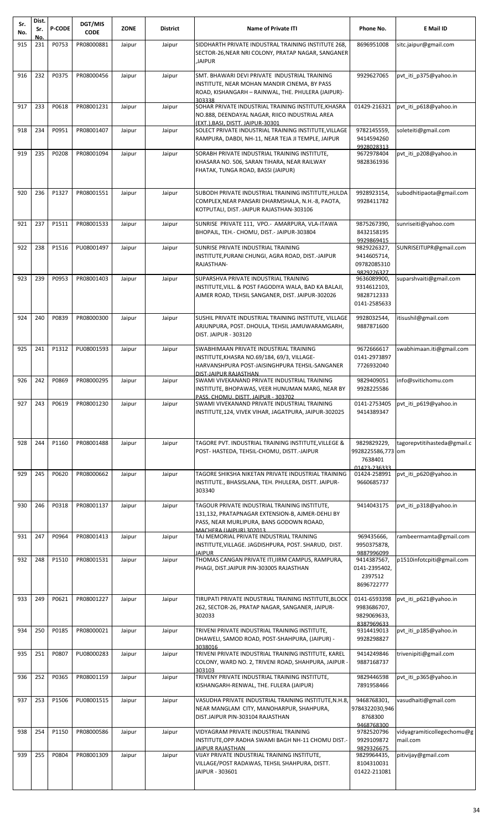| Sr.<br>No. | Dist.<br>Sr.<br>No. | <b>P-CODE</b> | DGT/MIS<br><b>CODE</b> | <b>ZONE</b> | <b>District</b> | <b>Name of Private ITI</b>                                                                                                                                    | Phone No.                                                   | E Mail ID                              |
|------------|---------------------|---------------|------------------------|-------------|-----------------|---------------------------------------------------------------------------------------------------------------------------------------------------------------|-------------------------------------------------------------|----------------------------------------|
| 915        | 231                 | P0753         | PR08000881             | Jaipur      | Jaipur          | SIDDHARTH PRIVATE INDUSTRAL TRAINING INSTITUTE 268,<br>SECTOR-26, NEAR NRI COLONY, PRATAP NAGAR, SANGANER<br><b>JAIPUR</b>                                    | 8696951008                                                  | sitc.jaipur@gmail.com                  |
| 916        | 232                 | P0375         | PR08000456             | Jaipur      | Jaipur          | SMT. BHAWARI DEVI PRIVATE INDUSTRIAL TRAINING<br>INSTITUTE, NEAR MOHAN MANDIR CINEMA, BY PASS<br>ROAD, KISHANGARH - RAINWAL, THE. PHULERA (JAIPUR)-<br>303338 | 9929627065                                                  | pvt_iti_p375@yahoo.in                  |
| 917        | 233                 | P0618         | PR08001231             | Jaipur      | Jaipur          | SOHAR PRIVATE INDUSTRIAL TRAINING INSTITUTE, KHASRA<br>NO.888, DEENDAYAL NAGAR, RIICO INDUSTRIAL AREA<br>(EXT.). BASI. DISTT. JAIPUR-30301                    | 01429-216321                                                | pvt iti p618@yahoo.in                  |
| 918        | 234                 | P0951         | PR08001407             | Jaipur      | Jaipur          | SOLECT PRIVATE INDUSTRIAL TRAINING INSTITUTE, VILLAGE<br>RAMPURA, DABDI, NH-11, NEAR TEJA JI TEMPLE, JAIPUR                                                   | 9782145559,<br>9414594260<br>9928028313                     | soleteiti@gmail.com                    |
| 919        | 235                 | P0208         | PR08001094             | Jaipur      | Jaipur          | SORABH PRIVATE INDUSTRIAL TRAINING INSTITUTE,<br>KHASARA NO. 506, SARAN TIHARA, NEAR RAILWAY<br>FHATAK, TUNGA ROAD, BASSI (JAIPUR)                            | 9672978404<br>9828361936                                    | pvt iti p208@yahoo.in                  |
| 920        | 236                 | P1327         | PR08001551             | Jaipur      | Jaipur          | SUBODH PRIVATE INDUSTRIAL TRAINING INSTITUTE, HULDA<br>COMPLEX, NEAR PANSARI DHARMSHALA, N.H.-8, PAOTA,<br>KOTPUTALI, DIST.-JAIPUR RAJASTHAN-303106           | 9928923154,<br>9928411782                                   | subodhitipaota@gmail.com               |
| 921        | 237                 | P1511         | PR08001533             | Jaipur      | Jaipur          | SUNRISE PRIVATE 111, VPO.- AMARPURA, VLA-ITAWA<br>BHOPAJL, TEH.- CHOMU, DIST.- JAIPUR-303804                                                                  | 9875267390,<br>8432158195<br>9929869415                     | sunriseiti@yahoo.com                   |
| 922        | 238                 | P1516         | PU08001497             | Jaipur      | Jaipur          | SUNRISE PRIVATE INDUSTRIAL TRAINING<br>INSTITUTE, PURANI CHUNGI, AGRA ROAD, DIST.-JAIPUR<br>RAJASTHAN-                                                        | 9829226327,<br>9414605714,<br>09782085310<br>9829226327     | SUNRISEITIJPR@gmail.com                |
| 923        | 239                 | P0953         | PR08001403             | Jaipur      | Jaipur          | SUPARSHVA PRIVATE INDUSTRIAL TRAINING<br>INSTITUTE, VILL. & POST FAGODIYA WALA, BAD KA BALAJI,<br>AJMER ROAD, TEHSIL SANGANER, DIST. JAIPUR-302026            | 9636089900,<br>9314612103,<br>9828712333<br>0141-2585633    | suparshvaiti@gmail.com                 |
| 924        | 240                 | P0839         | PR08000300             | Jaipur      | Jaipur          | SUSHIL PRIVATE INDUSTRIAL TRAINING INSTITUTE, VILLAGE<br>ARJUNPURA, POST. DHOULA, TEHSIL JAMUWARAMGARH,<br><b>DIST. JAIPUR - 303120</b>                       | 9928032544,<br>9887871600                                   | itisushil@gmail.com                    |
| 925        | 241                 | P1312         | PU08001593             | Jaipur      | Jaipur          | SWABHIMAAN PRIVATE INDUSTRIAL TRAINING                                                                                                                        | 9672666617                                                  | swabhimaan.iti@gmail.com               |
|            |                     |               |                        |             |                 | INSTITUTE, KHASRA NO.69/184, 69/3, VILLAGE-<br>HARVANSHPURA POST-JAISINGHPURA TEHSIL-SANGANER<br>DIST-JAIPUR RAJASTHAN                                        | 0141-2973897<br>7726932040                                  |                                        |
| 926        | 242                 | P0869         | PR08000295             | Jaipur      | Jaipur          | SWAMI VIVEKANAND PRIVATE INDUSTRIAL TRAINING<br>INSTITUTE, BHOPAWAS, VEER HUNUMAN MARG, NEAR BY<br>PASS, CHOMU, DISTT, JAIPUR - 303702                        | 9829409051<br>9928225586                                    | info@svitichomu.com                    |
| 927        | 243                 | P0619         | PR08001230             | Jaipur      | Jaipur          | SWAMI VIVEKANAND PRIVATE INDUSTRIAL TRAINING<br>INSTITUTE, 124, VIVEK VIHAR, JAGATPURA, JAIPUR-302025                                                         | 0141-2753405<br>9414389347                                  | pvt iti p619@yahoo.in                  |
| 928        | 244                 | P1160         | PR08001488             | Jaipur      | Jaipur          | TAGORE PVT. INDUSTRIAL TRAINING INSTITUTE, VILLEGE &<br>POST- HASTEDA, TEHSIL-CHOMU, DISTT.-JAIPUR                                                            | 9829829229,<br>9928225586,773 om<br>7638401<br>01423-236333 | tagorepvtitihasteda@gmail.c            |
| 929        | 245                 | P0620         | PR08000662             | Jaipur      | Jaipur          | TAGORE SHIKSHA NIKETAN PRIVATE INDUSTRIAL TRAINING<br>INSTITUTE., BHASISLANA, TEH. PHULERA, DISTT. JAIPUR-<br>303340                                          | 01424-258991<br>9660685737                                  | pvt iti p620@yahoo.in                  |
| 930        | 246                 | P0318         | PR08001137             | Jaipur      | Jaipur          | TAGOUR PRIVATE INDUSTRIAL TRAINING INSTITUTE,<br>131,132, PRATAPNAGAR EXTENSION-B, AJMER-DEHLI BY<br>PASS, NEAR MURLIPURA, BANS GODOWN ROAAD,                 | 9414043175                                                  | pvt_iti_p318@yahoo.in                  |
| 931        | 247                 | P0964         | PR08001413             | Jaipur      | Jaipur          | MACHERA (JAIPUR) 302013<br>TAJ MEMORIAL PRIVATE INDUSTRIAL TRAINING<br>INSTITUTE, VILLAGE. JAGDISHPURA, POST. SHARUD, DIST.<br>JAIPUR                         | 969435666,<br>9950375878,<br>9887996099                     | rambeermamta@gmail.com                 |
| 932        | 248                 | P1510         | PR08001531             | Jaipur      | Jaipur          | THOMAS CANGAN PRIVATE ITI, IIRM CAMPUS, RAMPURA,<br>PHAGI, DIST.JAIPUR PIN-303005 RAJASTHAN                                                                   | 9414387567,<br>0141-2395402,<br>2397512<br>8696722777       | p1510infotcpiti@gmail.com              |
| 933        | 249                 | P0621         | PR08001227             | Jaipur      | Jaipur          | TIRUPATI PRIVATE INDUSTRIAL TRAINING INSTITUTE, BLOCK<br>262, SECTOR-26, PRATAP NAGAR, SANGANER, JAIPUR-<br>302033                                            | 0141-6593398<br>9983686707,<br>9829069633,<br>8387969633    | pvt_iti_p621@yahoo.in                  |
| 934        | 250                 | P0185         | PR08000021             | Jaipur      | Jaipur          | TRIVENI PRIVATE INDUSTRIAL TRAINING INSTITUTE,<br>DHAWELI, SAMOD ROAD, POST-SHAHPURA, (JAIPUR) -<br>3038016                                                   | 9314419013<br>9928298827                                    | pvt_iti_p185@yahoo.in                  |
| 935        | 251                 | P0807         | PU08000283             | Jaipur      | Jaipur          | TRIVENI PRIVATE INDUSTRIAL TRAINING INSTITUTE, KAREL<br>COLONY, WARD NO. 2, TRIVENI ROAD, SHAHPURA, JAIPUR<br>303103                                          | 9414249846<br>9887168737                                    | trivenipiti@gmail.com                  |
| 936        | 252                 | P0365         | PR08001159             | Jaipur      | Jaipur          | TRIVENY PRIVATE INDUSTRIAL TRAINING INSTITUTE,<br>KISHANGARH-RENWAL, THE. FULERA (JAIPUR)                                                                     | 9829446598<br>7891958466                                    | pvt_iti_p365@yahoo.in                  |
| 937        | 253                 | P1506         | PU08001515             | Jaipur      | Jaipur          | VASUDHA PRIVATE INDUSTRIAL TRAINING INSTITUTE, N.H.8,<br>NEAR MANGLAM CITY, MANOHARPUR, SHAHPURA,<br>DIST.JAIPUR PIN-303104 RAJASTHAN                         | 9468768301,<br>9784322030,946<br>8768300<br>9468768300      | vasudhaiti@gmail.com                   |
| 938        | 254                 | P1150         | PR08000586             | Jaipur      | Jaipur          | VIDYAGRAM PRIVATE INDUSTRIAL TRAINING<br>INSTITUTE, OPP.RADHA SWAMI BAGH NH-11 CHOMU DIST.<br>JAIPUR RAJASTHAN                                                | 9782520796<br>9929109872<br>9829326675                      | vidyagramiticollegechomu@g<br>mail.com |
| 939        | 255                 | P0804         | PR08001309             | Jaipur      | Jaipur          | VIJAY PRIVATE INDUSTRIAL TRAINING INSTITUTE,<br>VILLAGE/POST RADAWAS, TEHSIL SHAHPURA, DISTT.<br>JAIPUR - 303601                                              | 9829964435,<br>8104310031<br>01422-211081                   | pitivijay@gmail.com                    |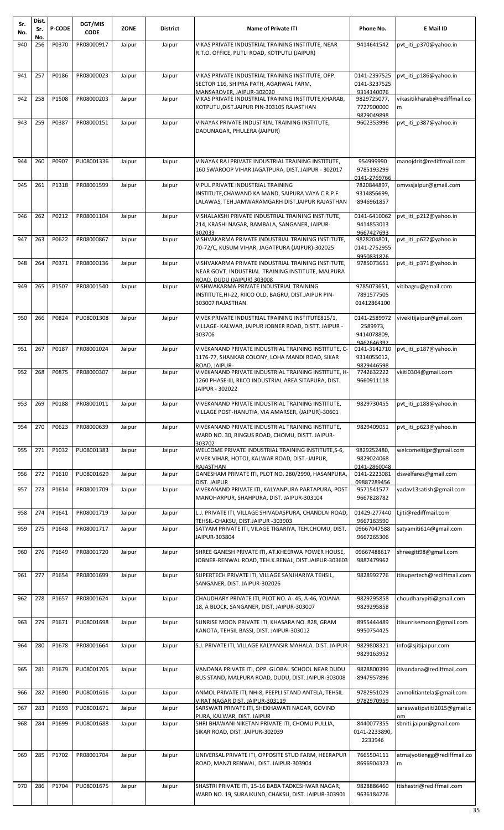| Sr.<br>No. | Dist.<br>Sr. | <b>P-CODE</b> | DGT/MIS<br><b>CODE</b> | <b>ZONE</b> | <b>District</b> | <b>Name of Private ITI</b>                                                                               | Phone No.                   | E Mail ID                     |
|------------|--------------|---------------|------------------------|-------------|-----------------|----------------------------------------------------------------------------------------------------------|-----------------------------|-------------------------------|
| 940        | No.<br>256   | P0370         | PR08000917             | Jaipur      | Jaipur          | VIKAS PRIVATE INDUSTRIAL TRAINING INSTITUTE, NEAR                                                        | 9414641542                  | pvt_iti_p370@yahoo.in         |
|            |              |               |                        |             |                 | R.T.O. OFFICE, PUTLI ROAD, KOTPUTLI (JAIPUR)                                                             |                             |                               |
|            |              |               |                        |             |                 |                                                                                                          |                             |                               |
| 941        | 257          | P0186         | PR08000023             | Jaipur      | Jaipur          | VIKAS PRIVATE INDUSTRIAL TRAINING INSTITUTE, OPP.                                                        | 0141-2397525                | pvt iti p186@yahoo.in         |
|            |              |               |                        |             |                 | SECTOR 116, SHIPRA PATH, AGARWAL FARM,                                                                   | 0141-3237525                |                               |
| 942        | 258          | P1508         | PR08000203             | Jaipur      | Jaipur          | MANSAROVER. JAIPUR-302020<br>VIKAS PRIVATE INDUSTRIAL TRAINING INSTITUTE, KHARAB,                        | 9314140076<br>9829725077,   | vikasitikharab@rediffmail.co  |
|            |              |               |                        |             |                 | KOTPUTLI, DIST. JAIPUR PIN-303105 RAJASTHAN                                                              | 7727900000                  | m                             |
|            |              | P0387         |                        |             |                 |                                                                                                          | 9829049898                  | pvt iti p387@yahoo.in         |
| 943        | 259          |               | PR08000151             | Jaipur      | Jaipur          | VINAYAK PRIVATE INDUSTRIAL TRAINING INSTITUTE,<br>DADUNAGAR, PHULERA (JAIPUR)                            | 9602353996                  |                               |
|            |              |               |                        |             |                 |                                                                                                          |                             |                               |
|            |              |               |                        |             |                 |                                                                                                          |                             |                               |
| 944        | 260          | P0907         | PU08001336             | Jaipur      | Jaipur          | VINAYAK RAJ PRIVATE INDUSTRIAL TRAINING INSTITUTE,                                                       | 954999990                   | manojdrit@rediffmail.com      |
|            |              |               |                        |             |                 | 160 SWAROOP VIHAR JAGATPURA, DIST. JAIPUR - 302017                                                       | 9785193299                  |                               |
| 945        | 261          | P1318         | PR08001599             | Jaipur      | Jaipur          | VIPUL PRIVATE INDUSTRIAL TRAINING                                                                        | 0141-2769766<br>7820844897, | omvssjaipur@gmail.com         |
|            |              |               |                        |             |                 | INSTITUTE,CHAWAND KA MAND, SAIPURA VAYA C.R.P.F.                                                         | 9314856699,                 |                               |
|            |              |               |                        |             |                 | LALAWAS, TEH.JAMWARAMGARH DIST.JAIPUR RAJASTHAN                                                          | 8946961857                  |                               |
| 946        | 262          | P0212         | PR08001104             | Jaipur      | Jaipur          | VISHALAKSHI PRIVATE INDUSTRIAL TRAINING INSTITUTE,                                                       | 0141-6410062                | pvt iti p212@yahoo.in         |
|            |              |               |                        |             |                 | 214, KRASHI NAGAR, BAMBALA, SANGANER, JAIPUR-                                                            | 9414853013                  |                               |
| 947        | 263          | P0622         | PR08000867             | Jaipur      | Jaipur          | 302033<br>VISHVAKARMA PRIVATE INDUSTRIAL TRAINING INSTITUTE,                                             | 9667427693<br>9828204801,   | pvt_iti_p622@yahoo.in         |
|            |              |               |                        |             |                 | 70-72/C, KUSUM VIHAR, JAGATPURA (JAIPUR)-302025                                                          | 0141-2752955                |                               |
| 948        | 264          | P0371         | PR08000136             | Jaipur      | Jaipur          | VISHVAKARMA PRIVATE INDUSTRIAL TRAINING INSTITUTE,                                                       | 9950831826<br>9785073651    | pvt iti p371@yahoo.in         |
|            |              |               |                        |             |                 | NEAR GOVT. INDUSTRIAL TRAINING INSTITUTE, MALPURA                                                        |                             |                               |
|            |              |               |                        |             |                 | ROAD, DUDU (JAIPUR) 303008                                                                               |                             |                               |
| 949        | 265          | P1507         | PR08001540             | Jaipur      | Jaipur          | VISHWAKARMA PRIVATE INDUSTRIAL TRAINING<br>INSTITUTE, HI-22, RIICO OLD, BAGRU, DIST.JAIPUR PIN-          | 9785073651,<br>7891577505   | vitibagru@gmail.com           |
|            |              |               |                        |             |                 | 303007 RAJASTHAN                                                                                         | 01412864100                 |                               |
| 950        | 266          | P0824         | PU08001308             | Jaipur      | Jaipur          | VIVEK PRIVATE INDUSTRIAL TRAINING INSTITUTE815/1,                                                        | 0141-2589972                | vivekitijaipur@gmail.com      |
|            |              |               |                        |             |                 | VILLAGE- KALWAR, JAIPUR JOBNER ROAD, DISTT. JAIPUR -                                                     | 2589973,                    |                               |
|            |              |               |                        |             |                 | 303706                                                                                                   | 9414078809,                 |                               |
| 951        | 267          | P0187         | PR08001024             | Jaipur      | Jaipur          | VIVEKANAND PRIVATE INDUSTRIAL TRAINING INSTITUTE. C-                                                     | 9462646392<br>0141-3142710  | pvt_iti_p187@yahoo.in         |
|            |              |               |                        |             |                 | 1176-77, SHANKAR COLONY, LOHA MANDI ROAD, SIKAR                                                          | 9314055012,                 |                               |
| 952        | 268          | P0875         | PR08000307             | Jaipur      | Jaipur          | ROAD, JAIPUR-<br>VIVEKANAND PRIVATE INDUSTRIAL TRAINING INSTITUTE, H-                                    | 9829446598<br>7742632222    | vkiti0304@gmail.com           |
|            |              |               |                        |             |                 | 1260 PHASE-III, RIICO INDUSTRIAL AREA SITAPURA, DIST.                                                    | 9660911118                  |                               |
|            |              |               |                        |             |                 | JAIPUR - 302022                                                                                          |                             |                               |
| 953        | 269          | P0188         | PR08001011             | Jaipur      | Jaipur          | VIVEKANAND PRIVATE INDUSTRIAL TRAINING INSTITUTE,                                                        | 9829730455                  | pvt_iti_p188@yahoo.in         |
|            |              |               |                        |             |                 | VILLAGE POST-HANUTIA, VIA AMARSER, (JAIPUR)-30601                                                        |                             |                               |
| 954        | 270          | P0623         | PR08000639             | Jaipur      | Jaipur          | VIVEKANAND PRIVATE INDUSTRIAL TRAINING INSTITUTE,                                                        | 9829409051                  | pvt iti p623@yahoo.in         |
|            |              |               |                        |             |                 | WARD NO. 30, RINGUS ROAD, CHOMU, DISTT. JAIPUR-                                                          |                             |                               |
| 955        | 271          | P1032         | PU08001383             |             |                 | 303702<br>WELCOME PRIVATE INDUSTRIAL TRAINING INSTITUTE, S-6,                                            | 9829252480,                 |                               |
|            |              |               |                        | Jaipur      | Jaipur          | VIVEK VIHAR, HOTOJ, KALWAR ROAD, DIST.-JAIPUR,                                                           | 9829024068                  | welcomeitijpr@gmail.com       |
|            |              |               |                        |             |                 | RAJASTHAN                                                                                                | 0141-2860048                |                               |
| 956        | 272          | P1610         | PU08001629             | Jaipur      | Jaipur          | GANESHAM PRIVATE ITI, PLOT NO. 280/2990, HASANPURA,<br>DIST. JAIPUR                                      | 0141-2223081<br>09887289456 | dswelfares@gmail.com          |
| 957        | 273          | P1614         | PR08001709             | Jaipur      | Jaipur          | VIVEKANAND PRIVATE ITI, KALYANPURA PARTAPURA, POST                                                       | 9571541577                  | yadav13satish@gmail.com       |
|            |              |               |                        |             |                 | MANOHARPUR, SHAHPURA, DIST. JAIPUR-303104                                                                | 9667828782                  |                               |
| 958        | 274          | P1641         | PR08001719             | Jaipur      | Jaipur          | L.J. PRIVATE ITI, VILLAGE SHIVADASPURA, CHANDLAI ROAD,                                                   | 01429-277440                | Ljiti@rediffmail.com          |
|            |              |               |                        |             |                 | TEHSIL-CHAKSU, DIST.JAIPUR -303903                                                                       | 9667163590                  |                               |
| 959        | 275          | P1648         | PR08001717             | Jaipur      | Jaipur          | SATYAM PRIVATE ITI, VILAGE TIGARIYA, TEH.CHOMU, DIST.<br>JAIPUR-303804                                   | 09667047588<br>9667265306   | satyamiti614@gmail.com        |
|            |              |               |                        |             |                 |                                                                                                          |                             |                               |
| 960        | 276          | P1649         | PR08001720             | Jaipur      | Jaipur          | SHREE GANESH PRIVATE ITI, AT.KHEERWA POWER HOUSE,<br>JOBNER-RENWAL ROAD, TEH.K.RENAL, DIST.JAIPUR-303603 | 09667488617<br>9887479962   | shreegiti98@gmail.com         |
|            |              |               |                        |             |                 |                                                                                                          |                             |                               |
| 961        | 277          | P1654         | PR08001699             | Jaipur      | Jaipur          | SUPERTECH PRIVATE ITI, VILLAGE SANJHARIYA TEHSIL,                                                        | 9828992776                  | itisupertech@rediffmail.com   |
|            |              |               |                        |             |                 | SANGANER, DIST. JAIPUR-302026                                                                            |                             |                               |
| 962        | 278          | P1657         | PR08001624             | Jaipur      | Jaipur          | CHAUDHARY PRIVATE ITI, PLOT NO. A-45, A-46, YOJANA                                                       | 9829295858                  | choudharypiti@gmail.com       |
|            |              |               |                        |             |                 | 18, A BLOCK, SANGANER, DIST. JAIPUR-303007                                                               | 9829295858                  |                               |
| 963        | 279          | P1671         | PU08001698             | Jaipur      | Jaipur          | SUNRISE MOON PRIVATE ITI, KHASARA NO. 828, GRAM                                                          | 8955444489                  | itisunrisemoon@gmail.com      |
|            |              |               |                        |             |                 | KANOTA, TEHSIL BASSI, DIST. JAIPUR-303012                                                                | 9950754425                  |                               |
| 964        | 280          | P1678         | PR08001664             | Jaipur      | Jaipur          | S.J. PRIVATE ITI, VILLAGE KALYANSIR MAHALA. DIST. JAIPUR-                                                | 9829808321                  | info@sjitijaipur.com          |
|            |              |               |                        |             |                 |                                                                                                          | 9829163952                  |                               |
| 965        | 281          | P1679         | PU08001705             | Jaipur      | Jaipur          | VANDANA PRIVATE ITI, OPP. GLOBAL SCHOOL NEAR DUDU                                                        | 9828800399                  | itivandana@rediffmail.com     |
|            |              |               |                        |             |                 | BUS STAND, MALPURA ROAD, DUDU, DIST. JAIPUR-303008                                                       | 8947957896                  |                               |
| 966        | 282          | P1690         | PU08001616             | Jaipur      | Jaipur          | ANMOL PRIVATE ITI, NH-8, PEEPLI STAND ANTELA, TEHSIL                                                     | 9782951029                  | anmolitiantela@gmail.com      |
|            |              |               |                        |             |                 | VIRAT NAGAR DIST. JAIPUR-303119                                                                          | 9782970959                  |                               |
| 967        | 283          | P1693         | PU08001671             | Jaipur      | Jaipur          | SARSWATI PRIVATE ITI, SHEKHAWATI NAGAR, GOVIND                                                           |                             | saraswatipvtiti2015@gmail.c   |
| 968        | 284          | P1699         | PU08001688             | Jaipur      | Jaipur          | PURA, KALWAR, DIST. JAIPUR<br>SHRI BHAWANI NIKETAN PRIVATE ITI, CHOMU PULLIA,                            | 8440077355                  | om<br>sbniti.jaipur@gmail.com |
|            |              |               |                        |             |                 | SIKAR ROAD, DIST. JAIPUR-302039                                                                          | 0141-2233890,               |                               |
|            |              |               |                        |             |                 |                                                                                                          | 2233946                     |                               |
| 969        | 285          | P1702         | PR08001704             | Jaipur      | Jaipur          | UNIVERSAL PRIVATE ITI, OPPOSITE STUD FARM, HEERAPUR                                                      | 7665504111                  | atmajyotiengg@rediffmail.co   |
|            |              |               |                        |             |                 | ROAD, MANZI RENWAL, DIST. JAIPUR-303904                                                                  | 8696904323                  | m                             |
|            |              |               |                        |             |                 |                                                                                                          |                             |                               |
| 970        | 286          | P1704         | PU08001675             | Jaipur      | Jaipur          | SHASTRI PRIVATE ITI, 15-16 BABA TADKESHWAR NAGAR,                                                        | 9828886460                  | itishastri@rediffmail.com     |
|            |              |               |                        |             |                 | WARD NO. 19, SURAJKUND, CHAKSU, DIST. JAIPUR-303901                                                      | 9636184276                  |                               |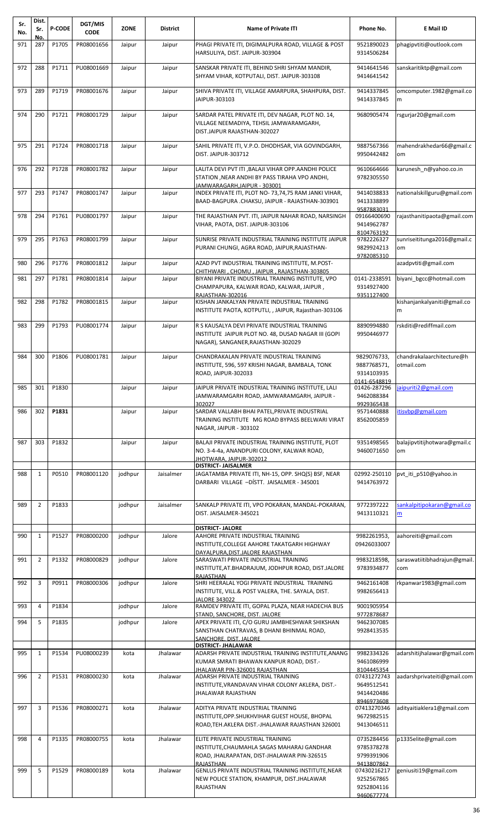| Sr.<br>No. | Dist.<br>Sr.<br>No. | <b>P-CODE</b> | DGT/MIS<br><b>CODE</b> | <b>ZONE</b> | District  | <b>Name of Private ITI</b>                                                                                                                           | Phone No.                                                           | E Mail ID                               |
|------------|---------------------|---------------|------------------------|-------------|-----------|------------------------------------------------------------------------------------------------------------------------------------------------------|---------------------------------------------------------------------|-----------------------------------------|
| 971        | 287                 | P1705         | PR08001656             | Jaipur      | Jaipur    | PHAGI PRIVATE ITI, DIGIMALPURA ROAD, VILLAGE & POST<br>HARSULIYA, DIST. JAIPUR-303904                                                                | 9521890023<br>9314506284                                            | phagipvtiti@outlook.com                 |
| 972        | 288                 | P1711         | PU08001669             | Jaipur      | Jaipur    | SANSKAR PRIVATE ITI, BEHIND SHRI SHYAM MANDIR,<br>SHYAM VIHAR, KOTPUTALI, DIST. JAIPUR-303108                                                        | 9414641546<br>9414641542                                            | sanskaritiktp@gmail.com                 |
| 973        | 289                 | P1719         | PR08001676             | Jaipur      | Jaipur    | SHIVA PRIVATE ITI, VILLAGE AMARPURA, SHAHPURA, DIST.<br>JAIPUR-303103                                                                                | 9414337845<br>9414337845                                            | omcomputer.1982@gmail.co<br>m           |
| 974        | 290                 | P1721         | PR08001729             | Jaipur      | Jaipur    | SARDAR PATEL PRIVATE ITI, DEV NAGAR, PLOT NO. 14,<br>VILLAGE NEEMADIYA, TEHSIL JAMWARAMGARH,<br>DIST.JAIPUR RAJASTHAN-302027                         | 9680905474                                                          | rsgurjar20@gmail.com                    |
| 975        | 291                 | P1724         | PR08001718             | Jaipur      | Jaipur    | SAHIL PRIVATE ITI, V.P.O. DHODHSAR, VIA GOVINDGARH,<br>DIST. JAIPUR-303712                                                                           | 9887567366<br>9950442482                                            | mahendrakhedar66@gmail.c<br>om          |
| 976        | 292                 | P1728         | PR08001782             | Jaipur      | Jaipur    | LALITA DEVI PVT ITI , BALAJI VIHAR OPP.AANDHI POLICE<br>STATION , NEAR ANDHI BY PASS TIRAHA VPO ANDHI,<br>JAMWARAGARH.JAIPUR - 303001                | 9610664666<br>9782305550                                            | karunesh_n@yahoo.co.in                  |
| 977        | 293                 | P1747         | PR08001747             | Jaipur      | Jaipur    | INDEX PRIVATE ITI, PLOT NO-73,74,75 RAM JANKI VIHAR,<br>BAAD-BAGPURA .CHAKSU, JAIPUR - RAJASTHAN-303901                                              | 9414038833<br>9413338899<br>9587883031                              | nationalskillguru@gmail.com             |
| 978        | 294                 | P1761         | PU08001797             | Jaipur      | Jaipur    | THE RAJASTHAN PVT. ITI, JAIPUR NAHAR ROAD, NARSINGH<br>VIHAR, PAOTA, DIST. JAIPUR-303106                                                             | 09166400690<br>9414962787<br>8104763192                             | rajasthanitipaota@gmail.com             |
| 979        | 295                 | P1763         | PR08001799             | Jaipur      | Jaipur    | SUNRISE PRIVATE INDUSTRIAL TRAINING INSTITUTE JAIPUR<br>PURANI CHUNGI, AGRA ROAD, JAIPUR, RAJASTHAN-                                                 | 9782226327<br>9829924213<br>9782085310                              | sunriseititunga2016@gmail.c<br>om       |
| 980        | 296                 | P1776         | PR08001812             | Jaipur      | Jaipur    | AZAD PVT INDUSTRIAL TRAINING INSTITUTE, M.POST-                                                                                                      |                                                                     | azadpvtiti@gmail.com                    |
| 981        | 297                 | P1781         | PR08001814             | Jaipur      | Jaipur    | CHITHWARI, CHOMU, JAIPUR, RAJASTHAN-303805<br>BIYANI PRIVATE INDUSTRIAL TRAINING INSTITUTE, VPO                                                      | 0141-2338591                                                        | biyani bgcc@hotmail.com                 |
|            |                     |               |                        |             |           | CHAMPAPURA, KALWAR ROAD, KALWAR, JAIPUR,<br>RAJASTHAN-302016                                                                                         | 9314927400<br>9351127400                                            |                                         |
| 982        | 298                 | P1782         | PR08001815             | Jaipur      | Jaipur    | KISHAN JANKALYAN PRIVATE INDUSTRIAL TRAINING<br>INSTITUTE PAOTA, KOTPUTLI, , JAIPUR, Rajasthan-303106                                                |                                                                     | kishanjankalyaniti@gmail.co<br>m        |
| 983        | 299                 | P1793         | PU08001774             | Jaipur      | Jaipur    | R S KAUSALYA DEVI PRIVATE INDUSTRIAL TRAINING<br>INSTITUTE JAIPUR PLOT NO. 48, DUSAD NAGAR III (GOPI<br>NAGAR), SANGANER, RAJASTHAN-302029           | 8890994880<br>9950446977                                            | rskditi@rediffmail.com                  |
| 984        | 300                 | P1806         | PU08001781             | Jaipur      | Jaipur    | CHANDRAKALAN PRIVATE INDUSTRIAL TRAINING<br>INSTITUTE, 596, 597 KRISHI NAGAR, BAMBALA, TONK<br>ROAD, JAIPUR-302033                                   | 9829076733,<br>9887768571,<br>9314103935                            | chandrakalaarchitecture@h<br>otmail.com |
|            |                     | 985 301 P1830 |                        | Jaipur      | Jaipur    | JAIPUR PRIVATE INDUSTRIAL TRAINING INSTITUTE, LALI<br>JAMWARAMGARH ROAD, JAMWARAMGARH, JAIPUR -<br>302027                                            | 0141-6548819<br>01426-287296<br>9462088384<br>9929365438            | jaipuriti2@gmail.com                    |
| 986        | 302                 | P1831         |                        | Jaipur      | Jaipur    | SARDAR VALLABH BHAI PATEL, PRIVATE INDUSTRIAL<br>TRAINING INSTITUTE MG ROAD BYPASS BEELWARI VIRAT<br>NAGAR, JAIPUR - 303102                          | 9571440888<br>8562005859                                            | itisvbp@gmail.com                       |
| 987        | 303                 | P1832         |                        | Jaipur      | Jaipur    | BALAJI PRIVATE INDUSTRIAL TRAINING INSTITUTE, PLOT<br>NO. 3-4-4a, ANANDPURI COLONY, KALWAR ROAD,<br>JHOTWARA, JAIPUR-302012                          | 9351498565<br>9460071650                                            | balajipvtitijhotwara@gmail.c<br>om      |
| 988        | $\mathbf{1}$        | P0510         | PR08001120             | jodhpur     | Jaisalmer | <b>DISTRICT- JAISALMER</b><br>JAGATAMBA PRIVATE ITI, NH-15, OPP. SHQ(S) BSF, NEAR                                                                    | 02992-250110                                                        | pvt_iti_p510@yahoo.in                   |
|            |                     |               |                        |             |           | DARBARI VILLAGE -DÍSTT. JAISALMER - 345001                                                                                                           | 9414763972                                                          |                                         |
| 989        | $\overline{2}$      | P1833         |                        | jodhpur     | Jaisalmer | SANKALP PRIVATE ITI, VPO POKARAN, MANDAL-POKARAN,<br>DIST. JAISALMER-345021                                                                          | 9772397222<br>9413110321                                            | sankalpitipokaran@gmail.co<br>m         |
| 990        | $\mathbf{1}$        | P1527         | PR08000200             | jodhpur     | Jalore    | <b>DISTRICT- JALORE</b><br>AAHORE PRIVATE INDUSTRIAL TRAINING                                                                                        | 9982261953,                                                         | aahoreiti@gmail.com                     |
|            |                     |               |                        |             |           | INSTITUTE,COLLEGE AAHORE TAKATGARH HIGHWAY<br>DAYALPURA, DIST. JALORE RAJASTHAN                                                                      | 09426033007                                                         |                                         |
| 991        | $\overline{2}$      | P1332         | PR08000829             | jodhpur     | Jalore    | SARASWATI PRIVATE INDUSTRIAL TRAINING<br>INSTITUTE, AT. BHADRAJUM, JODHPUR ROAD, DIST. JALORE<br>RAJASTHAN                                           | 9983218598,<br>9783934877                                           | saraswatiitibhadrajun@gmail.<br>com     |
| 992        | 3                   | P0911         | PR08000306             | jodhpur     | Jalore    | SHRI HEERALAL YOGI PRIVATE INDUSTRIAL TRAINING<br>INSTITUTE, VILL.& POST VALERA, THE. SAYALA, DIST.<br>JALORE 343022                                 | 9462161408<br>9982656413                                            | rkpanwar1983@gmail.com                  |
| 993        | 4                   | P1834         |                        | jodhpur     | Jalore    | RAMDEV PRIVATE ITI, GOPAL PLAZA, NEAR HADECHA BUS<br>STAND, SANCHORE, DIST. JALORE                                                                   | 9001905954<br>9772878687                                            |                                         |
| 994        | 5                   | P1835         |                        | jodhpur     | Jalore    | APEX PRIVATE ITI, C/O GURU JAMBHESHWAR SHIKSHAN<br>SANSTHAN CHATRAVAS, B DHANI BHINMAL ROAD,<br>SANCHORE, DIST. JALORE                               | 9462307085<br>9928413535                                            |                                         |
| 995        | $\mathbf{1}$        | P1534         | PU08000239             | kota        | Jhalawar  | <b>DISTRICT- JHALAWAR</b><br>ADARSH PRIVATE INDUSTRIAL TRAINING INSTITUTE, ANANG<br>KUMAR SMRATI BHAWAN KANPUR ROAD, DIST.-                          | 9982334326<br>9461086999                                            | adarshitijhalawar@gmail.com             |
| 996        | $\overline{2}$      | P1531         | PR08000230             | kota        | Jhalawar  | JHALAWAR PIN-326001 RAJASTHAN<br>ADARSH PRIVATE INDUSTRIAL TRAINING<br>INSTITUTE, VRANDAVAN VIHAR COLONY AKLERA, DIST.-<br><b>JHALAWAR RAJASTHAN</b> | 8104445354<br>07431272743<br>9649512541<br>9414420486               | aadarshprivateiti@gmail.com             |
| 997        | 3                   | P1536         | PR08000271             | kota        | Jhalawar  | ADITYA PRIVATE INDUSTRIAL TRAINING<br>INSTITUTE, OPP. SHUKHVIHAR GUEST HOUSE, BHOPAL                                                                 | 8946973608<br>07413270346<br>9672982515                             | adityaitiaklera1@gmail.com              |
|            |                     |               |                        |             |           | ROAD, TEH. AKLERA DIST. - JHALAWAR RAJASTHAN 326001                                                                                                  | 9413046511                                                          |                                         |
| 998        | 4                   | P1335         | PR08000755             | kota        | Jhalawar  | ELITE PRIVATE INDUSTRIAL TRAINING<br>INSTITUTE, CHAUMAHLA SAGAS MAHARAJ GANDHAR<br>ROAD, JHALRAPATAN, DIST-JHALAWAR PIN-326515                       | 0735284456<br>9785378278<br>9799391906                              | p1335elite@gmail.com                    |
| 999        | 5                   | P1529         | PR08000189             | kota        | Jhalawar  | RAIASTHAN<br>GENLUS PRIVATE INDUSTRIAL TRAINING INSTITUTE, NEAR<br>NEW POLICE STATION, KHAMPUR, DIST.JHALAWAR<br><b>RAJASTHAN</b>                    | 9413807862<br>07430216217<br>9252567865<br>9252804116<br>9460677774 | geniusiti19@gmail.com                   |
|            |                     |               |                        |             |           |                                                                                                                                                      |                                                                     |                                         |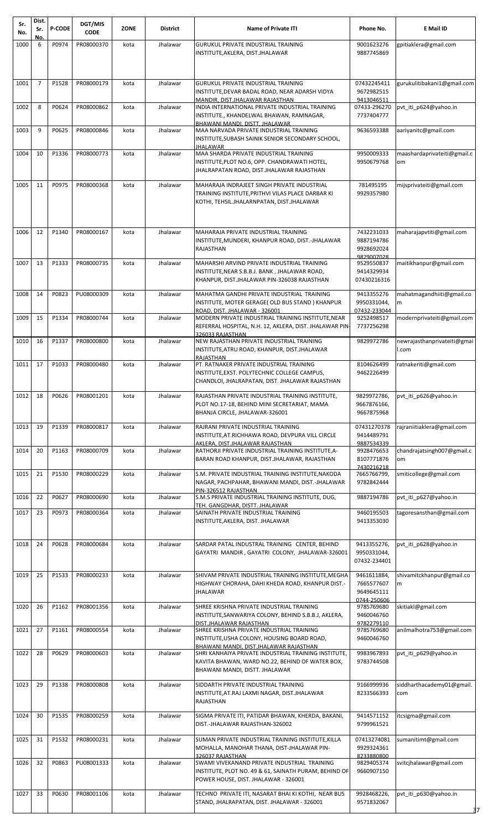| Sr.<br>No. | Dist.<br>Sr.   | <b>P-CODE</b> | DGT/MIS<br><b>CODE</b> | <b>ZONE</b> | <b>District</b> | <b>Name of Private ITI</b>                                                                                                                                                          | Phone No.                                              | <b>E</b> Mail ID                     |
|------------|----------------|---------------|------------------------|-------------|-----------------|-------------------------------------------------------------------------------------------------------------------------------------------------------------------------------------|--------------------------------------------------------|--------------------------------------|
| 1000       | No.<br>6       | P0974         | PR08000370             | kota        | Jhalawar        | <b>GURUKUL PRIVATE INDUSTRIAL TRAINING</b>                                                                                                                                          | 9001623276                                             | gpitiaklera@gmail.com                |
|            |                |               |                        |             |                 | INSTITUTE, AKLERA, DIST.JHALAWAR                                                                                                                                                    | 9887745869                                             |                                      |
|            |                |               |                        |             |                 |                                                                                                                                                                                     |                                                        |                                      |
| 1001       | $\overline{7}$ | P1528         | PR08000179             | kota        | Jhalawar        | <b>GURUKUL PRIVATE INDUSTRIAL TRAINING</b><br>INSTITUTE, DEVAR BADAL ROAD, NEAR ADARSH VIDYA<br>MANDIR, DIST.JHALAWAR RAJASTHAN                                                     | 07432245411<br>9672982515<br>9413046511                | gurukulitibakani1@gmail.com          |
| 1002       | 8              | P0624         | PR08000862             | kota        | Jhalawar        | INDIA INTERNATIONAL PRIVATE INDUSTRIAL TRAINING<br>INSTITUTE., KHANDELWAL BHAWAN, RAMNAGAR,                                                                                         | 07433-296270<br>7737404777                             | pvt iti p624@yahoo.in                |
| 1003       | 9              | P0625         | PR08000846             | kota        | Jhalawar        | BHAWANI MANDI, DISTT, JHALAWAR<br>MAA NARVADA PRIVATE INDUSTRIAL TRAINING<br>INSTITUTE, SUBASH SAINIK SENIOR SECONDARY SCHOOL,                                                      | 9636593388                                             | aariyanitc@gmail.com                 |
| 1004       | 10             | P1336         | PR08000773             | kota        | Jhalawar        | JHALAWAR<br>MAA SHARDA PRIVATE INDUSTRIAL TRAINING<br>INSTITUTE, PLOT NO.6, OPP. CHANDRAWATI HOTEL,<br>JHALRAPATAN ROAD, DIST.JHALAWAR RAJASTHAN                                    | 9950009333<br>9950679768                               | maashardaprivateiti@gmail.c<br>om    |
| 1005       | 11             | P0975         | PR08000368             | kota        | Jhalawar        | MAHARAJA INDRAJEET SINGH PRIVATE INDUSTRIAL<br>TRAINING INSTITUTE, PRITHVI VILAS PLACE DARBAR KI<br>KOTHI, TEHSIL.JHALARNPATAN, DIST.JHALAWAR                                       | 781495195<br>9929357980                                | mijsprivateiti@gmail.com             |
| 1006       | 12             | P1340         | PR08000167             | kota        | Jhalawar        | MAHARAJA PRIVATE INDUSTRIAL TRAINING<br>INSTITUTE, MUNDERI, KHANPUR ROAD, DIST.-JHALAWAR<br><b>RAJASTHAN</b>                                                                        | 7432231033<br>9887194786<br>9928692024<br>9829007028   | maharajapvtiti@gmail.com             |
| 1007       | 13             | P1333         | PR08000735             | kota        | Jhalawar        | MAHARSHI ARVIND PRIVATE INDUSTRIAL TRAINING<br>INSTITUTE, NEAR S.B.B.J. BANK, JHALAWAR ROAD,<br>KHANPUR, DIST.JHALAWAR PIN-326038 RAJASTHAN                                         | 9529550837<br>9414329934<br>07430216316                | maitikhanpur@gmail.com               |
| 1008       | 14             | P0823         | PU08000309             | kota        | Jhalawar        | MAHATMA GANDHI PRIVATE INDUSTRIAL TRAINING<br>INSTITUTE, MOTER GERAGE( OLD BUS STAND ) KHANPUR<br>ROAD, DIST. JHALAWAR - 326001                                                     | 9413355276<br>9950331044,<br>07432-233044              | mahatmagandhiiti@gmail.co<br>m       |
| 1009       | 15             | P1334         | PR08000744             | kota        | Jhalawar        | MODERN PRIVATE INDUSTRIAL TRAINING INSTITUTE, NEAR<br>REFERRAL HOSPITAL, N.H. 12, AKLERA, DIST. JHALAWAR PIN                                                                        | 9252498517<br>7737256298                               | modernprivateiti@gmail.com           |
| 1010       | 16             | P1337         | PR08000800             | kota        | Jhalawar        | 326033 RAJASTHAN<br>NEW RAJASTHAN PRIVATE INDUSTRIAL TRAINING<br>INSTITUTE, ATRU ROAD, KHANPUR, DIST.JHALAWAR                                                                       | 9829972786                                             | newrajasthanprivateiti@gmai<br>l.com |
| 1011       | 17             | P1033         | PR08000480             | kota        | Jhalawar        | <b>RAJASTHAN</b><br>PT. RATNAKER PRIVATE INDUSTRIAL TRAINING<br>INSTITUTE, EXST. POLYTECHNIC COLLEGE CAMPUS,<br>CHANDLOI, JHALRAPATAN, DIST. JHALAWAR RAJASTHAN                     | 8104626499<br>9462226499                               | ratnakeriti@gmail.com                |
| 1012       | 18             | P0626         | PR08001201             | kota        | Jhalawar        | RAJASTHAN PRIVATE INDUSTRIAL TRAINING INSTITUTE,<br>PLOT NO.17-18, BEHIND MINI SECRETARIAT, MAMA<br>BHANJA CIRCLE, JHALAWAR-326001                                                  | 9829972786,<br>9667876166,<br>9667875968               | pvt_iti_p626@yahoo.in                |
| 1013       | 19             | P1339         | PR08000817             | kota        | Jhalawar        | RAJRANI PRIVATE INDUSTRIAL TRAINING<br>INSTITUTE, AT.RICHHAWA ROAD, DEVPURA VILL CIRCLE                                                                                             | 07431270378<br>9414489791                              | rajraniitiaklera@gmail.com           |
| 1014       | 20             | P1163         | PR08000709             | kota        | Jhalawar        | AKLERA. DIST.JHALAWAR RAJASTHAN<br>RATHORJI PRIVATE INDUSTRIAL TRAINING INSTITUTE, A-<br>BARAN ROAD KHANPUR, DIST.JHALAWAR, RAJASTHAN                                               | 9887534339<br>9928476653<br>8107771876                 | chandrajatsingh007@gmail.c<br>om     |
| 1015       | 21             | P1530         | PR08000229             | kota        | Jhalawar        | S.M. PRIVATE INDUSTRIAL TRAINING INSTITUTE, NAKODA<br>NAGAR, PACHPAHAR, BHAWANI MANDI, DIST.-JHALAWAR<br>PIN-326512 RAJASTHAN                                                       | 7430216218<br>7665766799,<br>9782842444                | smiticollege@gmail.com               |
| 1016       | 22             | P0627         | PR08000690             | kota        | Jhalawar        | S.M.S PRIVATE INDUSTRIAL TRAINING INSTITUTE, DUG,<br>TEH. GANGDHAR, DISTT. JHALAWAR                                                                                                 | 9887194786                                             | pvt iti p627@yahoo.in                |
| 1017       | 23             | P0973         | PR08000364             | kota        | Jhalawar        | SAINATH PRIVATE INDUSTRIAL TRAINING<br>INSTITUTE, AKLERA, DIST. JHALAWAR                                                                                                            | 9460195503<br>9413353030                               | tagoresansthan@gmail.com             |
| 1018       | 24             | P0628         | PR08000684             | kota        | Jhalawar        | SARDAR PATAL INDUSTRAL TRAINING CENTER, BEHIND<br>GAYATRI MANDIR, GAYATRI COLONY, JHALAWAR-326001                                                                                   | 9413355276,<br>9950331044,<br>07432-234401             | pvt iti p628@yahoo.in                |
| 1019       | 25             | P1533         | PR08000233             | kota        | Jhalawar        | SHIVAM PRIVATE INDUSTRIAL TRAINING INSTITUTE, MEGHA<br>HIGHWAY CHORAHA, DAHI KHEDA ROAD, KHANPUR DIST.-<br>JHALAWAR                                                                 | 9461611884,<br>7665577607<br>9649645111<br>0744-250606 | shivamitckhanpur@gmail.co<br>m       |
| 1020       | 26             | P1162         | PR08001356             | kota        | Jhalawar        | SHREE KRISHNA PRIVATE INDUSTRIAL TRAINING<br>INSTITUTE, SANWARIYA COLONY, BEHIND S.B.B.J, AKLERA,                                                                                   | 9785769680<br>9460046760                               | skitiakl@gmail.com                   |
| 1021       | 27             | P1161         | PR08000554             | kota        | Jhalawar        | DIST.JHALAWAR RAJASTHAN<br>SHREE KRISHNA PRIVATE INDUSTRIAL TRAINING<br>INSTITUTE, USHA COLONY, HOUSING BOARD ROAD,                                                                 | 9782279110<br>9785769680<br>9460046760                 | anilmalhotra753@gmail.com            |
| 1022       | 28             | P0629         | PR08000603             | kota        | Jhalawar        | BHAWANI MANDI, DIST.JHALAWAR RAJASTHAN<br>SHRI KANHAIYA PRIVATE INDUSTRIAL TRAINING INSTITUTE,<br>KAVITA BHAWAN, WARD NO.22, BEHIND OF WATER BOX,<br>BHAWANI MANDI, DISTT. JHALAWAR | 9983967893<br>9783744508                               | pvt iti p629@yahoo.in                |
| 1023       | 29             | P1338         | PR08000808             | kota        | Jhalawar        | SIDDARTH PRIVATE INDUSTRIAL TRAINING<br>INSTITUTE, AT.RAJ LAXMI NAGAR, DIST.JHALAWAR<br>RAJASTHAN                                                                                   | 9166999936<br>8233566393                               | siddharthacademy01@gmail.<br>com     |
| 1024       | 30             | P1535         | PR08000259             | kota        | Jhalawar        | SIGMA PRIVATE ITI, PATIDAR BHAWAN, KHERDA, BAKANI,<br>DIST.-JHALAWAR RAJASTHAN-326002                                                                                               | 9414571152<br>9799961521                               | itcsigma@gmail.com                   |
| 1025       | 31             | P1532         | PR08000231             | kota        | Jhalawar        | SUMAN PRIVATE INDUSTRIAL TRAINING INSTITUTE.KILLA<br>MOHALLA, MANOHAR THANA, DIST-JHALAWAR PIN-                                                                                     | 07413274081<br>9929324361                              | sumanitimt@gmail.com                 |
| 1026       | 32             | P0863         | PU08001333             | kota        | Jhalawar        | 326037 RAJASTHAN<br>SWAMI VIVEKANAND PRIVATE INDUSTRIAL TRAINING<br>INSTITUTE, PLOT NO. 49 & 61, SAINATH PURAM, BEHIND OF<br>POWER HOUSE, DIST. JHALAWAR - 326001                   | 8233880800<br>9829405374<br>9660907150                 | svitcjhalawar@gmail.com              |
| 1027       | 33             | P0630         | PR08001106             | kota        | Jhalawar        | TECHNO PRIVATE ITI, NASARAT BHAI KI KOTHI, NEAR BUS<br>STAND, JHALRAPATAN, DIST. JHALAWAR - 326001                                                                                  | 9928468226,<br>9571832067                              | pvt_iti_p630@yahoo.in<br>37          |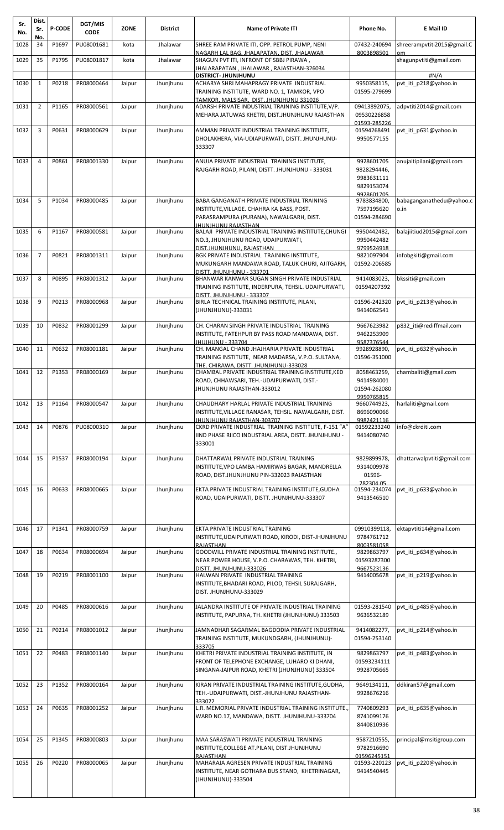| Sr.<br>No. | Dist.<br>Sr.   | <b>P-CODE</b> | DGT/MIS<br><b>CODE</b> | <b>ZONE</b> | <b>District</b> | <b>Name of Private ITI</b>                                                                                                                                                           | Phone No.                                                           | E Mail ID                        |
|------------|----------------|---------------|------------------------|-------------|-----------------|--------------------------------------------------------------------------------------------------------------------------------------------------------------------------------------|---------------------------------------------------------------------|----------------------------------|
| 1028       | No.<br>34      | P1697         | PU08001681             | kota        | Jhalawar        | SHREE RAM PRIVATE ITI, OPP. PETROL PUMP, NENI<br>NAGARH LAL BAG, JHALAPATAN, DIST. JHALAWAR                                                                                          | 07432-240694<br>8003898501                                          | shreerampvtiti2015@gmail.C<br>om |
| 1029       | 35             | P1795         | PU08001817             | kota        | Jhalawar        | SHAGUN PVT ITI, INFRONT OF SBBJ PIRAWA,<br>JHALARAPATAN, JHALAWAR, RAJASTHAN-326034                                                                                                  |                                                                     | shagunpvtiti@gmail.com           |
|            |                |               |                        |             |                 | DISTRICT- JHUNJHUNU                                                                                                                                                                  |                                                                     | #N/A                             |
| 1030       | 1              | P0218         | PR08000464             | Jaipur      | Jhunjhunu       | ACHARYA SHRI MAHAPRAGY PRIVATE INDUSTRIAL<br>TRAINING INSTITUTE, WARD NO. 1, TAMKOR, VPO<br>TAMKOR, MALSISAR, DIST, JHUNJHUNU 331026                                                 | 9950358115,<br>01595-279699                                         | pvt iti p218@yahoo.in            |
| 1031       | $\overline{2}$ | P1165         | PR08000561             | Jaipur      | Jhunjhunu       | ADARSH PRIVATE INDUSTRIAL TRAINING INSTITUTE, V/P.<br>MEHARA JATUWAS KHETRI, DIST.JHUNJHUNU RAJASTHAN                                                                                | 09413892075,<br>09530226858<br>01593-285226                         | adpvtiti2014@gmail.com           |
| 1032       | 3              | P0631         | PR08000629             | Jaipur      | Jhunjhunu       | AMMAN PRIVATE INDUSTRIAL TRAINING INSTITUTE,<br>DHOLAKHERA, VIA-UDIAPURWATI, DISTT. JHUNJHUNU-<br>333307                                                                             | 01594268491<br>9950577155                                           | pvt iti p631@yahoo.in            |
| 1033       | $\overline{4}$ | P0861         | PR08001330             | Jaipur      | Jhunjhunu       | ANUJA PRIVATE INDUSTRIAL TRAINING INSTITUTE,<br>RAJGARH ROAD, PILANI, DISTT. JHUNJHUNU - 333031                                                                                      | 9928601705<br>9828294446,<br>9983631111<br>9829153074<br>9928601705 | anujaitipilani@gmail.com         |
| 1034       | 5              | P1034         | PR08000485             | Jaipur      | Jhunjhunu       | BABA GANGANATH PRIVATE INDUSTRIAL TRAINING<br>INSTITUTE, VILLAGE. CHAHRA KA BASS, POST.<br>PARASRAMPURA (PURANA), NAWALGARH, DIST.                                                   | 9783834800,<br>7597195620<br>01594-284690                           | babaganganathedu@yahoo.c<br>o.in |
| 1035       | 6              | P1167         | PR08000581             | Jaipur      | Jhunjhunu       | <b>JHUNJHUNU RAJASTHAN</b><br>BALAJI PRIVATE INDUSTRIAL TRAINING INSTITUTE, CHUNGI<br>NO.3, JHUNJHUNU ROAD, UDAIPURWATI,<br>DIST.JHUNJHUNU. RAJASTHAN                                | 9950442482,<br>9950442482<br>9799524918                             | balajiitiud2015@gmail.com        |
| 1036       | $\overline{7}$ | P0821         | PR08001311             | Jaipur      | Jhunjhunu       | BGK PRIVATE INDUSTRIAL TRAINING INSTITUTE,<br>MUKUNGARH MANDAWA ROAD, TALUK CHURI, AJITGARH,<br>DISTT. JHUNJHUNU - 333701                                                            | 9821097904<br>01592-206585                                          | infobgkiti@gmail.com             |
| 1037       | 8              | P0895         | PR08001312             | Jaipur      | Jhunjhunu       | BHANWAR KANWAR SUGAN SINGH PRIVATE INDUSTRIAL<br>TRAINING INSTITUTE, INDERPURA, TEHSIL. UDAIPURWATI,<br>DISTT. JHUNJHUNU - 333307                                                    | 9414083023,<br>01594207392                                          | bkssiti@gmail.com                |
| 1038       | 9              | P0213         | PR08000968             | Jaipur      | Jhunjhunu       | BIRLA TECHNICAL TRAINING INSTITUTE, PILANI,<br>(JHUNJHUNU)-333031                                                                                                                    | 01596-242320<br>9414062541                                          | pvt iti p213@yahoo.in            |
| 1039       | 10             | P0832         | PR08001299             | Jaipur      | Jhunjhunu       | CH. CHARAN SINGH PRIVATE INDUSTRIAL TRAINING<br>INSTITUTE, FATEHPUR BY PASS ROAD MANDAWA, DIST.<br>JHUJHUNU - 333704                                                                 | 9667623982<br>9462253909<br>9587376544                              | p832 iti@rediffmail.com          |
| 1040       | 11             | P0632         | PR08001181             | Jaipur      | Jhunjhunu       | CH. MANGAL CHAND JHAJHARIA PRIVATE INDUSTRIAL<br>TRAINING INSTITUTE, NEAR MADARSA, V.P.O. SULTANA,                                                                                   | 9928928890,<br>01596-351000                                         | pvt iti p632@yahoo.in            |
| 1041       | 12             | P1353         | PR08000169             | Jaipur      | Jhunjhunu       | THE, CHIRAWA, DISTT, JHUNJHUNU-333028<br>CHAMBAL PRIVATE INDUSTRIAL TRAINING INSTITUTE, KED<br>ROAD, CHHAWSARI, TEH.-UDAIPURWATI, DIST.-<br>JHUNJHUNU RAJASTHAN-333012               | 8058463259,<br>9414984001<br>01594-262080<br>9950765815             | chambaliti@gmail.com             |
| 1042       | 13             | P1164         | PR08000547             | Jaipur      | Jhunjhunu       | CHAUDHARY HARLAL PRIVATE INDUSTRIAL TRAINING<br>INSTITUTE, VILLAGE RANASAR, TEHSIL. NAWALGARH, DIST.                                                                                 | 9660744923,<br>8696090066                                           | harlaliti@gmail.com              |
| 1043       | 14             | P0876         | PU08000310             | Jaipur      | Jhunjhunu       | <b>IHUNJHUNU RAJASTHAN-303707</b><br>CKRD PRIVATE INDUSTRIAL TRAINING INSTITUTE, F-151 "A"<br>IIND PHASE RIICO INDUSTRIAL AREA, DISTT. JHUNJHUNU -<br>333001                         | 9982421116<br>01592233240<br>9414080740                             | info@ckrditi.com                 |
| 1044       | 15             | P1537         | PR08000194             | Jaipur      | Jhunjhunu       | DHATTARWAL PRIVATE INDUSTRIAL TRAINING<br>INSTITUTE, VPO LAMBA HAMIRWAS BAGAR, MANDRELLA<br>ROAD, DIST.JHUNJHUNU PIN-332023 RAJASTHAN                                                | 9829899978,<br>9314009978<br>01596-<br>282304.05                    | dhattarwalpvtiti@gmail.com       |
| 1045       | 16             | P0633         | PR08000665             | Jaipur      | Jhunjhunu       | EKTA PRIVATE INDUSTRIAL TRAINING INSTITUTE, GUDHA<br>ROAD, UDAIPURWATI, DISTT. JHUNJHUNU-333307                                                                                      | 01594-234074<br>9413546510                                          | pvt iti p633@yahoo.in            |
| 1046       | 17             | P1341         | PR08000759             | Jaipur      | Jhunjhunu       | EKTA PRIVATE INDUSTRIAL TRAINING<br>INSTITUTE, UDAIPURWATI ROAD, KIRODI, DIST-JHUNJHUNU                                                                                              | 09910399118,<br>9784761712                                          | ektapvtiti14@gmail.com           |
| 1047       | 18             | P0634         | PR08000694             | Jaipur      | Jhunjhunu       | RAJASTHAN<br>GOODWILL PRIVATE INDUSTRIAL TRAINING INSTITUTE.,<br>NEAR POWER HOUSE, V.P.O. CHARAWAS, TEH. KHETRI,                                                                     | 8003581058<br>9829863797<br>01593287300                             | pvt_iti_p634@yahoo.in            |
| 1048       | 19             | P0219         | PR08001100             | Jaipur      | Jhunjhunu       | DISTT. JHUNJHUNU-333026<br>HALWAN PRIVATE INDUSTRIAL TRAINING<br>INSTITUTE, BHADARI ROAD, PILOD, TEHSIL SURAJGARH,<br>DIST. JHUNJHUNU-333029                                         | 9667523136<br>9414005678                                            | pvt iti p219@yahoo.in            |
| 1049       | 20             | P0485         | PR08000616             | Jaipur      | Jhunjhunu       | JALANDRA INSTITUTE OF PRIVATE INDUSTRIAL TRAINING<br>INSTITUTE, PAPURNA, TH. KHETRI (JHUNJHUNU) 333503                                                                               | 01593-281540<br>9636532189                                          | pvt iti p485@yahoo.in            |
| 1050       | 21             | P0214         | PR08001012             | Jaipur      | Jhunjhunu       | JAMNADHAR SAGARMAL BAGDODIA PRIVATE INDUSTRIAL<br>TRAINING INSTITUTE, MUKUNDGARH, (JHUNJHUNU)-<br>333705                                                                             | 9414082277,<br>01594-253140                                         | pvt iti p214@yahoo.in            |
| 1051       | 22             | P0483         | PR08001140             | Jaipur      | Jhunjhunu       | KHETRI PRIVATE INDUSTRIAL TRAINING INSTITUTE, IN<br>FRONT OF TELEPHONE EXCHANGE, LUHARO KI DHANI,<br>SINGANA-JAIPUR ROAD, KHETRI (JHUNJHUNU) 333504                                  | 9829863797<br>01593234111<br>9928705665                             | pvt iti p483@yahoo.in            |
| 1052       | 23             | P1352         | PR08000164             | Jaipur      | Jhunjhunu       | KIRAN PRIVATE INDUSTRIAL TRAINING INSTITUTE, GUDHA,<br>TEH.-UDAIPURWATI, DIST.-JHUNJHUNU RAJASTHAN-                                                                                  | 9649134111,<br>9928676216                                           | ddkiran57@gmail.com              |
| 1053       | 24             | P0635         | PR08001252             | Jaipur      | Jhunjhunu       | 333022<br>L.R. MEMORIAL PRIVATE INDUSTRIAL TRAINING INSTITUTE.,<br>WARD NO.17, MANDAWA, DISTT. JHUNJHUNU-333704                                                                      | 7740809293<br>8741099176<br>8440810936                              | pvt iti p635@yahoo.in            |
| 1054       | 25             | P1345         | PR08000803             | Jaipur      | Jhunjhunu       | MAA SARASWATI PRIVATE INDUSTRIAL TRAINING                                                                                                                                            | 9587210555,                                                         | principal@msitigroup.com         |
| 1055       | 26             | P0220         | PR08000065             | Jaipur      | Jhunjhunu       | INSTITUTE, COLLEGE AT. PILANI, DIST. JHUNJHUNU<br>RAJASTHAN<br>MAHARAJA AGRESEN PRIVATE INDUSTRIAL TRAINING<br>INSTITUTE, NEAR GOTHARA BUS STAND, KHETRINAGAR,<br>(JHUNJHUNU)-333504 | 9782916690<br>01596245151<br>01593-220123<br>9414540445             | pvt_iti_p220@yahoo.in            |
|            |                |               |                        |             |                 |                                                                                                                                                                                      |                                                                     |                                  |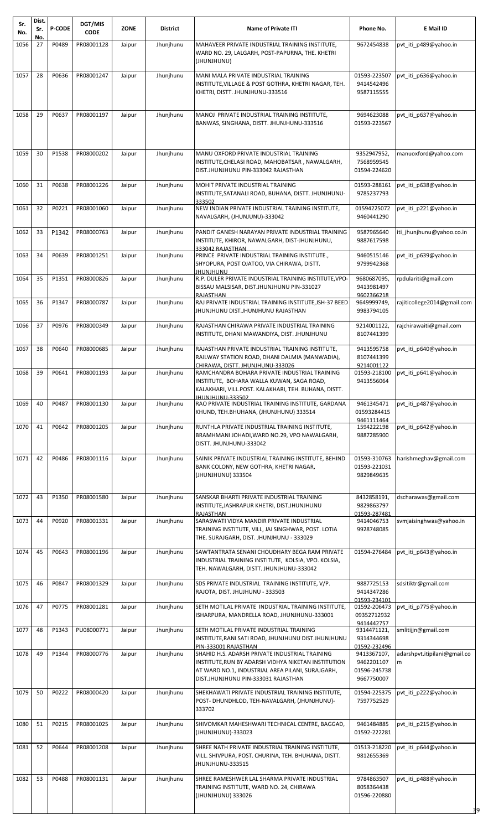| Sr.<br>No. | Dist.<br>Sr.    | <b>P-CODE</b> | DGT/MIS<br><b>CODE</b> | <b>ZONE</b> | <b>District</b> | <b>Name of Private ITI</b>                                                                      | Phone No.                  | E Mail ID                    |
|------------|-----------------|---------------|------------------------|-------------|-----------------|-------------------------------------------------------------------------------------------------|----------------------------|------------------------------|
| 1056       | <u>Νο</u><br>27 | P0489         | PR08001128             | Jaipur      | Jhunjhunu       | MAHAVEER PRIVATE INDUSTRIAL TRAINING INSTITUTE,                                                 | 9672454838                 | pvt_iti_p489@yahoo.in        |
|            |                 |               |                        |             |                 | WARD NO. 29, LALGARH, POST-PAPURNA, THE. KHETRI                                                 |                            |                              |
|            |                 |               |                        |             |                 | (JHUNJHUNU)                                                                                     |                            |                              |
|            |                 |               |                        |             |                 |                                                                                                 |                            |                              |
| 1057       | 28              | P0636         | PR08001247             | Jaipur      | Jhunjhunu       | MANI MALA PRIVATE INDUSTRIAL TRAINING<br>INSTITUTE, VILLAGE & POST GOTHRA, KHETRI NAGAR, TEH.   | 01593-223507<br>9414542496 | pvt_iti_p636@yahoo.in        |
|            |                 |               |                        |             |                 | KHETRI, DISTT. JHUNJHUNU-333516                                                                 | 9587115555                 |                              |
|            |                 |               |                        |             |                 |                                                                                                 |                            |                              |
|            |                 |               |                        |             |                 |                                                                                                 |                            |                              |
| 1058       | 29              | P0637         | PR08001197             | Jaipur      | Jhunjhunu       | MANOJ PRIVATE INDUSTRIAL TRAINING INSTITUTE,                                                    | 9694623088                 | pvt iti p637@yahoo.in        |
|            |                 |               |                        |             |                 | BANWAS, SINGHANA, DISTT. JHUNJHUNU-333516                                                       | 01593-223567               |                              |
|            |                 |               |                        |             |                 |                                                                                                 |                            |                              |
|            |                 |               |                        |             |                 |                                                                                                 |                            |                              |
| 1059       | 30              | P1538         | PR08000202             | Jaipur      | Jhunjhunu       | MANU OXFORD PRIVATE INDUSTRIAL TRAINING                                                         | 9352947952,                | manuoxford@yahoo.com         |
|            |                 |               |                        |             |                 | INSTITUTE, CHELASI ROAD, MAHOBATSAR, NAWALGARH,                                                 | 7568959545                 |                              |
|            |                 |               |                        |             |                 | DIST.JHUNJHUNU PIN-333042 RAJASTHAN                                                             | 01594-224620               |                              |
| 1060       | 31              | P0638         | PR08001226             | Jaipur      | Jhunjhunu       | MOHIT PRIVATE INDUSTRIAL TRAINING                                                               | 01593-288161               | pvt iti p638@yahoo.in        |
|            |                 |               |                        |             |                 | INSTITUTE, SATANALI ROAD, BUHANA, DISTT. JHUNJHUNU-                                             | 9785237793                 |                              |
|            |                 |               |                        |             |                 | 333502                                                                                          |                            |                              |
| 1061       | 32              | P0221         | PR08001060             | Jaipur      | Jhunjhunu       | NEW INDIAN PRIVATE INDUSTRIAL TRAINING INSTITUTE,                                               | 01594225072                | pvt iti p221@yahoo.in        |
|            |                 |               |                        |             |                 | NAVALGARH, (JHUNJUNU)-333042                                                                    | 9460441290                 |                              |
| 1062       | 33              | P1342         | PR08000763             | Jaipur      | Jhunjhunu       | PANDIT GANESH NARAYAN PRIVATE INDUSTRIAL TRAINING                                               | 9587965640                 | iti jhunjhunu@yahoo.co.in    |
|            |                 |               |                        |             |                 | INSTITUTE, KHIROR, NAWALGARH, DIST-JHUNJHUNU,                                                   | 9887617598                 |                              |
|            |                 |               |                        |             |                 | 333042 RAJASTHAN                                                                                |                            |                              |
| 1063       | 34              | P0639         | PR08001251             | Jaipur      | Jhunjhunu       | PRINCE PRIVATE INDUSTRIAL TRAINING INSTITUTE.,                                                  | 9460515146                 | pvt iti p639@yahoo.in        |
|            |                 |               |                        |             |                 | SHYOPURA, POST OJATOO, VIA CHIRAWA, DISTT.                                                      | 9799942368                 |                              |
| 1064       | 35              | P1351         | PR08000826             | Jaipur      | Jhunjhunu       | <b>UNUHIUNU</b><br>R.P. DULER PRIVATE INDUSTRIAL TRAINING INSTITUTE, VPO-                       | 9680687095,                | rpdulariti@gmail.com         |
|            |                 |               |                        |             |                 | BISSAU MALSISAR, DIST.JHUNJHUNU PIN-331027                                                      | 9413981497                 |                              |
|            |                 |               |                        |             |                 | <b>RAJASTHAN</b>                                                                                | 9602366218                 |                              |
| 1065       | 36              | P1347         | PR08000787             | Jaipur      | Jhunjhunu       | RAJ PRIVATE INDUSTRIAL TRAINING INSTITUTE, JSH-37 BEED                                          | 9649999749,                | rajiticollege2014@gmail.com  |
|            |                 |               |                        |             |                 | JHUNJHUNU DIST.JHUNJHUNU RAJASTHAN                                                              | 9983794105                 |                              |
| 1066       | 37              | P0976         | PR08000349             | Jaipur      | Jhunjhunu       | RAJASTHAN CHIRAWA PRIVATE INDUSTRIAL TRAINING                                                   | 9214001122,                | rajchirawaiti@gmail.com      |
|            |                 |               |                        |             |                 | INSTITUTE, DHANI MAWANDIYA, DIST. JHUNJHUNU                                                     | 8107441399                 |                              |
|            |                 |               |                        |             |                 |                                                                                                 |                            |                              |
| 1067       | 38              | P0640         | PR08000685             | Jaipur      | Jhunjhunu       | RAJASTHAN PRIVATE INDUSTRIAL TRAINING INSTITUTE,                                                | 9413595758                 | pvt_iti_p640@yahoo.in        |
|            |                 |               |                        |             |                 | RAILWAY STATION ROAD, DHANI DALMIA (MANWADIA),<br>CHIRAWA, DISTT, JHUNJHUNU-333026              | 8107441399<br>9214001122   |                              |
| 1068       | 39              | P0641         | PR08001193             | Jaipur      | Jhunjhunu       | RAMCHANDRA BOHARA PRIVATE INDUSTRIAL TRAINING                                                   | 01593-218100               | pvt iti p641@yahoo.in        |
|            |                 |               |                        |             |                 | INSTITUTE, BOHARA WALLA KUWAN, SAGA ROAD,                                                       | 9413556064                 |                              |
|            |                 |               |                        |             |                 | KALAKHARI, VILL.POST. KALAKHARI, TEH. BUHANA, DISTT.                                            |                            |                              |
|            | 40              | P0487         | PR08001130             |             | Jhunjhunu       | JHUNJHUNU-333502<br>RAO PRIVATE INDUSTRIAL TRAINING INSTITUTE, GARDANA                          |                            | pvt iti p487@yahoo.in        |
| 1069       |                 |               |                        | Jaipur      |                 | KHUND, TEH.BHUHANA, (JHUNJHUNU) 333514                                                          | 9461345471<br>01593284415  |                              |
|            |                 |               |                        |             |                 |                                                                                                 | 9461111464                 |                              |
| 1070       | 41              | P0642         | PR08001205             | Jaipur      | Jhunjhunu       | RUNTHLA PRIVATE INDUSTRIAL TRAINING INSTITUTE,                                                  | 1594222198                 | pvt_iti_p642@yahoo.in        |
|            |                 |               |                        |             |                 | BRAMHMANI JOHADI, WARD NO.29, VPO NAWALGARH,                                                    | 9887285900                 |                              |
|            |                 |               |                        |             |                 | DISTT. JHUNJHUNU-333042                                                                         |                            |                              |
| 1071       | 42              | P0486         | PR08001116             | Jaipur      | Jhunjhunu       | SAINIK PRIVATE INDUSTRIAL TRAINING INSTITUTE, BEHIND                                            | 01593-310763               | harishmeghav@gmail.com       |
|            |                 |               |                        |             |                 | BANK COLONY, NEW GOTHRA, KHETRI NAGAR,                                                          | 01593-221031               |                              |
|            |                 |               |                        |             |                 | (JHUNJHUNU) 333504                                                                              | 9829849635                 |                              |
|            |                 |               |                        |             |                 |                                                                                                 |                            |                              |
| 1072       | 43              | P1350         | PR08001580             | Jaipur      | Jhunjhunu       | SANSKAR BHARTI PRIVATE INDUSTRIAL TRAINING                                                      | 8432858191,                | dscharawas@gmail.com         |
|            |                 |               |                        |             |                 | INSTITUTE, JASHRAPUR KHETRI, DIST. JHUNJHUNU                                                    | 9829863797                 |                              |
|            |                 |               |                        |             |                 | RAJASTHAN                                                                                       | 01593-287481               |                              |
| 1073       | 44              | P0920         | PR08001331             | Jaipur      | Jhunjhunu       | SARASWATI VIDYA MANDIR PRIVATE INDUSTRIAL                                                       | 9414046753                 | svmjaisinghwas@yahoo.in      |
|            |                 |               |                        |             |                 | TRAINING INSTITUTE, VILL, JAI SINGHWAR, POST. LOTIA                                             | 9928748085                 |                              |
|            |                 |               |                        |             |                 | THE. SURAJGARH, DIST. JHUNJHUNU - 333029                                                        |                            |                              |
| 1074       | 45              | P0643         | PR08001196             | Jaipur      | Jhunjhunu       | SAWTANTRATA SENANI CHOUDHARY BEGA RAM PRIVATE                                                   | 01594-276484               | pvt_iti_p643@yahoo.in        |
|            |                 |               |                        |             |                 | INDUSTRIAL TRAINING INSTITUTE, KOLSIA, VPO. KOLSIA,                                             |                            |                              |
|            |                 |               |                        |             |                 | TEH. NAWALGARH, DISTT. JHUNJHUNU-333042                                                         |                            |                              |
|            |                 |               |                        |             |                 |                                                                                                 |                            |                              |
| 1075       | 46              | P0847         | PR08001329             | Jaipur      | Jhunjhunu       | SDS PRIVATE INDUSTRIAL TRAINING INSTITUTE, V/P.<br>RAJOTA, DIST. JHUJHUNU - 333503              | 9887725153<br>9414347286   | sdsitiktr@gmail.com          |
|            |                 |               |                        |             |                 |                                                                                                 | 01593-234101               |                              |
| 1076       | 47              | P0775         | PR08001281             | Jaipur      | Jhunjhunu       | SETH MOTILAL PRIVATE INDUSTRIAL TRAINING INSTITUTE,                                             | 01592-206473               | pvt iti p775@yahoo.in        |
|            |                 |               |                        |             |                 | ISHARPURA, MANDRELLA ROAD, JHUNJHUNU-333001                                                     | 09352712932                |                              |
|            |                 |               |                        |             |                 |                                                                                                 | 9414442757                 |                              |
| 1077       | 48              | P1343         | PU08000771             | Jaipur      | Jhunjhunu       | SETH MOTILAL PRIVATE INDUSTRIAL TRAINING<br>INSTITUTE, RANI SATI ROAD, JHUNJHUNU DIST.JHUNJHUNU | 9314471121,<br>9314344698  | smlitijjn@gmail.com          |
|            |                 |               |                        |             |                 | PIN-333001 RAJASTHAN                                                                            | 01592-232496               |                              |
| 1078       | 49              | P1344         | PR08000776             | Jaipur      | Jhunjhunu       | SHAHID H.S. ADARSH PRIVATE INDUSTRIAL TRAINING                                                  | 9413367107,                | adarshpvt.itipilani@gmail.co |
|            |                 |               |                        |             |                 | INSTITUTE, RUN BY ADARSH VIDHYA NIKETAN INSTITUTION                                             | 9462201107                 | m                            |
|            |                 |               |                        |             |                 | AT WARD NO.1, INDUSTRIAL AREA PILANI, SURAJGARH,                                                | 01596-245738               |                              |
|            |                 |               |                        |             |                 | DIST.JHUNJHUNU PIN-333031 RAJASTHAN                                                             | 9667750007                 |                              |
| 1079       | 50              | P0222         | PR08000420             | Jaipur      | Jhunjhunu       | SHEKHAWATI PRIVATE INDUSTRIAL TRAINING INSTITUTE,                                               | 01594-225375               | pvt iti p222@yahoo.in        |
|            |                 |               |                        |             |                 | POST- DHUNDHLOD, TEH-NAVALGARH, (JHUNJHUNU)-                                                    | 7597752529                 |                              |
|            |                 |               |                        |             |                 | 333702                                                                                          |                            |                              |
|            |                 |               |                        |             |                 |                                                                                                 |                            |                              |
| 1080       | 51              | P0215         | PR08001025             | Jaipur      | Jhunjhunu       | SHIVOMKAR MAHESHWARI TECHNICAL CENTRE, BAGGAD,<br>(JHUNJHUNU)-333023                            | 9461484885<br>01592-222281 | pvt iti p215@yahoo.in        |
|            |                 |               |                        |             |                 |                                                                                                 |                            |                              |
| 1081       | 52              | P0644         | PR08001208             | Jaipur      | Jhunjhunu       | SHREE NATH PRIVATE INDUSTRIAL TRAINING INSTITUTE,                                               | 01513-218220               | pvt iti p644@yahoo.in        |
|            |                 |               |                        |             |                 | VILL. SHIVPURA, POST. CHURINA, TEH. BHUHANA, DISTT.                                             | 9812655369                 |                              |
|            |                 |               |                        |             |                 | JHUNJHUNU-333515                                                                                |                            |                              |
| 1082       | 53              | P0488         | PR08001131             | Jaipur      | Jhunjhunu       | SHREE RAMESHWER LAL SHARMA PRIVATE INDUSTRIAL                                                   | 9784863507                 | pvt iti p488@yahoo.in        |
|            |                 |               |                        |             |                 | TRAINING INSTITUTE, WARD NO. 24, CHIRAWA                                                        | 8058364438                 |                              |
|            |                 |               |                        |             |                 | (JHUNJHUNU) 333026                                                                              | 01596-220880               |                              |
|            |                 |               |                        |             |                 |                                                                                                 |                            |                              |
|            |                 |               |                        |             |                 |                                                                                                 |                            | 39                           |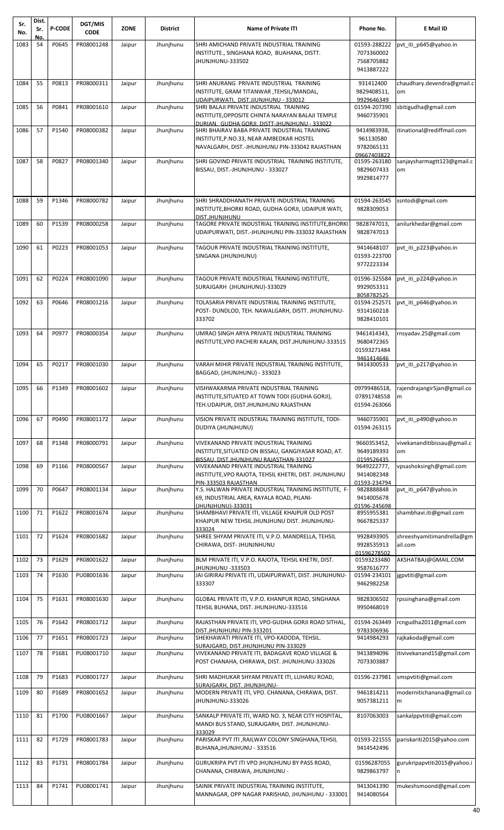| Sr.<br>No. | Dist.<br>Sr. | P-CODE | DGT/MIS<br><b>CODE</b> | <b>ZONE</b> | <b>District</b> | <b>Name of Private ITI</b>                                                                                | Phone No.                   | E Mail ID                         |
|------------|--------------|--------|------------------------|-------------|-----------------|-----------------------------------------------------------------------------------------------------------|-----------------------------|-----------------------------------|
| 1083       | No.<br>54    | P0645  | PR08001248             | Jaipur      | Jhunjhunu       | SHRI AMICHAND PRIVATE INDUSTRIAL TRAINING                                                                 | 01593-288222                | pvt_iti_p645@yahoo.in             |
|            |              |        |                        |             |                 | INSTITUTE., SINGHANA ROAD, BUAHANA, DISTT.<br>JHUNJHUNU-333502                                            | 7073360002<br>7568705882    |                                   |
|            |              |        |                        |             |                 |                                                                                                           | 9413887222                  |                                   |
| 1084       | 55           | P0813  | PR08000311             | Jaipur      | Jhunjhunu       | SHRI ANURANG PRIVATE INDUSTRIAL TRAINING<br>INSTITUTE, GRAM TITANWAR, TEHSIL/MANDAL,                      | 931412400<br>9829408511,    | chaudhary.devendra@gmail.c<br>om  |
| 1085       | 56           | P0841  | PR08001610             | Jaipur      | Jhunjhunu       | UDAIPURWATI. DIST.JJUNJHUNU - 333012<br>SHRI BALAJI PRIVATE INDUSTRIAL TRAINING                           | 9929646349<br>01594-207390  | sbitigudha@gmail.com              |
|            |              |        |                        |             |                 | INSTITUTE, OPPOSITE CHINTA NARAYAN BALAJI TEMPLE                                                          | 9460735901                  |                                   |
| 1086       | 57           | P1540  | PR08000382             | Jaipur      | Jhunjhunu       | DURIAN. GUDHA GORJI, DISTT-JHUNJHUNU - 333022<br>SHRI BHAIRAV BABA PRIVATE INDUSTRIAL TRAINING            | 9414983938,                 | itinational@rediffmail.com        |
|            |              |        |                        |             |                 | INSTITUTE, P.NO.33, NEAR AMBEDKAR HOSTEL<br>NAVALGARH, DIST.-JHUNJHUNU PIN-333042 RAJASTHAN               | 961130580<br>9782065131     |                                   |
| 1087       | 58           | P0827  | PR08001340             | Jaipur      | Jhunjhunu       | SHRI GOVIND PRIVATE INDUSTRIAL TRAINING INSTITUTE,                                                        | 09667403822<br>01595-263180 | sanjaysharmagtt123@gmail.c        |
|            |              |        |                        |             |                 | BISSAU, DIST.-JHUNJHUNU - 333027                                                                          | 9829607433<br>9929814777    | om                                |
|            |              |        |                        |             |                 |                                                                                                           |                             |                                   |
| 1088       | 59           | P1346  | PR08000782             | Jaipur      | Jhunjhunu       | SHRI SHRADDHANATH PRIVATE INDUSTRIAL TRAINING                                                             | 01594-263545                | ssntodi@gmail.com                 |
|            |              |        |                        |             |                 | INSTITUTE, BHORKI ROAD, GUDHA GORJI, UDAIPUR WATI,<br>DIST, JHUNJHUNU                                     | 9828309053                  |                                   |
| 1089       | 60           | P1539  | PR08000258             | Jaipur      | Jhunjhunu       | TAGORE PRIVATE INDUSTRIAL TRAINING INSTITUTE, BHORKI<br>UDAIPURWATI, DIST.-JHUNJHUNU PIN-333032 RAJASTHAN | 9828747013,<br>9828747013   | anilurkhedar@gmail.com            |
| 1090       | 61           | P0223  | PR08001053             | Jaipur      | Jhunjhunu       | TAGOUR PRIVATE INDUSTRIAL TRAINING INSTITUTE,                                                             | 9414648107                  | pvt iti p223@yahoo.in             |
|            |              |        |                        |             |                 | SINGANA (JHUNJHUNU)                                                                                       | 01593-223700<br>9772223334  |                                   |
| 1091       | 62           | P0224  | PR08001090             | Jaipur      | Jhunjhunu       | TAGOUR PRIVATE INDUSTRIAL TRAINING INSTITUTE,                                                             | 01596-325584                | pvt_iti_p224@yahoo.in             |
|            |              |        |                        |             |                 | SURAJGARH (JHUNJHUNU)-333029                                                                              | 9929053311<br>8058782525    |                                   |
| 1092       | 63           | P0646  | PR08001216             | Jaipur      | Jhunjhunu       | TOLASARIA PRIVATE INDUSTRIAL TRAINING INSTITUTE,                                                          | 01594-252571                | pvt iti p646@yahoo.in             |
|            |              |        |                        |             |                 | POST-DUNDLOD, TEH. NAWALGARH, DISTT. JHUNJHUNU-<br>333702                                                 | 9314160218<br>9828410101    |                                   |
| 1093       | 64           | P0977  | PR08000354             | Jaipur      | Jhunjhunu       | UMRAO SINGH ARYA PRIVATE INDUSTRIAL TRAINING                                                              | 9461414343,                 | rnsyadav.25@gmail.com             |
|            |              |        |                        |             |                 | INSTITUTE, VPO PACHERI KALAN, DIST.JHUNJHUNU-333515                                                       | 9680472365<br>01593271484   |                                   |
| 1094       | 65           | P0217  | PR08001030             | Jaipur      | Jhunjhunu       | VARAH MIHIR PRIVATE INDUSTRIAL TRAINING INSTITUTE,                                                        | 9461414646<br>9414300533    | pvt iti p217@yahoo.in             |
|            |              |        |                        |             |                 | BAGGAD, (JHUNJHUNU) - 333023                                                                              |                             |                                   |
| 1095 66    |              |        | P1349 PR08001602       | Jaipur      | Jhunjhunu       | VISHWAKARMA PRIVATE INDUSTRIAL TRAINING<br>INSTITUTE, SITUATED AT TOWN TODI (GUDHA GORJI),                | 09799486518,                | rajendrajangir5jan@gmail.co       |
|            |              |        |                        |             |                 | TEH.UDAIPUR, DIST.JHUNJHUNU RAJASTHAN                                                                     | 07891748558<br>01594-263066 | I <sub>m</sub>                    |
| 1096       | 67           | P0490  | PR08001172             | Jaipur      | Jhunjhunu       | VISION PRIVATE INDUSTRIAL TRAINING INSTITUTE, TODI-                                                       | 9460735901                  | pvt iti p490@yahoo.in             |
|            |              |        |                        |             |                 | DUDIYA (JHUNJHUNU)                                                                                        | 01594-263115                |                                   |
| 1097       | 68           | P1348  | PR08000791             | Jaipur      | Jhunjhunu       | VIVEKANAND PRIVATE INDUSTRIAL TRAINING<br>INSTITUTE, SITUATED ON BISSAU, GANGIYASAR ROAD, AT.             | 9660353452,<br>9649189393   | vivekananditibissau@gmail.c<br>om |
| 1098       | 69           | P1166  | PR08000567             | Jaipur      | Jhunjhunu       | BISSAU. DIST.JHUNJHUNU RAJASTHAN-331027<br>VIVEKANAND PRIVATE INDUSTRIAL TRAINING                         | 0159526435<br>9649222777,   | vpsashoksingh@gmail.com           |
|            |              |        |                        |             |                 | INSTITUTE, VPO RAJOTA, TEHSIL KHETRI, DIST. JHUNJHUNU<br>PIN-333503 RAJASTHAN                             | 9414082348<br>01593-234794  |                                   |
| 1099       | 70           | P0647  | PR08001134             | Jaipur      | Jhunjhunu       | Y.S. HALWAN PRIVATE INDUSTRIAL TRAINING INSTITUTE, F-<br>69, INDUSTRIAL AREA, RAYALA ROAD, PILANI-        | 9828888848<br>9414005678    | pvt iti p647@yahoo.in             |
|            |              |        |                        |             |                 | (JHUNJHUNU)-333031                                                                                        | 01596-245698                |                                   |
| 1100       | 71           | P1622  | PR08001674             | Jaipur      | Jhunjhunu       | SHAMBHAVI PRIVATE ITI, VILLAGE KHAJPUR OLD POST<br>KHAJPUR NEW TEHSIL JHUNJHUNU DIST. JHUNJHUNU-          | 8955955381<br>9667825337    | shambhavi.iti@gmail.com           |
| 1101       | 72           | P1624  | PR08001682             | Jaipur      | Jhunjhunu       | 333024<br>SHREE SHYAM PRIVATE ITI, V.P.O. MANDRELLA, TEHSIL                                               | 9928493905                  | shreeshyamitimandrella@gm         |
|            |              |        |                        |             |                 | CHIRAWA, DIST- JHUNJNHUNU                                                                                 | 9928535913<br>01596278502   | ail.com                           |
| 1102       | 73           | P1629  | PR08001622             | Jaipur      | Jhunjhunu       | BLM PRIVATE ITI, V.P.O. RAJOTA, TEHSIL KHETRI, DIST.<br>JHUNJHUNU -333503                                 | 01593233480<br>9587616777   | AKSHATBAJ@GMAIL.COM               |
| 1103       | 74           | P1630  | PU08001636             | Jaipur      | Jhunjhunu       | JAI GIRIRAJ PRIVATE ITI, UDAIPURWATI, DIST. JHUNJHUNU-<br>333307                                          | 01594-234101<br>9462982258  | jgpvtiti@gmail.com                |
| 1104       | 75           | P1631  | PR08001630             | Jaipur      | Jhunjhunu       | GLOBAL PRIVATE ITI, V.P.O. KHANPUR ROAD, SINGHANA                                                         | 9828306502                  | rpssinghana@gmail.com             |
|            |              |        |                        |             |                 | TEHSIL BUHANA, DIST. JHUNJHUNU-333516                                                                     | 9950468019                  |                                   |
| 1105       | 76           | P1642  | PR08001712             | Jaipur      | Jhunjhunu       | RAJASTHAN PRIVATE ITI, VPO-GUDHA GORJI ROAD SITHAL,                                                       | 01594-263449                | rcngudha2011@gmail.com            |
| 1106       | 77           | P1651  | PR08001723             | Jaipur      | Jhunjhunu       | DIST.JHUNJHUNU PIN-333201<br>SHEKHAWATI PRIVATE ITI, VPO-KADODA, TEHSIL.                                  | 9783306936<br>9414984293    | rajkakoda@gmail.com               |
| 1107       | 78           | P1681  | PU08001710             | Jaipur      | Jhunjhunu       | SURAJGARD, DIST.JHUNJHUNU PIN-333029<br>VIVEKANAND PRIVATE ITI, BADAGAVE ROAD VILLAGE &                   | 9413894096                  | itivivekanand15@gmail.com         |
|            |              |        |                        |             |                 | POST CHANAHA, CHIRAWA, DIST. JHUNJHUNU-333026                                                             | 7073303887                  |                                   |
| 1108       | 79           | P1683  | PU08001727             | Jaipur      | Jhunjhunu       | SHRI MADHUKAR SHYAM PRIVATE ITI, LUHARU ROAD,<br>SURAJGARH, DIST, JHUNJHUNU-                              | 01596-237981                | smspvtiti@gmail.com               |
| 1109       | 80           | P1689  | PR08001652             | Jaipur      | Jhunjhunu       | MODERN PRIVATE ITI, VPO. CHANANA, CHIRAWA, DIST.<br>JHUNJHUNU-333026                                      | 9461814211<br>9057381211    | modernitichanana@gmail.co<br>m    |
| 1110       | 81           | P1700  | PU08001667             | Jaipur      | Jhunjhunu       | SANKALP PRIVATE ITI, WARD NO. 3, NEAR CITY HOSPITAL,                                                      | 8107063003                  | sankalppvtiti@gmail.com           |
|            |              |        |                        |             |                 | MANDI BUS STAND, SURAJGARH, DIST. JHUNJHUNU-                                                              |                             |                                   |
| 1111       | 82           | P1729  | PR08001783             | Jaipur      | Jhunjhunu       | 333029<br>PARISKAR PVT ITI , RAILWAY COLONY SINGHANA, TEHSIL                                              | 01593-221555                | pariskariti2015@yahoo.com         |
|            |              |        |                        |             |                 | BUHANA, JHUNJHUNU - 333516                                                                                | 9414542496                  |                                   |
| 1112       | 83           | P1731  | PR08001784             | Jaipur      | Jhunjhunu       | GURUKRIPA PVT ITI VPO JHUNJHUNU BY PASS ROAD,<br>CHANANA, CHIRAWA, JHUNJHUNU -                            | 01596287055<br>9829863797   | gurukripapvtiti2015@yahoo.i<br>In |
| 1113       | 84           | P1741  | PU08001741             | Jaipur      | Jhunjhunu       | SAINIK PRIVATE INDUSTRIAL TRAINING INSTITUTE,                                                             | 9413041390                  | mukeshsmoond@gmail.com            |
|            |              |        |                        |             |                 | MANNAGAR, OPP NAGAR PARISHAD, JHUNJHUNU - 333001                                                          | 9414080564                  |                                   |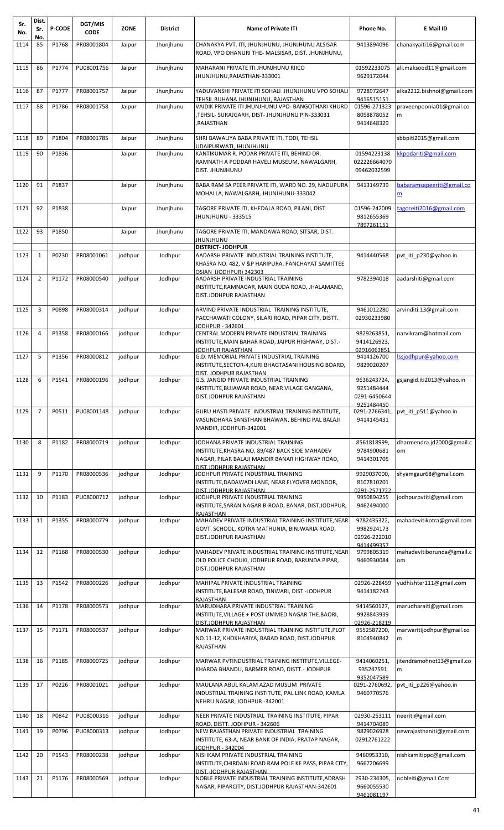| Sr.<br>No. | Dist.<br>Sr.   | <b>P-CODE</b> | DGT/MIS<br><b>CODE</b> | <b>ZONE</b> | <b>District</b> | <b>Name of Private ITI</b>                                                                                                                                        | Phone No.                                 | E Mail ID                       |
|------------|----------------|---------------|------------------------|-------------|-----------------|-------------------------------------------------------------------------------------------------------------------------------------------------------------------|-------------------------------------------|---------------------------------|
| 1114       | No.<br>85      | P1768         | PR08001804             | Jaipur      | Jhunjhunu       | CHANAKYA PVT. ITI, JHUNJHUNU, JHUNJHUNU ALSISAR<br>ROAD, VPO DHANURI THE- MALSISAR, DIST. JHUNJHUNU,                                                              | 9413894096                                | chanakyaiti16@gmail.com         |
| 1115       | 86             | P1774         | PU08001756             | Jaipur      | Jhunjhunu       | MAHARANI PRIVATE ITI JHUNJHUNU RIICO<br>JHUNJHUNU, RAJASTHAN-333001                                                                                               | 01592233075<br>9629172044                 | ali.maksood11@gmail.com         |
| 1116       | 87             | P1777         | PR08001757             | Jaipur      | Jhunjhunu       | YADUVANSHI PRIVATE ITI SOHALI JHUNJHUNU VPO SOHALI<br>TEHSIL BUHANA JHUNJHUNU, RAJASTHAN                                                                          | 9728972647<br>9416515151                  | alka2212.bishnoi@gmail.com      |
| 1117       | 88             | P1786         | PR08001758             | Jaipur      | Jhunjhunu       | VAIDIK PRIVATE ITI JHUNJHUNU VPO- BANGOTHARI KHURD<br>TEHSIL- SURAJGARH, DIST- JHUNJHUNU PIN-333031,<br>RAJASTHAN,                                                | 01596-271323<br>8058878052<br>9414648329  | praveenpoonia01@gmail.co<br>m   |
| 1118       | 89             | P1804         | PR08001785             | Jaipur      | Jhunjhunu       | SHRI BAWALIYA BABA PRIVATE ITI, TODI, TEHSIL<br>UDAIPURWATI, JHUNJHUNU                                                                                            |                                           | sbbpiti2015@gmail.com           |
| 1119       | 90             | P1836         |                        | Jaipur      | Jhunjhunu       | KANTIKUMAR R. PODAR PRIVATE ITI, BEHIND DR.<br>RAMNATH A PODDAR HAVELI MUSEUM, NAWALGARH,                                                                         | 01594223138<br>022226664070               | kpodariti@gmail.com             |
| 1120       | 91             | P1837         |                        | Jaipur      | Jhunjhunu       | DIST. JHUNJHUNU<br>BABA RAM SA PEER PRIVATE ITI, WARD NO. 29, NADUPURA<br>MOHALLA, NAWALGARH, JHUNJHUNU-333042                                                    | 09462032599<br>9413149739                 | babaramsapeeriti@gmail.co<br>m  |
| 1121       | 92             | P1838         |                        | Jaipur      | Jhunjhunu       | TAGORE PRIVATE ITI, KHEDALA ROAD, PILANI, DIST.<br><b>JHUNJHUNU - 333515</b>                                                                                      | 01596-242009<br>9812655369                | tagoreiti2016@gmail.com         |
| 1122       | 93             | P1850         |                        | Jaipur      | Jhunjhunu       | TAGORE PRIVATE ITI, MANDAWA ROAD, SITSAR, DIST.<br>UNUHIUNU                                                                                                       | 7897261151                                |                                 |
| 1123       | $\mathbf{1}$   | P0230         | PR08001061             | jodhpur     | Jodhpur         | <b>DISTRICT- JODHPUR</b><br>AADARSH PRIVATE INDUSTRIAL TRAINING INSTITUTE.                                                                                        | 9414440568                                | pvt iti p230@yahoo.in           |
|            |                |               |                        |             |                 | KHASRA NO. 482, V &P HARIPURA, PANCHAYAT SAMITTEE<br>OSIAN (JODHPUR) 342303                                                                                       |                                           |                                 |
| 1124       | $\overline{2}$ | P1172         | PR08000540             | jodhpur     | Jodhpur         | AADARSH PRIVATE INDUSTRIAL TRAINING<br>INSTITUTE,RAMNAGAR, MAIN GUDA ROAD, JHALAMAND,<br>DIST.JODHPUR RAJASTHAN                                                   | 9782394018                                | aadarshiti@gmail.com            |
| 1125       | 3              | P0898         | PR08000314             | jodhpur     | Jodhpur         | ARVIND PRIVATE INDUSTRIAL TRAINING INSTITUTE,<br>PACCHAWATI COLONY, SILARI ROAD, PIPAR CITY, DISTT.                                                               | 9461012280<br>02930233980                 | arvinditi.13@gmail.com          |
| 1126       | $\overline{4}$ | P1358         | PR08000166             | jodhpur     | Jodhpur         | JODHPUR - 342601<br>CENTRAL MODERN PRIVATE INDUSTRIAL TRAINING<br>INSTITUTE,MAIN BAHAR ROAD, JAIPUR HIGHWAY, DIST.-                                               | 9829263851,<br>9414126923,                | narvikram@hotmail.com           |
| 1127       | 5              | P1356         | PR08000812             | jodhpur     | Jodhpur         | JODHPUR RAJASTHAN<br>G.D. MEMORIAL PRIVATE INDUSTRIAL TRAINING<br>INSTITUTE, SECTOR-4, KURI BHAGTASANI HOUSING BOARD,                                             | 02916063851<br>9414126700<br>9829020207   | lssjodhpur@yahoo.com            |
| 1128       | 6              | P1541         | PR08000196             | jodhpur     | Jodhpur         | <u>DIST. JODHPUR RAJASTHAN</u><br><b>G.S. JANGID PRIVATE INDUSTRIAL TRAINING</b><br>INSTITUTE, BUJAWAR ROAD, NEAR VILAGE GANGANA,<br>DIST.JODHPUR RAJASTHAN       | 9636243724,<br>9251484444<br>0291-6450644 | gsjangid.iti2013@yahoo.in       |
| 1129       | $\overline{7}$ | P0511         | PU08001148             | jodhpur     | Jodhpur         | GURU HASTI PRIVATE INDUSTRIAL TRAINING INSTITUTE,<br>VASUNDHARA SANSTHAN BHAWAN, BEHIND PAL BALAJI<br>MANDIR, JODHPUR-342001                                      | 9251484450<br>0291-2766341,<br>9414145431 | pvt iti p511@yahoo.in           |
| 1130       | 8              | P1182         | PR08000719             | jodhpur     | Jodhpur         | JODHANA PRIVATE INDUSTRIAL TRAINING<br>INSTITUTE, KHASRA NO. 89/487 BACK SIDE MAHADEV<br>NAGAR, PILAR BALAJI MANDIR BANAR HIGHWAY ROAD,<br>DIST.JODHPUR RAJASTHAN | 8561818999,<br>9784900681<br>9414301705   | dharmendra.jd2000@gmail.c<br>om |
| 1131       | 9              | P1170         | PR08000536             | jodhpur     | Jodhpur         | JODHPUR PRIVATE INDUSTRIAL TRAINING<br>INSTITUTE,DADAWADI LANE, NEAR FLYOVER MONDOR,                                                                              | 9929037000,<br>8107810201<br>0291-2571722 | shyamgaur68@gmail.com           |
| 1132       | 10             | P1183         | PU08000712             | jodhpur     | Jodhpur         | DIST.JODHPUR RAJASTHAN<br>JODHPUR PRIVATE INDUSTRIAL TRAINING<br>INSTITUTE,SARAN NAGAR B-ROAD, BANAR, DIST.JODHPUR,                                               | 9950894255<br>9462494000                  | jodhpurpvtiti@gmail.com         |
| 1133       | 11             | P1355         | PR08000779             | jodhpur     | Jodhpur         | RAJASTHAN<br>MAHADEV PRIVATE INDUSTRIAL TRAINING INSTITUTE, NEAR<br>GOVT. SCHOOL, KOTRA MATHUNIA, BINJWARIA ROAD,<br>DIST.JODHPUR RAJASTHAN                       | 9782435322,<br>9982924173<br>02926-222010 | mahadevitikotra@gmail.com       |
| 1134       | 12             | P1168         | PR08000530             | jodhpur     | Jodhpur         | MAHADEV PRIVATE INDUSTRIAL TRAINING INSTITUTE, NEAR<br>OLD POLICE CHOUKI, JODHPUR ROAD, BARUNDA PIPAR,<br>DIST.JODHPUR RAJASTHAN                                  | 9414499357<br>9799805319<br>9460930084    | mahadevitiborunda@gmail.c<br>om |
| 1135       | 13             | P1542         | PR08000226             | jodhpur     | Jodhpur         | MAHIPAL PRIVATE INDUSTRIAL TRAINING<br>INSTITUTE, BALESAR ROAD, TINWARI, DIST.-JODHPUR<br>RAJASTHAN                                                               | 02926-228459<br>9414182743                | yudhishter111@gmail.com         |
| 1136       | 14             | P1178         | PR08000573             | jodhpur     | Jodhpur         | MARUDHARA PRIVATE INDUSTRIAL TRAINING<br>INSTITUTE, VILLAGE + POST UMMED NAGAR THE.BAORI,                                                                         | 9414560127,<br>9928843939                 | marudharaiti@gmail.com          |
| 1137       | 15             | P1171         | PR08000537             | jodhpur     | Jodhpur         | DIST.JODHPUR RAJASTHAN<br>MARWAR PRIVATE INDUSTRIAL TRAINING INSTITUTE, PLOT<br>NO.11-12, KHOKHARIYA, BABAD ROAD, DIST.JODHPUR<br>RAJASTHAN                       | 02926-218219<br>9552587200,<br>8104940842 | marwaritijodhpur@gmail.co<br>m  |
| 1138       | 16             | P1185         | PR08000725             | jodhpur     | Jodhpur         | MARWAR PVTINDUSTRIAL TRAINING INSTITUTE, VILLEGE-<br>KHARDA BHANDU, BARMER ROAD, DISTT.- JODHPUR                                                                  | 9414060251,<br>935247591                  | jitendramohnot13@gmail.co<br>m  |
| 1139       | 17             | P0226         | PR08001021             | jodhpur     | Jodhpur         | MAULANA ABUL KALAM AZAD MUSLIM PRIVATE<br>INDUSTRIAL TRAINING INSTITUTE, PAL LINK ROAD, KAMLA<br>NEHRU NAGAR, JODHPUR -342001                                     | 9352047589<br>0291-2760692,<br>9460770576 | pvt iti p226@yahoo.in           |
| 1140       | 18             | P0842         | PU08000316             | jodhpur     | Jodhpur         | NEER PRIVATE INDUSTRIAL TRAINING INSTITUTE, PIPAR<br>ROAD, DISTT. JODHPUR - 342606                                                                                | 02930-253111<br>9414704089                | neeriti@gmail.com               |
| 1141       | 19             | P0796         | PU08000313             | jodhpur     | Jodhpur         | NEW RAJASTHAN PRIVATE INDUSTRIAL TRAINING<br>INSTITUTE, 63-A, NEAR BANK OF INDIA, PRATAP NAGAR,                                                                   | 9829026928<br>02912761222                 | newrajasthaniti@gmail.com       |
| 1142       | 20             | P1543         | PR08000238             | jodhpur     | Jodhpur         | <b>JODHPUR - 342004</b><br>NISHKAM PRIVATE INDUSTRIAL TRAINING<br>INSTITUTE, CHIRDANI ROAD RAM POLE KE PASS, PIPAR CITY,<br>DIST.-JODHPUR RAJASTHAN               | 9460953310,<br>9667206699                 | nishkamitippc@gmail.com         |
| 1143       | 21             | P1176         | PR08000569             | jodhpur     | Jodhpur         | NOBLE PRIVATE INDUSTRIAL TRAINING INSTITUTE, ADRASH<br>NAGAR, PIPARCITY, DIST.JODHPUR RAJASTHAN-342601                                                            | 2930-234305,<br>9660055530<br>9461081197  | nobleiti@gmail.Com              |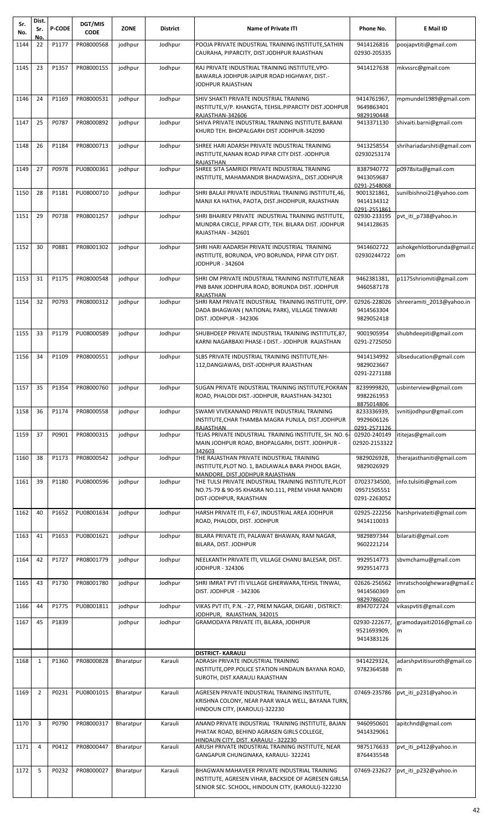| Sr.<br>No. | Dist.<br>Sr.   | <b>P-CODE</b>  | DGT/MIS<br><b>CODE</b> | ZONE      | <b>District</b> | <b>Name of Private ITI</b>                                                                                                                                 | Phone No.                                   | E Mail ID                        |
|------------|----------------|----------------|------------------------|-----------|-----------------|------------------------------------------------------------------------------------------------------------------------------------------------------------|---------------------------------------------|----------------------------------|
| 1144       | No.<br>22      | P1177          | PR08000568             | jodhpur   | Jodhpur         | POOJA PRIVATE INDUSTRIAL TRAINING INSTITUTE, SATHIN<br>CAURAHA, PIPARCITY, DIST.JODHPUR RAJASTHAN                                                          | 9414126816<br>02930-205335                  | poojapvtiti@gmail.com            |
| 1145       | 23             | P1357          | PR08000155             | jodhpur   | Jodhpur         | RAJ PRIVATE INDUSTRIAL TRAINING INSTITUTE, VPO-<br>BAWARLA JODHPUR-JAIPUR ROAD HIGHWAY, DIST.-<br>JODHPUR RAJASTHAN                                        | 9414127638                                  | mkvssrc@gmail.com                |
| 1146       | 24             | P1169          | PR08000531             | jodhpur   | Jodhpur         | SHIV SHAKTI PRIVATE INDUSTRIAL TRAINING<br>INSTITUTE, V/P. KHANGTA, TEHSIL.PIPARCITY DIST.JODHPUR                                                          | 9414761967,<br>9649863401<br>9829190448     | mpmundel1989@gmail.com           |
| 1147       | 25             | P0787          | PR08000892             | jodhpur   | Jodhpur         | RAJASTHAN-342606<br>SHIVA PRIVATE INDUSTRIAL TRAINING INSTITUTE.BARANI<br>KHURD TEH. BHOPALGARH DIST JODHPUR-342090                                        | 9413371130                                  | shivaiti.barni@gmail.com         |
| 1148       | 26             | P1184          | PR08000713             | jodhpur   | Jodhpur         | SHREE HARI ADARSH PRIVATE INDUSTRIAL TRAINING<br>INSTITUTE, NANAN ROAD PIPAR CITY DIST.-JODHPUR<br>RAJASTHAN                                               | 9413258554<br>02930253174                   | shrihariadarshiti@gmail.com      |
| 1149       | 27             | P0978          | PU08000361             | jodhpur   | Jodhpur         | SHREE SITA SAMRIDI PRIVATE INDUSTRIAL TRAINING<br>INSTITUTE, MAHAMANDIR BHADWASIYA,, DIST.JODHPUR                                                          | 8387940772<br>9413059687<br>0291-2548068    | p0978sita@gmail.com              |
| 1150       | 28             | P1181          | PU08000710             | jodhpur   | Jodhpur         | SHRI BALAJI PRIVATE INDUSTRIAL TRAINING INSTITUTE, 46,<br>MANJI KA HATHA, PAOTA, DIST.JHODHPUR, RAJASTHAN                                                  | 9001321861,<br>9414134312<br>0291-2551861   | sunilbishnoi21@yahoo.com         |
| 1151       | 29             | P0738          | PR08001257             | jodhpur   | Jodhpur         | SHRI BHAIREV PRIVATE INDUSTRIAL TRAINING INSTITUTE,<br>MUNDRA CIRCLE, PIPAR CITY, TEH. BILARA DIST. JODHPUR<br><b>RAJASTHAN - 342601</b>                   | 02930-233195<br>9414128635                  | pvt iti p738@yahoo.in            |
| 1152       | 30             | P0881          | PR08001302             | jodhpur   | Jodhpur         | SHRI HARI AADARSH PRIVATE INDUSTRIAL TRAINING<br>INSTITUTE, BORUNDA, VPO BORUNDA, PIPAR CITY DIST.<br>JODHPUR - 342604                                     | 9414602722<br>02930244722                   | ashokgehlotborunda@gmail.c<br>om |
| 1153       | 31             | P1175          | PR08000548             | jodhpur   | Jodhpur         | SHRI OM PRIVATE INDUSTRIAL TRAINING INSTITUTE, NEAR<br>PNB BANK JODHPURA ROAD, BORUNDA DIST. JODHPUR<br>RAJASTHAN                                          | 9462381381,<br>9460587178                   | p1175shriomiti@gmail.com         |
| 1154       | 32             | P0793          | PR08000312             | jodhpur   | Jodhpur         | SHRI RAM PRIVATE INDUSTRIAL TRAINING INSTITUTE, OPP.<br>DADA BHAGWAN (NATIONAL PARK), VILLAGE TINWARI<br><b>DIST. JODHPUR - 342306</b>                     | 02926-228026<br>9414563304<br>9829052418    | shreeramiti 2013@yahoo.in        |
| 1155       | 33             | P1179          | PU08000589             | jodhpur   | Jodhpur         | SHUBHDEEP PRIVATE INDUSTRIAL TRAINING INSTITUTE,87,<br>KARNI NAGARBAXI PHASE-I DIST.- JODHPUR RAJASTHAN                                                    | 9001905954<br>0291-2725050                  | shubhdeepiti@gmail.com           |
| 1156       | 34             | P1109          | PR08000551             | jodhpur   | Jodhpur         | SLBS PRIVATE INDUSTRIAL TRAINING INSTITUTE, NH-<br>112, DANGIAWAS, DIST-JODHPUR RAJASTHAN                                                                  | 9414134992<br>9829023667<br>0291-2271188    | slbseducation@gmail.com          |
| $1157$ 35  |                | P1354          | PR08000760             | jodhpur   | Jodhpur         | SUGAN PRIVATE INDUSTRIAL TRAINING INSTITUTE, POKRAN<br>ROAD, PHALODI DIST.-JODHPUR, RAJASTHAN-342301                                                       | 8239999820,<br>9982261953<br>8875014806     | usbinterview@gmail.com           |
| 1158       | 36             | P1174          | PR08000558             | jodhpur   | Jodhpur         | SWAMI VIVEKANAND PRIVATE INDUSTRIAL TRAINING<br>INSTITUTE, CHAR THAMBA MAGRA PUNJLA, DIST.JODHPUR<br>RAJASTHAN                                             | 8233336939,<br>9929606126<br>0291-2571126   | svnitijodhpur@gmail.com          |
| 1159       | 37             | P0901          | PR08000315             | jodhpur   | Jodhpur         | TEJAS PRIVATE INDUSTRIAL TRAINING INSTITUTE, SH. NO. 6<br>MAIN JODHPUR ROAD, BHOPALGARH, DISTT. JODHPUR -<br>342603                                        | 02920-240149<br>02920-2153322               | ititejas@gmail.com               |
| 1160       | 38             | P1173          | PR08000542             | jodhpur   | Jodhpur         | THE RAJASTHAN PRIVATE INDUSTRIAL TRAINING<br>INSTITUTE, PLOT NO. 1, BADLAWALA BARA PHOOL BAGH,<br>MANDORE, DIST.JODHPUR RAJASTHAN                          | 9829026928,<br>9829026929                   | therajasthaniti@gmail.com        |
| 1161       | 39             | P1180          | PU08000596             | jodhpur   | Jodhpur         | THE TULSI PRIVATE INDUSTRIAL TRAINING INSTITUTE, PLOT<br>NO.75-79 & 90-95 KHASRA NO.111, PREM VIHAR NANDRI<br>DIST-JODHPUR, RAJASTHAN                      | 07023734500,<br>09571505551<br>0291-2263052 | info.tulsiiti@gmail.com          |
| 1162       | 40             | P1652          | PU08001634             | jodhpur   | Jodhpur         | HARSH PRIVATE ITI, F-67, INDUSTRIAL AREA JODHPUR<br>ROAD, PHALODI, DIST. JODHPUR                                                                           | 02925-222256<br>9414110033                  | harshprivateiti@gmail.com        |
| 1163       | 41             | P1653          | PU08001621             | jodhpur   | Jodhpur         | BILARA PRIVATE ITI, PALAWAT BHAWAN, RAM NAGAR,<br>BILARA, DIST. JODHPUR                                                                                    | 9829897344<br>9602221214                    | bilaraiti@gmail.com              |
| 1164       | 42             | P1727          | PR08001779             | jodhpur   | Jodhpur         | NEELKANTH PRIVATE ITI, VILLAGE CHANU BALESAR, DIST.<br>JODHPUR - 324306                                                                                    | 9929514773<br>9929514773                    | sbvmchamu@gmail.com              |
| 1165       | 43             | P1730          | PR08001780             | jodhpur   | Jodhpur         | SHRI IMRAT PVT ITI VILLAGE GHERWARA, TEHSIL TINWAI,<br>DIST. JODHPUR - 342306                                                                              | 02626-256562<br>9414560369<br>9829786020    | imratschoolghewara@gmail.c<br>om |
| 1166       | 44<br>45       | P1775<br>P1839 | PU08001811             | jodhpur   | Jodhpur         | VIKAS PVT ITI, P.N. - 27, PREM NAGAR, DIGARI, DISTRICT:<br>JODHPUR, RAJASTHAN, 342015                                                                      | 8947072724                                  | vikaspvtiti@gmail.com            |
| 1167       |                |                |                        | jodhpur   | Jodhpur         | GRAMODAYA PRIVATE ITI, BILARA, JODHPUR                                                                                                                     | 02930-222677,<br>9521693909,<br>9414383126  | gramodayaiti2016@gmail.co<br>m   |
| 1168       | $\mathbf{1}$   | P1360          | PR08000828             | Bharatpur | Karauli         | <b>DISTRICT- KARAULI</b><br>ADRASH PRIVATE INDUSTRIAL TRAINING                                                                                             | 9414229324,                                 | adarshpvtitisuroth@gmail.co      |
|            |                |                |                        |           |                 | INSTITUTE, OPP. POLICE STATION HINDAUN BAYANA ROAD,<br>SUROTH, DIST.KARAULI RAJASTHAN                                                                      | 9782364588                                  | m                                |
| 1169       | $\overline{2}$ | P0231          | PU08001015             | Bharatpur | Karauli         | AGRESEN PRIVATE INDUSTRIAL TRAINING INSTITUTE,<br>KRISHNA COLONY, NEAR PAAR WALA WELL, BAYANA TURN,<br>HINDOUN CITY, (KAROULI)-322230                      | 07469-235786                                | pvt iti p231@yahoo.in            |
| 1170       | 3              | P0790          | PR08000317             | Bharatpur | Karauli         | ANAND PRIVATE INDUSTRIAL TRAINING INSTITUTE, BAJAN<br>PHATAK ROAD, BEHIND AGRASEN GIRLS COLLEGE,<br>HINDAUN CITY, DIST, KARAULI - 322230                   | 9460950601<br>9414329061                    | apitchnd@gmail.com               |
| 1171       | $\overline{4}$ | P0412          | PR08000447             | Bharatpur | Karauli         | ARUSH PRIVATE INDUSTRIAL TRAINING INSTITUTE, NEAR<br>GANGAPUR CHUNGINAKA, KARAULI-322241                                                                   | 9875176633<br>8764435548                    | pvt_iti_p412@yahoo.in            |
| 1172       | 5              | P0232          | PR08000027             | Bharatpur | Karauli         | BHAGWAN MAHAVEER PRIVATE INDUSTRIAL TRAINING<br>INSTITUTE, AGRESEN VIHAR, BACKSIDE OF AGRESEN GIRLSA<br>SENIOR SEC. SCHOOL, HINDOUN CITY, (KAROULI)-322230 | 07469-232627                                | pvt_iti_p232@yahoo.in            |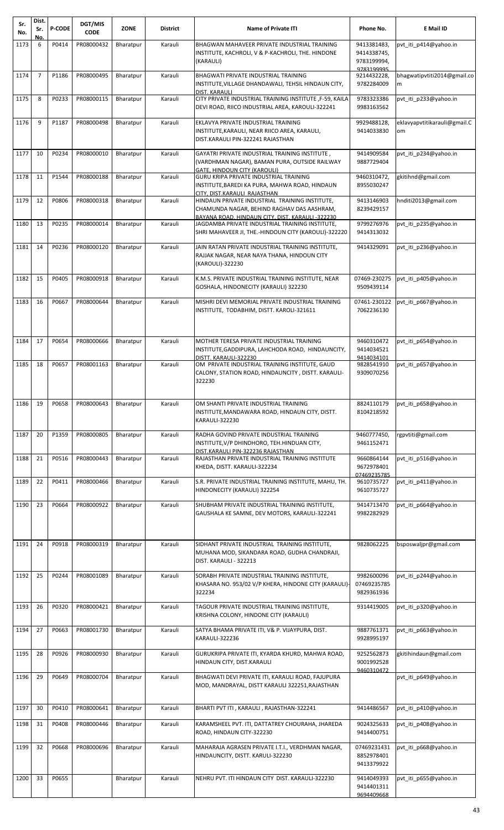| Sr.<br>No. | Dist.<br>Sr.<br>No. | <b>P-CODE</b> | DGT/MIS<br><b>CODE</b> | <b>ZONE</b> | <b>District</b> | <b>Name of Private ITI</b>                                                                                                                                                        | Phone No.                                 | E Mail ID                          |
|------------|---------------------|---------------|------------------------|-------------|-----------------|-----------------------------------------------------------------------------------------------------------------------------------------------------------------------------------|-------------------------------------------|------------------------------------|
| 1173       | 6                   | P0414         | PR08000432             | Bharatpur   | Karauli         | BHAGWAN MAHAVEER PRIVATE INDUSTRIAL TRAINING<br>INSTITUTE, KACHROLI, V & P-KACHROLI, THE. HINDONE<br>(KARAULI)                                                                    | 9413381483,<br>9414338745,<br>9783199994, | pvt iti p414@yahoo.in              |
| 1174       | $\overline{7}$      | P1186         | PR08000495             | Bharatpur   | Karauli         | BHAGWATI PRIVATE INDUSTRIAL TRAINING<br>INSTITUTE, VILLAGE DHANDAWALI, TEHSIL HINDAUN CITY,<br>DIST. KARAULI                                                                      | 9783199995<br>9214432228,<br>9782284009   | bhagwatipytiti2014@gmail.co<br>m   |
| 1175       | 8                   | P0233         | PR08000115             | Bharatpur   | Karauli         | CITY PRIVATE INDUSTRIAL TRAINING INSTITUTE, F-59, KAILA<br>DEVI ROAD, RIICO INDUSTRIAL AREA, KAROULI-322241                                                                       | 9783323386<br>9983163562                  | pvt iti p233@yahoo.in              |
| 1176       | 9                   | P1187         | PR08000498             | Bharatpur   | Karauli         | EKLAVYA PRIVATE INDUSTRIAL TRAINING<br>INSTITUTE, KARAULI, NEAR RIICO AREA, KARAULI,<br>DIST.KARAULI PIN-322241 RAJASTHAN                                                         | 9929488128,<br>9414033830                 | eklavyapvtitikarauli@gmail.C<br>om |
| 1177       | 10                  | P0234         | PR08000010             | Bharatpur   | Karauli         | GAYATRI PRIVATE INDUSTRIAL TRAINING INSTITUTE,<br>(VARDHMAN NAGAR), BAMAN PURA, OUTSIDE RAILWAY                                                                                   | 9414909584<br>9887729404                  | pvt iti p234@yahoo.in              |
| 1178       | 11                  | P1544         | PR08000188             | Bharatpur   | Karauli         | GATE, HINDOUN CITY (KAROULI)<br>GURU KRIPA PRIVATE INDUSTRIAL TRAINING<br>INSTITUTE, BAREDI KA PURA, MAHWA ROAD, HINDAUN                                                          | 9460310472,<br>8955030247                 | gkitihnd@gmail.com                 |
| 1179       | 12                  | P0806         | PR08000318             | Bharatpur   | Karauli         | CITY, DIST, KARAULI RAJASTHAN<br>HINDAUN PRIVATE INDUSTRIAL TRAINING INSTITUTE,<br>CHAMUNDA NAGAR, BEHIND RAGHAV DAS AASHRAM,<br>BAYANA ROAD, HINDAUN CITY, DIST, KARAULI -322230 | 9413146903<br>8239429157                  | hnditi2013@gmail.com               |
| 1180       | 13                  | P0235         | PR08000014             | Bharatpur   | Karauli         | JAGDAMBA PRIVATE INDUSTRIAL TRAINING INSTITUTE,<br>SHRI MAHAVEER JI, THE.-HINDOUN CITY (KAROULI)-322220                                                                           | 9799276976<br>9414313032                  | pvt iti p235@yahoo.in              |
| 1181       | 14                  | P0236         | PR08000120             | Bharatpur   | Karauli         | JAIN RATAN PRIVATE INDUSTRIAL TRAINING INSTITUTE,<br>RAJJAK NAGAR, NEAR NAYA THANA, HINDOUN CITY<br>(KAROULI)-322230                                                              | 9414329091                                | pvt iti p236@yahoo.in              |
| 1182       | 15                  | P0405         | PR08000918             | Bharatpur   | Karauli         | K.M.S. PRIVATE INDUSTRIAL TRAINING INSTITUTE, NEAR<br>GOSHALA, HINDONECITY (KARAULI) 322230                                                                                       | 07469-230275<br>9509439114                | pvt_iti_p405@yahoo.in              |
| 1183       | 16                  | P0667         | PR08000644             | Bharatpur   | Karauli         | MISHRI DEVI MEMORIAL PRIVATE INDUSTRIAL TRAINING<br>INSTITUTE, TODABHIM, DISTT. KAROLI-321611                                                                                     | 07461-230122<br>7062236130                | pvt iti p667@yahoo.in              |
| 1184       | 17                  | P0654         | PR08000666             | Bharatpur   | Karauli         | MOTHER TERESA PRIVATE INDUSTRIAL TRAINING<br>INSTITUTE, GADDIPURA, LAHCHODA ROAD, HINDAUNCITY,<br>DISTT. KARAULI-322230                                                           | 9460310472<br>9414034521<br>9414034101    | pvt iti p654@yahoo.in              |
| 1185       | 18                  | P0657         | PR08001163             | Bharatpur   | Karauli         | OM PRIVATE INDUSTRIAL TRAINING INSTITUTE, GAUD<br>CALONY, STATION ROAD, HINDAUNCITY, DISTT. KARAULI-<br>322230                                                                    | 9828541910<br>9309070256                  | pvt iti p657@yahoo.in              |
| 1186       | 19                  | P0658         | PR08000643             | Bharatpur   | Karauli         | OM SHANTI PRIVATE INDUSTRIAL TRAINING<br>INSTITUTE,MANDAWARA ROAD, HINDAUN CITY, DISTT.<br><b>KARAULI-322230</b>                                                                  | 8824110179<br>8104218592                  | pvt_iti_p658@yahoo.in              |
| 1187       | 20                  | P1359         | PR08000805             | Bharatpur   | Karauli         | RADHA GOVIND PRIVATE INDUSTRIAL TRAINING<br>INSTITUTE, V/P DHINDHORO, TEH.HINDUAN CITY,<br>DIST.KARAULI PIN-322236 RAJASTHAN                                                      | 9460777450,<br>9461152471                 | rgpvtiti@gmail.com                 |
| 1188       | 21                  | P0516         | PR08000443             | Bharatpur   | Karauli         | RAJASTHAN PRIVATE INDUSTRIAL TRAINING INSTITUTE<br>KHEDA, DISTT. KARAULI-322234                                                                                                   | 9660864144<br>9672978401<br>07469235785   | pvt_iti_p516@yahoo.in              |
| 1189       | 22                  | P0411         | PR08000466             | Bharatpur   | Karauli         | S.R. PRIVATE INDUSTRIAL TRAINING INSTITUTE, MAHU, TH.<br>HINDONECITY (KARAULI) 322254                                                                                             | 9610735727<br>9610735727                  | pvt iti p411@yahoo.in              |
| 1190       | 23                  | P0664         | PR08000922             | Bharatpur   | Karauli         | SHUBHAM PRIVATE INDUSTRIAL TRAINING INSTITUTE,<br>GAUSHALA KE SAMNE, DEV MOTORS, KARAULI-322241                                                                                   | 9414713470<br>9982282929                  | pvt iti p664@yahoo.in              |
| 1191       | 24                  | P0918         | PR08000319             | Bharatpur   | Karauli         | SIDHANT PRIVATE INDUSTRIAL TRAINING INSTITUTE,<br>MUHANA MOD, SIKANDARA ROAD, GUDHA CHANDRAJI,<br>DIST. KARAULI - 322213                                                          | 9828062225                                | bsposwaljpr@gmail.com              |
| 1192       | 25                  | P0244         | PR08001089             | Bharatpur   | Karauli         | SORABH PRIVATE INDUSTRIAL TRAINING INSTITUTE,<br>KHASARA NO. 953/02 V/P KHERA, HINDONE CITY (KARAULI)-<br>322234                                                                  | 9982600096<br>07469235785<br>9829361936   | pvt iti p244@yahoo.in              |
| 1193       | 26                  | P0320         | PR08000421             | Bharatpur   | Karauli         | TAGOUR PRIVATE INDUSTRIAL TRAINING INSTITUTE,<br>KRISHNA COLONY, HINDONE CITY (KARAULI)                                                                                           | 9314419005                                | pvt_iti_p320@yahoo.in              |
| 1194       | 27                  | P0663         | PR08001730             | Bharatpur   | Karauli         | SATYA BHAMA PRIVATE ITI, V& P. VIJAYPURA, DIST.<br><b>KARAULI-322236</b>                                                                                                          | 9887761371<br>9928995197                  | pvt_iti_p663@yahoo.in              |
| 1195       | 28                  | P0926         | PR08000930             | Bharatpur   | Karauli         | GURUKRIPA PRIVATE ITI, KYARDA KHURD, MAHWA ROAD,<br>HINDAUN CITY, DIST.KARAULI                                                                                                    | 9252562873<br>9001992528<br>9460310472    | gkitihindaun@gmail.com             |
| 1196       | 29                  | P0649         | PR08000704             | Bharatpur   | Karauli         | BHAGWATI DEVI PRIVATE ITI, KARAULI ROAD, FAJUPURA<br>MOD, MANDRAYAL, DISTT KARAULI 322251, RAJASTHAN                                                                              |                                           | pvt iti p649@yahoo.in              |
| 1197       | 30                  | P0410         | PR08000641             | Bharatpur   | Karauli         | BHARTI PVT ITI, KARAULI, RAJASTHAN-322241                                                                                                                                         | 9414486567                                | pvt_iti_p410@yahoo.in              |
| 1198       | 31                  | P0408         | PR08000446             | Bharatpur   | Karauli         | KARAMSHEEL PVT. ITI, DATTATREY CHOURAHA, JHAREDA<br>ROAD, HINDAUN CITY-322230                                                                                                     | 9024325633<br>9414400751                  | pvt iti p408@yahoo.in              |
| 1199       | 32                  | P0668         | PR08000696             | Bharatpur   | Karauli         | MAHARAJA AGRASEN PRIVATE I.T.I., VERDHMAN NAGAR,<br>HINDAUNCITY, DISTT. KARULI-322230                                                                                             | 07469231431<br>8852978401<br>9413379922   | pvt_iti_p668@yahoo.in              |
| 1200       | 33                  | P0655         |                        | Bharatpur   | Karauli         | NEHRU PVT. ITI HINDAUN CITY DIST. KARAULI-322230                                                                                                                                  | 9414049393<br>9414401311<br>9694409668    | pvt iti p655@yahoo.in              |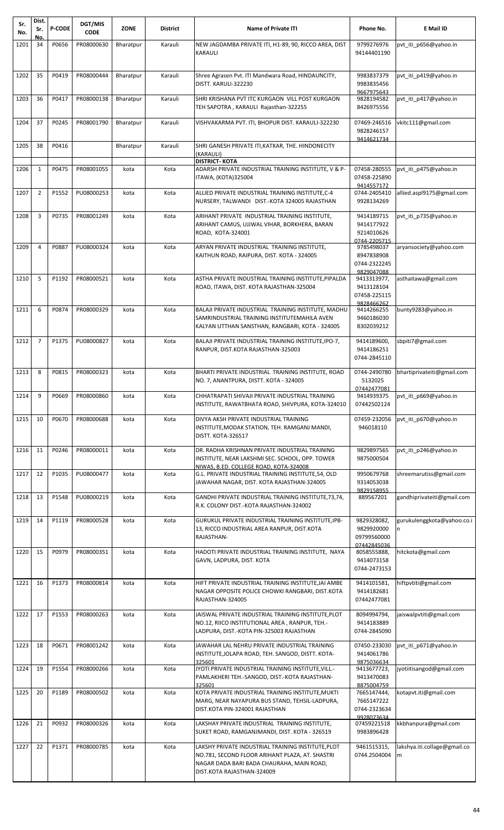| Sr.<br>No. | Dist.<br>Sr.   | <b>P-CODE</b> | DGT/MIS<br><b>CODE</b> | <b>ZONE</b> | <b>District</b> | <b>Name of Private ITI</b>                                                                                                                 | Phone No.                                 | E Mail ID                         |
|------------|----------------|---------------|------------------------|-------------|-----------------|--------------------------------------------------------------------------------------------------------------------------------------------|-------------------------------------------|-----------------------------------|
| 1201       | No.<br>34      | P0656         | PR08000630             | Bharatpur   | Karauli         | NEW JAGDAMBA PRIVATE ITI, H1-89, 90, RICCO AREA, DIST<br>KARAULI                                                                           | 9799276976<br>94144401190                 | pvt_iti_p656@yahoo.in             |
|            |                |               |                        |             |                 |                                                                                                                                            |                                           |                                   |
| 1202       | 35             | P0419         | PR08000444             | Bharatpur   | Karauli         | Shree Agrasen Pvt. ITI Mandwara Road, HINDAUNCITY,<br>DISTT. KARULI-322230                                                                 | 9983837379<br>9983835456                  | pvt iti p419@yahoo.in             |
| 1203       | 36             | P0417         | PR08000138             | Bharatpur   | Karauli         | SHRI KRISHANA PVT ITC KURGAON VILL POST KURGAON<br>TEH SAPOTRA, KARAULI Rajasthan-322255                                                   | 9667975643<br>9828194582<br>8426975556    | pvt iti p417@yahoo.in             |
| 1204       | 37             | P0245         | PR08001790             | Bharatpur   | Karauli         | VISHVAKARMA PVT. ITI, BHOPUR DIST. KARAULI-322230                                                                                          | 07469-246516<br>9828246157<br>9414621734  | vkitc111@gmail.com                |
| 1205       | 38             | P0416         |                        | Bharatpur   | Karauli         | SHRI GANESH PRIVATE ITI, KATKAR, THE. HINDONECITY<br>(KARAULI)                                                                             |                                           |                                   |
| 1206       | $\mathbf{1}$   | P0475         | PR08001055             | kota        | Kota            | <b>DISTRICT- KOTA</b><br>ADARSH PRIVATE INDUSTRIAL TRAINING INSTITUTE, V & P-                                                              | 07458-280555                              | pvt iti p475@yahoo.in             |
|            |                |               |                        |             |                 | ITAWA, (KOTA)325004                                                                                                                        | 07458-225890<br>9414557172                |                                   |
| 1207       | $\overline{2}$ | P1552         | PU08000253             | kota        | Kota            | ALLIED PRIVATE INDUSTRIAL TRAINING INSTITUTE, C-4<br>NURSERY, TALWANDI DIST.-KOTA 324005 RAJASTHAN                                         | 0744-2405410<br>9928134269                | allied.aspl9175@gmail.com         |
| 1208       | 3              | P0735         | PR08001249             | kota        | Kota            | ARIHANT PRIVATE INDUSTRIAL TRAINING INSTITUTE,                                                                                             | 9414189715                                | pvt_iti_p735@yahoo.in             |
|            |                |               |                        |             |                 | ARIHANT CAMUS, UJJWAL VIHAR, BORKHERA, BARAN<br>ROAD, KOTA-324001                                                                          | 9414177922<br>9214010626<br>0744-2205715  |                                   |
| 1209       | 4              | P0887         | PU08000324             | kota        | Kota            | ARYAN PRIVATE INDUSTRIAL TRAINING INSTITUTE,                                                                                               | 9785498037                                | aryansociety@yahoo.com            |
|            |                |               |                        |             |                 | KAITHUN ROAD, RAIPURA, DIST. KOTA - 324005                                                                                                 | 8947838908<br>0744-2322245                |                                   |
|            |                |               |                        |             |                 |                                                                                                                                            | 9829047088                                |                                   |
| 1210       | 5              | P1192         | PR08000521             | kota        | Kota            | ASTHA PRIVATE INDUSTRIAL TRAINING INSTITUTE, PIPALDA<br>ROAD, ITAWA, DIST. KOTA RAJASTHAN-325004                                           | 9413313977,<br>9413128104                 | asthaitawa@gmail.com              |
|            |                |               |                        |             |                 |                                                                                                                                            | 07458-225115                              |                                   |
| 1211       | 6              | P0874         | PR08000329             | kota        | Kota            | BALAJI PRIVATE INDUSTRIAL TRAINING INSTITUTE, MADHU                                                                                        | 9828466262<br>9414266255                  | bunty9283@yahoo.in                |
|            |                |               |                        |             |                 | SAMRINDUSTRIAL TRAINING INSTITUTEMAHILA AVEN<br>KALYAN UTTHAN SANSTHAN, RANGBARI, KOTA - 324005                                            | 9460186030<br>8302039212                  |                                   |
| 1212       | $\overline{7}$ | P1375         | PU08000827             | kota        | Kota            | BALAJI PRIVATE INDUSTRIAL TRAINING INSTITUTE, IPO-7,                                                                                       | 9414189600,                               | sbpiti7@gmail.com                 |
|            |                |               |                        |             |                 | RANPUR, DIST.KOTA RAJASTHAN-325003                                                                                                         | 9414186251<br>0744-2845110                |                                   |
| 1213       | 8              | P0815         | PR08000323             | kota        | Kota            | BHARTI PRIVATE INDUSTRIAL TRAINING INSTITUTE, ROAD<br>NO. 7, ANANTPURA, DISTT. KOTA - 324005                                               | 0744-2490780<br>5132025<br>07442477081    | bhartiprivateiti@gmail.com        |
| 1214       | 9              | P0669         | PR08000860             | kota        | Kota            | CHHATRAPATI SHIVAJI PRIVATE INDUSTRIAL TRAINING<br>INSTITUTE, RAWATBHATA ROAD, SHIVPURA, KOTA-324010                                       | 9414939375<br>07442502124                 | pvt iti p669@yahoo.in             |
| 1215       | 10             | P0670         | PR08000688             | kota        | Kota            | DIVYA AKSH PRIVATE INDUSTRIAL TRAINING<br>INSTITUTE, MODAK STATION, TEH. RAMGANJ MANDI,<br><b>DISTT. KOTA-326517</b>                       | 07459-232056<br>946018110                 | pvt iti p670@yahoo.in             |
| 1216       | 11             | P0246         | PR08000011             | kota        | Kota            | DR. RADHA KRISHNAN PRIVATE INDUSTRIAL TRAINING<br>INSTITUTE, NEAR LAKSHMI SEC. SCHOOL, OPP. TOWER                                          | 9829897565<br>9875000504                  | pvt iti p246@yahoo.in             |
| 1217       | 12             | P1035         | PU08000477             | kota        | Kota            | NIWAS, B.ED. COLLEGE ROAD, KOTA-324008<br>G.L. PRIVATE INDUSTRIAL TRAINING INSTITUTE,54, OLD<br>JAWAHAR NAGAR, DIST. KOTA RAJASTHAN-324005 | 9950679768<br>9314053038                  | shreemarutiss@gmail.com           |
| 1218       | 13             | P1548         | PU08000219             | kota        | Kota            | GANDHI PRIVATE INDUSTRIAL TRAINING INSTITUTE, 73, 74,                                                                                      | 9829158955<br>889567201                   | gandhiprivateiti@gmail.com        |
|            |                |               |                        |             |                 | R.K. COLONY DIST.-KOTA RAJASTHAN-324002                                                                                                    |                                           |                                   |
| 1219       | 14             | P1119         | PR08000528             | kota        | Kota            | GURUKUL PRIVATE INDUSTRIAL TRAINING INSTITUTE, IPB-<br>13, RICCO INDUSTRIAL AREA RANPUR, DIST.KOTA                                         | 9829328082,<br>9829920000                 | gurukulenggkota@yahoo.co.i<br>In. |
|            |                |               |                        |             |                 | RAJASTHAN-                                                                                                                                 | 09799560000<br>07442845036                |                                   |
| 1220       | 15             | P0979         | PR08000351             | kota        | Kota            | HADOTI PRIVATE INDUSTRIAL TRAINING INSTITUTE, NAYA                                                                                         | 8058555888,                               | hitckota@gmail.com                |
|            |                |               |                        |             |                 | GAVN, LADPURA, DIST. KOTA                                                                                                                  | 9414073158<br>0744-2473153                |                                   |
| 1221       | 16             | P1373         | PR08000814             | kota        | Kota            | HIFT PRIVATE INDUSTRIAL TRAINING INSTITUTE, JAI AMBE                                                                                       | 9414101581,                               | hiftpvtiti@gmail.com              |
|            |                |               |                        |             |                 | NAGAR OPPOSITE POLICE CHOWKI RANGBARI, DIST.KOTA<br>RAJASTHAN-324005                                                                       | 9414182681<br>07442477081                 |                                   |
| 1222       | 17             | P1553         | PR08000263             | kota        | Kota            | JAISWAL PRIVATE INDUSTRIAL TRAINING INSTITUTE, PLOT                                                                                        | 8094994794,                               | jaiswalpvtiti@gmail.com           |
|            |                |               |                        |             |                 | NO.12, RIICO INSTITUTIONAL AREA, RANPUR, TEH.-<br>LADPURA, DIST.-KOTA PIN-325003 RAJASTHAN                                                 | 9414183889<br>0744-2845090                |                                   |
| 1223       | 18             | P0671         | PR08001242             | kota        | Kota            | JAWAHAR LAL NEHRU PRIVATE INDUSTRIAL TRAINING<br>INSTITUTE, JOLAPA ROAD, TEH. SANGOD, DISTT. KOTA-                                         | 07450-233030<br>9414061786                | pvt iti p671@yahoo.in             |
| 1224       | 19             | P1554         | PR08000266             | kota        | Kota            | 325601<br>JYOTI PRIVATE INDUSTRIAL TRAINING INSTITUTE, VILL.-                                                                              | 9875036634<br>9413677723,                 | ivotiitisangod@gmail.com          |
|            |                |               |                        |             |                 | PAMLAKHERI TEH.-SANGOD, DIST.-KOTA RAJASTHAN-<br>325601                                                                                    | 9413470083<br>8875004759                  |                                   |
| 1225       | 20             | P1189         | PR08000502             | kota        | Kota            | KOTA PRIVATE INDUSTRIAL TRAINING INSTITUTE, MUKTI<br>MARG, NEAR NAYAPURA BUS STAND, TEHSIL-LADPURA,<br>DIST.KOTA PIN-324001 RAJASTHAN      | 7665147444,<br>7665147222<br>0744-2323634 | kotapvt.iti@gmail.com             |
| 1226       | 21             | P0932         | PR08000326             | kota        | Kota            | LAKSHAY PRIVATE INDUSTRIAL TRAINING INSTITUTE,<br>SUKET ROAD, RAMGANJMANDI, DIST. KOTA - 326519                                            | 9928073634<br>07459221518<br>9983896428   | kkbhanpura@gmail.com              |
| 1227       | 22             | P1371         | PR08000785             | kota        | Kota            | LAKSHY PRIVATE INDUSTRIAL TRAINING INSTITUTE,PLOT                                                                                          | 9461515315,                               | lakshya.iti.collage@gmail.co      |
|            |                |               |                        |             |                 | NO.781, SECOND FLOOR ARIHANT PLAZA, AT. SHASTRI<br>NAGAR DADA BARI BADA CHAURAHA, MAIN ROAD,<br>DIST.KOTA RAJASTHAN-324009                 | 0744.2504004                              | $\mathsf{Im}$                     |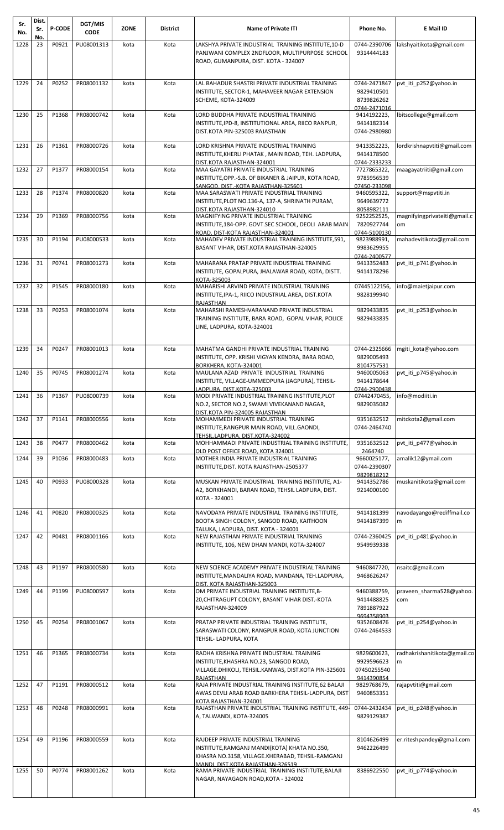| Sr.<br>No. | Dist.<br>Sr.<br>No. | <b>P-CODE</b> | DGT/MIS<br><b>CODE</b> | <b>ZONE</b> | <b>District</b> | <b>Name of Private ITI</b>                                                                                                                                                   | Phone No.                                                | E Mail ID                          |
|------------|---------------------|---------------|------------------------|-------------|-----------------|------------------------------------------------------------------------------------------------------------------------------------------------------------------------------|----------------------------------------------------------|------------------------------------|
| 1228       | 23                  | P0921         | PU08001313             | kota        | Kota            | LAKSHYA PRIVATE INDUSTRIAL TRAINING INSTITUTE, 10-D                                                                                                                          | 0744-2390706                                             | lakshyaitikota@gmail.com           |
|            |                     |               |                        |             |                 | PANJWANI COMPLEX 2NDFLOOR, MULTIPURPOSE SCHOOL<br>ROAD, GUMANPURA, DIST. KOTA - 324007                                                                                       | 9314444183                                               |                                    |
| 1229       | 24                  | P0252         | PR08001132             | kota        | Kota            | LAL BAHADUR SHASTRI PRIVATE INDUSTRIAL TRAINING<br>INSTITUTE, SECTOR-1, MAHAVEER NAGAR EXTENSION<br>SCHEME, KOTA-324009                                                      | 0744-2471847<br>9829410501<br>8739826262<br>0744-2471016 | pvt_iti_p252@yahoo.in              |
| 1230       | 25                  | P1368         | PR08000742             | kota        | Kota            | LORD BUDDHA PRIVATE INDUSTRIAL TRAINING<br>INSTITUTE, IPD-8, INSTITUTIONAL AREA, RIICO RANPUR,<br>DIST.KOTA PIN-325003 RAJASTHAN                                             | 9414192223,<br>9414182314<br>0744-2980980                | lbitscollege@gmail.com             |
| 1231       | 26                  | P1361         | PR08000726             | kota        | Kota            | LORD KRISHNA PRIVATE INDUSTRIAL TRAINING<br>INSTITUTE, KHERLI PHATAK, MAIN ROAD, TEH. LADPURA,<br>DIST.KOTA RAJASTHAN-324001                                                 | 9413352223,<br>9414178500<br>0744-2333233                | lordkrishnapvtiti@gmail.com        |
| 1232       | 27                  | P1377         | PR08000154             | kota        | Kota            | MAA GAYATRI PRIVATE INDUSTRIAL TRAINING<br>INSTITUTE, OPP.-S.B. OF BIKANER & JAIPUR, KOTA ROAD,<br>SANGOD, DIST.-KOTA RAJASTHAN-325601                                       | 7727865322,<br>9785956539<br>07450-233098                | maagayatriiti@gmail.com            |
| 1233       | 28                  | P1374         | PR08000820             | kota        | Kota            | MAA SARASWATI PRIVATE INDUSTRIAL TRAINING<br>INSTITUTE, PLOT NO.136-A, 137-A, SHRINATH PURAM,                                                                                | 9460595322,<br>9649639772<br>8058982111                  | support@mspvtiti.in                |
| 1234       | 29                  | P1369         | PR08000756             | kota        | Kota            | DIST.KOTA RAJASTHAN-324010<br>MAGNIFYING PRIVATE INDUSTRIAL TRAINING<br>INSTITUTE, 184-OPP. GOVT. SEC SCHOOL, DEOLI ARAB MAIN                                                | 9252252525,<br>7820927744                                | magnifyingprivateiti@gmail.c<br>om |
| 1235       | 30                  | P1194         | PU08000533             | kota        | Kota            | ROAD. DIST-KOTA RAJASTHAN-324001<br>MAHADEV PRIVATE INDUSTRIAL TRAINING INSTITUTE, 591,<br>BASANT VIHAR, DIST.KOTA RAJASTHAN-324005                                          | 0744-5100130<br>9823988991,<br>9983629955                | mahadevitikota@gmail.com           |
| 1236       | 31                  | P0741         | PR08001273             | kota        | Kota            | MAHARANA PRATAP PRIVATE INDUSTRIAL TRAINING<br>INSTITUTE, GOPALPURA, JHALAWAR ROAD, KOTA, DISTT.                                                                             | 0744-2400577<br>9413352483<br>9414178296                 | pvt iti p741@yahoo.in              |
| 1237       | 32                  | P1545         | PR08000180             | kota        | Kota            | KOTA-325003<br>MAHARISHI ARVIND PRIVATE INDUSTRIAL TRAINING<br>INSTITUTE, IPA-1, RIICO INDUSTRIAL AREA, DIST.KOTA                                                            | 07445122156,<br>9828199940                               | info@maietjaipur.com               |
| 1238       | 33                  | P0253         | PR08001074             | kota        | Kota            | RAJASTHAN<br>MAHARSHI RAMESHVARANAND PRIVATE INDUSTRIAL<br>TRAINING INSTITUTE, BARA ROAD, GOPAL VIHAR, POLICE<br>LINE, LADPURA, KOTA-324001                                  | 9829433835<br>9829433835                                 | pvt iti p253@yahoo.in              |
| 1239       | 34                  | P0247         | PR08001013             | kota        | Kota            | MAHATMA GANDHI PRIVATE INDUSTRIAL TRAINING<br>INSTITUTE, OPP. KRISHI VIGYAN KENDRA, BARA ROAD,<br>BORKHERA, KOTA-324001                                                      | 0744-2325666<br>9829005493<br>8104757531                 | mgiti kota@yahoo.com               |
| 1240       | 35                  | P0745         | PR08001274             | kota        | Kota            | MAULANA AZAD PRIVATE INDUSTRIAL TRAINING<br>INSTITUTE, VILLAGE-UMMEDPURA (JAGPURA), TEHSIL-<br>LADPURA. DIST.KOTA-325003                                                     | 9460005063<br>9414178644<br>0744-2900438                 | pvt iti p745@yahoo.in              |
| 1241       | 36                  | P1367         | PU08000739             | kota        | Kota            | MODI PRIVATE INDUSTRIAL TRAINING INSTITUTE, PLOT<br>NO.2, SECTOR NO.2, SWAMI VIVEKANAND NAGAR,<br>DIST.KOTA PIN-324005 RAJASTHAN                                             | 07442470455,<br>9829035082                               | info@modiiti.in                    |
| 1242       | 37                  | P1141         | PR08000556             | kota        | Kota            | MOHAMMEDI PRIVATE INDUSTRIAL TRAINING<br>INSTITUTE, RANGPUR MAIN ROAD, VILL.GAONDI,<br>TEHSIL.LADPURA, DIST.KOTA-324002                                                      | 9351632512<br>0744-2464740                               | mitckota2@gmail.com                |
| 1243       | 38                  | P0477         | PR08000462             | kota        | Kota            | MOHHAMMADI PRIVATE INDUSTRIAL TRAINING INSTITUTE,<br>OLD POST OFFICE ROAD. KOTA 324001                                                                                       | 9351632512<br>2464740                                    | pvt_iti_p477@yahoo.in              |
| 1244       | 39                  | P1036         | PR08000483             | kota        | Kota            | MOTHER INDIA PRIVATE INDUSTRIAL TRAINING<br>INSTITUTE, DIST. KOTA RAJASTHAN-2505377                                                                                          | 9660025177,<br>0744-2390307                              | amalik12@ymail.com                 |
| 1245       | 40                  | P0933         | PU08000328             | kota        | Kota            | MUSKAN PRIVATE INDUSTRIAL TRAINING INSTITUTE, A1-<br>A2, BORKHANDI, BARAN ROAD, TEHSIL LADPURA, DIST.<br>KOTA - 324001                                                       | 9829818212<br>9414352786<br>9214000100                   | muskanitikota@gmail.com            |
| 1246       | 41                  | P0820         | PR08000325             | kota        | Kota            | NAVODAYA PRIVATE INDUSTRIAL TRAINING INSTITUTE,<br>BOOTA SINGH COLONY, SANGOD ROAD, KAITHOON<br>TALUKA. LADPURA. DIST. KOTA - 324001                                         | 9414181399<br>9414187399                                 | navodayango@rediffmail.co<br>m     |
| 1247       | 42                  | P0481         | PR08001166             | kota        | Kota            | NEW RAJASTHAN PRIVATE INDUSTRIAL TRAINING<br>INSTITUTE, 106, NEW DHAN MANDI, KOTA-324007                                                                                     | 0744-2360425<br>9549939338                               | pvt iti p481@yahoo.in              |
| 1248       | 43                  | P1197         | PR08000580             | kota        | Kota            | NEW SCIENCE ACADEMY PRIVATE INDUSTRIAL TRAINING<br>INSTITUTE, MANDALIYA ROAD, MANDANA, TEH.LADPURA,<br>DIST. KOTA RAJASTHAN-325003                                           | 9460847720,<br>9468626247                                | nsaitc@gmail.com                   |
| 1249       | 44                  | P1199         | PU08000597             | kota        | Kota            | OM PRIVATE INDUSTRIAL TRAINING INSTITUTE, B-<br>20, CHITRAGUPT COLONY, BASANT VIHAR DIST.-KOTA<br>RAJASTHAN-324009                                                           | 9460388759,<br>9414488825<br>7891887922<br>9694358903    | praveen_sharma528@yahoo.<br>com    |
| 1250       | 45                  | P0254         | PR08001067             | kota        | Kota            | PRATAP PRIVATE INDUSTRIAL TRAINING INSTITUTE,<br>SARASWATI COLONY, RANGPUR ROAD, KOTA JUNCTION<br>TEHSIL- LADPURA, KOTA                                                      | 9352608476<br>0744-2464533                               | pvt_iti_p254@yahoo.in              |
| 1251       | 46                  | P1365         | PR08000734             | kota        | Kota            | RADHA KRISHNA PRIVATE INDUSTRIAL TRAINING<br>INSTITUTE, KHASHRA NO.23, SANGOD ROAD,<br>VILLAGE.DHIKOLI, TEHSIL.KANWAS, DIST.KOTA PIN-325601<br>RAIASTHAN                     | 9829600623,<br>9929596623<br>07450255540<br>9414390854   | radhakrishanitikota@gmail.co<br>m  |
| 1252       | 47                  | P1191         | PR08000512             | kota        | Kota            | RAJA PRIVATE INDUSTRIAL TRAINING INSTITUTE, 62 BALAJI<br>AWAS DEVLI ARAB ROAD BARKHERA TEHSIL-LADPURA, DIST                                                                  | 9829768679,<br>9460853351                                | rajapvtiti@gmail.com               |
| 1253       | 48                  | P0248         | PR08000991             | kota        | Kota            | KOTA RAJASTHAN-324001<br>RAJASTHAN PRIVATE INDUSTRIAL TRAINING INSTITUTE, 449-<br>A, TALWANDI, KOTA-324005                                                                   | 0744-2432434<br>9829129387                               | pvt iti p248@yahoo.in              |
| 1254       | 49                  | P1196         | PR08000559             | kota        | Kota            | RAJDEEP PRIVATE INDUSTRIAL TRAINING<br>INSTITUTE, RAMGANJ MANDI(KOTA) KHATA NO.350,<br>KHASRA NO.3158, VILLAGE.KHERABAD, TEHSIL-RAMGANJ<br>MANDI. DIST.KOTA RAJASTHAN-326519 | 8104626499<br>9462226499                                 | er.riteshpandey@gmail.com          |
| 1255       | 50                  | P0774         | PR08001262             | kota        | Kota            | RAMA PRIVATE INDUSTRIAL TRAINING INSTITUTE.BALAJI<br>NAGAR, NAYAGAON ROAD, KOTA - 324002                                                                                     | 8386922550                                               | pvt_iti_p774@yahoo.in              |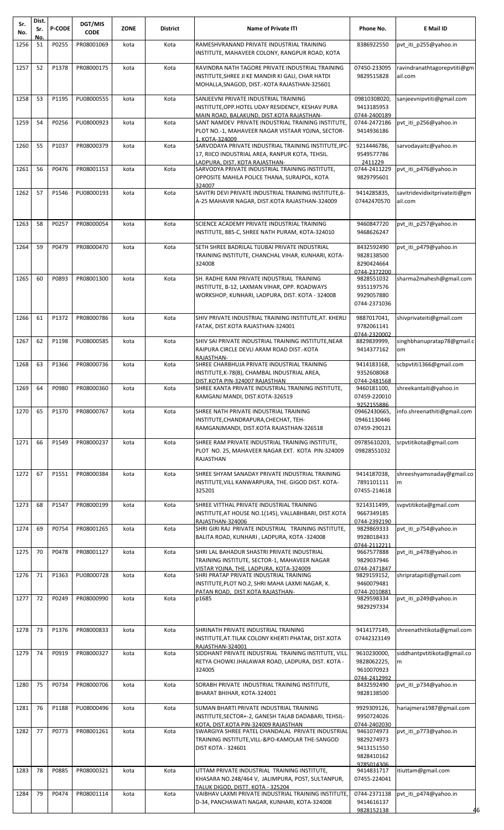| Sr.<br>No. | Dist.<br>Sr. | <b>P-CODE</b> | DGT/MIS<br><b>CODE</b> | <b>ZONE</b> | <b>District</b> | <b>Name of Private ITI</b>                                                                                                                            | Phone No.                                                          | E Mail ID                                |
|------------|--------------|---------------|------------------------|-------------|-----------------|-------------------------------------------------------------------------------------------------------------------------------------------------------|--------------------------------------------------------------------|------------------------------------------|
| 1256       | Νo.<br>51    | P0255         | PR08001069             | kota        | Kota            | RAMESHVRANAND PRIVATE INDUSTRIAL TRAINING                                                                                                             | 8386922550                                                         | pvt_iti_p255@yahoo.in                    |
|            |              |               |                        |             |                 | INSTITUTE, MAHAVEER COLONY, RANGPUR ROAD, KOTA                                                                                                        |                                                                    |                                          |
| 1257       | 52           | P1378         | PR08000175             | kota        | Kota            | RAVINDRA NATH TAGORE PRIVATE INDUSTRIAL TRAINING<br>INSTITUTE, SHREE JI KE MANDIR KI GALI, CHAR HATDI<br>MOHALLA, SNAGOD, DIST.-KOTA RAJASTHAN-325601 | 07450-233095<br>9829515828                                         | ravindranathtagorepvtiti@gm<br>ail.com   |
| 1258       | 53           | P1195         | PU08000555             | kota        | Kota            | SANJEEVNI PRIVATE INDUSTRIAL TRAINING<br>INSTITUTE, OPP. HOTEL UDAY RESIDENCY, KESHAV PURA<br>MAIN ROAD, BALAKUND, DIST.KOTA RAJASTHAN-               | 09810308020,<br>9413185953<br>0744-2400189                         | sanjeevnipvtiti@gmail.com                |
| 1259       | 54           | P0256         | PU08000923             | kota        | Kota            | SANT NAMDEV PRIVATE INDUSTRIAL TRAINING INSTITUTE,<br>PLOT NO.-1, MAHAVEER NAGAR VISTAAR YOJNA, SECTOR-<br>1, KOTA-324009                             | 0744-2472186<br>9414936186                                         | pvt iti p256@yahoo.in                    |
| 1260       | 55           | P1037         | PR08000379             | kota        | Kota            | SARVODAYA PRIVATE INDUSTRIAL TRAINING INSTITUTE, IPC-<br>17, RIICO INDUSTRIAL AREA, RANPUR KOTA, TEHSIL.<br>LADPURA. DIST. KOTA RAJASTHAN-            | 9214446786,<br>9549577786<br>2411229                               | sarvodayaitc@yahoo.in                    |
| 1261       | 56           | P0476         | PR08001153             | kota        | Kota            | SARVODYA PRIVATE INDUSTRIAL TRAINING INSTITUTE,<br>OPPOSITE MAHILA POLICE THANA, SURAJPOL, KOTA<br>324007                                             | 0744-2411229<br>9829795601                                         | pvt iti p476@yahoo.in                    |
| 1262       | 57           | P1546         | PU08000193             | kota        | Kota            | SAVITRI DEVI PRIVATE INDUSTRIAL TRAINING INSTITUTE, 6-<br>A-25 MAHAVIR NAGAR, DIST.KOTA RAJASTHAN-324009                                              | 9414285835,<br>07442470570                                         | savitridevidixitprivateiti@gm<br>ail.com |
| 1263       | 58           | P0257         | PR08000054             | kota        | Kota            | SCIENCE ACADEMY PRIVATE INDUSTRIAL TRAINING<br>INSTITUTE, 885-C, SHREE NATH PURAM, KOTA-324010                                                        | 9460847720<br>9468626247                                           | pvt iti p257@yahoo.in                    |
| 1264       | 59           | P0479         | PR08000470             | kota        | Kota            | SETH SHREE BADRILAL TIJUBAI PRIVATE INDUSTRIAL<br>TRAINING INSTITUTE, CHANCHAL VIHAR, KUNHARI, KOTA-<br>324008                                        | 8432592490<br>9828138500<br>8290424664<br>0744-2372200             | pvt iti p479@yahoo.in                    |
| 1265       | 60           | P0893         | PR08001300             | kota        | Kota            | SH. RADHE RANI PRIVATE INDUSTRIAL TRAINING<br>INSTITUTE, B-12, LAXMAN VIHAR, OPP. ROADWAYS<br>WORKSHOP, KUNHARI, LADPURA, DIST. KOTA - 324008         | 9828551032<br>9351197576<br>9929057880<br>0744-2371036             | sharma2mahesh@gmail.com                  |
| 1266       | 61           | P1372         | PR08000786             | kota        | Kota            | SHIV PRIVATE INDUSTRIAL TRAINING INSTITUTE, AT. KHERLI<br>FATAK, DIST.KOTA RAJASTHAN-324001                                                           | 9887017041,<br>9782061141<br>0744-2320002                          | shivprivateiti@gmail.com                 |
| 1267       | 62           | P1198         | PU08000585             | kota        | Kota            | SHIV SAI PRIVATE INDUSTRIAL TRAINING INSTITUTE, NEAR<br>RAIPURA CIRCLE DEVLI ARAM ROAD DIST.-KOTA<br>RAIASTHAN-                                       | 8829839999,<br>9414377162                                          | singhbhanupratap78@gmail.c<br>om         |
| 1268       | 63           | P1366         | PR08000736             | kota        | Kota            | SHREE CHARBHUJA PRIVATE INDUSTRIAL TRAINING<br>INSTITUTE, K-78(B), CHAMBAL INDUSTRIAL AREA,<br>DIST.KOTA PIN-324007 RAJASTHAN                         | 9414183168,<br>9352608068<br>0744-2481568                          | scbpvtiti1366@gmail.com                  |
| 1269 64    |              | P0980         | PR08000360             | kota        | Kota            | SHREE KANTA PRIVATE INDUSTRIAL TRAINING INSTITUTE,<br>RAMGANJ MANDI, DIST.KOTA-326519                                                                 | 9460181100,<br>07459-220010<br>9252155886                          | shreekantaiti@yahoo.in                   |
| 1270       | 65           | P1370         | PR08000767             | kota        | Kota            | SHREE NATH PRIVATE INDUSTRIAL TRAINING<br>INSTITUTE, CHANDRAPURA, CHECHAT, TEH-<br>RAMGANJMANDI, DIST.KOTA RAJASTHAN-326518                           | 09462430665,<br>09461130446<br>07459-290121                        | nfo.shreenathiti@gmail.com               |
| 1271       | 66           | P1549         | PR08000237             | kota        | Kota            | SHREE RAM PRIVATE INDUSTRIAL TRAINING INSTITUTE,<br>PLOT NO. 25, MAHAVEER NAGAR EXT. KOTA PIN-324009<br>RAJASTHAN                                     | 09785610203,<br>09828551032                                        | srpvtitikota@gmail.com                   |
| 1272       | 67           | P1551         | PR08000384             | kota        | Kota            | SHREE SHYAM SANADAY PRIVATE INDUSTRIAL TRAINING<br>INSTITUTE, VILL KANWARPURA, THE. GIGOD DIST. KOTA-<br>325201                                       | 9414187038,<br>7891101111<br>07455-214618                          | shreeshyamsnaday@gmail.co<br>m           |
| 1273       | 68           | P1547         | PR08000199             | kota        | Kota            | SHREE VITTHAL PRIVATE INDUSTRIAL TRAINING<br>INSTITUTE, AT HOUSE NO.1(145), VALLABHBARI, DIST.KOTA<br>RAJASTHAN-324006                                | 9214311499,<br>9667349185<br>0744-2392190                          | svpvtitikota@gmail.com                   |
| 1274       | 69           | P0754         | PR08001265             | kota        | Kota            | SHRI GIRI RAJ PRIVATE INDUSTRIAL TRAINING INSTITUTE,<br>BALITA ROAD, KUNHARI, LADPURA, KOTA -324008                                                   | 9829869333<br>9928018433<br>0744-2112211                           | pvt iti p754@yahoo.in                    |
| 1275       | 70           | P0478         | PR08001127             | kota        | Kota            | SHRI LAL BAHADUR SHASTRI PRIVATE INDUSTRIAL<br>TRAINING INSTITUTE, SECTOR-1, MAHAVEER NAGAR<br>VISTAR YOJNA. THE. LADPURA. KOTA-324009                | 9667577888<br>9829037946<br>0744-2471847                           | pvt_iti_p478@yahoo.in                    |
| 1276       | 71           | P1363         | PU08000728             | kota        | Kota            | SHRI PRATAP PRIVATE INDUSTRIAL TRAINING<br>INSTITUTE, PLOT NO.2, SHRI MAHA LAXMI NAGAR, K.<br>PATAN ROAD. DIST.KOTA RAJASTHAN-                        | 9829159152,<br>9460079481<br>0744-2010881                          | shripratapiti@gmail.com                  |
| 1277       | 72           | P0249         | PR08000990             | kota        | Kota            | p1685                                                                                                                                                 | 9829598334<br>9829297334                                           | pvt iti p249@yahoo.in                    |
| 1278       | 73           | P1376         | PR08000833             | kota        | Kota            | SHRINATH PRIVATE INDUSTRIAL TRAINING<br>INSTITUTE, AT. TILAK COLONY KHERTI PHATAK, DIST.KOTA<br>RAJASTHAN-324001                                      | 9414177149,<br>07442323149                                         | shreenathitikota@gmail.com               |
| 1279       | 74           | P0919         | PR08000327             | kota        | Kota            | SIDDHANT PRIVATE INDUSTRIAL TRAINING INSTITUTE, VILL.<br>RETYA CHOWKI JHALAWAR ROAD, LADPURA, DIST. KOTA -<br>324005                                  | 9610230000,<br>9828062225,<br>9610070923<br>0744-2412992           | siddhantpvtitikota@gmail.co<br>m         |
| 1280       | 75           | P0734         | PR08000706             | kota        | Kota            | SORABH PRIVATE INDUSTRIAL TRAINING INSTITUTE,<br>BHARAT BHIHAR, KOTA-324001                                                                           | 8432592490<br>9828138500                                           | pvt iti p734@yahoo.in                    |
| 1281       | 76           | P1188         | PU08000496             | kota        | Kota            | SUMAN BHARTI PRIVATE INDUSTRIAL TRAINING<br>INSTITUTE, SECTOR+-2, GANESH TALAB DADABARI, TEHSIL-<br>KOTA. DIST.KOTA PIN-324009 RAJASTHAN              | 9929309126,<br>9950724026<br>0744-2402030                          | hariajmera1987@gmail.com                 |
| 1282       | 77           | P0773         | PR08001261             | kota        | Kota            | SWARGIYA SHREE PATEL CHANDALAL PRIVATE INDUSTRIAL<br>TRAINING INSTITUTE, VILL-&PO-KAMOLAR THE-SANGOD<br><b>DIST KOTA - 324601</b>                     | 9461074973<br>9829274973<br>9413151550<br>9828410162<br>9785014306 | pvt iti p773@yahoo.in                    |
| 1283       | 78           | P0885         | PR08000321             | kota        | Kota            | UTTAM PRIVATE INDUSTRIAL TRAINING INSTITUTE,<br>KHASARA NO.248/464 V, JALIMPURA, POST, SULTANPUR,<br>TALUK DIGOD. DISTT. KOTA - 325204                | 9414831717<br>07455-224041                                         | itiuttam@gmail.com                       |
| 1284       | 79           | P0474         | PR08001114             | kota        | Kota            | VAIBHAV LAXMI PRIVATE INDUSTRIAL TRAINING INSTITUTE,<br>D-34, PANCHAWATI NAGAR, KUNHARI, KOTA-324008                                                  | 0744-2371138<br>9414616137<br>9828152138                           | pvt iti p474@yahoo.in<br>46              |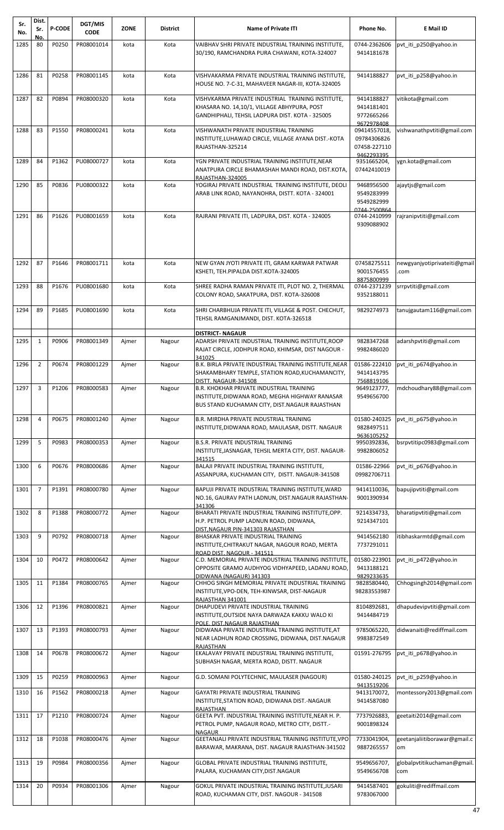| Sr.<br>No. | Dist.<br>Sr.   | <b>P-CODE</b> | DGT/MIS<br><b>CODE</b>  | <b>ZONE</b> | <b>District</b> | <b>Name of Private ITI</b>                                                                                                                          | Phone No.                                                 | E Mail ID                           |
|------------|----------------|---------------|-------------------------|-------------|-----------------|-----------------------------------------------------------------------------------------------------------------------------------------------------|-----------------------------------------------------------|-------------------------------------|
| 1285       | Νo.<br>80      | P0250         | PR08001014              | kota        | Kota            | VAIBHAV SHRI PRIVATE INDUSTRIAL TRAINING INSTITUTE,                                                                                                 | 0744-2362606                                              | pvt_iti_p250@yahoo.in               |
|            |                |               |                         |             |                 | 30/190, RAMCHANDRA PURA CHAWANI, KOTA-324007                                                                                                        | 9414181678                                                |                                     |
| 1286       | 81             | P0258         | PR08001145              | kota        | Kota            | VISHVAKARMA PRIVATE INDUSTRIAL TRAINING INSTITUTE,<br>HOUSE NO. 7-C-31, MAHAVEER NAGAR-III, KOTA-324005                                             | 9414188827                                                | pvt iti p258@yahoo.in               |
| 1287       | 82             | P0894         | PR08000320              | kota        | Kota            | VISHVKARMA PRIVATE INDUSTRIAL TRAINING INSTITUTE,<br>KHASARA NO. 14,10/1, VILLAGE ABHYPURA, POST<br>GANDHIPHALI, TEHSIL LADPURA DIST. KOTA - 325005 | 9414188827<br>9414181401<br>9772665266<br>9672978408      | vitikota@gmail.com                  |
| 1288       | 83             | P1550         | PR08000241              | kota        | Kota            | VISHWANATH PRIVATE INDUSTRIAL TRAINING<br>INSTITUTE, LUHAWAD CIRCLE, VILLAGE AYANA DIST.-KOTA<br>RAJASTHAN-325214                                   | 09414557018,<br>09784306826<br>07458-227110<br>9462293395 | vishwanathpvtiti@gmail.com          |
| 1289       | 84             | P1362         | PU08000727              | kota        | Kota            | YGN PRIVATE INDUSTRIAL TRAINING INSTITUTE, NEAR<br>ANATPURA CIRCLE BHAMASHAH MANDI ROAD, DIST.KOTA,<br>RAJASTHAN-324005                             | 9351665204,<br>07442410019                                | ygn.kota@gmail.com                  |
| 1290       | 85             | P0836         | PU08000322              | kota        | Kota            | YOGIRAJ PRIVATE INDUSTRIAL TRAINING INSTITUTE, DEOLI<br>ARAB LINK ROAD, NAYANOHRA, DISTT. KOTA - 324001                                             | 9468956500<br>9549283999<br>9549282999<br>0744-2500864    | ajaytjs@gmail.com                   |
| 1291       | 86             | P1626         | PU08001659              | kota        | Kota            | RAJRANI PRIVATE ITI, LADPURA, DIST. KOTA - 324005                                                                                                   | 0744-2410999<br>9309088902                                | rajranipvtiti@gmail.com             |
| 1292       | 87             | P1646         | PR08001711              | kota        | Kota            | NEW GYAN JYOTI PRIVATE ITI, GRAM KARWAR PATWAR<br>KSHETI, TEH.PIPALDA DIST.KOTA-324005                                                              | 07458275511<br>9001576455<br>8875800999                   | newgyanjyotiprivateiti@gmail<br>com |
| 1293       | 88             | P1676         | PU08001680              | kota        | Kota            | SHREE RADHA RAMAN PRIVATE ITI, PLOT NO. 2, THERMAL<br>COLONY ROAD, SAKATPURA, DIST. KOTA-326008                                                     | 0744-2371239<br>9352188011                                | srrpvtiti@gmail.com                 |
| 1294       | 89             | P1685         | PU08001690              | kota        | Kota            | SHRI CHARBHUJA PRIVATE ITI, VILLAGE & POST. CHECHUT,<br>TEHSIL RAMGANJMANDI, DIST. KOTA-326518                                                      | 9829274973                                                | tanujgautam116@gmail.com            |
| 1295       | $\mathbf{1}$   | P0906         | PR08001349              | Ajmer       | Nagour          | <b>DISTRICT- NAGAUR</b><br>ADARSH PRIVATE INDUSTRIAL TRAINING INSTITUTE, ROOP<br>RAJAT CIRCLE, JODHPUR ROAD, KHIMSAR, DIST NAGOUR -<br>341025       | 9828347268<br>9982486020                                  | adarshpvtiti@gmail.com              |
| 1296       | $\overline{2}$ | P0674         | PR08001229              | Ajmer       | Nagour          | B.K. BIRLA PRIVATE INDUSTRIAL TRAINING INSTITUTE.NEAR<br>SHAKAMBHARY TEMPLE, STATION ROAD, KUCHAMANCITY,<br>DISTT. NAGAUR-341508                    | 01586-222410<br>9414143795<br>7568819106                  | pvt iti p674@yahoo.in               |
|            |                |               | 1297 3 P1206 PR08000583 | Ajmer       | Nagour          | B.R. KHOKHAR PRIVATE INDUSTRIAL TRAINING<br>INSTITUTE, DIDWANA ROAD, MEGHA HIGHWAY RANASAR<br>BUS STAND KUCHAMAN CITY, DIST.NAGAUR RAJASTHAN        | 9649123777,<br>9549656700                                 | mdchoudhary88@gmail.com             |
| 1298       | 4              | P0675         | PR08001240              | Ajmer       | Nagour          | B.R. MIRDHA PRIVATE INDUSTRIAL TRAINING<br>INSTITUTE, DIDWANA ROAD, MAULASAR, DISTT. NAGAUR                                                         | 01580-240325<br>9828497511<br>9636105252                  | pvt iti p675@yahoo.in               |
| 1299       | 5              | P0983         | PR08000353              | Ajmer       | Nagour          | <b>B.S.R. PRIVATE INDUSTRIAL TRAINING</b><br>INSTITUTE, JASNAGAR, TEHSIL MERTA CITY, DIST. NAGAUR-<br>341515                                        | 9950392836,<br>9982806052                                 | bsrpvtitipc0983@gmail.com           |
| 1300       | 6              | P0676         | PR08000686              | Ajmer       | Nagour          | BALAJI PRIVATE INDUSTRIAL TRAINING INSTITUTE,<br>ASSANPURA, KUCHAMAN CITY, DISTT. NAGAUR-341508                                                     | 01586-22966<br>09982706711                                | pvt iti p676@yahoo.in               |
| 1301       | $\overline{7}$ | P1391         | PR08000780              | Ajmer       | Nagour          | BAPUJI PRIVATE INDUSTRIAL TRAINING INSTITUTE, WARD<br>NO.16, GAURAV PATH LADNUN, DIST.NAGAUR RAJASTHAN-<br>341306                                   | 9414110036,<br>9001390934                                 | bapujipvtiti@gmail.com              |
| 1302       | 8              | P1388         | PR08000772              | Ajmer       | Nagour          | BHARATI PRIVATE INDUSTRIAL TRAINING INSTITUTE, OPP.<br>H.P. PETROL PUMP LADNUN ROAD, DIDWANA,<br>DIST.NAGAUR PIN-341303 RAJASTHAN                   | 9214334733,<br>9214347101                                 | bharatipvtiti@gmail.com             |
| 1303       | 9              | P0792         | PR08000718              | Ajmer       | Nagour          | BHASKAR PRIVATE INDUSTRIAL TRAINING<br>INSTITUTE, CHITRAKUT NAGAR, NAGOUR ROAD, MERTA<br>ROAD DIST. NAGOUR - 341511                                 | 9414562180<br>7737291011                                  | itibhaskarmtd@gmail.com             |
| 1304       | 10             | P0472         | PR08000642              | Ajmer       | Nagour          | C.D. MEMORIAL PRIVATE INDUSTRIAL TRAINING INSTITUTE,<br>OPPOSITE GRAMO AUDHYOG VIDHYAPEED, LADANU ROAD,<br>DIDWANA (NAGAUR) 341303                  | 01580-223901<br>9413188121<br>9829233635                  | pvt iti p472@yahoo.in               |
| 1305       | 11             | P1384         | PR08000765              | Ajmer       | Nagour          | CHHOG SINGH MEMORIAL PRIVATE INDUSTRIAL TRAINING<br>INSTITUTE, VPO-DEN, TEH-KINWSAR, DIST-NAGAUR<br>RAJASTHAN 341001                                | 9828580440,<br>98283553987                                | Chhogsingh2014@gmail.com            |
| 1306       | 12             | P1396         | PR08000821              | Ajmer       | Nagour          | DHAPUDEVI PRIVATE INDUSTRIAL TRAINING<br>INSTITUTE, OUTSIDE NAYA DARWAZA KAKKU WALO KI<br>POLE, DIST.NAGAUR RAJASTHAN                               | 8104892681,<br>9414484719                                 | dhapudevipvtiti@gmail.com           |
| 1307       | 13             | P1393         | PR08000793              | Ajmer       | Nagour          | DIDWANA PRIVATE INDUSTRIAL TRAINING INSTITUTE, AT<br>NEAR LADHUN ROAD CROSSING, DIDWANA, DIST.NAGAUR<br>RAJASTHAN                                   | 9785065220,<br>9983872549                                 | didwanaiti@rediffmail.com           |
| 1308       | 14             | P0678         | PR08000672              | Ajmer       | Nagour          | EKALAVAY PRIVATE INDUSTRIAL TRAINING INSTITUTE,<br>SUBHASH NAGAR, MERTA ROAD, DISTT. NAGAUR                                                         | 01591-276795                                              | pvt iti p678@yahoo.in               |
| 1309       | 15             | P0259         | PR08000963              | Ajmer       | Nagour          | G.D. SOMANI POLYTECHNIC, MAULASER (NAGOUR)                                                                                                          | 01580-240125                                              | pvt_iti_p259@yahoo.in               |
| 1310       | 16             | P1562         | PR08000218              | Ajmer       | Nagour          | <b>GAYATRI PRIVATE INDUSTRIAL TRAINING</b><br>INSTITUTE, STATION ROAD, DIDWANA DIST.-NAGAUR                                                         | 9413519206<br>9413170072,<br>9414587080                   | montessory2013@gmail.com            |
| 1311       | 17             | P1210         | PR08000724              | Ajmer       | Nagour          | <b>RAJASTHAN</b><br>GEETA PVT. INDUSTRIAL TRAINING INSTITUTE, NEAR H. P.<br>PETROL PUMP, NAGAUR ROAD, METRO CITY, DISTT.-<br><b>NAGAUR</b>          | 7737926883,<br>9001898324                                 | geetaiti2014@gmail.com              |
| 1312       | 18             | P1038         | PR08000476              | Ajmer       | Nagour          | GEETANJALI PRIVATE INDUSTRIAL TRAINING INSTITUTE, VPO<br>BARAWAR, MAKRANA, DIST. NAGAUR RAJASTHAN-341502                                            | 7733041904,<br>9887265557                                 | geetanjaliitiborawar@gmail.c<br>om  |
| 1313       | 19             | P0984         | PR08000356              | Ajmer       | Nagour          | GLOBAL PRIVATE INDUSTRIAL TRAINING INSTITUTE,<br>PALARA, KUCHAMAN CITY, DIST. NAGAUR                                                                | 9549656707,<br>9549656708                                 | globalpvtitikuchaman@gmail.<br>com  |
| 1314       | 20             | P0934         | PR08001306              | Ajmer       | Nagour          | GOKUL PRIVATE INDUSTRIAL TRAINING INSTITUTE, JUSARI<br>ROAD, KUCHAMAN CITY, DIST. NAGOUR - 341508                                                   | 9414587401<br>9783067000                                  | gokuliti@rediffmail.com             |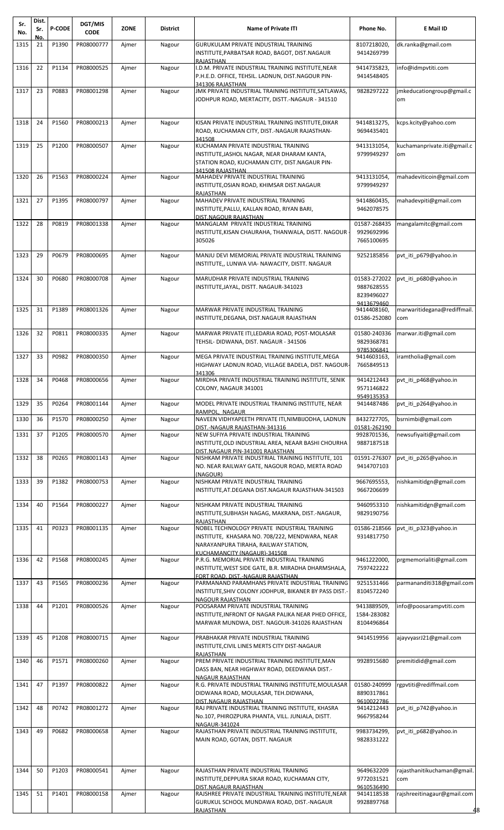| Sr.<br>No.   | Dist.<br>Sr.<br>No. | <b>P-CODE</b>  | DGT/MIS<br><b>CODE</b>   | <b>ZONE</b>    | <b>District</b>  | <b>Name of Private ITI</b>                                                                                                                                             | Phone No.                                              | E Mail ID                                    |
|--------------|---------------------|----------------|--------------------------|----------------|------------------|------------------------------------------------------------------------------------------------------------------------------------------------------------------------|--------------------------------------------------------|----------------------------------------------|
| 1315         | 21                  | P1390          | PR08000777               | Ajmer          | Nagour           | GURUKULAM PRIVATE INDUSTRIAL TRAINING<br>INSTITUTE,PARBATSAR ROAD, BAGOT, DIST.NAGAUR<br>RAJASTHAN                                                                     | 8107218020,<br>9414269799                              | dk.ranka@gmail.com                           |
| 1316         | 22                  | P1134          | PR08000525               | Ajmer          | Nagour           | .D.M. PRIVATE INDUSTRIAL TRAINING INSTITUTE.NEAR<br>P.H.E.D. OFFICE, TEHSIL. LADNUN, DIST.NAGOUR PIN-                                                                  | 9414735823.<br>9414548405                              | info@idmpvtiti.com                           |
| 1317         | 23                  | P0883          | PR08001298               | Ajmer          | Nagour           | 341306 RAJASTHAN<br>JMK PRIVATE INDUSTRIAL TRAINING INSTITUTE, SATLAWAS,<br>JODHPUR ROAD, MERTACITY, DISTT.-NAGAUR - 341510                                            | 9828297222                                             | jmkeducationgroup@gmail.c<br>om              |
| 1318         | 24                  | P1560          | PR08000213               | Ajmer          | Nagour           | KISAN PRIVATE INDUSTRIAL TRAINING INSTITUTE, DIKAR<br>ROAD, KUCHAMAN CITY, DIST.-NAGAUR RAJASTHAN-<br>341508                                                           | 9414813275,<br>9694435401                              | kcps.kcity@yahoo.com                         |
| 1319         | 25                  | P1200          | PR08000507               | Ajmer          | Nagour           | KUCHAMAN PRIVATE INDUSTRIAL TRAINING<br>INSTITUTE, JASHOL NAGAR, NEAR DHARAM KANTA,<br>STATION ROAD, KUCHAMAN CITY, DIST.NAGAUR PIN-<br>341508 RAJASTHAN               | 9413131054,<br>9799949297                              | kuchamanprivate.iti@gmail.c<br>om            |
| 1320         | 26                  | P1563          | PR08000224               | Ajmer          | Nagour           | MAHADEV PRIVATE INDUSTRIAL TRAINING<br>INSTITUTE,OSIAN ROAD, KHIMSAR DIST.NAGAUR<br>RAJASTHAN                                                                          | 9413131054,<br>9799949297                              | mahadeviticoin@gmail.com                     |
| 1321         | 27                  | P1395          | PR08000797               | Ajmer          | Nagour           | MAHADEV PRIVATE INDUSTRIAL TRAINING<br>INSTITUTE, PALLU, KALLAN ROAD, RIYAN BARI,<br>DIST.NAGOUR RAJASTHAN                                                             | 9414860435,<br>9462078575                              | mahadevpiti@gmail.com                        |
| 1322         | 28                  | P0819          | PR08001338               | Ajmer          | Nagour           | MANGALAM PRIVATE INDUSTRIAL TRAINING<br>INSTITUTE,KISAN CHAURAHA, THANWALA, DISTT. NAGOUR<br>305026                                                                    | 01587-268435<br>9929692996<br>7665100695               | mangalamitc@gmail.com                        |
| 1323         | 29                  | P0679          | PR08000695               | Ajmer          | Nagour           | MANJU DEVI MEMORIAL PRIVATE INDUSTRIAL TRAINING<br>INSTITUTE,, LUNWA VIA- NAWACITY, DISTT. NAGAUR                                                                      | 9252185856                                             | pvt iti p679@yahoo.in                        |
| 1324         | 30                  | P0680          | PR08000708               | Ajmer          | Nagour           | MARUDHAR PRIVATE INDUSTRIAL TRAINING<br>INSTITUTE, JAYAL, DISTT. NAGAUR-341023                                                                                         | 01583-272022<br>9887628555<br>8239496027<br>9413679460 | pvt_iti_p680@yahoo.in                        |
| 1325         | 31                  | P1389          | PR08001326               | Ajmer          | Nagour           | MARWAR PRIVATE INDUSTRIAL TRAINING<br>INSTITUTE,DEGANA, DIST.NAGAUR RAJASTHAN                                                                                          | 9414408160,<br>01586-252080                            | marwaritidegana@rediffmail.<br>com           |
| 1326         | 32                  | P0811          | PR08000335               | Ajmer          | Nagour           | MARWAR PRIVATE ITI, LEDARIA ROAD, POST-MOLASAR<br>TEHSIL- DIDWANA, DIST. NAGAUR - 341506                                                                               | 01580-240336<br>9829368781<br>9785306841               | marwar.iti@gmail.com                         |
| 1327         | 33                  | P0982          | PR08000350               | Ajmer          | Nagour           | MEGA PRIVATE INDUSTRIAL TRAINING INSTITUTE, MEGA<br>HIGHWAY LADNUN ROAD, VILLAGE BADELA, DIST. NAGOUR-<br>341306                                                       | 9414603163,<br>7665849513                              | iramtholia@gmail.com                         |
| 1328         | 34                  | P0468          | PR08000656               | Ajmer          | Nagour           | MIRDHA PRIVATE INDUSTRIAL TRAINING INSTITUTE, SENIK<br>COLONY, NAGAUR 341001                                                                                           | 9414212443<br>9571146822<br>9549135353                 | pvt iti p468@yahoo.in                        |
| 1329         | 35                  | P0264          | PR08001144               | Ajmer          | Nagour           | MODEL PRIVATE INDUSTRIAL TRAINING INSTITUTE, NEAR<br>RAMPOL, NAGAUR                                                                                                    | 9414487486                                             | pvt_iti_p264@yahoo.in                        |
| 1330<br>1331 | 36<br>37            | P1570<br>P1205 | PR08000250<br>PR08000570 | Ajmer<br>Ajmer | Nagour<br>Nagour | NAVEEN VIDHYAPEETH PRIVATE ITI, NIMBIJODHA, LADNUN<br>DIST.-NAGAUR RAJASTHAN-341316<br>NEW SUFIYA PRIVATE INDUSTRIAL TRAINING                                          | 8432727705,<br>01581-262190<br>9928701536,             | bsrnimbi@gmail.com<br>newsufiyaiti@gmail.com |
|              |                     |                |                          |                |                  | INSTITUTE, OLD INDUSTRIAL AREA, NEAAR BASHI CHOURHA<br>DIST.NAGAUR PIN-341001 RAJASTHAN                                                                                | 9887187518                                             |                                              |
| 1332         | 38                  | P0265          | PR08001143               | Ajmer          | Nagour           | NISHKAM PRIVATE INDUSTRIAL TRAINING INSTITUTE, 101<br>NO. NEAR RAILWAY GATE, NAGOUR ROAD, MERTA ROAD<br>(NAGOUR)                                                       | 01591-276307<br>9414707103                             | pvt iti p265@yahoo.in                        |
| 1333         | 39                  | P1382          | PR08000753               | Ajmer          | Nagour           | NISHKAM PRIVATE INDUSTRIAL TRAINING<br>INSTITUTE, AT. DEGANA DIST. NAGAUR RAJASTHAN-341503                                                                             | 9667695553,<br>9667206699                              | nishkamitidgn@gmail.com                      |
| 1334         | 40                  | P1564          | PR08000227               | Ajmer          | Nagour           | NISHKAM PRIVATE INDUSTRIAL TRAINING<br>INSTITUTE, SUBHASH NAGAG, MAKRANA, DIST.-NAGAUR,<br><b>RAJASTHAN</b>                                                            | 9460953310<br>9829190756                               | nishkamitidgn@gmail.com                      |
| 1335         | 41                  | P0323          | PR08001135               | Ajmer          | Nagour           | NOBEL TECHNOLOGY PRIVATE INDUSTRIAL TRAINING<br>INSTITUTE, KHASARA NO. 708/222, MENDWARA, NEAR<br>NARAYANPURA TIRAHA, RAILWAY STATION,<br>KUCHAMANCITY (NAGAUR)-341508 | 01586-218566<br>9314817750                             | pvt iti p323@yahoo.in                        |
| 1336         | 42                  | P1568          | PR08000245               | Ajmer          | Nagour           | P.R.G. MEMORIAL PRIVATE INDUSTRIAL TRAINING<br>INSTITUTE, WEST SIDE GATE, B.R. MIRADHA DHARMSHALA,<br>FORT ROAD, DIST.-NAGAUR RAJASTHAN                                | 9461222000,<br>7597422222                              | prgmemorialiti@gmail.com                     |
| 1337         | 43                  | P1565          | PR08000236               | Ajmer          | Nagour           | PARMANAND PARAMHANS PRIVATE INDUSTRIAL TRAINING<br>INSTITUTE,SHIV COLONY JODHPUR, BIKANER BY PASS DIST.-<br><b>NAGOUR RAJASTHAN</b>                                    | 9251531466<br>8104572240                               | parmananditi318@gmail.com                    |
| 1338         | 44                  | P1201          | PR08000526               | Ajmer          | Nagour           | POOSARAM PRIVATE INDUSTRIAL TRAINING<br>INSTITUTE, INFRONT OF NAGAR PALIKA NEAR PHED OFFICE,<br>MARWAR MUNDWA, DIST. NAGOUR-341026 RAJASTHAN                           | 9413889509,<br>1584-283082<br>8104496864               | info@poosarampvtiti.com                      |
| 1339         | 45                  | P1208          | PR08000715               | Ajmer          | Nagour           | PRABHAKAR PRIVATE INDUSTRIAL TRAINING<br>INSTITUTE, CIVIL LINES MERTS CITY DIST-NAGAUR<br><b>RAJASTHAN</b>                                                             | 9414519956                                             | ajayvyasrJ21@gmail.com                       |
| 1340         | 46                  | P1571          | PR08000260               | Ajmer          | Nagour           | PREM PRIVATE INDUSTRIAL TRAINING INSTITUTE, MAN<br>DASS BAN, NEAR HIGHWAY ROAD, DEEDWANA DIST.-<br><b>NAGAUR RAJASTHAN</b>                                             | 9928915680                                             | premitidid@gmail.com                         |
| 1341         | 47                  | P1397          | PR08000822               | Ajmer          | Nagour           | R.G. PRIVATE INDUSTRIAL TRAINING INSTITUTE, MOULASAR<br>DIDWANA ROAD, MOULASAR, TEH.DIDWANA,<br>DIST.NAGAUR RAJASTHAN                                                  | 01580-240999<br>8890317861<br>9610022786               | rgpvtiti@rediffmail.com                      |
| 1342         | 48                  | P0742          | PR08001272               | Ajmer          | Nagour           | RAJ PRIVATE INDUSTRIAL TRAINING INSTITUTE, KHASRA<br>No.107, PHIROZPURA PHANTA, VILL. JUNJALA, DISTT.                                                                  | 9414212443<br>9667958244                               | pvt iti p742@yahoo.in                        |
| 1343         | 49                  | P0682          | PR08000658               | Ajmer          | Nagour           | NAGAUR-341024<br>RAJASTHAN PRIVATE INDUSTRIAL TRAINING INSTITUTE,<br>MAIN ROAD, GOTAN, DISTT. NAGAUR                                                                   | 9983734299,<br>9828331222                              | pvt iti p682@yahoo.in                        |
| 1344         | 50                  | P1203          | PR08000541               | Ajmer          | Nagour           | RAJASTHAN PRIVATE INDUSTRIAL TRAINING                                                                                                                                  | 9649632209                                             | rajasthanitikuchaman@gmail.                  |
|              |                     |                |                          |                |                  | INSTITUTE, DEPPURA SIKAR ROAD, KUCHAMAN CITY,<br>DIST.NAGAUR RAJASTHAN                                                                                                 | 9772031521<br>9610536490                               | com                                          |
| 1345         | 51                  | P1401          | PR08000158               | Ajmer          | Nagour           | RAJSHREE PRIVATE INDUSTRIAL TRAINING INSTITUTE, NEAR<br>GURUKUL SCHOOL MUNDAWA ROAD, DIST.-NAGAUR<br>RAJASTHAN                                                         | 9414118538<br>9928897768                               | rajshreeitinagaur@gmail.com                  |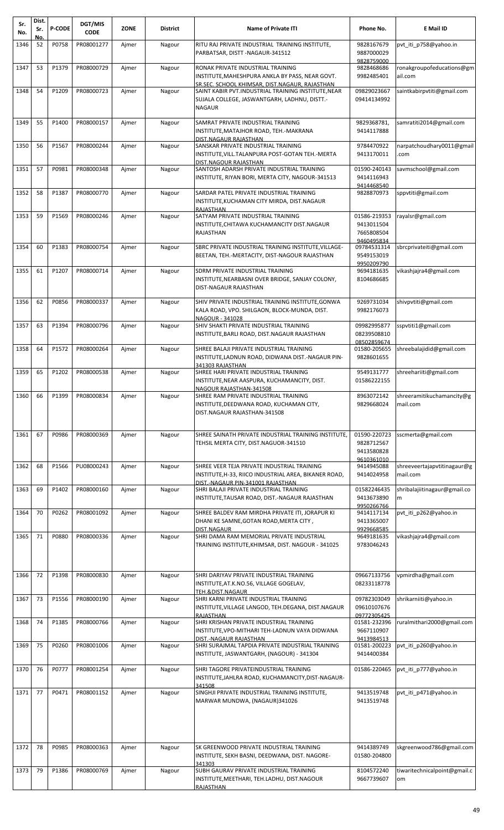| Sr.<br>No. | Dist.<br>Sr. | <b>P-CODE</b> | DGT/MIS<br><b>CODE</b> | <b>ZONE</b> | <b>District</b> | <b>Name of Private ITI</b>                                                                                                                      | Phone No.                                              | E Mail ID                               |
|------------|--------------|---------------|------------------------|-------------|-----------------|-------------------------------------------------------------------------------------------------------------------------------------------------|--------------------------------------------------------|-----------------------------------------|
| 1346       | No.<br>52    | P0758         | PR08001277             | Ajmer       | Nagour          | RITU RAJ PRIVATE INDUSTRIAL TRAINING INSTITUTE,<br>PARBATSAR, DISTT-NAGAUR-341512                                                               | 9828167679<br>9887000029<br>9828759000                 | pvt iti p758@yahoo.in                   |
| 1347       | 53           | P1379         | PR08000729             | Ajmer       | Nagour          | RONAK PRIVATE INDUSTRIAL TRAINING<br>INSTITUTE, MAHESHPURA ANKLA BY PASS, NEAR GOVT.<br><u>SR.SEC. SCHOOL KHIMSAR, DIST.NAGAUR, RAJASTHAN</u>   | 9828468686<br>9982485401                               | ronakgroupofeducations@gm<br>ail.com    |
| 1348       | 54           | P1209         | PR08000723             | Ajmer       | Nagour          | SAINT KABIR PVT.INDUSTRIAL TRAINING INSTITUTE, NEAR<br>SUJALA COLLEGE, JASWANTGARH, LADHNU, DISTT.-<br><b>NAGAUR</b>                            | 09829023667<br>09414134992                             | saintkabirpvtiti@gmail.com              |
| 1349       | 55           | P1400         | PR08000157             | Ajmer       | Nagour          | SAMRAT PRIVATE INDUSTRIAL TRAINING<br>INSTITUTE, MATAJHOR ROAD, TEH.-MAKRANA                                                                    | 9829368781,<br>9414117888                              | samratiti2014@gmail.com                 |
| 1350       | 56           | P1567         | PR08000244             | Ajmer       | Nagour          | <u>DIST.NAGAUR RAJASTHAN</u><br>SANSKAR PRIVATE INDUSTRIAL TRAINING<br>INSTITUTE, VILL. TALANPURA POST-GOTAN TEH. - MERTA                       | 9784470922<br>9413170011                               | narpatchoudhary0011@gmail<br>.com       |
| 1351       | 57           | P0981         | PR08000348             | Ajmer       | Nagour          | DIST.NAGOUR RAJASTHAN<br>SANTOSH ADARSH PRIVATE INDUSTRIAL TRAINING<br>INSTITUTE, RIYAN BORI, MERTA CITY, NAGOUR-341513                         | 01590-240143<br>9414116943<br>9414468540               | savmschool@gmail.com                    |
| 1352       | 58           | P1387         | PR08000770             | Ajmer       | Nagour          | SARDAR PATEL PRIVATE INDUSTRIAL TRAINING<br>INSTITUTE, KUCHAMAN CITY MIRDA, DIST. NAGAUR<br>RAJASTHAN                                           | 9828870973                                             | sppvtiti@gmail.com                      |
| 1353       | 59           | P1569         | PR08000246             | Ajmer       | Nagour          | SATYAM PRIVATE INDUSTRIAL TRAINING<br>INSTITUTE, CHITAWA KUCHAMANCITY DIST. NAGAUR<br>RAJASTHAN                                                 | 01586-219353<br>9413011504<br>7665808504<br>9460495834 | rayalsr@gmail.com                       |
| 1354       | 60           | P1383         | PR08000754             | Ajmer       | Nagour          | SBRC PRIVATE INDUSTRIAL TRAINING INSTITUTE, VILLAGE-<br>BEETAN, TEH.-MERTACITY, DIST-NAGOUR RAJASTHAN                                           | 09784531314<br>9549153019<br>9950209790                | sbrcprivateiti@gmail.com                |
| 1355       | 61           | P1207         | PR08000714             | Ajmer       | Nagour          | SDRM PRIVATE INDUSTRIAL TRAINING<br>INSTITUTE,NEARBASNI OVER BRIDGE, SANJAY COLONY,<br>DIST-NAGAUR RAJASTHAN                                    | 9694181635<br>8104686685                               | vikashjajra4@gmail.com                  |
| 1356       | 62           | P0856         | PR08000337             | Ajmer       | Nagour          | SHIV PRIVATE INDUSTRIAL TRAINING INSTITUTE, GONWA<br>KALA ROAD, VPO. SHILGAON, BLOCK-MUNDA, DIST.<br>NAGOUR - 341028                            | 9269731034<br>9982176073                               | shivpvtiti@gmail.com                    |
| 1357       | 63           | P1394         | PR08000796             | Ajmer       | Nagour          | SHIV SHAKTI PRIVATE INDUSTRIAL TRAINING<br>INSTITUTE,BARLI ROAD, DIST.NAGAUR RAJASTHAN                                                          | 09982995877<br>08239508810<br>08502859674              | sspytiti1@gmail.com                     |
| 1358       | 64           | P1572         | PR08000264             | Ajmer       | Nagour          | SHREE BALAJI PRIVATE INDUSTRIAL TRAINING<br>INSTITUTE, LADNUN ROAD, DIDWANA DIST.-NAGAUR PIN-<br>341303 RAJASTHAN                               | 01580-205655<br>9828601655                             | shreebalajidid@gmail.com                |
| 1359       | 65           | P1202         | PR08000538             | Ajmer       | Nagour          | SHREE HARI PRIVATE INDUSTRIAL TRAINING<br>INSTITUTE, NEAR AASPURA, KUCHAMANCITY, DIST.<br>NAGOUR RAJASTHAN-341508                               | 9549131777<br>01586222155                              | shreehariiti@gmail.com                  |
| 1360       | 66           | P1399         | PR08000834             | Ajmer       | Nagour          | SHREE RAM PRIVATE INDUSTRIAL TRAINING<br>INSTITUTE,DEEDWANA ROAD, KUCHAMAN CITY,<br>DIST.NAGAUR RAJASTHAN-341508                                | 8963072142<br>9829668024                               | shreeramitikuchamancity@g<br>mail.com   |
| 1361       | 67           | P0986         | PR08000369             | Ajmer       | Nagour          | SHREE SAINATH PRIVATE INDUSTRIAL TRAINING INSTITUTE,<br>TEHSIL MERTA CITY, DIST.NAGUOR-341510                                                   | 01590-220723<br>9828712567<br>9413580828<br>9610361010 | sscmerta@gmail.com                      |
| 1362       | 68           | P1566         | PU08000243             | Ajmer       | Nagour          | SHREE VEER TEJA PRIVATE INDUSTRIAL TRAINING<br>INSTITUTE,H-33, RIICO INDUSTRIAL AREA, BIKANER ROAD,<br><u>DIST.-NAGAUR PIN-341001 RAJASTHAN</u> | 9414945088<br>9414024958                               | shreeveertajapvtitinagaur@g<br>mail.com |
| 1363       | 69           | P1402         | PR08000160             | Ajmer       | Nagour          | SHRI BALAJI PRIVATE INDUSTRIAL TRAINING<br>INSTITUTE,TAUSAR ROAD, DIST.-NAGAUR RAJASTHAN                                                        | 01582246435<br>9413673890<br>9950266766                | shribalajiitinagaur@gmail.co<br>m       |
| 1364       | 70           | P0262         | PR08001092             | Ajmer       | Nagour          | SHREE BALDEV RAM MIRDHA PRIVATE ITI, JORAPUR KI<br>DHANI KE SAMNE, GOTAN ROAD, MERTA CITY,<br>DIST.NAGAUR                                       | 9414117134<br>9413365007<br>9929668585                 | pvt_iti_p262@yahoo.in                   |
| 1365       | 71           | P0880         | PR08000336             | Ajmer       | Nagour          | SHRI DAMA RAM MEMORIAL PRIVATE INDUSTRIAL<br>TRAINING INSTITUTE,KHIMSAR, DIST. NAGOUR - 341025                                                  | 9649181635<br>9783046243                               | vikashjajra4@gmail.com                  |
| 1366       | 72           | P1398         | PR08000830             | Ajmer       | Nagour          | SHRI DARIYAV PRIVATE INDUSTRIAL TRAINING<br>INSTITUTE, AT.K.NO.56, VILLAGE GOGELAV,<br>TEH.&DIST.NAGAUR                                         | 09667133756<br>08233118778                             | vpmirdha@gmail.com                      |
| 1367       | 73           | P1556         | PR08000190             | Ajmer       | Nagour          | SHRI KARNI PRIVATE INDUSTRIAL TRAINING<br>INSTITUTE,VILLAGE LANGOD, TEH.DEGANA, DIST.NAGAUR<br>RAJASTHAN                                        | 09782303049<br>09610107676<br>09772305425              | shrikarniiti@yahoo.in                   |
| 1368       | 74           | P1385         | PR08000766             | Ajmer       | Nagour          | SHRI KRISHAN PRIVATE INDUSTRIAL TRAINING<br>INSTITUTE,VPO-MITHARI TEH-LADNUN VAYA DIDWANA<br>DIST.-NAGAUR RAJASTHAN                             | 01581-232396<br>9667110907<br>9413984513               | ruralmithari2000@gmail.com              |
| 1369       | 75           | P0260         | PR08001006             | Ajmer       | Nagour          | SHRI SURAJMAL TAPDIA PRIVATE INDUSTRIAL TRAINING<br>INSTITUTE, JASWANTGARH, (NAGOUR) - 341304                                                   | 01581-200223<br>9414400384                             | pvt iti p260@yahoo.in                   |
| 1370       | 76           | P0777         | PR08001254             | Ajmer       | Nagour          | SHRI TAGORE PRIVATEINDUSTRIAL TRAINING<br>INSTITUTE, JAHLRA ROAD, KUCHAMANCITY, DIST-NAGAUR-<br>341508                                          | 01586-220465                                           | pvt_iti_p777@yahoo.in                   |
| 1371       | 77           | P0471         | PR08001152             | Ajmer       | Nagour          | SINGHJI PRIVATE INDUSTRIAL TRAINING INSTITUTE,<br>MARWAR MUNDWA, (NAGAUR)341026                                                                 | 9413519748<br>9413519748                               | pvt iti p471@yahoo.in                   |
| 1372       | 78           | P0985         | PR08000363             | Ajmer       | Nagour          | SK GREENWOOD PRIVATE INDUSTRIAL TRAINING<br>INSTITUTE, SEKH BASNI, DEEDWANA, DIST. NAGORE-<br>341303                                            | 9414389749<br>01580-204800                             | skgreenwood786@gmail.com                |
| 1373       | 79           | P1386         | PR08000769             | Ajmer       | Nagour          | SUBH GAURAV PRIVATE INDUSTRIAL TRAINING<br>INSTITUTE, MEETHARI, TEH.LADHU, DIST.NAGOUR<br>RAJASTHAN                                             | 8104572240<br>9667739607                               | tiwaritechnicalpoint@gmail.c<br>om      |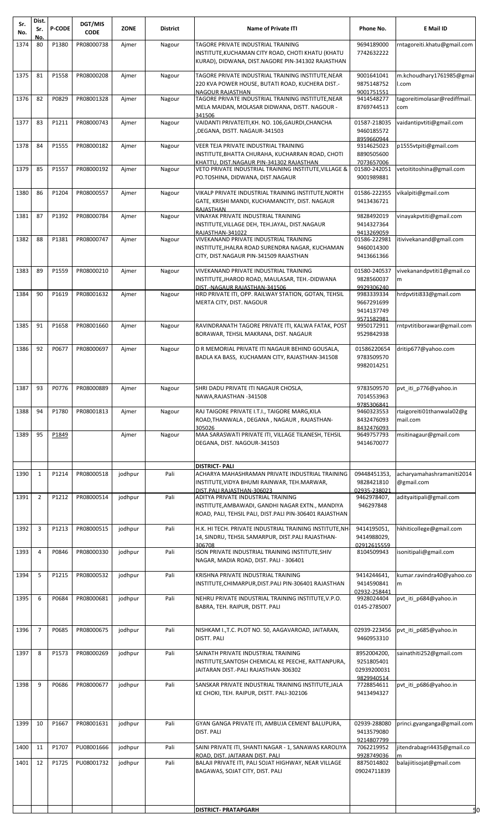| Sr.<br>No. | Dist.<br>Sr.   | <b>P-CODE</b> | <b>DGT/MIS</b><br><b>CODE</b> | <b>ZONE</b> | <b>District</b> | <b>Name of Private ITI</b>                                                                                                                                                                                                      | Phone No.                                              | E Mail ID                             |
|------------|----------------|---------------|-------------------------------|-------------|-----------------|---------------------------------------------------------------------------------------------------------------------------------------------------------------------------------------------------------------------------------|--------------------------------------------------------|---------------------------------------|
| 1374       | No.<br>80      | P1380         | PR08000738                    | Ajmer       | Nagour          | TAGORE PRIVATE INDUSTRIAL TRAINING<br>INSTITUTE, KUCHAMAN CITY ROAD, CHOTI KHATU (KHATU<br>KURAD), DIDWANA, DIST.NAGORE PIN-341302 RAJASTHAN                                                                                    | 9694189000<br>7742632222                               | rntagoreiti.khatu@gmail.com           |
| 1375       | 81             | P1558         | PR08000208                    | Ajmer       | Nagour          | TAGORE PRIVATE INDUSTRIAL TRAINING INSTITUTE, NEAR<br>220 KVA POWER HOUSE, BUTATI ROAD, KUCHERA DIST.-                                                                                                                          | 9001641041<br>9875148752                               | m.kchoudhary1761985@gmai<br>l.com     |
| 1376       | 82             | P0829         | PR08001328                    | Ajmer       | Nagour          | <b>NAGOUR RAJASTHAN</b><br>TAGORE PRIVATE INDUSTRIAL TRAINING INSTITUTE, NEAR<br>MELA MAIDAN, MOLASAR DIDWANA, DISTT. NAGOUR -                                                                                                  | 9001751551<br>9414548277<br>8769744513                 | tagoreitimolasar@rediffmail.<br>com   |
| 1377       | 83             | P1211         | PR08000743                    | Ajmer       | Nagour          | 341506<br>VAIDANTI PRIVATEITI, KH. NO. 106, GAURDI, CHANCHA<br>DEGANA, DISTT. NAGAUR-341503,                                                                                                                                    | 01587-218035<br>9460185572                             | vaidantipvtiti@gmail.com              |
| 1378       | 84             | P1555         | PR08000182                    | Ajmer       | Nagour          | VEER TEJA PRIVATE INDUSTRIAL TRAINING<br>INSTITUTE, BHATTA CHURAHA, KUCHARRAN ROAD, CHOTI                                                                                                                                       | 8959660944<br>9314625023<br>8890505600                 | p1555vtpiti@gmail.com                 |
| 1379       | 85             | P1557         | PR08000192                    | Ajmer       | Nagour          | KHATTU. DIST.NAGAUR PIN-341302 RAJASTHAN<br>VETO PRIVATE INDUSTRIAL TRAINING INSTITUTE, VILLAGE &<br>PO.TOSHINA, DIDWANA, DIST.NAGAUR                                                                                           | 7073657006<br>01580-242051<br>9001989881               | vetoititoshina@gmail.com              |
| 1380       | 86             | P1204         | PR08000557                    | Ajmer       | Nagour          | VIKALP PRIVATE INDUSTRIAL TRAINING INSTITUTE, NORTH<br>GATE, KRISHI MANDI, KUCHAMANCITY, DIST. NAGAUR<br><b>RAJASTHAN</b>                                                                                                       | 01586-222355<br>9413436721                             | vikalpiti@gmail.com                   |
| 1381       | 87             | P1392         | PR08000784                    | Ajmer       | Nagour          | VINAYAK PRIVATE INDUSTRIAL TRAINING<br>INSTITUTE, VILLAGE DEH, TEH.JAYAL, DIST.NAGAUR<br>RAJASTHAN-341022                                                                                                                       | 9828492019<br>9414327364<br>9413269059                 | vinayakpytiti@gmail.com               |
| 1382       | 88             | P1381         | PR08000747                    | Ajmer       | Nagour          | VIVEKANAND PRIVATE INDUSTRIAL TRAINING<br>INSTITUTE, JHALRA ROAD SURENDRA NAGAR, KUCHAMAN<br>CITY, DIST.NAGAUR PIN-341509 RAJASTHAN                                                                                             | 01586-222981<br>9460014300<br>9413661366               | itivivekanand@gmail.com               |
| 1383       | 89             | P1559         | PR08000210                    | Ajmer       | Nagour          | VIVEKANAND PRIVATE INDUSTRIAL TRAINING<br>INSTITUTE, JHAROD ROAD, MAULASAR, TEH.-DIDWANA                                                                                                                                        | 01580-240537<br>9828560037                             | vivekanandpvtiti1@gmail.co<br>m       |
| 1384       | 90             | P1619         | PR08001632                    | Ajmer       | Nagour          | DIST.-NAGAUR RAJASTHAN-341506<br>HRD PRIVATE ITI, OPP. RAILWAY STATION, GOTAN, TEHSIL<br>MERTA CITY, DIST. NAGOUR                                                                                                               | 9929306240<br>9983339334<br>9667291699<br>9414137749   | hrdpvtiti833@gmail.com                |
| 1385       | 91             | P1658         | PR08001660                    | Ajmer       | Nagour          | RAVINDRANATH TAGORE PRIVATE ITI, KALWA FATAK, POST<br>BORAWAR, TEHSIL MAKRANA, DIST. NAGAUR                                                                                                                                     | 9571582981<br>9950172911<br>9529842938                 | rntpvtitiborawar@gmail.com            |
| 1386       | 92             | P0677         | PR08000697                    | Ajmer       | Nagour          | D R MEMORIAL PRIVATE ITI NAGAUR BEHIND GOUSALA,<br>BADLA KA BASS, KUCHAMAN CITY, RAJASTHAN-341508                                                                                                                               | 01586220654<br>9783509570<br>9982014251                | dritip677@yahoo.com                   |
| 1387       | 93             | P0776         | PR08000889                    | Ajmer       | Nagour          | SHRI DADU PRIVATE ITI NAGAUR CHOSLA,<br>NAWA.RAJASTHAN-341508                                                                                                                                                                   | 9783509570<br>7014553963                               | pvt_iti_p776@yahoo.in                 |
| 1388       | 94             | P1780         | PR08001813                    | Ajmer       | Nagour          | RAJ TAIGORE PRIVATE I.T.I., TAIGORE MARG, KILA<br>ROAD, THANWALA, DEGANA, NAGAUR, RAJASTHAN-<br>305026                                                                                                                          | 9785306841<br>9460323553<br>8432476093<br>8432476093   | rtaigoreiti01thanwala02@g<br>mail.com |
| 1389       | 95             | P1849         |                               | Ajmer       | Nagour          | MAA SARASWATI PRIVATE ITI, VILLAGE TILANESH, TEHSIL<br>DEGANA, DIST. NAGOUR-341503                                                                                                                                              | 9649757793<br>9414670077                               | msitinagaur@gmail.com                 |
| 1390       | $\mathbf{1}$   | P1214         | PR08000518                    | jodhpur     | Pali            | <b>DISTRICT-PALI</b><br>ACHARYA MAHASHRAMAN PRIVATE INDUSTRIAL TRAINING                                                                                                                                                         | 09448451353,                                           | acharyamahashramaniti2014             |
| 1391       | $\overline{2}$ | P1212         | PR08000514                    | jodhpur     | Pali            | INSTITUTE, VIDYA BHUMI RAINWAR, TEH.MARWAR,<br>DIST. PALI RAJASTHAN-306023<br>ADITYA PRIVATE INDUSTRIAL TRAINING<br>INSTITUTE, AMBAWADI, GANDHI NAGAR EXTN., MANDIYA<br>ROAD, PALI, TEHSIL PALI, DIST.PALI PIN-306401 RAJASTHAN | 9828421810<br>02935-238021<br>9462978407,<br>946297848 | @gmail.com<br>adityaitipali@gmail.com |
| 1392       | 3              | P1213         | PR08000515                    | jodhpur     | Pali            | H.K. HI TECH. PRIVATE INDUSTRIAL TRAINING INSTITUTE, NH<br>14, SINDRU, TEHSIL SAMARPUR, DIST.PALI RAJASTHAN-                                                                                                                    | 9414195051,<br>9414988029,                             | hkhiticollege@gmail.com               |
| 1393       | 4              | P0846         | PR08000330                    | jodhpur     | Pali            | 306708<br>ISON PRIVATE INDUSTRIAL TRAINING INSTITUTE, SHIV<br>NAGAR, MADIA ROAD, DIST. PALI - 306401                                                                                                                            | 02912615559<br>8104509943                              | isonitipali@gmail.com                 |
| 1394       | 5              | P1215         | PR08000532                    | jodhpur     | Pali            | KRISHNA PRIVATE INDUSTRIAL TRAINING<br>INSTITUTE, CHIMARPUR, DIST. PALI PIN-306401 RAJASTHAN                                                                                                                                    | 9414244641,<br>9414590841<br>02932-258441              | kumar.ravindra40@yahoo.co<br>m        |
| 1395       | 6              | P0684         | PR08000681                    | jodhpur     | Pali            | NEHRU PRIVATE INDUSTRIAL TRAINING INSTITUTE, V.P.O.<br>BABRA, TEH. RAIPUR, DISTT. PALI                                                                                                                                          | 9928024404<br>0145-2785007                             | pvt iti p684@yahoo.in                 |
| 1396       | $\overline{7}$ | P0685         | PR08000675                    | jodhpur     | Pali            | NISHKAM I., T.C. PLOT NO. 50, AAGAVAROAD, JAITARAN,<br>DISTT. PALI                                                                                                                                                              | 02939-223456<br>9460953310                             | pvt_iti_p685@yahoo.in                 |
| 1397       | 8              | P1573         | PR08000269                    | jodhpur     | Pali            | SAINATH PRIVATE INDUSTRIAL TRAINING<br>INSTITUTE, SANTOSH CHEMICAL KE PEECHE, RATTANPURA,<br>JAITARAN DIST.-PALI RAJASTHAN-306302                                                                                               | 8952004200,<br>9251805401<br>02939200031               | sainathiti252@gmail.com               |
| 1398       | 9              | P0686         | PR08000677                    | jodhpur     | Pali            | SANSKAR PRIVATE INDUSTRIAL TRAINING INSTITUTE, JALA<br>KE CHOKI, TEH. RAIPUR, DISTT. PALI-302106                                                                                                                                | 9829940514<br>7728854611<br>9413494327                 | pvt_iti_p686@yahoo.in                 |
| 1399       | 10             | P1667         | PR08001631                    | jodhpur     | Pali            | GYAN GANGA PRIVATE ITI, AMBUJA CEMENT BALUPURA,<br>DIST. PALI                                                                                                                                                                   | 02939-288080<br>9413579080<br>9214807799               | princi.gyanganga@gmail.com            |
| 1400       | 11             | P1707         | PU08001666                    | jodhpur     | Pali            | SAINI PRIVATE ITI, SHANTI NAGAR - 1, SANAWAS KAROLIYA<br>ROAD, DIST. JAITARAN DIST. PALI                                                                                                                                        | 7062219952<br>9928749036                               | jitendrabagri4435@gmail.co<br>m       |
| 1401       | 12             | P1725         | PU08001732                    | jodhpur     | Pali            | BALAJI PRIVATE ITI, PALI SOJAT HIGHWAY, NEAR VILLAGE<br>BAGAWAS, SOJAT CITY, DIST. PALI                                                                                                                                         | 8875014802<br>09024711839                              | balajiitisojat@gmail.com              |
|            |                |               |                               |             |                 | <b>DISTRICT- PRATAPGARH</b>                                                                                                                                                                                                     |                                                        | 50                                    |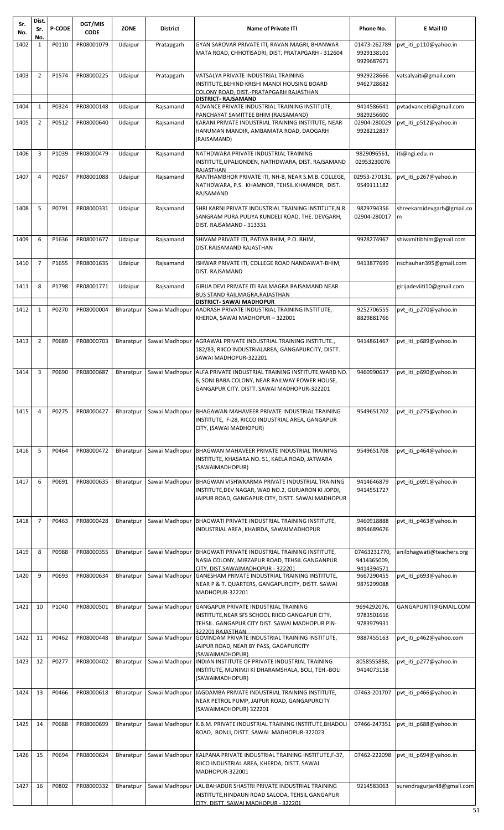| Sr.<br>No. | Dist.<br>Sr.        | <b>P-CODE</b> | DGT/MIS<br><b>CODE</b> | ZONE      | <b>District</b> | <b>Name of Private ITI</b>                                                                                                                                                 | Phone No.                                 | E Mail ID                        |
|------------|---------------------|---------------|------------------------|-----------|-----------------|----------------------------------------------------------------------------------------------------------------------------------------------------------------------------|-------------------------------------------|----------------------------------|
| 1402       | No.<br>$\mathbf{1}$ | P0110         | PR08001079             | Udaipur   | Pratapgarh      | GYAN SAROVAR PRIVATE ITI, RAVAN MAGRI, BHANWAR<br>MATA ROAD, CHHOTISADRI, DIST. PRATAPGARH - 312604                                                                        | 01473-262789<br>9929138101<br>9929687671  | pvt iti p110@yahoo.in            |
| 1403       | $\overline{2}$      | P1574         | PR08000225             | Udaipur   | Pratapgarh      | VATSALYA PRIVATE INDUSTRIAL TRAINING<br>INSTITUTE, BEHIND KRISHI MANDI HOUSING BOARD<br>COLONY ROAD. DIST.-PRATAPGARH RAJASTHAN                                            | 9929228666<br>9462728682                  | vatsalyaiti@gmail.com            |
| 1404       | $\mathbf{1}$        | P0324         | PR08000148             | Udaipur   | Rajsamand       | DISTRICT- RAJSAMAND<br>ADVANCE PRIVATE INDUSTRIAL TRAINING INSTITUTE,                                                                                                      | 9414586641                                | pvtadvanceiti@gmail.com          |
| 1405       | $\overline{2}$      | P0512         | PR08000640             | Udaipur   | Rajsamand       | PANCHAYAT SAMITTEE BHIM (RAJSAMAND)<br>KARANI PRIVATE INDUSTRIAL TRAINING INSTITUTE, NEAR<br>HANUMAN MANDIR, AMBAMATA ROAD, DAOGARH<br>(RAJSAMAND)                         | 9829256600<br>02904-280029<br>9928212837  | pvt_iti_p512@yahoo.in            |
| 1406       | 3                   | P1039         | PR08000479             | Udaipur   | Rajsamand       | NATHDWARA PRIVATE INDUSTRIAL TRAINING<br>INSTITUTE, UPALIONDEN, NATHDWARA, DIST. RAJSAMAND<br>RAJASTHAN                                                                    | 9829096561,<br>02953230076                | iti@ngi.edu.in                   |
| 1407       | 4                   | P0267         | PR08001088             | Udaipur   | Rajsamand       | RANTHAMBHOR PRIVATE ITI, NH-8, NEAR S.M.B. COLLEGE,<br>NATHDWARA, P.S. KHAMNOR, TEHSIL KHAMNOR, DIST.<br>RAJSAMAND                                                         | 02953-270131,<br>9549111182               | pvt iti p267@yahoo.in            |
| 1408       | 5                   | P0791         | PR08000331             | Udaipur   | Rajsamand       | SHRI KARNI PRIVATE INDUSTRIAL TRAINING INSTITUTE, N.R.<br>SANGRAM PURA PULIYA KUNDELI ROAD, THE. DEVGARH,<br>DIST. RAJSAMAND - 313331                                      | 9829794356<br>02904-280017                | shreekarnidevgarh@gmail.co<br>m  |
| 1409       | 6                   | P1636         | PR08001677             | Udaipur   | Rajsamand       | SHIVAM PRIVATE ITI, PATIYA BHIM, P.O. BHIM,<br>DIST.RAJSAMAND RAJASTHAN                                                                                                    | 9928274967                                | shivamitibhim@gmail.com          |
| 1410       | $\overline{7}$      | P1655         | PR08001635             | Udaipur   | Rajsamand       | ISHWAR PRIVATE ITI, COLLEGE ROAD NANDAWAT-BHIM,<br>DIST. RAJSAMAND                                                                                                         | 9413877699                                | nschauhan395@gmail.com           |
| 1411       | 8                   | P1798         | PR08001771             | Udaipur   | Rajsamand       | GIRIJA DEVI PRIVATE ITI RAILMAGRA RAJSAMAND NEAR<br>BUS STAND RAILMAGRA, RAJASTHAN                                                                                         |                                           | girijadeviiti10@gmail.com        |
| 1412       | $\mathbf{1}$        | P0270         | PR08000004             | Bharatpur |                 | <b>DISTRICT- SAWAI MADHOPUR</b><br>Sawai Madhopur AADRASH PRIVATE INDUSTRIAL TRAINING INSTITUTE,<br>KHERDA, SAWAI MADHOPUR - 322001                                        | 9252706555<br>8829881766                  | pvt_iti_p270@yahoo.in            |
| 1413       | 2                   | P0689         | PR08000703             | Bharatpur |                 | Sawai Madhopur   AGRAWAL PRIVATE INDUSTRIAL TRAINING INSTITUTE.<br>182/83, RIICO INDUSTRIALAREA, GANGAPURCITY, DISTT.<br>SAWAI MADHOPUR-322201                             | 9414861467                                | pvt_iti_p689@yahoo.in            |
| 1414       | 3                   | P0690         | PR08000687             | Bharatpur | Sawai Madhopur  | ALFA PRIVATE INDUSTRIAL TRAINING INSTITUTE, WARD NO.<br>6, SONI BABA COLONY, NEAR RAILWAY POWER HOUSE,<br>GANGAPUR CITY. DISTT. SAWAI MADHOPUR-322201                      | 9460990637                                | pvt iti p690@yahoo.in            |
| 1415       | 4                   | P0275         | PR08000427             | Bharatpur | Sawai Madhopur  | BHAGAWAN MAHAVEER PRIVATE INDUSTRIAL TRAINING<br>INSTITUTE, F-28, RICCO INDUSTRIAL AREA, GANGAPUR<br>CITY, (SAWAI MADHOPUR)                                                | 9549651702                                | pvt_iti_p275@yahoo.in            |
| 1416       | 5                   | P0464         | PR08000472             | Bharatpur | Sawai Madhopur  | BHAGWAN MAHAVEER PRIVATE INDUSTRIAL TRAINING<br>INSTITUTE, KHASARA NO. 51, KAELA ROAD, JATWARA<br>(SAWAIMADHOPUR)                                                          | 9549651708                                | pvt iti p464@yahoo.in            |
| 1417       | 6                   | P0691         | PR08000635             | Bharatpur |                 | Sawai Madhopur   BHAGWAN VISHWKARMA PRIVATE INDUSTRIAL TRAINING<br>INSTITUTE, DEV NAGAR, WAD NO.2, GURJARON KI JOPDI,<br>JAIPUR ROAD, GANGAPUR CITY, DISTT. SAWAI MADHOPUR | 9414646879<br>9414551727                  | pvt iti p691@yahoo.in            |
| 1418       | $\overline{7}$      | P0463         | PR08000428             | Bharatpur | Sawai Madhopur  | BHAGWATI PRIVATE INDUSTRIAL TRAINING INSTITUTE,<br>INDUSTRIAL AREA, KHAIRDA, SAWAIMADHOPUR                                                                                 | 9460918888<br>8094689676                  | pvt_iti_p463@yahoo.in            |
| 1419       | 8                   | P0988         | PR08000355             | Bharatpur |                 | Sawai Madhopur BHAGWATI PRIVATE INDUSTRIAL TRAINING INSTITUTE,<br>NASIA COLONY, MIRZAPUR ROAD, TEHSIL GANGANPUR<br>CITY. DIST.SAWAIMADHOPUR - 322201                       | 07463231770,<br>9414365009,<br>9414394571 | anilbhagwati@teachers.org        |
| 1420       | 9                   | P0693         | PR08000634             | Bharatpur |                 | Sawai Madhopur   GANESHAM PRIVATE INDUSTRIAL TRAINING INSTITUTE,<br>NEAR P & T. QUARTERS, GANGAPURCITY, DISTT. SAWAI<br>MADHOPUR-322201                                    | 9667290455<br>9875299088                  | pvt_iti_p693@yahoo.in            |
| 1421       | 10                  | P1040         | PR08000501             | Bharatpur |                 | Sawai Madhopur GANGAPUR PRIVATE INDUSTRIAL TRAINING<br>INSTITUTE, NEAR SFS SCHOOL RIICO GANGAPUR CITY,<br>TEHSIL. GANGAPUR CITY DIST. SAWAI MADHOPUR PIN-                  | 9694292076,<br>9783501616<br>9783979931   | GANGAPURITI@GMAIL.COM            |
| 1422       | 11                  | P0462         | PR08000448             | Bharatpur |                 | 322201 RAIASTHAN<br>Sawai Madhopur GOVINDAM PRIVATE INDUSTRIAL TRAINING INSTITUTE,<br>JAIPUR ROAD, NEAR BY PASS, GAGAPURCITY                                               | 9887455163                                | pvt_iti_p462@yahoo.com           |
| 1423       | 12                  | P0277         | PR08000402             | Bharatpur |                 | (SAWAIMADHOPUR)<br>Sawai Madhopur   INDIAN INSTITUTE OF PRIVATE INDUSTRIAL TRAINING<br>INSTITUTE, MUNIMJI KI DHARAMSHALA, BOLI, TEH.-BOLI<br>(SAWAIMADHOPUR)               | 8058555888,<br>9414073158                 | pvt_iti_p277@yahoo.in            |
| 1424       | 13                  | P0466         | PR08000618             | Bharatpur | Sawai Madhopur  | JAGDAMBA PRIVATE INDUSTRIAL TRAINING INSTITUTE,<br>NEAR PETROL PUMP, JAIPUR ROAD, GANGAPURCITY<br>(SAWAIMADHOPUR) 322201                                                   | 07463-201707                              | pvt iti p466@yahoo.in            |
| 1425       | 14                  | P0688         | PR08000699             | Bharatpur | Sawai Madhopur  | K.B.M. PRIVATE INDUSTRIAL TRAINING INSTITUTE, BHADOLI<br>ROAD, BONLI, DISTT. SAWAI MADHOPUR-322023                                                                         | 07466-247351                              | pvt_iti_p688@yahoo.in            |
| 1426       | 15                  | P0694         | PR08000624             | Bharatpur |                 | Sawai Madhopur   KALPANA PRIVATE INDUSTRIAL TRAINING INSTITUTE, F-37,<br>RIICO INDUSTRIAL AREA, KHERDA, DISTT. SAWAI<br>MADHOPUR-322001                                    | 07462-222098                              | pvt iti p694@yahoo.in            |
| 1427       | 16                  | P0802         | PR08000332             | Bharatpur | Sawai Madhopur  | LAL BAHADUR SHASTRI PRIVATE INDUSTRIAL TRAINING<br>INSTITUTE, HINDAUN ROAD SALODA, TEHSIL GANGAPUR<br>CITY, DISTT. SAWAI MADHOPUR - 322201                                 | 9214583063                                | surendragurjar48@gmail.com<br>51 |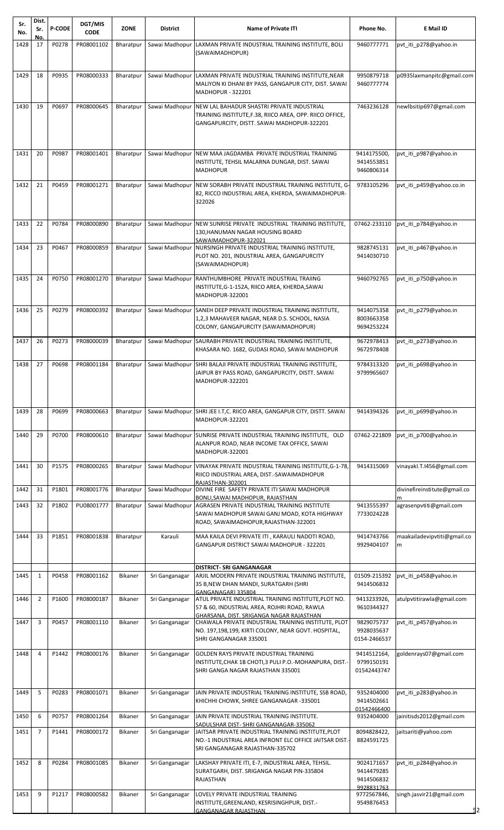| Sr.<br>No. | Dist.<br>Sr.   | <b>P-CODE</b> | DGT/MIS<br><b>CODE</b> | <b>ZONE</b>      | <b>District</b> | <b>Name of Private ITI</b>                                                                                       | Phone No.                  | E Mail ID                        |
|------------|----------------|---------------|------------------------|------------------|-----------------|------------------------------------------------------------------------------------------------------------------|----------------------------|----------------------------------|
| 1428       | No.<br>17      | P0278         | PR08001102             | Bharatpur        | Sawai Madhopur  | LAXMAN PRIVATE INDUSTRIAL TRAINING INSTITUTE, BOLI                                                               | 9460777771                 | pvt_iti_p278@yahoo.in            |
|            |                |               |                        |                  |                 | (SAWAIMADHOPUR)                                                                                                  |                            |                                  |
|            |                |               |                        |                  |                 |                                                                                                                  |                            |                                  |
| 1429       | 18             | P0935         | PR08000333             | <b>Bharatpur</b> | Sawai Madhopur  | LAXMAN PRIVATE INDUSTRIAL TRAINING INSTITUTE, NEAR<br>MALIYON KI DHANI BY PASS, GANGAPUR CITY, DIST. SAWAI       | 9950879718<br>9460777774   | p0935laxmanpitc@gmail.com        |
|            |                |               |                        |                  |                 | MADHOPUR - 322201                                                                                                |                            |                                  |
| 1430       | 19             | P0697         | PR08000645             | Bharatpur        |                 | Sawai Madhopur NEW LAL BAHADUR SHASTRI PRIVATE INDUSTRIAL                                                        | 7463236128                 | newlbsitip697@gmail.com          |
|            |                |               |                        |                  |                 | TRAINING INSTITUTE, F.38, RIICO AREA, OPP. RIICO OFFICE,<br>GANGAPURCITY, DISTT. SAWAI MADHOPUR-322201           |                            |                                  |
|            |                |               |                        |                  |                 |                                                                                                                  |                            |                                  |
|            |                |               |                        |                  |                 |                                                                                                                  |                            |                                  |
| 1431       | 20             | P0987         | PR08001401             | Bharatpur        | Sawai Madhopur  | NEW MAA JAGDAMBA PRIVATE INDUSTRIAL TRAINING<br>INSTITUTE, TEHSIL MALARNA DUNGAR, DIST. SAWAI                    | 9414175500,<br>9414553851  | pvt_iti_p987@yahoo.in            |
|            |                |               |                        |                  |                 | <b>MADHOPUR</b>                                                                                                  | 9460806314                 |                                  |
| 1432       | 21             | P0459         | PR08001271             | Bharatpur        | Sawai Madhopur  | NEW SORABH PRIVATE INDUSTRIAL TRAINING INSTITUTE, G-                                                             | 9783105296                 | pvt_iti_p459@yahoo.co.in         |
|            |                |               |                        |                  |                 | 82, RICCO INDUSTRIAL AREA, KHERDA, SAWAIMADHOPUR-<br>322026                                                      |                            |                                  |
|            |                |               |                        |                  |                 |                                                                                                                  |                            |                                  |
| 1433       | 22             | P0784         | PR08000890             | Bharatpur        | Sawai Madhopur  | NEW SUNRISE PRIVATE INDUSTRIAL TRAINING INSTITUTE,                                                               | 07462-233110               | pvt iti p784@yahoo.in            |
|            |                |               |                        |                  |                 | 130, HANUMAN NAGAR HOUSING BOARD                                                                                 |                            |                                  |
| 1434       | 23             | P0467         | PR08000859             | Bharatpur        | Sawai Madhopur  | SAWAIMADHOPUR-322021<br>NURSINGH PRIVATE INDUSTRIAL TRAINING INSTITUTE,                                          | 9828745131                 | pvt_iti_p467@yahoo.in            |
|            |                |               |                        |                  |                 | PLOT NO. 201, INDUSTRIAL AREA, GANGAPURCITY<br>(SAWAIMADHOPUR)                                                   | 9414030710                 |                                  |
|            |                |               |                        |                  |                 |                                                                                                                  |                            |                                  |
| 1435       | 24             | P0750         | PR08001270             | Bharatpur        |                 | Sawai Madhopur RANTHUMBHORE PRIVATE INDUSTRIAL TRAIING<br>INSTITUTE, G-1-152A, RIICO AREA, KHERDA, SAWAI         | 9460792765                 | pvt_iti_p750@yahoo.in            |
|            |                |               |                        |                  |                 | MADHOPUR-322001                                                                                                  |                            |                                  |
| 1436       | 25             | P0279         | PR08000392             | Bharatpur        |                 | Sawai Madhopur SANEH DEEP PRIVATE INDUSTRIAL TRAINING INSTITUTE,                                                 | 9414075358                 | pvt_iti_p279@yahoo.in            |
|            |                |               |                        |                  |                 | 1,2,3 MAHAVEER NAGAR, NEAR D.S. SCHOOL, NASIA<br>COLONY, GANGAPURCITY (SAWAIMADHOPUR)                            | 8003663358<br>9694253224   |                                  |
| 1437       | 26             | P0273         | PR08000039             | Bharatpur        | Sawai Madhopur  | SAURABH PRIVATE INDUSTRIAL TRAINING INSTITUTE,                                                                   | 9672978413                 | pvt_iti_p273@yahoo.in            |
|            |                |               |                        |                  |                 | KHASARA NO. 1682, GUDASI ROAD, SAWAI MADHOPUR                                                                    | 9672978408                 |                                  |
| 1438       | 27             | P0698         | PR08001184             | Bharatpur        |                 | Sawai Madhopur SHRI BALAJI PRIVATE INDUSTRIAL TRAINING INSTITUTE,                                                | 9784313320                 | pvt iti p698@yahoo.in            |
|            |                |               |                        |                  |                 | JAIPUR BY PASS ROAD, GANGAPURCITY, DISTT. SAWAI                                                                  | 9799965607                 |                                  |
|            |                |               |                        |                  |                 | MADHOPUR-322201                                                                                                  |                            |                                  |
|            |                |               |                        |                  |                 |                                                                                                                  |                            |                                  |
| 1439       | 28             | P0699         | PR08000663             | Bharatpur        | Sawai Madhopur  | SHRI JEE I.T,C. RIICO AREA, GANGAPUR CITY, DISTT. SAWAI                                                          | 9414394326                 | pvt iti p699@yahoo.in            |
|            |                |               |                        |                  |                 | MADHOPUR-322201                                                                                                  |                            |                                  |
| 1440       | 29             | P0700         | PR08000610             | Bharatpur        |                 | Sawai Madhopur SUNRISE PRIVATE INDUSTRIAL TRAINING INSTITUTE, OLD<br>ALANPUR ROAD, NEAR INCOME TAX OFFICE, SAWAI | 07462-221809               | pvt_iti_p700@yahoo.in            |
|            |                |               |                        |                  |                 | MADHOPUR-322001                                                                                                  |                            |                                  |
| 1441       | 30             | P1575         | PR08000265             | Bharatpur        |                 | Sawai Madhopur   VINAYAK PRIVATE INDUSTRIAL TRAINING INSTITUTE, G-1-78,                                          | 9414315069                 | vinayakl.T.I456@gmail.com        |
|            |                |               |                        |                  |                 | RIICO INDUSTRIAL AREA, DIST.-SAWAIMADHOPUR<br>RAJASTHAN-302001                                                   |                            |                                  |
| 1442       | 31             | P1801         | PR08001776             | Bharatpur        |                 | Sawai Madhopur   DIVINE FIRE SAFETY PRIVATE ITI SAWAI MADHOPUR                                                   |                            | divinefireinstitute@gmail.co     |
| 1443       | 32             | P1802         | PU08001777             | Bharatpur        |                 | BONLI, SAWAI MADHOPUR, RAJASTHAN<br>Sawai Madhopur AGRASEN PRIVATE INDUSTRIAL TRAINING INSTITUTE                 | 9413555397                 | agrasenpvtiti@gmail.com          |
|            |                |               |                        |                  |                 | SAWAI MADHOPUR SAWAI GANJ MOAD, KOTA HIGHWAY<br>ROAD, SAWAIMADHOPUR, RAJASTHAN-322001                            | 7733024228                 |                                  |
|            |                |               |                        |                  |                 |                                                                                                                  |                            |                                  |
| 1444       | 33             | P1851         | PR08001838             | Bharatpur        | Karauli         | MAA KAILA DEVI PRIVATE ITI, KARAULI NADOTI ROAD,<br>GANGAPUR DISTRICT SAWAI MADHOPUR - 322201                    | 9414743766<br>9929404107   | maakailadevipvtiti@gmail.co<br>m |
|            |                |               |                        |                  |                 |                                                                                                                  |                            |                                  |
|            |                |               |                        |                  |                 | <b>DISTRICT- SRI GANGANAGAR</b>                                                                                  |                            |                                  |
| 1445       | 1              | P0458         | PR08001162             | Bikaner          | Sri Ganganagar  | ARJIL MODERN PRIVATE INDUSTRIAL TRAINING INSTITUTE,<br>35 B, NEW DHAN MANDI, SURATGARH (SHRI                     | 01509-215392<br>9414506832 | pvt_iti_p458@yahoo.in            |
| 1446       | $\overline{2}$ | P1600         | PR08000187             | Bikaner          | Sri Ganganagar  | GANGANAGAR) 335804<br>ATUL PRIVATE INDUSTRIAL TRAINING INSTITUTE, PLOT NO.                                       | 9413233926,                | atulpvtitirawla@gmail.com        |
|            |                |               |                        |                  |                 | 57 & 60, INDUSTRIAL AREA, ROJHRI ROAD, RAWLA                                                                     | 9610344327                 |                                  |
| 1447       | 3              | P0457         | PR08001110             | Bikaner          | Sri Ganganagar  | GHARSANA, DIST, SRIGANGA NAGAR RAJASTHAN<br>CHAWALA PRIVATE INDUSTRIAL TRAINING INSTITUTE, PLOT                  | 9829075737                 | pvt iti p457@yahoo.in            |
|            |                |               |                        |                  |                 | NO. 197,198,199, KIRTI COLONY, NEAR GOVT. HOSPITAL,<br>SHRI GANGANAGAR 335001                                    | 9928035637<br>0154-2466537 |                                  |
|            |                |               |                        |                  |                 |                                                                                                                  |                            |                                  |
| 1448       | $\overline{4}$ | P1442         | PR08000176             | <b>Bikaner</b>   | Sri Ganganagar  | <b>GOLDEN RAYS PRIVATE INDUSTRIAL TRAINING</b><br>INSTITUTE, CHAK 1B CHOTI, 3 PULI P.O.-MOHANPURA, DIST.-        | 9414512164.<br>9799150191  | goldenrays07@gmail.com           |
|            |                |               |                        |                  |                 | SHRI GANGA NAGAR RAJASTHAN 335001                                                                                | 01542443747                |                                  |
|            |                |               |                        |                  |                 |                                                                                                                  |                            |                                  |
| 1449       | 5              | P0283         | PR08001071             | Bikaner          | Sri Ganganagar  | JAIN PRIVATE INDUSTRIAL TRAINING INSTITUTE, SSB ROAD,<br>KHICHHI CHOWK, SHREE GANGANAGAR -335001                 | 9352404000<br>9414502661   | pvt_iti_p283@yahoo.in            |
| 1450       | 6              | P0757         | PR08001264             | Bikaner          | Sri Ganganagar  | JAIN PRIVATE INDUSTRIAL TRAINING INSTITUTE.                                                                      | 01542466400<br>9352404000  | jainitisds2012@gmail.com         |
|            |                |               |                        |                  |                 | SADULSHAR DIST- SHRI GANGANAGAR-335062                                                                           |                            |                                  |
| 1451       | $\overline{7}$ | P1441         | PR08000172             | Bikaner          | Sri Ganganagar  | JAITSAR PRIVATE INDUSTRIAL TRAINING INSTITUTE, PLOT<br>NO.-1 INDUSTRIAL AREA INFRONT ELC OFFICE JAITSAR DIST.-   | 8094828422,<br>8824591725  | jaitsariti@yahoo.com             |
|            |                |               |                        |                  |                 | SRI GANGANAGAR RAJASTHAN-335702                                                                                  |                            |                                  |
| 1452       | 8              | P0284         | PR08001085             | Bikaner          | Sri Ganganagar  | LAKSHAY PRIVATE ITI, E-7, INDUSTRIAL AREA, TEHSIL.                                                               | 9024171657                 | pvt_iti_p284@yahoo.in            |
|            |                |               |                        |                  |                 | SURATGARH, DIST. SRIGANGA NAGAR PIN-335804<br>RAJASTHAN                                                          | 9414479285<br>9414506832   |                                  |
|            | 9              | P1217         |                        |                  |                 |                                                                                                                  | 9928831763                 |                                  |
| 1453       |                |               | PR08000582             | Bikaner          | Sri Ganganagar  | LOVELY PRIVATE INDUSTRIAL TRAINING<br>INSTITUTE, GREENLAND, KESRISINGHPUR, DIST.-                                | 9772567846,<br>9549876453  | singh.jasvir21@gmail.com         |
|            |                |               |                        |                  |                 | <b>GANGANAGAR RAJASTHAN</b>                                                                                      |                            | 52                               |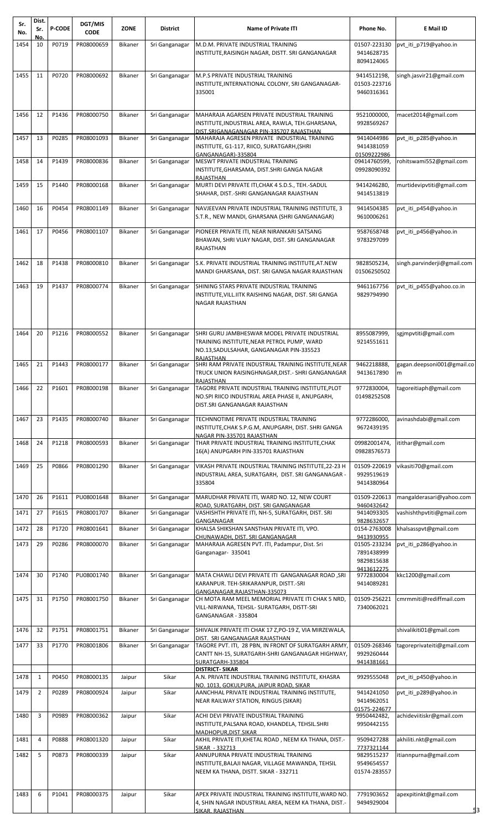| Sr.          | Dist.          | <b>P-CODE</b>  | DGT/MIS                  | <b>ZONE</b>        | <b>District</b>                  | <b>Name of Private ITI</b>                                                                                                                                               | Phone No.                                  | E Mail ID                                             |
|--------------|----------------|----------------|--------------------------|--------------------|----------------------------------|--------------------------------------------------------------------------------------------------------------------------------------------------------------------------|--------------------------------------------|-------------------------------------------------------|
| No.          | Sr.<br>No.     |                | <b>CODE</b>              |                    |                                  |                                                                                                                                                                          |                                            |                                                       |
| 1454         | 10             | P0719          | PR08000659               | Bikaner            | Sri Ganganagar                   | M.D.M. PRIVATE INDUSTRIAL TRAINING<br>INSTITUTE,RAISINGH NAGAR, DISTT. SRI GANGANAGAR                                                                                    | 01507-223130<br>9414628735<br>8094124065   | pvt_iti_p719@yahoo.in                                 |
| 1455         | 11             | P0720          | PR08000692               | Bikaner            | Sri Ganganagar                   | M.P.S PRIVATE INDUSTRIAL TRAINING                                                                                                                                        | 9414512198,                                | singh.jasvir21@gmail.com                              |
|              |                |                |                          |                    |                                  | INSTITUTE,INTERNATIONAL COLONY, SRI GANGANAGAR-<br>335001                                                                                                                | 01503-223716<br>9460316361                 |                                                       |
| 1456         | 12             | P1436          | PR08000750               | Bikaner            | Sri Ganganagar                   | MAHARAJA AGARSEN PRIVATE INDUSTRIAL TRAINING<br>INSTITUTE, INDUSTRIAL AREA, RAWLA, TEH.GHARSANA,<br>DIST.SRIGANAGANAGAR PIN-335707 RAJASTHAN                             | 9521000000,<br>9928569267                  | macet2014@gmail.com                                   |
| 1457         | 13             | P0285          | PR08001093               | <b>Bikaner</b>     | Sri Ganganagar                   | MAHARAJA AGRESEN PRIVATE INDUSTRIAL TRAINING<br>INSTITUTE, G1-117, RIICO, SURATGARH,(SHRI                                                                                | 9414044986<br>9414381059                   | pvt_iti_p285@yahoo.in                                 |
| 1458         | 14             | P1439          | PR08000836               | Bikaner            | Sri Ganganagar                   | GANGANAGAR)-335804<br>MESWT PRIVATE INDUSTRIAL TRAINING<br>INSTITUTE, GHARSAMA, DIST. SHRI GANGA NAGAR<br>RAJASTHAN                                                      | 01509222986<br>09414760599,<br>09928090392 | rohitswami552@gmail.com                               |
| 1459         | 15             | P1440          | PR08000168               | Bikaner            | Sri Ganganagar                   | MURTI DEVI PRIVATE ITI, CHAK 4 S.D.S., TEH.-SADUL<br>SHAHAR, DIST.-SHRI GANGANAGAR RAJASTHAN                                                                             | 9414246280,<br>9414513819                  | murtidevipvtiti@gmail.com                             |
| 1460         | 16             | P0454          | PR08001149               | Bikaner            | Sri Ganganagar                   | NAVJEEVAN PRIVATE INDUSTRIAL TRAINING INSTITUTE, 3<br>S.T.R., NEW MANDI, GHARSANA (SHRI GANGANAGAR)                                                                      | 9414504385<br>9610006261                   | pvt_iti_p454@yahoo.in                                 |
| 1461         | 17             | P0456          | PR08001107               | Bikaner            | Sri Ganganagar                   | PIONEER PRIVATE ITI, NEAR NIRANKARI SATSANG<br>BHAWAN, SHRI VIJAY NAGAR, DIST. SRI GANGANAGAR<br>RAJASTHAN                                                               | 9587658748<br>9783297099                   | pvt_iti_p456@yahoo.in                                 |
| 1462         | 18             | P1438          | PR08000810               | Bikaner            | Sri Ganganagar                   | S.K. PRIVATE INDUSTRIAL TRAINING INSTITUTE, AT.NEW<br>MANDI GHARSANA, DIST. SRI GANGA NAGAR RAJASTHAN                                                                    | 9828505234,<br>01506250502                 | singh.parvinderji@gmail.com                           |
| 1463         | 19             | P1437          | PR08000774               | Bikaner            | Sri Ganganagar                   | SHINING STARS PRIVATE INDUSTRIAL TRAINING<br>INSTITUTE,VILL.IITK RAISHING NAGAR, DIST. SRI GANGA<br><b>NAGAR RAJASTHAN</b>                                               | 9461167756<br>9829794990                   | pvt_iti_p455@yahoo.co.in                              |
| 1464         | 20             | P1216          | PR08000552               | Bikaner            | Sri Ganganagar                   | SHRI GURU JAMBHESWAR MODEL PRIVATE INDUSTRIAL                                                                                                                            | 8955087999,                                | sgjmpvtiti@gmail.com                                  |
| 1465         | 21             | P1443          | PR08000177               | <b>Bikaner</b>     | Sri Ganganagar                   | TRAINING INSTITUTE,NEAR PETROL PUMP, WARD<br>NO.13, SADULSAHAR, GANGANAGAR PIN-335523<br>RAJASTHAN<br>SHRI RAM PRIVATE INDUSTRIAL TRAINING INSTITUTE, NEAR               | 9214551611<br>9462218888,                  | gagan.deepsoni001@gmail.co                            |
|              |                |                |                          |                    |                                  | TRUCK UNION RAISINGHNAGAR, DIST. - SHRI GANGANAGAR<br>RAJASTHAN                                                                                                          | 9413617890                                 | m                                                     |
| 1466 22      |                | P1601          | PR08000198               | Bikaner            | Sri Ganganagar                   | TAGORE PRIVATE INDUSTRIAL TRAINING INSTITUTE, PLOT<br>NO.SPI RIICO INDUSTRIAL AREA PHASE II, ANUPGARH,<br>DIST.SRI GANGANAGAR RAJASTHAN                                  | 9772830004,<br>01498252508                 | tagoreitiaph@gmail.com                                |
| 1467         | 23             | P1435          | PR08000740               | Bikaner            | Sri Ganganagar                   | TECHNNOTIME PRIVATE INDUSTRIAL TRAINING<br>INSTITUTE, CHAK S.P.G.M, ANUPGARH, DIST. SHRI GANGA<br>NAGAR PIN-335701 RAJASTHAN                                             | 9772286000,<br>9672439195                  | avinashdabi@gmail.com                                 |
| 1468         | 24             | P1218          | PR08000593               | Bikaner            | Sri Ganganagar                   | THAR PRIVATE INDUSTRIAL TRAINING INSTITUTE, CHAK<br>16(A) ANUPGARH PIN-335701 RAJASTHAN                                                                                  | 09982001474,<br>09828576573                | itithar@gmail.com                                     |
| 1469         | 25             | P0866          | PR08001290               | <b>Bikaner</b>     | Sri Ganganagar                   | VIKASH PRIVATE INDUSTRIAL TRAINING INSTITUTE,22-23 H<br>INDUSTRIAL AREA, SURATGARH, DIST. SRI GANGANAGAR -<br>335804                                                     | 01509-220619<br>9929519619<br>9414380964   | vikasiti70@gmail.com                                  |
| 1470         | 26             | P1611          | PU08001648               | Bikaner            | Sri Ganganagar                   | MARUDHAR PRIVATE ITI, WARD NO. 12, NEW COURT<br>ROAD, SURATGARH, DIST. SRI GANGANAGAR                                                                                    | 01509-220613<br>9460432642                 | mangalderasari@yahoo.com                              |
| 1471<br>1472 | 27<br>28       | P1615<br>P1720 | PR08001707<br>PR08001641 | Bikaner<br>Bikaner | Sri Ganganagar<br>Sri Ganganagar | VASHISHTH PRIVATE ITI, NH-5, SURATGARH, DIST. SRI<br>GANGANAGAR<br>KHALSA SHIKSHAN SANSTHAN PRIVATE ITI, VPO.                                                            | 9414093305<br>9828632657<br>0154-2763008   | vashishthpvtiti@gmail.com<br>khalsasspvt@gmail.com    |
| 1473         | 29             | P0286          | PR08000070               | Bikaner            | Sri Ganganagar                   | CHUNAWADH, DIST. SRI GANGANAGAR<br>MAHARAJA AGRESEN PVT. ITI, Padampur, Dist. Sri                                                                                        | 9413930955<br>01505-233234                 | pvt_iti_p286@yahoo.in                                 |
|              |                |                |                          |                    |                                  | Ganganagar- 335041                                                                                                                                                       | 7891438999<br>9829815638                   |                                                       |
| 1474         | 30             | P1740          | PU08001740               | Bikaner            | Sri Ganganagar                   | MATA CHAWLI DEVI PRIVATE ITI GANGANAGAR ROAD, SRI                                                                                                                        | 9413612275<br>9772830004                   | kkc1200@gmail.com                                     |
| 1475         | 31             | P1750          | PR08001750               | Bikaner            | Sri Ganganagar                   | KARANPUR. TEH-SRIKARANPUR, DISTT.-SRI<br>GANGANAGAR, RAJASTHAN-335073<br>CH MOTA RAM MEEL MEMORIAL PRIVATE ITI CHAK 5 NRD,<br>VILL-NIRWANA, TEHSIL- SURATGARH, DISTT-SRI | 9414089281<br>01509-256221<br>7340062021   | cmrmmiti@rediffmail.com                               |
|              |                |                |                          |                    |                                  | GANGANAGAR - 335804                                                                                                                                                      |                                            |                                                       |
| 1476<br>1477 | 32<br>33       | P1751<br>P1770 | PR08001751<br>PR08001806 | Bikaner<br>Bikaner | Sri Ganganagar<br>Sri Ganganagar | SHIVALIK PRIVATE ITI CHAK 17 Z, PO-19 Z, VIA MIRZEWALA,<br>DIST. SRI GANGANAGAR RAJASTHAN<br>TAGORE PVT. ITI, 28 PBN, IN FRONT OF SURATGARH ARMY,                        | 01509-268346                               | shivalikiti01@gmail.com<br>tagoreprivateiti@gmail.com |
|              |                |                |                          |                    |                                  | CANTT NH-15, SURATGARH-SHRI GANGANAGAR HIGHWAY,<br>SURATGARH-335804                                                                                                      | 9929260444<br>9414381661                   |                                                       |
| 1478         | $\mathbf{1}$   | P0450          | PR08000135               | Jaipur             | Sikar                            | <b>DISTRICT-SIKAR</b><br>A.N. PRIVATE INDUSTRIAL TRAINING INSTITUTE, KHASRA                                                                                              | 9929555048                                 | pvt iti p450@yahoo.in                                 |
| 1479         | $\overline{2}$ | P0289          | PR08000924               | Jaipur             | Sikar                            | NO. 1013, GOKULPURA, JAIPUR ROAD, SIKAR<br>AANCHHAL PRIVATE INDUSTRIAL TRAINING INSTITUTE,                                                                               | 9414241050                                 | pvt iti p289@yahoo.in                                 |
| 1480         | 3              | P0989          | PR08000362               | Jaipur             | Sikar                            | NEAR RAILWAY STATION, RINGUS (SIKAR)<br>ACHI DEVI PRIVATE INDUSTRIAL TRAINING                                                                                            | 9414962051<br>01575-224677<br>9950442482,  | achideviitiskr@gmail.com                              |
| 1481         | 4              | P0888          | PR08001320               | Jaipur             | Sikar                            | INSTITUTE,PALSANA ROAD, KHANDELA, TEHSIL.SHRI<br>MADHOPUR, DIST. SIKAR<br>AKHIL PRIVATE ITI, KHETAL ROAD, NEEM KA THANA, DIST.-                                          | 9950442155<br>9509427288                   | akhiliti.nkt@gmail.com                                |
|              | 5              |                |                          |                    |                                  | SIKAR - 332713                                                                                                                                                           | 7737321144                                 |                                                       |
| 1482         |                | P0873          | PR08000339               | Jaipur             | Sikar                            | ANNUPURNA PRIVATE INDUSTRIAL TRAINING<br>INSTITUTE, BALAJI NAGAR, VILLAGE MAWANDA, TEHSIL<br>NEEM KA THANA, DISTT. SIKAR - 332711                                        | 9829515237<br>9549654557<br>01574-283557   | itiannpurna@gmail.com                                 |
| 1483         | 6              | P1041          | PR08000375               | Jaipur             | Sikar                            | APEX PRIVATE INDUSTRIAL TRAINING INSTITUTE, WARD NO.<br>4, SHIN NAGAR INDUSTRIAL AREA, NEEM KA THANA, DIST.-<br>SIKAR, RAJASTHAN                                         | 7791903652<br>9494929004                   | apexpitinkt@gmail.com                                 |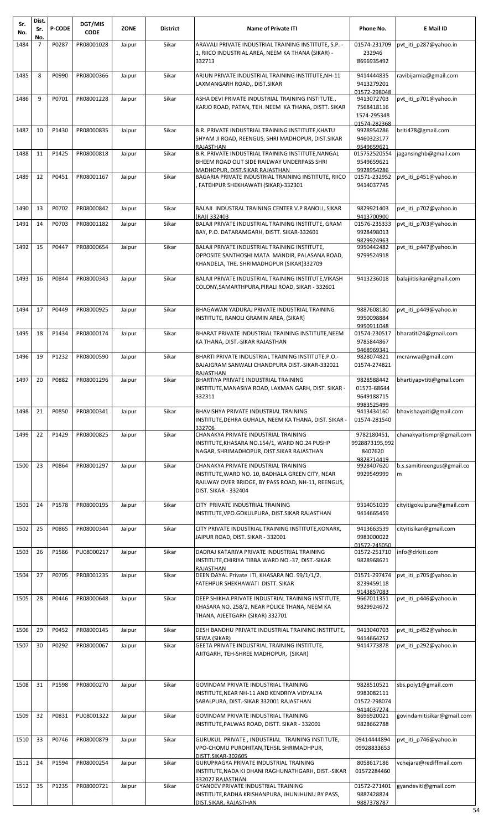| Sr.<br>No. | Dist.<br>Sr. | <b>P-CODE</b> | DGT/MIS<br><b>CODE</b> | <b>ZONE</b> | <b>District</b> | <b>Name of Private ITI</b>                                                                                                                                            | Phone No.                                               | E Mail ID                       |
|------------|--------------|---------------|------------------------|-------------|-----------------|-----------------------------------------------------------------------------------------------------------------------------------------------------------------------|---------------------------------------------------------|---------------------------------|
| 1484       | No.<br>7     | P0287         | PR08001028             | Jaipur      | Sikar           | ARAVALI PRIVATE INDUSTRIAL TRAINING INSTITUTE, S.P. -                                                                                                                 | 01574-231709                                            | pvt iti p287@yahoo.in           |
|            |              |               |                        |             |                 | 1, RIICO INDUSTRIAL AREA, NEEM KA THANA (SIKAR) -<br>332713                                                                                                           | 232946<br>8696935492                                    |                                 |
| 1485       | 8            | P0990         | PR08000366             | Jaipur      | Sikar           | ARJUN PRIVATE INDUSTRIAL TRAINING INSTITUTE, NH-11<br>LAXMANGARH ROAD,, DIST.SIKAR                                                                                    | 9414444835<br>9413279201<br>01572-298048                | ravibijarnia@gmail.com          |
| 1486       | 9            | P0701         | PR08001228             | Jaipur      | Sikar           | ASHA DEVI PRIVATE INDUSTRIAL TRAINING INSTITUTE.,<br>KARJO ROAD, PATAN, TEH. NEEM KA THANA, DISTT. SIKAR                                                              | 9413072703<br>7568418116<br>1574-295348<br>01574-282368 | pvt iti p701@yahoo.in           |
| 1487       | 10           | P1430         | PR08000835             | Jaipur      | Sikar           | B.R. PRIVATE INDUSTRIAL TRAINING INSTITUTE, KHATU                                                                                                                     | 9928954286                                              | briti478@gmail.com              |
|            |              |               |                        |             |                 | SHYAM JI ROAD, REENGUS, SHRI MADHOPUR, DIST.SIKAR<br>RAJASTHAN                                                                                                        | 9460323177<br>9549659621                                |                                 |
| 1488       | 11           | P1425         | PR08000818             | Jaipur      | Sikar           | B.R. PRIVATE INDUSTRIAL TRAINING INSTITUTE, NANGAL<br>BHEEM ROAD OUT SIDE RAILWAY UNDERPASS SHRI<br>MADHOPUR, DIST.SIKAR RAJASTHAN                                    | 015752520554<br>9549659621<br>9928954286                | jagansinghb@gmail.com           |
| 1489       | 12           | P0451         | PR08001167             | Jaipur      | Sikar           | BAGARIA PRIVATE INDUSTRIAL TRAINING INSTITUTE, RIICO<br>FATEHPUR SHEKHAWATI (SIKAR)-332301                                                                            | 01571-232952<br>9414037745                              | pvt iti p451@yahoo.in           |
| 1490       | 13           | P0702         | PR08000842             | Jaipur      | Sikar           | BALAJI INDUSTRAL TRAINING CENTER V.P RANOLI, SIKAR                                                                                                                    | 9829921403                                              | pvt iti p702@yahoo.in           |
| 1491       | 14           | P0703         | PR08001182             | Jaipur      | Sikar           | (RAJ) 332403<br>BALAJI PRIVATE INDUSTRIAL TRAINING INSTITUTE, GRAM<br>BAY, P.O. DATARAMGARH, DISTT. SIKAR-332601                                                      | 9413700900<br>01576-235333<br>9928498013                | pvt iti p703@yahoo.in           |
| 1492       | 15           | P0447         | PR08000654             |             | Sikar           | BALAJI PRIVATE INDUSTRIAL TRAINING INSTITUTE,                                                                                                                         | 9829924963                                              | pvt iti p447@yahoo.in           |
|            |              |               |                        | Jaipur      |                 | OPPOSITE SANTHOSHI MATA MANDIR, PALASANA ROAD,<br>KHANDELA, THE. SHRIMADHOPUR (SIKAR)332709                                                                           | 9950442482<br>9799524918                                |                                 |
| 1493       | 16           | P0844         | PR08000343             | Jaipur      | Sikar           | BALAJI PRIVATE INDUSTRIAL TRAINING INSTITUTE, VIKASH<br>COLONY,SAMARTHPURA,PIRALI ROAD, SIKAR - 332601                                                                | 9413236018                                              | balajiitisikar@gmail.com        |
| 1494       | 17           | P0449         | PR08000925             | Jaipur      | Sikar           | BHAGAWAN YADURAJ PRIVATE INDUSTRIAL TRAINING<br>INSTITUTE, RANOLI GRAMIN AREA, (SIKAR)                                                                                | 9887608180<br>9950098884                                | pvt_iti_p449@yahoo.in           |
| 1495       | 18           | P1434         | PR08000174             | Jaipur      | Sikar           | BHARAT PRIVATE INDUSTRIAL TRAINING INSTITUTE, NEEM<br>KA THANA, DIST.-SIKAR RAJASTHAN                                                                                 | 9950911048<br>01574-230517<br>9785844867<br>9468969341  | bharatiti24@gmail.com           |
| 1496       | 19           | P1232         | PR08000590             | Jaipur      | Sikar           | BHARTI PRIVATE INDUSTRIAL TRAINING INSTITUTE, P.O.-<br>BAJAJGRAM SANWALI CHANDPURA DIST.-SIKAR-332021                                                                 | 9828074821<br>01574-274821                              | mcranwa@gmail.com               |
| 1497       | 20           | P0882         | PR08001296             | Jaipur      | Sikar           | RAJASTHAN<br>BHARTIYA PRIVATE INDUSTRIAL TRAINING<br>INSTITUTE, MANASIYA ROAD, LAXMAN GARH, DIST. SIKAR -<br>332311                                                   | 9828588442<br>01573-68644<br>9649188715                 | bhartiyapvtiti@gmail.com        |
| 1498       | 21           | P0850         | PR08000341             | Jaipur      | Sikar           | BHAVISHYA PRIVATE INDUSTRIAL TRAINING<br>INSTITUTE, DEHRA GUHALA, NEEM KA THANA, DIST. SIKAR -                                                                        | 9983525499<br>9413434160<br>01574-281540                | bhavishayaiti@gmail.com         |
| 1499       | 22           | P1429         | PR08000825             | Jaipur      | Sikar           | 332706<br>CHANAKYA PRIVATE INDUSTRIAL TRAINING                                                                                                                        | 9782180451,                                             | chanakyaitismpr@gmail.com       |
|            |              |               |                        |             |                 | INSTITUTE, KHASARA NO.154/1, WARD NO.24 PUSHP<br>NAGAR, SHRIMADHOPUR, DIST.SIKAR RAJASTHAN                                                                            | 9928873195,992<br>8407620<br>9828714419                 |                                 |
| 1500       | 23           | P0864         | PR08001297             | Jaipur      | Sikar           | CHANAKYA PRIVATE INDUSTRIAL TRAINING<br>INSTITUTE,WARD NO. 10, BADHALA GREEN CITY, NEAR<br>RAILWAY OVER BRIDGE, BY PASS ROAD, NH-11, REENGUS,<br>DIST. SIKAR - 332404 | 9928407620<br>9929549999                                | b.s.samitireengus@gmail.co<br>m |
| 1501       | 24           | P1578         | PR08000195             | Jaipur      | Sikar           | CITY PRIVATE INDUSTRIAL TRAINING<br>INSTITUTE,VPO.GOKULPURA, DIST.SIKAR RAJASTHAN                                                                                     | 9314051039<br>9414665459                                | cityitigokulpura@gmail.com      |
| 1502       | 25           | P0865         | PR08000344             | Jaipur      | Sikar           | CITY PRIVATE INDUSTRIAL TRAINING INSTITUTE, KONARK,<br>JAIPUR ROAD, DIST. SIKAR - 332001                                                                              | 9413663539<br>9983000022                                | cityitisikar@gmail.com          |
| 1503       | 26           | P1586         | PU08000217             | Jaipur      | Sikar           | DADRAJ KATARIYA PRIVATE INDUSTRIAL TRAINING<br>INSTITUTE,CHIRIYA TIBBA WARD NO.-37, DIST.-SIKAR<br>RAJASTHAN                                                          | 01572-245050<br>01572-251710<br>9828968621              | info@drkiti.com                 |
| 1504       | 27           | P0705         | PR08001235             | Jaipur      | Sikar           | DEEN DAYAL Private ITI, KHASARA NO. 99/1/1/2,<br>FATEHPUR SHEKHAWATI DISTT. SIKAR                                                                                     | 01571-297474<br>8239459118<br>9143857083                | pvt iti p705@yahoo.in           |
| 1505       | 28           | P0446         | PR08000648             | Jaipur      | Sikar           | DEEP SHIKHA PRIVATE INDUSTRIAL TRAINING INSTITUTE,<br>KHASARA NO. 258/2, NEAR POLICE THANA, NEEM KA<br>THANA, AJEETGARH (SIKAR) 332701                                | 9667011351<br>9829924672                                | pvt iti p446@yahoo.in           |
| 1506       | 29           | P0452         | PR08000145             | Jaipur      | Sikar           | DESH BANDHU PRIVATE INDUSTRIAL TRAINING INSTITUTE,                                                                                                                    | 9413040703                                              | pvt iti p452@yahoo.in           |
| 1507       | 30           | P0292         | PR08000067             | Jaipur      | Sikar           | SEWA (SIKAR)<br>GEETA PRIVATE INDUSTRIAL TRAINING INSTITUTE,<br>AJITGARH, TEH-SHREE MADHOPUR, (SIKAR)                                                                 | 9414664252<br>9414773878                                | pvt iti p292@yahoo.in           |
|            |              |               |                        |             |                 |                                                                                                                                                                       |                                                         |                                 |
| 1508       | 31           | P1598         | PR08000270             | Jaipur      | Sikar           | GOVINDAM PRIVATE INDUSTRIAL TRAINING<br>INSTITUTE,NEAR NH-11 AND KENDRIYA VIDYALYA<br>SABALPURA, DIST.-SIKAR 332001 RAJASTHAN                                         | 9828510521<br>9983082111<br>01572-298074<br>9414037274  | sbs.poly1@gmail.com             |
| 1509       | 32           | P0831         | PU08001322             | Jaipur      | Sikar           | GOVINDAM PRIVATE INDUSTRIAL TRAINING<br>INSTITUTE,PALWAS ROAD, DISTT. SIKAR - 332001                                                                                  | 8696920021<br>9828662788                                | govindamitisikar@gmail.com      |
| 1510       | 33           | P0746         | PR08000879             | Jaipur      | Sikar           | GURUKUL PRIVATE, INDUSTRIAL TRAINING INSTITUTE,<br>VPO-CHOMU PUROHITAN, TEHSIL SHRIMADHPUR,                                                                           | 09414444894<br>09928833653                              | pvt iti p746@yahoo.in           |
| 1511       | 34           | P1594         | PR08000254             | Jaipur      | Sikar           | DISTT.SIKAR-302605<br>GURUPRAGYA PRIVATE INDUSTRIAL TRAINING                                                                                                          | 8058617186                                              | vchejara@rediffmail.com         |
|            |              |               |                        |             |                 | INSTITUTE, NADA KI DHANI RAGHUNATHGARH, DIST.-SIKAR<br>332027 RAJASTHAN                                                                                               | 01572284460                                             |                                 |
| 1512       | 35           | P1235         | PR08000721             | Jaipur      | Sikar           | GYANDEV PRIVATE INDUSTRIAL TRAINING<br>INSTITUTE, RADHA KRISHANPURA, JHUNJHUNU BY PASS,                                                                               | 01572-271401<br>9887428824                              | gyandeviti@gmail.com            |
|            |              |               |                        |             |                 | DIST.SIKAR. RAJASTHAN                                                                                                                                                 | 9887378787                                              |                                 |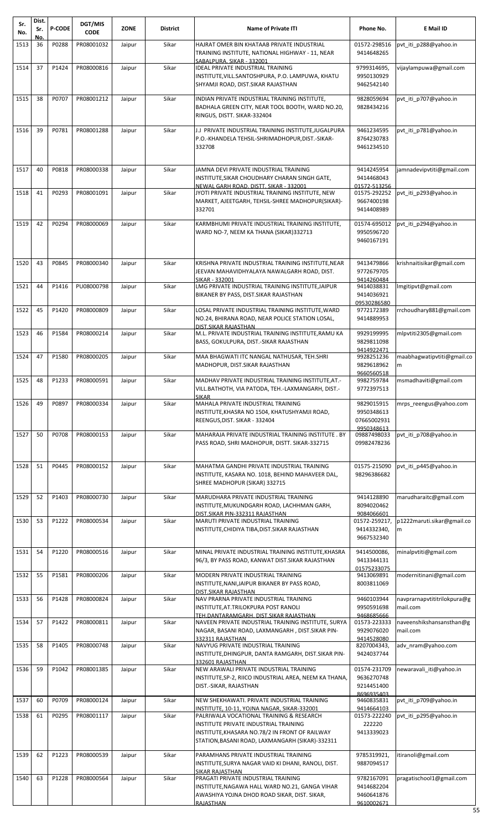| Sr.<br>No. | Dist.<br>Sr.<br>No. | <b>P-CODE</b> | DGT/MIS<br><b>CODE</b> | <b>ZONE</b> | <b>District</b> | <b>Name of Private ITI</b>                                                                                                                                                                                                            | Phone No.                                              | E Mail ID                               |
|------------|---------------------|---------------|------------------------|-------------|-----------------|---------------------------------------------------------------------------------------------------------------------------------------------------------------------------------------------------------------------------------------|--------------------------------------------------------|-----------------------------------------|
| 1513       | 36                  | P0288         | PR08001032             | Jaipur      | Sikar           | HAJRAT OMER BIN KHATAAB PRIVATE INDUSTRIAL<br>TRAINING INSTITUTE, NATIONAL HIGHWAY - 11, NEAR<br>SABALPURA, SIKAR - 332001                                                                                                            | 01572-298516<br>9414648265                             | pvt_iti_p288@yahoo.in                   |
| 1514       | 37                  | P1424         | PR08000816             | Jaipur      | Sikar           | IDEAL PRIVATE INDUSTRIAL TRAINING<br>INSTITUTE, VILL. SANTOSHPURA, P.O. LAMPUWA, KHATU<br>SHYAMJI ROAD, DIST.SIKAR RAJASTHAN                                                                                                          | 9799314695,<br>9950130929<br>9462542140                | vijaylampuwa@gmail.com                  |
| 1515       | 38                  | P0707         | PR08001212             | Jaipur      | Sikar           | INDIAN PRIVATE INDUSTRIAL TRAINING INSTITUTE,<br>BADHALA GREEN CITY, NEAR TOOL BOOTH, WARD NO.20,<br>RINGUS, DISTT. SIKAR-332404                                                                                                      | 9828059694<br>9828434216                               | pvt iti p707@yahoo.in                   |
| 1516       | 39                  | P0781         | PR08001288             | Jaipur      | Sikar           | J.J PRIVATE INDUSTRIAL TRAINING INSTITUTE, JUGALPURA<br>P.O.-KHANDELA TEHSIL-SHRIMADHOPUR, DIST.-SIKAR-<br>332708                                                                                                                     | 9461234595<br>8764230783<br>9461234510                 | pvt_iti_p781@yahoo.in                   |
| 1517       | 40                  | P0818         | PR08000338             | Jaipur      | Sikar           | JAMNA DEVI PRIVATE INDUSTRIAL TRAINING<br>INSTITUTE, SIKAR CHOUDHARY CHARAN SINGH GATE,<br><u>NEWAL GARH ROAD, DISTT. SIKAR - 332001</u>                                                                                              | 9414245954<br>9414468043<br>01572-513256               | jamnadevipvtiti@gmail.com               |
| 1518       | 41                  | P0293         | PR08001091             | Jaipur      | Sikar           | JYOTI PRIVATE INDUSTRIAL TRAINING INSTITUTE, NEW<br>MARKET, AJEETGARH, TEHSIL-SHREE MADHOPUR(SIKAR)-<br>332701                                                                                                                        | 01575-292252<br>9667400198<br>9414408989               | pvt iti p293@yahoo.in                   |
| 1519       | 42                  | P0294         | PR08000069             | Jaipur      | Sikar           | KARMBHUMI PRIVATE INDUSTRIAL TRAINING INSTITUTE,<br>WARD NO-7, NEEM KA THANA (SIKAR)332713                                                                                                                                            | 01574-695012<br>9950596720<br>9460167191               | pvt iti p294@yahoo.in                   |
| 1520       | 43                  | P0845         | PR08000340             | Jaipur      | Sikar           | KRISHNA PRIVATE INDUSTRIAL TRAINING INSTITUTE, NEAR<br>JEEVAN MAHAVIDHYALAYA NAWALGARH ROAD, DIST.<br>SIKAR - 332001                                                                                                                  | 9413479866<br>9772679705<br>9414260484                 | krishnaitisikar@gmail.com               |
| 1521       | 44                  | P1416         | PU08000798             | Jaipur      | Sikar           | LMG PRIVATE INDUSTRIAL TRAINING INSTITUTE, JAIPUR<br>BIKANER BY PASS, DIST.SIKAR RAJASTHAN                                                                                                                                            | 9414038831<br>9414036921<br>09530286580                | Imgitipvt@gmail.com                     |
| 1522       | 45                  | P1420         | PR08000809             | Jaipur      | Sikar           | LOSAL PRIVATE INDUSTRIAL TRAINING INSTITUTE,WARD<br>NO.24, BHIRANA ROAD, NEAR POLICE STATION LOSAL,<br>DIST.SIKAR RAJASTHAN                                                                                                           | 9772172389<br>9414889953                               | rrchoudhary881@gmail.com                |
| 1523       | 46                  | P1584         | PR08000214             | Jaipur      | Sikar           | M.L. PRIVATE INDUSTRIAL TRAINING INSTITUTE, RAMU KA<br>BASS, GOKULPURA, DIST.-SIKAR RAJASTHAN                                                                                                                                         | 9929199995<br>9829811098<br>9414922471                 | mlpvtiti2305@gmail.com                  |
| 1524       | 47                  | P1580         | PR08000205             | Jaipur      | Sikar           | MAA BHAGWATI ITC NANGAL NATHUSAR, TEH.SHRI<br>MADHOPUR, DIST.SIKAR RAJASTHAN                                                                                                                                                          | 9928251236<br>9829618962<br>9660560518                 | maabhagwatipvtiti@gmail.co<br>m         |
| 1525       | 48                  | P1233         | PR08000591             | Jaipur      | Sikar           | MADHAV PRIVATE INDUSTRIAL TRAINING INSTITUTE, AT.-<br>VILL. BATHOTH, VIA PATODA, TEH.-LAXMANGARH, DIST.-<br><b>SIKAR</b>                                                                                                              | 9982759784<br>9772397513                               | msmadhaviti@gmail.com                   |
| 1526       | 49                  | P0897         | PR08000334             | Jaipur      | Sikar           | MAHALA PRIVATE INDUSTRIAL TRAINING<br>INSTITUTE, KHASRA NO 1504, KHATUSHYAMJI ROAD,<br>REENGUS, DIST. SIKAR - 332404                                                                                                                  | 9829015915<br>9950348613<br>07665002931<br>9950348613  | mrps_reengus@yahoo.com                  |
| 1527       | 50                  | P0708         | PR08000153             | Jaipur      | Sikar           | MAHARAJA PRIVATE INDUSTRIAL TRAINING INSTITUTE. BY<br>PASS ROAD, SHRI MADHOPUR, DISTT. SIKAR-332715                                                                                                                                   | 09887498033<br>09982478236                             | pvt_iti_p708@yahoo.in                   |
| 1528       | 51                  | P0445         | PR08000152             | Jaipur      | Sikar           | MAHATMA GANDHI PRIVATE INDUSTRIAL TRAINING<br>INSTITUTE, KASARA NO. 1018, BEHIND MAHAVEER DAL,<br>SHREE MADHOPUR (SIKAR) 332715                                                                                                       | 01575-215090<br>98296386682                            | pvt iti p445@yahoo.in                   |
| 1529       | 52                  | P1403         | PR08000730             | Jaipur      | Sikar           | MARUDHARA PRIVATE INDUSTRIAL TRAINING<br>INSTITUTE, MUKUNDGARH ROAD, LACHHMAN GARH,<br>DIST.SIKAR PIN-332311 RAJASTHAN                                                                                                                | 9414128890<br>8094020462<br>9084066601                 | marudharaitc@gmail.com                  |
| 1530       | 53                  | P1222         | PR08000534             | Jaipur      | Sikar           | MARUTI PRIVATE INDUSTRIAL TRAINING<br>INSTITUTE, CHIDIYA TIBA, DIST. SIKAR RAJASTHAN                                                                                                                                                  | 01572-259217,<br>9414332340,<br>9667532340             | p1222maruti.sikar@gmail.co<br>m         |
| 1531       | 54                  | P1220         | PR08000516             | Jaipur      | Sikar           | MINAL PRIVATE INDUSTRIAL TRAINING INSTITUTE, KHASRA<br>96/3, BY PASS ROAD, KANWAT DIST. SIKAR RAJASTHAN                                                                                                                               | 9414500086,<br>9413344131<br>01575233075               | minalpvtiti@gmail.com                   |
| 1532       | 55                  | P1581         | PR08000206             | Jaipur      | Sikar           | MODERN PRIVATE INDUSTRIAL TRAINING<br>INSTITUTE, NANI, JAIPUR BIKANER BY PASS ROAD,<br>DIST.SIKAR RAJASTHAN                                                                                                                           | 9413069891<br>8003811069                               | modernitinani@gmail.com                 |
| 1533       | 56                  | P1428         | PR08000824             | Jaipur      | Sikar           | NAV PRARNA PRIVATE INDUSTRIAL TRAINING<br>INSTITUTE, AT. TRILOKPURA POST RANOLI<br>TEH.DANTARAMGARH, DIST.SIKAR RAJASTHAN                                                                                                             | 9460103944<br>9950591698<br>9468685666                 | navprarnapvtititrilokpura@g<br>mail.com |
| 1534       | 57                  | P1422         | PR08000811             | Jaipur      | Sikar           | NAVEEN PRIVATE INDUSTRIAL TRAINING INSTITUTE, SURYA<br>NAGAR, BASANI ROAD, LAXMANGARH, DIST.SIKAR PIN-<br>332311 RAJASTHAN                                                                                                            | 01573-223333<br>9929076020<br>9414528080               | naveenshikshansansthan@g<br>mail.com    |
| 1535       | 58                  | P1405         | PR08000748             | Jaipur      | Sikar           | NAVYUG PRIVATE INDUSTRIAL TRAINING<br>INSTITUTE, DHINGPUR, DANTA RAMGARH, DIST. SIKAR PIN-<br>332601 RAJASTHAN                                                                                                                        | 8207004343,<br>9424037744                              | adv nram@yahoo.com                      |
| 1536       | 59                  | P1042         | PR08001385             | Jaipur      | Sikar           | NEW ARAWALI PRIVATE INDUSTRIAL TRAINING<br>INSTITUTE, SP-2, RIICO INDUSTRIAL AREA, NEEM KA THANA,<br>DIST.-SIKAR, RAJASTHAN                                                                                                           | 01574-231709<br>9636270748<br>9214451400<br>8696935403 | newaravali iti@yahoo.in                 |
| 1537       | 60                  | P0709         | PR08000124             | Jaipur      | Sikar           | NEW SHEKHAWATI. PRIVATE INDUSTRIAL TRAINING                                                                                                                                                                                           | 9460835831                                             | pvt_iti_p709@yahoo.in                   |
| 1538       | 61                  | P0295         | PR08001117             | Jaipur      | Sikar           | INSTITUTE, 10-11, YOJNA NAGAR, SIKAR-332001<br>PALRIWALA VOCATIONAL TRAINING & RESEARCH<br>INSTITUTE PRIVATE INDUSTRIAL TRAINING<br>INSTITUTE, KHASARA NO.78/2 IN FRONT OF RAILWAY<br>STATION, BASANI ROAD, LAXMANGARH (SIKAR)-332311 | 9414664103<br>01573-222240<br>222220<br>9413339023     | pvt iti p295@yahoo.in                   |
| 1539       | 62                  | P1223         | PR08000539             | Jaipur      | Sikar           | PARAMHANS PRIVATE INDUSTRIAL TRAINING<br>INSTITUTE, SURYA NAGAR VAID KI DHANI, RANOLI, DIST.                                                                                                                                          | 9785319921.<br>9887094517                              | itiranoli@gmail.com                     |
| 1540       | 63                  | P1228         | PR08000564             | Jaipur      | Sikar           | <u>SIKAR RAJASTHAN</u><br>PRAGATI PRIVATE INDUSTRIAL TRAINING<br>INSTITUTE, NAGAWA HALL WARD NO.21, GANGA VIHAR<br>AWASHIYA YOJNA DHOD ROAD SIKAR, DIST. SIKAR,<br>RAJASTHAN                                                          | 9782167091<br>9414682204<br>9460641876<br>9610002671   | pragatischool1@gmail.com                |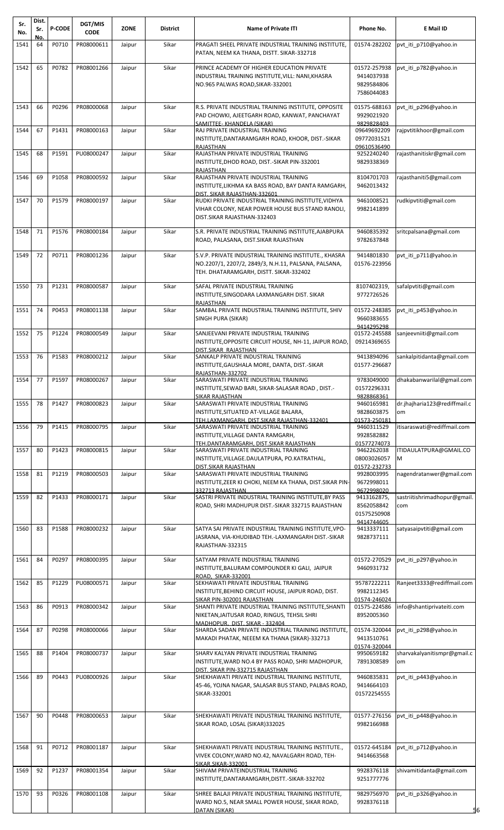| Sr.<br>No. | Dist.<br>Sr. | <b>P-CODE</b> | DGT/MIS<br><b>CODE</b> | <b>ZONE</b> | <b>District</b> | <b>Name of Private ITI</b>                                                                                                                                             | Phone No.                                                | E Mail ID                           |
|------------|--------------|---------------|------------------------|-------------|-----------------|------------------------------------------------------------------------------------------------------------------------------------------------------------------------|----------------------------------------------------------|-------------------------------------|
|            | Νo.          |               |                        |             |                 |                                                                                                                                                                        |                                                          |                                     |
| 1541       | 64           | P0710         | PR08000611             | Jaipur      | Sikar           | PRAGATI SHEEL PRIVATE INDUSTRIAL TRAINING INSTITUTE,<br>PATAN, NEEM KA THANA, DISTT. SIKAR-332718                                                                      | 01574-282202                                             | pvt_iti_p710@yahoo.in               |
| 1542       | 65           | P0782         | PR08001266             | Jaipur      | Sikar           | PRINCE ACADEMY OF HIGHER EDUCATION PRIVATE<br>INDUSTRIAL TRAINING INSTITUTE, VILL: NANI, KHASRA<br>NO.965 PALWAS ROAD, SIKAR-332001                                    | 01572-257938<br>9414037938<br>9829584806<br>7586044083   | pvt iti p782@yahoo.in               |
| 1543       | 66           | P0296         | PR08000068             | Jaipur      | Sikar           | R.S. PRIVATE INDUSTRIAL TRAINING INSTITUTE, OPPOSITE<br>PAD CHOWKI, AJEETGARH ROAD, KANWAT, PANCHAYAT                                                                  | 01575-688163<br>9929021920                               | pvt iti p296@yahoo.in               |
| 1544       | 67           | P1431         | PR08000163             | Jaipur      | Sikar           | SAMITTEE- KHANDELA (SIKAR)<br>RAJ PRIVATE INDUSTRIAL TRAINING<br>INSTITUTE, DANTARAMGARH ROAD, KHOOR, DIST.-SIKAR                                                      | 9829828403<br>09649692209<br>09772031521                 | rajpytitikhoor@gmail.com            |
| 1545       | 68           | P1591         | PU08000247             | Jaipur      | Sikar           | <b>RAJASTHAN</b><br>RAJASTHAN PRIVATE INDUSTRIAL TRAINING<br>INSTITUTE, DHOD ROAD, DIST.-SIKAR PIN-332001<br><b>RAJASTHAN</b>                                          | 09610536490<br>9252240240<br>9829338369                  | rajasthanitiskr@gmail.com           |
| 1546       | 69           | P1058         | PR08000592             | Jaipur      | Sikar           | RAJASTHAN PRIVATE INDUSTRIAL TRAINING<br>INSTITUTE, LIKHMA KA BASS ROAD, BAY DANTA RAMGARH,                                                                            | 8104701703<br>9462013432                                 | rajasthaniti5@gmail.com             |
| 1547       | 70           | P1579         | PR08000197             | Jaipur      | Sikar           | DIST. SIKAR RAJASTHAN-332601<br>RUDKI PRIVATE INDUSTRIAL TRAINING INSTITUTE, VIDHYA<br>VIHAR COLONY, NEAR POWER HOUSE BUS STAND RANOLI,<br>DIST.SIKAR RAJASTHAN-332403 | 9461008521<br>9982141899                                 | rudkipvtiti@gmail.com               |
| 1548       | 71           | P1576         | PR08000184             | Jaipur      | Sikar           | S.R. PRIVATE INDUSTRIAL TRAINING INSTITUTE, AJABPURA<br>ROAD, PALASANA, DIST.SIKAR RAJASTHAN                                                                           | 9460835392<br>9782637848                                 | sritcpalsana@gmail.com              |
| 1549       | 72           | P0711         | PR08001236             | Jaipur      | Sikar           | S.V.P. PRIVATE INDUSTRIAL TRAINING INSTITUTE., KHASRA<br>NO.2207/1, 2207/2, 2849/3, N.H.11, PALSANA, PALSANA,<br>TEH. DHATARAMGARH, DISTT. SIKAR-332402                | 9414801830<br>01576-223956                               | pvt iti p711@yahoo.in               |
| 1550       | 73           | P1231         | PR08000587             | Jaipur      | Sikar           | SAFAL PRIVATE INDUSTRIAL TRAINING<br>INSTITUTE, SINGODARA LAXMANGARH DIST. SIKAR<br><b>RAJASTHAN</b>                                                                   | 8107402319,<br>9772726526                                | safalpvtiti@gmail.com               |
| 1551       | 74           | P0453         | PR08001138             | Jaipur      | Sikar           | SAMBAL PRIVATE INDUSTRIAL TRAINING INSTITUTE, SHIV<br>SINGH PURA (SIKAR)                                                                                               | 01572-248385<br>9660383655<br>9414295298                 | pvt iti p453@yahoo.in               |
| 1552       | 75           | P1224         | PR08000549             | Jaipur      | Sikar           | SANJEEVANI PRIVATE INDUSTRIAL TRAINING<br>INSTITUTE, OPPOSITE CIRCUIT HOUSE, NH-11, JAIPUR ROAD,<br>DIST.SIKAR RAJASTHAN                                               | 01572-245588<br>09214369655                              | sanjeevniiti@gmail.com              |
| 1553       | 76           | P1583         | PR08000212             | Jaipur      | Sikar           | SANKALP PRIVATE INDUSTRIAL TRAINING<br>INSTITUTE, GAUSHALA MORE, DANTA, DIST.-SIKAR<br>RAJASTHAN-332702                                                                | 9413894096<br>01577-296687                               | sankalpitidanta@gmail.com           |
| 1554       | 77           | P1597         | PR08000267             | Jaipur      | Sikar           | SARASWATI PRIVATE INDUSTRIAL TRAINING<br>INSTITUTE, SEWAD BARI, SIKAR-SALASAR ROAD, DIST.-<br><b>SIKAR RAJASTHAN</b>                                                   | 9783049000<br>01572296331<br>9828868361                  | dhakabanwarilal@gmail.com           |
| 1555       | 78           | P1427         | PR08000823             | Jaipur      | Sikar           | SARASWATI PRIVATE INDUSTRIAL TRAINING<br>INSTITUTE, SITUATED AT-VILLAGE BALARA,<br>TEH.LAXMANGARH. DIST.SIKAR RAJASTHAN-332401                                         | 9460165981<br>9828603875<br>01573-250181                 | dr.jhajharia123@rediffmail.c<br>om  |
| 1556       | 79           | P1415         | PR08000795             | Jaipur      | Sikar           | SARASWATI PRIVATE INDUSTRIAL TRAINING<br>INSTITUTE, VILLAGE DANTA RAMGARH,                                                                                             | 9460311529<br>9928582882                                 | itisaraswati@rediffmail.com         |
| 1557       | 80           | P1423         | PR08000815             | Jaipur      | Sikar           | TEH.DANTARAMGARH. DIST.SIKAR RAJASTHAN<br>SARASWATI PRIVATE INDUSTRIAL TRAINING<br>INSTITUTE, VILLAGE.DAULATPURA, PO.KATRATHAL,                                        | 01577274073<br>9462262038<br>08003026057<br>01572-232733 | ITIDAULATPURA@GMAIL.CO<br>м         |
| 1558       | 81           | P1219         | PR08000503             | Jaipur      | Sikar           | DIST.SIKAR RAJASTHAN<br>SARASWATI PRIVATE INDUSTRIAL TRAINING<br>INSTITUTE, ZEER KI CHOKI, NEEM KA THANA, DIST. SIKAR PIN-<br>332713 RAJASTHAN                         | 9928003995<br>9672998011<br>9672998020                   | nagendratanwer@gmail.com            |
| 1559       | 82           | P1433         | PR08000171             | Jaipur      | Sikar           | SASTRI PRIVATE INDUSTRIAL TRAINING INSTITUTE, BY PASS<br>ROAD, SHRI MADHUPUR DIST.-SIKAR 332715 RAJASTHAN                                                              | 9413162875,<br>8562058842<br>01575250908<br>9414744605   | sastriitishrimadhopur@gmail.<br>com |
| 1560       | 83           | P1588         | PR08000232             | Jaipur      | Sikar           | SATYA SAI PRIVATE INDUSTRIAL TRAINING INSTITUTE, VPO-<br>JASRANA, VIA-KHUDIBAD TEH.-LAXMANGARH DIST.-SIKAR<br>RAJASTHAN-332315                                         | 9413337111<br>9828737111                                 | satyasaipvtiti@gmail.com            |
| 1561       | 84           | P0297         | PR08000395             | Jaipur      | Sikar           | SATYAM PRIVATE INDUSTRIAL TRAINING<br>INSTITUTE, BALURAM COMPOUNDER KI GALI, JAIPUR<br>ROAD, SIKAR-332001                                                              | 01572-270529<br>9460931732                               | pvt iti p297@yahoo.in               |
| 1562       | 85           | P1229         | PU08000571             | Jaipur      | Sikar           | SEKHAWATI PRIVATE INDUSTRIAL TRAINING<br>INSTITUTE, BEHIND CIRCUIT HOUSE, JAIPUR ROAD, DIST.<br>SIKAR PIN-302001 RAJASTHAN                                             | 95787222211<br>9982112345<br>01574-246024                | Ranjeet3333@rediffmail.com          |
| 1563       | 86           | P0913         | PR08000342             | Jaipur      | Sikar           | SHANTI PRIVATE INDUSTRIAL TRAINING INSTITUTE, SHANTI<br>NIKETAN, JAITUSAR ROAD, RINGUS, TEHSIL SHRI<br>MADHOPUR, DIST. SIKAR - 332404                                  | 01575-224586<br>8952005360                               | info@shantiprivateiti.com           |
| 1564       | 87           | P0298         | PR08000066             | Jaipur      | Sikar           | SHARDA SADAN PRIVATE INDUSTRIAL TRAINING INSTITUTE,<br>MAKADI PHATAK, NEEEM KA THANA (SIKAR)-332713                                                                    | 01574-320044<br>9413510761<br>01574-320044               | pvt_iti_p298@yahoo.in               |
| 1565       | 88           | P1404         | PR08000737             | Jaipur      | Sikar           | SHARV KALYAN PRIVATE INDUSTRIAL TRAINING<br>INSTITUTE, WARD NO.4 BY PASS ROAD, SHRI MADHOPUR,<br>DIST. SIKAR PIN-332715 RAJASTHAN                                      | 9950659182<br>7891308589                                 | sharvakalyanitismpr@gmail.c<br>om   |
| 1566       | 89           | P0443         | PU08000926             | Jaipur      | Sikar           | SHEKHAWATI PRIVATE INDUSTRIAL TRAINING INSTITUTE,<br>45-46, YOJNA NAGAR, SALASAR BUS STAND, PALBAS ROAD,<br>SIKAR-332001                                               | 9460835831<br>9414664103<br>01572254555                  | pvt iti p443@yahoo.in               |
| 1567       | 90           | P0448         | PR08000653             | Jaipur      | Sikar           | SHEKHAWATI PRIVATE INDUSTRIAL TRAINING INSTITUTE,<br>SIKAR ROAD, LOSAL (SIKAR)332025                                                                                   | 01577-276156<br>9982166988                               | pvt iti p448@yahoo.in               |
| 1568       | 91           | P0712         | PR08001187             | Jaipur      | Sikar           | SHEKHAWATI PRIVATE INDUSTRIAL TRAINING INSTITUTE.,<br>VIVEK COLONY, WARD NO.42, NAVALGARH ROAD, TEH-<br>SIKAR.SIKAR-332001                                             | 01572-645184<br>9414663568                               | pvt iti p712@yahoo.in               |
| 1569       | 92           | P1237         | PR08001354             | Jaipur      | Sikar           | SHIVAM PRIVATEINDUSTRIAL TRAINING<br>INSTITUTE, DANTARAMGARH, DISTT. - SIKAR-332702                                                                                    | 9928376118<br>9251777776                                 | shivamitidanta@gmail.com            |
| 1570       | 93           | P0326         | PR08001108             | Jaipur      | Sikar           | SHREE BALAJI PRIVATE INDUSTRIAL TRAINING INSTITUTE,<br>WARD NO.5, NEAR SMALL POWER HOUSE, SIKAR ROAD,<br>DATAN (SIKAR)                                                 | 9829756970<br>9928376118                                 | pvt_iti_p326@yahoo.in<br>6          |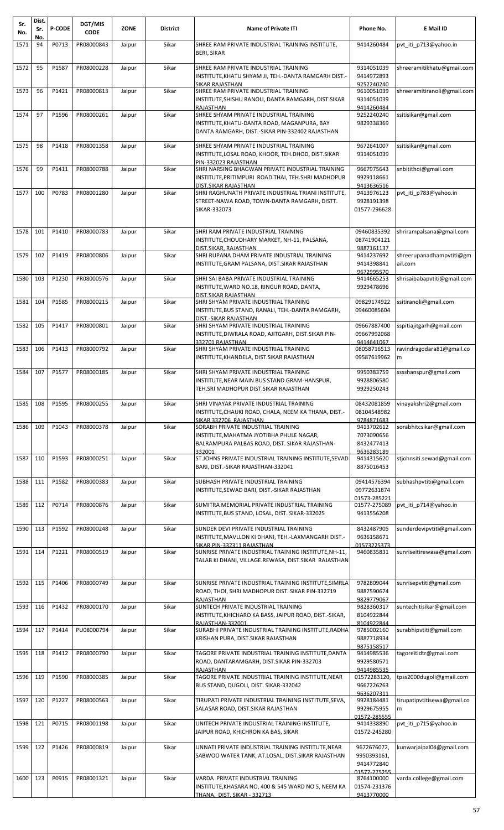| Sr.<br>No. | Dist.<br>Sr. | <b>P-CODE</b> | DGT/MIS<br><b>CODE</b> | <b>ZONE</b> | <b>District</b> | <b>Name of Private ITI</b>                                                                                                                  | Phone No.                                                | E Mail ID                           |
|------------|--------------|---------------|------------------------|-------------|-----------------|---------------------------------------------------------------------------------------------------------------------------------------------|----------------------------------------------------------|-------------------------------------|
| 1571       | No.<br>94    | P0713         | PR08000843             | Jaipur      | Sikar           | SHREE RAM PRIVATE INDUSTRIAL TRAINING INSTITUTE,<br><b>BERI, SIKAR</b>                                                                      | 9414260484                                               | pvt iti p713@yahoo.in               |
| 1572       | 95           | P1587         | PR08000228             | Jaipur      | Sikar           | SHREE RAM PRIVATE INDUSTRIAL TRAINING<br>INSTITUTE,KHATU SHYAM JI, TEH.-DANTA RAMGARH DIST.-<br>SIKAR RAJASTHAN                             | 9314051039<br>9414972893<br>9252240240                   | shreeramitikhatu@gmail.com          |
| 1573       | 96           | P1421         | PR08000813             | Jaipur      | Sikar           | SHREE RAM PRIVATE INDUSTRIAL TRAINING<br>INSTITUTE, SHISHU RANOLI, DANTA RAMGARH, DIST. SIKAR<br>RAJASTHAN                                  | 9610051039<br>9314051039<br>9414260484                   | shreeramitiranoli@gmail.com         |
| 1574       | 97           | P1596         | PR08000261             | Jaipur      | Sikar           | SHREE SHYAM PRIVATE INDUSTRIAL TRAINING<br>INSTITUTE, KHATU-DANTA ROAD, MAGANPURA, BAY<br>DANTA RAMGARH, DIST.-SIKAR PIN-332402 RAJASTHAN   | 9252240240<br>9829338369                                 | ssitisikar@gmail.com                |
| 1575       | 98           | P1418         | PR08001358             | Jaipur      | Sikar           | SHREE SHYAM PRIVATE INDUSTRIAL TRAINING<br>INSTITUTE,LOSAL ROAD, KHOOR, TEH.DHOD, DIST.SIKAR                                                | 9672641007<br>9314051039                                 | ssitisikar@gmail.com                |
| 1576       | 99           | P1411         | PR08000788             | Jaipur      | Sikar           | PIN-332023 RAJASTHAN<br>SHRI NARSING BHAGWAN PRIVATE INDUSTRIAL TRAINING<br>INSTITUTE,PRITIMPURI ROAD THAI, TEH.SHRI MADHOPUR               | 9667975643<br>9929118661                                 | snbitithoi@gmail.com                |
| 1577       | 100          | P0783         | PR08001280             | Jaipur      | Sikar           | DIST.SIKAR RAJASTHAN<br>SHRI RAGHUNATH PRIVATE INDUSTRIAL TRIANI INSTITUTE,<br>STREET-NAWA ROAD, TOWN-DANTA RAMGARH, DISTT.<br>SIKAR-332073 | 9413636516<br>9413976123<br>9928191398<br>01577-296628   | pvt iti p783@yahoo.in               |
| 1578       | 101          | P1410         | PR08000783             | Jaipur      | Sikar           | SHRI RAM PRIVATE INDUSTRIAL TRAINING<br>INSTITUTE, CHOUDHARY MARKET, NH-11, PALSANA,                                                        | 09460835392<br>08741904121<br>9887161137                 | shrirampalsana@gmail.com            |
| 1579       | 102          | P1419         | PR08000806             | Jaipur      | Sikar           | DIST.SIKAR. RAJASTHAN<br>SHRI RUPANA DHAM PRIVATE INDUSTRIAL TRAINING<br>INSTITUTE,GRAM PALSANA, DIST.SIKAR RAJASTHAN                       | 9414237692<br>9414398841<br>9672995570                   | shreerupanadhampvtiti@gm<br>ail.com |
| 1580       | 103          | P1230         | PR08000576             | Jaipur      | Sikar           | SHRI SAI BABA PRIVATE INDUSTRIAL TRAINING<br>INSTITUTE, WARD NO.18, RINGUR ROAD, DANTA,<br>DIST.SIKAR RAJASTHAN                             | 9414665253<br>9929478696                                 | shrisaibabapvtiti@gmail.com         |
| 1581       | 104          | P1585         | PR08000215             | Jaipur      | Sikar           | SHRI SHYAM PRIVATE INDUSTRIAL TRAINING<br>INSTITUTE, BUS STAND, RANALI, TEH.-DANTA RAMGARH,<br><u>DIST.-SIKAR RAJASTHAN</u>                 | 09829174922<br>09460085604                               | ssitiranoli@gmail.com               |
| 1582       | 105          | P1417         | PR08000801             | Jaipur      | Sikar           | SHRI SHYAM PRIVATE INDUSTRIAL TRAINING<br>INSTITUTE, DIWRALA ROAD, AJITGARH, DIST. SIKAR PIN-<br>332701 RAJASTHAN                           | 09667887400<br>09667992068<br>9414641067                 | sspitiajitgarh@gmail.com            |
| 1583       | 106          | P1413         | PR08000792             | Jaipur      | Sikar           | SHRI SHYAM PRIVATE INDUSTRIAL TRAINING<br>INSTITUTE, KHANDELA, DIST. SIKAR RAJASTHAN                                                        | 08058716513<br>09587619962                               | ravindragodara81@gmail.co<br>m      |
| 1584       | 107          | P1577         | PR08000185             | Jaipur      | Sikar           | SHRI SHYAM PRIVATE INDUSTRIAL TRAINING<br>INSTITUTE, NEAR MAIN BUS STAND GRAM-HANSPUR,<br>TEH.SRI MADHOPUR DIST.SIKAR RAJASTHAN             | 9950383759<br>9928806580<br>9929250243                   | sssshanspur@gmail.com               |
| 1585       | 108          | P1595         | PR08000255             | Jaipur      | Sikar           | SHRI VINAYAK PRIVATE INDUSTRIAL TRAINING<br>INSTITUTE, CHAUKI ROAD, CHALA, NEEM KA THANA, DIST.-<br>SIKAR 332706 RAJASTHAN                  | 08432081859<br>08104548982<br>9784871683                 | vinayakshri2@gmail.com              |
| 1586       | 109          | P1043         | PR08000378             | Jaipur      | Sikar           | SORABH PRIVATE INDUSTRIAL TRAINING<br>INSTITUTE, MAHATMA JYOTIBHA PHULE NAGAR,<br>BALRAMPURA PALBAS ROAD, DIST. SIKAR RAJASTHAN-<br>332001  | 9413702612<br>7073090656<br>8432477413<br>9636283189     | sorabhitcsikar@gmail.com            |
| 1587       | 110          | P1593         | PR08000251             | Jaipur      | Sikar           | ST.JOHNS PRIVATE INDUSTRIAL TRAINING INSTITUTE, SEVAD<br>BARI, DIST.-SIKAR RAJASTHAN-332041                                                 | 9414315620<br>8875016453                                 | stjohnsiti.sewad@gmail.com          |
| 1588       | 111          | P1582         | PR08000383             | Jaipur      | Sikar           | SUBHASH PRIVATE INDUSTRIAL TRAINING<br>INSTITUTE,SEWAD BARI, DIST.-SIKAR RAJASTHAN                                                          | 09414576394<br>09772631874<br>01573-285221               | subhashpytiti@gmail.com             |
| 1589       | 112          | P0714         | PR08000876             | Jaipur      | Sikar           | SUMITRA MEMORIAL PRIVATE INDUSTRIAL TRAINING<br>INSTITUTE,BUS STAND, LOSAL, DIST. SIKAR-332025                                              | 01577-275089<br>9413556208                               | pvt iti p714@yahoo.in               |
| 1590       | 113          | P1592         | PR08000248             | Jaipur      | Sikar           | SUNDER DEVI PRIVATE INDUSTRIAL TRAINING<br>INSTITUTE, MAVLLON KI DHANI, TEH.-LAXMANGARH DIST.-<br>SIKAR PIN-332311 RAJASTHAN                | 8432487905<br>9636158671<br>01573225373                  | sunderdevipvtiti@gmail.com          |
| 1591       | 114          | P1221         | PR08000519             | Jaipur      | Sikar           | SUNRISE PRIVATE INDUSTRIAL TRAINING INSTITUTE, NH-11,<br>TALAB KI DHANI, VILLAGE.REWASA, DIST.SIKAR  RAJASTHAN                              | 9460835831                                               | sunriseitirewasa@gmail.com          |
| 1592       | 115          | P1406         | PR08000749             | Jaipur      | Sikar           | SUNRISE PRIVATE INDUSTRIAL TRAINING INSTITUTE, SIMRLA<br>ROAD, THOI, SHRI MADHOPUR DIST. SIKAR PIN-332719<br><b>RAJASTHAN</b>               | 9782809044<br>9887590674<br>9829779067                   | sunrisepvtiti@gmail.com             |
| 1593       | 116          | P1432         | PR08000170             | Jaipur      | Sikar           | SUNTECH PRIVATE INDUSTRIAL TRAINING<br>INSTITUTE,KHICHARO KA BASS, JAIPUR ROAD, DIST.-SIKAR,<br>RAJASTHAN-332001                            | 9828360317<br>8104922844<br>8104922844                   | suntechitisikar@gmail.com           |
| 1594       | 117          | P1414         | PU08000794             | Jaipur      | Sikar           | SURABHI PRIVATE INDUSTRIAL TRAINING INSTITUTE, RADHA<br>KRISHAN PURA, DIST.SIKAR RAJASTHAN                                                  | 9785002160<br>9887718934<br>9875158517                   | surabhipvtiti@gmail.com             |
| 1595       | 118          | P1412         | PR08000790             | Jaipur      | Sikar           | TAGORE PRIVATE INDUSTRIAL TRAINING INSTITUTE,DANTA<br>ROAD, DANTARAMGARH, DIST.SIKAR PIN-332703<br>RAJASTHAN                                | 9414985536<br>9929580571<br>9414985535                   | tagoreitidtr@gmail.com              |
| 1596       | 119          | P1590         | PR08000385             | Jaipur      | Sikar           | TAGORE PRIVATE INDUSTRIAL TRAINING INSTITUTE, NEAR<br>BUS STAND, DUGOLI, DIST. SIKAR-332042                                                 | 01572283120,<br>9667226263<br>9636207311                 | tpss2000dugoli@gmail.com            |
| 1597       | 120          | P1227         | PR08000563             | Jaipur      | Sikar           | TIRUPATI PRIVATE INDUSTRIAL TRAINING INSTITUTE,SEVA,<br>SALASAR ROAD, DIST.SIKAR RAJASTHAN                                                  | 9928184481<br>9929675955<br>01572-285555                 | tirupatipytitisewa@gmail.co<br>m    |
| 1598       | 121          | P0715         | PR08001198             | Jaipur      | Sikar           | UNITECH PRIVATE INDUSTRIAL TRAINING INSTITUTE,<br>JAIPUR ROAD, KHICHRON KA BAS, SIKAR                                                       | 9414338890<br>01572-245280                               | pvt iti p715@yahoo.in               |
| 1599       | 122          | P1426         | PR08000819             | Jaipur      | Sikar           | UNNATI PRIVATE INDUSTRIAL TRAINING INSTITUTE, NEAR<br>SABWOO WATER TANK, AT.LOSAL, DIST.SIKAR RAJASTHAN                                     | 9672676072,<br>9950393161,<br>9414772840<br>01577-275255 | kunwarjaipal04@gmail.com            |
| 1600       | 123          | P0915         | PR08001321             | Jaipur      | Sikar           | VARDA PRIVATE INDUSTRIAL TRAINING<br>INSTITUTE, KHASARA NO, 400 & 545 WARD NO 5, NEEM KA<br>THANA, DIST. SIKAR - 332713                     | 8764100000<br>01574-231376<br>9413770000                 | varda.college@gmail.com             |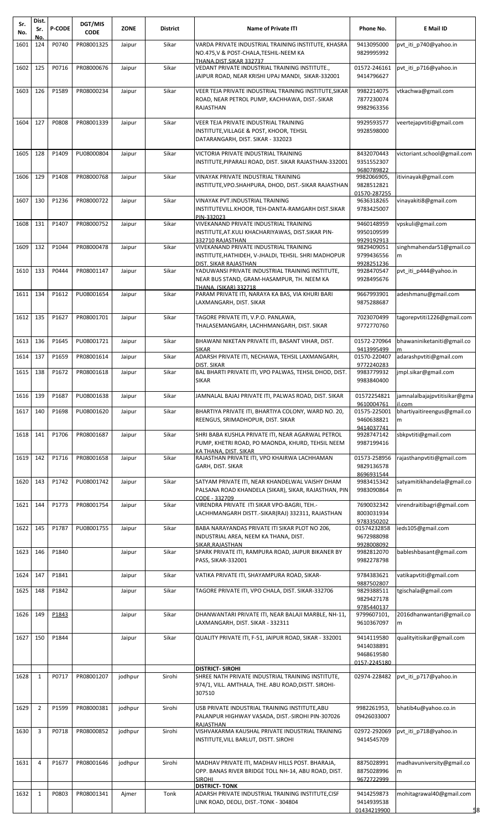| Sr.<br>No. | Dist.<br>Sr.   | <b>P-CODE</b> | DGT/MIS<br><b>CODE</b> | <b>ZONE</b> | <b>District</b> | <b>Name of Private ITI</b>                                                                                                                                              | Phone No.                                              | E Mail ID                              |
|------------|----------------|---------------|------------------------|-------------|-----------------|-------------------------------------------------------------------------------------------------------------------------------------------------------------------------|--------------------------------------------------------|----------------------------------------|
| 1601       | No.<br>124     | P0740         | PR08001325             | Jaipur      | Sikar           | VARDA PRIVATE INDUSTRIAL TRAINING INSTITUTE, KHASRA                                                                                                                     | 9413095000                                             | pvt_iti_p740@yahoo.in                  |
|            |                |               |                        |             |                 | NO.475,V & POST-CHALA,TESHIL-NEEM KA<br>THANA.DIST.SIKAR 332737                                                                                                         | 9829995992                                             |                                        |
| 1602       | 125            | P0716         | PR08000676             | Jaipur      | Sikar           | VEDANT PRIVATE INDUSTRIAL TRAINING INSTITUTE.,<br>JAIPUR ROAD, NEAR KRISHI UPAJ MANDI, SIKAR-332001                                                                     | 01572-246161<br>9414796627                             | pvt iti p716@yahoo.in                  |
| 1603       | 126            | P1589         | PR08000234             | Jaipur      | Sikar           | VEER TEJA PRIVATE INDUSTRIAL TRAINING INSTITUTE, SIKAR<br>ROAD, NEAR PETROL PUMP, KACHHAWA, DIST.-SIKAR<br>RAJASTHAN                                                    | 9982214075<br>7877230074<br>9982963356                 | vtkachwa@gmail.com                     |
| 1604       | 127            | P0808         | PR08001339             | Jaipur      | Sikar           | VEER TEJA PRIVATE INDUSTRIAL TRAINING<br>INSTITUTE,VILLAGE & POST, KHOOR, TEHSIL<br>DATARANGARH, DIST. SIKAR - 332023                                                   | 9929593577<br>9928598000                               | veertejapvtiti@gmail.com               |
| 1605       | 128            | P1409         | PU08000804             | Jaipur      | Sikar           | VICTORIA PRIVATE INDUSTRIAL TRAINING<br>INSTITUTE,PIPARALI ROAD, DIST. SIKAR RAJASTHAN-332001                                                                           | 8432070443<br>9351552307<br>9680789822                 | victoriant.school@gmail.com            |
| 1606       | 129            | P1408         | PR08000768             | Jaipur      | Sikar           | VINAYAK PRIVATE INDUSTRIAL TRAINING<br>INSTITUTE,VPO.SHAHPURA, DHOD, DIST.-SIKAR RAJASTHAN                                                                              | 9982066905,<br>9828512821<br>01570-287255              | itivinayak@gmail.com                   |
| 1607       | 130            | P1236         | PR08000722             | Jaipur      | Sikar           | VINAYAK PVT.INDUSTRIAL TRAINING<br>INSTITUTEVILL.KHOOR, TEH-DANTA-RAMGARH DIST.SIKAR<br>PIN-332023                                                                      | 9636318265<br>9783425007                               | vinayakiti8@gmail.com                  |
| 1608       | 131            | P1407         | PR08000752             | Jaipur      | Sikar           | VIVEKANAND PRIVATE INDUSTRIAL TRAINING                                                                                                                                  | 9460148959                                             | vpskuli@gmail.com                      |
| 1609       | 132            | P1044         | PR08000478             | Jaipur      | Sikar           | INSTITUTE, AT.KULI KHACHARIYAWAS, DIST.SIKAR PIN-<br>332710 RAJASTHAN<br>VIVEKANAND PRIVATE INDUSTRIAL TRAINING<br>INSTITUTE, HATHIDEH, V-JHALDI, TEHSIL. SHRI MADHOPUR | 9950109599<br>9929192913<br>9829409051<br>9799436556   | singhmahendar51@gmail.co<br>m          |
| 1610       | 133            | P0444         | PR08001147             | Jaipur      | Sikar           | DIST. SIKAR RAJASTHAN<br>YADUWANSI PRIVATE INDUSTRIAL TRAINING INSTITUTE,                                                                                               | 9928251236<br>9928470547                               | pvt iti p444@yahoo.in                  |
|            |                |               |                        |             |                 | NEAR BUS STAND, GRAM-HASAMPUR, TH. NEEM KA<br>THANA. (SIKAR) 332718                                                                                                     | 9928495676                                             |                                        |
| 1611       | 134            | P1612         | PU08001654             | Jaipur      | Sikar           | PARAM PRIVATE ITI, NARAYA KA BAS, VIA KHURI BARI<br>LAXMANGARH, DIST. SIKAR                                                                                             | 9667993901<br>9875288687                               | adeshmanu@gmail.com                    |
| 1612       | 135            | P1627         | PR08001701             | Jaipur      | Sikar           | TAGORE PRIVATE ITI, V.P.O. PANLAWA,<br>THALASEMANGARH, LACHHMANGARH, DIST. SIKAR                                                                                        | 7023070499<br>9772770760                               | tagorepvtiti1226@gmail.com             |
| 1613       | 136            | P1645         | PU08001721             | Jaipur      | Sikar           | BHAWANI NIKETAN PRIVATE ITI, BASANT VIHAR, DIST.                                                                                                                        | 01572-270964                                           | bhawaniniketaniti@gmail.co             |
| 1614       | 137            | P1659         | PR08001614             | Jaipur      | Sikar           | SIKAR<br>ADARSH PRIVATE ITI, NECHAWA, TEHSIL LAXMANGARH,                                                                                                                | 9413995499<br>01570-220407                             | adarashpvtiti@gmail.com                |
| 1615       | 138            | P1672         | PR08001618             | Jaipur      | Sikar           | DIST. SIKAR<br>BAL BHARTI PRIVATE ITI, VPO PALWAS, TEHSIL DHOD, DIST.                                                                                                   | 9772240283<br>9983779932                               | jmpl.sikar@gmail.com                   |
|            |                |               |                        |             |                 | <b>SIKAR</b>                                                                                                                                                            | 9983840400                                             |                                        |
| 1616       | 139            | P1687         | PU08001638             | Jaipur      | Sikar           | JAMNALAL BAJAJ PRIVATE ITI, PALWAS ROAD, DIST. SIKAR                                                                                                                    | 01572254821<br>9610004761                              | jamnalalbajajpvtitisikar@gma<br>il.com |
| 1617       | 140            | P1698         | PU08001620             | Jaipur      | Sikar           | BHARTIYA PRIVATE ITI, BHARTIYA COLONY, WARD NO. 20,<br>REENGUS, SRIMADHOPUR, DIST. SIKAR                                                                                | 01575-225001<br>9460638821                             | bhartiyaitireengus@gmail.co<br>m       |
| 1618       | 141            | P1706         | PR08001687             | Jaipur      | Sikar           | SHRI BABA KUSHLA PRIVATE ITI, NEAR AGARWAL PETROL<br>PUMP, KHETRI ROAD, PO MAONDA, KHURD, TEHSIL NEEM<br>KA THANA, DIST, SIKAR                                          | 9414037741<br>9928747142<br>9987199416                 | sbkpvtiti@gmail.com                    |
| 1619       | 142            | P1716         | PR08001658             | Jaipur      | Sikar           | RAJASTHAN PRIVATE ITI, VPO KHAIRWA LACHHAMAN<br>GARH, DIST. SIKAR                                                                                                       | 01573-258956<br>9829136578                             | rajasthanpvtiti@gmail.com              |
| 1620       | 143            | P1742         | PU08001742             | Jaipur      | Sikar           | SATYAM PRIVATE ITI, NEAR KHANDELWAL VAISHY DHAM<br>PALSANA ROAD KHANDELA (SIKAR), SIKAR, RAJASTHAN, PIN<br>CODE - 332709                                                | 8696931544<br>9983415342<br>9983090864                 | satyamitikhandela@gmail.co<br>m        |
| 1621       | 144            | P1773         | PR08001754             | Jaipur      | Sikar           | VIRENDRA PRIVATE ITI SIKAR VPO-BAGRI, TEH.-<br>LACHHMANGARH DISTT.-SIKAR(RAJ) 332311, RAJASTHAN                                                                         | 7690032342<br>8003031934                               | virendraitibagri@gmail.com             |
| 1622       | 145            | P1787         | PU08001755             | Jaipur      | Sikar           | BABA NARAYANDAS PRIVATE ITI SIKAR PLOT NO 206,<br>INDUSTRIAL AREA, NEEM KA THANA, DIST.                                                                                 | 9783350202<br>01574232858<br>9672988098                | ieds105@gmail.com                      |
| 1623       | 146            | P1840         |                        | Jaipur      | Sikar           | SIKAR.RAJASTHAN<br>SPARK PRIVATE ITI, RAMPURA ROAD, JAIPUR BIKANER BY<br>PASS, SIKAR-332001                                                                             | 9928008092<br>9982812070<br>9982278798                 | bableshbasant@gmail.com                |
| 1624       | 147            | P1841         |                        | Jaipur      | Sikar           | VATIKA PRIVATE ITI, SHAYAMPURA ROAD, SIKAR-                                                                                                                             | 9784383621                                             | vatikapvtiti@gmail.com                 |
| 1625       | 148            | P1842         |                        | Jaipur      | Sikar           | TAGORE PRIVATE ITI, VPO CHALA, DIST. SIKAR-332706                                                                                                                       | 9887502807<br>9829388511                               | tgischala@gmail.com                    |
| 1626       | 149            | P1843         |                        | Jaipur      | Sikar           | DHANWANTARI PRIVATE ITI, NEAR BALAJI MARBLE, NH-11,                                                                                                                     | 9829427178<br>9785440137<br>9799607101,                | 2016dhanwantari@gmail.co               |
|            |                |               |                        |             |                 | LAXMANGARH, DIST. SIKAR - 332311                                                                                                                                        | 9610367097                                             | m                                      |
| 1627       | 150            | P1844         |                        | Jaipur      | Sikar           | QUALITY PRIVATE ITI, F-51, JAIPUR ROAD, SIKAR - 332001                                                                                                                  | 9414119580<br>9414038891<br>9468619580<br>0157-2245180 | qualityitisikar@gmail.com              |
| 1628       | $\mathbf{1}$   | P0717         | PR08001207             | jodhpur     | Sirohi          | <b>DISTRICT- SIROHI</b><br>SHREE NATH PRIVATE INDUSTRIAL TRAINING INSTITUTE,                                                                                            | 02974-228482                                           | pvt_iti_p717@yahoo.in                  |
|            |                |               |                        |             |                 | 974/1, VILL. AMTHALA, THE. ABU ROAD, DISTT. SIROHI-<br>307510                                                                                                           |                                                        |                                        |
| 1629       | $\overline{2}$ | P1599         | PR08000381             | jodhpur     | Sirohi          | USB PRIVATE INDUSTRIAL TRAINING INSTITUTE, ABU<br>PALANPUR HIGHWAY VASADA, DIST.-SIROHI PIN-307026                                                                      | 9982261953,<br>09426033007                             | bhatib4u@yahoo.co.in                   |
| 1630       | 3              | P0718         | PR08000852             | jodhpur     | Sirohi          | RAJASTHAN<br>VISHVAKARMA KAUSHAL PRIVATE INDUSTRIAL TRAINING<br>INSTITUTE,VILL BARLUT, DISTT. SIROHI                                                                    | 02972-292069<br>9414545709                             | pvt_iti_p718@yahoo.in                  |
| 1631       | 4              | P1677         | PR08001646             | jodhpur     | Sirohi          | MADHAV PRIVATE ITI, MADHAV HILLS POST. BHARAJA,<br>OPP. BANAS RIVER BRIDGE TOLL NH-14, ABU ROAD, DIST.<br>SIROHI                                                        | 8875028991<br>8875028996<br>9672722999                 | madhavuniversity@gmail.co<br>m         |
| 1632       | $\mathbf{1}$   | P0803         | PR08001341             | Ajmer       | Tonk            | <b>DISTRICT- TONK</b><br>ADARSH PRIVATE INDUSTRIAL TRAINING INSTITUTE,CISF<br>LINK ROAD, DEOLI, DIST.-TONK - 304804                                                     | 9414259873<br>9414939538<br>01434219900                | mohitagrawal40@gmail.com               |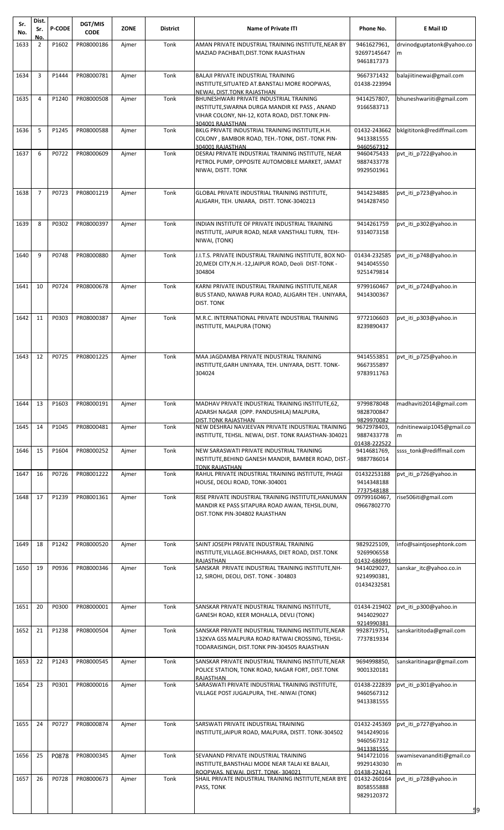| Sr.<br>No. | Dist.<br>Sr.   | <b>P-CODE</b> | DGT/MIS<br><b>CODE</b> | <b>ZONE</b> | District | <b>Name of Private ITI</b>                                                                                                                                     | Phone No.                                              | E Mail ID                      |
|------------|----------------|---------------|------------------------|-------------|----------|----------------------------------------------------------------------------------------------------------------------------------------------------------------|--------------------------------------------------------|--------------------------------|
| 1633       | No.<br>2       | P1602         | PR08000186             | Ajmer       | Tonk     | AMAN PRIVATE INDUSTRIAL TRAINING INSTITUTE,NEAR BY<br>MAZIAD PACHBATI, DIST. TONK RAJASTHAN                                                                    | 9461627961,<br>92697145647<br>9461817373               | drvinodguptatonk@yahoo.co<br>m |
| 1634       | 3              | P1444         | PR08000781             | Ajmer       | Tonk     | BALAJI PRIVATE INDUSTRIAL TRAINING<br>INSTITUTE, SITUATED AT BANSTALI MORE ROOPWAS,<br>NEWAI. DIST.TONK RAJASTHAN                                              | 9667371432<br>01438-223994                             | balajiitinewai@gmail.com       |
| 1635       | 4              | P1240         | PR08000508             | Ajmer       | Tonk     | BHUNESHWARI PRIVATE INDUSTRIAL TRAINING<br>INSTITUTE, SWARNA DURGA MANDIR KE PASS, ANAND<br>VIHAR COLONY, NH-12, KOTA ROAD, DIST.TONK PIN-<br>304001 RAJASTHAN | 9414257807,<br>9166583713                              | bhuneshwariiti@gmail.com       |
| 1636       | 5              | P1245         | PR08000588             | Ajmer       | Tonk     | BKLG PRIVATE INDUSTRIAL TRAINING INSTITUTE, H.H.<br>COLONY, BAMBOR ROAD, TEH.-TONK, DIST.-TONK PIN-<br>304001 RAJASTHAN                                        | 01432-243662<br>9413381555<br>9460567312               | bklgititonk@rediffmail.com     |
| 1637       | 6              | P0722         | PR08000609             | Ajmer       | Tonk     | DESRAJ PRIVATE INDUSTRIAL TRAINING INSTITUTE, NEAR<br>PETROL PUMP, OPPOSITE AUTOMOBILE MARKET, JAMAT<br>NIWAI, DISTT. TONK                                     | 9460475433<br>9887433778<br>9929501961                 | pvt_iti_p722@yahoo.in          |
| 1638       | $\overline{7}$ | P0723         | PR08001219             | Ajmer       | Tonk     | GLOBAL PRIVATE INDUSTRIAL TRAINING INSTITUTE,<br>ALIGARH, TEH. UNIARA, DISTT. TONK-3040213                                                                     | 9414234885<br>9414287450                               | pvt_iti_p723@yahoo.in          |
| 1639       | 8              | P0302         | PR08000397             | Ajmer       | Tonk     | INDIAN INSTITUTE OF PRIVATE INDUSTRIAL TRAINING<br>INSTITUTE, JAIPUR ROAD, NEAR VANSTHALI TURN, TEH-<br>NIWAI, (TONK)                                          | 9414261759<br>9314073158                               | pvt iti p302@yahoo.in          |
| 1640       | 9              | P0748         | PR08000880             | Ajmer       | Tonk     | J.I.T.S. PRIVATE INDUSTRIAL TRAINING INSTITUTE. BOX NO-<br>20, MEDI CITY, N.H.-12, JAIPUR ROAD, Deoli DIST-TONK -<br>304804                                    | 01434-232585<br>9414045550<br>9251479814               | pvt iti p748@yahoo.in          |
| 1641       | 10             | P0724         | PR08000678             | Ajmer       | Tonk     | KARNI PRIVATE INDUSTRIAL TRAINING INSTITUTE, NEAR<br>BUS STAND, NAWAB PURA ROAD, ALIGARH TEH. UNIYARA,<br>DIST. TONK                                           | 9799160467<br>9414300367                               | pvt iti p724@yahoo.in          |
| 1642       | 11             | P0303         | PR08000387             | Ajmer       | Tonk     | M.R.C. INTERNATIONAL PRIVATE INDUSTRIAL TRAINING<br>INSTITUTE, MALPURA (TONK)                                                                                  | 9772106603<br>8239890437                               | pvt iti p303@yahoo.in          |
| 1643       | 12             | P0725         | PR08001225             | Ajmer       | Tonk     | MAA JAGDAMBA PRIVATE INDUSTRIAL TRAINING<br>INSTITUTE, GARH UNIYARA, TEH. UNIYARA, DISTT. TONK-<br>304024                                                      | 9414553851<br>9667355897<br>9783911763                 | pvt_iti_p725@yahoo.in          |
| 1644       | 13             | P1603         | PR08000191             | Ajmer       | Tonk     | MADHAV PRIVATE INDUSTRIAL TRAINING INSTITUTE,62,<br>ADARSH NAGAR (OPP. PANDUSHILA) MALPURA,<br>DIST.TONK RAJASTHAN                                             | 9799878048<br>9828700847<br>9829970082                 | madhaviti2014@gmail.com        |
| 1645       | 14             | P1045         | PR08000481             | Ajmer       | Tonk     | NEW DESHRAJ NAVJEEVAN PRIVATE INDUSTRIAL TRAINING<br>INSTITUTE, TEHSIL. NEWAI, DIST. TONK RAJASTHAN-304021                                                     | 9672978403,<br>9887433778                              | ndnitinewaip1045@gmail.co<br>m |
| 1646       | 15             | P1604         | PR08000252             | Ajmer       | Tonk     | NEW SARASWATI PRIVATE INDUSTRIAL TRAINING<br>INSTITUTE, BEHIND GANESH MANDIR, BAMBER ROAD, DIST.<br>TONK RAJASTHAN                                             | 01438-222522<br>9414681769,<br>9887786014              | ssss tonk@rediffmail.com       |
| 1647       | 16             | P0726         | PR08001222             | Ajmer       | Tonk     | RAHUL PRIVATE INDUSTRIAL TRAINING INSTITUTE, PHAGI<br>HOUSE, DEOLI ROAD, TONK-304001                                                                           | 01432253188<br>9414348188                              | pvt_iti_p726@yahoo.in          |
| 1648       | 17             | P1239         | PR08001361             | Ajmer       | Tonk     | RISE PRIVATE INDUSTRIAL TRAINING INSTITUTE, HANUMAN<br>MANDIR KE PASS SITAPURA ROAD AWAN, TEHSIL.DUNI,<br>DIST.TONK PIN-304802 RAJASTHAN                       | 7737548188<br>09799160467,<br>09667802770              | rise506iti@gmail.com           |
| 1649       | 18             | P1242         | PR08000520             | Ajmer       | Tonk     | SAINT JOSEPH PRIVATE INDUSTRIAL TRAINING<br>INSTITUTE, VILLAGE. BICHHARAS, DIET ROAD, DIST. TONK<br>RAJASTHAN                                                  | 9829225109,<br>9269906558<br>01432-686991              | info@saintjosephtonk.com       |
| 1650       | 19             | P0936         | PR08000346             | Ajmer       | Tonk     | SANSKAR PRIVATE INDUSTRIAL TRAINING INSTITUTE, NH-<br>12, SIROHI, DEOLI, DIST. TONK - 304803                                                                   | 9414029027,<br>9214990381,<br>01434232581              | sanskar itc@yahoo.co.in        |
| 1651       | 20             | P0300         | PR08000001             | Ajmer       | Tonk     | SANSKAR PRIVATE INDUSTRIAL TRAINING INSTITUTE,<br>GANESH ROAD, KEER MOHALLA, DEVLI (TONK)                                                                      | 01434-219402<br>9414029027<br>9214990381               | pvt iti p300@yahoo.in          |
| 1652       | 21             | P1238         | PR08000504             | Ajmer       | Tonk     | SANSKAR PRIVATE INDUSTRIAL TRAINING INSTITUTE, NEAR<br>132KVA GSS MALPURA ROAD RATWAI CROSSING, TEHSIL-<br>TODARAISINGH, DIST.TONK PIN-304505 RAJASTHAN        | 9928719751,<br>7737819334                              | sanskarititoda@gmail.com       |
| 1653       | 22             | P1243         | PR08000545             | Ajmer       | Tonk     | SANSKAR PRIVATE INDUSTRIAL TRAINING INSTITUTE, NEAR<br>POLICE STATION, TONK ROAD, NAGAR FORT, DIST.TONK<br><b>RAJASTHAN</b>                                    | 9694998850,<br>9001320181                              | sanskaritinagar@gmail.com      |
| 1654       | 23             | P0301         | PR08000016             | Ajmer       | Tonk     | SARASWATI PRIVATE INDUSTRIAL TRAINING INSTITUTE,<br>VILLAGE POST JUGALPURA, THE.-NIWAI (TONK)                                                                  | 01438-222839<br>9460567312<br>9413381555               | pvt iti p301@yahoo.in          |
| 1655       | 24             | P0727         | PR08000874             | Ajmer       | Tonk     | SARSWATI PRIVATE INDUSTRIAL TRAINING<br>INSTITUTE, JAIPUR ROAD, MALPURA, DISTT. TONK-304502                                                                    | 01432-245369<br>9414249016<br>9460567312<br>9413381555 | pvt_iti_p727@yahoo.in          |
| 1656       | 25             | P0878         | PR08000345             | Ajmer       | Tonk     | SEVANAND PRIVATE INDUSTRIAL TRAINING<br>INSTITUTE, BANSTHALI MODE NEAR TALAI KE BALAJI,<br>ROOPWAS. NEWAI. DISTT. TONK-304021                                  | 9414721016<br>9929143030<br>01438-224241               | swamisevananditi@gmail.co<br>m |
| 1657       | 26             | P0728         | PR08000673             | Ajmer       | Tonk     | SHAIL PRIVATE INDUSTRIAL TRAINING INSTITUTE, NEAR BYE<br>PASS, TONK                                                                                            | 01432-260164<br>8058555888<br>9829120372               | pvt iti p728@yahoo.in<br>59    |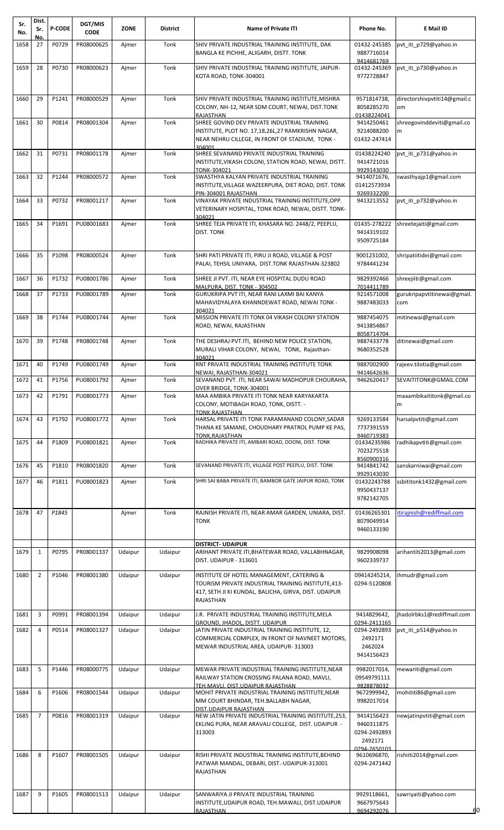| Sr.<br>No. | Dist.<br>Sr.   | <b>P-CODE</b> | <b>DGT/MIS</b><br><b>CODE</b> | <b>ZONE</b> | <b>District</b> | <b>Name of Private ITI</b>                                                                                                                                             | Phone No.                                               | E Mail ID                          |
|------------|----------------|---------------|-------------------------------|-------------|-----------------|------------------------------------------------------------------------------------------------------------------------------------------------------------------------|---------------------------------------------------------|------------------------------------|
| 1658       | No.<br>27      | P0729         | PR08000625                    | Ajmer       | Tonk            | SHIV PRIVATE INDUSTRIAL TRAINING INSTITUTE, DAK<br>BANGLA KE PICHHE, ALIGARH, DISTT. TONK                                                                              | 01432-245385<br>9887716014<br>9414681769                | pvt_iti_p729@yahoo.in              |
| 1659       | 28             | P0730         | PR08000623                    | Ajmer       | Tonk            | SHIV PRIVATE INDUSTRIAL TRAINING INSTITUTE, JAIPUR-<br>KOTA ROAD, TONK-304001                                                                                          | 01432-245369<br>9772728847                              | pvt iti p730@yahoo.in              |
| 1660       | 29             | P1241         | PR08000529                    | Ajmer       | Tonk            | SHIV PRIVATE INDUSTRIAL TRAINING INSTITUTE, MISHRA<br>COLONY, NH-12, NEAR SDM COURT, NEWAI, DIST.TONK                                                                  | 9571814738,<br>8058285270                               | directorshivpvtiti14@gmail.c<br>om |
| 1661       | 30             | P0814         | PR08001304                    | Ajmer       | Tonk            | RAJASTHAN<br>SHREE GOVIND DEV PRIVATE INDUSTRIAL TRAINING<br>INSTITUTE, PLOT NO. 17,18,26L,27 RAMKRISHN NAGAR,<br>NEAR NEHRU CILLEGE, IN FRONT OF STADIUM, TONK -      | 01438224041<br>9414250461<br>9214088200<br>01432-247414 | shreegovinddeviti@gmail.co<br>m    |
| 1662       | 31             | P0731         | PR08001178                    | Ajmer       | Tonk            | 304001<br>SHREE SEVANAND PRIVATE INDUSTRIAL TRAINING<br>INSTITUTE, VIKASH COLONI, STATION ROAD, NEWAI, DISTT.<br>TONK-304021                                           | 01438224240<br>9414721016<br>9929143030                 | pvt iti p731@yahoo.in              |
| 1663       | 32             | P1244         | PR08000572                    | Ajmer       | Tonk            | SWASTHYA KALYAN PRIVATE INDUSTRIAL TRAINING<br>INSTITUTE, VILLAGE WAZEERPURA, DIET ROAD, DIST. TONK                                                                    | 9414071676,<br>01412573934<br>9269332200                | swasthyajp1@gmail.com              |
| 1664       | 33             | P0732         | PR08001217                    | Ajmer       | Tonk            | PIN-304001 RAJASTHAN<br>VINAYAK PRIVATE INDUSTRIAL TRAINING INSTITUTE, OPP.<br>VETERINARY HOSPITAL, TONK ROAD, NEWAI, DISTT. TONK-<br>304021                           | 9413213552                                              | pvt iti p732@yahoo.in              |
| 1665       | 34             | P1691         | PU08001683                    | Ajmer       | Tonk            | SHREE TEJA PRIVATE ITI, KHASARA NO. 2448/2, PEEPLU,<br><b>DIST. TONK</b>                                                                                               | 01435-278222<br>9414319102<br>9509725184                | shreetejaiti@gmail.com             |
| 1666       | 35             | P1098         | PR08000524                    | Ajmer       | Tonk            | SHRI PATI PRIVATE ITI, PIRU JI ROAD, VILLAGE & POST<br>PALAI, TEHSIL UNIYARA, DIST.TONK RAJASTHAN-323802                                                               | 9001231002,<br>9784441234                               | shripatiitidei@gmail.com           |
| 1667       | 36             | P1732         | PU08001786                    | Ajmer       | Tonk            | SHREE JI PVT. ITI, NEAR EYE HOSPITAL DUDU ROAD<br>MALPURA, DIST. TONK - 304502                                                                                         | 9829392466<br>7014411789                                | shreejiiti@gmail.com               |
| 1668       | 37             | P1733         | PU08001789                    | Ajmer       | Tonk            | GURUKRIPA PVT ITI, NEAR RANI LAXMI BAI KANYA<br>MAHAVIDYALAYA KHANNDEWAT ROAD, NEWAI TONK -                                                                            | 9214571008<br>9887483033                                | gurukripapvtitinewai@gmail.<br>com |
| 1669       | 38             | P1744         | PU08001744                    | Ajmer       | Tonk            | 304021<br>MISSION PRIVATE ITI TONK 04 VIKASH COLONY STATION<br>ROAD, NEWAI, RAJASTHAN                                                                                  | 9887454075<br>9413854867<br>8058714704                  | mitinewai@gmail.com                |
| 1670       | 39             | P1748         | PR08001748                    | Ajmer       | Tonk            | THE DESHRAJ PVT.ITI, BEHIND NEW POLICE STATION,<br>MURALI VIHAR COLONY, NEWAI, TONK, Rajasthan-                                                                        | 9887433778<br>9680352528                                | ditinewai@gmail.com                |
| 1671       | 40             | P1749         | PU08001749                    | Ajmer       | Tonk            | 304021<br>RNT PRIVATE INDUSTRIAL TRAINING INSTITUTE TONK<br>NEWAI, RAJASTHAN-304021                                                                                    | 9887002900<br>9414642636                                | rajeev.tilotia@gmail.com           |
| 1672       | 41             | P1756         | PU08001792                    | Ajmer       | Tonk            | SEVANAND PVT. ITI, NEAR SAWAI MADHOPUR CHOURAHA,<br>OVER BRIDGE, TONK-304001                                                                                           | 9462620417                                              | SEVAITITONK@GMAIL.COM              |
| 1673       | 42             | P1791         | PU08001773                    | Ajmer       | Tonk            | MAA AMBIKA PRIVATE ITI TONK NEAR KARYAKARTA<br>COLONY, MOTIBAGH ROAD, TONK, DISTT. -<br><b>TONK.RAJASTHAN</b>                                                          |                                                         | maaambikaititonk@gmail.co<br>m     |
| 1674       | 43             | P1792         | PU08001772                    | Ajmer       | Tonk            | HARSAL PRIVATE ITI TONK PARAMANAND COLONY, SADAR<br>THANA KE SAMANE, CHOUDHARY PRATROL PUMP KE PAS,<br><b>TONK.RAJASTHAN</b>                                           | 9269133584<br>7737391559<br>9460719383                  | harsalpytiti@gmail.com             |
| 1675       | 44             | P1809         | PU08001821                    | Ajmer       | Tonk            | RADHIKA PRIVATE ITI, AMBARI ROAD, DOONI, DIST. TONK                                                                                                                    | 01434235986<br>7023275518<br>8560900316                 | radhikapvtiti@gmail.com            |
| 1676       | 45             | P1810         | PR08001820                    | Ajmer       | Tonk            | SEVANAND PRIVATE ITI, VILLAGE POST PEEPLU, DIST. TONK                                                                                                                  | 9414841742<br>9929143030                                | sanskarniwai@gmail.com             |
| 1677       | 46             | P1811         | PU08001823                    | Ajmer       | Tonk            | SHRI SAI BABA PRIVATE ITI, BAMBOR GATE JAIPUR ROAD, TONK                                                                                                               | 01432243788<br>9950437137<br>9782142705                 | ssbititonk1432@gmail.com           |
| 1678       | 47             | P1845         |                               | Ajmer       | Tonk            | RAJNISH PRIVATE ITI, NEAR AMAR GARDEN, UNIARA, DIST.<br><b>TONK</b>                                                                                                    | 01436265301<br>8079049914<br>9460133190                 | itirajnish@rediffmail.com          |
|            |                |               |                               |             |                 | <b>DISTRICT- UDAIPUR</b>                                                                                                                                               |                                                         |                                    |
| 1679       | $\mathbf{1}$   | P0795         | PR08001337                    | Udaipur     | Udaipur         | ARIHANT PRIVATE ITI, BHATEWAR ROAD, VALLABHNAGAR,<br>DIST. UDAIPUR - 313601                                                                                            | 9829908098<br>9602339737                                | arihantiti2013@gmail.com           |
| 1680       | $\overline{2}$ | P1046         | PR08001380                    | Udaipur     | Udaipur         | INSTITUTE OF HOTEL MANAGEMENT, CATERING &<br>TOURISM PRIVATE INDUSTRIAL TRAINING INSTITUTE, 413-<br>417, SETH JI KI KUNDAL, BALICHA, GIRVA, DIST. UDAIPUR<br>RAJASTHAN | 09414245214,<br>0294-5120808                            | ihmudr@gmail.com                   |
| 1681       | 3              | P0991         | PR08001394                    | Udaipur     | Udaipur         | J.R. PRIVATE INDUSTRIAL TRAINING INSTITUTE, MELA<br><b>GROUND, JHADOL, DISTT. UDAIPUR</b>                                                                              | 9414829642,<br>0294-2411165                             | jhadolrbks1@rediffmail.com         |
| 1682       | $\overline{4}$ | P0514         | PR08001327                    | Udaipur     | Udaipur         | JATIN PRIVATE INDUSTRIAL TRAINING INSTITUTE, 12,<br>COMMERCIAL COMPLEX, IN FRONT OF NAVNEET MOTORS,<br>MEWAR INDUSTRIAL AREA, UDAIPUR-313003                           | 0294-2492893<br>2492171<br>2462024<br>9414156423        | pvt iti p514@yahoo.in              |
| 1683       | 5              | P1446         | PR08000775                    | Udaipur     | Udaipur         | MEWAR PRIVATE INDUSTRIAL TRAINING INSTITUTE, NEAR<br>RAILWAY STATION CROSSING PALANA ROAD, MAVLI,                                                                      | 9982017014,<br>09549791111                              | mewariti@gmail.com                 |
| 1684       | 6              | P1606         | PR08001544                    | Udaipur     | Udaipur         | TEH.MAVLI. DIST.UDAIPUR RAJASTHAN<br>MOHIT PRIVATE INDUSTRIAL TRAINING INSTITUTE, NEAR<br>MM COURT BHINDAR, TEH.BALLABH NAGAR,<br>DIST.UDAIPUR RAJASTHAN               | 9828878032<br>9672999942,<br>9982017014                 | mohititi86@gmail.com               |
| 1685       | 7              | P0816         | PR08001319                    | Udaipur     | Udaipur         | NEW JATIN PRIVATE INDUSTRIAL TRAINING INSTITUTE, 253,<br>EKLING PURA, NEAR ARAVALI COLLEGE, DIST. UDAIPUR -<br>313003                                                  | 9414156423<br>9460311875<br>0294-2492893<br>2492171     | newjatinpvtiti@gmail.com           |
| 1686       | 8              | P1607         | PR08001505                    | Udaipur     | Udaipur         | RISHI PRIVATE INDUSTRIAL TRAINING INSTITUTE. BEHIND<br>PATWAR MANDAL, DEBARI, DIST.-UDAIPUR-313001<br>RAJASTHAN                                                        | 0294-2650103<br>9610696870,<br>0294-2471442             | rishiiti2014@gmail.com             |
| 1687       | 9              | P1605         | PR08001513                    | Udaipur     | Udaipur         | SANWARIYA JI PRIVATE INDUSTRIAL TRAINING<br>INSTITUTE, UDAIPUR ROAD, TEH.MAWALI, DIST.UDAIPUR<br>RAJASTHAN                                                             | 9929118661,<br>9667975643<br>9694292076                 | sawriyaiti@yahoo.com<br>60         |